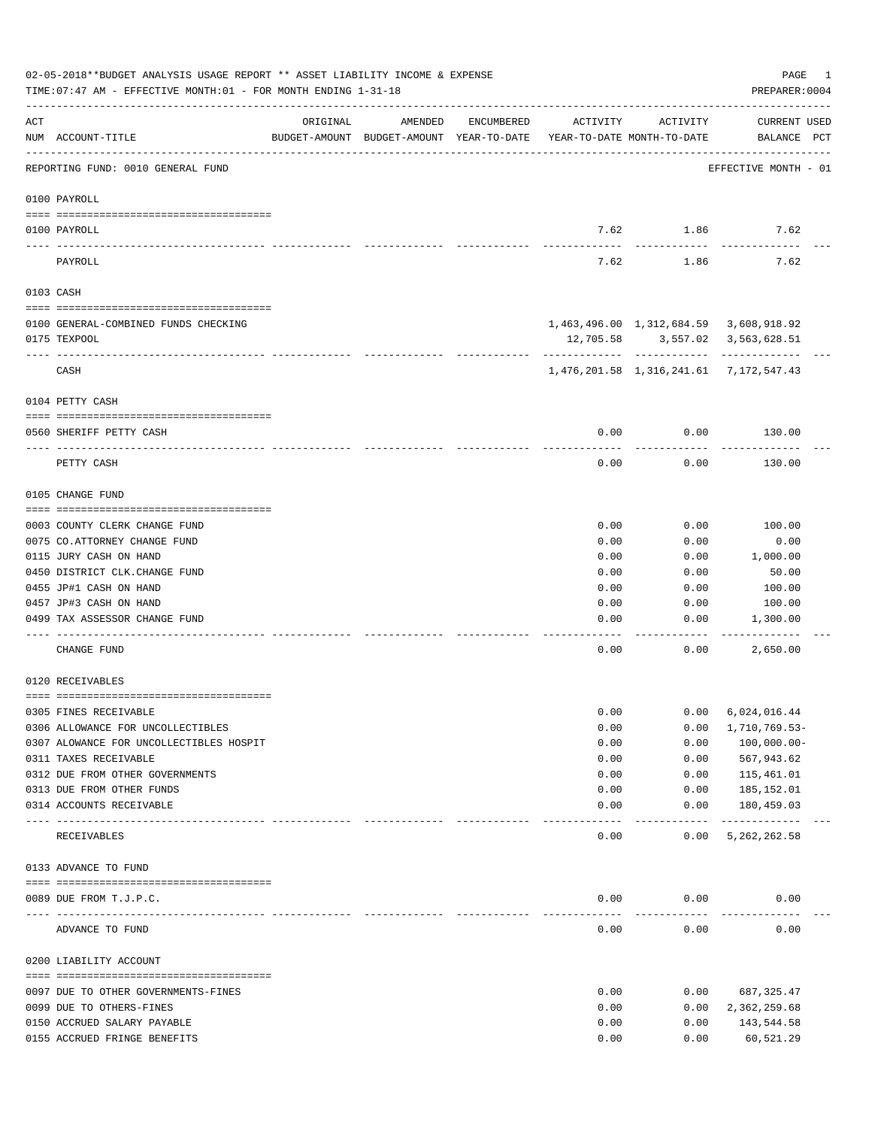|       | 02-05-2018**BUDGET ANALYSIS USAGE REPORT ** ASSET LIABILITY INCOME & EXPENSE<br>TIME: 07:47 AM - EFFECTIVE MONTH: 01 - FOR MONTH ENDING 1-31-18 |                             |                                                                                |            |               |                                                                                | PAGE<br>1<br>PREPARER: 0004        |
|-------|-------------------------------------------------------------------------------------------------------------------------------------------------|-----------------------------|--------------------------------------------------------------------------------|------------|---------------|--------------------------------------------------------------------------------|------------------------------------|
| ACT   | NUM ACCOUNT-TITLE                                                                                                                               | ORIGINAL                    | AMENDED<br>BUDGET-AMOUNT BUDGET-AMOUNT YEAR-TO-DATE YEAR-TO-DATE MONTH-TO-DATE | ENCUMBERED | ACTIVITY      | ACTIVITY                                                                       | <b>CURRENT USED</b><br>BALANCE PCT |
|       | REPORTING FUND: 0010 GENERAL FUND                                                                                                               |                             |                                                                                |            |               |                                                                                | EFFECTIVE MONTH - 01               |
|       | 0100 PAYROLL                                                                                                                                    |                             |                                                                                |            |               |                                                                                |                                    |
|       | 0100 PAYROLL                                                                                                                                    |                             |                                                                                |            | 7.62          | 1.86                                                                           | 7.62                               |
|       | PAYROLL                                                                                                                                         |                             |                                                                                |            | -----<br>7.62 | 1.86                                                                           | 7.62                               |
|       | 0103 CASH                                                                                                                                       |                             |                                                                                |            |               |                                                                                |                                    |
|       | 0100 GENERAL-COMBINED FUNDS CHECKING                                                                                                            |                             |                                                                                |            |               | 1,463,496.00 1,312,684.59 3,608,918.92                                         |                                    |
|       | 0175 TEXPOOL                                                                                                                                    |                             |                                                                                |            |               | 12,705.58 3,557.02 3,563,628.51                                                |                                    |
|       | CASH                                                                                                                                            |                             |                                                                                |            |               | ----------- ------------ -----------<br>1,476,201.58 1,316,241.61 7,172,547.43 |                                    |
|       |                                                                                                                                                 |                             |                                                                                |            |               |                                                                                |                                    |
|       | 0104 PETTY CASH                                                                                                                                 |                             |                                                                                |            |               |                                                                                |                                    |
|       | 0560 SHERIFF PETTY CASH                                                                                                                         |                             |                                                                                |            | 0.00          | 0.00                                                                           | 130.00                             |
|       | PETTY CASH                                                                                                                                      |                             |                                                                                |            | 0.00          | 0.00                                                                           | 130.00                             |
|       | 0105 CHANGE FUND                                                                                                                                |                             |                                                                                |            |               |                                                                                |                                    |
|       | 0003 COUNTY CLERK CHANGE FUND                                                                                                                   |                             |                                                                                |            | 0.00          | 0.00                                                                           | 100.00                             |
|       | 0075 CO.ATTORNEY CHANGE FUND                                                                                                                    |                             |                                                                                |            | 0.00          | 0.00                                                                           | 0.00                               |
|       | 0115 JURY CASH ON HAND                                                                                                                          |                             |                                                                                |            | 0.00          | 0.00                                                                           | 1,000.00                           |
|       | 0450 DISTRICT CLK. CHANGE FUND                                                                                                                  |                             |                                                                                |            | 0.00          | 0.00                                                                           | 50.00                              |
|       | 0455 JP#1 CASH ON HAND                                                                                                                          |                             |                                                                                |            | 0.00          | 0.00                                                                           | 100.00                             |
|       | 0457 JP#3 CASH ON HAND                                                                                                                          |                             |                                                                                |            | 0.00          | 0.00                                                                           | 100.00                             |
|       | 0499 TAX ASSESSOR CHANGE FUND                                                                                                                   |                             |                                                                                |            | 0.00          | 0.00                                                                           | 1,300.00                           |
|       | CHANGE FUND                                                                                                                                     |                             |                                                                                |            | 0.00          | 0.00                                                                           | 2,650.00                           |
|       | 0120 RECEIVABLES                                                                                                                                |                             |                                                                                |            |               |                                                                                |                                    |
|       | 0305 FINES RECEIVABLE                                                                                                                           |                             |                                                                                |            | 0.00          | 0.00                                                                           | 6,024,016.44                       |
|       | 0306 ALLOWANCE FOR UNCOLLECTIBLES                                                                                                               |                             |                                                                                |            | 0.00          | 0.00                                                                           | 1,710,769.53-                      |
|       | 0307 ALOWANCE FOR UNCOLLECTIBLES HOSPIT                                                                                                         |                             |                                                                                |            | 0.00          | 0.00                                                                           | $100,000.00-$                      |
|       | 0311 TAXES RECEIVABLE                                                                                                                           |                             |                                                                                |            | 0.00          | 0.00                                                                           | 567,943.62                         |
|       | 0312 DUE FROM OTHER GOVERNMENTS                                                                                                                 |                             |                                                                                |            | 0.00          | 0.00                                                                           | 115,461.01                         |
|       | 0313 DUE FROM OTHER FUNDS                                                                                                                       |                             |                                                                                |            | 0.00          | 0.00                                                                           | 185,152.01                         |
| $---$ | 0314 ACCOUNTS RECEIVABLE                                                                                                                        | ------------- ------------- |                                                                                |            | 0.00          | 0.00<br>-----                                                                  | 180,459.03<br>-------------        |
|       | RECEIVABLES                                                                                                                                     |                             |                                                                                |            | 0.00          | 0.00                                                                           | 5, 262, 262.58                     |
|       | 0133 ADVANCE TO FUND                                                                                                                            |                             |                                                                                |            |               |                                                                                |                                    |
|       | 0089 DUE FROM T.J.P.C.                                                                                                                          |                             |                                                                                |            | 0.00          | 0.00                                                                           | 0.00                               |
|       | ADVANCE TO FUND                                                                                                                                 |                             |                                                                                |            | 0.00          | 0.00                                                                           | 0.00                               |
|       | 0200 LIABILITY ACCOUNT                                                                                                                          |                             |                                                                                |            |               |                                                                                |                                    |
|       | 0097 DUE TO OTHER GOVERNMENTS-FINES                                                                                                             |                             |                                                                                |            | 0.00          | 0.00                                                                           | 687, 325.47                        |
|       | 0099 DUE TO OTHERS-FINES                                                                                                                        |                             |                                                                                |            | 0.00          | 0.00                                                                           | 2,362,259.68                       |
|       | 0150 ACCRUED SALARY PAYABLE                                                                                                                     |                             |                                                                                |            | 0.00          | 0.00                                                                           | 143,544.58                         |
|       | 0155 ACCRUED FRINGE BENEFITS                                                                                                                    |                             |                                                                                |            | 0.00          | 0.00                                                                           | 60,521.29                          |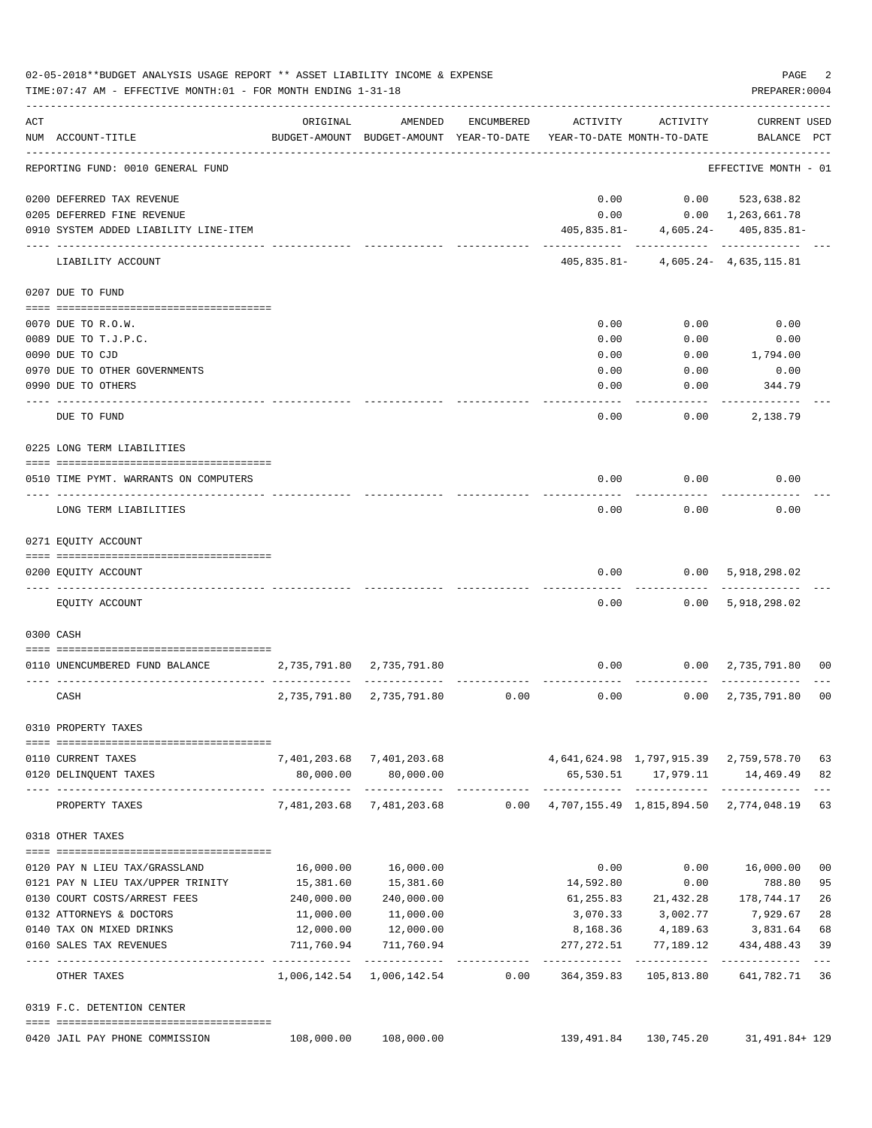|     | 02-05-2018**BUDGET ANALYSIS USAGE REPORT ** ASSET LIABILITY INCOME & EXPENSE<br>TIME: 07:47 AM - EFFECTIVE MONTH: 01 - FOR MONTH ENDING 1-31-18 |                         |                                                     |            |                                                                 |                                                        | PAGE<br>PREPARER: 0004             | 2              |
|-----|-------------------------------------------------------------------------------------------------------------------------------------------------|-------------------------|-----------------------------------------------------|------------|-----------------------------------------------------------------|--------------------------------------------------------|------------------------------------|----------------|
| ACT | NUM ACCOUNT-TITLE                                                                                                                               | ORIGINAL                | AMENDED<br>BUDGET-AMOUNT BUDGET-AMOUNT YEAR-TO-DATE | ENCUMBERED | ACTIVITY<br>YEAR-TO-DATE MONTH-TO-DATE                          | ACTIVITY                                               | <b>CURRENT USED</b><br>BALANCE PCT |                |
|     | REPORTING FUND: 0010 GENERAL FUND                                                                                                               |                         |                                                     |            |                                                                 |                                                        | EFFECTIVE MONTH - 01               |                |
|     | 0200 DEFERRED TAX REVENUE                                                                                                                       |                         |                                                     |            | 0.00                                                            | 0.00                                                   | 523,638.82                         |                |
|     | 0205 DEFERRED FINE REVENUE                                                                                                                      |                         |                                                     |            | 0.00                                                            |                                                        | $0.00 \quad 1,263,661.78$          |                |
|     | 0910 SYSTEM ADDED LIABILITY LINE-ITEM                                                                                                           |                         |                                                     |            |                                                                 | $405,835.81 - 4,605.24 - 405,835.81 -$                 |                                    |                |
|     | LIABILITY ACCOUNT                                                                                                                               |                         |                                                     |            |                                                                 | ------------<br>$405,835.81 - 4,605.24 - 4,635,115.81$ | -----------                        |                |
|     | 0207 DUE TO FUND                                                                                                                                |                         |                                                     |            |                                                                 |                                                        |                                    |                |
|     | 0070 DUE TO R.O.W.                                                                                                                              |                         |                                                     |            | 0.00                                                            | 0.00                                                   | 0.00                               |                |
|     | 0089 DUE TO T.J.P.C.                                                                                                                            |                         |                                                     |            | 0.00                                                            | 0.00                                                   | 0.00                               |                |
|     | 0090 DUE TO CJD                                                                                                                                 |                         |                                                     |            | 0.00                                                            | 0.00                                                   | 1,794.00                           |                |
|     | 0970 DUE TO OTHER GOVERNMENTS                                                                                                                   |                         |                                                     |            | 0.00                                                            | 0.00                                                   | 0.00                               |                |
|     | 0990 DUE TO OTHERS                                                                                                                              |                         |                                                     |            | 0.00                                                            | 0.00                                                   | 344.79                             |                |
|     |                                                                                                                                                 |                         |                                                     |            |                                                                 |                                                        |                                    |                |
|     | DUE TO FUND                                                                                                                                     |                         |                                                     |            | 0.00                                                            | 0.00                                                   | 2,138.79                           |                |
|     | 0225 LONG TERM LIABILITIES                                                                                                                      |                         |                                                     |            |                                                                 |                                                        |                                    |                |
|     | 0510 TIME PYMT. WARRANTS ON COMPUTERS                                                                                                           |                         |                                                     |            | 0.00                                                            | 0.00                                                   | 0.00                               |                |
|     |                                                                                                                                                 |                         |                                                     |            |                                                                 |                                                        |                                    |                |
|     | LONG TERM LIABILITIES                                                                                                                           |                         |                                                     |            | 0.00                                                            | 0.00                                                   | 0.00                               |                |
|     | 0271 EQUITY ACCOUNT                                                                                                                             |                         |                                                     |            |                                                                 |                                                        |                                    |                |
|     | 0200 EQUITY ACCOUNT                                                                                                                             |                         |                                                     |            | 0.00                                                            | 0.00                                                   | 5,918,298.02                       |                |
|     |                                                                                                                                                 |                         |                                                     |            |                                                                 |                                                        |                                    |                |
|     | EQUITY ACCOUNT                                                                                                                                  |                         |                                                     |            | 0.00                                                            |                                                        | 0.00 5,918,298.02                  |                |
|     | 0300 CASH                                                                                                                                       |                         |                                                     |            |                                                                 |                                                        |                                    |                |
|     |                                                                                                                                                 |                         |                                                     |            |                                                                 |                                                        |                                    |                |
|     | 0110 UNENCUMBERED FUND BALANCE                                                                                                                  | 2,735,791.80            | 2,735,791.80                                        |            | 0.00                                                            |                                                        | $0.00 \quad 2,735,791.80$          | 00             |
|     | CASH                                                                                                                                            | 2,735,791.80            | 2,735,791.80                                        | 0.00       | 0.00                                                            | 0.00                                                   | 2,735,791.80                       | 0 <sub>0</sub> |
|     | 0310 PROPERTY TAXES                                                                                                                             |                         |                                                     |            |                                                                 |                                                        |                                    |                |
|     | 0110 CURRENT TAXES                                                                                                                              |                         | 7,401,203.68 7,401,203.68                           |            | 4,641,624.98 1,797,915.39 2,759,578.70                          |                                                        |                                    | 63             |
|     | 0120 DELINQUENT TAXES                                                                                                                           | 80,000.00               | 80,000.00                                           |            |                                                                 | 65,530.51 17,979.11                                    | 14,469.49                          | 82             |
|     | PROPERTY TAXES                                                                                                                                  |                         | -------------<br>7,481,203.68 7,481,203.68          |            | $0.00 \quad 4,707,155.49 \quad 1,815,894.50 \quad 2,774,048.19$ |                                                        |                                    | 63             |
|     | 0318 OTHER TAXES                                                                                                                                |                         |                                                     |            |                                                                 |                                                        |                                    |                |
|     |                                                                                                                                                 |                         |                                                     |            |                                                                 |                                                        |                                    |                |
|     | 0120 PAY N LIEU TAX/GRASSLAND<br>0121 PAY N LIEU TAX/UPPER TRINITY                                                                              | 16,000.00<br>15,381.60  | 16,000.00<br>15,381.60                              |            | 0.00                                                            | 0.00                                                   | 16,000.00                          | 00             |
|     |                                                                                                                                                 |                         |                                                     |            | 14,592.80                                                       | 0.00                                                   | 788.80                             | 95<br>26       |
|     | 0130 COURT COSTS/ARREST FEES                                                                                                                    | 240,000.00              | 240,000.00                                          |            |                                                                 | 61,255.83 21,432.28 178,744.17                         |                                    |                |
|     | 0132 ATTORNEYS & DOCTORS                                                                                                                        | 11,000.00               | 11,000.00                                           |            |                                                                 | 3,070.33 3,002.77                                      | 7,929.67                           | 28             |
|     | 0140 TAX ON MIXED DRINKS                                                                                                                        | 12,000.00<br>711,760.94 | 12,000.00<br>711,760.94                             |            | 8,168.36                                                        | 4,189.63                                               | 3,831.64                           | 68<br>39       |
|     | 0160 SALES TAX REVENUES                                                                                                                         |                         |                                                     |            | 277,272.51                                                      | 77,189.12                                              | 434,488.43                         | $- - -$        |
|     | OTHER TAXES                                                                                                                                     |                         | 1,006,142.54 1,006,142.54                           | 0.00       | 364,359.83                                                      | 105,813.80                                             | 641,782.71                         | 36             |
|     | 0319 F.C. DETENTION CENTER                                                                                                                      |                         |                                                     |            |                                                                 |                                                        |                                    |                |
|     | 0420 JAIL PAY PHONE COMMISSION                                                                                                                  | 108,000.00              | 108,000.00                                          |            | 139,491.84                                                      | 130,745.20                                             | 31,491.84+ 129                     |                |
|     |                                                                                                                                                 |                         |                                                     |            |                                                                 |                                                        |                                    |                |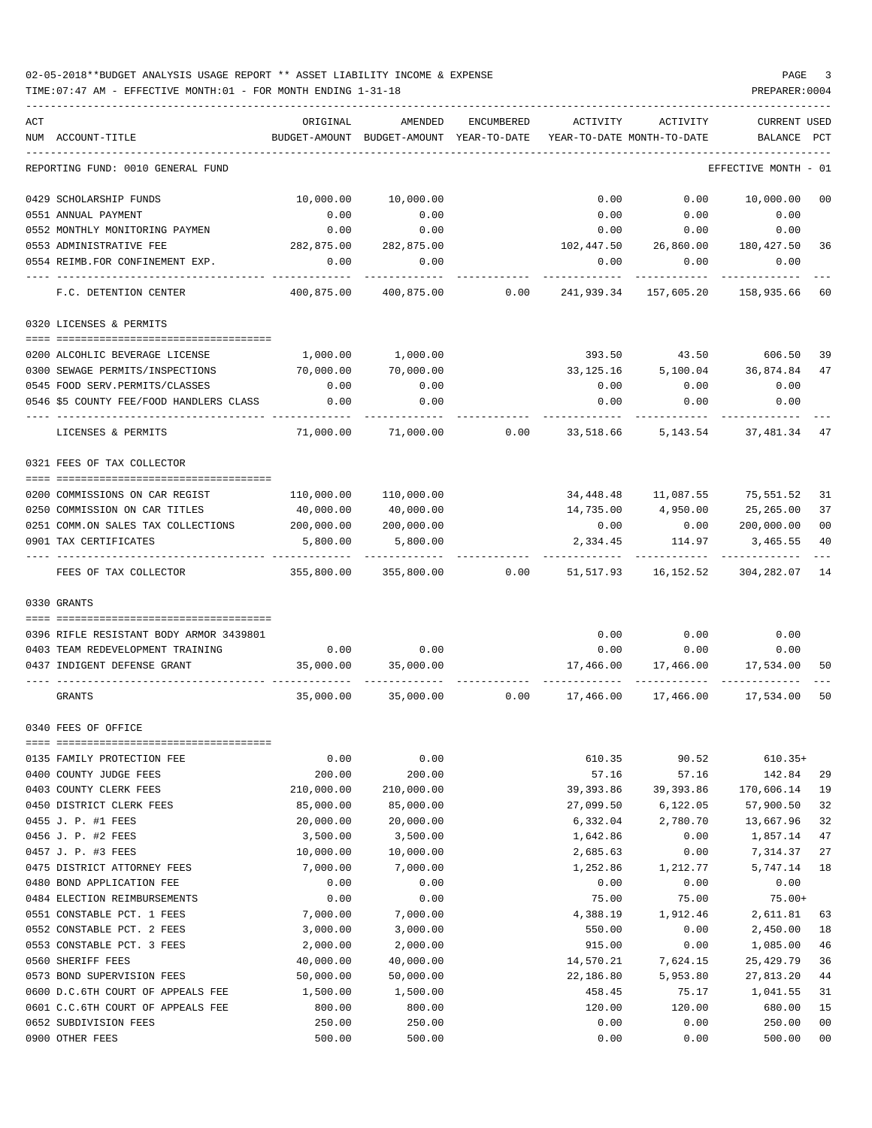TIME:07:47 AM - EFFECTIVE MONTH:01 - FOR MONTH ENDING 1-31-18 PREPARER:0004

| ACT<br>NUM ACCOUNT-TITLE                                           | ORIGINAL               | AMENDED<br>BUDGET-AMOUNT BUDGET-AMOUNT YEAR-TO-DATE YEAR-TO-DATE MONTH-TO-DATE | ENCUMBERED | ACTIVITY          | ACTIVITY                                      | <b>CURRENT USED</b><br>BALANCE PCT |                      |
|--------------------------------------------------------------------|------------------------|--------------------------------------------------------------------------------|------------|-------------------|-----------------------------------------------|------------------------------------|----------------------|
|                                                                    |                        |                                                                                |            |                   |                                               |                                    |                      |
| REPORTING FUND: 0010 GENERAL FUND                                  |                        |                                                                                |            |                   |                                               | EFFECTIVE MONTH - 01               |                      |
| 0429 SCHOLARSHIP FUNDS                                             | 10,000.00              | 10,000.00                                                                      |            | 0.00              | 0.00                                          | 10,000.00                          | 00                   |
| 0551 ANNUAL PAYMENT                                                | 0.00                   | 0.00                                                                           |            | 0.00              | 0.00                                          | 0.00                               |                      |
| 0552 MONTHLY MONITORING PAYMEN                                     | 0.00                   | 0.00                                                                           |            | 0.00              | 0.00                                          | 0.00                               |                      |
| 0553 ADMINISTRATIVE FEE                                            | 282,875.00             | 282,875.00                                                                     |            |                   | 102,447.50 26,860.00 180,427.50               |                                    | 36                   |
| 0554 REIMB.FOR CONFINEMENT EXP.                                    | 0.00                   | 0.00                                                                           |            | 0.00              | 0.00                                          | 0.00                               |                      |
| F.C. DETENTION CENTER                                              |                        | 400,875.00 400,875.00                                                          |            |                   | $0.00$ $241,939.34$ $157,605.20$ $158,935.66$ |                                    | 60                   |
| 0320 LICENSES & PERMITS                                            |                        |                                                                                |            |                   |                                               |                                    |                      |
|                                                                    |                        |                                                                                |            |                   |                                               |                                    |                      |
| 0200 ALCOHLIC BEVERAGE LICENSE                                     | 1,000.00               | 1,000.00                                                                       |            | 393.50            | 43.50                                         | 606.50                             | 39                   |
| 0300 SEWAGE PERMITS/INSPECTIONS<br>0545 FOOD SERV. PERMITS/CLASSES | 70,000.00<br>0.00      | 70,000.00<br>0.00                                                              |            | 33,125.16<br>0.00 | 5,100.04<br>0.00                              | 36,874.84<br>0.00                  | 47                   |
| 0546 \$5 COUNTY FEE/FOOD HANDLERS CLASS                            | 0.00                   | 0.00                                                                           |            | 0.00              | 0.00                                          | 0.00                               |                      |
|                                                                    |                        |                                                                                |            |                   |                                               |                                    |                      |
| LICENSES & PERMITS                                                 | 71,000.00              | 71,000.00                                                                      |            | $0.00$ 33,518.66  |                                               | 5, 143.54 37, 481.34               | 47                   |
| 0321 FEES OF TAX COLLECTOR                                         |                        |                                                                                |            |                   |                                               |                                    |                      |
|                                                                    |                        |                                                                                |            |                   |                                               |                                    |                      |
| 0200 COMMISSIONS ON CAR REGIST                                     | 110,000.00             | 110,000.00                                                                     |            |                   | 34,448.48    11,087.55    75,551.52           |                                    | 31                   |
| 0250 COMMISSION ON CAR TITLES                                      | 40,000.00              | 40,000.00                                                                      |            |                   | 14,735.00 4,950.00                            | 25,265.00                          | 37<br>0 <sub>0</sub> |
| 0251 COMM.ON SALES TAX COLLECTIONS<br>0901 TAX CERTIFICATES        | 200,000.00<br>5,800.00 | 200,000.00<br>5,800.00                                                         |            | 0.00<br>2,334.45  | 114.97                                        | 0.000000000000<br>3,465.55         | 40                   |
|                                                                    |                        |                                                                                |            |                   |                                               |                                    |                      |
| FEES OF TAX COLLECTOR                                              | 355,800.00             |                                                                                |            |                   |                                               |                                    | 14                   |
| 0330 GRANTS                                                        |                        |                                                                                |            |                   |                                               |                                    |                      |
| 0396 RIFLE RESISTANT BODY ARMOR 3439801                            |                        |                                                                                |            |                   | $0.00$ 0.00                                   | 0.00                               |                      |
| 0403 TEAM REDEVELOPMENT TRAINING                                   |                        | $0.00$ 0.00                                                                    |            |                   | $0.00$ 0.00                                   | 0.00                               |                      |
| 0437 INDIGENT DEFENSE GRANT                                        |                        | 35,000.00 35,000.00                                                            |            |                   | $17,466.00$ $17,466.00$ $17,534.00$           |                                    | 50                   |
| GRANTS                                                             |                        | $35,000.00$ $35,000.00$ $0.00$ $17,466.00$ $17,466.00$ $17,534.00$             |            |                   |                                               |                                    | 50                   |
| 0340 FEES OF OFFICE                                                |                        |                                                                                |            |                   |                                               |                                    |                      |
|                                                                    |                        |                                                                                |            |                   |                                               |                                    |                      |
| 0135 FAMILY PROTECTION FEE                                         | 0.00                   | 0.00                                                                           |            | 610.35            | 90.52                                         | $610.35+$                          |                      |
| 0400 COUNTY JUDGE FEES                                             | 200.00                 | 200.00                                                                         |            | 57.16             | 57.16                                         | 142.84                             | 29                   |
| 0403 COUNTY CLERK FEES                                             | 210,000.00             | 210,000.00                                                                     |            | 39, 393.86        | 39,393.86                                     | 170,606.14                         | 19                   |
| 0450 DISTRICT CLERK FEES                                           | 85,000.00              | 85,000.00                                                                      |            | 27,099.50         | 6,122.05                                      | 57,900.50                          | 32                   |
| 0455 J. P. #1 FEES                                                 | 20,000.00              | 20,000.00                                                                      |            | 6,332.04          | 2,780.70                                      | 13,667.96                          | 32                   |
| 0456 J. P. #2 FEES                                                 | 3,500.00               | 3,500.00                                                                       |            | 1,642.86          | 0.00                                          | 1,857.14                           | 47                   |
| 0457 J. P. #3 FEES                                                 | 10,000.00              | 10,000.00                                                                      |            | 2,685.63          | 0.00                                          | 7,314.37                           | 27                   |
| 0475 DISTRICT ATTORNEY FEES                                        | 7,000.00               | 7,000.00                                                                       |            | 1,252.86          | 1,212.77                                      | 5,747.14                           | 18                   |
| 0480 BOND APPLICATION FEE                                          | 0.00                   | 0.00                                                                           |            | 0.00              | 0.00                                          | 0.00                               |                      |
| 0484 ELECTION REIMBURSEMENTS                                       | 0.00                   | 0.00                                                                           |            | 75.00             | 75.00                                         | $75.00+$                           |                      |
| 0551 CONSTABLE PCT. 1 FEES                                         | 7,000.00               | 7,000.00                                                                       |            | 4,388.19          | 1,912.46                                      | 2,611.81                           | 63                   |
| 0552 CONSTABLE PCT. 2 FEES                                         | 3,000.00               | 3,000.00                                                                       |            | 550.00            | 0.00                                          | 2,450.00                           | 18                   |
| 0553 CONSTABLE PCT. 3 FEES                                         | 2,000.00               | 2,000.00                                                                       |            | 915.00            | 0.00                                          | 1,085.00                           | 46                   |
| 0560 SHERIFF FEES                                                  | 40,000.00              | 40,000.00                                                                      |            | 14,570.21         | 7,624.15                                      | 25,429.79                          | 36                   |
| 0573 BOND SUPERVISION FEES                                         | 50,000.00              | 50,000.00                                                                      |            | 22,186.80         | 5,953.80                                      | 27,813.20                          | 44                   |
| 0600 D.C.6TH COURT OF APPEALS FEE                                  | 1,500.00               | 1,500.00                                                                       |            | 458.45            | 75.17                                         | 1,041.55                           | 31                   |
| 0601 C.C.6TH COURT OF APPEALS FEE                                  | 800.00                 | 800.00                                                                         |            | 120.00            | 120.00                                        | 680.00                             | 15                   |
| 0652 SUBDIVISION FEES                                              | 250.00                 | 250.00                                                                         |            | 0.00              | 0.00                                          | 250.00                             | 0 <sub>0</sub>       |

0900 OTHER FEES 500.00 500.00 0.00 0.00 500.00 00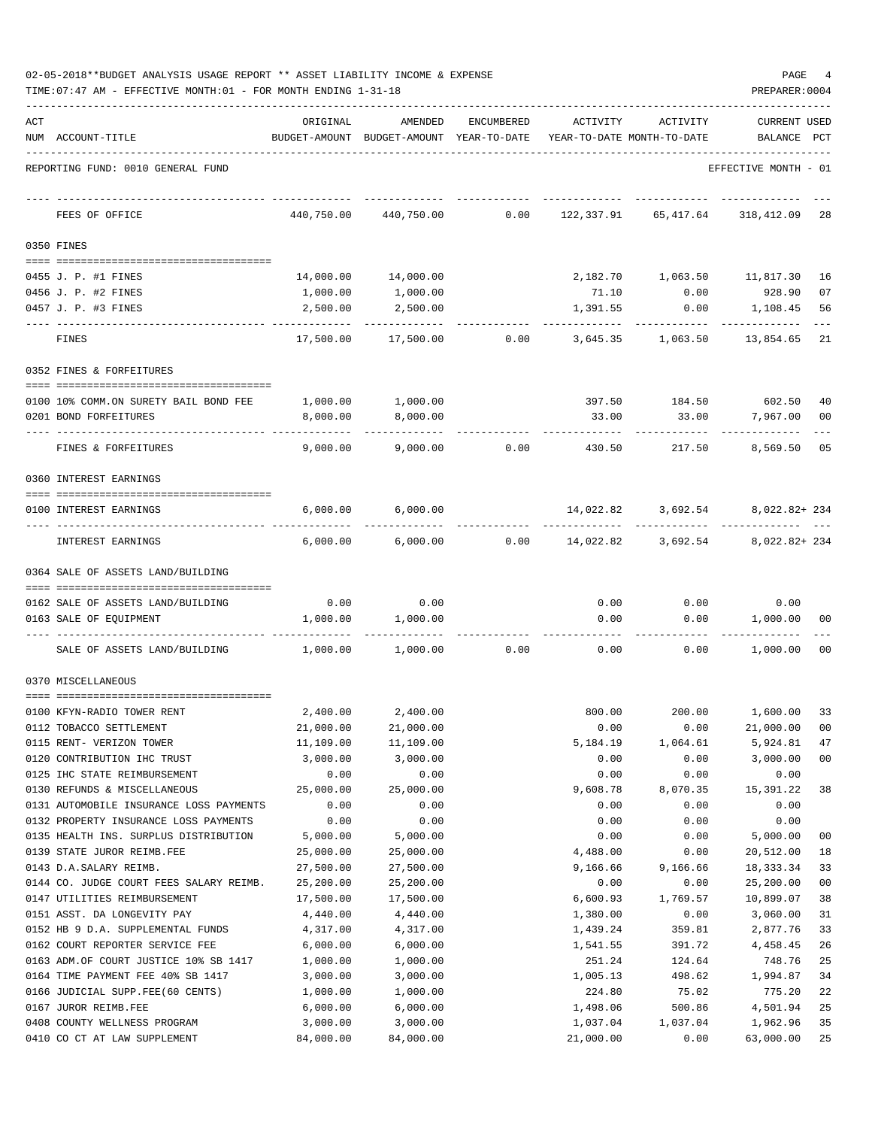| 02-05-2018**BUDGET ANALYSIS USAGE REPORT ** ASSET LIABILITY INCOME & EXPENSE |  |  |  |  | PAGE |  |
|------------------------------------------------------------------------------|--|--|--|--|------|--|
|                                                                              |  |  |  |  |      |  |

|     | TIME: 07:47 AM - EFFECTIVE MONTH: 01 - FOR MONTH ENDING 1-31-18 |                       |                                                     |                |                       |                                         | PREPARER: 0004                 |                |
|-----|-----------------------------------------------------------------|-----------------------|-----------------------------------------------------|----------------|-----------------------|-----------------------------------------|--------------------------------|----------------|
| ACT | NUM ACCOUNT-TITLE                                               | ORIGINAL              | AMENDED<br>BUDGET-AMOUNT BUDGET-AMOUNT YEAR-TO-DATE | ENCUMBERED     | ACTIVITY              | ACTIVITY<br>YEAR-TO-DATE MONTH-TO-DATE  | <b>CURRENT USED</b><br>BALANCE | $_{\rm PCT}$   |
|     | REPORTING FUND: 0010 GENERAL FUND                               |                       |                                                     |                |                       |                                         | EFFECTIVE MONTH - 01           |                |
|     | FEES OF OFFICE                                                  | 440,750.00            | 440,750.00                                          | 0.00           | 122,337.91            | 65,417.64                               | 318,412.09                     | 28             |
|     | 0350 FINES                                                      |                       |                                                     |                |                       |                                         |                                |                |
|     | 0455 J. P. #1 FINES                                             |                       | 14,000.00   14,000.00                               |                |                       | 2,182.70    1,063.50    11,817.30    16 |                                |                |
|     | 0456 J. P. #2 FINES                                             | 1,000.00              | 1,000.00                                            |                |                       | 71.10 0.00                              | 928.90                         | 07             |
|     | 0457 J. P. #3 FINES                                             | 2,500.00              | 2,500.00                                            |                | 1,391.55              | $0.00$ 1,108.45                         |                                | 56             |
|     | FINES                                                           | 17,500.00             |                                                     | 17,500.00 0.00 | 3,645.35              | 1,063.50                                | 13,854.65                      | 21             |
|     | 0352 FINES & FORFEITURES                                        |                       |                                                     |                |                       |                                         |                                |                |
|     | 0100 10% COMM.ON SURETY BAIL BOND FEE                           |                       | 1,000.00 1,000.00                                   |                |                       |                                         |                                | 40             |
|     | 0201 BOND FORFEITURES                                           | 8,000.00              | 8,000.00                                            |                | 33.00                 | 33.00                                   | 7,967.00                       | 00             |
|     | FINES & FORFEITURES                                             | 9,000.00              | 9,000.00                                            | 0.00           | 430.50                | 217.50                                  | 8,569.50                       | 05             |
|     | 0360 INTEREST EARNINGS                                          |                       |                                                     |                |                       |                                         |                                |                |
|     |                                                                 |                       |                                                     |                |                       |                                         |                                |                |
|     | 0100 INTEREST EARNINGS                                          | 6,000.00              | 6,000.00                                            |                |                       | 14,022.82 3,692.54 8,022.82+234         |                                |                |
|     | INTEREST EARNINGS                                               | 6,000.00              | 6,000.00                                            | 0.00           |                       | 14,022.82 3,692.54                      | 8,022.82+ 234                  |                |
|     | 0364 SALE OF ASSETS LAND/BUILDING                               |                       |                                                     |                |                       |                                         |                                |                |
|     | 0162 SALE OF ASSETS LAND/BUILDING                               | 0.00                  | 0.00                                                |                | 0.00                  | 0.00                                    | 0.00                           |                |
|     | 0163 SALE OF EQUIPMENT                                          | 1,000.00              | 1,000.00                                            |                | 0.00                  | 0.00                                    | 1,000.00 00                    |                |
|     | SALE OF ASSETS LAND/BUILDING                                    | 1,000.00              | 1,000.00                                            | 0.00           |                       | 0.00<br>0.00                            | 1,000.00                       | 00             |
|     | 0370 MISCELLANEOUS                                              |                       |                                                     |                |                       |                                         |                                |                |
|     |                                                                 |                       |                                                     |                |                       |                                         |                                |                |
|     | 0100 KFYN-RADIO TOWER RENT                                      |                       | 2,400.00 2,400.00                                   |                |                       | 800.00                                  | 200.00 1,600.00 33             |                |
|     | 0112 TOBACCO SETTLEMENT                                         | 21,000.00             | 21,000.00                                           |                | 0.00                  | 0.00                                    | 21,000.00                      | 00             |
|     | 0115 RENT- VERIZON TOWER                                        | 11,109.00             | 11,109.00                                           |                | 5,184.19              | 1,064.61                                | 5,924.81                       | 47             |
|     | 0120 CONTRIBUTION IHC TRUST                                     | 3,000.00              | 3,000.00                                            |                | 0.00                  | 0.00                                    | 3,000.00                       | 0 <sub>0</sub> |
|     | 0125 IHC STATE REIMBURSEMENT<br>0130 REFUNDS & MISCELLANEOUS    | 0.00<br>25,000.00     | 0.00<br>25,000.00                                   |                | 0.00<br>9,608.78      | 0.00<br>8,070.35                        | 0.00<br>15,391.22              | 38             |
|     | 0131 AUTOMOBILE INSURANCE LOSS PAYMENTS                         | 0.00                  | 0.00                                                |                | 0.00                  | 0.00                                    | 0.00                           |                |
|     | 0132 PROPERTY INSURANCE LOSS PAYMENTS                           | 0.00                  | 0.00                                                |                | 0.00                  | 0.00                                    | 0.00                           |                |
|     | 0135 HEALTH INS. SURPLUS DISTRIBUTION                           | 5,000.00              | 5,000.00                                            |                | 0.00                  | 0.00                                    | 5,000.00                       | 00             |
|     | 0139 STATE JUROR REIMB.FEE                                      | 25,000.00             | 25,000.00                                           |                | 4,488.00              | 0.00                                    | 20,512.00                      | 18             |
|     | 0143 D.A.SALARY REIMB.                                          | 27,500.00             | 27,500.00                                           |                | 9,166.66              | 9,166.66                                | 18, 333.34                     | 33             |
|     | 0144 CO. JUDGE COURT FEES SALARY REIMB.                         | 25,200.00             | 25,200.00                                           |                | 0.00                  | 0.00                                    | 25,200.00                      | 0 <sub>0</sub> |
|     | 0147 UTILITIES REIMBURSEMENT                                    | 17,500.00             | 17,500.00                                           |                | 6,600.93              | 1,769.57                                | 10,899.07                      | 38             |
|     | 0151 ASST. DA LONGEVITY PAY                                     | 4,440.00              | 4,440.00                                            |                | 1,380.00              | 0.00                                    | 3,060.00                       | 31             |
|     | 0152 HB 9 D.A. SUPPLEMENTAL FUNDS                               | 4,317.00              | 4,317.00                                            |                | 1,439.24              | 359.81                                  | 2,877.76                       | 33             |
|     | 0162 COURT REPORTER SERVICE FEE                                 | 6,000.00              | 6,000.00                                            |                | 1,541.55              | 391.72                                  | 4,458.45                       | 26             |
|     | 0163 ADM.OF COURT JUSTICE 10% SB 1417                           | 1,000.00              | 1,000.00                                            |                | 251.24                | 124.64                                  | 748.76                         | 25             |
|     | 0164 TIME PAYMENT FEE 40% SB 1417                               | 3,000.00              | 3,000.00                                            |                | 1,005.13              | 498.62                                  | 1,994.87                       | 34             |
|     | 0166 JUDICIAL SUPP.FEE(60 CENTS)                                | 1,000.00              | 1,000.00                                            |                | 224.80                | 75.02                                   | 775.20                         | 22             |
|     | 0167 JUROR REIMB.FEE                                            | 6,000.00              | 6,000.00                                            |                | 1,498.06              | 500.86                                  | 4,501.94                       | 25             |
|     | 0408 COUNTY WELLNESS PROGRAM<br>0410 CO CT AT LAW SUPPLEMENT    | 3,000.00<br>84,000.00 | 3,000.00<br>84,000.00                               |                | 1,037.04<br>21,000.00 | 1,037.04<br>0.00                        | 1,962.96<br>63,000.00          | 35<br>25       |
|     |                                                                 |                       |                                                     |                |                       |                                         |                                |                |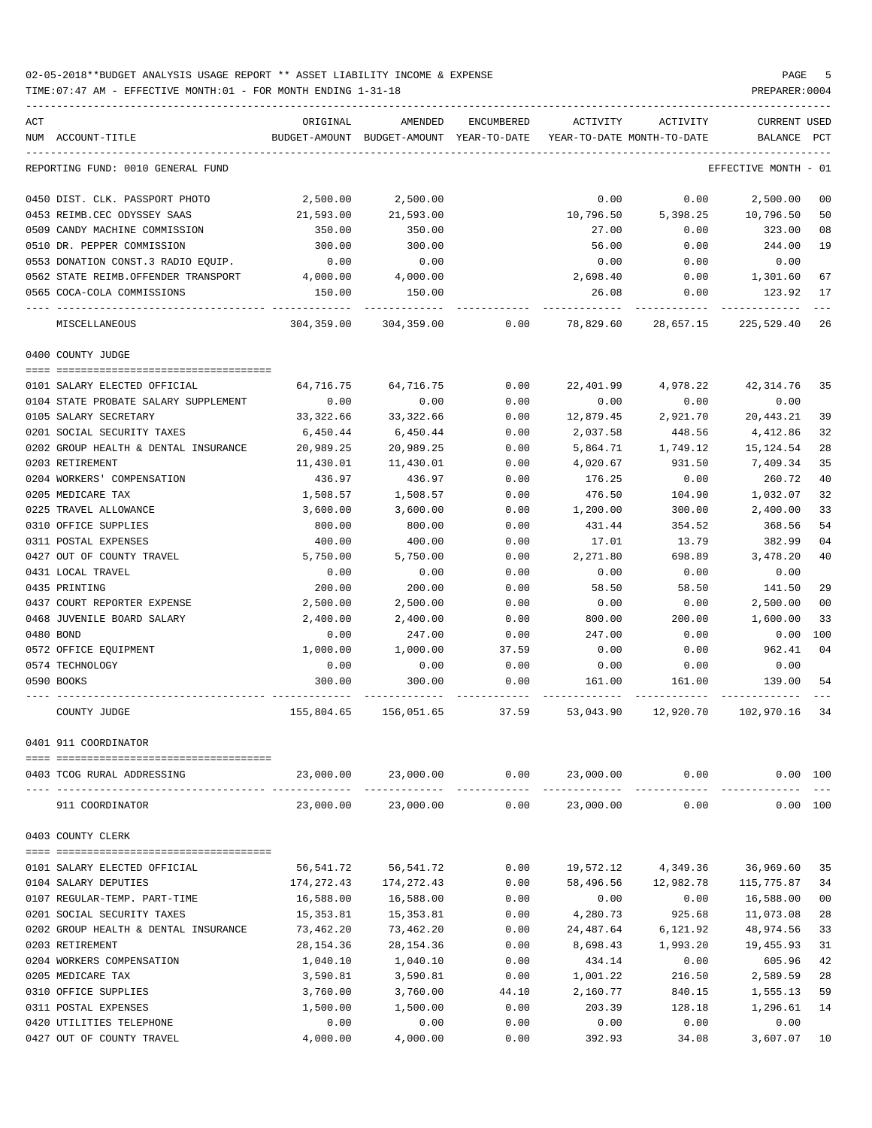TIME:07:47 AM - EFFECTIVE MONTH:01 - FOR MONTH ENDING 1-31-18 PREPARER:0004

| ACT |                                                            | ORIGINAL                | AMENDED                                  | <b>ENCUMBERED</b> | ACTIVITY                   | ACTIVITY                    | <b>CURRENT USED</b>     |                      |
|-----|------------------------------------------------------------|-------------------------|------------------------------------------|-------------------|----------------------------|-----------------------------|-------------------------|----------------------|
|     | NUM ACCOUNT-TITLE                                          |                         | BUDGET-AMOUNT BUDGET-AMOUNT YEAR-TO-DATE |                   | YEAR-TO-DATE MONTH-TO-DATE |                             | <b>BALANCE</b>          | PCT                  |
|     | REPORTING FUND: 0010 GENERAL FUND                          |                         |                                          |                   |                            |                             | EFFECTIVE MONTH - 01    |                      |
|     | 0450 DIST. CLK. PASSPORT PHOTO                             | 2,500.00                | 2,500.00                                 |                   | 0.00                       | 0.00                        | 2,500.00                | 0 <sub>0</sub>       |
|     | 0453 REIMB.CEC ODYSSEY SAAS                                | 21,593.00               | 21,593.00                                |                   | 10,796.50                  | 5,398.25                    | 10,796.50               | 50                   |
|     | 0509 CANDY MACHINE COMMISSION                              | 350.00                  | 350.00                                   |                   | 27.00                      | 0.00                        | 323.00                  | 08                   |
|     | 0510 DR. PEPPER COMMISSION                                 | 300.00                  | 300.00                                   |                   | 56.00                      | 0.00                        | 244.00                  | 19                   |
|     | 0553 DONATION CONST.3 RADIO EQUIP.                         | 0.00                    | 0.00                                     |                   | 0.00                       | 0.00                        | 0.00                    |                      |
|     | 0562 STATE REIMB.OFFENDER TRANSPORT                        | 4,000.00                | 4,000.00                                 |                   | 2,698.40                   | 0.00                        | 1,301.60                | 67                   |
|     | 0565 COCA-COLA COMMISSIONS                                 | 150.00                  | 150.00                                   |                   | 26.08                      | 0.00                        | 123.92                  | 17                   |
|     | MISCELLANEOUS                                              | 304,359.00              | 304,359.00                               | 0.00              | 78,829.60                  | 28,657.15                   | 225,529.40              | 26                   |
|     | 0400 COUNTY JUDGE                                          |                         |                                          |                   |                            |                             |                         |                      |
|     | 0101 SALARY ELECTED OFFICIAL                               | 64,716.75               | 64,716.75                                | 0.00              | 22,401.99                  | 4,978.22                    | 42, 314.76              | 35                   |
|     | 0104 STATE PROBATE SALARY SUPPLEMENT                       | 0.00                    | 0.00                                     | 0.00              | 0.00                       | 0.00                        | 0.00                    |                      |
|     | 0105 SALARY SECRETARY                                      | 33,322.66               | 33,322.66                                | 0.00              | 12,879.45                  | 2,921.70                    | 20,443.21               | 39                   |
|     | 0201 SOCIAL SECURITY TAXES                                 | 6,450.44                | 6,450.44                                 | 0.00              | 2,037.58                   | 448.56                      | 4,412.86                | 32                   |
|     | 0202 GROUP HEALTH & DENTAL INSURANCE                       | 20,989.25               | 20,989.25                                | 0.00              | 5,864.71                   | 1,749.12                    | 15,124.54               | 28                   |
|     | 0203 RETIREMENT                                            | 11,430.01               | 11,430.01                                | 0.00              | 4,020.67                   | 931.50                      | 7,409.34                | 35                   |
|     | 0204 WORKERS' COMPENSATION                                 | 436.97                  | 436.97                                   | 0.00              | 176.25                     | 0.00                        | 260.72                  | 40                   |
|     | 0205 MEDICARE TAX                                          | 1,508.57                | 1,508.57                                 | 0.00              | 476.50                     | 104.90                      | 1,032.07                | 32                   |
|     | 0225 TRAVEL ALLOWANCE                                      | 3,600.00                | 3,600.00                                 | 0.00              | 1,200.00                   | 300.00                      | 2,400.00                | 33                   |
|     | 0310 OFFICE SUPPLIES                                       | 800.00                  | 800.00                                   | 0.00              | 431.44                     | 354.52                      | 368.56                  | 54                   |
|     | 0311 POSTAL EXPENSES                                       | 400.00                  | 400.00                                   | 0.00              | 17.01                      | 13.79                       | 382.99                  | 04                   |
|     | 0427 OUT OF COUNTY TRAVEL                                  | 5,750.00                | 5,750.00                                 | 0.00              | 2,271.80                   | 698.89                      | 3,478.20                | 40                   |
|     | 0431 LOCAL TRAVEL                                          | 0.00                    | 0.00                                     | 0.00              | 0.00                       | 0.00                        | 0.00                    |                      |
|     | 0435 PRINTING                                              | 200.00                  | 200.00                                   | 0.00              | 58.50                      | 58.50                       | 141.50                  | 29                   |
|     | 0437 COURT REPORTER EXPENSE                                | 2,500.00                | 2,500.00                                 | 0.00              | 0.00                       | 0.00                        | 2,500.00                | 0 <sub>0</sub>       |
|     | 0468 JUVENILE BOARD SALARY                                 | 2,400.00                | 2,400.00                                 | 0.00              | 800.00                     | 200.00                      | 1,600.00                | 33                   |
|     | 0480 BOND                                                  | 0.00                    | 247.00                                   | 0.00              | 247.00                     | 0.00                        | 0.00                    | 100                  |
|     | 0572 OFFICE EQUIPMENT                                      | 1,000.00                | 1,000.00                                 | 37.59             | 0.00                       | 0.00                        | 962.41                  | 04                   |
|     | 0574 TECHNOLOGY                                            | 0.00                    | 0.00                                     | 0.00              | 0.00                       | 0.00                        | 0.00                    |                      |
|     | 0590 BOOKS                                                 | 300.00                  | 300.00                                   | 0.00              | 161.00                     | 161.00                      | 139.00                  | 54                   |
|     | COUNTY JUDGE                                               | 155,804.65              | 156,051.65                               | 37.59             | 53,043.90                  | 12,920.70                   | 102,970.16              | 34                   |
|     | 0401 911 COORDINATOR                                       |                         |                                          |                   |                            |                             |                         |                      |
|     |                                                            |                         |                                          |                   |                            |                             |                         |                      |
|     | 0403 TCOG RURAL ADDRESSING                                 |                         | 23,000.00 23,000.00                      | 0.00              |                            | 23,000.00 0.00              | 0.00 100                |                      |
|     | 911 COORDINATOR                                            | 23,000.00               | 23,000.00                                | 0.00              | 23,000.00                  | 0.00                        | 0.00 100                |                      |
|     | 0403 COUNTY CLERK                                          |                         |                                          |                   |                            |                             |                         |                      |
|     |                                                            | 56,541.72               |                                          |                   | 19,572.12                  | 4,349.36                    | 36,969.60               | 35                   |
|     | 0101 SALARY ELECTED OFFICIAL                               |                         | 56,541.72                                | 0.00              |                            |                             |                         |                      |
|     | 0104 SALARY DEPUTIES                                       | 174,272.43<br>16,588.00 | 174,272.43<br>16,588.00                  | 0.00<br>0.00      | 0.00                       | 58,496.56 12,982.78<br>0.00 | 115,775.87<br>16,588.00 | 34<br>0 <sub>0</sub> |
|     | 0107 REGULAR-TEMP. PART-TIME<br>0201 SOCIAL SECURITY TAXES | 15,353.81               | 15,353.81                                | 0.00              | 4,280.73                   | 925.68                      | 11,073.08               | 28                   |
|     | 0202 GROUP HEALTH & DENTAL INSURANCE                       | 73,462.20               | 73,462.20                                | 0.00              | 24,487.64                  | 6,121.92                    | 48,974.56               | 33                   |
|     | 0203 RETIREMENT                                            | 28,154.36               | 28,154.36                                | 0.00              | 8,698.43                   | 1,993.20                    | 19,455.93               | 31                   |
|     | 0204 WORKERS COMPENSATION                                  | 1,040.10                | 1,040.10                                 | 0.00              | 434.14                     | 0.00                        | 605.96                  | 42                   |
|     | 0205 MEDICARE TAX                                          | 3,590.81                | 3,590.81                                 | 0.00              | 1,001.22                   | 216.50                      | 2,589.59                | 28                   |
|     | 0310 OFFICE SUPPLIES                                       | 3,760.00                | 3,760.00                                 | 44.10             | 2,160.77                   | 840.15                      | 1,555.13                | 59                   |
|     | 0311 POSTAL EXPENSES                                       | 1,500.00                | 1,500.00                                 | 0.00              | 203.39                     | 128.18                      | 1,296.61                | 14                   |
|     | 0420 UTILITIES TELEPHONE                                   | 0.00                    | 0.00                                     | 0.00              | 0.00                       | 0.00                        | 0.00                    |                      |
|     |                                                            |                         |                                          |                   |                            |                             |                         |                      |

0427 OUT OF COUNTY TRAVEL  $4,000.00$   $4,000.00$   $4,000.00$   $0.00$   $392.93$   $34.08$   $3,607.07$   $10$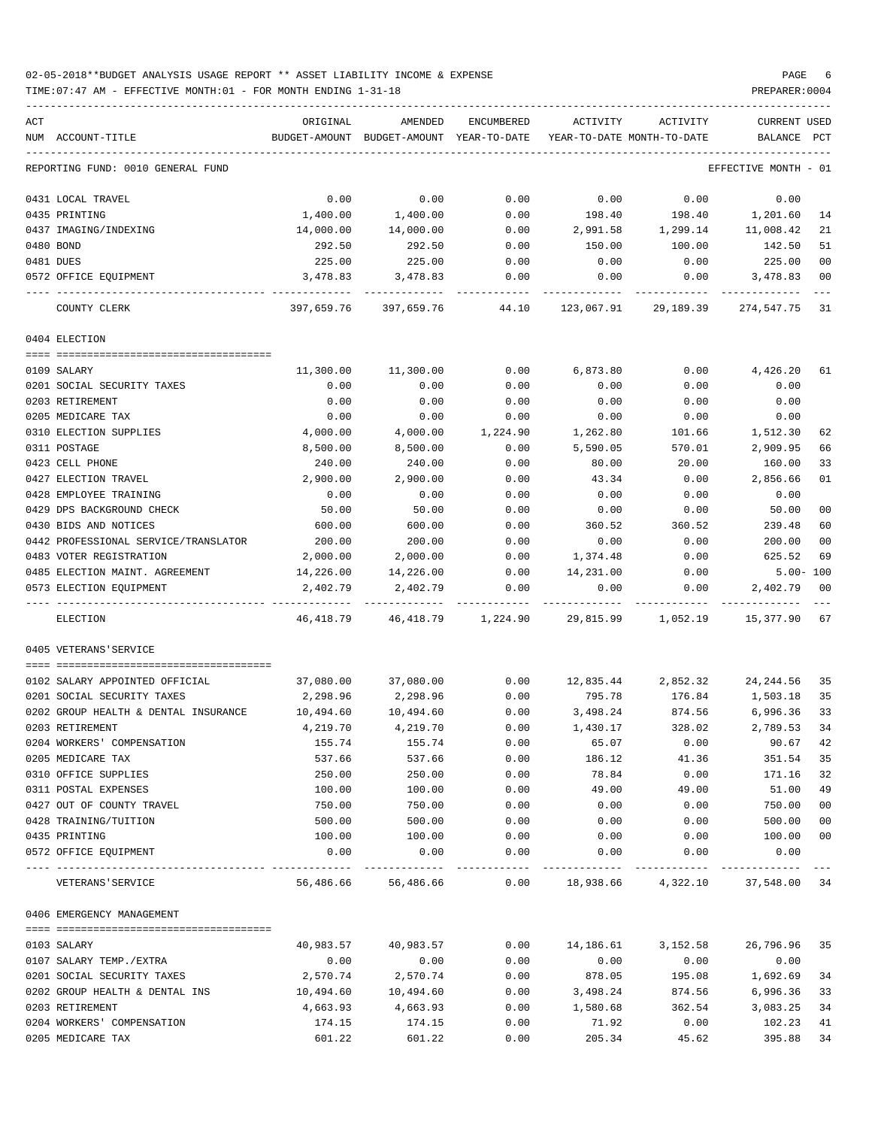### 02-05-2018\*\*BUDGET ANALYSIS USAGE REPORT \*\* ASSET LIABILITY INCOME & EXPENSE PAGE 6 TIME:07:47 AM - EFFECTIVE MONTH:01 - FOR MONTH ENDING 1-31-18 PREPARER:0004

| ACT |                                        | ORIGINAL         | AMENDED          | <b>ENCUMBERED</b>    | ACTIVITY     | ACTIVITY                   | <b>CURRENT USED</b>  |                |
|-----|----------------------------------------|------------------|------------------|----------------------|--------------|----------------------------|----------------------|----------------|
|     | NUM ACCOUNT-TITLE                      | BUDGET-AMOUNT    | BUDGET-AMOUNT    | YEAR-TO-DATE         |              | YEAR-TO-DATE MONTH-TO-DATE | <b>BALANCE</b>       | PCT            |
|     | REPORTING FUND: 0010 GENERAL FUND      |                  |                  |                      |              |                            | EFFECTIVE MONTH - 01 |                |
|     | 0431 LOCAL TRAVEL                      | 0.00             | 0.00             | 0.00                 | 0.00         | 0.00                       | 0.00                 |                |
|     | 0435 PRINTING                          | 1,400.00         | 1,400.00         | 0.00                 | 198.40       | 198.40                     | 1,201.60             | 14             |
|     | 0437 IMAGING/INDEXING                  | 14,000.00        | 14,000.00        | 0.00                 | 2,991.58     | 1,299.14                   | 11,008.42            | 21             |
|     | 0480 BOND                              | 292.50           | 292.50           | 0.00                 | 150.00       | 100.00                     | 142.50               | 51             |
|     | 0481 DUES                              | 225.00           | 225.00           | 0.00                 | 0.00         | 0.00                       | 225.00               | 00             |
|     | 0572 OFFICE EQUIPMENT                  | 3,478.83         | 3,478.83         | 0.00                 | 0.00         | 0.00                       | 3,478.83             | 00             |
|     | COUNTY CLERK                           | 397,659.76       | 397,659.76       | 44.10                | 123,067.91   | 29,189.39                  | 274,547.75           | 31             |
|     | 0404 ELECTION                          |                  |                  |                      |              |                            |                      |                |
|     | 0109 SALARY                            | 11,300.00        | 11,300.00        | 0.00                 | 6,873.80     | 0.00                       | 4,426.20             | 61             |
|     | 0201 SOCIAL SECURITY TAXES             | 0.00             | 0.00             | 0.00                 | 0.00         | 0.00                       | 0.00                 |                |
|     | 0203 RETIREMENT                        | 0.00             | 0.00             | 0.00                 | 0.00         | 0.00                       | 0.00                 |                |
|     | 0205 MEDICARE TAX                      | 0.00             | 0.00             | 0.00                 | 0.00         | 0.00                       | 0.00                 |                |
|     | 0310 ELECTION SUPPLIES                 | 4,000.00         | 4,000.00         | 1,224.90             | 1,262.80     | 101.66                     | 1,512.30             | 62             |
|     | 0311 POSTAGE                           | 8,500.00         | 8,500.00         | 0.00                 | 5,590.05     | 570.01                     | 2,909.95             | 66             |
|     | 0423 CELL PHONE                        | 240.00           | 240.00           | 0.00                 | 80.00        | 20.00                      | 160.00               | 33             |
|     | 0427 ELECTION TRAVEL                   | 2,900.00         | 2,900.00         | 0.00                 | 43.34        | 0.00                       | 2,856.66             | 01             |
|     | 0428 EMPLOYEE TRAINING                 | 0.00             | 0.00             | 0.00                 | 0.00         | 0.00                       | 0.00                 |                |
|     | 0429 DPS BACKGROUND CHECK              | 50.00            | 50.00            | 0.00                 | 0.00         | 0.00                       | 50.00                | 00             |
|     | 0430 BIDS AND NOTICES                  | 600.00           | 600.00           | 0.00                 | 360.52       | 360.52                     | 239.48               | 60             |
|     | 0442 PROFESSIONAL SERVICE/TRANSLATOR   | 200.00           | 200.00           | 0.00                 | 0.00         | 0.00                       | 200.00               | 0 <sub>0</sub> |
|     | 0483 VOTER REGISTRATION                | 2,000.00         | 2,000.00         | 0.00                 | 1,374.48     | 0.00                       | 625.52               | 69             |
|     | 0485 ELECTION MAINT. AGREEMENT         | 14,226.00        | 14,226.00        | 0.00                 | 14,231.00    | 0.00                       |                      | $5.00 - 100$   |
|     | 0573 ELECTION EQUIPMENT                | 2,402.79         | 2,402.79         | 0.00                 | 0.00         | 0.00                       | 2,402.79             | 00             |
|     | ELECTION                               | 46,418.79        |                  | 46, 418.79 1, 224.90 | 29,815.99    | 1,052.19                   | 15,377.90            | 67             |
|     | 0405 VETERANS'SERVICE                  |                  |                  |                      |              |                            |                      |                |
|     |                                        |                  |                  |                      |              |                            |                      |                |
|     | 0102 SALARY APPOINTED OFFICIAL         | 37,080.00        | 37,080.00        | 0.00                 | 12,835.44    | 2,852.32                   | 24, 244.56           | 35             |
|     | 0201 SOCIAL SECURITY TAXES             | 2,298.96         | 2,298.96         | 0.00                 | 795.78       | 176.84                     | 1,503.18             | 35             |
|     | 0202 GROUP HEALTH & DENTAL INSURANCE   | 10,494.60        | 10,494.60        | 0.00                 | 3,498.24     | 874.56                     | 6,996.36             | 33             |
|     | 0203 RETIREMENT                        | 4,219.70         | 4,219.70         | 0.00                 | 1,430.17     | 328.02                     | 2,789.53             | 34             |
|     | 0204 WORKERS' COMPENSATION             | 155.74           | 155.74           | 0.00                 | 65.07        | 0.00                       | 90.67                | 42             |
|     | 0205 MEDICARE TAX                      | 537.66           | 537.66           | 0.00                 | 186.12       | 41.36                      | 351.54               | 35             |
|     | 0310 OFFICE SUPPLIES                   | 250.00           | 250.00           | 0.00                 | 78.84        | 0.00                       | 171.16               | 32             |
|     | 0311 POSTAL EXPENSES                   | 100.00           | 100.00           | 0.00                 | 49.00        | 49.00                      | 51.00<br>750.00      | 49             |
|     | 0427 OUT OF COUNTY TRAVEL              | 750.00<br>500.00 | 750.00<br>500.00 | 0.00<br>0.00         | 0.00<br>0.00 | 0.00<br>0.00               | 500.00               | 00<br>00       |
|     | 0428 TRAINING/TUITION<br>0435 PRINTING | 100.00           | 100.00           | 0.00                 | 0.00         | 0.00                       | 100.00               | 00             |
|     | 0572 OFFICE EQUIPMENT                  | 0.00             | 0.00             | 0.00                 | 0.00         | 0.00                       | 0.00                 |                |
|     | VETERANS ' SERVICE                     | 56,486.66        | 56,486.66        | $---$<br>0.00        | 18,938.66    | 4,322.10                   | 37,548.00 34         |                |
|     | 0406 EMERGENCY MANAGEMENT              |                  |                  |                      |              |                            |                      |                |
|     |                                        |                  |                  |                      |              |                            |                      |                |
|     | 0103 SALARY                            | 40,983.57        | 40,983.57        | 0.00                 | 14,186.61    | 3,152.58                   | 26,796.96            | 35             |
|     | 0107 SALARY TEMP./EXTRA                | 0.00             | 0.00             | 0.00                 | 0.00         | 0.00                       | 0.00                 |                |
|     | 0201 SOCIAL SECURITY TAXES             | 2,570.74         | 2,570.74         | 0.00                 | 878.05       | 195.08                     | 1,692.69             | 34             |
|     | 0202 GROUP HEALTH & DENTAL INS         | 10,494.60        | 10,494.60        | 0.00                 | 3,498.24     | 874.56                     | 6,996.36             | 33             |
|     | 0203 RETIREMENT                        | 4,663.93         | 4,663.93         | 0.00                 | 1,580.68     | 362.54                     | 3,083.25             | 34             |
|     | 0204 WORKERS' COMPENSATION             | 174.15           | 174.15           | 0.00                 | 71.92        | 0.00                       | 102.23               | 41             |
|     | 0205 MEDICARE TAX                      | 601.22           | 601.22           | 0.00                 | 205.34       | 45.62                      | 395.88               | 34             |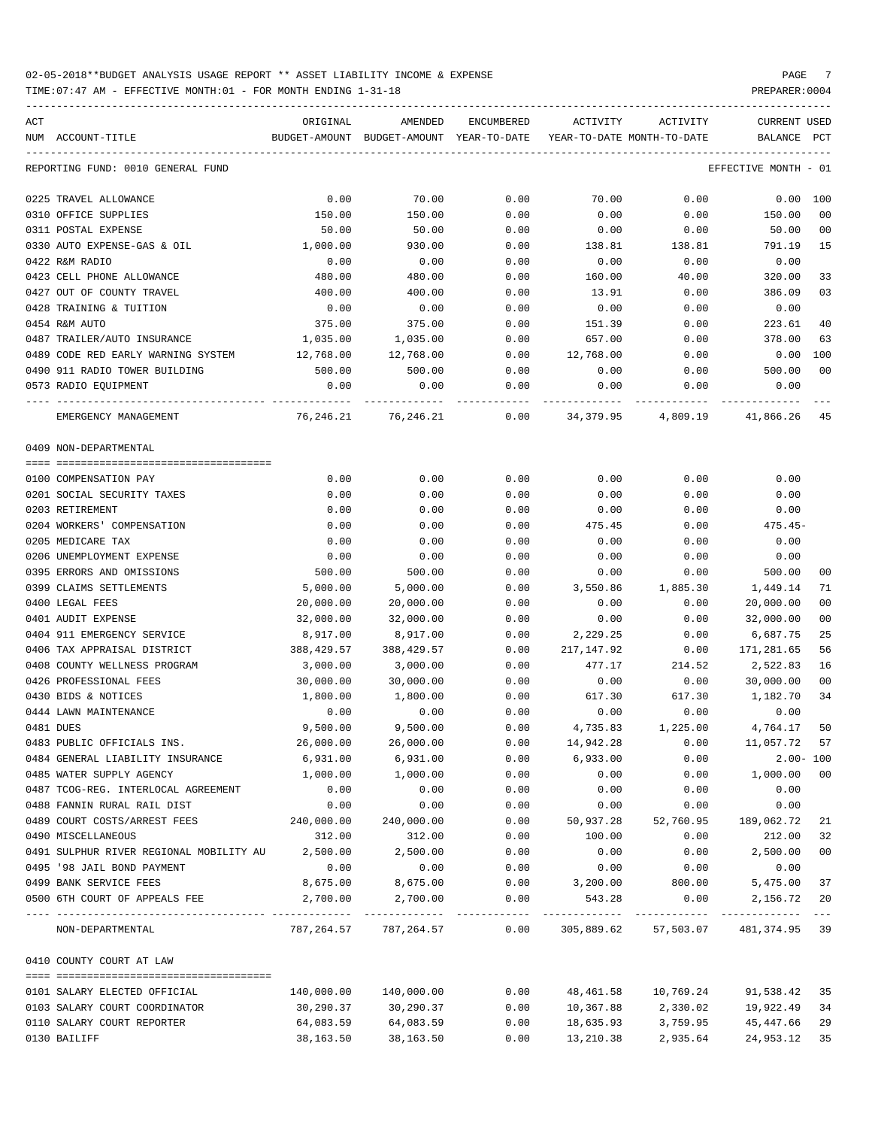TIME:07:47 AM - EFFECTIVE MONTH:01 - FOR MONTH ENDING 1-31-18 PREPARER:0004

ACT ORIGINAL AMENDED ENCUMBERED ACTIVITY ACTIVITY CURRENT USED NUM ACCOUNT-TITLE BUDGET-AMOUNT BUDGET-AMOUNT YEAR-TO-DATE YEAR-TO-DATE MONTH-TO-DATE BALANCE PCT ----------------------------------------------------------------------------------------------------------------------------------- REPORTING FUND: 0010 GENERAL FUND EFFECTIVE MONTH - 01 0225 TRAVEL ALLOWANCE 0.00 70.00 0.00 70.00 0.00 0.00 100 0310 OFFICE SUPPLIES 150.00 150.00 0.00 0.00 0.00 150.00 00 0311 POSTAL EXPENSE 50.00 50.00 0.00 0.00 0.00 50.00 00 0330 AUTO EXPENSE-GAS & OIL 1,000.00 930.00 0.00 138.81 138.81 791.19 15 0422 R&M RADIO 0.00 0.00 0.00 0.00 0.00 0.00 0423 CELL PHONE ALLOWANCE 480.00 480.00 0.00 160.00 40.00 320.00 33 0427 OUT OF COUNTY TRAVEL 400.00 400.00 0.00 13.91 0.00 386.09 03 0428 TRAINING & TUITION 0.00 0.00 0.00 0.00 0.00 0.00 0454 R&M AUTO 375.00 375.00 0.00 151.39 0.00 223.61 40 0487 TRAILER/AUTO INSURANCE 1,035.00 1,035.00 0.00 657.00 0.00 378.00 63 0489 CODE RED EARLY WARNING SYSTEM 12.768.00 12.768.00 0.00 12.768.00 0.00 0.00 0.00 100 0490 911 RADIO TOWER BUILDING 500.00 500.00 0.00 0.00 0.00 500.00 00 0573 RADIO EQUIPMENT 0.00 0.00 0.00 0.00 0.00 0.00 ---- ---------------------------------- ------------- ------------- ------------ ------------- ------------ ------------- --- EMERGENCY MANAGEMENT 76,246.21 76,246.21 0.00 34,379.95 4,809.19 41,866.26 45 0409 NON-DEPARTMENTAL ==== =================================== 0100 COMPENSATION PAY 0.00 0.00 0.00 0.00 0.00 0.00 0201 SOCIAL SECURITY TAXES 0.00 0.00 0.00 0.00 0.00 0.00 0203 RETIREMENT 0.00 0.00 0.00 0.00 0.00 0.00 0204 WORKERS' COMPENSATION 0.00 0.00 0.00 475.45 0.00 475.45- 0205 MEDICARE TAX 0.00 0.00 0.00 0.00 0.00 0.00 0206 UNEMPLOYMENT EXPENSE 0.00 0.00 0.00 0.00 0.00 0.00 0395 ERRORS AND OMISSIONS 500.00 500.00 0.00 0.00 0.00 500.00 00 0399 CLAIMS SETTLEMENTS 5,000.00 5,000.00 0.00 3,550.86 1,885.30 1,449.14 71 0400 LEGAL FEES 20,000.00 20,000.00 0.00 0.00 0.00 20,000.00 00 0401 AUDIT EXPENSE 32,000.00 32,000.00 0.00 0.00 0.00 32,000.00 00 0404 911 EMERGENCY SERVICE 8,917.00 8,917.00 0.00 2,229.25 0.00 6,687.75 25 0406 TAX APPRAISAL DISTRICT 388,429.57 388,429.57 0.00 217,147.92 0.00 171,281.65 56 0408 COUNTY WELLNESS PROGRAM 3,000.00 3,000.00 0.00 477.17 214.52 2,522.83 16 0426 PROFESSIONAL FEES 30,000.00 30,000.00 0.00 0.00 0.00 30,000.00 00 0430 BIDS & NOTICES 1,800.00 1,800.00 0.00 617.30 617.30 1,182.70 34 0444 LAWN MAINTENANCE 0.00 0.00 0.00 0.00 0.00 0.00 0481 DUES 9,500.00 9,500.00 0.00 4,735.83 1,225.00 4,764.17 50 0483 PUBLIC OFFICIALS INS. 26,000.00 26,000.00 0.00 14,942.28 0.00 11,057.72 57 0484 GENERAL LIABILITY INSURANCE 6,931.00 6,931.00 0.00 6,933.00 0.00 2.00- 100 0485 WATER SUPPLY AGENCY 1,000.00 1,000.00 0.00 0.00 0.00 1,000.00 00 0487 TCOG-REG. INTERLOCAL AGREEMENT 0.00 0.00 0.00 0.00 0.00 0.00 0488 FANNIN RURAL RAIL DIST 0.00 0.00 0.00 0.00 0.00 0.00 0489 COURT COSTS/ARREST FEES 240,000.00 240,000.00 0.00 50,937.28 52,760.95 189,062.72 21 0490 MISCELLANEOUS 312.00 312.00 0.00 100.00 0.00 212.00 32 0491 SULPHUR RIVER REGIONAL MOBILITY AU 2,500.00 2,500.00 0.00 0.00 0.00 2,500.00 00 0495 '98 JAIL BOND PAYMENT 0.00 0.00 0.00 0.00 0.00 0.00 0499 BANK SERVICE FEES 6 8,675.00 8,675.00 8,675.00 0.00 3,200.00 800.00 5,475.00 37 0500 6TH COURT OF APPEALS FEE 2,700.00 2,700.00 0.00 543.28 0.00 2,156.72 20 ---- ---------------------------------- ------------- ------------- ------------ ------------- ------------ ------------- --- NON-DEPARTMENTAL 787,264.57 787,264.57 0.00 305,889.62 57,503.07 481,374.95 39 0410 COUNTY COURT AT LAW ==== =================================== 0101 SALARY ELECTED OFFICIAL 140,000.00 140,000.00 0.00 48,461.58 10,769.24 91,538.42 35 0103 SALARY COURT COORDINATOR 30,290.37 30,290.37 0.00 10,367.88 2,330.02 19,922.49 34 0110 SALARY COURT REPORTER 64,083.59 64,083.59 0.00 18,635.93 3,759.95 45,447.66 29

0130 BAILIFF 38,163.50 38,163.50 0.00 13,210.38 2,935.64 24,953.12 35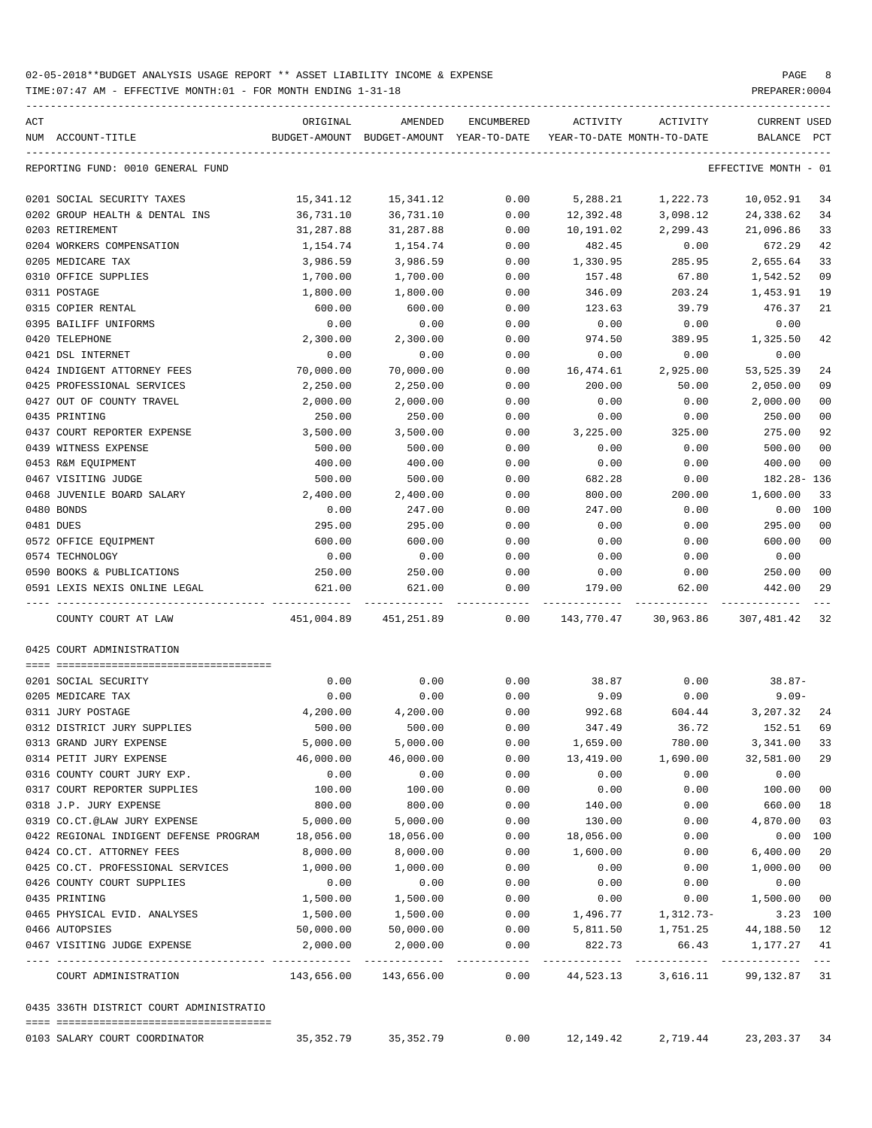TIME:07:47 AM - EFFECTIVE MONTH:01 - FOR MONTH ENDING 1-31-18 PREPARER:0004

| ACT                                                        | ORIGINAL                                     | AMENDED                                  | ENCUMBERED | ACTIVITY                   | ACTIVITY              | <b>CURRENT USED</b>                          |                |
|------------------------------------------------------------|----------------------------------------------|------------------------------------------|------------|----------------------------|-----------------------|----------------------------------------------|----------------|
| NUM ACCOUNT-TITLE                                          |                                              | BUDGET-AMOUNT BUDGET-AMOUNT YEAR-TO-DATE |            | YEAR-TO-DATE MONTH-TO-DATE |                       | BALANCE PCT                                  |                |
|                                                            |                                              |                                          |            |                            |                       |                                              |                |
| REPORTING FUND: 0010 GENERAL FUND                          |                                              |                                          |            |                            |                       | EFFECTIVE MONTH - 01                         |                |
| 0201 SOCIAL SECURITY TAXES                                 | 15,341.12                                    | 15,341.12                                | 0.00       | 5,288.21                   | 1,222.73              | 10,052.91                                    | 34             |
| 0202 GROUP HEALTH & DENTAL INS                             | 36,731.10                                    | 36,731.10                                | 0.00       | 12,392.48                  | 3,098.12              | 24,338.62                                    | 34             |
| 0203 RETIREMENT                                            | 31,287.88                                    | 31,287.88                                | 0.00       | 10,191.02                  | 2,299.43              | 21,096.86                                    | 33             |
| 0204 WORKERS COMPENSATION                                  | 1,154.74                                     | 1,154.74                                 | 0.00       | 482.45                     | 0.00                  | 672.29                                       | 42             |
| 0205 MEDICARE TAX                                          | 3,986.59                                     | 3,986.59                                 | 0.00       | 1,330.95                   | 285.95                | 2,655.64                                     | 33             |
| 0310 OFFICE SUPPLIES                                       | 1,700.00                                     | 1,700.00                                 | 0.00       | 157.48                     | 67.80                 | 1,542.52                                     | 09             |
| 0311 POSTAGE                                               | 1,800.00                                     | 1,800.00                                 | 0.00       | 346.09                     | 203.24                | 1,453.91                                     | 19             |
| 0315 COPIER RENTAL                                         | 600.00                                       | 600.00                                   | 0.00       | 123.63                     | 39.79                 | 476.37                                       | 21             |
| 0395 BAILIFF UNIFORMS                                      | 0.00                                         | 0.00                                     | 0.00       | 0.00                       | 0.00                  | 0.00                                         |                |
| 0420 TELEPHONE                                             | 2,300.00                                     | 2,300.00                                 | 0.00       | 974.50                     | 389.95                | 1,325.50                                     | 42             |
| 0421 DSL INTERNET                                          | 0.00                                         | 0.00                                     | 0.00       | 0.00                       | 0.00                  | 0.00                                         |                |
| 0424 INDIGENT ATTORNEY FEES                                | 70,000.00                                    | 70,000.00                                | 0.00       | 16,474.61                  | 2,925.00              | 53,525.39                                    | 24             |
| 0425 PROFESSIONAL SERVICES                                 | 2,250.00                                     | 2,250.00                                 | 0.00       | 200.00                     | 50.00                 | 2,050.00                                     | 09             |
| 0427 OUT OF COUNTY TRAVEL                                  | 2,000.00                                     | 2,000.00                                 | 0.00       | 0.00                       | 0.00                  | 2,000.00                                     | 0 <sub>0</sub> |
| 0435 PRINTING                                              | 250.00                                       | 250.00                                   | 0.00       | 0.00                       | 0.00                  | 250.00                                       | 0 <sub>0</sub> |
| 0437 COURT REPORTER EXPENSE                                | 3,500.00                                     | 3,500.00                                 | 0.00       | 3,225.00                   | 325.00                | 275.00                                       | 92             |
| 0439 WITNESS EXPENSE                                       | 500.00                                       | 500.00                                   | 0.00       | 0.00                       | 0.00                  | 500.00                                       | 0 <sub>0</sub> |
| 0453 R&M EQUIPMENT                                         | 400.00                                       | 400.00                                   | 0.00       | 0.00                       | 0.00                  | 400.00                                       | 0 <sub>0</sub> |
| 0467 VISITING JUDGE                                        | 500.00                                       | 500.00                                   | 0.00       | 682.28                     | 0.00                  | 182.28- 136                                  |                |
| 0468 JUVENILE BOARD SALARY                                 | 2,400.00                                     | 2,400.00                                 | 0.00       | 800.00                     | 200.00                | 1,600.00                                     | 33             |
| 0480 BONDS                                                 | 0.00                                         | 247.00                                   | 0.00       | 247.00                     | 0.00                  | 0.00                                         | 100            |
| 0481 DUES                                                  | 295.00                                       | 295.00                                   | 0.00       | 0.00                       | 0.00                  | 295.00                                       | 0 <sub>0</sub> |
| 0572 OFFICE EQUIPMENT                                      | 600.00                                       | 600.00                                   | 0.00       | 0.00                       | 0.00                  | 600.00                                       | 0 <sub>0</sub> |
| 0574 TECHNOLOGY                                            | 0.00                                         | 0.00                                     | 0.00       | 0.00                       | 0.00                  | 0.00                                         |                |
| 0590 BOOKS & PUBLICATIONS                                  | 250.00                                       | 250.00                                   | 0.00       | 0.00                       | 0.00                  | 250.00                                       | 0 <sub>0</sub> |
| 0591 LEXIS NEXIS ONLINE LEGAL                              | 621.00                                       | 621.00                                   | 0.00       | 179.00                     | 62.00                 | 442.00                                       | 29             |
| -----------------------------------<br>COUNTY COURT AT LAW | 451,004.89                                   | 451,251.89                               |            |                            |                       | $0.00$ $143,770.47$ $30,963.86$ $307,481.42$ | 32             |
| 0425 COURT ADMINISTRATION                                  |                                              |                                          |            |                            |                       |                                              |                |
|                                                            |                                              |                                          |            |                            |                       |                                              |                |
| 0201 SOCIAL SECURITY                                       | 0.00                                         | 0.00                                     | 0.00       | 38.87                      | 0.00                  | $38.87-$                                     |                |
| 0205 MEDICARE TAX                                          | 0.00                                         | 0.00                                     | 0.00       | 9.09                       | 0.00                  | $9.09 -$                                     |                |
| 0311 JURY POSTAGE                                          | 4,200.00                                     | 4,200.00                                 | 0.00       | 992.68                     | 604.44                | 3,207.32                                     | 24             |
| 0312 DISTRICT JURY SUPPLIES                                | 500.00                                       | 500.00                                   | 0.00       | 347.49                     | 36.72                 | 152.51                                       | 69             |
| 0313 GRAND JURY EXPENSE                                    | 5,000.00                                     | 5,000.00                                 | 0.00       | 1,659.00                   | 780.00                | 3,341.00                                     | 33             |
| 0314 PETIT JURY EXPENSE                                    | 46,000.00                                    | 46,000.00                                | 0.00       | 13,419.00                  | 1,690.00              | 32,581.00                                    | 29             |
| 0316 COUNTY COURT JURY EXP.                                | 0.00                                         | 0.00                                     | 0.00       | 0.00                       | 0.00                  | 0.00                                         |                |
| 0317 COURT REPORTER SUPPLIES                               | 100.00                                       | 100.00                                   | 0.00       | 0.00                       | 0.00                  | 100.00                                       | 0 <sub>0</sub> |
| 0318 J.P. JURY EXPENSE                                     | 800.00                                       | 800.00                                   | 0.00       | 140.00                     | 0.00                  | 660.00                                       | 18             |
| 0319 CO.CT.@LAW JURY EXPENSE                               | 5,000.00                                     | 5,000.00                                 | 0.00       | 130.00                     | 0.00                  | 4,870.00                                     | 03             |
| 0422 REGIONAL INDIGENT DEFENSE PROGRAM                     | 18,056.00                                    | 18,056.00                                | 0.00       | 18,056.00                  | 0.00                  | 0.00 100                                     |                |
| 0424 CO.CT. ATTORNEY FEES                                  | 8,000.00                                     | 8,000.00                                 | 0.00       | 1,600.00                   | 0.00                  | 6,400.00                                     | 20             |
| 0425 CO.CT. PROFESSIONAL SERVICES                          | 1,000.00                                     | 1,000.00                                 | 0.00       | 0.00                       | 0.00                  | 1,000.00                                     | 0 <sub>0</sub> |
| 0426 COUNTY COURT SUPPLIES                                 | 0.00                                         | 0.00                                     | 0.00       | 0.00                       | 0.00                  | 0.00                                         |                |
| 0435 PRINTING                                              | 1,500.00                                     | 1,500.00                                 | 0.00       | 0.00                       | 0.00                  | 1,500.00                                     | 0 <sub>0</sub> |
| 0465 PHYSICAL EVID. ANALYSES                               | 1,500.00                                     | 1,500.00                                 | 0.00       | 1,496.77                   | 1,312.73-             | 3.23 100                                     |                |
| 0466 AUTOPSIES                                             | 50,000.00                                    | 50,000.00                                | 0.00       | 5,811.50                   | 1,751.25              | 44,188.50                                    | 12             |
| 0467 VISITING JUDGE EXPENSE                                | 2,000.00<br>----------------- -------------- | 2,000.00                                 | 0.00       | 822.73<br>-------------    | 66.43<br>------------ | 1,177.27<br>-------------                    | 41<br>$---$    |
| COURT ADMINISTRATION                                       |                                              |                                          | 0.00       |                            | 44,523.13 3,616.11    | 99,132.87                                    | 31             |
| 0435 336TH DISTRICT COURT ADMINISTRATIO                    |                                              |                                          |            |                            |                       |                                              |                |
|                                                            |                                              |                                          |            |                            |                       |                                              |                |

0103 SALARY COURT COORDINATOR 35,352.79 35,352.79 0.00 12,149.42 2,719.44 23,203.37 34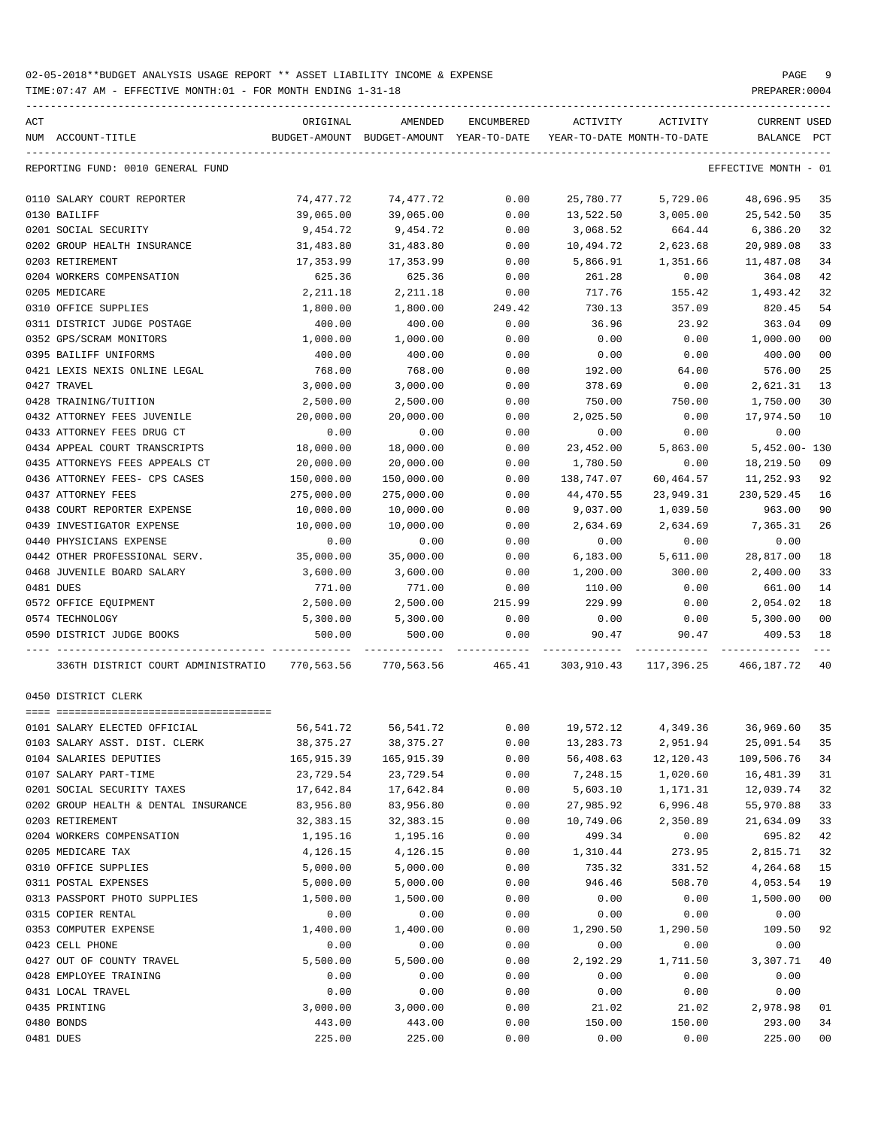TIME:07:47 AM - EFFECTIVE MONTH:01 - FOR MONTH ENDING 1-31-18 PREPARER:0004

| ACT | NUM ACCOUNT-TITLE                                                                                   | ORIGINAL   | AMENDED<br>BUDGET-AMOUNT BUDGET-AMOUNT YEAR-TO-DATE | ENCUMBERED | ACTIVITY   | ACTIVITY<br>YEAR-TO-DATE MONTH-TO-DATE | CURRENT USED<br>BALANCE PCT     |                |
|-----|-----------------------------------------------------------------------------------------------------|------------|-----------------------------------------------------|------------|------------|----------------------------------------|---------------------------------|----------------|
|     |                                                                                                     |            |                                                     |            |            |                                        |                                 |                |
|     | REPORTING FUND: 0010 GENERAL FUND                                                                   |            |                                                     |            |            |                                        | EFFECTIVE MONTH - 01            |                |
|     | 0110 SALARY COURT REPORTER                                                                          | 74,477.72  | 74,477.72                                           | 0.00       | 25,780.77  | 5,729.06                               | 48,696.95                       | 35             |
|     | 0130 BAILIFF                                                                                        | 39,065.00  | 39,065.00                                           | 0.00       | 13,522.50  | 3,005.00                               | 25,542.50                       | 35             |
|     | 0201 SOCIAL SECURITY                                                                                | 9,454.72   | 9,454.72                                            | 0.00       | 3,068.52   | 664.44                                 | 6,386.20                        | 32             |
|     | 0202 GROUP HEALTH INSURANCE                                                                         | 31,483.80  | 31,483.80                                           | 0.00       | 10,494.72  | 2,623.68                               | 20,989.08                       | 33             |
|     | 0203 RETIREMENT                                                                                     | 17,353.99  | 17,353.99                                           | 0.00       | 5,866.91   | 1,351.66                               | 11,487.08                       | 34             |
|     | 0204 WORKERS COMPENSATION                                                                           | 625.36     | 625.36                                              | 0.00       | 261.28     | 0.00                                   | 364.08                          | 42             |
|     | 0205 MEDICARE                                                                                       | 2,211.18   | 2,211.18                                            | 0.00       | 717.76     | 155.42                                 | 1,493.42                        | 32             |
|     | 0310 OFFICE SUPPLIES                                                                                | 1,800.00   | 1,800.00                                            | 249.42     | 730.13     | 357.09                                 | 820.45                          | 54             |
|     | 0311 DISTRICT JUDGE POSTAGE                                                                         | 400.00     | 400.00                                              | 0.00       | 36.96      | 23.92                                  | 363.04                          | 09             |
|     | 0352 GPS/SCRAM MONITORS                                                                             | 1,000.00   | 1,000.00                                            | 0.00       | 0.00       | 0.00                                   | 1,000.00                        | 0 <sub>0</sub> |
|     | 0395 BAILIFF UNIFORMS                                                                               | 400.00     | 400.00                                              | 0.00       | 0.00       | 0.00                                   | 400.00                          | 0 <sub>0</sub> |
|     | 0421 LEXIS NEXIS ONLINE LEGAL                                                                       | 768.00     | 768.00                                              | 0.00       | 192.00     | 64.00                                  | 576.00                          | 25             |
|     | 0427 TRAVEL                                                                                         | 3,000.00   | 3,000.00                                            | 0.00       | 378.69     | 0.00                                   | 2,621.31                        | 13             |
|     | 0428 TRAINING/TUITION                                                                               | 2,500.00   | 2,500.00                                            | 0.00       | 750.00     | 750.00                                 | 1,750.00                        | 30             |
|     | 0432 ATTORNEY FEES JUVENILE                                                                         | 20,000.00  | 20,000.00                                           | 0.00       | 2,025.50   | 0.00                                   | 17,974.50                       | 10             |
|     | 0433 ATTORNEY FEES DRUG CT                                                                          | 0.00       | 0.00                                                | 0.00       | 0.00       | 0.00                                   | 0.00                            |                |
|     | 0434 APPEAL COURT TRANSCRIPTS                                                                       | 18,000.00  | 18,000.00                                           | 0.00       | 23,452.00  | 5,863.00                               | 5,452.00- 130                   |                |
|     | 0435 ATTORNEYS FEES APPEALS CT                                                                      | 20,000.00  | 20,000.00                                           | 0.00       | 1,780.50   | 0.00                                   | 18,219.50                       | 09             |
|     | 0436 ATTORNEY FEES- CPS CASES                                                                       | 150,000.00 | 150,000.00                                          | 0.00       | 138,747.07 | 60,464.57                              | 11,252.93                       | 92             |
|     | 0437 ATTORNEY FEES                                                                                  | 275,000.00 | 275,000.00                                          | 0.00       | 44,470.55  | 23,949.31                              | 230,529.45                      | 16             |
|     | 0438 COURT REPORTER EXPENSE                                                                         | 10,000.00  | 10,000.00                                           | 0.00       | 9,037.00   | 1,039.50                               | 963.00                          | 90             |
|     | 0439 INVESTIGATOR EXPENSE                                                                           | 10,000.00  | 10,000.00                                           | 0.00       | 2,634.69   | 2,634.69                               | 7,365.31                        | 26             |
|     | 0440 PHYSICIANS EXPENSE                                                                             | 0.00       | 0.00                                                | 0.00       | 0.00       | 0.00                                   | 0.00                            |                |
|     | 0442 OTHER PROFESSIONAL SERV.                                                                       | 35,000.00  | 35,000.00                                           | 0.00       | 6,183.00   | 5,611.00                               | 28,817.00                       | 18             |
|     | 0468 JUVENILE BOARD SALARY                                                                          | 3,600.00   | 3,600.00                                            | 0.00       | 1,200.00   | 300.00                                 | 2,400.00                        | 33             |
|     | 0481 DUES                                                                                           | 771.00     | 771.00                                              | 0.00       | 110.00     | 0.00                                   | 661.00                          | 14             |
|     | 0572 OFFICE EQUIPMENT                                                                               | 2,500.00   | 2,500.00                                            | 215.99     | 229.99     | 0.00                                   | 2,054.02                        | 18             |
|     | 0574 TECHNOLOGY                                                                                     | 5,300.00   | 5,300.00                                            | 0.00       | 0.00       | 0.00                                   | 5,300.00                        | 0 <sub>0</sub> |
|     | 0590 DISTRICT JUDGE BOOKS                                                                           | 500.00     | 500.00                                              | 0.00       | 90.47      | 90.47                                  | 409.53                          | 18             |
|     |                                                                                                     |            |                                                     |            |            |                                        |                                 |                |
|     | 336TH DISTRICT COURT ADMINISTRATIO 770,563.56 770,563.56 465.41 303,910.43 117,396.25 466,187.72 40 |            |                                                     |            |            |                                        |                                 |                |
|     | 0450 DISTRICT CLERK                                                                                 |            |                                                     |            |            |                                        |                                 |                |
|     |                                                                                                     |            |                                                     |            |            |                                        |                                 |                |
|     | 0101 SALARY ELECTED OFFICIAL                                                                        | 56,541.72  | 56,541.72                                           | 0.00       |            |                                        | 19,572.12 4,349.36 36,969.60 35 |                |
|     | 0103 SALARY ASST. DIST. CLERK                                                                       | 38,375.27  | 38,375.27                                           | 0.00       | 13,283.73  | 2,951.94                               | 25,091.54 35                    |                |
|     | 0104 SALARIES DEPUTIES                                                                              | 165,915.39 | 165,915.39                                          | 0.00       | 56,408.63  | 12,120.43                              | 109,506.76                      | 34             |
|     | 0107 SALARY PART-TIME                                                                               | 23,729.54  | 23,729.54                                           | 0.00       | 7,248.15   | 1,020.60                               | 16,481.39                       | 31             |
|     | 0201 SOCIAL SECURITY TAXES                                                                          | 17,642.84  | 17,642.84                                           | 0.00       | 5,603.10   | 1,171.31                               | 12,039.74                       | 32             |
|     | 0202 GROUP HEALTH & DENTAL INSURANCE                                                                | 83,956.80  | 83,956.80                                           | 0.00       | 27,985.92  | 6,996.48                               | 55,970.88                       | 33             |
|     | 0203 RETIREMENT                                                                                     | 32,383.15  | 32, 383. 15                                         | 0.00       | 10,749.06  | 2,350.89                               | 21,634.09                       | 33             |
|     | 0204 WORKERS COMPENSATION                                                                           | 1,195.16   | 1,195.16                                            | 0.00       | 499.34     | 0.00                                   | 695.82                          | 42             |
|     | 0205 MEDICARE TAX                                                                                   | 4,126.15   | 4,126.15                                            | 0.00       | 1,310.44   | 273.95                                 | 2,815.71                        | 32             |
|     | 0310 OFFICE SUPPLIES                                                                                | 5,000.00   | 5,000.00                                            | 0.00       | 735.32     | 331.52                                 | 4,264.68                        | 15             |
|     | 0311 POSTAL EXPENSES                                                                                | 5,000.00   | 5,000.00                                            | 0.00       | 946.46     | 508.70                                 | 4,053.54                        | 19             |
|     | 0313 PASSPORT PHOTO SUPPLIES                                                                        | 1,500.00   | 1,500.00                                            | 0.00       | 0.00       | 0.00                                   | 1,500.00                        | 00             |
|     | 0315 COPIER RENTAL                                                                                  | 0.00       | 0.00                                                | 0.00       | 0.00       | 0.00                                   | 0.00                            |                |
|     | 0353 COMPUTER EXPENSE                                                                               | 1,400.00   | 1,400.00                                            | 0.00       | 1,290.50   | 1,290.50                               | 109.50                          | 92             |
|     | 0423 CELL PHONE                                                                                     | 0.00       | 0.00                                                | 0.00       | 0.00       | 0.00                                   | 0.00                            |                |
|     | 0427 OUT OF COUNTY TRAVEL                                                                           | 5,500.00   | 5,500.00                                            | 0.00       | 2,192.29   | 1,711.50                               | 3,307.71                        | 40             |
|     | 0428 EMPLOYEE TRAINING                                                                              | 0.00       | 0.00                                                | 0.00       | 0.00       | 0.00                                   | 0.00                            |                |
|     | 0431 LOCAL TRAVEL                                                                                   | 0.00       | 0.00                                                | 0.00       | 0.00       | 0.00                                   | 0.00                            |                |
|     | 0435 PRINTING                                                                                       | 3,000.00   | 3,000.00                                            | 0.00       | 21.02      | 21.02                                  | 2,978.98                        | 01             |
|     | 0480 BONDS                                                                                          | 443.00     | 443.00                                              | 0.00       | 150.00     | 150.00                                 | 293.00                          | 34             |
|     |                                                                                                     |            |                                                     |            |            |                                        |                                 |                |

0481 DUES 225.00 225.00 0.00 0.00 0.00 225.00 00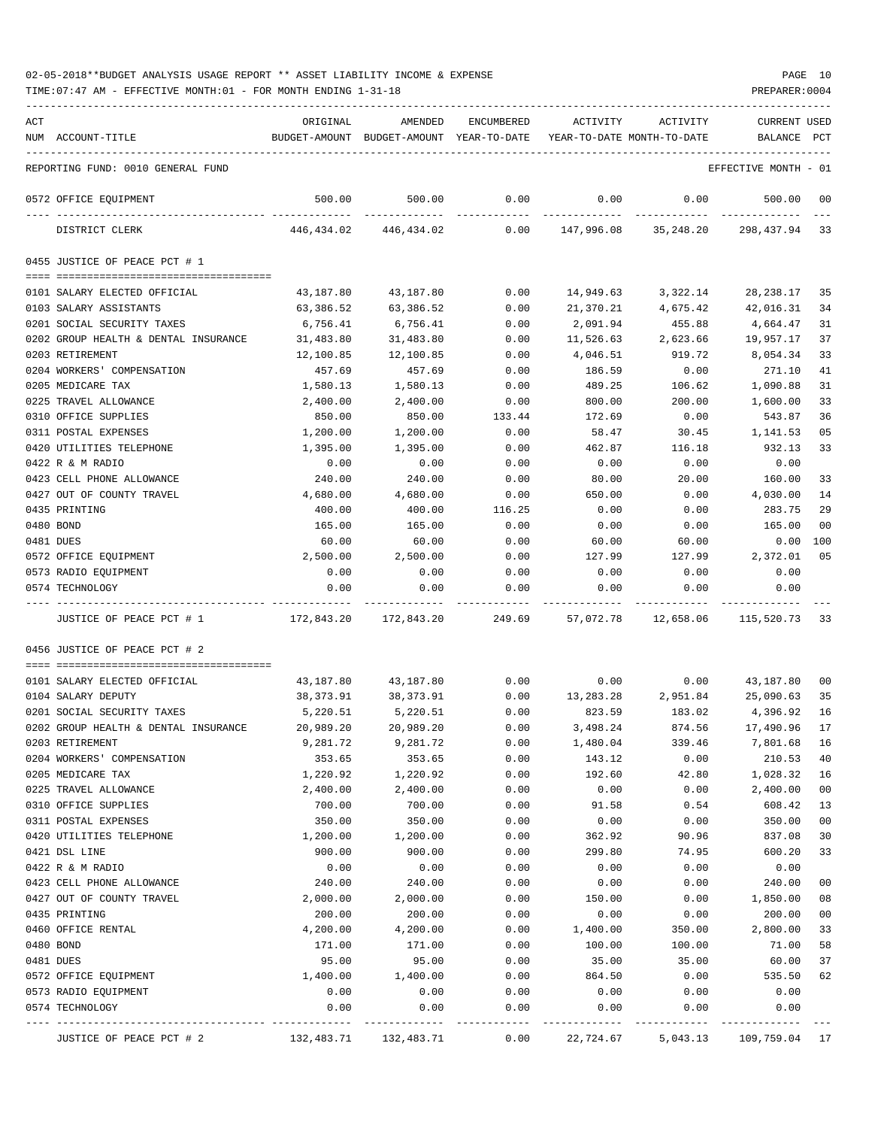| ACT | NUM ACCOUNT-TITLE                             | ORIGINAL                           | AMENDED<br>BUDGET-AMOUNT BUDGET-AMOUNT YEAR-TO-DATE YEAR-TO-DATE MONTH-TO-DATE | ENCUMBERED   | ACTIVITY         | ACTIVITY                                | CURRENT USED<br>BALANCE | $_{\rm PCT}$   |
|-----|-----------------------------------------------|------------------------------------|--------------------------------------------------------------------------------|--------------|------------------|-----------------------------------------|-------------------------|----------------|
|     | REPORTING FUND: 0010 GENERAL FUND             |                                    |                                                                                |              |                  |                                         | EFFECTIVE MONTH - 01    |                |
|     | 0572 OFFICE EQUIPMENT                         | 500.00                             | 500.00                                                                         | 0.00         | 0.00             | 0.00                                    | 500.00                  | $_{00}$        |
|     | DISTRICT CLERK                                | 446,434.02                         | 446,434.02                                                                     |              |                  | 0.00 147,996.08 35,248.20 298,437.94 33 |                         |                |
|     | 0455 JUSTICE OF PEACE PCT # 1                 |                                    |                                                                                |              |                  |                                         |                         |                |
|     |                                               |                                    |                                                                                |              |                  |                                         |                         |                |
|     | 0101 SALARY ELECTED OFFICIAL                  | 43,187.80                          | 43,187.80                                                                      | 0.00         | 14,949.63        | 3,322.14                                | 28,238.17               | -35            |
|     | 0103 SALARY ASSISTANTS                        | 63,386.52                          | 63,386.52                                                                      | 0.00         | 21,370.21        | 4,675.42                                | 42,016.31               | 34             |
|     | 0201 SOCIAL SECURITY TAXES                    | 6,756.41                           | 6,756.41                                                                       | 0.00         | 2,091.94         | 455.88                                  | 4,664.47                | 31             |
|     | 0202 GROUP HEALTH & DENTAL INSURANCE          | 31,483.80                          | 31,483.80                                                                      | 0.00         | 11,526.63        | 2,623.66                                | 19,957.17               | 37             |
|     | 0203 RETIREMENT<br>0204 WORKERS' COMPENSATION | 12,100.85                          | 12,100.85                                                                      | 0.00         | 4,046.51         | 919.72                                  | 8,054.34                | 33<br>41       |
|     | 0205 MEDICARE TAX                             | 457.69<br>1,580.13                 | 457.69                                                                         | 0.00         | 186.59           | 0.00                                    | 271.10<br>1,090.88      | 31             |
|     | 0225 TRAVEL ALLOWANCE                         | 2,400.00                           | 1,580.13<br>2,400.00                                                           | 0.00<br>0.00 | 489.25<br>800.00 | 106.62<br>200.00                        | 1,600.00                | 33             |
|     | 0310 OFFICE SUPPLIES                          | 850.00                             | 850.00                                                                         | 133.44       | 172.69           | 0.00                                    | 543.87                  | 36             |
|     | 0311 POSTAL EXPENSES                          | 1,200.00                           | 1,200.00                                                                       | 0.00         | 58.47            | 30.45                                   | 1,141.53                | 05             |
|     | 0420 UTILITIES TELEPHONE                      | 1,395.00                           | 1,395.00                                                                       | 0.00         | 462.87           | 116.18                                  | 932.13                  | 33             |
|     | 0422 R & M RADIO                              | 0.00                               | 0.00                                                                           | 0.00         | 0.00             | 0.00                                    | 0.00                    |                |
|     | 0423 CELL PHONE ALLOWANCE                     | 240.00                             | 240.00                                                                         | 0.00         | 80.00            | 20.00                                   | 160.00                  | 33             |
|     | 0427 OUT OF COUNTY TRAVEL                     | 4,680.00                           | 4,680.00                                                                       | 0.00         | 650.00           | 0.00                                    | 4,030.00                | 14             |
|     | 0435 PRINTING                                 | 400.00                             | 400.00                                                                         | 116.25       | 0.00             | 0.00                                    | 283.75                  | 29             |
|     | 0480 BOND                                     | 165.00                             | 165.00                                                                         | 0.00         | 0.00             | 0.00                                    | 165.00                  | 00             |
|     | 0481 DUES                                     | 60.00                              | 60.00                                                                          | 0.00         | 60.00            | 60.00                                   | 0.00                    | 100            |
|     | 0572 OFFICE EQUIPMENT                         | 2,500.00                           | 2,500.00                                                                       | 0.00         | 127.99           | 127.99                                  | 2,372.01                | 05             |
|     | 0573 RADIO EQUIPMENT                          | 0.00                               | 0.00                                                                           | 0.00         | 0.00             | 0.00                                    | 0.00                    |                |
|     | 0574 TECHNOLOGY                               | 0.00                               | 0.00                                                                           | 0.00         | 0.00             | 0.00                                    | 0.00                    |                |
|     | JUSTICE OF PEACE PCT # 1                      | $172,843.20$ $172,843.20$ $249.69$ |                                                                                |              |                  | 57,072.78 12,658.06                     | 115,520.73              | -33            |
|     | 0456 JUSTICE OF PEACE PCT # 2                 |                                    |                                                                                |              |                  |                                         |                         |                |
|     | 0101 SALARY ELECTED OFFICIAL                  | 43,187.80                          | 43,187.80                                                                      |              |                  | $0.00$ $0.00$ $0.00$ $43,187.80$        |                         | -00            |
|     | 0104 SALARY DEPUTY                            | 38,373.91                          | 38,373.91                                                                      |              |                  | $0.00$ 13,283.28 2,951.84 25,090.63     |                         | 35             |
|     | 0201 SOCIAL SECURITY TAXES                    | 5,220.51                           | 5,220.51                                                                       | 0.00         | 823.59           | 183.02                                  | 4,396.92                | 16             |
|     | 0202 GROUP HEALTH & DENTAL INSURANCE          | 20,989.20                          | 20,989.20                                                                      | 0.00         | 3,498.24         | 874.56                                  | 17,490.96               | 17             |
|     | 0203 RETIREMENT                               | 9,281.72                           | 9,281.72                                                                       | 0.00         | 1,480.04         | 339.46                                  | 7,801.68                | 16             |
|     | 0204 WORKERS' COMPENSATION                    | 353.65                             | 353.65                                                                         | 0.00         | 143.12           | 0.00                                    | 210.53                  | 40             |
|     | 0205 MEDICARE TAX                             | 1,220.92                           | 1,220.92                                                                       | 0.00         | 192.60           | 42.80                                   | 1,028.32                | 16             |
|     | 0225 TRAVEL ALLOWANCE                         | 2,400.00                           | 2,400.00                                                                       | 0.00         | 0.00             | 0.00                                    | 2,400.00                | 0 <sub>0</sub> |
|     | 0310 OFFICE SUPPLIES                          | 700.00                             | 700.00                                                                         | 0.00         | 91.58            | 0.54                                    | 608.42                  | 13             |
|     | 0311 POSTAL EXPENSES                          | 350.00                             | 350.00                                                                         | 0.00         | 0.00             | 0.00                                    | 350.00                  | 0 <sub>0</sub> |
|     | 0420 UTILITIES TELEPHONE                      | 1,200.00                           | 1,200.00                                                                       | 0.00         | 362.92           | 90.96                                   | 837.08                  | 30             |
|     | 0421 DSL LINE                                 | 900.00                             | 900.00                                                                         | 0.00         | 299.80           | 74.95                                   | 600.20                  | 33             |
|     | 0422 R & M RADIO                              | 0.00                               | 0.00                                                                           | 0.00         | 0.00             | 0.00                                    | 0.00                    |                |
|     | 0423 CELL PHONE ALLOWANCE                     | 240.00                             | 240.00                                                                         | 0.00         | 0.00             | 0.00                                    | 240.00                  | 00             |
|     | 0427 OUT OF COUNTY TRAVEL                     | 2,000.00                           | 2,000.00                                                                       | 0.00         | 150.00           | 0.00                                    | 1,850.00                | 08             |
|     | 0435 PRINTING                                 | 200.00                             | 200.00                                                                         | 0.00         | 0.00             | 0.00                                    | 200.00                  | 00             |
|     | 0460 OFFICE RENTAL                            | 4,200.00                           | 4,200.00                                                                       | 0.00         | 1,400.00         | 350.00                                  | 2,800.00                | 33             |
|     | 0480 BOND                                     | 171.00                             | 171.00                                                                         | 0.00         | 100.00           | 100.00                                  | 71.00                   | 58             |
|     | 0481 DUES                                     | 95.00                              | 95.00                                                                          | 0.00         | 35.00            | 35.00                                   | 60.00                   | 37             |
|     | 0572 OFFICE EQUIPMENT                         | 1,400.00                           | 1,400.00                                                                       | 0.00         | 864.50           | 0.00                                    | 535.50                  | 62             |
|     | 0573 RADIO EQUIPMENT                          | 0.00                               | 0.00                                                                           | 0.00         | 0.00             | 0.00                                    | 0.00                    |                |
|     | 0574 TECHNOLOGY                               | 0.00                               | 0.00                                                                           | 0.00         | 0.00             | 0.00                                    | 0.00                    |                |
|     | JUSTICE OF PEACE PCT # 2                      | 132,483.71                         | 132,483.71                                                                     | 0.00         | 22,724.67        | 5,043.13                                | 109,759.04              | 17             |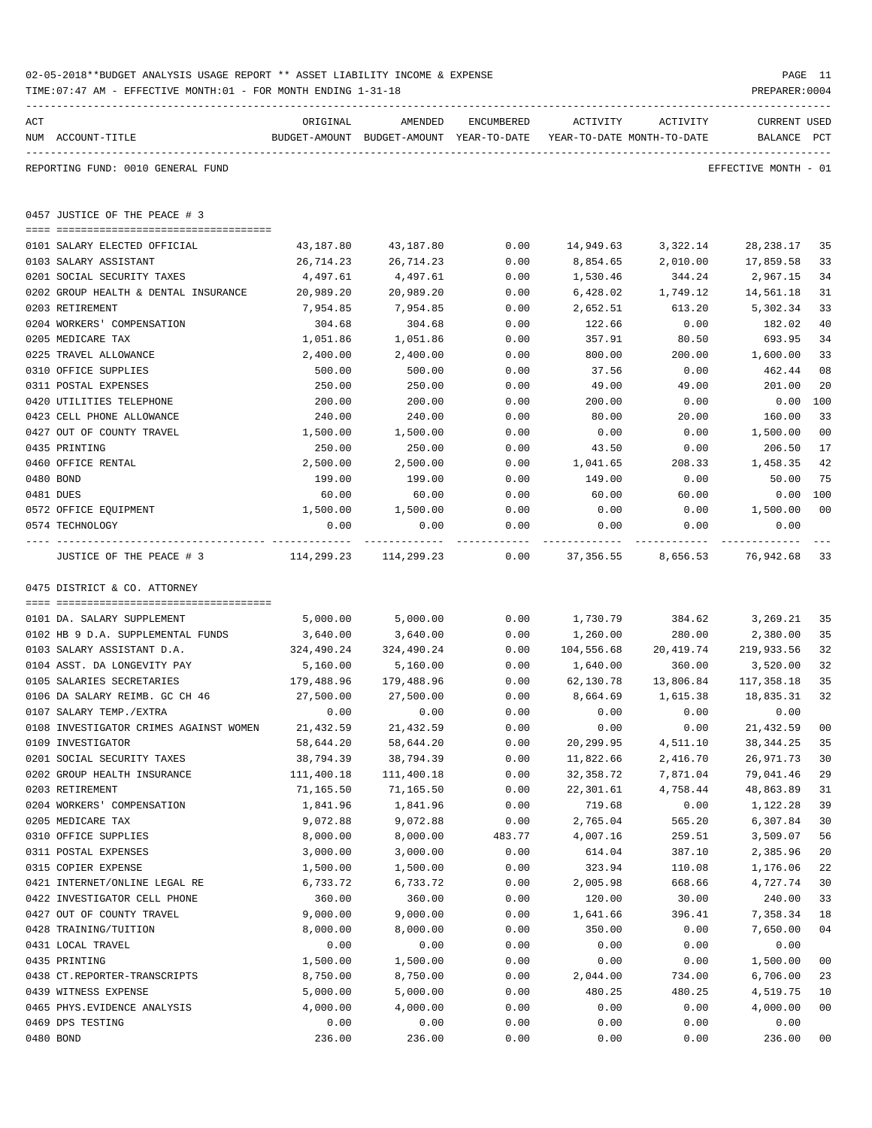|     | 02-05-2018**BUDGET ANALYSIS USAGE REPORT ** ASSET LIABILITY INCOME & EXPENSE<br>TIME: 07:47 AM - EFFECTIVE MONTH: 01 - FOR MONTH ENDING 1-31-18 |                             |                                                     |              |                       |                                                                     | PREPARER: 0004                 | PAGE 11      |
|-----|-------------------------------------------------------------------------------------------------------------------------------------------------|-----------------------------|-----------------------------------------------------|--------------|-----------------------|---------------------------------------------------------------------|--------------------------------|--------------|
| ACT | NUM ACCOUNT-TITLE                                                                                                                               | ORIGINAL                    | AMENDED<br>BUDGET-AMOUNT BUDGET-AMOUNT YEAR-TO-DATE | ENCUMBERED   | ACTIVITY              | ACTIVITY<br>YEAR-TO-DATE MONTH-TO-DATE                              | <b>CURRENT USED</b><br>BALANCE | $_{\rm PCT}$ |
|     | REPORTING FUND: 0010 GENERAL FUND                                                                                                               |                             |                                                     |              |                       |                                                                     | EFFECTIVE MONTH - 01           |              |
|     | 0457 JUSTICE OF THE PEACE # 3                                                                                                                   |                             |                                                     |              |                       |                                                                     |                                |              |
|     |                                                                                                                                                 |                             |                                                     |              |                       |                                                                     |                                |              |
|     | 0101 SALARY ELECTED OFFICIAL<br>0103 SALARY ASSISTANT                                                                                           | 43,187.80<br>26,714.23      | 43,187.80<br>26,714.23                              | 0.00<br>0.00 | 14,949.63<br>8,854.65 | 3,322.14<br>2,010.00                                                | 28,238.17<br>17,859.58         | 35<br>33     |
|     | 0201 SOCIAL SECURITY TAXES                                                                                                                      | 4,497.61                    | 4,497.61                                            | 0.00         | 1,530.46              | 344.24                                                              | 2,967.15                       | 34           |
|     | 0202 GROUP HEALTH & DENTAL INSURANCE                                                                                                            | 20,989.20                   | 20,989.20                                           | 0.00         | 6,428.02              | 1,749.12                                                            | 14,561.18                      | 31           |
|     | 0203 RETIREMENT                                                                                                                                 | 7,954.85                    | 7,954.85                                            | 0.00         | 2,652.51              | 613.20                                                              | 5,302.34                       | 33           |
|     | 0204 WORKERS' COMPENSATION                                                                                                                      | 304.68                      | 304.68                                              | 0.00         | 122.66                | 0.00                                                                | 182.02                         | 40           |
|     | 0205 MEDICARE TAX                                                                                                                               | 1,051.86                    | 1,051.86                                            | 0.00         | 357.91                | 80.50                                                               | 693.95                         | 34           |
|     | 0225 TRAVEL ALLOWANCE                                                                                                                           | 2,400.00                    | 2,400.00                                            | 0.00         | 800.00                | 200.00                                                              | 1,600.00                       | 33           |
|     | 0310 OFFICE SUPPLIES                                                                                                                            | 500.00                      | 500.00                                              | 0.00         | 37.56                 | 0.00                                                                | 462.44                         | 08           |
|     | 0311 POSTAL EXPENSES                                                                                                                            | 250.00                      | 250.00                                              | 0.00         | 49.00                 | 49.00                                                               | 201.00                         | 20           |
|     | 0420 UTILITIES TELEPHONE                                                                                                                        | 200.00                      | 200.00                                              | 0.00         | 200.00                | 0.00                                                                | 0.00                           | 100          |
|     | 0423 CELL PHONE ALLOWANCE                                                                                                                       | 240.00                      | 240.00                                              | 0.00         | 80.00                 | 20.00                                                               | 160.00                         | 33           |
|     | 0427 OUT OF COUNTY TRAVEL                                                                                                                       | 1,500.00                    | 1,500.00                                            | 0.00         | 0.00                  | 0.00                                                                | 1,500.00                       | 00           |
|     | 0435 PRINTING                                                                                                                                   | 250.00                      | 250.00                                              | 0.00         | 43.50                 | 0.00                                                                | 206.50                         | 17           |
|     | 0460 OFFICE RENTAL                                                                                                                              | 2,500.00                    | 2,500.00                                            | 0.00         | 1,041.65              | 208.33                                                              | 1,458.35                       | 42           |
|     | 0480 BOND                                                                                                                                       | 199.00                      | 199.00                                              | 0.00         | 149.00                | 0.00                                                                | 50.00                          | 75           |
|     | 0481 DUES                                                                                                                                       | 60.00                       | 60.00                                               | 0.00         | 60.00                 | 60.00                                                               | 0.00                           | 100          |
|     | 0572 OFFICE EQUIPMENT                                                                                                                           | 1,500.00                    | 1,500.00                                            | 0.00         | 0.00                  | 0.00                                                                | 1,500.00                       | 00           |
|     | 0574 TECHNOLOGY                                                                                                                                 | 0.00                        | 0.00                                                | 0.00         | 0.00                  | 0.00                                                                | 0.00                           |              |
|     | JUSTICE OF THE PEACE # 3                                                                                                                        | $114, 299.23$ $114, 299.23$ |                                                     | -----------  |                       | ----------- -------------<br>$0.00$ 37,356.55 8,656.53 76,942.68 33 | _____________                  |              |
|     | 0475 DISTRICT & CO. ATTORNEY                                                                                                                    |                             |                                                     |              |                       |                                                                     |                                |              |
|     |                                                                                                                                                 |                             |                                                     |              |                       |                                                                     |                                |              |
|     | 0101 DA. SALARY SUPPLEMENT                                                                                                                      | 5,000.00                    | 5,000.00                                            | 0.00         | 1,730.79              |                                                                     | 384.62 3,269.21                | 35           |
|     | 0102 HB 9 D.A. SUPPLEMENTAL FUNDS                                                                                                               | 3,640.00                    | 3,640.00                                            | 0.00         | 1,260.00              | 280.00                                                              | 2,380.00                       | 35           |
|     | 0103 SALARY ASSISTANT D.A.                                                                                                                      | 324,490.24                  | 324,490.24                                          | 0.00         |                       | 104,556.68 20,419.74                                                | 219,933.56                     | 32           |
|     | 0104 ASST. DA LONGEVITY PAY                                                                                                                     | 5,160.00                    | 5,160.00                                            | 0.00         | 1,640.00              | 360.00                                                              | 3,520.00                       | 32           |
|     | 0105 SALARIES SECRETARIES                                                                                                                       | 179,488.96                  | 179,488.96                                          | 0.00         | 62,130.78             | 13,806.84                                                           | 117,358.18                     | 35           |
|     | 0106 DA SALARY REIMB. GC CH 46                                                                                                                  | 27,500.00                   | 27,500.00                                           | 0.00         | 8,664.69              | 1,615.38                                                            | 18,835.31                      | 32           |
|     | 0107 SALARY TEMP./EXTRA                                                                                                                         | 0.00                        | 0.00                                                | 0.00         | 0.00                  | 0.00                                                                | 0.00                           |              |
|     | 0108 INVESTIGATOR CRIMES AGAINST WOMEN                                                                                                          | 21,432.59                   | 21,432.59                                           | 0.00         | 0.00                  | 0.00                                                                | 21,432.59                      | 00           |
|     | 0109 INVESTIGATOR                                                                                                                               | 58,644.20                   | 58,644.20                                           | 0.00         | 20,299.95             | 4,511.10                                                            | 38, 344.25                     | 35           |
|     | 0201 SOCIAL SECURITY TAXES                                                                                                                      | 38,794.39                   | 38,794.39                                           | 0.00         | 11,822.66             | 2,416.70                                                            | 26,971.73                      | 30           |
|     | 0202 GROUP HEALTH INSURANCE                                                                                                                     | 111,400.18                  | 111,400.18                                          | 0.00         | 32, 358.72            | 7,871.04                                                            | 79,041.46                      | 29           |
|     | 0203 RETIREMENT                                                                                                                                 | 71,165.50                   | 71,165.50                                           | 0.00         | 22,301.61             | 4,758.44                                                            | 48,863.89                      | 31           |
|     | 0204 WORKERS' COMPENSATION<br>0205 MEDICARE TAX                                                                                                 | 1,841.96<br>9,072.88        | 1,841.96<br>9,072.88                                | 0.00<br>0.00 | 719.68<br>2,765.04    | 0.00<br>565.20                                                      | 1,122.28<br>6,307.84           | 39<br>30     |
|     | 0310 OFFICE SUPPLIES                                                                                                                            | 8,000.00                    | 8,000.00                                            | 483.77       | 4,007.16              | 259.51                                                              | 3,509.07                       | 56           |
|     | 0311 POSTAL EXPENSES                                                                                                                            | 3,000.00                    | 3,000.00                                            | 0.00         | 614.04                | 387.10                                                              | 2,385.96                       | 20           |
|     | 0315 COPIER EXPENSE                                                                                                                             | 1,500.00                    | 1,500.00                                            | 0.00         | 323.94                | 110.08                                                              | 1,176.06                       | 22           |
|     | 0421 INTERNET/ONLINE LEGAL RE                                                                                                                   | 6,733.72                    | 6,733.72                                            | 0.00         | 2,005.98              | 668.66                                                              | 4,727.74                       | 30           |
|     | 0422 INVESTIGATOR CELL PHONE                                                                                                                    | 360.00                      | 360.00                                              | 0.00         | 120.00                | 30.00                                                               | 240.00                         | 33           |
|     | 0427 OUT OF COUNTY TRAVEL                                                                                                                       | 9,000.00                    | 9,000.00                                            | 0.00         | 1,641.66              | 396.41                                                              | 7,358.34                       | 18           |
|     | 0428 TRAINING/TUITION                                                                                                                           | 8,000.00                    | 8,000.00                                            | 0.00         | 350.00                | 0.00                                                                | 7,650.00                       | 04           |
|     | 0431 LOCAL TRAVEL                                                                                                                               | 0.00                        | 0.00                                                | 0.00         | 0.00                  | 0.00                                                                | 0.00                           |              |
|     | 0435 PRINTING                                                                                                                                   | 1,500.00                    | 1,500.00                                            | 0.00         | 0.00                  | 0.00                                                                | 1,500.00                       | 00           |
|     | 0438 CT.REPORTER-TRANSCRIPTS                                                                                                                    | 8,750.00                    | 8,750.00                                            | 0.00         | 2,044.00              | 734.00                                                              | 6,706.00                       | 23           |
|     | 0439 WITNESS EXPENSE                                                                                                                            | 5,000.00                    | 5,000.00                                            | 0.00         | 480.25                | 480.25                                                              | 4,519.75                       | 10           |
|     | 0465 PHYS. EVIDENCE ANALYSIS                                                                                                                    | 4,000.00                    | 4,000.00                                            | 0.00         | 0.00                  | 0.00                                                                | 4,000.00                       | 00           |
|     | 0469 DPS TESTING                                                                                                                                | 0.00                        | 0.00                                                | 0.00         | 0.00                  | 0.00                                                                | 0.00                           |              |
|     | 0480 BOND                                                                                                                                       | 236.00                      | 236.00                                              | 0.00         | 0.00                  | 0.00                                                                | 236.00                         | $00\,$       |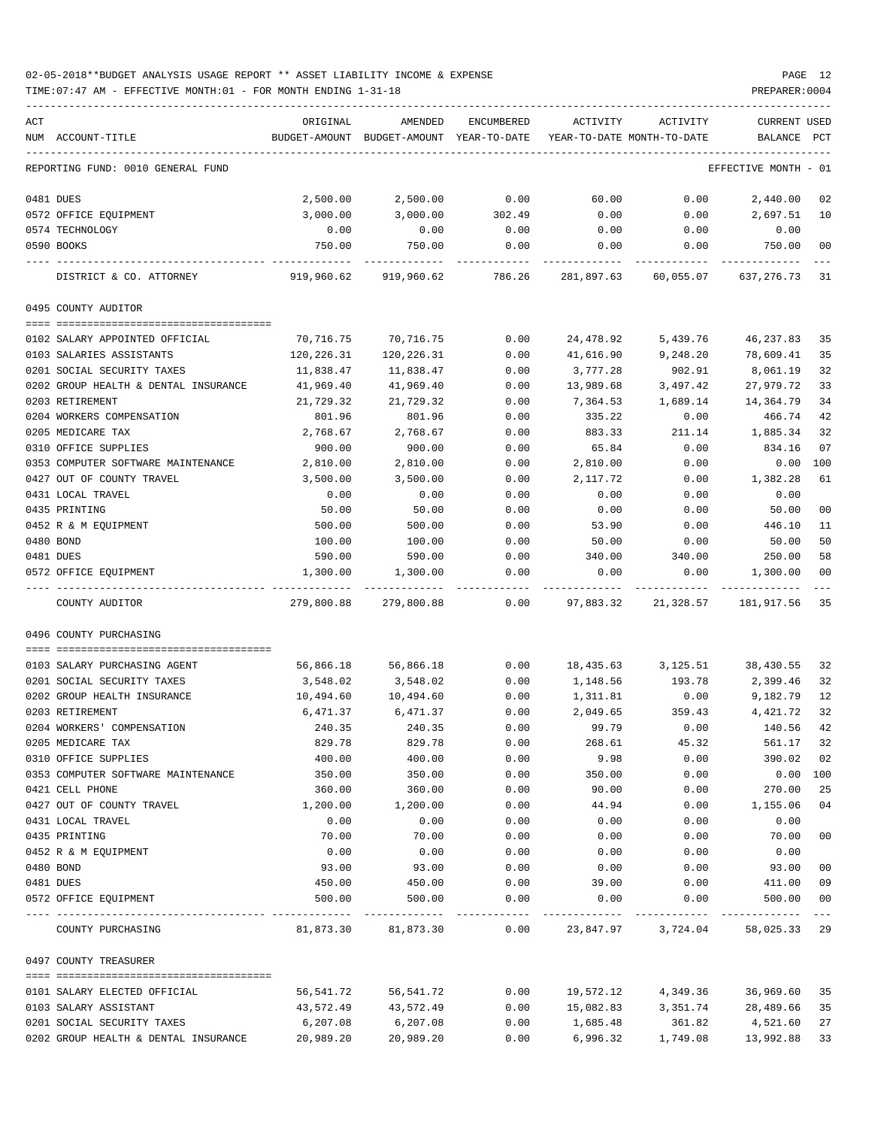| ACT |                                      | ORIGINAL      | AMENDED                    | ENCUMBERED | ACTIVITY   | ACTIVITY                   | <b>CURRENT USED</b> |             |
|-----|--------------------------------------|---------------|----------------------------|------------|------------|----------------------------|---------------------|-------------|
|     | NUM ACCOUNT-TITLE                    | BUDGET-AMOUNT | BUDGET-AMOUNT YEAR-TO-DATE |            |            | YEAR-TO-DATE MONTH-TO-DATE | BALANCE             | PCT         |
|     |                                      |               |                            |            |            |                            |                     |             |
|     | REPORTING FUND: 0010 GENERAL FUND    |               |                            |            |            |                            | EFFECTIVE MONTH     | - 01        |
|     | 0481 DUES                            | 2,500.00      | 2,500.00                   | 0.00       | 60.00      | 0.00                       | 2,440.00            | 02          |
|     | 0572 OFFICE EQUIPMENT                | 3,000.00      | 3,000.00                   | 302.49     | 0.00       | 0.00                       | 2,697.51            | 10          |
|     | 0574 TECHNOLOGY                      | 0.00          | 0.00                       | 0.00       | 0.00       | 0.00                       | 0.00                |             |
|     | 0590 BOOKS                           | 750.00        | 750.00                     | 0.00       | 0.00       | 0.00                       | 750.00              | 00          |
|     |                                      |               |                            |            |            |                            |                     |             |
|     | DISTRICT & CO. ATTORNEY              | 919,960.62    | 919,960.62                 | 786.26     | 281,897.63 | 60,055.07                  | 637, 276. 73        | -31         |
|     | 0495 COUNTY AUDITOR                  |               |                            |            |            |                            |                     |             |
|     |                                      |               |                            |            |            |                            |                     |             |
|     | 0102 SALARY APPOINTED OFFICIAL       | 70,716.75     | 70,716.75                  | 0.00       | 24,478.92  | 5,439.76                   | 46,237.83           | 35          |
|     | 0103 SALARIES ASSISTANTS             | 120,226.31    | 120,226.31                 | 0.00       | 41,616.90  | 9,248.20                   | 78,609.41           | 35          |
|     | 0201 SOCIAL SECURITY TAXES           | 11,838.47     | 11,838.47                  | 0.00       | 3,777.28   | 902.91                     | 8,061.19            | 32          |
|     | 0202 GROUP HEALTH & DENTAL INSURANCE | 41,969.40     | 41,969.40                  | 0.00       | 13,989.68  | 3,497.42                   | 27,979.72           | 33          |
|     | 0203 RETIREMENT                      | 21,729.32     | 21,729.32                  | 0.00       | 7,364.53   | 1,689.14                   | 14,364.79           | 34          |
|     | 0204 WORKERS COMPENSATION            | 801.96        | 801.96                     | 0.00       | 335.22     | 0.00                       | 466.74              | 42          |
|     | 0205 MEDICARE TAX                    | 2,768.67      | 2,768.67                   | 0.00       | 883.33     | 211.14                     | 1,885.34            | 32          |
|     | 0310 OFFICE SUPPLIES                 | 900.00        | 900.00                     | 0.00       | 65.84      | 0.00                       | 834.16              | 07          |
|     | 0353 COMPUTER SOFTWARE MAINTENANCE   | 2,810.00      | 2,810.00                   | 0.00       | 2,810.00   | 0.00                       | 0.00                | 100         |
|     | 0427 OUT OF COUNTY TRAVEL            | 3,500.00      | 3,500.00                   | 0.00       | 2,117.72   | 0.00                       | 1,382.28            | 61          |
|     | 0431 LOCAL TRAVEL                    | 0.00          | 0.00                       | 0.00       | 0.00       | 0.00                       | 0.00                |             |
|     | 0435 PRINTING                        | 50.00         | 50.00                      | 0.00       | 0.00       | 0.00                       | 50.00               | 00          |
|     | 0452 R & M EQUIPMENT                 | 500.00        | 500.00                     | 0.00       | 53.90      | 0.00                       | 446.10              | 11          |
|     | 0480 BOND                            | 100.00        | 100.00                     | 0.00       | 50.00      | 0.00                       | 50.00               | 50          |
|     | 0481 DUES                            | 590.00        | 590.00                     | 0.00       | 340.00     | 340.00                     | 250.00              | 58          |
|     | 0572 OFFICE EQUIPMENT                | 1,300.00      | 1,300.00                   | 0.00       | 0.00       | 0.00                       | 1,300.00            | 00          |
|     | COUNTY AUDITOR                       | 279,800.88    | 279,800.88                 | 0.00       | 97,883.32  | 21,328.57                  | 181,917.56          | 35          |
|     | 0496 COUNTY PURCHASING               |               |                            |            |            |                            |                     |             |
|     |                                      |               |                            |            |            |                            |                     |             |
|     | 0103 SALARY PURCHASING AGENT         | 56,866.18     | 56,866.18                  | 0.00       | 18,435.63  | 3,125.51                   | 38,430.55           | 32          |
|     | 0201 SOCIAL SECURITY TAXES           | 3,548.02      | 3,548.02                   | 0.00       | 1,148.56   | 193.78                     | 2,399.46            | 32          |
|     | 0202 GROUP HEALTH INSURANCE          | 10,494.60     | 10,494.60                  | 0.00       | 1,311.81   | 0.00                       | 9,182.79            | 12          |
|     | 0203 RETIREMENT                      | 6,471.37      | 6,471.37                   | 0.00       | 2,049.65   | 359.43                     | 4.421.72            | 32          |
|     | 0204 WORKERS' COMPENSATION           | 240.35        | 240.35                     | 0.00       | 99.79      | 0.00                       | 140.56              | 42          |
|     | 0205 MEDICARE TAX                    | 829.78        | 829.78                     | 0.00       | 268.61     | 45.32                      | 561.17              | 32          |
|     | 0310 OFFICE SUPPLIES                 | 400.00        | 400.00                     | 0.00       | 9.98       | 0.00                       | 390.02              | 02          |
|     | 0353 COMPUTER SOFTWARE MAINTENANCE   | 350.00        | 350.00                     | 0.00       | 350.00     | 0.00                       | $0.00$ 100          |             |
|     | 0421 CELL PHONE                      | 360.00        | 360.00                     | 0.00       | 90.00      | 0.00                       | 270.00              | 25          |
|     | 0427 OUT OF COUNTY TRAVEL            | 1,200.00      | 1,200.00                   | 0.00       | 44.94      | 0.00                       | 1,155.06            | 04          |
|     | 0431 LOCAL TRAVEL                    | 0.00          | 0.00                       | 0.00       | 0.00       | 0.00                       | 0.00                |             |
|     | 0435 PRINTING                        | 70.00         | 70.00                      | 0.00       | 0.00       | 0.00                       | 70.00               | 00          |
|     |                                      |               |                            |            |            |                            |                     |             |
|     | 0452 R & M EQUIPMENT                 | 0.00          | 0.00                       | 0.00       | 0.00       | 0.00                       | 0.00                |             |
|     | 0480 BOND                            | 93.00         | 93.00                      | 0.00       | 0.00       | 0.00                       | 93.00               | 00          |
|     | 0481 DUES                            | 450.00        | 450.00                     | 0.00       | 39.00      | 0.00                       | 411.00              | 09          |
|     | 0572 OFFICE EQUIPMENT                | 500.00        | 500.00                     | 0.00       | 0.00       | 0.00                       | 500.00              | 00<br>$---$ |
|     | COUNTY PURCHASING                    | 81,873.30     | 81,873.30                  | 0.00       |            | 23,847.97 3,724.04         | 58,025.33 29        |             |
|     | 0497 COUNTY TREASURER                |               |                            |            |            |                            |                     |             |
|     |                                      |               |                            |            |            |                            |                     |             |
|     | 0101 SALARY ELECTED OFFICIAL         | 56,541.72     | 56,541.72                  | 0.00       | 19,572.12  | 4,349.36                   | 36,969.60           | 35          |
|     | 0103 SALARY ASSISTANT                | 43,572.49     | 43,572.49                  | 0.00       | 15,082.83  | 3,351.74                   | 28,489.66           | 35          |
|     | 0201 SOCIAL SECURITY TAXES           | 6,207.08      | 6,207.08                   | 0.00       | 1,685.48   | 361.82                     | 4,521.60            | 27          |
|     | 0202 GROUP HEALTH & DENTAL INSURANCE | 20,989.20     | 20,989.20                  | 0.00       | 6,996.32   | 1,749.08                   | 13,992.88           | 33          |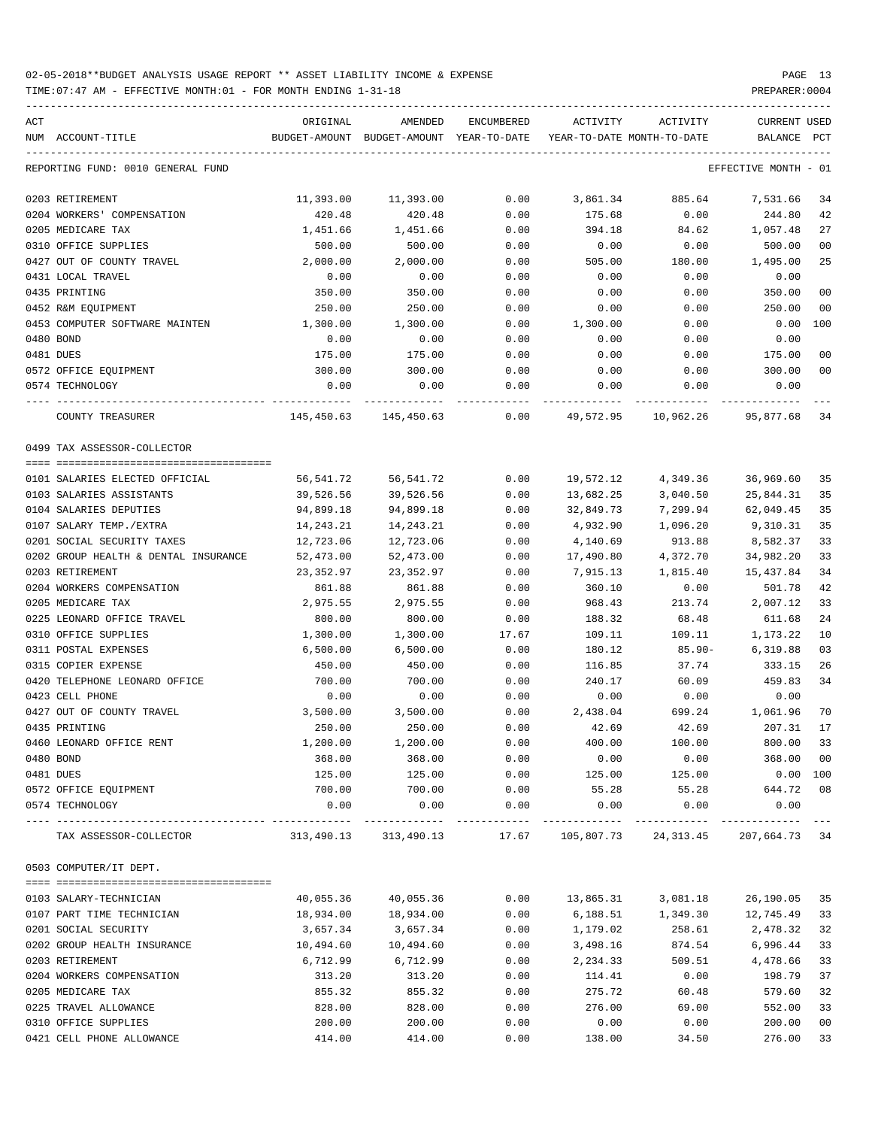| ACT<br>NUM ACCOUNT-TITLE             | ORIGINAL            | AMENDED<br>BUDGET-AMOUNT BUDGET-AMOUNT YEAR-TO-DATE | ENCUMBERED | ACTIVITY<br>YEAR-TO-DATE MONTH-TO-DATE | ACTIVITY                   | <b>CURRENT USED</b><br>BALANCE | PCT   |
|--------------------------------------|---------------------|-----------------------------------------------------|------------|----------------------------------------|----------------------------|--------------------------------|-------|
| REPORTING FUND: 0010 GENERAL FUND    |                     |                                                     |            |                                        |                            | EFFECTIVE MONTH - 01           |       |
| 0203 RETIREMENT                      |                     |                                                     | 0.00       | 3,861.34                               | 885.64                     | 7,531.66                       | 34    |
| 0204 WORKERS' COMPENSATION           | 11,393.00<br>420.48 | 11,393.00<br>420.48                                 | 0.00       | 175.68                                 | 0.00                       | 244.80                         | 42    |
| 0205 MEDICARE TAX                    | 1,451.66            | 1,451.66                                            | 0.00       | 394.18                                 | 84.62                      | 1,057.48                       | 27    |
| 0310 OFFICE SUPPLIES                 | 500.00              | 500.00                                              | 0.00       | 0.00                                   | 0.00                       | 500.00                         | 00    |
| 0427 OUT OF COUNTY TRAVEL            | 2,000.00            | 2,000.00                                            | 0.00       | 505.00                                 | 180.00                     | 1,495.00                       | 25    |
| 0431 LOCAL TRAVEL                    | 0.00                | 0.00                                                | 0.00       | 0.00                                   | 0.00                       | 0.00                           |       |
| 0435 PRINTING                        | 350.00              | 350.00                                              | 0.00       | 0.00                                   | 0.00                       | 350.00                         | 00    |
| 0452 R&M EQUIPMENT                   | 250.00              | 250.00                                              | 0.00       | 0.00                                   | 0.00                       | 250.00                         | 00    |
| 0453 COMPUTER SOFTWARE MAINTEN       | 1,300.00            | 1,300.00                                            | 0.00       | 1,300.00                               | 0.00                       | 0.00                           | 100   |
| 0480 BOND                            | 0.00                | 0.00                                                | 0.00       | 0.00                                   | 0.00                       | 0.00                           |       |
| 0481 DUES                            | 175.00              | 175.00                                              | 0.00       | 0.00                                   | 0.00                       | 175.00                         | 00    |
| 0572 OFFICE EQUIPMENT                | 300.00              | 300.00                                              | 0.00       | 0.00                                   | 0.00                       | 300.00                         | 00    |
| 0574 TECHNOLOGY                      | 0.00                | 0.00                                                | 0.00       | 0.00                                   | 0.00                       | 0.00                           |       |
| ----- --------<br>COUNTY TREASURER   |                     |                                                     |            |                                        | 10,962.26                  |                                |       |
|                                      |                     | 145,450.63 145,450.63                               | 0.00       | 49,572.95                              |                            | 95,877.68 34                   |       |
| 0499 TAX ASSESSOR-COLLECTOR          |                     |                                                     |            |                                        |                            |                                |       |
| 0101 SALARIES ELECTED OFFICIAL       | 56,541.72           | 56,541.72                                           | 0.00       | 19,572.12                              | 4,349.36                   | 36,969.60                      | 35    |
| 0103 SALARIES ASSISTANTS             | 39,526.56           | 39,526.56                                           | 0.00       | 13,682.25                              | 3,040.50                   | 25,844.31                      | 35    |
| 0104 SALARIES DEPUTIES               | 94,899.18           | 94,899.18                                           | 0.00       | 32,849.73                              | 7,299.94                   | 62,049.45                      | 35    |
| 0107 SALARY TEMP./EXTRA              | 14,243.21           | 14,243.21                                           | 0.00       | 4,932.90                               | 1,096.20                   | 9,310.31                       | 35    |
| 0201 SOCIAL SECURITY TAXES           | 12,723.06           | 12,723.06                                           | 0.00       | 4,140.69                               | 913.88                     | 8,582.37                       | 33    |
| 0202 GROUP HEALTH & DENTAL INSURANCE | 52,473.00           | 52,473.00                                           | 0.00       | 17,490.80                              | 4,372.70                   | 34,982.20                      | 33    |
| 0203 RETIREMENT                      | 23,352.97           | 23,352.97                                           | 0.00       | 7,915.13                               | 1,815.40                   | 15,437.84                      | 34    |
| 0204 WORKERS COMPENSATION            | 861.88              | 861.88                                              | 0.00       | 360.10                                 | 0.00                       | 501.78                         | 42    |
| 0205 MEDICARE TAX                    | 2,975.55            | 2,975.55                                            | 0.00       | 968.43                                 | 213.74                     | 2,007.12                       | 33    |
| 0225 LEONARD OFFICE TRAVEL           | 800.00              | 800.00                                              | 0.00       | 188.32                                 | 68.48                      | 611.68                         | 24    |
| 0310 OFFICE SUPPLIES                 | 1,300.00            | 1,300.00                                            | 17.67      | 109.11                                 | 109.11                     | 1,173.22                       | 10    |
| 0311 POSTAL EXPENSES                 | 6,500.00            | 6,500.00                                            | 0.00       | 180.12                                 | 85.90-                     | 6,319.88                       | 03    |
| 0315 COPIER EXPENSE                  | 450.00              | 450.00                                              | 0.00       | 116.85                                 | 37.74                      | 333.15                         | 26    |
| 0420 TELEPHONE LEONARD OFFICE        | 700.00              | 700.00                                              | 0.00       | 240.17                                 | 60.09                      | 459.83                         | 34    |
| 0423 CELL PHONE                      | 0.00                | 0.00                                                | 0.00       | 0.00                                   | 0.00                       | 0.00                           |       |
| 0427 OUT OF COUNTY TRAVEL            | 3,500.00            | 3,500.00                                            | 0.00       | 2,438.04                               |                            | 699.24 1,061.96                | 70    |
| 0435 PRINTING                        | 250.00              | 250.00                                              | 0.00       | 42.69                                  | 42.69                      | 207.31                         | 17    |
| 0460 LEONARD OFFICE RENT             | 1,200.00            | 1,200.00                                            | 0.00       | 400.00                                 | 100.00                     | 800.00                         | 33    |
| 0480 BOND                            | 368.00              | 368.00                                              | 0.00       | 0.00                                   | 0.00                       | 368.00                         | 00    |
| 0481 DUES                            | 125.00              | 125.00                                              | 0.00       | 125.00                                 | 125.00                     | 0.00 100                       |       |
| 0572 OFFICE EQUIPMENT                | 700.00              | 700.00                                              | 0.00       | 55.28                                  | 55.28                      | 644.72                         | 08    |
| 0574 TECHNOLOGY                      | 0.00                | 0.00                                                | 0.00       | 0.00                                   | 0.00                       | 0.00                           |       |
| TAX ASSESSOR-COLLECTOR               |                     | 313,490.13 313,490.13                               |            |                                        | 17.67 105,807.73 24,313.45 | 207,664.73 34                  | $---$ |
| 0503 COMPUTER/IT DEPT.               |                     |                                                     |            |                                        |                            |                                |       |
|                                      |                     |                                                     |            |                                        |                            |                                |       |
| 0103 SALARY-TECHNICIAN               | 40,055.36           | 40,055.36                                           | 0.00       | 13,865.31                              | 3,081.18                   | 26,190.05                      | 35    |
| 0107 PART TIME TECHNICIAN            | 18,934.00           | 18,934.00                                           | 0.00       | 6,188.51                               | 1,349.30                   | 12,745.49                      | 33    |
| 0201 SOCIAL SECURITY                 | 3,657.34            | 3,657.34                                            | 0.00       | 1,179.02                               | 258.61                     | 2,478.32                       | 32    |
| 0202 GROUP HEALTH INSURANCE          | 10,494.60           | 10,494.60                                           | 0.00       | 3,498.16                               | 874.54                     | 6,996.44                       | 33    |
| 0203 RETIREMENT                      | 6,712.99            | 6,712.99                                            | 0.00       | 2,234.33                               | 509.51                     | 4,478.66                       | 33    |
| 0204 WORKERS COMPENSATION            | 313.20              | 313.20                                              | 0.00       | 114.41                                 | 0.00                       | 198.79                         | 37    |
| 0205 MEDICARE TAX                    | 855.32              | 855.32                                              | 0.00       | 275.72                                 | 60.48                      | 579.60                         | 32    |
| 0225 TRAVEL ALLOWANCE                | 828.00              | 828.00                                              | 0.00       | 276.00                                 | 69.00                      | 552.00                         | 33    |
| 0310 OFFICE SUPPLIES                 | 200.00              | 200.00                                              | 0.00       | 0.00                                   | 0.00                       | 200.00                         | 00    |
| 0421 CELL PHONE ALLOWANCE            | 414.00              | 414.00                                              | 0.00       | 138.00                                 | 34.50                      | 276.00                         | 33    |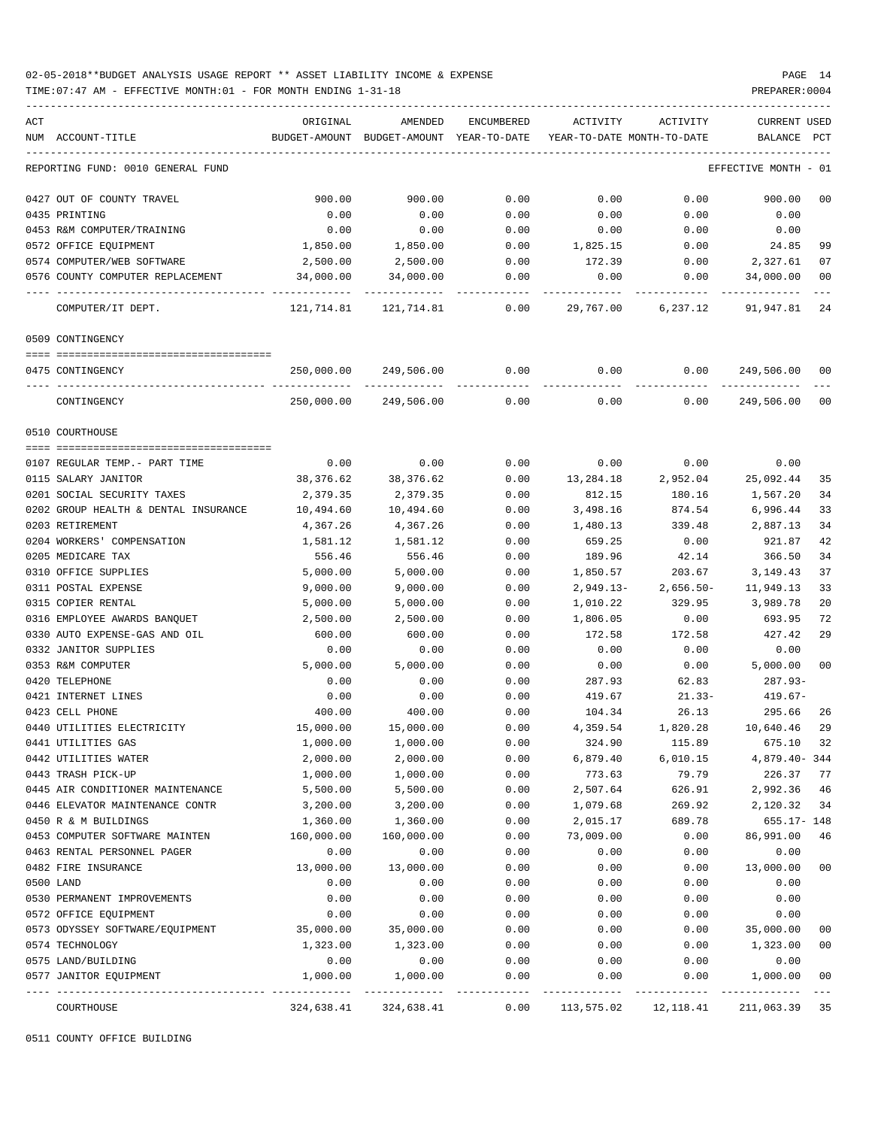TIME:07:47 AM - EFFECTIVE MONTH:01 - FOR MONTH ENDING 1-31-18 PREPARER:0004

| ACT                                                 | ORIGINAL   | AMENDED                                  | ENCUMBERED           | ACTIVITY                   | ACTIVITY             | CURRENT USED                 |                |
|-----------------------------------------------------|------------|------------------------------------------|----------------------|----------------------------|----------------------|------------------------------|----------------|
| NUM ACCOUNT-TITLE                                   |            | BUDGET-AMOUNT BUDGET-AMOUNT YEAR-TO-DATE |                      | YEAR-TO-DATE MONTH-TO-DATE |                      | BALANCE PCT                  |                |
| REPORTING FUND: 0010 GENERAL FUND                   |            |                                          |                      |                            |                      | EFFECTIVE MONTH - 01         |                |
| 0427 OUT OF COUNTY TRAVEL                           | 900.00     | 900.00                                   | 0.00                 | 0.00                       | 0.00                 | 900.00                       | 0 <sub>0</sub> |
| 0435 PRINTING                                       | 0.00       | 0.00                                     | 0.00                 | 0.00                       | 0.00                 | 0.00                         |                |
| 0453 R&M COMPUTER/TRAINING                          | 0.00       | 0.00                                     | 0.00                 | 0.00                       | 0.00                 | 0.00                         |                |
| 0572 OFFICE EQUIPMENT                               | 1,850.00   | 1,850.00                                 | 0.00                 | 1,825.15                   | 0.00                 | 24.85                        | 99             |
| 0574 COMPUTER/WEB SOFTWARE                          | 2,500.00   | 2,500.00                                 | 0.00                 | 172.39                     | 0.00                 | 2,327.61                     | 07             |
| 0576 COUNTY COMPUTER REPLACEMENT                    | 34,000.00  |                                          | 34,000.00 0.00       | 0.00                       | 0.00                 | 34,000.00                    | 00             |
| COMPUTER/IT DEPT.                                   |            |                                          |                      |                            |                      | 29,767.00 6,237.12 91,947.81 | 24             |
| 0509 CONTINGENCY                                    |            |                                          |                      |                            |                      |                              |                |
| 0475 CONTINGENCY                                    | 250,000.00 |                                          | 249,506.00 0.00      | 0.00                       |                      | 0.00<br>249,506.00           | 00             |
| ---- -------------------------------<br>CONTINGENCY |            | 250,000.00 249,506.00                    | 0.00                 | 0.00                       | 0.00                 | ------------<br>249,506.00   | 0 <sup>0</sup> |
| 0510 COURTHOUSE                                     |            |                                          |                      |                            |                      |                              |                |
|                                                     |            |                                          |                      |                            |                      |                              |                |
| 0107 REGULAR TEMP.- PART TIME                       | 0.00       | 0.00                                     | 0.00                 | 0.00                       | 0.00                 | 0.00                         |                |
| 0115 SALARY JANITOR                                 | 38,376.62  | 38,376.62                                | 0.00                 | 13,284.18                  | 2,952.04             | 25,092.44                    | 35             |
| 0201 SOCIAL SECURITY TAXES                          | 2,379.35   | 2,379.35                                 | 0.00                 | 812.15                     | 180.16               | 1,567.20                     | 34             |
| 0202 GROUP HEALTH & DENTAL INSURANCE                | 10,494.60  | 10,494.60                                | 0.00                 | 3,498.16                   | 874.54               | 6,996.44                     | 33             |
| 0203 RETIREMENT                                     | 4,367.26   | 4,367.26                                 | 0.00                 | 1,480.13                   | 339.48               | 2,887.13                     | 34             |
| 0204 WORKERS' COMPENSATION                          | 1,581.12   | 1,581.12                                 | 0.00                 | 659.25                     | 0.00                 | 921.87                       | 42             |
| 0205 MEDICARE TAX                                   | 556.46     | 556.46                                   | 0.00                 | 189.96                     | 42.14                | 366.50                       | 34             |
| 0310 OFFICE SUPPLIES                                | 5,000.00   | 5,000.00                                 | 0.00                 | 1,850.57                   | 203.67               | 3,149.43                     | 37             |
| 0311 POSTAL EXPENSE                                 | 9,000.00   | 9,000.00                                 | 0.00                 | 2,949.13-                  | 2,656.50-            | 11,949.13                    | 33             |
| 0315 COPIER RENTAL                                  | 5,000.00   | 5,000.00                                 | 0.00                 | 1,010.22                   | 329.95               | 3,989.78                     | 20             |
| 0316 EMPLOYEE AWARDS BANQUET                        | 2,500.00   | 2,500.00                                 | 0.00                 | 1,806.05                   | 0.00                 | 693.95                       | 72             |
| 0330 AUTO EXPENSE-GAS AND OIL                       | 600.00     | 600.00                                   | 0.00                 | 172.58                     | 172.58               | 427.42                       | 29             |
| 0332 JANITOR SUPPLIES                               | 0.00       | 0.00                                     | 0.00                 | 0.00                       | 0.00                 | 0.00                         |                |
| 0353 R&M COMPUTER                                   | 5,000.00   | 5,000.00                                 | 0.00                 | 0.00                       | 0.00                 | 5,000.00                     | 0 <sub>0</sub> |
| 0420 TELEPHONE                                      | 0.00       | 0.00                                     | 0.00                 | 287.93                     | 62.83                | 287.93-                      |                |
| 0421 INTERNET LINES                                 | 0.00       | 0.00                                     | 0.00                 | 419.67                     | $21.33-$             | $419.67-$                    |                |
| 0423 CELL PHONE                                     | 400.00     | 400.00                                   | 0.00                 | 104.34 26.13               |                      | 295.66                       | 26             |
| 0440 UTILITIES ELECTRICITY                          | 15,000.00  | 15,000.00                                | 0.00                 | 4,359.54                   | 1,820.28             | 10,640.46                    | 29             |
| 0441 UTILITIES GAS                                  | 1,000.00   | 1,000.00                                 | 0.00                 | 324.90                     | 115.89               | 675.10 32                    |                |
| 0442 UTILITIES WATER                                | 2,000.00   | 2,000.00                                 | 0.00                 | 6,879.40                   | 6,010.15             | 4,879.40-344                 |                |
| 0443 TRASH PICK-UP                                  | 1,000.00   | 1,000.00                                 | 0.00                 | 773.63                     | 79.79                | 226.37                       | 77             |
| 0445 AIR CONDITIONER MAINTENANCE                    | 5,500.00   | 5,500.00                                 | 0.00                 | 2,507.64                   | 626.91               | 2,992.36                     | 46             |
| 0446 ELEVATOR MAINTENANCE CONTR                     | 3,200.00   | 3,200.00                                 | 0.00                 | 1,079.68                   | 269.92               | 2,120.32                     | 34             |
| 0450 R & M BUILDINGS                                | 1,360.00   | 1,360.00                                 | 0.00                 | 2,015.17                   | 689.78               | 655.17- 148                  |                |
| 0453 COMPUTER SOFTWARE MAINTEN                      | 160,000.00 | 160,000.00                               | 0.00                 | 73,009.00                  | 0.00                 | 86,991.00                    | 46             |
| 0463 RENTAL PERSONNEL PAGER                         | 0.00       | 0.00                                     | 0.00                 | 0.00                       | 0.00                 | 0.00                         |                |
| 0482 FIRE INSURANCE                                 | 13,000.00  | 13,000.00                                | 0.00                 | 0.00                       | 0.00                 | 13,000.00                    | 0 <sub>0</sub> |
| 0500 LAND                                           | 0.00       | 0.00                                     | 0.00                 | 0.00                       | 0.00                 | 0.00                         |                |
| 0530 PERMANENT IMPROVEMENTS                         | 0.00       | 0.00                                     | 0.00                 | 0.00                       | 0.00                 | 0.00                         |                |
| 0572 OFFICE EQUIPMENT                               | 0.00       | 0.00                                     | 0.00                 | 0.00                       | 0.00                 | 0.00                         |                |
| 0573 ODYSSEY SOFTWARE/EQUIPMENT                     | 35,000.00  | 35,000.00                                | 0.00                 | 0.00                       | 0.00                 | 35,000.00                    | 0 <sub>0</sub> |
| 0574 TECHNOLOGY                                     | 1,323.00   | 1,323.00                                 | 0.00                 | 0.00                       | 0.00                 | 1,323.00                     | 0 <sub>0</sub> |
| 0575 LAND/BUILDING                                  | 0.00       | 0.00                                     | 0.00                 | 0.00                       | 0.00                 | 0.00                         |                |
| 0577 JANITOR EQUIPMENT                              | 1,000.00   | 1,000.00                                 | 0.00                 | 0.00                       | 0.00                 | 1,000.00                     | 0 <sub>0</sub> |
| COURTHOUSE                                          | 324,638.41 | 324,638.41                               | ------------<br>0.00 |                            | 113,575.02 12,118.41 | 211,063.39 35                |                |
|                                                     |            |                                          |                      |                            |                      |                              |                |

0511 COUNTY OFFICE BUILDING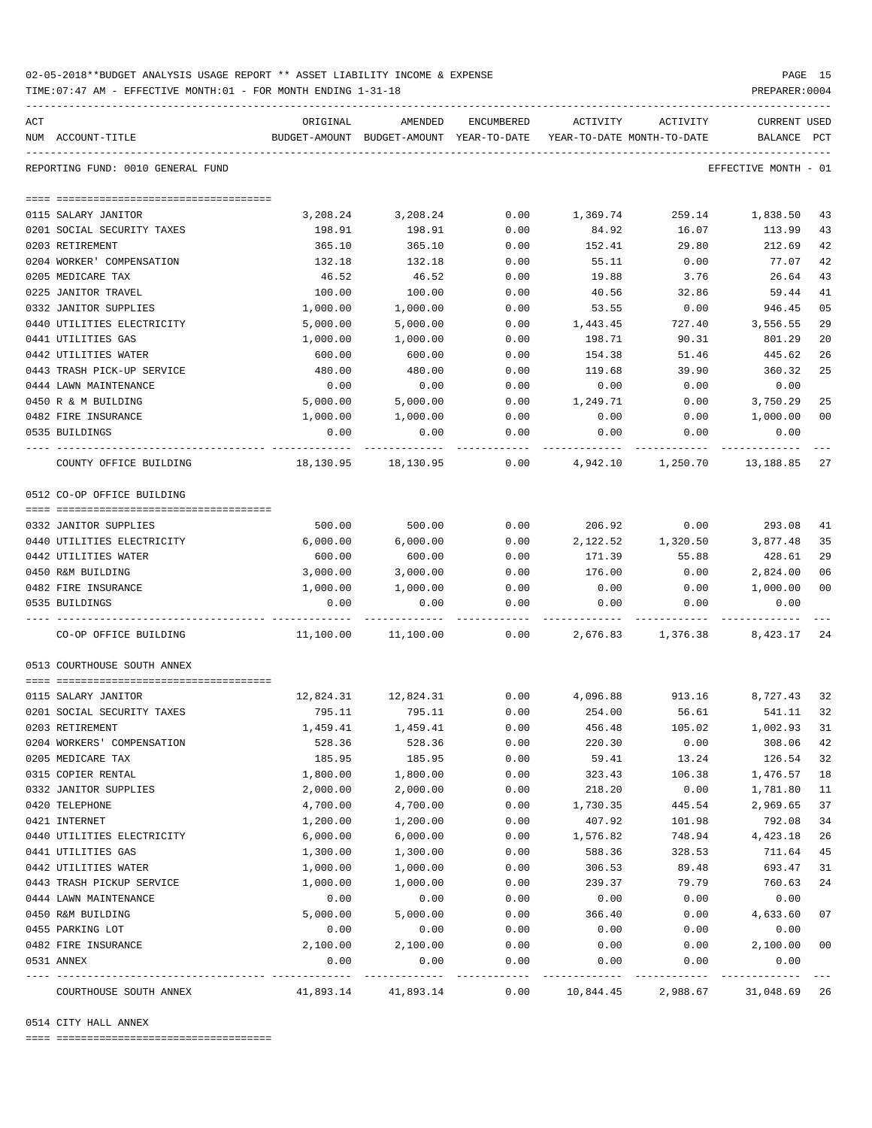| 02-05-2018**BUDGET ANALYSIS USAGE REPORT ** ASSET LIABILITY INCOME & EXPENSE |  |  |  |  | PAGE |  |
|------------------------------------------------------------------------------|--|--|--|--|------|--|
|                                                                              |  |  |  |  |      |  |

TIME:07:47 AM - EFFECTIVE MONTH:01 - FOR MONTH ENDING 1-31-18 PREPARER:0004

| ACT |                                   | ORIGINAL  | AMENDED                                                             | ENCUMBERED | ACTIVITY | ACTIVITY | <b>CURRENT USED</b>  |                |
|-----|-----------------------------------|-----------|---------------------------------------------------------------------|------------|----------|----------|----------------------|----------------|
|     | NUM ACCOUNT-TITLE                 |           | BUDGET-AMOUNT BUDGET-AMOUNT YEAR-TO-DATE YEAR-TO-DATE MONTH-TO-DATE |            |          |          | BALANCE PCT          |                |
|     | REPORTING FUND: 0010 GENERAL FUND |           |                                                                     |            |          |          | EFFECTIVE MONTH - 01 |                |
|     |                                   |           |                                                                     |            |          |          |                      |                |
|     | 0115 SALARY JANITOR               | 3,208.24  | 3,208.24                                                            | 0.00       | 1,369.74 | 259.14   | 1,838.50             | 43             |
|     | 0201 SOCIAL SECURITY TAXES        | 198.91    | 198.91                                                              | 0.00       | 84.92    | 16.07    | 113.99               | 43             |
|     | 0203 RETIREMENT                   | 365.10    | 365.10                                                              | 0.00       | 152.41   | 29.80    | 212.69               | 42             |
|     | 0204 WORKER' COMPENSATION         | 132.18    | 132.18                                                              | 0.00       | 55.11    | 0.00     | 77.07                | 42             |
|     | 0205 MEDICARE TAX                 | 46.52     | 46.52                                                               | 0.00       | 19.88    | 3.76     | 26.64                | 43             |
|     | 0225 JANITOR TRAVEL               | 100.00    | 100.00                                                              | 0.00       | 40.56    | 32.86    | 59.44                | 41             |
|     | 0332 JANITOR SUPPLIES             | 1,000.00  | 1,000.00                                                            | 0.00       | 53.55    | 0.00     | 946.45               | 05             |
|     | 0440 UTILITIES ELECTRICITY        | 5,000.00  | 5,000.00                                                            | 0.00       | 1,443.45 | 727.40   | 3,556.55             | 29             |
|     |                                   |           |                                                                     |            |          |          |                      |                |
|     | 0441 UTILITIES GAS                | 1,000.00  | 1,000.00                                                            | 0.00       | 198.71   | 90.31    | 801.29               | 20             |
|     | 0442 UTILITIES WATER              | 600.00    | 600.00                                                              | 0.00       | 154.38   | 51.46    | 445.62               | 26             |
|     | 0443 TRASH PICK-UP SERVICE        | 480.00    | 480.00                                                              | 0.00       | 119.68   | 39.90    | 360.32               | 25             |
|     | 0444 LAWN MAINTENANCE             | 0.00      | 0.00                                                                | 0.00       | 0.00     | 0.00     | 0.00                 |                |
|     | 0450 R & M BUILDING               | 5,000.00  | 5,000.00                                                            | 0.00       | 1,249.71 | 0.00     | 3,750.29             | 25             |
|     | 0482 FIRE INSURANCE               | 1,000.00  | 1,000.00                                                            | 0.00       | 0.00     | 0.00     | 1,000.00             | 0 <sub>0</sub> |
|     | 0535 BUILDINGS                    | 0.00      | 0.00                                                                | 0.00       | 0.00     | 0.00     | 0.00                 |                |
|     | COUNTY OFFICE BUILDING            | 18,130.95 | 18,130.95                                                           | 0.00       | 4,942.10 | 1,250.70 | 13,188.85            | 27             |
|     | 0512 CO-OP OFFICE BUILDING        |           |                                                                     |            |          |          |                      |                |
|     |                                   |           |                                                                     |            |          |          |                      |                |
|     | 0332 JANITOR SUPPLIES             | 500.00    | 500.00                                                              | 0.00       | 206.92   | 0.00     | 293.08               | 41             |
|     | 0440 UTILITIES ELECTRICITY        | 6,000.00  | 6,000.00                                                            | 0.00       | 2,122.52 | 1,320.50 | 3,877.48             | 35             |
|     | 0442 UTILITIES WATER              | 600.00    | 600.00                                                              | 0.00       | 171.39   | 55.88    | 428.61               | 29             |
|     | 0450 R&M BUILDING                 | 3,000.00  | 3,000.00                                                            | 0.00       | 176.00   | 0.00     | 2,824.00             | 06             |
|     | 0482 FIRE INSURANCE               | 1,000.00  | 1,000.00                                                            | 0.00       | 0.00     | 0.00     | 1,000.00             | 0 <sub>0</sub> |
|     | 0535 BUILDINGS                    | 0.00      | 0.00                                                                | 0.00       | 0.00     | 0.00     | 0.00                 |                |
|     | CO-OP OFFICE BUILDING             | 11,100.00 | 11,100.00                                                           | 0.00       | 2,676.83 | 1,376.38 | 8,423.17             | 24             |
|     | 0513 COURTHOUSE SOUTH ANNEX       |           |                                                                     |            |          |          |                      |                |
|     |                                   |           |                                                                     |            |          |          |                      |                |
|     | 0115 SALARY JANITOR               | 12,824.31 | 12,824.31                                                           | 0.00       | 4,096.88 | 913.16   | 8,727.43             | 32             |
|     | 0201 SOCIAL SECURITY TAXES        | 795.11    | 795.11                                                              | 0.00       | 254.00   | 56.61    | 541.11               | 32             |
|     | 0203 RETIREMENT                   | 1,459.41  | 1,459.41                                                            | 0.00       | 456.48   | 105.02   | 1,002.93             | 31             |
|     | 0204 WORKERS' COMPENSATION        | 528.36    | 528.36                                                              | 0.00       | 220.30   | 0.00     | 308.06               | 42             |
|     | 0205 MEDICARE TAX                 | 185.95    | 185.95                                                              | 0.00       | 59.41    | 13.24    | 126.54               | 32             |
|     | 0315 COPIER RENTAL                | 1,800.00  | 1,800.00                                                            | 0.00       | 323.43   | 106.38   | 1,476.57             | 18             |
|     | 0332 JANITOR SUPPLIES             | 2,000.00  | 2,000.00                                                            | 0.00       | 218.20   | 0.00     | 1,781.80             | 11             |
|     | 0420 TELEPHONE                    | 4,700.00  | 4,700.00                                                            | 0.00       | 1,730.35 | 445.54   | 2,969.65             | 37             |
|     | 0421 INTERNET                     | 1,200.00  | 1,200.00                                                            | 0.00       | 407.92   | 101.98   | 792.08               | 34             |
|     | 0440 UTILITIES ELECTRICITY        | 6,000.00  | 6,000.00                                                            | 0.00       | 1,576.82 | 748.94   | 4,423.18             | 26             |
|     | 0441 UTILITIES GAS                | 1,300.00  | 1,300.00                                                            | 0.00       | 588.36   | 328.53   | 711.64               | 45             |
|     | 0442 UTILITIES WATER              | 1,000.00  | 1,000.00                                                            | 0.00       | 306.53   | 89.48    | 693.47               | 31             |
|     | 0443 TRASH PICKUP SERVICE         | 1,000.00  | 1,000.00                                                            | 0.00       | 239.37   | 79.79    | 760.63               | 24             |
|     | 0444 LAWN MAINTENANCE             | 0.00      | 0.00                                                                | 0.00       | 0.00     | 0.00     | 0.00                 |                |
|     | 0450 R&M BUILDING                 | 5,000.00  | 5,000.00                                                            | 0.00       | 366.40   | 0.00     | 4,633.60             | 07             |
|     | 0455 PARKING LOT                  | 0.00      | 0.00                                                                | 0.00       | 0.00     | 0.00     | 0.00                 |                |
|     | 0482 FIRE INSURANCE               | 2,100.00  | 2,100.00                                                            | 0.00       | 0.00     | 0.00     | 2,100.00             | 0 <sub>0</sub> |
|     | 0531 ANNEX                        | 0.00      | 0.00                                                                | 0.00       | 0.00     | 0.00     | 0.00                 |                |
|     |                                   |           |                                                                     |            |          |          |                      |                |

COURTHOUSE SOUTH ANNEX 41,893.14 41,893.14 0.00 10,844.45 2,988.67 31,048.69 26

0514 CITY HALL ANNEX

==== ===================================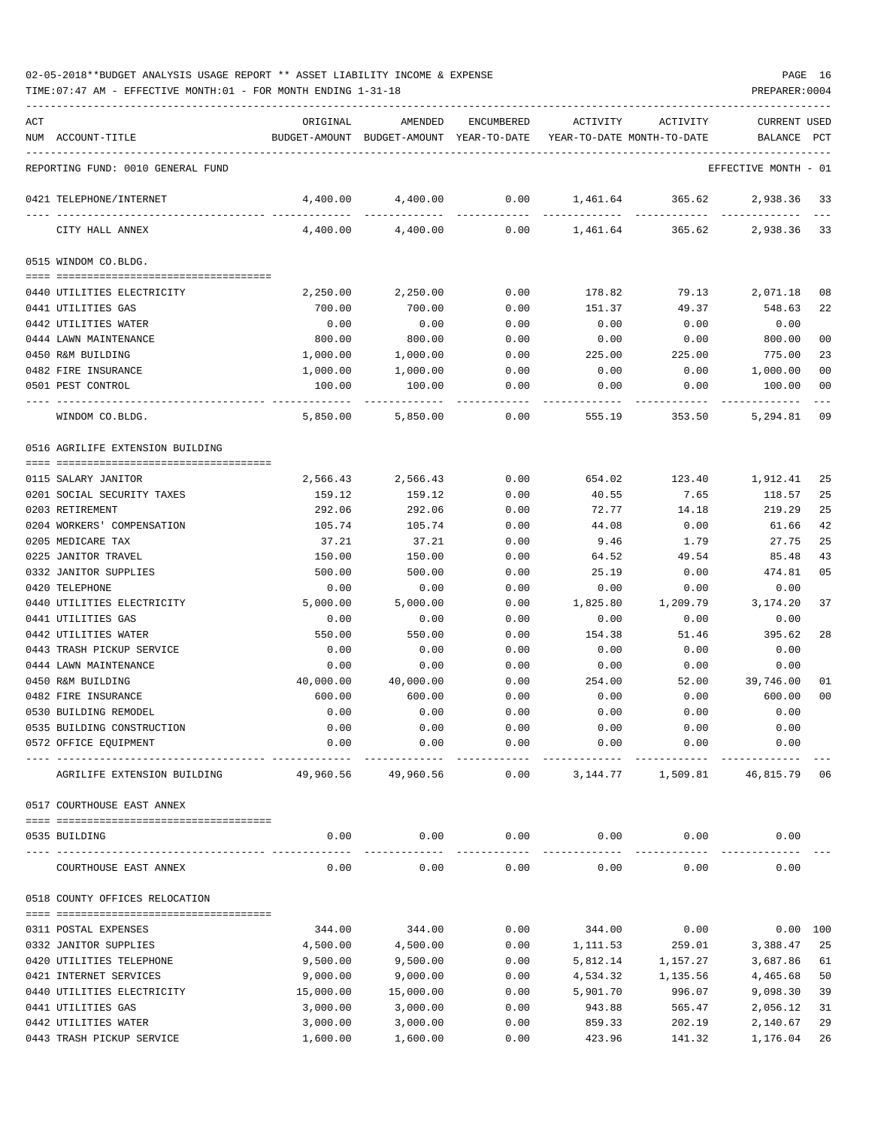TIME:07:47 AM - EFFECTIVE MONTH:01 - FOR MONTH ENDING 1-31-18 PREPARER:0004

| ACT<br>ORIGINAL<br>AMENDED<br>ENCUMBERED<br>ACTIVITY<br>ACTIVITY<br><b>CURRENT USED</b><br>NUM ACCOUNT-TITLE<br>BUDGET-AMOUNT BUDGET-AMOUNT YEAR-TO-DATE YEAR-TO-DATE MONTH-TO-DATE<br>BALANCE PCT<br>REPORTING FUND: 0010 GENERAL FUND<br>EFFECTIVE MONTH - 01<br>4,400.00<br>0.00<br>4,400.00<br>1,461.64<br>365.62<br>2,938.36<br>33<br>0421 TELEPHONE/INTERNET<br>4,400.00<br>4,400.00<br>0.00<br>1,461.64 365.62<br>2,938.36<br>33<br>CITY HALL ANNEX<br>0515 WINDOM CO.BLDG.<br>0440 UTILITIES ELECTRICITY<br>2,250.00<br>2,250.00<br>0.00<br>178.82<br>79.13<br>2,071.18<br>08<br>49.37<br>0441 UTILITIES GAS<br>700.00<br>700.00<br>0.00<br>151.37<br>548.63<br>22<br>0.00<br>0.00<br>0.00<br>0442 UTILITIES WATER<br>0.00<br>0.00<br>0.00<br>800.00<br>800.00<br>800.00<br>0 <sub>0</sub><br>0444 LAWN MAINTENANCE<br>0.00<br>0.00<br>0.00<br>775.00<br>23<br>0450 R&M BUILDING<br>1,000.00<br>1,000.00<br>0.00<br>225.00<br>225.00<br>1,000.00<br>0 <sub>0</sub><br>0482 FIRE INSURANCE<br>1,000.00<br>1,000.00<br>0.00<br>0.00<br>0.00<br>100.00<br>100.00<br>0.00<br>0.00<br>0.00<br>100.00<br>00<br>0501 PEST CONTROL<br>09<br>5,850.00<br>5,850.00<br>0.00<br>555.19<br>353.50<br>5,294.81<br>WINDOM CO.BLDG.<br>0516 AGRILIFE EXTENSION BUILDING<br>2,566.43<br>0.00<br>654.02<br>123.40<br>0115 SALARY JANITOR<br>2,566.43<br>1,912.41<br>25<br>0201 SOCIAL SECURITY TAXES<br>7.65<br>25<br>159.12<br>159.12<br>0.00<br>40.55<br>118.57<br>219.29<br>25<br>0203 RETIREMENT<br>292.06<br>292.06<br>0.00<br>72.77<br>14.18<br>0204 WORKERS' COMPENSATION<br>42<br>105.74<br>105.74<br>0.00<br>44.08<br>0.00<br>61.66<br>0205 MEDICARE TAX<br>25<br>37.21<br>37.21<br>0.00<br>9.46<br>1.79<br>27.75<br>43<br>0225 JANITOR TRAVEL<br>150.00<br>150.00<br>0.00<br>64.52<br>49.54<br>85.48<br>0332 JANITOR SUPPLIES<br>500.00<br>500.00<br>0.00<br>25.19<br>0.00<br>474.81<br>05<br>0420 TELEPHONE<br>0.00<br>0.00<br>0.00<br>0.00<br>0.00<br>0.00<br>1,209.79<br>37<br>0440 UTILITIES ELECTRICITY<br>5,000.00<br>5,000.00<br>0.00<br>1,825.80<br>3,174.20<br>0441 UTILITIES GAS<br>0.00<br>0.00<br>0.00<br>0.00<br>0.00<br>0.00<br>0442 UTILITIES WATER<br>550.00<br>550.00<br>0.00<br>154.38<br>51.46<br>395.62<br>28<br>0.00<br>0443 TRASH PICKUP SERVICE<br>0.00<br>0.00<br>0.00<br>0.00<br>0.00<br>0444 LAWN MAINTENANCE<br>0.00<br>0.00<br>0.00<br>0.00<br>0.00<br>0.00<br>40,000.00<br>39,746.00<br>0450 R&M BUILDING<br>40,000.00<br>0.00<br>254.00<br>52.00<br>01<br>0 <sub>0</sub><br>0482 FIRE INSURANCE<br>600.00<br>600.00<br>0.00<br>0.00<br>0.00<br>600.00<br>0530 BUILDING REMODEL<br>0.00<br>0.00<br>0.00<br>0.00<br>0.00<br>0.00<br>0.00<br>0535 BUILDING CONSTRUCTION<br>0.00<br>0.00<br>0.00<br>0.00<br>0.00<br>0572 OFFICE EQUIPMENT<br>0.00<br>0.00<br>0.00<br>0.00<br>0.00<br>0.00<br>49,960.56<br>49,960.56<br>0.00<br>3, 144. 77 1, 509. 81<br>46,815.79<br>06<br>AGRILIFE EXTENSION BUILDING<br>0517 COURTHOUSE EAST ANNEX<br>0.00<br>0.00<br>0.00<br>0.00<br>0.00<br>0.00<br>0535 BUILDING<br>0.00<br>0.00<br>0.00<br>0.00<br>0.00<br>0.00<br>COURTHOUSE EAST ANNEX<br>0518 COUNTY OFFICES RELOCATION<br>0311 POSTAL EXPENSES<br>344.00<br>0.00<br>344.00<br>0.00<br>0.00 100<br>344.00<br>0332 JANITOR SUPPLIES<br>4,500.00<br>4,500.00<br>0.00<br>259.01<br>3,388.47<br>25<br>1,111.53<br>0420 UTILITIES TELEPHONE<br>61<br>9,500.00<br>9,500.00<br>0.00<br>5,812.14<br>1,157.27<br>3,687.86<br>0421 INTERNET SERVICES<br>9,000.00<br>50<br>9,000.00<br>0.00<br>4,534.32<br>1,135.56<br>4,465.68<br>0440 UTILITIES ELECTRICITY<br>15,000.00<br>15,000.00<br>0.00<br>5,901.70<br>996.07<br>9,098.30<br>39<br>0441 UTILITIES GAS<br>3,000.00<br>3,000.00<br>943.88<br>31<br>0.00<br>565.47<br>2,056.12<br>0442 UTILITIES WATER<br>29<br>3,000.00<br>3,000.00<br>0.00<br>859.33<br>202.19<br>2,140.67 |  |  |  |  |  |
|-------------------------------------------------------------------------------------------------------------------------------------------------------------------------------------------------------------------------------------------------------------------------------------------------------------------------------------------------------------------------------------------------------------------------------------------------------------------------------------------------------------------------------------------------------------------------------------------------------------------------------------------------------------------------------------------------------------------------------------------------------------------------------------------------------------------------------------------------------------------------------------------------------------------------------------------------------------------------------------------------------------------------------------------------------------------------------------------------------------------------------------------------------------------------------------------------------------------------------------------------------------------------------------------------------------------------------------------------------------------------------------------------------------------------------------------------------------------------------------------------------------------------------------------------------------------------------------------------------------------------------------------------------------------------------------------------------------------------------------------------------------------------------------------------------------------------------------------------------------------------------------------------------------------------------------------------------------------------------------------------------------------------------------------------------------------------------------------------------------------------------------------------------------------------------------------------------------------------------------------------------------------------------------------------------------------------------------------------------------------------------------------------------------------------------------------------------------------------------------------------------------------------------------------------------------------------------------------------------------------------------------------------------------------------------------------------------------------------------------------------------------------------------------------------------------------------------------------------------------------------------------------------------------------------------------------------------------------------------------------------------------------------------------------------------------------------------------------------------------------------------------------------------------------------------------------------------------------------------------------------------------------------------------------------------------------------------------------------------------------------------------------------------------------------------------------------------------------------------------------------------------------------------------------------------------------------------------------------------------------------------------------------------------------------------------------------------------------------------------------------------------------------------------------------------------------------------------------|--|--|--|--|--|
|                                                                                                                                                                                                                                                                                                                                                                                                                                                                                                                                                                                                                                                                                                                                                                                                                                                                                                                                                                                                                                                                                                                                                                                                                                                                                                                                                                                                                                                                                                                                                                                                                                                                                                                                                                                                                                                                                                                                                                                                                                                                                                                                                                                                                                                                                                                                                                                                                                                                                                                                                                                                                                                                                                                                                                                                                                                                                                                                                                                                                                                                                                                                                                                                                                                                                                                                                                                                                                                                                                                                                                                                                                                                                                                                                                                                                                           |  |  |  |  |  |
|                                                                                                                                                                                                                                                                                                                                                                                                                                                                                                                                                                                                                                                                                                                                                                                                                                                                                                                                                                                                                                                                                                                                                                                                                                                                                                                                                                                                                                                                                                                                                                                                                                                                                                                                                                                                                                                                                                                                                                                                                                                                                                                                                                                                                                                                                                                                                                                                                                                                                                                                                                                                                                                                                                                                                                                                                                                                                                                                                                                                                                                                                                                                                                                                                                                                                                                                                                                                                                                                                                                                                                                                                                                                                                                                                                                                                                           |  |  |  |  |  |
|                                                                                                                                                                                                                                                                                                                                                                                                                                                                                                                                                                                                                                                                                                                                                                                                                                                                                                                                                                                                                                                                                                                                                                                                                                                                                                                                                                                                                                                                                                                                                                                                                                                                                                                                                                                                                                                                                                                                                                                                                                                                                                                                                                                                                                                                                                                                                                                                                                                                                                                                                                                                                                                                                                                                                                                                                                                                                                                                                                                                                                                                                                                                                                                                                                                                                                                                                                                                                                                                                                                                                                                                                                                                                                                                                                                                                                           |  |  |  |  |  |
|                                                                                                                                                                                                                                                                                                                                                                                                                                                                                                                                                                                                                                                                                                                                                                                                                                                                                                                                                                                                                                                                                                                                                                                                                                                                                                                                                                                                                                                                                                                                                                                                                                                                                                                                                                                                                                                                                                                                                                                                                                                                                                                                                                                                                                                                                                                                                                                                                                                                                                                                                                                                                                                                                                                                                                                                                                                                                                                                                                                                                                                                                                                                                                                                                                                                                                                                                                                                                                                                                                                                                                                                                                                                                                                                                                                                                                           |  |  |  |  |  |
|                                                                                                                                                                                                                                                                                                                                                                                                                                                                                                                                                                                                                                                                                                                                                                                                                                                                                                                                                                                                                                                                                                                                                                                                                                                                                                                                                                                                                                                                                                                                                                                                                                                                                                                                                                                                                                                                                                                                                                                                                                                                                                                                                                                                                                                                                                                                                                                                                                                                                                                                                                                                                                                                                                                                                                                                                                                                                                                                                                                                                                                                                                                                                                                                                                                                                                                                                                                                                                                                                                                                                                                                                                                                                                                                                                                                                                           |  |  |  |  |  |
|                                                                                                                                                                                                                                                                                                                                                                                                                                                                                                                                                                                                                                                                                                                                                                                                                                                                                                                                                                                                                                                                                                                                                                                                                                                                                                                                                                                                                                                                                                                                                                                                                                                                                                                                                                                                                                                                                                                                                                                                                                                                                                                                                                                                                                                                                                                                                                                                                                                                                                                                                                                                                                                                                                                                                                                                                                                                                                                                                                                                                                                                                                                                                                                                                                                                                                                                                                                                                                                                                                                                                                                                                                                                                                                                                                                                                                           |  |  |  |  |  |
|                                                                                                                                                                                                                                                                                                                                                                                                                                                                                                                                                                                                                                                                                                                                                                                                                                                                                                                                                                                                                                                                                                                                                                                                                                                                                                                                                                                                                                                                                                                                                                                                                                                                                                                                                                                                                                                                                                                                                                                                                                                                                                                                                                                                                                                                                                                                                                                                                                                                                                                                                                                                                                                                                                                                                                                                                                                                                                                                                                                                                                                                                                                                                                                                                                                                                                                                                                                                                                                                                                                                                                                                                                                                                                                                                                                                                                           |  |  |  |  |  |
|                                                                                                                                                                                                                                                                                                                                                                                                                                                                                                                                                                                                                                                                                                                                                                                                                                                                                                                                                                                                                                                                                                                                                                                                                                                                                                                                                                                                                                                                                                                                                                                                                                                                                                                                                                                                                                                                                                                                                                                                                                                                                                                                                                                                                                                                                                                                                                                                                                                                                                                                                                                                                                                                                                                                                                                                                                                                                                                                                                                                                                                                                                                                                                                                                                                                                                                                                                                                                                                                                                                                                                                                                                                                                                                                                                                                                                           |  |  |  |  |  |
|                                                                                                                                                                                                                                                                                                                                                                                                                                                                                                                                                                                                                                                                                                                                                                                                                                                                                                                                                                                                                                                                                                                                                                                                                                                                                                                                                                                                                                                                                                                                                                                                                                                                                                                                                                                                                                                                                                                                                                                                                                                                                                                                                                                                                                                                                                                                                                                                                                                                                                                                                                                                                                                                                                                                                                                                                                                                                                                                                                                                                                                                                                                                                                                                                                                                                                                                                                                                                                                                                                                                                                                                                                                                                                                                                                                                                                           |  |  |  |  |  |
|                                                                                                                                                                                                                                                                                                                                                                                                                                                                                                                                                                                                                                                                                                                                                                                                                                                                                                                                                                                                                                                                                                                                                                                                                                                                                                                                                                                                                                                                                                                                                                                                                                                                                                                                                                                                                                                                                                                                                                                                                                                                                                                                                                                                                                                                                                                                                                                                                                                                                                                                                                                                                                                                                                                                                                                                                                                                                                                                                                                                                                                                                                                                                                                                                                                                                                                                                                                                                                                                                                                                                                                                                                                                                                                                                                                                                                           |  |  |  |  |  |
|                                                                                                                                                                                                                                                                                                                                                                                                                                                                                                                                                                                                                                                                                                                                                                                                                                                                                                                                                                                                                                                                                                                                                                                                                                                                                                                                                                                                                                                                                                                                                                                                                                                                                                                                                                                                                                                                                                                                                                                                                                                                                                                                                                                                                                                                                                                                                                                                                                                                                                                                                                                                                                                                                                                                                                                                                                                                                                                                                                                                                                                                                                                                                                                                                                                                                                                                                                                                                                                                                                                                                                                                                                                                                                                                                                                                                                           |  |  |  |  |  |
|                                                                                                                                                                                                                                                                                                                                                                                                                                                                                                                                                                                                                                                                                                                                                                                                                                                                                                                                                                                                                                                                                                                                                                                                                                                                                                                                                                                                                                                                                                                                                                                                                                                                                                                                                                                                                                                                                                                                                                                                                                                                                                                                                                                                                                                                                                                                                                                                                                                                                                                                                                                                                                                                                                                                                                                                                                                                                                                                                                                                                                                                                                                                                                                                                                                                                                                                                                                                                                                                                                                                                                                                                                                                                                                                                                                                                                           |  |  |  |  |  |
|                                                                                                                                                                                                                                                                                                                                                                                                                                                                                                                                                                                                                                                                                                                                                                                                                                                                                                                                                                                                                                                                                                                                                                                                                                                                                                                                                                                                                                                                                                                                                                                                                                                                                                                                                                                                                                                                                                                                                                                                                                                                                                                                                                                                                                                                                                                                                                                                                                                                                                                                                                                                                                                                                                                                                                                                                                                                                                                                                                                                                                                                                                                                                                                                                                                                                                                                                                                                                                                                                                                                                                                                                                                                                                                                                                                                                                           |  |  |  |  |  |
|                                                                                                                                                                                                                                                                                                                                                                                                                                                                                                                                                                                                                                                                                                                                                                                                                                                                                                                                                                                                                                                                                                                                                                                                                                                                                                                                                                                                                                                                                                                                                                                                                                                                                                                                                                                                                                                                                                                                                                                                                                                                                                                                                                                                                                                                                                                                                                                                                                                                                                                                                                                                                                                                                                                                                                                                                                                                                                                                                                                                                                                                                                                                                                                                                                                                                                                                                                                                                                                                                                                                                                                                                                                                                                                                                                                                                                           |  |  |  |  |  |
|                                                                                                                                                                                                                                                                                                                                                                                                                                                                                                                                                                                                                                                                                                                                                                                                                                                                                                                                                                                                                                                                                                                                                                                                                                                                                                                                                                                                                                                                                                                                                                                                                                                                                                                                                                                                                                                                                                                                                                                                                                                                                                                                                                                                                                                                                                                                                                                                                                                                                                                                                                                                                                                                                                                                                                                                                                                                                                                                                                                                                                                                                                                                                                                                                                                                                                                                                                                                                                                                                                                                                                                                                                                                                                                                                                                                                                           |  |  |  |  |  |
|                                                                                                                                                                                                                                                                                                                                                                                                                                                                                                                                                                                                                                                                                                                                                                                                                                                                                                                                                                                                                                                                                                                                                                                                                                                                                                                                                                                                                                                                                                                                                                                                                                                                                                                                                                                                                                                                                                                                                                                                                                                                                                                                                                                                                                                                                                                                                                                                                                                                                                                                                                                                                                                                                                                                                                                                                                                                                                                                                                                                                                                                                                                                                                                                                                                                                                                                                                                                                                                                                                                                                                                                                                                                                                                                                                                                                                           |  |  |  |  |  |
|                                                                                                                                                                                                                                                                                                                                                                                                                                                                                                                                                                                                                                                                                                                                                                                                                                                                                                                                                                                                                                                                                                                                                                                                                                                                                                                                                                                                                                                                                                                                                                                                                                                                                                                                                                                                                                                                                                                                                                                                                                                                                                                                                                                                                                                                                                                                                                                                                                                                                                                                                                                                                                                                                                                                                                                                                                                                                                                                                                                                                                                                                                                                                                                                                                                                                                                                                                                                                                                                                                                                                                                                                                                                                                                                                                                                                                           |  |  |  |  |  |
|                                                                                                                                                                                                                                                                                                                                                                                                                                                                                                                                                                                                                                                                                                                                                                                                                                                                                                                                                                                                                                                                                                                                                                                                                                                                                                                                                                                                                                                                                                                                                                                                                                                                                                                                                                                                                                                                                                                                                                                                                                                                                                                                                                                                                                                                                                                                                                                                                                                                                                                                                                                                                                                                                                                                                                                                                                                                                                                                                                                                                                                                                                                                                                                                                                                                                                                                                                                                                                                                                                                                                                                                                                                                                                                                                                                                                                           |  |  |  |  |  |
|                                                                                                                                                                                                                                                                                                                                                                                                                                                                                                                                                                                                                                                                                                                                                                                                                                                                                                                                                                                                                                                                                                                                                                                                                                                                                                                                                                                                                                                                                                                                                                                                                                                                                                                                                                                                                                                                                                                                                                                                                                                                                                                                                                                                                                                                                                                                                                                                                                                                                                                                                                                                                                                                                                                                                                                                                                                                                                                                                                                                                                                                                                                                                                                                                                                                                                                                                                                                                                                                                                                                                                                                                                                                                                                                                                                                                                           |  |  |  |  |  |
|                                                                                                                                                                                                                                                                                                                                                                                                                                                                                                                                                                                                                                                                                                                                                                                                                                                                                                                                                                                                                                                                                                                                                                                                                                                                                                                                                                                                                                                                                                                                                                                                                                                                                                                                                                                                                                                                                                                                                                                                                                                                                                                                                                                                                                                                                                                                                                                                                                                                                                                                                                                                                                                                                                                                                                                                                                                                                                                                                                                                                                                                                                                                                                                                                                                                                                                                                                                                                                                                                                                                                                                                                                                                                                                                                                                                                                           |  |  |  |  |  |
|                                                                                                                                                                                                                                                                                                                                                                                                                                                                                                                                                                                                                                                                                                                                                                                                                                                                                                                                                                                                                                                                                                                                                                                                                                                                                                                                                                                                                                                                                                                                                                                                                                                                                                                                                                                                                                                                                                                                                                                                                                                                                                                                                                                                                                                                                                                                                                                                                                                                                                                                                                                                                                                                                                                                                                                                                                                                                                                                                                                                                                                                                                                                                                                                                                                                                                                                                                                                                                                                                                                                                                                                                                                                                                                                                                                                                                           |  |  |  |  |  |
|                                                                                                                                                                                                                                                                                                                                                                                                                                                                                                                                                                                                                                                                                                                                                                                                                                                                                                                                                                                                                                                                                                                                                                                                                                                                                                                                                                                                                                                                                                                                                                                                                                                                                                                                                                                                                                                                                                                                                                                                                                                                                                                                                                                                                                                                                                                                                                                                                                                                                                                                                                                                                                                                                                                                                                                                                                                                                                                                                                                                                                                                                                                                                                                                                                                                                                                                                                                                                                                                                                                                                                                                                                                                                                                                                                                                                                           |  |  |  |  |  |
|                                                                                                                                                                                                                                                                                                                                                                                                                                                                                                                                                                                                                                                                                                                                                                                                                                                                                                                                                                                                                                                                                                                                                                                                                                                                                                                                                                                                                                                                                                                                                                                                                                                                                                                                                                                                                                                                                                                                                                                                                                                                                                                                                                                                                                                                                                                                                                                                                                                                                                                                                                                                                                                                                                                                                                                                                                                                                                                                                                                                                                                                                                                                                                                                                                                                                                                                                                                                                                                                                                                                                                                                                                                                                                                                                                                                                                           |  |  |  |  |  |
|                                                                                                                                                                                                                                                                                                                                                                                                                                                                                                                                                                                                                                                                                                                                                                                                                                                                                                                                                                                                                                                                                                                                                                                                                                                                                                                                                                                                                                                                                                                                                                                                                                                                                                                                                                                                                                                                                                                                                                                                                                                                                                                                                                                                                                                                                                                                                                                                                                                                                                                                                                                                                                                                                                                                                                                                                                                                                                                                                                                                                                                                                                                                                                                                                                                                                                                                                                                                                                                                                                                                                                                                                                                                                                                                                                                                                                           |  |  |  |  |  |
|                                                                                                                                                                                                                                                                                                                                                                                                                                                                                                                                                                                                                                                                                                                                                                                                                                                                                                                                                                                                                                                                                                                                                                                                                                                                                                                                                                                                                                                                                                                                                                                                                                                                                                                                                                                                                                                                                                                                                                                                                                                                                                                                                                                                                                                                                                                                                                                                                                                                                                                                                                                                                                                                                                                                                                                                                                                                                                                                                                                                                                                                                                                                                                                                                                                                                                                                                                                                                                                                                                                                                                                                                                                                                                                                                                                                                                           |  |  |  |  |  |
|                                                                                                                                                                                                                                                                                                                                                                                                                                                                                                                                                                                                                                                                                                                                                                                                                                                                                                                                                                                                                                                                                                                                                                                                                                                                                                                                                                                                                                                                                                                                                                                                                                                                                                                                                                                                                                                                                                                                                                                                                                                                                                                                                                                                                                                                                                                                                                                                                                                                                                                                                                                                                                                                                                                                                                                                                                                                                                                                                                                                                                                                                                                                                                                                                                                                                                                                                                                                                                                                                                                                                                                                                                                                                                                                                                                                                                           |  |  |  |  |  |
|                                                                                                                                                                                                                                                                                                                                                                                                                                                                                                                                                                                                                                                                                                                                                                                                                                                                                                                                                                                                                                                                                                                                                                                                                                                                                                                                                                                                                                                                                                                                                                                                                                                                                                                                                                                                                                                                                                                                                                                                                                                                                                                                                                                                                                                                                                                                                                                                                                                                                                                                                                                                                                                                                                                                                                                                                                                                                                                                                                                                                                                                                                                                                                                                                                                                                                                                                                                                                                                                                                                                                                                                                                                                                                                                                                                                                                           |  |  |  |  |  |
|                                                                                                                                                                                                                                                                                                                                                                                                                                                                                                                                                                                                                                                                                                                                                                                                                                                                                                                                                                                                                                                                                                                                                                                                                                                                                                                                                                                                                                                                                                                                                                                                                                                                                                                                                                                                                                                                                                                                                                                                                                                                                                                                                                                                                                                                                                                                                                                                                                                                                                                                                                                                                                                                                                                                                                                                                                                                                                                                                                                                                                                                                                                                                                                                                                                                                                                                                                                                                                                                                                                                                                                                                                                                                                                                                                                                                                           |  |  |  |  |  |
|                                                                                                                                                                                                                                                                                                                                                                                                                                                                                                                                                                                                                                                                                                                                                                                                                                                                                                                                                                                                                                                                                                                                                                                                                                                                                                                                                                                                                                                                                                                                                                                                                                                                                                                                                                                                                                                                                                                                                                                                                                                                                                                                                                                                                                                                                                                                                                                                                                                                                                                                                                                                                                                                                                                                                                                                                                                                                                                                                                                                                                                                                                                                                                                                                                                                                                                                                                                                                                                                                                                                                                                                                                                                                                                                                                                                                                           |  |  |  |  |  |
|                                                                                                                                                                                                                                                                                                                                                                                                                                                                                                                                                                                                                                                                                                                                                                                                                                                                                                                                                                                                                                                                                                                                                                                                                                                                                                                                                                                                                                                                                                                                                                                                                                                                                                                                                                                                                                                                                                                                                                                                                                                                                                                                                                                                                                                                                                                                                                                                                                                                                                                                                                                                                                                                                                                                                                                                                                                                                                                                                                                                                                                                                                                                                                                                                                                                                                                                                                                                                                                                                                                                                                                                                                                                                                                                                                                                                                           |  |  |  |  |  |
|                                                                                                                                                                                                                                                                                                                                                                                                                                                                                                                                                                                                                                                                                                                                                                                                                                                                                                                                                                                                                                                                                                                                                                                                                                                                                                                                                                                                                                                                                                                                                                                                                                                                                                                                                                                                                                                                                                                                                                                                                                                                                                                                                                                                                                                                                                                                                                                                                                                                                                                                                                                                                                                                                                                                                                                                                                                                                                                                                                                                                                                                                                                                                                                                                                                                                                                                                                                                                                                                                                                                                                                                                                                                                                                                                                                                                                           |  |  |  |  |  |
|                                                                                                                                                                                                                                                                                                                                                                                                                                                                                                                                                                                                                                                                                                                                                                                                                                                                                                                                                                                                                                                                                                                                                                                                                                                                                                                                                                                                                                                                                                                                                                                                                                                                                                                                                                                                                                                                                                                                                                                                                                                                                                                                                                                                                                                                                                                                                                                                                                                                                                                                                                                                                                                                                                                                                                                                                                                                                                                                                                                                                                                                                                                                                                                                                                                                                                                                                                                                                                                                                                                                                                                                                                                                                                                                                                                                                                           |  |  |  |  |  |
|                                                                                                                                                                                                                                                                                                                                                                                                                                                                                                                                                                                                                                                                                                                                                                                                                                                                                                                                                                                                                                                                                                                                                                                                                                                                                                                                                                                                                                                                                                                                                                                                                                                                                                                                                                                                                                                                                                                                                                                                                                                                                                                                                                                                                                                                                                                                                                                                                                                                                                                                                                                                                                                                                                                                                                                                                                                                                                                                                                                                                                                                                                                                                                                                                                                                                                                                                                                                                                                                                                                                                                                                                                                                                                                                                                                                                                           |  |  |  |  |  |
|                                                                                                                                                                                                                                                                                                                                                                                                                                                                                                                                                                                                                                                                                                                                                                                                                                                                                                                                                                                                                                                                                                                                                                                                                                                                                                                                                                                                                                                                                                                                                                                                                                                                                                                                                                                                                                                                                                                                                                                                                                                                                                                                                                                                                                                                                                                                                                                                                                                                                                                                                                                                                                                                                                                                                                                                                                                                                                                                                                                                                                                                                                                                                                                                                                                                                                                                                                                                                                                                                                                                                                                                                                                                                                                                                                                                                                           |  |  |  |  |  |
|                                                                                                                                                                                                                                                                                                                                                                                                                                                                                                                                                                                                                                                                                                                                                                                                                                                                                                                                                                                                                                                                                                                                                                                                                                                                                                                                                                                                                                                                                                                                                                                                                                                                                                                                                                                                                                                                                                                                                                                                                                                                                                                                                                                                                                                                                                                                                                                                                                                                                                                                                                                                                                                                                                                                                                                                                                                                                                                                                                                                                                                                                                                                                                                                                                                                                                                                                                                                                                                                                                                                                                                                                                                                                                                                                                                                                                           |  |  |  |  |  |
|                                                                                                                                                                                                                                                                                                                                                                                                                                                                                                                                                                                                                                                                                                                                                                                                                                                                                                                                                                                                                                                                                                                                                                                                                                                                                                                                                                                                                                                                                                                                                                                                                                                                                                                                                                                                                                                                                                                                                                                                                                                                                                                                                                                                                                                                                                                                                                                                                                                                                                                                                                                                                                                                                                                                                                                                                                                                                                                                                                                                                                                                                                                                                                                                                                                                                                                                                                                                                                                                                                                                                                                                                                                                                                                                                                                                                                           |  |  |  |  |  |
|                                                                                                                                                                                                                                                                                                                                                                                                                                                                                                                                                                                                                                                                                                                                                                                                                                                                                                                                                                                                                                                                                                                                                                                                                                                                                                                                                                                                                                                                                                                                                                                                                                                                                                                                                                                                                                                                                                                                                                                                                                                                                                                                                                                                                                                                                                                                                                                                                                                                                                                                                                                                                                                                                                                                                                                                                                                                                                                                                                                                                                                                                                                                                                                                                                                                                                                                                                                                                                                                                                                                                                                                                                                                                                                                                                                                                                           |  |  |  |  |  |
|                                                                                                                                                                                                                                                                                                                                                                                                                                                                                                                                                                                                                                                                                                                                                                                                                                                                                                                                                                                                                                                                                                                                                                                                                                                                                                                                                                                                                                                                                                                                                                                                                                                                                                                                                                                                                                                                                                                                                                                                                                                                                                                                                                                                                                                                                                                                                                                                                                                                                                                                                                                                                                                                                                                                                                                                                                                                                                                                                                                                                                                                                                                                                                                                                                                                                                                                                                                                                                                                                                                                                                                                                                                                                                                                                                                                                                           |  |  |  |  |  |
|                                                                                                                                                                                                                                                                                                                                                                                                                                                                                                                                                                                                                                                                                                                                                                                                                                                                                                                                                                                                                                                                                                                                                                                                                                                                                                                                                                                                                                                                                                                                                                                                                                                                                                                                                                                                                                                                                                                                                                                                                                                                                                                                                                                                                                                                                                                                                                                                                                                                                                                                                                                                                                                                                                                                                                                                                                                                                                                                                                                                                                                                                                                                                                                                                                                                                                                                                                                                                                                                                                                                                                                                                                                                                                                                                                                                                                           |  |  |  |  |  |
|                                                                                                                                                                                                                                                                                                                                                                                                                                                                                                                                                                                                                                                                                                                                                                                                                                                                                                                                                                                                                                                                                                                                                                                                                                                                                                                                                                                                                                                                                                                                                                                                                                                                                                                                                                                                                                                                                                                                                                                                                                                                                                                                                                                                                                                                                                                                                                                                                                                                                                                                                                                                                                                                                                                                                                                                                                                                                                                                                                                                                                                                                                                                                                                                                                                                                                                                                                                                                                                                                                                                                                                                                                                                                                                                                                                                                                           |  |  |  |  |  |
|                                                                                                                                                                                                                                                                                                                                                                                                                                                                                                                                                                                                                                                                                                                                                                                                                                                                                                                                                                                                                                                                                                                                                                                                                                                                                                                                                                                                                                                                                                                                                                                                                                                                                                                                                                                                                                                                                                                                                                                                                                                                                                                                                                                                                                                                                                                                                                                                                                                                                                                                                                                                                                                                                                                                                                                                                                                                                                                                                                                                                                                                                                                                                                                                                                                                                                                                                                                                                                                                                                                                                                                                                                                                                                                                                                                                                                           |  |  |  |  |  |
|                                                                                                                                                                                                                                                                                                                                                                                                                                                                                                                                                                                                                                                                                                                                                                                                                                                                                                                                                                                                                                                                                                                                                                                                                                                                                                                                                                                                                                                                                                                                                                                                                                                                                                                                                                                                                                                                                                                                                                                                                                                                                                                                                                                                                                                                                                                                                                                                                                                                                                                                                                                                                                                                                                                                                                                                                                                                                                                                                                                                                                                                                                                                                                                                                                                                                                                                                                                                                                                                                                                                                                                                                                                                                                                                                                                                                                           |  |  |  |  |  |
|                                                                                                                                                                                                                                                                                                                                                                                                                                                                                                                                                                                                                                                                                                                                                                                                                                                                                                                                                                                                                                                                                                                                                                                                                                                                                                                                                                                                                                                                                                                                                                                                                                                                                                                                                                                                                                                                                                                                                                                                                                                                                                                                                                                                                                                                                                                                                                                                                                                                                                                                                                                                                                                                                                                                                                                                                                                                                                                                                                                                                                                                                                                                                                                                                                                                                                                                                                                                                                                                                                                                                                                                                                                                                                                                                                                                                                           |  |  |  |  |  |
|                                                                                                                                                                                                                                                                                                                                                                                                                                                                                                                                                                                                                                                                                                                                                                                                                                                                                                                                                                                                                                                                                                                                                                                                                                                                                                                                                                                                                                                                                                                                                                                                                                                                                                                                                                                                                                                                                                                                                                                                                                                                                                                                                                                                                                                                                                                                                                                                                                                                                                                                                                                                                                                                                                                                                                                                                                                                                                                                                                                                                                                                                                                                                                                                                                                                                                                                                                                                                                                                                                                                                                                                                                                                                                                                                                                                                                           |  |  |  |  |  |
|                                                                                                                                                                                                                                                                                                                                                                                                                                                                                                                                                                                                                                                                                                                                                                                                                                                                                                                                                                                                                                                                                                                                                                                                                                                                                                                                                                                                                                                                                                                                                                                                                                                                                                                                                                                                                                                                                                                                                                                                                                                                                                                                                                                                                                                                                                                                                                                                                                                                                                                                                                                                                                                                                                                                                                                                                                                                                                                                                                                                                                                                                                                                                                                                                                                                                                                                                                                                                                                                                                                                                                                                                                                                                                                                                                                                                                           |  |  |  |  |  |

0443 TRASH PICKUP SERVICE 1,600.00 1,600.00 0.00 423.96 141.32 1,176.04 26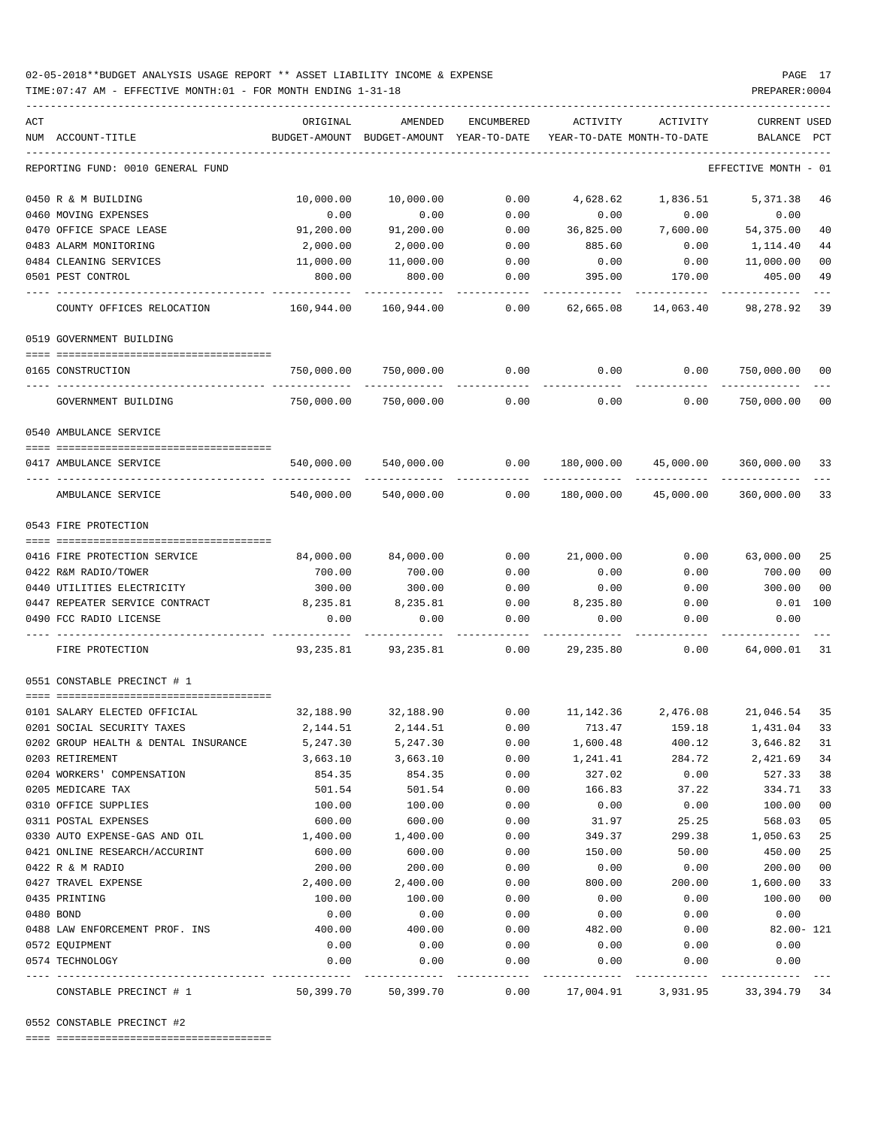### 02-05-2018\*\*BUDGET ANALYSIS USAGE REPORT \*\* ASSET LIABILITY INCOME & EXPENSE PAGE 17 TIME:07:47 AM - EFFECTIVE MONTH:01 - FOR MONTH ENDING 1-31-18 PREPARER:0004

| ACT                                  | ORIGINAL        | AMENDED                                  | ENCUMBERED   | ACTIVITY                   | ACTIVITY     | CURRENT USED             |     |
|--------------------------------------|-----------------|------------------------------------------|--------------|----------------------------|--------------|--------------------------|-----|
| NUM ACCOUNT-TITLE                    |                 | BUDGET-AMOUNT BUDGET-AMOUNT YEAR-TO-DATE |              | YEAR-TO-DATE MONTH-TO-DATE |              | BALANCE                  | PCT |
| REPORTING FUND: 0010 GENERAL FUND    |                 |                                          |              |                            |              | EFFECTIVE MONTH - 01     |     |
| 0450 R & M BUILDING                  | 10,000.00       | 10,000.00                                | 0.00         | 4,628.62                   | 1,836.51     | 5,371.38                 | 46  |
| 0460 MOVING EXPENSES                 | 0.00            | 0.00                                     | 0.00         | 0.00                       | 0.00         | 0.00                     |     |
| 0470 OFFICE SPACE LEASE              | 91,200.00       | 91,200.00                                | 0.00         | 36,825.00                  | 7,600.00     | 54,375.00                | 40  |
| 0483 ALARM MONITORING                | 2,000.00        | 2,000.00                                 | 0.00         | 885.60                     | 0.00         | 1,114.40                 | 44  |
| 0484 CLEANING SERVICES               | 11,000.00       | 11,000.00                                | 0.00         | 0.00                       | 0.00         | 11,000.00                | 00  |
| 0501 PEST CONTROL                    | 800.00          | 800.00                                   | 0.00         | 395.00                     | 170.00       | 405.00                   | 49  |
| COUNTY OFFICES RELOCATION            | 160,944.00      | 160,944.00                               | 0.00         | 62,665.08                  | 14,063.40    | 98,278.92                | 39  |
| 0519 GOVERNMENT BUILDING             |                 |                                          |              |                            |              |                          |     |
| 0165 CONSTRUCTION                    | 750,000.00      | 750,000.00                               | 0.00         | 0.00                       | 0.00         | 750,000.00               | 00  |
| GOVERNMENT BUILDING                  | .<br>750,000.00 | 750,000.00                               | 0.00         | 0.00                       | 0.00         | ----------<br>750,000.00 | 00  |
| 0540 AMBULANCE SERVICE               |                 |                                          |              |                            |              |                          |     |
|                                      |                 |                                          |              |                            |              |                          |     |
| 0417 AMBULANCE SERVICE               | 540,000.00      | 540,000.00                               | 0.00         | 180,000.00                 | 45,000.00    | 360,000.00 33            |     |
| AMBULANCE SERVICE                    | 540,000.00      | 540,000.00                               | 0.00         | 180,000.00                 | 45,000.00    | 360,000.00               | 33  |
| 0543 FIRE PROTECTION                 |                 |                                          |              |                            |              |                          |     |
|                                      |                 |                                          |              |                            |              |                          |     |
| 0416 FIRE PROTECTION SERVICE         | 84,000.00       | 84,000.00                                | 0.00         | 21,000.00                  | 0.00         | 63,000.00                | 25  |
| 0422 R&M RADIO/TOWER                 | 700.00          | 700.00                                   | 0.00         | 0.00                       | 0.00         | 700.00                   | 00  |
| 0440 UTILITIES ELECTRICITY           | 300.00          | 300.00                                   | 0.00         | 0.00                       | 0.00         | 300.00                   | 00  |
| 0447 REPEATER SERVICE CONTRACT       | 8,235.81        | 8,235.81                                 | 0.00         | 8,235.80                   | 0.00         | 0.01                     | 100 |
| 0490 FCC RADIO LICENSE               | 0.00            | 0.00                                     | 0.00         | 0.00                       | 0.00         | 0.00                     |     |
| FIRE PROTECTION                      |                 | 93, 235.81 93, 235.81                    | 0.00         | 29,235.80                  | 0.00         | 64,000.01                | 31  |
| 0551 CONSTABLE PRECINCT # 1          |                 |                                          |              |                            |              |                          |     |
| 0101 SALARY ELECTED OFFICIAL         | 32,188.90       |                                          |              |                            |              |                          |     |
| 0201 SOCIAL SECURITY TAXES           | 2,144.51        | 2,144.51                                 | 0.00         | 713.47                     | 159.18       | 1,431.04                 | 33  |
| 0202 GROUP HEALTH & DENTAL INSURANCE | 5,247.30        | 5,247.30                                 | 0.00         | 1,600.48                   | 400.12       | 3,646.82 31              |     |
| 0203 RETIREMENT                      | 3,663.10        | 3,663.10                                 | 0.00         | 1,241.41                   | 284.72       | 2,421.69                 | 34  |
| 0204 WORKERS' COMPENSATION           | 854.35          | 854.35                                   | 0.00         | 327.02                     | 0.00         | 527.33                   | 38  |
| 0205 MEDICARE TAX                    | 501.54          | 501.54                                   | 0.00         | 166.83                     | 37.22        | 334.71                   | 33  |
| 0310 OFFICE SUPPLIES                 | 100.00          | 100.00                                   | 0.00         | 0.00                       | 0.00         | 100.00                   | 00  |
| 0311 POSTAL EXPENSES                 | 600.00          | 600.00                                   | 0.00         | 31.97                      | 25.25        | 568.03                   | 05  |
| 0330 AUTO EXPENSE-GAS AND OIL        | 1,400.00        | 1,400.00                                 | 0.00         | 349.37                     | 299.38       | 1,050.63                 | 25  |
| 0421 ONLINE RESEARCH/ACCURINT        | 600.00          | 600.00                                   | 0.00         | 150.00                     | 50.00        | 450.00                   | 25  |
| 0422 R & M RADIO                     | 200.00          | 200.00                                   | 0.00         | 0.00                       | 0.00         | 200.00                   | 00  |
| 0427 TRAVEL EXPENSE                  | 2,400.00        | 2,400.00                                 | 0.00         | 800.00                     | 200.00       | 1,600.00                 | 33  |
| 0435 PRINTING                        | 100.00          | 100.00                                   | 0.00         | 0.00                       | 0.00         | 100.00                   | 00  |
| 0480 BOND                            | 0.00            | 0.00                                     | 0.00<br>0.00 | 0.00<br>482.00             | 0.00         | 0.00                     |     |
| 0488 LAW ENFORCEMENT PROF. INS       |                 |                                          |              |                            | 0.00         | $82.00 - 121$            |     |
|                                      | 400.00          | 400.00                                   |              |                            |              |                          |     |
| 0572 EQUIPMENT<br>0574 TECHNOLOGY    | 0.00<br>0.00    | 0.00<br>0.00                             | 0.00<br>0.00 | 0.00<br>0.00               | 0.00<br>0.00 | 0.00<br>0.00             |     |

0552 CONSTABLE PRECINCT #2

==== ===================================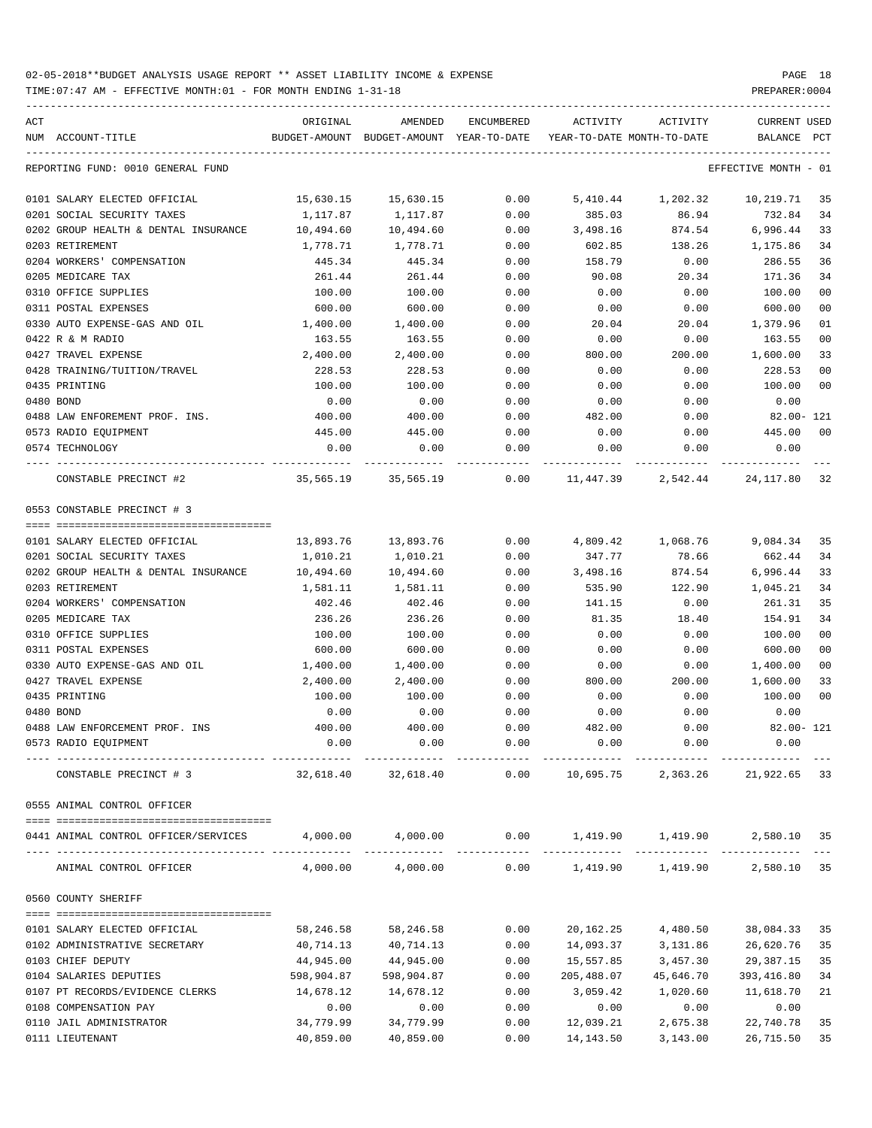| ACT | NUM ACCOUNT-TITLE                                                                             | ORIGINAL   | AMENDED<br>BUDGET-AMOUNT BUDGET-AMOUNT YEAR-TO-DATE | ENCUMBERED | ACTIVITY<br>YEAR-TO-DATE MONTH-TO-DATE | ACTIVITY                                                                  | <b>CURRENT USED</b><br>BALANCE | PCT    |
|-----|-----------------------------------------------------------------------------------------------|------------|-----------------------------------------------------|------------|----------------------------------------|---------------------------------------------------------------------------|--------------------------------|--------|
|     | REPORTING FUND: 0010 GENERAL FUND                                                             |            |                                                     |            |                                        |                                                                           | EFFECTIVE MONTH - 01           |        |
|     | 0101 SALARY ELECTED OFFICIAL                                                                  | 15,630.15  | 15,630.15                                           | 0.00       |                                        | 5,410.44 1,202.32                                                         | 10,219.71 35                   |        |
|     | 0201 SOCIAL SECURITY TAXES                                                                    | 1,117.87   | 1,117.87                                            | 0.00       | 385.03                                 | 86.94                                                                     | 732.84                         | 34     |
|     | 0202 GROUP HEALTH & DENTAL INSURANCE                                                          | 10,494.60  | 10,494.60                                           | 0.00       | 3,498.16                               | 874.54                                                                    | 6,996.44                       | 33     |
|     | 0203 RETIREMENT                                                                               | 1,778.71   | 1,778.71                                            | 0.00       | 602.85                                 | 138.26                                                                    | 1,175.86                       | 34     |
|     | 0204 WORKERS' COMPENSATION                                                                    | 445.34     | 445.34                                              | 0.00       | 158.79                                 | 0.00                                                                      | 286.55                         | 36     |
|     | 0205 MEDICARE TAX                                                                             | 261.44     | 261.44                                              | 0.00       | 90.08                                  | 20.34                                                                     | 171.36                         | 34     |
|     | 0310 OFFICE SUPPLIES                                                                          | 100.00     | 100.00                                              | 0.00       | 0.00                                   | 0.00                                                                      | 100.00                         | 00     |
|     | 0311 POSTAL EXPENSES                                                                          | 600.00     | 600.00                                              | 0.00       | 0.00                                   | 0.00                                                                      | 600.00                         | 00     |
|     | 0330 AUTO EXPENSE-GAS AND OIL                                                                 | 1,400.00   | 1,400.00                                            | 0.00       | 20.04                                  | 20.04                                                                     | 1,379.96                       | 01     |
|     | 0422 R & M RADIO                                                                              | 163.55     | 163.55                                              | 0.00       | 0.00                                   | 0.00                                                                      | 163.55                         | 00     |
|     | 0427 TRAVEL EXPENSE                                                                           | 2,400.00   | 2,400.00                                            | 0.00       | 800.00                                 | 200.00                                                                    | 1,600.00                       | 33     |
|     | 0428 TRAINING/TUITION/TRAVEL                                                                  | 228.53     | 228.53                                              | 0.00       | 0.00                                   | 0.00                                                                      | 228.53                         | 00     |
|     | 0435 PRINTING                                                                                 | 100.00     | 100.00                                              | 0.00       | 0.00                                   | 0.00                                                                      | 100.00                         | 00     |
|     | 0480 BOND                                                                                     | 0.00       | 0.00                                                | 0.00       | 0.00                                   | 0.00                                                                      | 0.00                           |        |
|     | 0488 LAW ENFOREMENT PROF. INS.                                                                | 400.00     | 400.00                                              | 0.00       | 482.00                                 | 0.00                                                                      | 82.00- 121                     |        |
|     | 0573 RADIO EQUIPMENT                                                                          | 445.00     | 445.00                                              | 0.00       | 0.00                                   | 0.00                                                                      | 445.00                         | 00     |
|     | 0574 TECHNOLOGY                                                                               | 0.00       | 0.00                                                | 0.00       | 0.00                                   | 0.00                                                                      | 0.00                           |        |
|     | CONSTABLE PRECINCT #2                                                                         |            |                                                     |            |                                        | 35,565.19   35,565.19      0.00   11,447.39    2,542.44    24,117.80   32 |                                |        |
|     | 0553 CONSTABLE PRECINCT # 3                                                                   |            |                                                     |            |                                        |                                                                           |                                |        |
|     | 0101 SALARY ELECTED OFFICIAL                                                                  | 13,893.76  | 13,893.76                                           | 0.00       |                                        | 4,809.42 1,068.76                                                         | 9,084.34                       | 35     |
|     | 0201 SOCIAL SECURITY TAXES                                                                    | 1,010.21   | 1,010.21                                            | 0.00       | 347.77                                 | 78.66                                                                     | 662.44                         | 34     |
|     | 0202 GROUP HEALTH & DENTAL INSURANCE                                                          | 10,494.60  | 10,494.60                                           | 0.00       | 3,498.16                               | 874.54                                                                    | 6,996.44                       | 33     |
|     | 0203 RETIREMENT                                                                               | 1,581.11   | 1,581.11                                            | 0.00       | 535.90                                 | 122.90                                                                    | 1,045.21                       | 34     |
|     | 0204 WORKERS' COMPENSATION                                                                    | 402.46     | 402.46                                              | 0.00       | 141.15                                 | 0.00                                                                      | 261.31                         | 35     |
|     | 0205 MEDICARE TAX                                                                             | 236.26     | 236.26                                              | 0.00       | 81.35                                  | 18.40                                                                     | 154.91                         | 34     |
|     | 0310 OFFICE SUPPLIES                                                                          | 100.00     | 100.00                                              | 0.00       | 0.00                                   | 0.00                                                                      | 100.00                         | 00     |
|     | 0311 POSTAL EXPENSES                                                                          | 600.00     | 600.00                                              | 0.00       | 0.00                                   | 0.00                                                                      | 600.00                         | 00     |
|     | 0330 AUTO EXPENSE-GAS AND OIL                                                                 | 1,400.00   | 1,400.00                                            | 0.00       | 0.00                                   | 0.00                                                                      | 1,400.00                       | 00     |
|     | 0427 TRAVEL EXPENSE                                                                           | 2,400.00   | 2,400.00                                            | 0.00       | 800.00                                 | 200.00                                                                    | 1,600.00                       | 33     |
|     | 0435 PRINTING                                                                                 | 100.00     | 100.00                                              | 0.00       | 0.00                                   | 0.00                                                                      | 100.00                         | $00\,$ |
|     | 0480 BOND                                                                                     | 0.00       | 0.00                                                | 0.00       | 0.00                                   | 0.00                                                                      | 0.00                           |        |
|     | 0488 LAW ENFORCEMENT PROF. INS                                                                | 400.00     | 400.00                                              | 0.00       | 482.00                                 | 0.00                                                                      | 82.00- 121                     |        |
|     | 0573 RADIO EQUIPMENT                                                                          | 0.00       | 0.00                                                | 0.00       | 0.00                                   | 0.00                                                                      | 0.00                           |        |
|     | CONSTABLE PRECINCT # 3                                                                        | 32,618.40  | 32,618.40                                           | 0.00       |                                        | 10,695.75 2,363.26 21,922.65 33                                           |                                |        |
|     | 0555 ANIMAL CONTROL OFFICER                                                                   |            |                                                     |            |                                        |                                                                           |                                |        |
|     | 0441 ANIMAL CONTROL OFFICER/SERVICES $4,000.00$ $4,000.00$ 0.00 1,419.90 1,419.90 2,580.10 35 |            |                                                     |            |                                        |                                                                           |                                |        |
|     | ANIMAL CONTROL OFFICER                                                                        |            |                                                     |            |                                        | $4,000.00$ $4,000.00$ $0.00$ $1,419.90$ $1,419.90$ $2,580.10$ 35          |                                |        |
|     | 0560 COUNTY SHERIFF                                                                           |            |                                                     |            |                                        |                                                                           |                                |        |
|     |                                                                                               |            |                                                     |            |                                        |                                                                           |                                |        |
|     | 0101 SALARY ELECTED OFFICIAL                                                                  | 58,246.58  | 58,246.58                                           | 0.00       | 20,162.25                              | 4,480.50                                                                  | 38,084.33                      | 35     |
|     | 0102 ADMINISTRATIVE SECRETARY                                                                 | 40,714.13  | 40,714.13                                           | 0.00       | 14,093.37                              | 3,131.86                                                                  | 26,620.76                      | 35     |
|     | 0103 CHIEF DEPUTY                                                                             | 44,945.00  | 44,945.00                                           | 0.00       | 15,557.85                              | 3,457.30                                                                  | 29,387.15                      | 35     |
|     | 0104 SALARIES DEPUTIES                                                                        | 598,904.87 | 598,904.87                                          | 0.00       | 205,488.07                             | 45,646.70                                                                 | 393,416.80                     | 34     |
|     | 0107 PT RECORDS/EVIDENCE CLERKS                                                               | 14,678.12  | 14,678.12                                           | 0.00       | 3,059.42                               | 1,020.60                                                                  | 11,618.70                      | 21     |
|     | 0108 COMPENSATION PAY                                                                         | 0.00       | 0.00                                                | 0.00       | 0.00                                   | 0.00                                                                      | 0.00                           |        |
|     | 0110 JAIL ADMINISTRATOR                                                                       | 34,779.99  | 34,779.99                                           | 0.00       | 12,039.21                              | 2,675.38                                                                  | 22,740.78                      | 35     |
|     | 0111 LIEUTENANT                                                                               | 40,859.00  | 40,859.00                                           | 0.00       | 14,143.50                              | 3,143.00                                                                  | 26,715.50                      | 35     |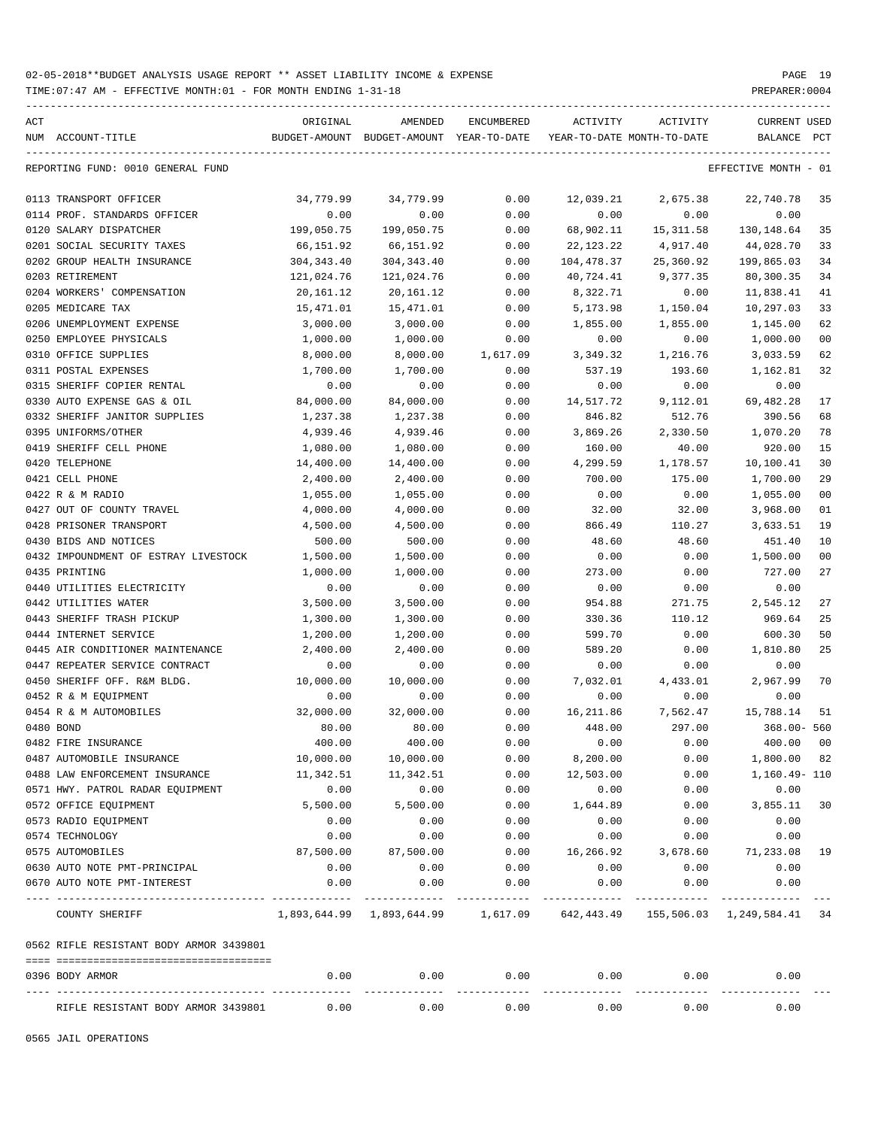TIME:07:47 AM - EFFECTIVE MONTH:01 - FOR MONTH ENDING 1-31-18 PREPARER:0004

| ACT |                                         | ORIGINAL    | AMENDED                                                                              | <b>ENCUMBERED</b> | <b>ACTIVITY</b>   | <b>ACTIVITY</b>            | <b>CURRENT USED</b>  |                |
|-----|-----------------------------------------|-------------|--------------------------------------------------------------------------------------|-------------------|-------------------|----------------------------|----------------------|----------------|
|     | NUM ACCOUNT-TITLE                       |             | BUDGET-AMOUNT BUDGET-AMOUNT YEAR-TO-DATE                                             |                   |                   | YEAR-TO-DATE MONTH-TO-DATE | BALANCE              | $_{\rm PCT}$   |
|     | REPORTING FUND: 0010 GENERAL FUND       |             |                                                                                      |                   |                   |                            | EFFECTIVE MONTH - 01 |                |
|     | 0113 TRANSPORT OFFICER                  | 34,779.99   | 34,779.99                                                                            | 0.00              | 12,039.21         | 2,675.38                   | 22,740.78            | 35             |
|     | 0114 PROF. STANDARDS OFFICER            | 0.00        | 0.00                                                                                 | 0.00              | 0.00              | 0.00                       | 0.00                 |                |
|     | 0120 SALARY DISPATCHER                  | 199,050.75  | 199,050.75                                                                           | 0.00              | 68,902.11         | 15, 311.58                 | 130,148.64           | 35             |
|     | 0201 SOCIAL SECURITY TAXES              | 66,151.92   | 66,151.92                                                                            | 0.00              | 22,123.22         | 4,917.40                   | 44,028.70            | 33             |
|     | 0202 GROUP HEALTH INSURANCE             | 304, 343.40 | 304, 343.40                                                                          | 0.00              | 104,478.37        | 25,360.92                  | 199,865.03           | 34             |
|     | 0203 RETIREMENT                         | 121,024.76  | 121,024.76                                                                           | 0.00              | 40,724.41         | 9,377.35                   | 80,300.35            | 34             |
|     | 0204 WORKERS' COMPENSATION              | 20,161.12   | 20,161.12                                                                            | 0.00              | 8,322.71          | 0.00                       | 11,838.41            | 41             |
|     | 0205 MEDICARE TAX                       | 15,471.01   | 15,471.01                                                                            | 0.00              | 5,173.98          | 1,150.04                   | 10,297.03            | 33             |
|     | 0206 UNEMPLOYMENT EXPENSE               | 3,000.00    | 3,000.00                                                                             | 0.00              | 1,855.00          | 1,855.00                   | 1,145.00             | 62             |
|     | 0250 EMPLOYEE PHYSICALS                 | 1,000.00    | 1,000.00                                                                             | 0.00              | 0.00              | 0.00                       | 1,000.00             | 0 <sub>0</sub> |
|     | 0310 OFFICE SUPPLIES                    | 8,000.00    | 8,000.00                                                                             | 1,617.09          | 3,349.32          | 1,216.76                   | 3,033.59             | 62             |
|     | 0311 POSTAL EXPENSES                    | 1,700.00    | 1,700.00                                                                             | 0.00              | 537.19            | 193.60                     | 1,162.81             | 32             |
|     | 0315 SHERIFF COPIER RENTAL              | 0.00        | 0.00                                                                                 | 0.00              | 0.00              | 0.00                       | 0.00                 |                |
|     | 0330 AUTO EXPENSE GAS & OIL             | 84,000.00   | 84,000.00                                                                            | 0.00              | 14,517.72         | 9,112.01                   | 69, 482. 28          | 17             |
|     | 0332 SHERIFF JANITOR SUPPLIES           | 1,237.38    | 1,237.38                                                                             | 0.00              | 846.82            | 512.76                     | 390.56               | 68             |
|     | 0395 UNIFORMS/OTHER                     | 4,939.46    | 4,939.46                                                                             | 0.00              | 3,869.26          | 2,330.50                   | 1,070.20             | 78             |
|     | 0419 SHERIFF CELL PHONE                 | 1,080.00    | 1,080.00                                                                             | 0.00              | 160.00            | 40.00                      | 920.00               | 15             |
|     | 0420 TELEPHONE                          | 14,400.00   | 14,400.00                                                                            | 0.00              | 4,299.59          | 1,178.57                   | 10,100.41            | 30             |
|     | 0421 CELL PHONE                         | 2,400.00    | 2,400.00                                                                             | 0.00              | 700.00            | 175.00                     | 1,700.00             | 29             |
|     | 0422 R & M RADIO                        | 1,055.00    | 1,055.00                                                                             | 0.00              | 0.00              | 0.00                       | 1,055.00             | 0 <sub>0</sub> |
|     | 0427 OUT OF COUNTY TRAVEL               | 4,000.00    | 4,000.00                                                                             | 0.00              | 32.00             | 32.00                      | 3,968.00             | 01             |
|     | 0428 PRISONER TRANSPORT                 | 4,500.00    | 4,500.00                                                                             | 0.00              | 866.49            | 110.27                     | 3,633.51             | 19             |
|     | 0430 BIDS AND NOTICES                   | 500.00      | 500.00                                                                               | 0.00              | 48.60             | 48.60                      | 451.40               | 10             |
|     | 0432 IMPOUNDMENT OF ESTRAY LIVESTOCK    | 1,500.00    | 1,500.00                                                                             | 0.00              | 0.00              | 0.00                       | 1,500.00             | 0 <sub>0</sub> |
|     | 0435 PRINTING                           | 1,000.00    | 1,000.00                                                                             | 0.00              | 273.00            | 0.00                       | 727.00               | 27             |
|     | 0440 UTILITIES ELECTRICITY              | 0.00        | 0.00                                                                                 | 0.00              | 0.00              | 0.00                       | 0.00                 |                |
|     | 0442 UTILITIES WATER                    | 3,500.00    | 3,500.00                                                                             | 0.00              | 954.88            | 271.75                     | 2,545.12             | 27             |
|     | 0443 SHERIFF TRASH PICKUP               | 1,300.00    | 1,300.00                                                                             | 0.00              | 330.36            | 110.12                     | 969.64               | 25             |
|     | 0444 INTERNET SERVICE                   | 1,200.00    | 1,200.00                                                                             | 0.00              | 599.70            | 0.00                       | 600.30               | 50             |
|     | 0445 AIR CONDITIONER MAINTENANCE        | 2,400.00    | 2,400.00                                                                             | 0.00              | 589.20            | 0.00                       | 1,810.80             | 25             |
|     | 0447 REPEATER SERVICE CONTRACT          | 0.00        | 0.00                                                                                 | 0.00              | 0.00              | 0.00                       | 0.00                 |                |
|     | 0450 SHERIFF OFF. R&M BLDG.             | 10,000.00   | 10,000.00                                                                            | 0.00              | 7,032.01          | 4,433.01                   | 2,967.99             | 70             |
|     | 0452 R & M EQUIPMENT                    | 0.00        | 0.00                                                                                 | 0.00              | 0.00              | 0.00                       | 0.00                 |                |
|     | 0454 R & M AUTOMOBILES                  | 32,000.00   | 32,000.00                                                                            | 0.00              | 16,211.86         | 7,562.47                   | 15,788.14            | 51             |
|     | 0480 BOND                               | 80.00       | 80.00                                                                                | 0.00              | 448.00            | 297.00                     | $368.00 - 560$       |                |
|     | 0482 FIRE INSURANCE                     | 400.00      | 400.00                                                                               | 0.00              | 0.00              | 0.00                       | 400.00               | 0 <sub>0</sub> |
|     | 0487 AUTOMOBILE INSURANCE               | 10,000.00   | 10,000.00                                                                            | 0.00              | 8,200.00          | 0.00                       | 1,800.00 82          |                |
|     | 0488 LAW ENFORCEMENT INSURANCE          | 11,342.51   | 11,342.51                                                                            | 0.00              | 12,503.00         | 0.00                       | 1,160.49- 110        |                |
|     | 0571 HWY. PATROL RADAR EQUIPMENT        | 0.00        | 0.00                                                                                 | 0.00              | 0.00              | 0.00                       | 0.00                 |                |
|     | 0572 OFFICE EQUIPMENT                   | 5,500.00    | 5,500.00                                                                             | 0.00              | 1,644.89          | 0.00                       | 3,855.11 30          |                |
|     | 0573 RADIO EQUIPMENT                    | 0.00        | 0.00                                                                                 | 0.00              | 0.00              | 0.00                       | 0.00                 |                |
|     | 0574 TECHNOLOGY                         | 0.00        | 0.00                                                                                 | 0.00              | 0.00              | 0.00                       | 0.00                 |                |
|     | 0575 AUTOMOBILES                        | 87,500.00   | 87,500.00                                                                            | 0.00              | 16,266.92         | 3,678.60                   | 71,233.08            | 19             |
|     | 0630 AUTO NOTE PMT-PRINCIPAL            | 0.00        | 0.00                                                                                 | 0.00              | 0.00              | 0.00                       | 0.00                 |                |
|     | 0670 AUTO NOTE PMT-INTEREST             | 0.00        | 0.00                                                                                 | 0.00              | 0.00              | 0.00                       | 0.00<br>----------   |                |
|     | COUNTY SHERIFF                          |             | $1,893,644.99$ $1,893,644.99$ $1,617.09$ $642,443.49$ $155,506.03$ $1,249,584.41$ 34 |                   |                   |                            |                      |                |
|     | 0562 RIFLE RESISTANT BODY ARMOR 3439801 |             |                                                                                      |                   |                   |                            |                      |                |
|     | 0396 BODY ARMOR                         | 0.00        | 0.00<br>----------                                                                   | 0.00<br>--------- | 0.00<br>--------- | 0.00<br>---------          | 0.00                 |                |
|     | RIFLE RESISTANT BODY ARMOR 3439801      | 0.00        | 0.00                                                                                 | 0.00              | 0.00              | 0.00                       | 0.00                 |                |

-----------------------------------------------------------------------------------------------------------------------------------

0565 JAIL OPERATIONS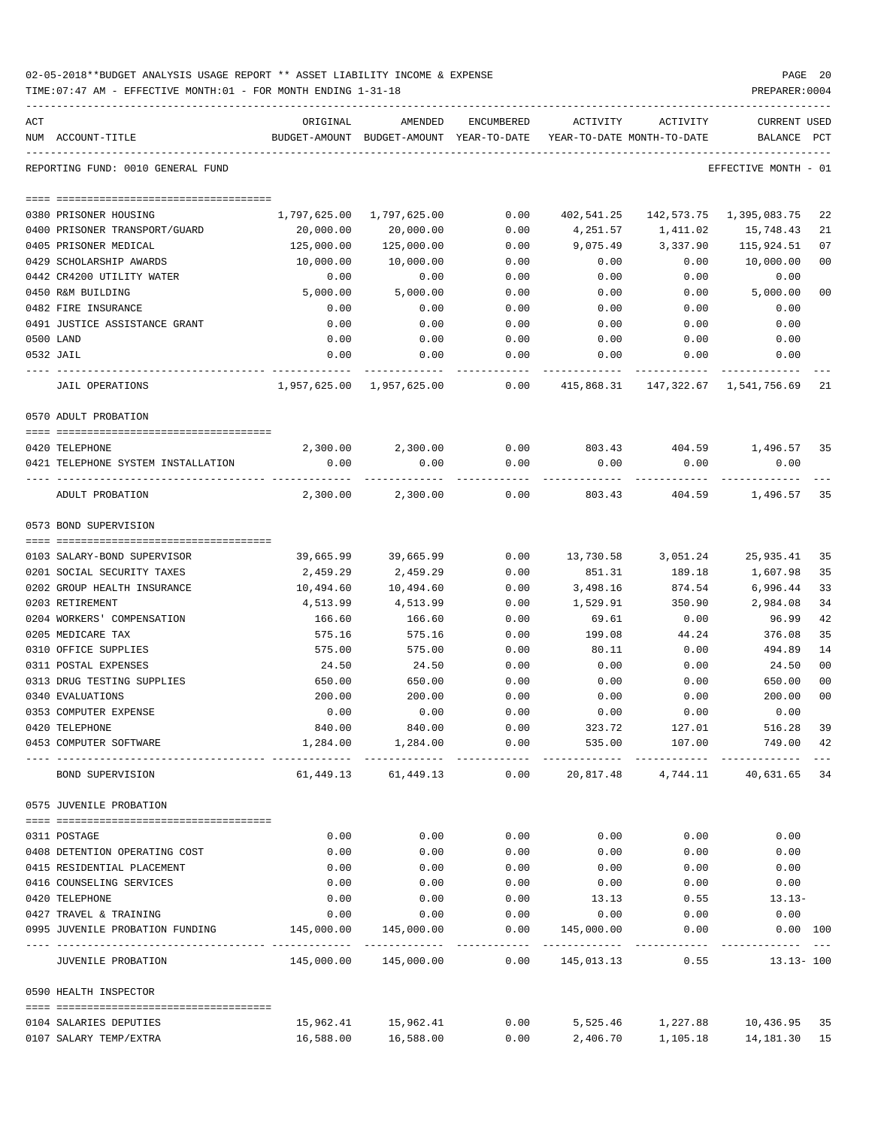| 02-05-2018**BUDGET ANALYSIS USAGE REPORT ** ASSET LIABILITY INCOME & EXPENSE | PAGE 20        |
|------------------------------------------------------------------------------|----------------|
| TIME: 07:47 AM - EFFECTIVE MONTH: 01 - FOR MONTH ENDING 1-31-18              | PREPARER: 0004 |

| ACT                                                    | ORIGINAL     | AMENDED                                                             | ENCUMBERED              | ACTIVITY                                                       | ACTIVITY                    | <b>CURRENT USED</b>       |                |
|--------------------------------------------------------|--------------|---------------------------------------------------------------------|-------------------------|----------------------------------------------------------------|-----------------------------|---------------------------|----------------|
| NUM ACCOUNT-TITLE                                      |              | BUDGET-AMOUNT BUDGET-AMOUNT YEAR-TO-DATE YEAR-TO-DATE MONTH-TO-DATE |                         |                                                                |                             | BALANCE PCT               |                |
| REPORTING FUND: 0010 GENERAL FUND                      |              |                                                                     |                         |                                                                |                             | EFFECTIVE MONTH - 01      |                |
| 0380 PRISONER HOUSING                                  | 1,797,625.00 | 1,797,625.00                                                        | 0.00                    | 402,541.25                                                     |                             | 142,573.75 1,395,083.75   | 22             |
| 0400 PRISONER TRANSPORT/GUARD                          | 20,000.00    | 20,000.00                                                           | 0.00                    | 4,251.57                                                       | 1,411.02                    | 15,748.43                 | 21             |
| 0405 PRISONER MEDICAL                                  | 125,000.00   | 125,000.00                                                          | 0.00                    | 9,075.49                                                       | 3,337.90                    | 115,924.51                | 07             |
| 0429 SCHOLARSHIP AWARDS                                | 10,000.00    | 10,000.00                                                           | 0.00                    | 0.00                                                           | 0.00                        | 10,000.00                 | 0 <sub>0</sub> |
| 0442 CR4200 UTILITY WATER                              | 0.00         | 0.00                                                                | 0.00                    | 0.00                                                           | 0.00                        | 0.00                      |                |
| 0450 R&M BUILDING                                      | 5,000.00     | 5,000.00                                                            | 0.00                    | 0.00                                                           | 0.00                        | 5,000.00                  | 0 <sup>0</sup> |
| 0482 FIRE INSURANCE                                    | 0.00         | 0.00                                                                | 0.00                    | 0.00                                                           | 0.00                        | 0.00                      |                |
| 0491 JUSTICE ASSISTANCE GRANT                          | 0.00         | 0.00                                                                | 0.00                    | 0.00                                                           | 0.00                        | 0.00                      |                |
| 0500 LAND                                              | 0.00         | 0.00                                                                | 0.00                    | 0.00                                                           | 0.00                        | 0.00                      |                |
| 0532 JAIL                                              | 0.00         | 0.00                                                                | 0.00                    | 0.00                                                           | 0.00                        | 0.00                      |                |
| JAIL OPERATIONS                                        |              | . <u>.</u>                                                          | ---------               | -----------<br>$0.00$ $415,868.31$ $147,322.67$ $1,541,756.69$ | -------------               |                           | 21             |
| 0570 ADULT PROBATION                                   |              |                                                                     |                         |                                                                |                             |                           |                |
|                                                        |              |                                                                     |                         |                                                                |                             |                           |                |
| 0420 TELEPHONE                                         |              | 2,300.00 2,300.00 0.00 803.43 404.59 1,496.57                       |                         |                                                                |                             |                           | 35             |
| 0421 TELEPHONE SYSTEM INSTALLATION                     | 0.00         | 0.00                                                                | 0.00                    | 0.00                                                           | 0.00                        | 0.00                      |                |
| ADULT PROBATION                                        |              | 2,300.00 2,300.00                                                   | 0.00                    |                                                                |                             | 803.43 404.59 1,496.57 35 |                |
| 0573 BOND SUPERVISION                                  |              |                                                                     |                         |                                                                |                             |                           |                |
|                                                        |              |                                                                     |                         |                                                                |                             |                           |                |
| 0103 SALARY-BOND SUPERVISOR                            | 39,665.99    | 39,665.99                                                           | 0.00                    |                                                                | 13,730.58 3,051.24          | 25,935.41                 | 35             |
| 0201 SOCIAL SECURITY TAXES                             | 2,459.29     | 2,459.29                                                            | 0.00                    | 851.31                                                         | 189.18                      | 1,607.98                  | 35             |
| 0202 GROUP HEALTH INSURANCE                            | 10,494.60    | 10,494.60                                                           | 0.00                    | 3,498.16                                                       | 874.54                      | 6,996.44                  | 33             |
| 0203 RETIREMENT                                        | 4,513.99     | 4,513.99                                                            | 0.00                    | 1,529.91                                                       | 350.90                      | 2,984.08                  | 34             |
| 0204 WORKERS' COMPENSATION                             | 166.60       | 166.60                                                              | 0.00                    | 69.61                                                          | 0.00                        | 96.99                     | 42             |
| 0205 MEDICARE TAX                                      | 575.16       | 575.16                                                              | 0.00                    | 199.08                                                         | 44.24                       | 376.08                    | 35             |
| 0310 OFFICE SUPPLIES                                   | 575.00       | 575.00                                                              | 0.00                    | 80.11                                                          | 0.00                        | 494.89                    | 14             |
| 0311 POSTAL EXPENSES                                   | 24.50        | 24.50                                                               | 0.00                    | 0.00                                                           | 0.00                        | 24.50                     | 0 <sub>0</sub> |
| 0313 DRUG TESTING SUPPLIES                             | 650.00       | 650.00                                                              | 0.00                    | 0.00                                                           | 0.00                        | 650.00                    | 0 <sup>0</sup> |
| 0340 EVALUATIONS                                       | 200.00       | 200.00                                                              | 0.00                    | 0.00                                                           | 0.00                        | 200.00                    | 0 <sub>0</sub> |
| 0353 COMPUTER EXPENSE                                  | 0.00         | 0.00                                                                | 0.00                    | 0.00                                                           | 0.00                        | 0.00                      |                |
| 0420 TELEPHONE                                         | 840.00       | 840.00                                                              | 0.00                    | 323.72                                                         | 127.01                      | 516.28                    | 39             |
| 0453 COMPUTER SOFTWARE                                 |              | 1,284.00 1,284.00                                                   | . _ _ _ _ _ _ _ _ _ _ _ | $0.00$ 535.00 107.00                                           |                             | 749.00 42                 |                |
| BOND SUPERVISION                                       |              | 61,449.13 61,449.13                                                 |                         | $0.00$ 20,817.48 $4,744.11$ 40,631.65 34                       |                             |                           |                |
| 0575 JUVENILE PROBATION                                |              |                                                                     |                         |                                                                |                             |                           |                |
| 0311 POSTAGE                                           |              | 0.00                                                                | 0.00                    | 0.00                                                           |                             | 0.00                      |                |
| 0408 DETENTION OPERATING COST                          | 0.00         |                                                                     |                         |                                                                | 0.00                        |                           |                |
|                                                        | 0.00         | 0.00                                                                | 0.00<br>0.00            | 0.00                                                           | 0.00                        | 0.00                      |                |
| 0415 RESIDENTIAL PLACEMENT<br>0416 COUNSELING SERVICES | 0.00<br>0.00 | 0.00<br>0.00                                                        |                         | 0.00<br>0.00                                                   | 0.00<br>0.00                | 0.00                      |                |
| 0420 TELEPHONE                                         | 0.00         | 0.00                                                                | 0.00<br>0.00            | 13.13                                                          |                             | 0.00                      |                |
| 0427 TRAVEL & TRAINING                                 | 0.00         | 0.00                                                                | 0.00                    |                                                                |                             | $0.55$ 13.13-<br>0.00     |                |
| 0995 JUVENILE PROBATION FUNDING 145,000.00             |              | 145,000.00                                                          | 0.00                    | 145,000.00                                                     | $0.00$ 0.00<br>0.00         | $0.00$ 100                |                |
|                                                        |              |                                                                     |                         |                                                                | ------------- ------------- | ----------- ---           |                |
| JUVENILE PROBATION                                     |              | $145,000.00$ $145,000.00$ $0.00$ $145,013.13$ $0.55$ $13.13-100$    |                         |                                                                |                             |                           |                |
| 0590 HEALTH INSPECTOR                                  |              |                                                                     |                         |                                                                |                             |                           |                |
| 0104 SALARIES DEPUTIES                                 |              | $15,962.41$ $15,962.41$ $0.00$ $5,525.46$ $1,227.88$ $10,436.95$ 35 |                         |                                                                |                             |                           |                |
|                                                        |              |                                                                     |                         |                                                                |                             |                           |                |

0107 SALARY TEMP/EXTRA 16,588.00 16,588.00 0.00 2,406.70 1,105.18 14,181.30 15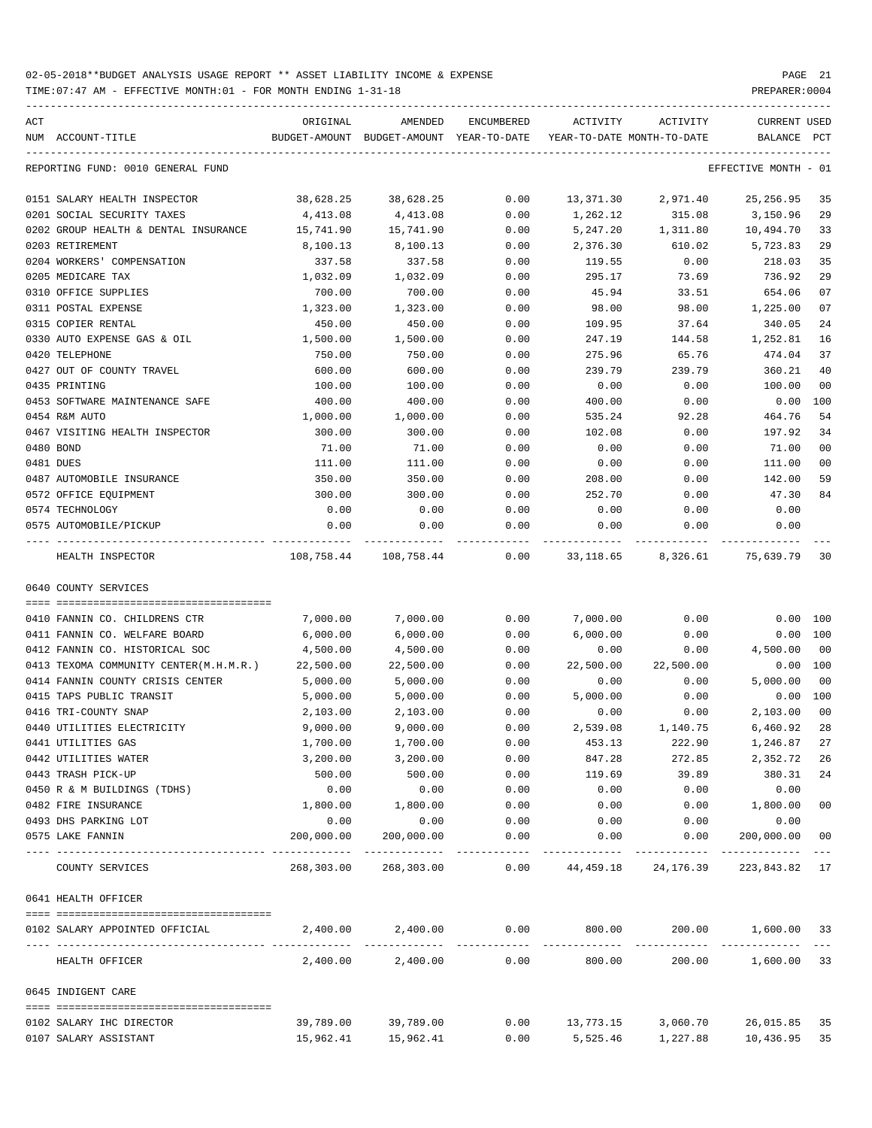| ACT | NUM ACCOUNT-TITLE                             | ORIGINAL             | AMENDED<br>BUDGET-AMOUNT BUDGET-AMOUNT YEAR-TO-DATE | ENCUMBERED   |                     | ACTIVITY ACTIVITY<br>YEAR-TO-DATE MONTH-TO-DATE | CURRENT USED<br>BALANCE PCT |                |
|-----|-----------------------------------------------|----------------------|-----------------------------------------------------|--------------|---------------------|-------------------------------------------------|-----------------------------|----------------|
|     | REPORTING FUND: 0010 GENERAL FUND             |                      |                                                     |              |                     |                                                 | EFFECTIVE MONTH - 01        |                |
|     | 0151 SALARY HEALTH INSPECTOR                  | 38,628.25            | 38,628.25                                           | 0.00         | 13,371.30           | 2,971.40                                        | 25, 256.95                  | 35             |
|     | 0201 SOCIAL SECURITY TAXES                    | 4,413.08             | 4,413.08                                            | 0.00         | 1,262.12            | 315.08                                          | 3,150.96                    | 29             |
|     | 0202 GROUP HEALTH & DENTAL INSURANCE          | 15,741.90            | 15,741.90                                           | 0.00         | 5,247.20            | 1,311.80                                        | 10,494.70                   | 33             |
|     | 0203 RETIREMENT                               | 8,100.13             | 8,100.13                                            | 0.00         | 2,376.30            | 610.02                                          | 5,723.83                    | 29             |
|     | 0204 WORKERS' COMPENSATION                    | 337.58               | 337.58                                              | 0.00         | 119.55              | 0.00                                            | 218.03                      | 35             |
|     | 0205 MEDICARE TAX                             | 1,032.09             | 1,032.09                                            | 0.00         | 295.17              | 73.69                                           | 736.92                      | 29             |
|     | 0310 OFFICE SUPPLIES                          | 700.00               | 700.00                                              | 0.00         | 45.94               | 33.51                                           | 654.06                      | 07             |
|     | 0311 POSTAL EXPENSE                           | 1,323.00             | 1,323.00                                            | 0.00         | 98.00               | 98.00                                           | 1,225.00                    | 07             |
|     | 0315 COPIER RENTAL                            | 450.00               | 450.00                                              | 0.00         | 109.95              | 37.64                                           | 340.05                      | 24             |
|     | 0330 AUTO EXPENSE GAS & OIL                   | 1,500.00             | 1,500.00                                            | 0.00         | 247.19              | 144.58                                          | 1,252.81                    | 16             |
|     | 0420 TELEPHONE                                | 750.00               | 750.00                                              | 0.00         | 275.96              | 65.76                                           | 474.04                      | 37             |
|     | 0427 OUT OF COUNTY TRAVEL                     | 600.00               | 600.00                                              | 0.00         | 239.79              | 239.79                                          | 360.21                      | 40             |
|     | 0435 PRINTING                                 | 100.00               | 100.00                                              | 0.00         | 0.00                | 0.00                                            | 100.00                      | 0 <sub>0</sub> |
|     | 0453 SOFTWARE MAINTENANCE SAFE                | 400.00               | 400.00                                              | 0.00         | 400.00              | 0.00                                            | 0.00                        | 100            |
|     | 0454 R&M AUTO                                 | 1,000.00             | 1,000.00                                            | 0.00         | 535.24              | 92.28                                           | 464.76                      | 54             |
|     | 0467 VISITING HEALTH INSPECTOR                | 300.00               | 300.00                                              | 0.00         | 102.08              | 0.00                                            | 197.92                      | 34             |
|     | 0480 BOND                                     | 71.00                | 71.00                                               | 0.00         | 0.00                | 0.00                                            | 71.00                       | 0 <sub>0</sub> |
|     | 0481 DUES                                     | 111.00               | 111.00                                              | 0.00         | 0.00                | 0.00                                            | 111.00                      | 0 <sub>0</sub> |
|     | 0487 AUTOMOBILE INSURANCE                     | 350.00               | 350.00                                              | 0.00         | 208.00              | 0.00                                            | 142.00                      | 59             |
|     | 0572 OFFICE EQUIPMENT                         | 300.00               | 300.00                                              | 0.00         | 252.70              | 0.00                                            | 47.30                       | 84             |
|     | 0574 TECHNOLOGY                               | 0.00                 | 0.00                                                | 0.00         | 0.00                | 0.00                                            | 0.00                        |                |
|     | 0575 AUTOMOBILE/PICKUP<br>----- ------------- | 0.00                 | 0.00                                                | 0.00         | 0.00<br>----------- | 0.00                                            | 0.00                        |                |
|     | HEALTH INSPECTOR                              |                      | 108,758.44 108,758.44                               |              |                     | $0.00$ 33,118.65 8,326.61 75,639.79             |                             | 30             |
|     | 0640 COUNTY SERVICES                          |                      |                                                     |              |                     |                                                 |                             |                |
|     |                                               |                      |                                                     |              |                     |                                                 |                             |                |
|     | 0410 FANNIN CO. CHILDRENS CTR                 | 7,000.00             | 7,000.00                                            | 0.00         | 7,000.00            | 0.00                                            | $0.00$ 100                  |                |
|     | 0411 FANNIN CO. WELFARE BOARD                 | 6,000.00             | 6,000.00                                            | 0.00         | 6,000.00            | 0.00                                            | 0.00 100                    |                |
|     | 0412 FANNIN CO. HISTORICAL SOC                | 4,500.00             | 4,500.00                                            | 0.00         | 0.00                | 0.00                                            | 4,500.00                    | 0 <sub>0</sub> |
|     | 0413 TEXOMA COMMUNITY CENTER (M.H.M.R.)       | 22,500.00            | 22,500.00                                           | 0.00         | 22,500.00           | 22,500.00                                       | 0.00 100                    |                |
|     | 0414 FANNIN COUNTY CRISIS CENTER              | 5,000.00             | 5,000.00                                            | 0.00         | 0.00                | 0.00                                            | 5,000.00                    | 0 <sub>0</sub> |
|     | 0415 TAPS PUBLIC TRANSIT                      | 5,000.00             | 5,000.00                                            | 0.00         | 5,000.00            | 0.00                                            | 0.00 100                    |                |
|     | 0416 TRI-COUNTY SNAP                          | 2,103.00<br>9,000.00 | 2,103.00                                            | 0.00         | 0.00                | 0.00                                            | 2,103.00                    | 0 <sub>0</sub> |
|     | 0440 UTILITIES ELECTRICITY                    | 1,700.00             | 9,000.00                                            | 0.00         | 2,539.08<br>453.13  | 1,140.75                                        | 6,460.92<br>1,246.87        | 28<br>27       |
|     | 0441 UTILITIES GAS<br>0442 UTILITIES WATER    | 3,200.00             | 1,700.00<br>3,200.00                                | 0.00<br>0.00 | 847.28              | 222.90<br>272.85                                | 2,352.72                    | 26             |
|     | 0443 TRASH PICK-UP                            | 500.00               | 500.00                                              | 0.00         | 119.69              | 39.89                                           | 380.31                      | 24             |
|     | 0450 R & M BUILDINGS (TDHS)                   | 0.00                 | 0.00                                                | 0.00         | 0.00                | 0.00                                            | 0.00                        |                |
|     | 0482 FIRE INSURANCE                           | 1,800.00             | 1,800.00                                            | 0.00         | 0.00                | 0.00                                            | 1,800.00                    | 0 <sub>0</sub> |
|     | 0493 DHS PARKING LOT                          | 0.00                 | 0.00                                                | 0.00         | 0.00                | 0.00                                            | 0.00                        |                |
|     | 0575 LAKE FANNIN                              | 200,000.00           | 200,000.00                                          | 0.00         | 0.00                | 0.00                                            | 200,000.00                  | 0 <sub>0</sub> |
|     | COUNTY SERVICES                               |                      | 268,303.00 268,303.00                               |              |                     | $0.00$ 44,459.18 24,176.39 223,843.82 17        |                             |                |
|     | 0641 HEALTH OFFICER                           |                      |                                                     |              |                     |                                                 |                             |                |
|     | 0102 SALARY APPOINTED OFFICIAL                |                      | $2,400.00$ $2,400.00$ $0.00$ $800.00$               |              |                     |                                                 | 200.00 1,600.00 33          |                |
|     | HEALTH OFFICER                                |                      | 2,400.00 2,400.00                                   |              | 0.00<br>800.00      |                                                 | 200.00 1,600.00             | 33             |
|     | 0645 INDIGENT CARE                            |                      |                                                     |              |                     |                                                 |                             |                |
|     |                                               |                      |                                                     |              |                     |                                                 |                             |                |
|     | 0102 SALARY IHC DIRECTOR                      |                      | 39,789.00 39,789.00                                 |              |                     | $0.00$ 13,773.15 3,060.70 26,015.85             |                             | 35             |
|     | 0107 SALARY ASSISTANT                         |                      | 15,962.41 15,962.41                                 |              |                     | $0.00$ 5,525.46 1,227.88 10,436.95              |                             | 35             |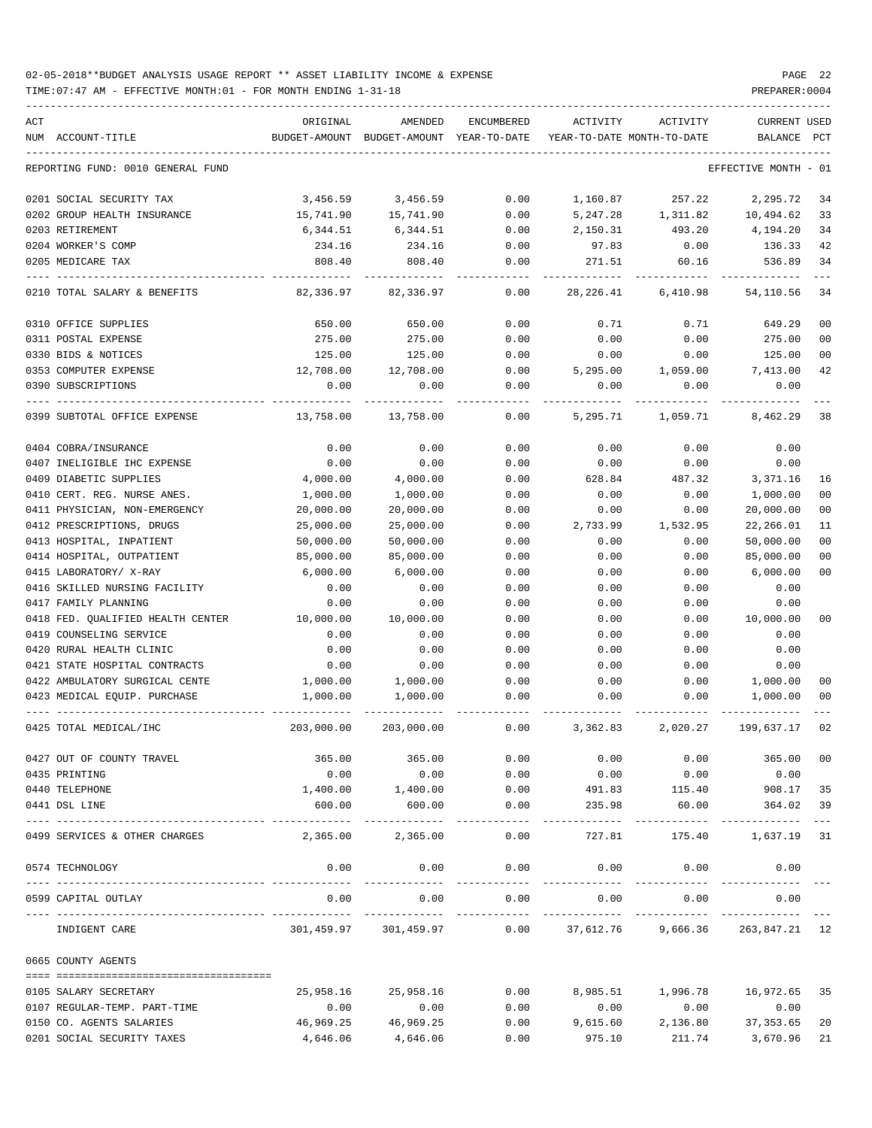TIME:07:47 AM - EFFECTIVE MONTH:01 - FOR MONTH ENDING 1-31-18 PREPARER:0004

| ACT |                                   | ORIGINAL   | AMENDED                                  | ENCUMBERED           | ACTIVITY              | ACTIVITY                   | <b>CURRENT USED</b>                                         |                |
|-----|-----------------------------------|------------|------------------------------------------|----------------------|-----------------------|----------------------------|-------------------------------------------------------------|----------------|
|     | NUM ACCOUNT-TITLE                 |            | BUDGET-AMOUNT BUDGET-AMOUNT YEAR-TO-DATE |                      |                       | YEAR-TO-DATE MONTH-TO-DATE | BALANCE PCT                                                 |                |
|     | REPORTING FUND: 0010 GENERAL FUND |            |                                          |                      |                       |                            | EFFECTIVE MONTH - 01                                        |                |
|     | 0201 SOCIAL SECURITY TAX          | 3,456.59   | 3,456.59                                 | 0.00                 | 1,160.87              | 257.22                     | 2,295.72                                                    | 34             |
|     | 0202 GROUP HEALTH INSURANCE       | 15,741.90  | 15,741.90                                | 0.00                 | 5,247.28              | 1,311.82                   | 10,494.62                                                   | 33             |
|     | 0203 RETIREMENT                   | 6,344.51   | 6,344.51                                 | 0.00                 | 2,150.31              | 493.20                     | 4,194.20                                                    | 34             |
|     | 0204 WORKER'S COMP                | 234.16     | 234.16                                   | 0.00                 | 97.83                 | 0.00                       | 136.33                                                      | 42             |
|     | 0205 MEDICARE TAX                 | 808.40     | 808.40                                   | 0.00                 | 271.51                | 60.16                      | 536.89                                                      | 34             |
|     | 0210 TOTAL SALARY & BENEFITS      | 82,336.97  | 82,336.97                                | 0.00                 | 28,226.41             | 6,410.98                   | 54,110.56                                                   | 34             |
|     | 0310 OFFICE SUPPLIES              | 650.00     | 650.00                                   | 0.00                 | 0.71                  | 0.71                       | 649.29                                                      | 00             |
|     | 0311 POSTAL EXPENSE               | 275.00     | 275.00                                   | 0.00                 | 0.00                  | 0.00                       | 275.00                                                      | 0 <sub>0</sub> |
|     | 0330 BIDS & NOTICES               | 125.00     | 125.00                                   | 0.00                 | 0.00                  | 0.00                       | 125.00                                                      | 0 <sub>0</sub> |
|     | 0353 COMPUTER EXPENSE             | 12,708.00  | 12,708.00                                | 0.00                 | 5,295.00              | 1,059.00                   | 7,413.00                                                    | 42             |
|     | 0390 SUBSCRIPTIONS                | 0.00       | 0.00                                     | 0.00                 | 0.00                  | 0.00                       | 0.00                                                        |                |
|     | 0399 SUBTOTAL OFFICE EXPENSE      | 13,758.00  | 13,758.00                                | 0.00                 | 5,295.71              | 1,059.71                   | 8,462.29                                                    | 38             |
|     | 0404 COBRA/INSURANCE              | 0.00       | 0.00                                     | 0.00                 | 0.00                  | 0.00                       | 0.00                                                        |                |
|     | 0407 INELIGIBLE IHC EXPENSE       | 0.00       | 0.00                                     | 0.00                 | 0.00                  | 0.00                       | 0.00                                                        |                |
|     | 0409 DIABETIC SUPPLIES            | 4,000.00   | 4,000.00                                 | 0.00                 | 628.84                | 487.32                     | 3,371.16                                                    | 16             |
|     | 0410 CERT. REG. NURSE ANES.       | 1,000.00   | 1,000.00                                 | 0.00                 | 0.00                  | 0.00                       | 1,000.00                                                    | 00             |
|     | 0411 PHYSICIAN, NON-EMERGENCY     | 20,000.00  | 20,000.00                                | 0.00                 | 0.00                  | 0.00                       | 20,000.00                                                   | 0 <sub>0</sub> |
|     | 0412 PRESCRIPTIONS, DRUGS         | 25,000.00  | 25,000.00                                | 0.00                 | 2,733.99              | 1,532.95                   | 22,266.01                                                   | 11             |
|     | 0413 HOSPITAL, INPATIENT          | 50,000.00  | 50,000.00                                | 0.00                 | 0.00                  | 0.00                       | 50,000.00                                                   | 0 <sub>0</sub> |
|     | 0414 HOSPITAL, OUTPATIENT         | 85,000.00  | 85,000.00                                | 0.00                 | 0.00                  | 0.00                       | 85,000.00                                                   | 0 <sub>0</sub> |
|     | 0415 LABORATORY/ X-RAY            | 6,000.00   | 6,000.00                                 | 0.00                 | 0.00                  | 0.00                       | 6,000.00                                                    | 0 <sub>0</sub> |
|     | 0416 SKILLED NURSING FACILITY     | 0.00       | 0.00                                     | 0.00                 | 0.00                  | 0.00                       | 0.00                                                        |                |
|     | 0417 FAMILY PLANNING              | 0.00       | 0.00                                     | 0.00                 | 0.00                  | 0.00                       | 0.00                                                        |                |
|     | 0418 FED. QUALIFIED HEALTH CENTER | 10,000.00  | 10,000.00                                | 0.00                 | 0.00                  | 0.00                       | 10,000.00                                                   | 0 <sub>0</sub> |
|     | 0419 COUNSELING SERVICE           | 0.00       | 0.00                                     | 0.00                 | 0.00                  | 0.00                       | 0.00                                                        |                |
|     | 0420 RURAL HEALTH CLINIC          | 0.00       | 0.00                                     | 0.00                 | 0.00                  | 0.00                       | 0.00                                                        |                |
|     | 0421 STATE HOSPITAL CONTRACTS     | 0.00       | 0.00                                     | 0.00                 | 0.00                  | 0.00                       | 0.00                                                        |                |
|     | 0422 AMBULATORY SURGICAL CENTE    | 1,000.00   | 1,000.00                                 | 0.00                 | 0.00                  | 0.00                       | 1,000.00                                                    | 00             |
|     | 0423 MEDICAL EQUIP. PURCHASE      | 1,000.00   | 1,000.00                                 | 0.00                 | 0.00                  | 0.00                       | 1,000.00                                                    | 0 <sub>0</sub> |
|     | 0425 TOTAL MEDICAL/IHC            | 203,000.00 | 203,000.00                               | 0.00                 | 3,362.83              | 2,020.27                   | 199,637.17                                                  | 02             |
|     | 0427 OUT OF COUNTY TRAVEL         | 365.00     | 365.00                                   | 0.00                 | 0.00                  | 0.00                       | 365.00                                                      | 00             |
|     | 0435 PRINTING                     | 0.00       | 0.00                                     | 0.00                 | 0.00                  | 0.00                       | 0.00                                                        |                |
|     | 0440 TELEPHONE                    | 1,400.00   | 1,400.00                                 | 0.00                 | 491.83                | 115.40                     | 908.17                                                      | 35             |
|     | 0441 DSL LINE                     | 600.00     | 600.00                                   | 0.00                 | 235.98                | 60.00                      | 364.02                                                      | 39             |
|     | 0499 SERVICES & OTHER CHARGES     | 2,365.00   | -----------<br>2,365.00                  | -----------<br>0.00  | --------<br>727.81    | ------------<br>175.40     | --------------<br>1,637.19                                  | $---$<br>31    |
|     | 0574 TECHNOLOGY                   | 0.00       | 0.00<br>-------------                    | 0.00<br>------------ | 0.00<br>------------- | 0.00<br>------------       | 0.00                                                        |                |
|     | 0599 CAPITAL OUTLAY               | 0.00       | 0.00                                     | 0.00                 | 0.00                  | 0.00                       | 0.00                                                        |                |
|     | INDIGENT CARE                     |            |                                          |                      |                       |                            | 301,459.97 301,459.97 0.00 37,612.76 9,666.36 263,847.21 12 |                |
|     | 0665 COUNTY AGENTS                |            |                                          |                      |                       |                            |                                                             |                |
|     |                                   |            |                                          |                      |                       |                            |                                                             |                |
|     | 0105 SALARY SECRETARY             | 25,958.16  | 25,958.16                                | 0.00                 | 8,985.51              | 1,996.78                   | 16,972.65                                                   | 35             |
|     | 0107 REGULAR-TEMP. PART-TIME      | 0.00       | 0.00                                     | 0.00                 | 0.00                  | 0.00                       | 0.00                                                        |                |
|     | 0150 CO. AGENTS SALARIES          | 46,969.25  | 46,969.25                                | 0.00                 | 9,615.60              | 2,136.80                   | 37, 353.65                                                  | 20             |
|     | 0201 SOCIAL SECURITY TAXES        | 4,646.06   | 4,646.06                                 | 0.00                 | 975.10                | 211.74                     | 3,670.96                                                    | 21             |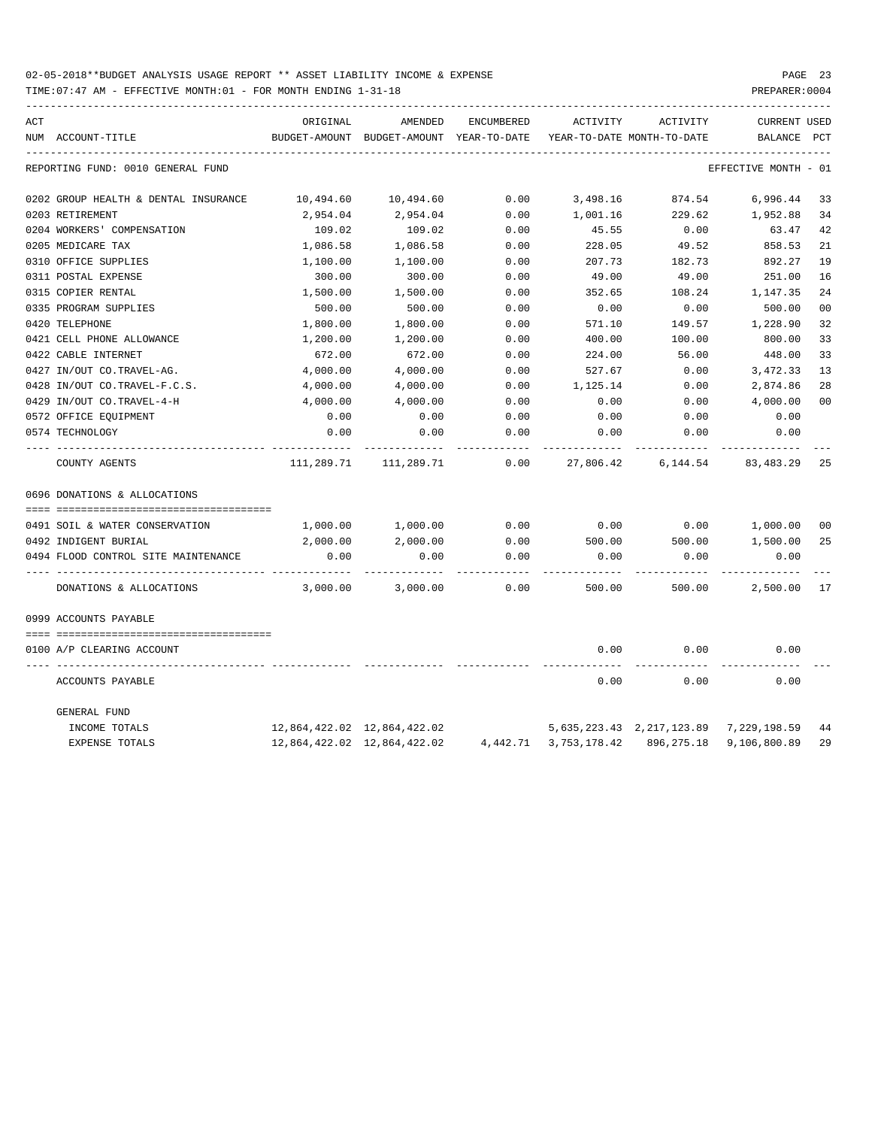| ACT |                                      | ORIGINAL      | AMENDED                     | ENCUMBERED | ACTIVITY              | ACTIVITY                               | <b>CURRENT USED</b>        |     |
|-----|--------------------------------------|---------------|-----------------------------|------------|-----------------------|----------------------------------------|----------------------------|-----|
|     | NUM ACCOUNT-TITLE                    | BUDGET-AMOUNT | BUDGET-AMOUNT YEAR-TO-DATE  |            |                       | YEAR-TO-DATE MONTH-TO-DATE             | BALANCE                    | PCT |
|     | REPORTING FUND: 0010 GENERAL FUND    |               |                             |            |                       |                                        | EFFECTIVE MONTH - 01       |     |
|     | 0202 GROUP HEALTH & DENTAL INSURANCE | 10,494.60     | 10,494.60                   | 0.00       | 3,498.16              | 874.54                                 | 6,996.44                   | 33  |
|     | 0203 RETIREMENT                      | 2,954.04      | 2,954.04                    | 0.00       | 1,001.16              | 229.62                                 | 1,952.88                   | 34  |
|     | 0204 WORKERS' COMPENSATION           | 109.02        | 109.02                      | 0.00       | 45.55                 | 0.00                                   | 63.47                      | 42  |
|     | 0205 MEDICARE TAX                    | 1,086.58      | 1,086.58                    | 0.00       | 228.05                | 49.52                                  | 858.53                     | 21  |
|     | 0310 OFFICE SUPPLIES                 | 1,100.00      | 1,100.00                    | 0.00       | 207.73                | 182.73                                 | 892.27                     | 19  |
|     | 0311 POSTAL EXPENSE                  | 300.00        | 300.00                      | 0.00       | 49.00                 | 49.00                                  | 251.00                     | 16  |
|     | 0315 COPIER RENTAL                   | 1,500.00      | 1,500.00                    | 0.00       | 352.65                | 108.24                                 | 1,147.35                   | 24  |
|     | 0335 PROGRAM SUPPLIES                | 500.00        | 500.00                      | 0.00       | 0.00                  | 0.00                                   | 500.00                     | 00  |
|     | 0420 TELEPHONE                       | 1,800.00      | 1,800.00                    | 0.00       | 571.10                | 149.57                                 | 1,228.90                   | 32  |
|     | 0421 CELL PHONE ALLOWANCE            | 1,200.00      | 1,200.00                    | 0.00       | 400.00                | 100.00                                 | 800.00                     | 33  |
|     | 0422 CABLE INTERNET                  | 672.00        | 672.00                      | 0.00       | 224.00                | 56.00                                  | 448.00                     | 33  |
|     | 0427 IN/OUT CO.TRAVEL-AG.            | 4,000.00      | 4,000.00                    | 0.00       | 527.67                | 0.00                                   | 3,472.33                   | 13  |
|     | 0428 IN/OUT CO.TRAVEL-F.C.S.         | 4,000.00      | 4,000.00                    | 0.00       | 1,125.14              | 0.00                                   | 2,874.86                   | 28  |
|     | 0429 IN/OUT CO.TRAVEL-4-H            | 4,000.00      | 4,000.00                    | 0.00       | 0.00                  | 0.00                                   | 4,000.00                   | 00  |
|     | 0572 OFFICE EQUIPMENT                | 0.00          | 0.00                        | 0.00       | 0.00                  | 0.00                                   | 0.00                       |     |
|     | 0574 TECHNOLOGY                      | 0.00          | 0.00                        | 0.00       | 0.00                  | 0.00                                   | 0.00                       |     |
|     | COUNTY AGENTS                        | 111,289.71    | 111,289.71                  | 0.00       | 27,806.42             | 6,144.54                               | 83,483.29                  | 25  |
|     | 0696 DONATIONS & ALLOCATIONS         |               |                             |            |                       |                                        |                            |     |
|     |                                      |               |                             |            |                       |                                        |                            |     |
|     | 0491 SOIL & WATER CONSERVATION       | 1,000.00      | 1,000.00                    | 0.00       | 0.00                  | 0.00                                   | 1,000.00                   | 00  |
|     | 0492 INDIGENT BURIAL                 | 2,000.00      | 2,000.00                    | 0.00       | 500.00                | 500.00                                 | 1,500.00                   | 25  |
|     | 0494 FLOOD CONTROL SITE MAINTENANCE  | 0.00          | 0.00                        | 0.00       | 0.00                  | 0.00                                   | 0.00                       |     |
|     | DONATIONS & ALLOCATIONS              | 3,000.00      | 3,000.00                    | 0.00       | 500.00                | 500.00                                 | 2,500.00 17                |     |
|     | 0999 ACCOUNTS PAYABLE                |               |                             |            |                       |                                        |                            |     |
|     | 0100 A/P CLEARING ACCOUNT            |               |                             |            | 0.00                  | 0.00                                   | 0.00                       |     |
|     |                                      |               |                             |            |                       |                                        |                            |     |
|     | ACCOUNTS PAYABLE                     |               |                             |            | 0.00                  | 0.00                                   | 0.00                       |     |
|     | GENERAL FUND                         |               |                             |            |                       |                                        |                            |     |
|     | INCOME TOTALS                        |               | 12,864,422.02 12,864,422.02 |            |                       | 5,635,223.43 2,217,123.89 7,229,198.59 |                            | 44  |
|     | <b>EXPENSE TOTALS</b>                |               | 12,864,422.02 12,864,422.02 |            | 4,442.71 3,753,178.42 |                                        | 896, 275.18 9, 106, 800.89 | 29  |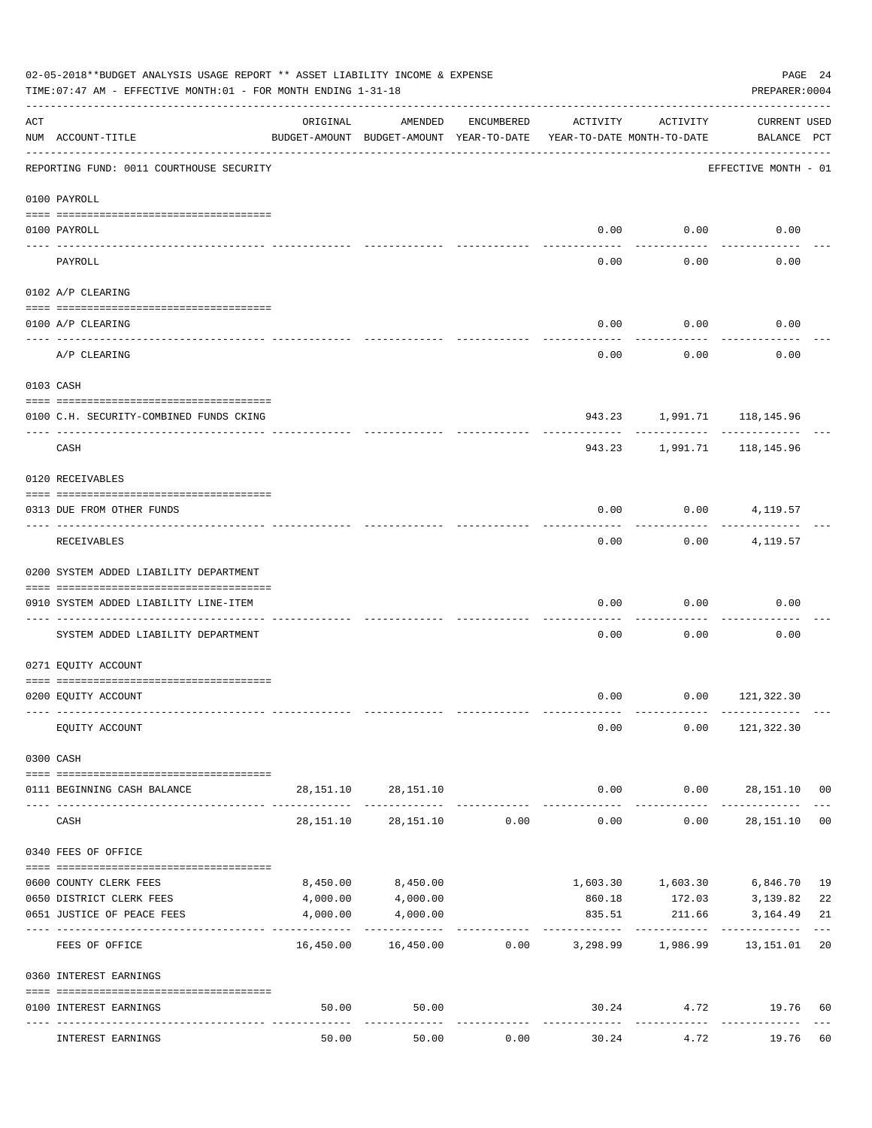|     | 02-05-2018**BUDGET ANALYSIS USAGE REPORT ** ASSET LIABILITY INCOME & EXPENSE<br>PAGE 24<br>TIME: 07:47 AM - EFFECTIVE MONTH: 01 - FOR MONTH ENDING 1-31-18<br>PREPARER: 0004 |           |                                                           |            |                                        |                     |                                    |    |  |
|-----|------------------------------------------------------------------------------------------------------------------------------------------------------------------------------|-----------|-----------------------------------------------------------|------------|----------------------------------------|---------------------|------------------------------------|----|--|
| ACT | NUM ACCOUNT-TITLE                                                                                                                                                            | ORIGINAL  | AMENDED<br>BUDGET-AMOUNT BUDGET-AMOUNT YEAR-TO-DATE       | ENCUMBERED | ACTIVITY<br>YEAR-TO-DATE MONTH-TO-DATE | ACTIVITY            | <b>CURRENT USED</b><br>BALANCE PCT |    |  |
|     | REPORTING FUND: 0011 COURTHOUSE SECURITY                                                                                                                                     |           |                                                           |            |                                        |                     | EFFECTIVE MONTH - 01               |    |  |
|     | 0100 PAYROLL                                                                                                                                                                 |           |                                                           |            |                                        |                     |                                    |    |  |
|     | 0100 PAYROLL                                                                                                                                                                 |           |                                                           |            | 0.00                                   | 0.00                | 0.00                               |    |  |
|     | ---- ----<br>PAYROLL                                                                                                                                                         |           |                                                           |            | 0.00                                   | -------<br>0.00     | 0.00                               |    |  |
|     | 0102 A/P CLEARING                                                                                                                                                            |           |                                                           |            |                                        |                     |                                    |    |  |
|     | 0100 A/P CLEARING                                                                                                                                                            |           |                                                           |            | 0.00                                   | 0.00                | 0.00                               |    |  |
|     | A/P CLEARING                                                                                                                                                                 |           |                                                           |            | 0.00                                   | 0.00                | 0.00                               |    |  |
|     | 0103 CASH                                                                                                                                                                    |           |                                                           |            |                                        |                     |                                    |    |  |
|     | 0100 C.H. SECURITY-COMBINED FUNDS CKING                                                                                                                                      |           |                                                           |            |                                        |                     | 943.23 1,991.71 118,145.96         |    |  |
|     | CASH                                                                                                                                                                         |           |                                                           |            | 943.23                                 | ----------          | ----------<br>1,991.71 118,145.96  |    |  |
|     | 0120 RECEIVABLES                                                                                                                                                             |           |                                                           |            |                                        |                     |                                    |    |  |
|     | 0313 DUE FROM OTHER FUNDS                                                                                                                                                    |           |                                                           |            | 0.00                                   |                     | $0.00$ 4, 119.57                   |    |  |
|     | RECEIVABLES                                                                                                                                                                  |           |                                                           |            | 0.00                                   | ---------<br>0.00   | 4,119.57                           |    |  |
|     | 0200 SYSTEM ADDED LIABILITY DEPARTMENT                                                                                                                                       |           |                                                           |            |                                        |                     |                                    |    |  |
|     | 0910 SYSTEM ADDED LIABILITY LINE-ITEM                                                                                                                                        |           |                                                           |            | 0.00                                   | 0.00                | 0.00                               |    |  |
|     | SYSTEM ADDED LIABILITY DEPARTMENT                                                                                                                                            |           |                                                           |            | 0.00                                   | 0.00                | 0.00                               |    |  |
|     | 0271 EQUITY ACCOUNT                                                                                                                                                          |           |                                                           |            |                                        |                     |                                    |    |  |
|     | 0200 EQUITY ACCOUNT                                                                                                                                                          |           |                                                           |            |                                        |                     | $0.00$ $0.00$ $121,322.30$         |    |  |
|     | EQUITY ACCOUNT                                                                                                                                                               |           |                                                           |            | 0.00                                   |                     | $0.00$ 121,322.30                  |    |  |
|     | 0300 CASH                                                                                                                                                                    |           |                                                           |            |                                        |                     |                                    |    |  |
|     | 0111 BEGINNING CASH BALANCE                                                                                                                                                  |           | 28, 151. 10 28, 151. 10                                   |            |                                        |                     | $0.00$ $0.00$ $28,151.10$ 00       |    |  |
|     | CASH                                                                                                                                                                         | 28,151.10 | 28,151.10                                                 | 0.00       | -------------<br>0.00                  | -----------<br>0.00 | ----------------<br>28,151.10 00   |    |  |
|     | 0340 FEES OF OFFICE                                                                                                                                                          |           |                                                           |            |                                        |                     |                                    |    |  |
|     | 0600 COUNTY CLERK FEES                                                                                                                                                       | 8,450.00  | 8,450.00                                                  |            |                                        | 1,603.30 1,603.30   | 6,846.70 19                        |    |  |
|     | 0650 DISTRICT CLERK FEES                                                                                                                                                     | 4,000.00  | 4,000.00                                                  |            | 860.18                                 |                     | 172.03 3,139.82                    | 22 |  |
|     | 0651 JUSTICE OF PEACE FEES                                                                                                                                                   | 4,000.00  | 4,000.00<br>-------------                                 |            | 835.51<br>--------------               | 211.66              | 3,164.49                           | 21 |  |
|     | FEES OF OFFICE                                                                                                                                                               |           | 16,450.00  16,450.00  0.00  3,298.99  1,986.99  13,151.01 |            |                                        |                     |                                    | 20 |  |
|     | 0360 INTEREST EARNINGS                                                                                                                                                       |           |                                                           |            |                                        |                     |                                    |    |  |
|     | 0100 INTEREST EARNINGS                                                                                                                                                       | 50.00     | 50.00                                                     |            | -------------                          | ------------        | 30.24 4.72 19.76                   | 60 |  |
|     | INTEREST EARNINGS                                                                                                                                                            | 50.00     | 50.00                                                     | 0.00       | 30.24                                  | 4.72                | 19.76                              | 60 |  |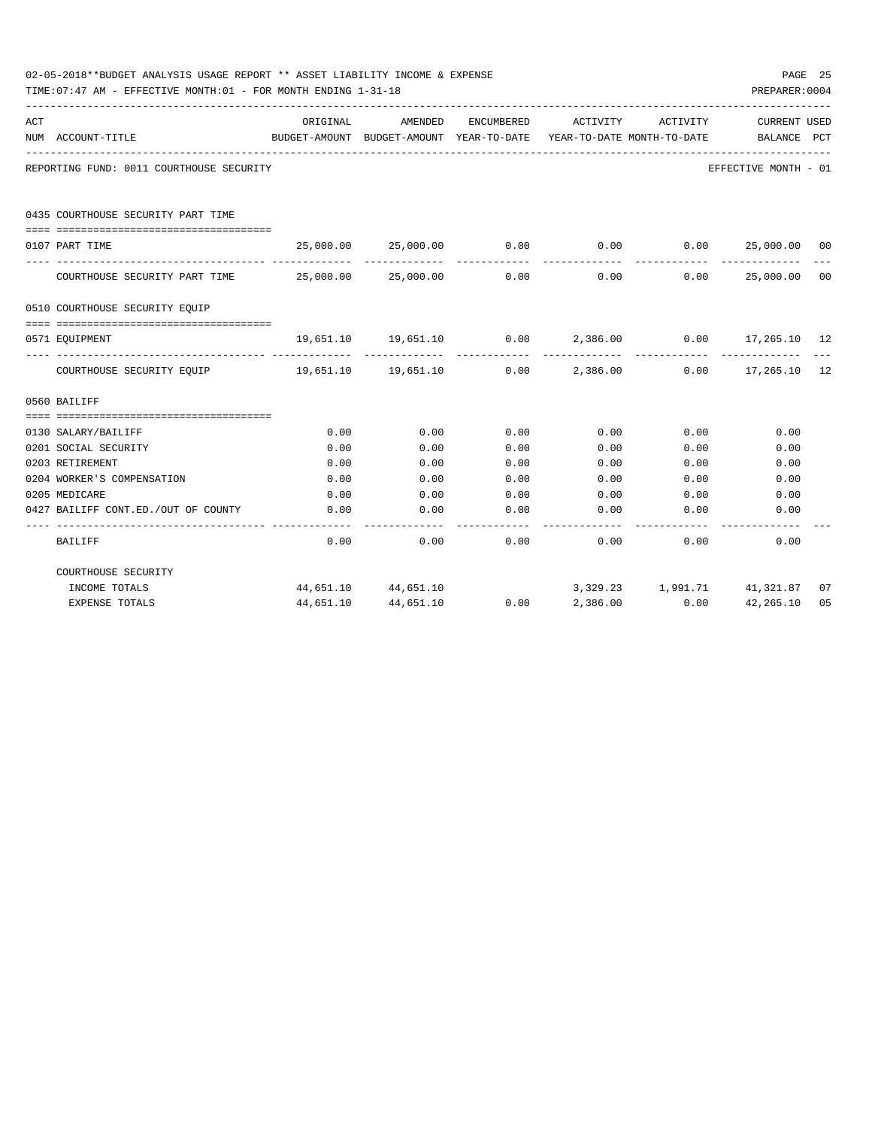|     | 02-05-2018**BUDGET ANALYSIS USAGE REPORT ** ASSET LIABILITY INCOME & EXPENSE<br>TIME: 07:47 AM - EFFECTIVE MONTH: 01 - FOR MONTH ENDING 1-31-18 |                     |                                                                   |                   |                                        |              | PREPARER: 0004                   | PAGE 25        |
|-----|-------------------------------------------------------------------------------------------------------------------------------------------------|---------------------|-------------------------------------------------------------------|-------------------|----------------------------------------|--------------|----------------------------------|----------------|
| ACT | NUM ACCOUNT-TITLE                                                                                                                               | ORIGINAL            | AMENDED<br>BUDGET-AMOUNT BUDGET-AMOUNT YEAR-TO-DATE               | ENCUMBERED        | ACTIVITY<br>YEAR-TO-DATE MONTH-TO-DATE | ACTIVITY     | CURRENT USED<br>BALANCE PCT      |                |
|     | REPORTING FUND: 0011 COURTHOUSE SECURITY                                                                                                        |                     |                                                                   |                   |                                        |              | EFFECTIVE MONTH - 01             |                |
|     | 0435 COURTHOUSE SECURITY PART TIME                                                                                                              |                     |                                                                   |                   |                                        |              |                                  |                |
|     | 0107 PART TIME                                                                                                                                  |                     | $25,000.00$ $25,000.00$ $0.00$ $0.00$ $0.00$ $25,000.00$ $00$     |                   |                                        |              |                                  |                |
|     | COURTHOUSE SECURITY PART TIME $25,000.00$ $25,000.00$ 0.00                                                                                      |                     |                                                                   | -------------     |                                        | 0.00         | --------------<br>0.00 25,000.00 | 0 <sup>0</sup> |
|     | 0510 COURTHOUSE SECURITY EQUIP                                                                                                                  |                     |                                                                   |                   |                                        |              |                                  |                |
|     | --------------------------------------<br>0571 EQUIPMENT                                                                                        |                     | $19,651.10$ $19,651.10$ $0.00$ $2,386.00$ $0.00$ $17,265.10$ $12$ |                   |                                        |              |                                  |                |
|     | COURTHOUSE SECURITY EQUIP 19,651.10 19,651.10 0.00 2,386.00 0.00 17,265.10 12                                                                   |                     |                                                                   |                   |                                        | -----------  |                                  |                |
|     | 0560 BAILIFF                                                                                                                                    |                     |                                                                   |                   |                                        |              |                                  |                |
|     |                                                                                                                                                 |                     |                                                                   |                   |                                        |              |                                  |                |
|     | 0130 SALARY/BAILIFF                                                                                                                             | 0.00                | 0.00                                                              | 0.00              | 0.00                                   | 0.00         | 0.00                             |                |
|     | 0201 SOCIAL SECURITY                                                                                                                            | 0.00                | 0.00                                                              | 0.00              | 0.00                                   | 0.00         | 0.00                             |                |
|     | 0203 RETIREMENT                                                                                                                                 | 0.00                | 0.00                                                              | 0.00              | 0.00                                   | 0.00         | 0.00                             |                |
|     | 0204 WORKER'S COMPENSATION                                                                                                                      | 0.00                | 0.00                                                              | 0.00              | 0.00                                   | 0.00         | 0.00                             |                |
|     | 0205 MEDICARE                                                                                                                                   | 0.00                | 0.00                                                              | 0.00              | 0.00                                   | 0.00         | 0.00                             |                |
|     | 0427 BAILIFF CONT.ED./OUT OF COUNTY                                                                                                             | 0.00<br>$- - - - -$ | 0.00<br>----------                                                | 0.00<br>--------- | 0.00                                   | 0.00         | 0.00                             |                |
|     | BAILIFF                                                                                                                                         | 0.00                | 0.00                                                              | 0.00              |                                        | 0.00<br>0.00 | 0.00                             |                |
|     | COURTHOUSE SECURITY                                                                                                                             |                     |                                                                   |                   |                                        |              |                                  |                |
|     | INCOME TOTALS                                                                                                                                   |                     | 44,651.10 44,651.10                                               |                   |                                        |              | 3,329.23 1,991.71 41,321.87      | 07             |
|     | <b>EXPENSE TOTALS</b>                                                                                                                           | 44,651.10           | 44,651.10                                                         | 0.00              | 2,386.00                               | 0.00         | 42,265.10                        | 0.5            |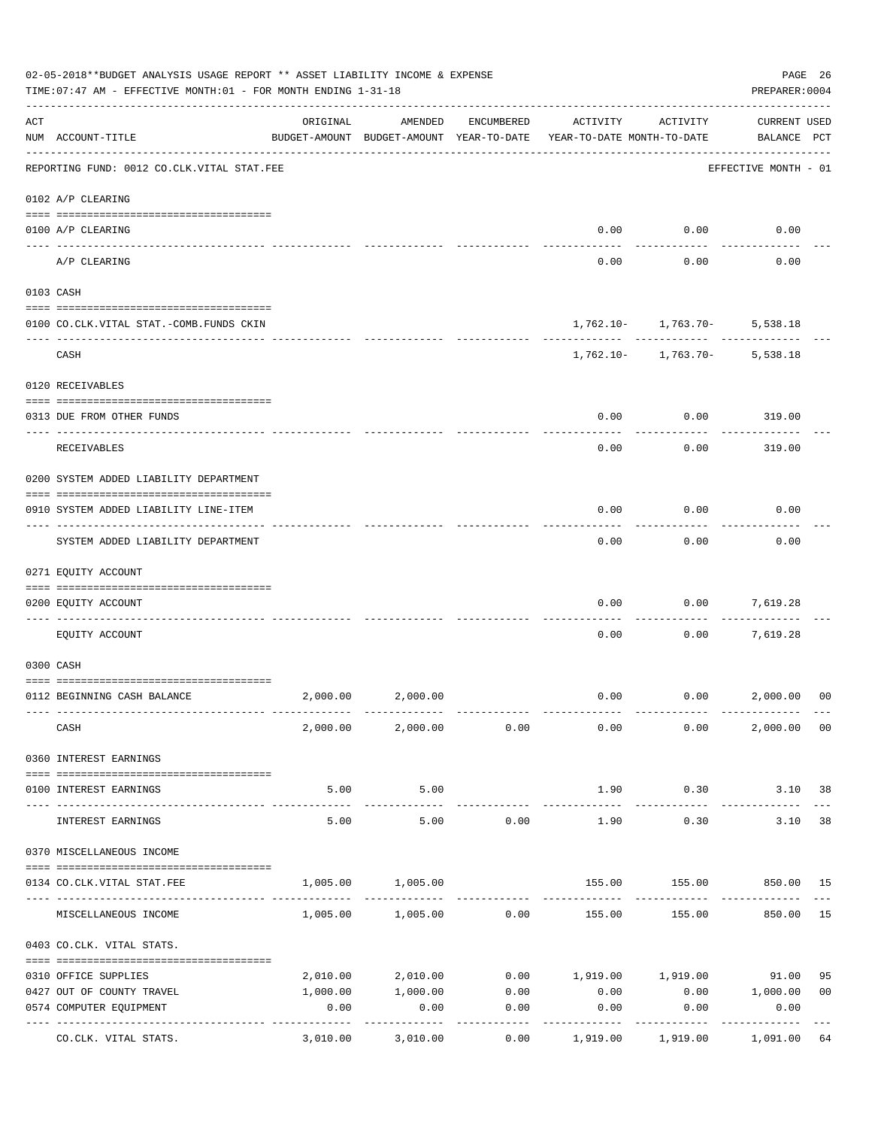|     | 02-05-2018**BUDGET ANALYSIS USAGE REPORT ** ASSET LIABILITY INCOME & EXPENSE<br>TIME: 07:47 AM - EFFECTIVE MONTH: 01 - FOR MONTH ENDING 1-31-18 |                     |                                                     |               |                                        |                                                  | PAGE 26<br>PREPARER: 0004          |                |
|-----|-------------------------------------------------------------------------------------------------------------------------------------------------|---------------------|-----------------------------------------------------|---------------|----------------------------------------|--------------------------------------------------|------------------------------------|----------------|
| ACT | NUM ACCOUNT-TITLE                                                                                                                               | ORIGINAL            | AMENDED<br>BUDGET-AMOUNT BUDGET-AMOUNT YEAR-TO-DATE | ENCUMBERED    | ACTIVITY<br>YEAR-TO-DATE MONTH-TO-DATE | ACTIVITY                                         | <b>CURRENT USED</b><br>BALANCE PCT |                |
|     | REPORTING FUND: 0012 CO.CLK.VITAL STAT.FEE                                                                                                      |                     |                                                     |               |                                        |                                                  | EFFECTIVE MONTH - 01               |                |
|     | 0102 A/P CLEARING                                                                                                                               |                     |                                                     |               |                                        |                                                  |                                    |                |
|     | 0100 A/P CLEARING                                                                                                                               |                     |                                                     |               | 0.00                                   | 0.00                                             | 0.00                               |                |
|     | ---- ---------<br>A/P CLEARING                                                                                                                  |                     |                                                     |               | 0.00                                   | 0.00                                             | 0.00                               |                |
|     | 0103 CASH                                                                                                                                       |                     |                                                     |               |                                        |                                                  |                                    |                |
|     | 0100 CO.CLK.VITAL STAT.-COMB.FUNDS CKIN                                                                                                         |                     |                                                     |               |                                        | $1,762.10 - 1,763.70 - 5,538.18$                 |                                    |                |
|     | CASH                                                                                                                                            |                     |                                                     |               |                                        | . <u>.</u> .<br>$1,762.10 - 1,763.70 - 5,538.18$ |                                    |                |
|     | 0120 RECEIVABLES                                                                                                                                |                     |                                                     |               |                                        |                                                  |                                    |                |
|     | 0313 DUE FROM OTHER FUNDS                                                                                                                       |                     |                                                     |               | 0.00                                   | 0.00                                             | 319.00                             |                |
|     | RECEIVABLES                                                                                                                                     |                     |                                                     |               | 0.00                                   | 0.00                                             | 319.00                             |                |
|     | 0200 SYSTEM ADDED LIABILITY DEPARTMENT                                                                                                          |                     |                                                     |               |                                        |                                                  |                                    |                |
|     | 0910 SYSTEM ADDED LIABILITY LINE-ITEM                                                                                                           |                     |                                                     |               | 0.00                                   | 0.00                                             | 0.00                               |                |
|     | SYSTEM ADDED LIABILITY DEPARTMENT                                                                                                               |                     |                                                     |               | 0.00                                   | 0.00                                             | 0.00                               |                |
|     | 0271 EQUITY ACCOUNT                                                                                                                             |                     |                                                     |               |                                        |                                                  |                                    |                |
|     | 0200 EQUITY ACCOUNT                                                                                                                             |                     |                                                     |               | 0.00                                   | 0.00                                             | 7,619.28                           |                |
|     | EQUITY ACCOUNT                                                                                                                                  |                     |                                                     |               | 0.00                                   | 0.00                                             | 7,619.28                           |                |
|     | 0300 CASH                                                                                                                                       |                     |                                                     |               |                                        |                                                  |                                    |                |
|     | 0112 BEGINNING CASH BALANCE                                                                                                                     |                     | 2,000.00 2,000.00                                   |               |                                        | $0.00$ $0.00$ $2,000.00$                         |                                    | 0 <sup>0</sup> |
|     | CASH                                                                                                                                            |                     | $2,000.00$ $2,000.00$ $0.00$                        |               | 0.00                                   | 0.00                                             | 2,000.00 00                        |                |
|     | 0360 INTEREST EARNINGS                                                                                                                          |                     |                                                     |               |                                        |                                                  |                                    |                |
|     | 0100 INTEREST EARNINGS                                                                                                                          | 5.00                | 5.00                                                |               | 1.90                                   | 0.30                                             | 3.10 38                            |                |
|     | INTEREST EARNINGS                                                                                                                               | -----------<br>5.00 | . <u>.</u> .<br>5.00                                | 0.00          | ------------<br>1.90                   | ----------<br>0.30                               | 3.10                               | 38             |
|     | 0370 MISCELLANEOUS INCOME                                                                                                                       |                     |                                                     |               |                                        |                                                  |                                    |                |
|     | 0134 CO.CLK.VITAL STAT.FEE                                                                                                                      | 1,005.00            | 1,005.00                                            |               |                                        | 155.00   155.00   850.00   15                    |                                    |                |
|     | MISCELLANEOUS INCOME                                                                                                                            |                     | $1,005.00$ $1,005.00$ $0.00$                        |               | 155.00                                 |                                                  | 155.00 850.00 15                   |                |
|     | 0403 CO.CLK. VITAL STATS.                                                                                                                       |                     |                                                     |               |                                        |                                                  |                                    |                |
|     | 0310 OFFICE SUPPLIES                                                                                                                            |                     | 2,010.00 2,010.00                                   |               | $0.00$ 1,919.00 1,919.00 91.00         |                                                  |                                    | 95             |
|     | 0427 OUT OF COUNTY TRAVEL                                                                                                                       | 1,000.00            |                                                     | 1,000.00 0.00 | 0.00                                   | 0.00 1,000.00                                    |                                    | 0 <sub>0</sub> |
|     | 0574 COMPUTER EQUIPMENT                                                                                                                         | 0.00                | 0.00                                                | 0.00          | 0.00                                   | 0.00                                             | 0.00                               |                |
|     | CO.CLK. VITAL STATS.                                                                                                                            | 3,010.00            | 3,010.00                                            | 0.00          | 1,919.00                               | ----------<br>1,919.00                           | ----------<br>1,091.00 64          |                |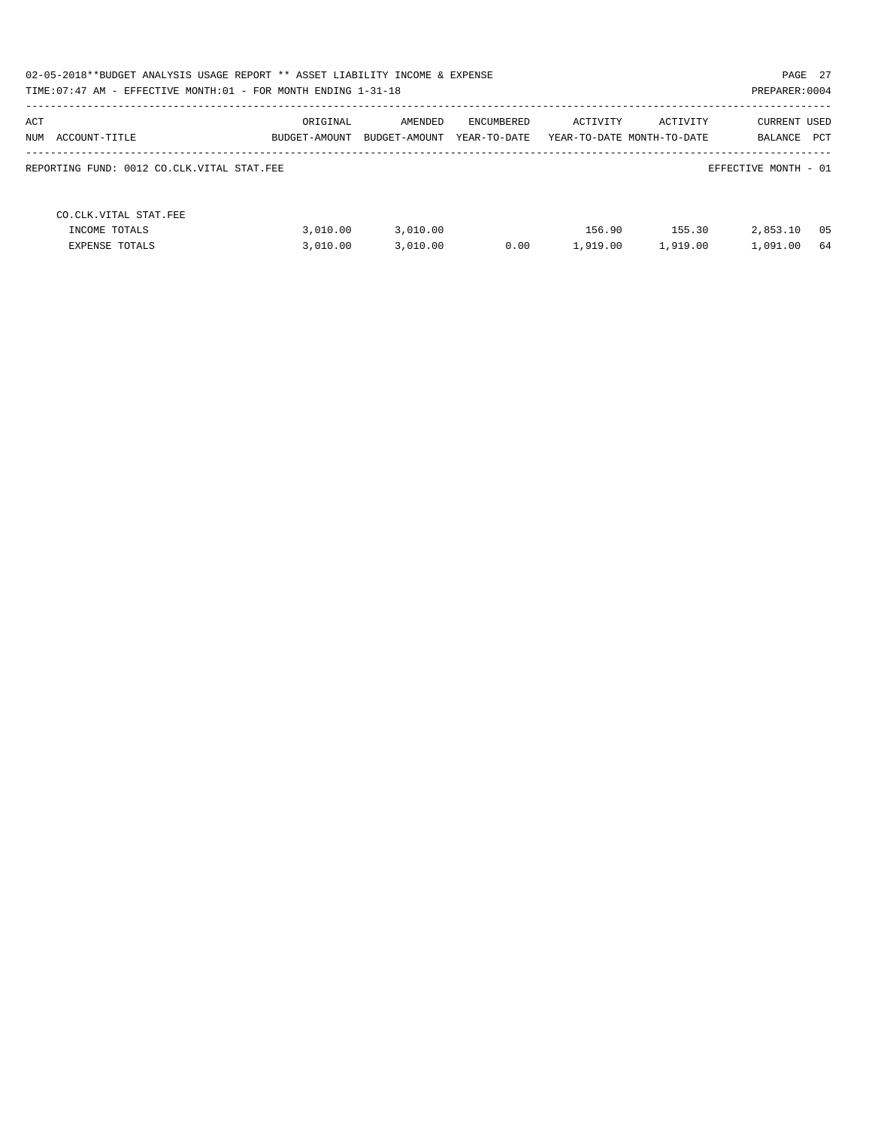| 02-05-2018**BUDGET ANALYSIS USAGE REPORT ** ASSET LIABILITY INCOME & EXPENSE<br>PAGE 27<br>TIME: 07:47 AM - EFFECTIVE MONTH: 01 - FOR MONTH ENDING 1-31-18<br>PREPARER: 0004 |                           |                          |                            |                    |                                        |                                              |  |  |  |
|------------------------------------------------------------------------------------------------------------------------------------------------------------------------------|---------------------------|--------------------------|----------------------------|--------------------|----------------------------------------|----------------------------------------------|--|--|--|
| ACT<br>NUM<br>ACCOUNT-TITLE                                                                                                                                                  | ORIGINAL<br>BUDGET-AMOUNT | AMENDED<br>BUDGET-AMOUNT | ENCUMBERED<br>YEAR-TO-DATE | ACTIVITY           | ACTIVITY<br>YEAR-TO-DATE MONTH-TO-DATE | <b>CURRENT USED</b><br><b>PCT</b><br>BALANCE |  |  |  |
| REPORTING FUND: 0012 CO.CLK.VITAL STAT.FEE                                                                                                                                   |                           |                          |                            |                    |                                        | EFFECTIVE MONTH - 01                         |  |  |  |
| CO. CLK. VITAL STAT. FEE<br>INCOME TOTALS<br><b>EXPENSE TOTALS</b>                                                                                                           | 3.010.00<br>3.010.00      | 3,010.00<br>3,010.00     | 0.00                       | 156.90<br>1,919.00 | 155.30<br>1,919.00                     | 2,853.10<br>- 05<br>1,091.00<br>64           |  |  |  |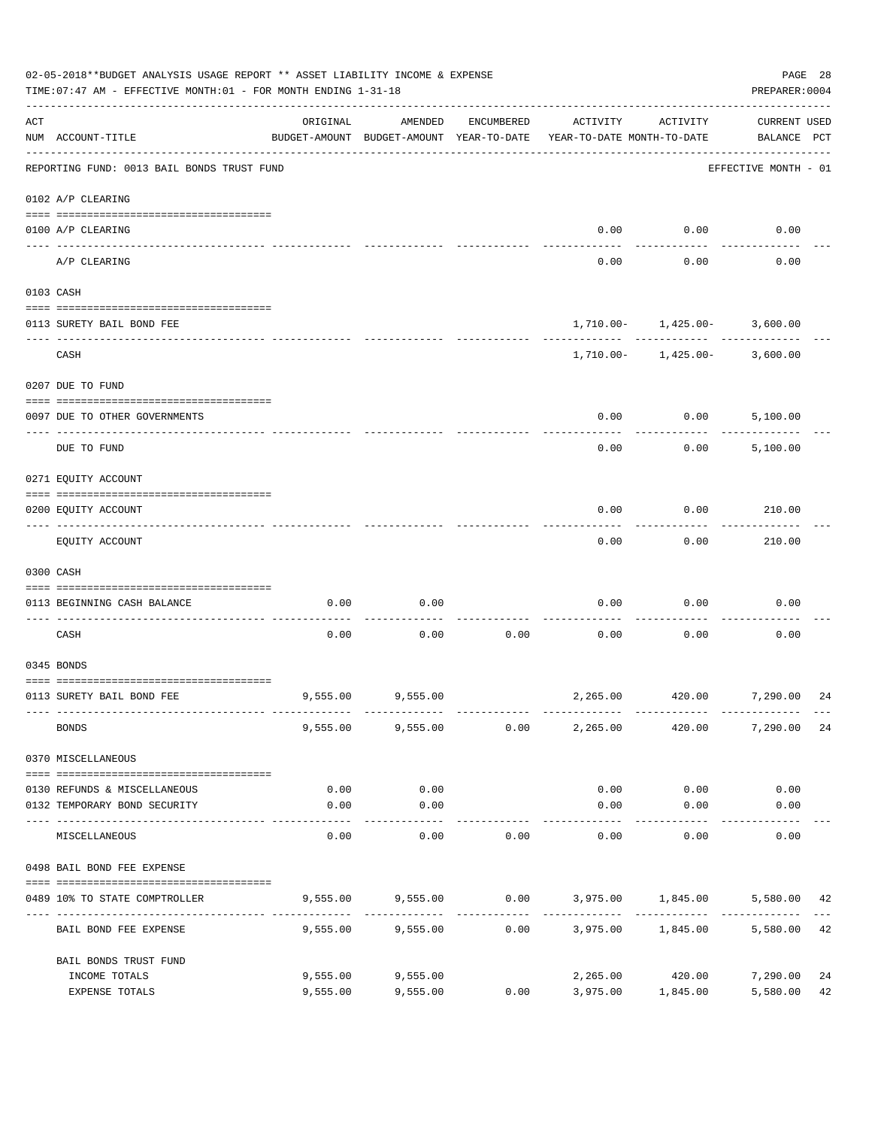| <b>CURRENT USED</b><br>ORIGINAL<br>AMENDED<br>ENCUMBERED<br>ACTIVITY<br>ACTIVITY<br>NUM ACCOUNT-TITLE<br>BUDGET-AMOUNT BUDGET-AMOUNT YEAR-TO-DATE<br>YEAR-TO-DATE MONTH-TO-DATE<br>BALANCE PCT<br>REPORTING FUND: 0013 BAIL BONDS TRUST FUND<br>EFFECTIVE MONTH - 01<br>0102 A/P CLEARING<br>0.00<br>0.00<br>0.00<br>0100 A/P CLEARING<br>----- ------<br>A/P CLEARING<br>0.00<br>0.00<br>0.00<br>0103 CASH<br>$1,710.00 - 1,425.00 - 3,600.00$<br>0113 SURETY BAIL BOND FEE<br>CASH<br>$1,710.00 - 1,425.00 - 3,600.00$<br>0207 DUE TO FUND<br>0.00<br>0.00<br>5,100.00<br>0097 DUE TO OTHER GOVERNMENTS<br>0.00<br>0.00<br>DUE TO FUND<br>5,100.00<br>0271 EQUITY ACCOUNT<br>0.00<br>0.00<br>210.00<br>0200 EQUITY ACCOUNT<br>0.00<br>EQUITY ACCOUNT<br>0.00<br>210.00<br>0300 CASH<br>0.00<br>0.00<br>0.00<br>0.00<br>0.00<br>0113 BEGINNING CASH BALANCE<br>CASH<br>0.00<br>0.00<br>0.00<br>0.00<br>0.00<br>0.00<br>0345 BONDS<br>9,555.00<br>2,265.00 420.00 7,290.00<br>0113 SURETY BAIL BOND FEE<br>9,555.00<br><b>BONDS</b><br>9,555.00 9,555.00 0.00<br>2,265.00<br>420.00<br>7,290.00<br>0370 MISCELLANEOUS<br>0.00<br>0.00<br>0.00<br>0.00<br>0.00<br>0130 REFUNDS & MISCELLANEOUS<br>0.00<br>0.00<br>0132 TEMPORARY BOND SECURITY<br>0.00<br>0.00<br>0.00<br>----------<br>0.00<br>0.00<br>0.00<br>0.00<br>MISCELLANEOUS<br>0.00<br>0.00<br>0498 BAIL BOND FEE EXPENSE<br>9,555.00 9,555.00 0.00 3,975.00 1,845.00 5,580.00<br>0489 10% TO STATE COMPTROLLER<br>5,580.00 42<br>9,555.00<br>9,555.00<br>0.00<br>3,975.00 1,845.00<br>BAIL BOND FEE EXPENSE<br>BAIL BONDS TRUST FUND<br>9,555.00<br>9,555.00<br>2,265.00 420.00<br>7,290.00<br>INCOME TOTALS<br>5,580.00<br>3,975.00 1,845.00 | 02-05-2018**BUDGET ANALYSIS USAGE REPORT ** ASSET LIABILITY INCOME & EXPENSE<br>TIME: 07:47 AM - EFFECTIVE MONTH: 01 - FOR MONTH ENDING 1-31-18 |                |          |          |      |  |  |  |          |  |
|---------------------------------------------------------------------------------------------------------------------------------------------------------------------------------------------------------------------------------------------------------------------------------------------------------------------------------------------------------------------------------------------------------------------------------------------------------------------------------------------------------------------------------------------------------------------------------------------------------------------------------------------------------------------------------------------------------------------------------------------------------------------------------------------------------------------------------------------------------------------------------------------------------------------------------------------------------------------------------------------------------------------------------------------------------------------------------------------------------------------------------------------------------------------------------------------------------------------------------------------------------------------------------------------------------------------------------------------------------------------------------------------------------------------------------------------------------------------------------------------------------------------------------------------------------------------------------------------------------------------------------------------------------------------------------------------------------|-------------------------------------------------------------------------------------------------------------------------------------------------|----------------|----------|----------|------|--|--|--|----------|--|
|                                                                                                                                                                                                                                                                                                                                                                                                                                                                                                                                                                                                                                                                                                                                                                                                                                                                                                                                                                                                                                                                                                                                                                                                                                                                                                                                                                                                                                                                                                                                                                                                                                                                                                         | ACT                                                                                                                                             |                |          |          |      |  |  |  |          |  |
|                                                                                                                                                                                                                                                                                                                                                                                                                                                                                                                                                                                                                                                                                                                                                                                                                                                                                                                                                                                                                                                                                                                                                                                                                                                                                                                                                                                                                                                                                                                                                                                                                                                                                                         |                                                                                                                                                 |                |          |          |      |  |  |  |          |  |
|                                                                                                                                                                                                                                                                                                                                                                                                                                                                                                                                                                                                                                                                                                                                                                                                                                                                                                                                                                                                                                                                                                                                                                                                                                                                                                                                                                                                                                                                                                                                                                                                                                                                                                         |                                                                                                                                                 |                |          |          |      |  |  |  |          |  |
|                                                                                                                                                                                                                                                                                                                                                                                                                                                                                                                                                                                                                                                                                                                                                                                                                                                                                                                                                                                                                                                                                                                                                                                                                                                                                                                                                                                                                                                                                                                                                                                                                                                                                                         |                                                                                                                                                 |                |          |          |      |  |  |  |          |  |
|                                                                                                                                                                                                                                                                                                                                                                                                                                                                                                                                                                                                                                                                                                                                                                                                                                                                                                                                                                                                                                                                                                                                                                                                                                                                                                                                                                                                                                                                                                                                                                                                                                                                                                         |                                                                                                                                                 |                |          |          |      |  |  |  |          |  |
|                                                                                                                                                                                                                                                                                                                                                                                                                                                                                                                                                                                                                                                                                                                                                                                                                                                                                                                                                                                                                                                                                                                                                                                                                                                                                                                                                                                                                                                                                                                                                                                                                                                                                                         |                                                                                                                                                 |                |          |          |      |  |  |  |          |  |
|                                                                                                                                                                                                                                                                                                                                                                                                                                                                                                                                                                                                                                                                                                                                                                                                                                                                                                                                                                                                                                                                                                                                                                                                                                                                                                                                                                                                                                                                                                                                                                                                                                                                                                         |                                                                                                                                                 |                |          |          |      |  |  |  |          |  |
|                                                                                                                                                                                                                                                                                                                                                                                                                                                                                                                                                                                                                                                                                                                                                                                                                                                                                                                                                                                                                                                                                                                                                                                                                                                                                                                                                                                                                                                                                                                                                                                                                                                                                                         |                                                                                                                                                 |                |          |          |      |  |  |  |          |  |
|                                                                                                                                                                                                                                                                                                                                                                                                                                                                                                                                                                                                                                                                                                                                                                                                                                                                                                                                                                                                                                                                                                                                                                                                                                                                                                                                                                                                                                                                                                                                                                                                                                                                                                         |                                                                                                                                                 |                |          |          |      |  |  |  |          |  |
|                                                                                                                                                                                                                                                                                                                                                                                                                                                                                                                                                                                                                                                                                                                                                                                                                                                                                                                                                                                                                                                                                                                                                                                                                                                                                                                                                                                                                                                                                                                                                                                                                                                                                                         |                                                                                                                                                 |                |          |          |      |  |  |  |          |  |
|                                                                                                                                                                                                                                                                                                                                                                                                                                                                                                                                                                                                                                                                                                                                                                                                                                                                                                                                                                                                                                                                                                                                                                                                                                                                                                                                                                                                                                                                                                                                                                                                                                                                                                         |                                                                                                                                                 |                |          |          |      |  |  |  |          |  |
|                                                                                                                                                                                                                                                                                                                                                                                                                                                                                                                                                                                                                                                                                                                                                                                                                                                                                                                                                                                                                                                                                                                                                                                                                                                                                                                                                                                                                                                                                                                                                                                                                                                                                                         |                                                                                                                                                 |                |          |          |      |  |  |  |          |  |
|                                                                                                                                                                                                                                                                                                                                                                                                                                                                                                                                                                                                                                                                                                                                                                                                                                                                                                                                                                                                                                                                                                                                                                                                                                                                                                                                                                                                                                                                                                                                                                                                                                                                                                         |                                                                                                                                                 |                |          |          |      |  |  |  |          |  |
|                                                                                                                                                                                                                                                                                                                                                                                                                                                                                                                                                                                                                                                                                                                                                                                                                                                                                                                                                                                                                                                                                                                                                                                                                                                                                                                                                                                                                                                                                                                                                                                                                                                                                                         |                                                                                                                                                 |                |          |          |      |  |  |  |          |  |
|                                                                                                                                                                                                                                                                                                                                                                                                                                                                                                                                                                                                                                                                                                                                                                                                                                                                                                                                                                                                                                                                                                                                                                                                                                                                                                                                                                                                                                                                                                                                                                                                                                                                                                         |                                                                                                                                                 |                |          |          |      |  |  |  |          |  |
|                                                                                                                                                                                                                                                                                                                                                                                                                                                                                                                                                                                                                                                                                                                                                                                                                                                                                                                                                                                                                                                                                                                                                                                                                                                                                                                                                                                                                                                                                                                                                                                                                                                                                                         |                                                                                                                                                 |                |          |          |      |  |  |  |          |  |
|                                                                                                                                                                                                                                                                                                                                                                                                                                                                                                                                                                                                                                                                                                                                                                                                                                                                                                                                                                                                                                                                                                                                                                                                                                                                                                                                                                                                                                                                                                                                                                                                                                                                                                         |                                                                                                                                                 |                |          |          |      |  |  |  |          |  |
|                                                                                                                                                                                                                                                                                                                                                                                                                                                                                                                                                                                                                                                                                                                                                                                                                                                                                                                                                                                                                                                                                                                                                                                                                                                                                                                                                                                                                                                                                                                                                                                                                                                                                                         |                                                                                                                                                 |                |          |          |      |  |  |  |          |  |
|                                                                                                                                                                                                                                                                                                                                                                                                                                                                                                                                                                                                                                                                                                                                                                                                                                                                                                                                                                                                                                                                                                                                                                                                                                                                                                                                                                                                                                                                                                                                                                                                                                                                                                         |                                                                                                                                                 |                |          |          |      |  |  |  | 24       |  |
|                                                                                                                                                                                                                                                                                                                                                                                                                                                                                                                                                                                                                                                                                                                                                                                                                                                                                                                                                                                                                                                                                                                                                                                                                                                                                                                                                                                                                                                                                                                                                                                                                                                                                                         |                                                                                                                                                 |                |          |          |      |  |  |  | 24       |  |
|                                                                                                                                                                                                                                                                                                                                                                                                                                                                                                                                                                                                                                                                                                                                                                                                                                                                                                                                                                                                                                                                                                                                                                                                                                                                                                                                                                                                                                                                                                                                                                                                                                                                                                         |                                                                                                                                                 |                |          |          |      |  |  |  |          |  |
|                                                                                                                                                                                                                                                                                                                                                                                                                                                                                                                                                                                                                                                                                                                                                                                                                                                                                                                                                                                                                                                                                                                                                                                                                                                                                                                                                                                                                                                                                                                                                                                                                                                                                                         |                                                                                                                                                 |                |          |          |      |  |  |  |          |  |
|                                                                                                                                                                                                                                                                                                                                                                                                                                                                                                                                                                                                                                                                                                                                                                                                                                                                                                                                                                                                                                                                                                                                                                                                                                                                                                                                                                                                                                                                                                                                                                                                                                                                                                         |                                                                                                                                                 |                |          |          |      |  |  |  |          |  |
|                                                                                                                                                                                                                                                                                                                                                                                                                                                                                                                                                                                                                                                                                                                                                                                                                                                                                                                                                                                                                                                                                                                                                                                                                                                                                                                                                                                                                                                                                                                                                                                                                                                                                                         |                                                                                                                                                 |                |          |          |      |  |  |  |          |  |
|                                                                                                                                                                                                                                                                                                                                                                                                                                                                                                                                                                                                                                                                                                                                                                                                                                                                                                                                                                                                                                                                                                                                                                                                                                                                                                                                                                                                                                                                                                                                                                                                                                                                                                         |                                                                                                                                                 |                |          |          |      |  |  |  |          |  |
|                                                                                                                                                                                                                                                                                                                                                                                                                                                                                                                                                                                                                                                                                                                                                                                                                                                                                                                                                                                                                                                                                                                                                                                                                                                                                                                                                                                                                                                                                                                                                                                                                                                                                                         |                                                                                                                                                 |                |          |          |      |  |  |  | 42       |  |
|                                                                                                                                                                                                                                                                                                                                                                                                                                                                                                                                                                                                                                                                                                                                                                                                                                                                                                                                                                                                                                                                                                                                                                                                                                                                                                                                                                                                                                                                                                                                                                                                                                                                                                         |                                                                                                                                                 |                |          |          |      |  |  |  |          |  |
|                                                                                                                                                                                                                                                                                                                                                                                                                                                                                                                                                                                                                                                                                                                                                                                                                                                                                                                                                                                                                                                                                                                                                                                                                                                                                                                                                                                                                                                                                                                                                                                                                                                                                                         |                                                                                                                                                 |                |          |          |      |  |  |  |          |  |
|                                                                                                                                                                                                                                                                                                                                                                                                                                                                                                                                                                                                                                                                                                                                                                                                                                                                                                                                                                                                                                                                                                                                                                                                                                                                                                                                                                                                                                                                                                                                                                                                                                                                                                         |                                                                                                                                                 | EXPENSE TOTALS | 9,555.00 | 9,555.00 | 0.00 |  |  |  | 24<br>42 |  |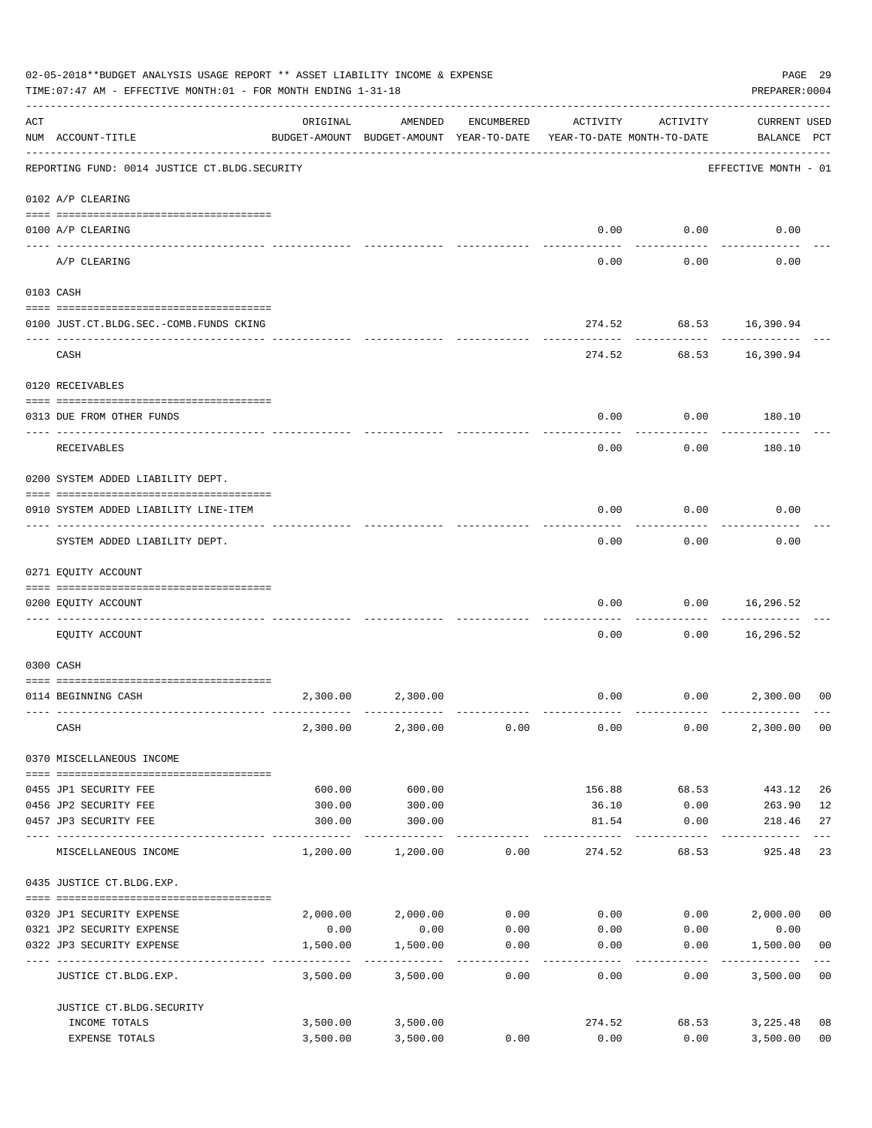|     | 02-05-2018**BUDGET ANALYSIS USAGE REPORT ** ASSET LIABILITY INCOME & EXPENSE<br>TIME: 07:47 AM - EFFECTIVE MONTH: 01 - FOR MONTH ENDING 1-31-18 |          |                                                                                |                    |             |                  |                                    |                |  |
|-----|-------------------------------------------------------------------------------------------------------------------------------------------------|----------|--------------------------------------------------------------------------------|--------------------|-------------|------------------|------------------------------------|----------------|--|
| ACT | NUM ACCOUNT-TITLE                                                                                                                               | ORIGINAL | AMENDED<br>BUDGET-AMOUNT BUDGET-AMOUNT YEAR-TO-DATE YEAR-TO-DATE MONTH-TO-DATE | ENCUMBERED         | ACTIVITY    | ACTIVITY         | <b>CURRENT USED</b><br>BALANCE PCT |                |  |
|     | REPORTING FUND: 0014 JUSTICE CT. BLDG. SECURITY                                                                                                 |          |                                                                                |                    |             |                  | EFFECTIVE MONTH - 01               |                |  |
|     | 0102 A/P CLEARING                                                                                                                               |          |                                                                                |                    |             |                  |                                    |                |  |
|     | 0100 A/P CLEARING                                                                                                                               |          |                                                                                |                    | 0.00        | 0.00             | 0.00                               |                |  |
|     | A/P CLEARING                                                                                                                                    |          |                                                                                |                    | 0.00        | 0.00             | 0.00                               |                |  |
|     | 0103 CASH                                                                                                                                       |          |                                                                                |                    |             |                  |                                    |                |  |
|     | 0100 JUST.CT.BLDG.SEC.-COMB.FUNDS CKING<br>---------------------------------                                                                    |          |                                                                                |                    |             | ----------       | 274.52 68.53 16,390.94             |                |  |
|     | CASH                                                                                                                                            |          |                                                                                |                    |             |                  | 274.52 68.53 16,390.94             |                |  |
|     | 0120 RECEIVABLES                                                                                                                                |          |                                                                                |                    |             |                  |                                    |                |  |
|     | 0313 DUE FROM OTHER FUNDS                                                                                                                       |          |                                                                                |                    | 0.00        | 0.00             | 180.10                             |                |  |
|     | RECEIVABLES                                                                                                                                     |          |                                                                                |                    | 0.00        | 0.00             | 180.10                             |                |  |
|     | 0200 SYSTEM ADDED LIABILITY DEPT.                                                                                                               |          |                                                                                |                    |             |                  |                                    |                |  |
|     | 0910 SYSTEM ADDED LIABILITY LINE-ITEM                                                                                                           |          |                                                                                |                    | 0.00        | 0.00             | 0.00                               |                |  |
|     | SYSTEM ADDED LIABILITY DEPT.                                                                                                                    |          |                                                                                |                    | 0.00        | 0.00             | 0.00                               |                |  |
|     | 0271 EQUITY ACCOUNT                                                                                                                             |          |                                                                                |                    |             |                  |                                    |                |  |
|     | 0200 EQUITY ACCOUNT                                                                                                                             |          |                                                                                |                    | 0.00        | 0.00             | 16,296.52<br>. <u>.</u> .          |                |  |
|     | EOUITY ACCOUNT                                                                                                                                  |          |                                                                                |                    | 0.00        | 0.00             | 16,296.52                          |                |  |
|     | 0300 CASH                                                                                                                                       |          |                                                                                |                    |             |                  |                                    |                |  |
|     |                                                                                                                                                 |          |                                                                                |                    |             |                  |                                    |                |  |
|     | 0114 BEGINNING CASH                                                                                                                             | 2,300.00 | 2,300.00                                                                       |                    | 0.00        |                  | $0.00$ 2,300.00                    | 00             |  |
|     | CASH                                                                                                                                            | 2,300.00 | 2,300.00                                                                       | 0.00               | 0.00        | 0.00             | 2,300.00                           | 0 <sub>0</sub> |  |
|     | 0370 MISCELLANEOUS INCOME                                                                                                                       |          |                                                                                |                    |             |                  |                                    |                |  |
|     | 0455 JP1 SECURITY FEE                                                                                                                           | 600.00   | 600.00                                                                         |                    | 156.88      | 68.53            | 443.12                             | 26             |  |
|     | 0456 JP2 SECURITY FEE                                                                                                                           | 300.00   | 300.00                                                                         |                    | 36.10       | 0.00             | 263.90                             | 12             |  |
|     | 0457 JP3 SECURITY FEE<br>---- ---------------                                                                                                   | 300.00   | 300.00                                                                         |                    | 81.54       | 0.00             | 218.46                             | 27             |  |
|     | MISCELLANEOUS INCOME                                                                                                                            | 1,200.00 | 1,200.00                                                                       | 0.00               | 274.52      | 68.53            | 925.48                             | 23             |  |
|     | 0435 JUSTICE CT.BLDG.EXP.                                                                                                                       |          |                                                                                |                    |             |                  |                                    |                |  |
|     | 0320 JP1 SECURITY EXPENSE                                                                                                                       |          | 2,000.00 2,000.00                                                              |                    | $0.00$ 0.00 |                  | $0.00$ 2,000.00                    | 0 <sub>0</sub> |  |
|     | 0321 JP2 SECURITY EXPENSE                                                                                                                       | 0.00     | 0.00                                                                           | 0.00               | 0.00        | 0.00             | 0.00                               |                |  |
|     | 0322 JP3 SECURITY EXPENSE                                                                                                                       | 1,500.00 | 1,500.00<br>----------                                                         | 0.00<br>. <u>.</u> | 0.00        | 0.00<br>-------- | 1,500.00                           | 0 <sub>0</sub> |  |
|     | JUSTICE CT.BLDG.EXP.                                                                                                                            | 3,500.00 | 3,500.00                                                                       | 0.00               | 0.00        | 0.00             | 3,500.00                           | 0 <sub>0</sub> |  |
|     | JUSTICE CT.BLDG.SECURITY<br>INCOME TOTALS                                                                                                       |          |                                                                                |                    | 274.52      | 68.53            |                                    | 08             |  |
|     | EXPENSE TOTALS                                                                                                                                  | 3,500.00 | 3,500.00 3,500.00<br>3,500.00                                                  | 0.00               | 0.00        | 0.00             | 3,225.48<br>3,500.00               | 0 <sub>0</sub> |  |
|     |                                                                                                                                                 |          |                                                                                |                    |             |                  |                                    |                |  |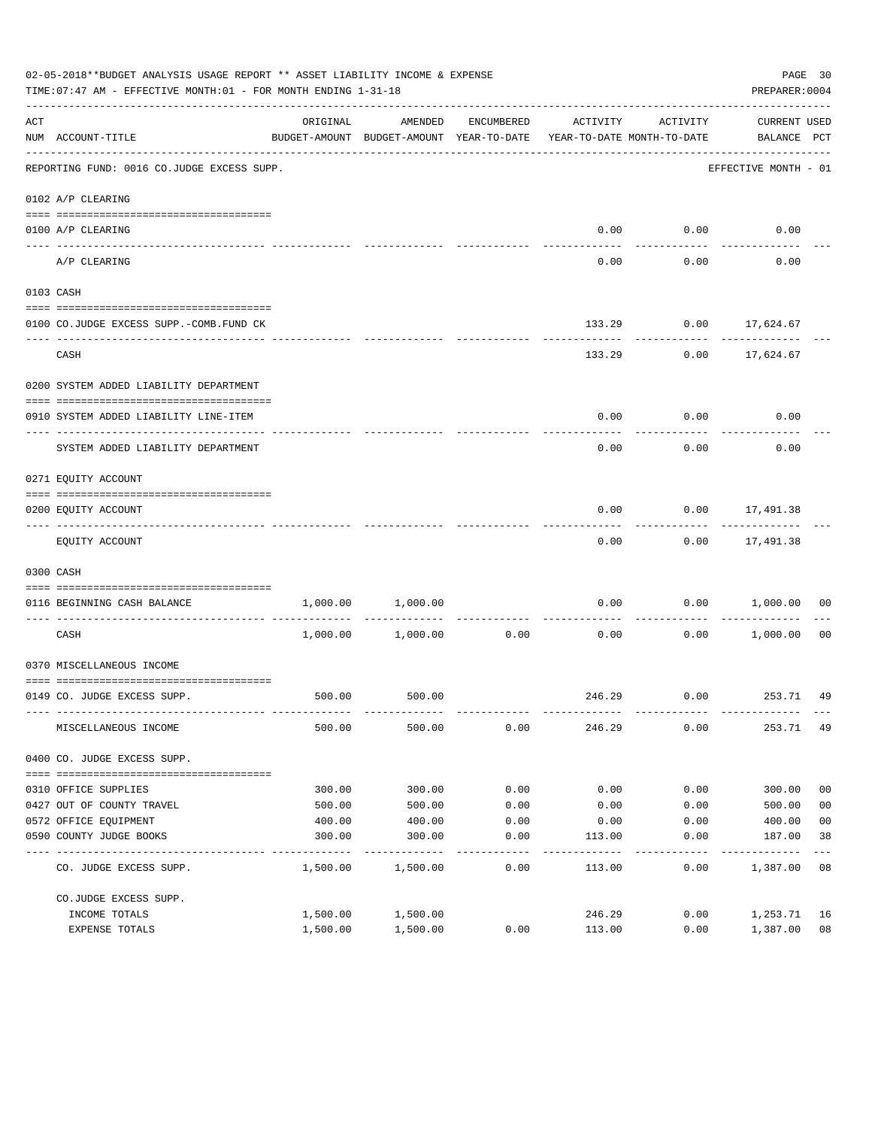|     |                                                                                      | 02-05-2018**BUDGET ANALYSIS USAGE REPORT ** ASSET LIABILITY INCOME & EXPENSE<br>PAGE 30<br>PREPARER: 0004<br>TIME: 07:47 AM - EFFECTIVE MONTH: 01 - FOR MONTH ENDING 1-31-18 |                                                     |            |                                        |          |                                    |                |  |  |  |
|-----|--------------------------------------------------------------------------------------|------------------------------------------------------------------------------------------------------------------------------------------------------------------------------|-----------------------------------------------------|------------|----------------------------------------|----------|------------------------------------|----------------|--|--|--|
| ACT | NUM ACCOUNT-TITLE                                                                    | ORIGINAL                                                                                                                                                                     | AMENDED<br>BUDGET-AMOUNT BUDGET-AMOUNT YEAR-TO-DATE | ENCUMBERED | ACTIVITY<br>YEAR-TO-DATE MONTH-TO-DATE | ACTIVITY | <b>CURRENT USED</b><br>BALANCE PCT |                |  |  |  |
|     | --------------------------------------<br>REPORTING FUND: 0016 CO.JUDGE EXCESS SUPP. |                                                                                                                                                                              |                                                     |            |                                        |          | EFFECTIVE MONTH - 01               |                |  |  |  |
|     | 0102 A/P CLEARING                                                                    |                                                                                                                                                                              |                                                     |            |                                        |          |                                    |                |  |  |  |
|     | 0100 A/P CLEARING                                                                    |                                                                                                                                                                              |                                                     |            | 0.00                                   | 0.00     | 0.00                               |                |  |  |  |
|     | ---- -------------<br>A/P CLEARING                                                   |                                                                                                                                                                              |                                                     |            | 0.00                                   | 0.00     | 0.00                               |                |  |  |  |
|     | 0103 CASH                                                                            |                                                                                                                                                                              |                                                     |            |                                        |          |                                    |                |  |  |  |
|     | 0100 CO.JUDGE EXCESS SUPP.-COMB.FUND CK                                              |                                                                                                                                                                              |                                                     |            |                                        |          | 133.29 0.00 17,624.67              |                |  |  |  |
|     | CASH                                                                                 |                                                                                                                                                                              |                                                     |            | 133.29                                 |          | $0.00$ 17,624.67                   |                |  |  |  |
|     | 0200 SYSTEM ADDED LIABILITY DEPARTMENT                                               |                                                                                                                                                                              |                                                     |            |                                        |          |                                    |                |  |  |  |
|     | 0910 SYSTEM ADDED LIABILITY LINE-ITEM                                                |                                                                                                                                                                              |                                                     |            | 0.00                                   | 0.00     | 0.00                               |                |  |  |  |
|     | SYSTEM ADDED LIABILITY DEPARTMENT                                                    |                                                                                                                                                                              |                                                     |            | 0.00                                   | 0.00     | 0.00                               |                |  |  |  |
|     | 0271 EQUITY ACCOUNT                                                                  |                                                                                                                                                                              |                                                     |            |                                        |          |                                    |                |  |  |  |
|     | 0200 EQUITY ACCOUNT                                                                  |                                                                                                                                                                              |                                                     |            | 0.00                                   |          | $0.00$ 17,491.38<br>-----------    |                |  |  |  |
|     | EQUITY ACCOUNT                                                                       |                                                                                                                                                                              |                                                     |            | 0.00                                   |          | 0.00 17,491.38                     |                |  |  |  |
|     | 0300 CASH                                                                            |                                                                                                                                                                              |                                                     |            |                                        |          |                                    |                |  |  |  |
|     | 0116 BEGINNING CASH BALANCE                                                          | 1,000.00                                                                                                                                                                     | 1,000.00                                            |            | 0.00                                   |          | 0.00 1,000.00                      | 00             |  |  |  |
|     | ----------------------------- -----<br>CASH                                          |                                                                                                                                                                              | 1,000.00 1,000.00                                   | 0.00       | 0.00                                   | 0.00     | 1,000.00                           | 0 <sub>0</sub> |  |  |  |
|     | 0370 MISCELLANEOUS INCOME                                                            |                                                                                                                                                                              |                                                     |            |                                        |          |                                    |                |  |  |  |
|     | 0149 CO. JUDGE EXCESS SUPP.                                                          | 500.00                                                                                                                                                                       | 500.00                                              |            |                                        |          | 246.29 0.00 253.71 49              |                |  |  |  |
|     | MISCELLANEOUS INCOME                                                                 | 500.00                                                                                                                                                                       | 500.00                                              | 0.00       | 246.29                                 | 0.00     | 253.71 49                          |                |  |  |  |
|     | 0400 CO. JUDGE EXCESS SUPP.                                                          |                                                                                                                                                                              |                                                     |            |                                        |          |                                    |                |  |  |  |
|     | 0310 OFFICE SUPPLIES                                                                 | 300.00                                                                                                                                                                       | 300.00                                              | 0.00       | 0.00                                   | 0.00     | 300.00                             | 0 <sub>0</sub> |  |  |  |
|     | 0427 OUT OF COUNTY TRAVEL                                                            | 500.00                                                                                                                                                                       | 500.00                                              | 0.00       | 0.00                                   | 0.00     | 500.00                             | 0 <sub>0</sub> |  |  |  |
|     | 0572 OFFICE EQUIPMENT                                                                | 400.00                                                                                                                                                                       | 400.00                                              | 0.00       | 0.00                                   | 0.00     | 400.00                             | 0 <sub>0</sub> |  |  |  |
|     | 0590 COUNTY JUDGE BOOKS                                                              | 300.00                                                                                                                                                                       | 300.00                                              | 0.00       | 113.00                                 | 0.00     | 187.00                             | 38             |  |  |  |
|     | CO. JUDGE EXCESS SUPP.                                                               | 1,500.00                                                                                                                                                                     | 1,500.00                                            | 0.00       | 113.00                                 | 0.00     | 1,387.00                           | 08             |  |  |  |
|     | CO.JUDGE EXCESS SUPP.                                                                |                                                                                                                                                                              |                                                     |            |                                        |          |                                    |                |  |  |  |
|     | INCOME TOTALS                                                                        | 1,500.00                                                                                                                                                                     | 1,500.00                                            |            | 246.29                                 | 0.00     | 1,253.71                           | 16             |  |  |  |
|     | EXPENSE TOTALS                                                                       | 1,500.00                                                                                                                                                                     | 1,500.00                                            | 0.00       | 113.00                                 | 0.00     | 1,387.00                           | 08             |  |  |  |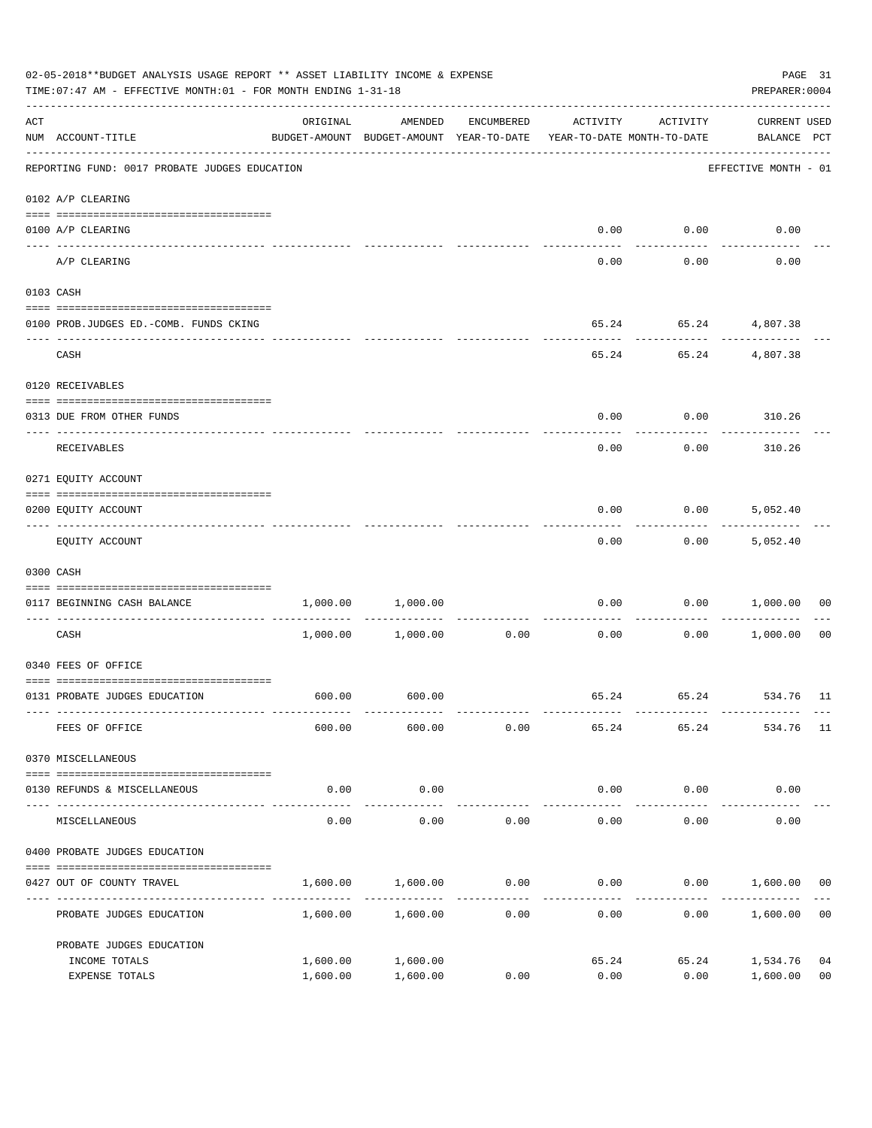|     | 02-05-2018**BUDGET ANALYSIS USAGE REPORT ** ASSET LIABILITY INCOME & EXPENSE<br>TIME: 07:47 AM - EFFECTIVE MONTH: 01 - FOR MONTH ENDING 1-31-18 |                                                                                 |                              |                                 |                       |                     |                             |                |  |
|-----|-------------------------------------------------------------------------------------------------------------------------------------------------|---------------------------------------------------------------------------------|------------------------------|---------------------------------|-----------------------|---------------------|-----------------------------|----------------|--|
| ACT | NUM ACCOUNT-TITLE                                                                                                                               | ORIGINAL<br>BUDGET-AMOUNT BUDGET-AMOUNT YEAR-TO-DATE YEAR-TO-DATE MONTH-TO-DATE | AMENDED                      | ENCUMBERED                      | ACTIVITY              | ACTIVITY            | CURRENT USED<br>BALANCE PCT |                |  |
|     | REPORTING FUND: 0017 PROBATE JUDGES EDUCATION                                                                                                   |                                                                                 |                              |                                 |                       |                     | EFFECTIVE MONTH - 01        |                |  |
|     | 0102 A/P CLEARING                                                                                                                               |                                                                                 |                              |                                 |                       |                     |                             |                |  |
|     | 0100 A/P CLEARING                                                                                                                               |                                                                                 |                              |                                 | 0.00                  | 0.00                | 0.00                        |                |  |
|     | A/P CLEARING                                                                                                                                    |                                                                                 |                              |                                 | 0.00                  | 0.00                | 0.00                        |                |  |
|     | 0103 CASH                                                                                                                                       |                                                                                 |                              |                                 |                       |                     |                             |                |  |
|     | 0100 PROB.JUDGES ED. - COMB. FUNDS CKING                                                                                                        |                                                                                 |                              |                                 |                       |                     | 65.24   65.24   4,807.38    |                |  |
|     | CASH                                                                                                                                            |                                                                                 |                              |                                 |                       | ----------          | 65.24 65.24 4,807.38        |                |  |
|     | 0120 RECEIVABLES                                                                                                                                |                                                                                 |                              |                                 |                       |                     |                             |                |  |
|     | 0313 DUE FROM OTHER FUNDS                                                                                                                       |                                                                                 |                              |                                 | 0.00                  |                     | $0.00$ 310.26               |                |  |
|     | RECEIVABLES                                                                                                                                     |                                                                                 |                              |                                 | 0.00                  | 0.00                | 310.26                      |                |  |
|     | 0271 EQUITY ACCOUNT                                                                                                                             |                                                                                 |                              |                                 |                       |                     |                             |                |  |
|     | 0200 EQUITY ACCOUNT                                                                                                                             |                                                                                 |                              |                                 | 0.00                  | 0.00                | 5,052.40                    |                |  |
|     | EQUITY ACCOUNT                                                                                                                                  |                                                                                 |                              |                                 | 0.00                  | 0.00                | 5,052.40                    |                |  |
|     | 0300 CASH                                                                                                                                       |                                                                                 |                              |                                 |                       |                     |                             |                |  |
|     | 0117 BEGINNING CASH BALANCE                                                                                                                     | 1,000.00                                                                        | 1,000.00                     |                                 | 0.00                  |                     | 0.00 1,000.00               | 00             |  |
|     | CASH                                                                                                                                            |                                                                                 | $1,000.00$ $1,000.00$ $0.00$ | ------------------------------- | 0.00                  | ----------          | $0.00$ 1,000.00             | 00             |  |
|     | 0340 FEES OF OFFICE                                                                                                                             |                                                                                 |                              |                                 |                       |                     |                             |                |  |
|     | 0131 PROBATE JUDGES EDUCATION                                                                                                                   |                                                                                 | 600.00 600.00                |                                 |                       |                     | 65.24 65.24 534.76 11       |                |  |
|     | FEES OF OFFICE                                                                                                                                  | 600.00                                                                          | 600.00                       | 0.00                            | 65.24                 | 65.24               | 534.76                      | 11             |  |
|     | 0370 MISCELLANEOUS                                                                                                                              |                                                                                 |                              |                                 |                       |                     |                             |                |  |
|     | 0130 REFUNDS & MISCELLANEOUS                                                                                                                    | 0.00                                                                            | 0.00                         |                                 | 0.00                  | 0.00                | 0.00                        |                |  |
|     | MISCELLANEOUS                                                                                                                                   | 0.00                                                                            | -----------<br>0.00          | 0.00                            | _____________<br>0.00 | -----------<br>0.00 | 0.00                        |                |  |
|     | 0400 PROBATE JUDGES EDUCATION                                                                                                                   |                                                                                 |                              |                                 |                       |                     |                             |                |  |
|     | 0427 OUT OF COUNTY TRAVEL                                                                                                                       | 1,600.00                                                                        | 1,600.00                     | 0.00                            | 0.00                  | 0.00                | 1,600.00                    | 00             |  |
|     | PROBATE JUDGES EDUCATION                                                                                                                        |                                                                                 | 1,600.00 1,600.00            | 0.00                            | 0.00                  | 0.00                | 1,600.00                    | 0 <sub>0</sub> |  |
|     | PROBATE JUDGES EDUCATION                                                                                                                        |                                                                                 |                              |                                 |                       |                     |                             |                |  |
|     | INCOME TOTALS                                                                                                                                   | 1,600.00                                                                        | 1,600.00                     |                                 | 65.24                 | 65.24               | 1,534.76                    | 04             |  |
|     | EXPENSE TOTALS                                                                                                                                  | 1,600.00                                                                        | 1,600.00                     | 0.00                            | 0.00                  | 0.00                | 1,600.00                    | 0 <sub>0</sub> |  |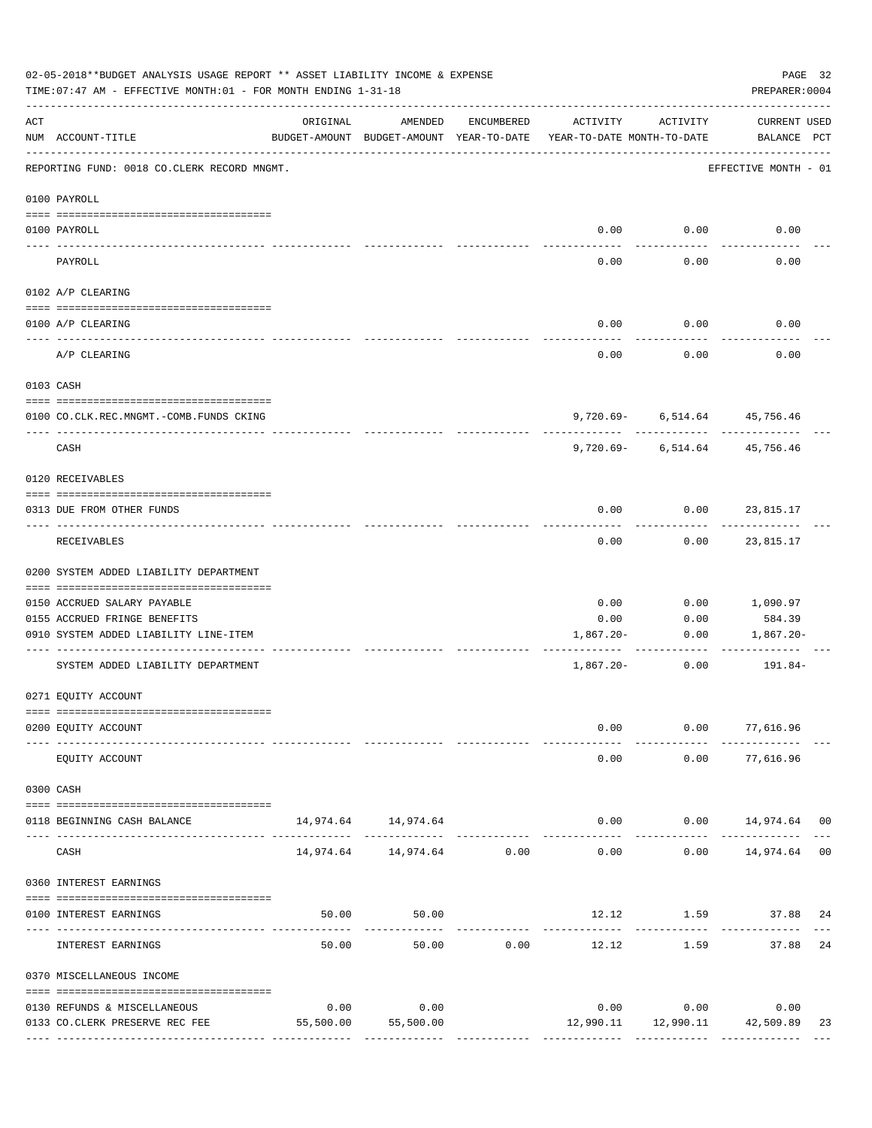|     | 02-05-2018**BUDGET ANALYSIS USAGE REPORT ** ASSET LIABILITY INCOME & EXPENSE<br>PAGE 32<br>TIME: 07:47 AM - EFFECTIVE MONTH: 01 - FOR MONTH ENDING 1-31-18<br>PREPARER: 0004 |           |                                                     |               |                                        |                                             |                             |    |  |
|-----|------------------------------------------------------------------------------------------------------------------------------------------------------------------------------|-----------|-----------------------------------------------------|---------------|----------------------------------------|---------------------------------------------|-----------------------------|----|--|
| ACT | NUM ACCOUNT-TITLE                                                                                                                                                            | ORIGINAL  | AMENDED<br>BUDGET-AMOUNT BUDGET-AMOUNT YEAR-TO-DATE | ENCUMBERED    | ACTIVITY<br>YEAR-TO-DATE MONTH-TO-DATE | ACTIVITY                                    | CURRENT USED<br>BALANCE PCT |    |  |
|     | REPORTING FUND: 0018 CO.CLERK RECORD MNGMT.                                                                                                                                  |           |                                                     |               |                                        |                                             | EFFECTIVE MONTH - 01        |    |  |
|     | 0100 PAYROLL                                                                                                                                                                 |           |                                                     |               |                                        |                                             |                             |    |  |
|     | 0100 PAYROLL                                                                                                                                                                 |           |                                                     |               |                                        | $0.00$ $0.00$                               | 0.00                        |    |  |
|     | PAYROLL                                                                                                                                                                      |           |                                                     |               | 0.00                                   | 0.00                                        | 0.00                        |    |  |
|     | 0102 A/P CLEARING                                                                                                                                                            |           |                                                     |               |                                        |                                             |                             |    |  |
|     | 0100 A/P CLEARING                                                                                                                                                            |           |                                                     |               | 0.00                                   | 0.00                                        | 0.00                        |    |  |
|     | A/P CLEARING                                                                                                                                                                 |           |                                                     |               | 0.00                                   | 0.00                                        | 0.00                        |    |  |
|     | 0103 CASH                                                                                                                                                                    |           |                                                     |               |                                        |                                             |                             |    |  |
|     | 0100 CO.CLK.REC.MNGMT.-COMB.FUNDS CKING                                                                                                                                      |           |                                                     |               |                                        | 9,720.69 6,514.64 45,756.46                 |                             |    |  |
|     | _____________________________<br>CASH                                                                                                                                        |           |                                                     |               |                                        | .<br>$9,720.69 - 6,514.64$                  | --------<br>45,756.46       |    |  |
|     | 0120 RECEIVABLES                                                                                                                                                             |           |                                                     |               |                                        |                                             |                             |    |  |
|     | 0313 DUE FROM OTHER FUNDS                                                                                                                                                    |           |                                                     |               | 0.00                                   | $0.00$ 23,815.17                            |                             |    |  |
|     | RECEIVABLES                                                                                                                                                                  |           |                                                     |               | 0.00                                   |                                             | $0.00$ 23,815.17            |    |  |
|     | 0200 SYSTEM ADDED LIABILITY DEPARTMENT                                                                                                                                       |           |                                                     |               |                                        |                                             |                             |    |  |
|     | 0150 ACCRUED SALARY PAYABLE                                                                                                                                                  |           |                                                     |               | 0.00                                   | 0.00                                        | 1,090.97                    |    |  |
|     | 0155 ACCRUED FRINGE BENEFITS                                                                                                                                                 |           |                                                     |               | 0.00                                   | 0.00                                        | 584.39                      |    |  |
|     | 0910 SYSTEM ADDED LIABILITY LINE-ITEM                                                                                                                                        |           |                                                     |               | 1,867.20-                              | 0.00                                        | 1,867.20-                   |    |  |
|     | SYSTEM ADDED LIABILITY DEPARTMENT                                                                                                                                            |           |                                                     |               | $1,867.20-$                            | 0.00                                        | 191.84-                     |    |  |
|     | 0271 EQUITY ACCOUNT                                                                                                                                                          |           |                                                     |               |                                        |                                             |                             |    |  |
|     | 0200 EQUITY ACCOUNT                                                                                                                                                          |           |                                                     |               | 0.00                                   |                                             | $0.00$ 77,616.96            |    |  |
|     | EQUITY ACCOUNT                                                                                                                                                               |           |                                                     |               | 0.00                                   | 0.00                                        | 77,616.96                   |    |  |
|     | 0300 CASH                                                                                                                                                                    |           |                                                     |               |                                        |                                             |                             |    |  |
|     | 0118 BEGINNING CASH BALANCE                                                                                                                                                  |           | 14,974.64 14,974.64                                 | ------------- | $- - - - - -$                          | $0.00$ $0.00$ $14,974.64$ 00<br>----------- | ------------                |    |  |
|     | CASH                                                                                                                                                                         |           | 14,974.64    14,974.64    0.00                      |               | 0.00                                   |                                             | $0.00$ 14,974.64 00         |    |  |
|     | 0360 INTEREST EARNINGS                                                                                                                                                       |           |                                                     |               |                                        |                                             |                             |    |  |
|     | 0100 INTEREST EARNINGS                                                                                                                                                       | 50.00     | 50.00                                               |               |                                        | 12.12 1.59 37.88 24                         |                             |    |  |
|     | INTEREST EARNINGS                                                                                                                                                            | 50.00     | 50.00                                               | 0.00          | -------------<br>12.12                 | 1.59                                        | 37.88 24                    |    |  |
|     | 0370 MISCELLANEOUS INCOME                                                                                                                                                    |           |                                                     |               |                                        |                                             |                             |    |  |
|     | 0130 REFUNDS & MISCELLANEOUS                                                                                                                                                 | 0.00      | 0.00                                                |               |                                        | $0.00$ $0.00$                               | 0.00                        |    |  |
|     | 0133 CO.CLERK PRESERVE REC FEE                                                                                                                                               | 55,500.00 | 55,500.00                                           |               |                                        | 12,990.11   12,990.11   42,509.89           |                             | 23 |  |
|     |                                                                                                                                                                              |           |                                                     |               |                                        |                                             |                             |    |  |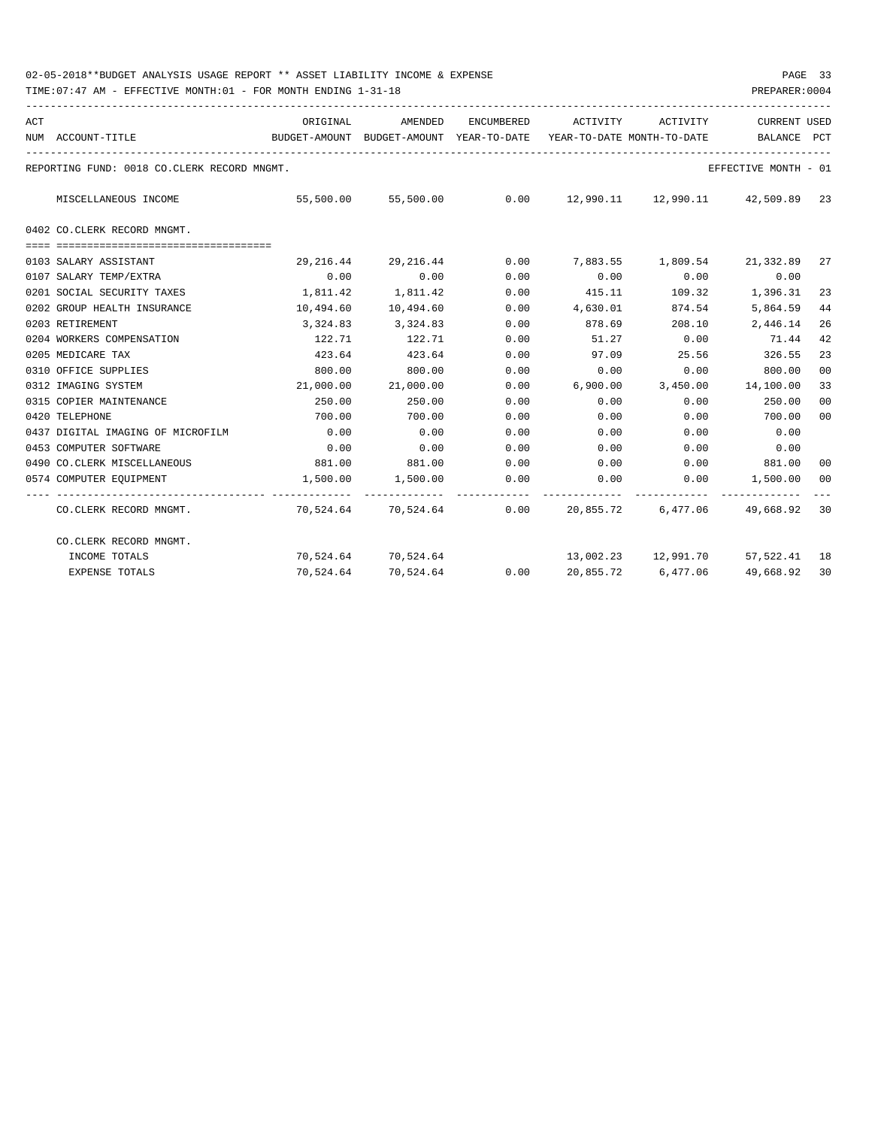| ACT |                                             | ORIGINAL                                 | AMENDED                  |                           | ENCUMBERED ACTIVITY ACTIVITY |        | <b>CURRENT USED</b>                 |                |
|-----|---------------------------------------------|------------------------------------------|--------------------------|---------------------------|------------------------------|--------|-------------------------------------|----------------|
|     | NUM ACCOUNT-TITLE                           | BUDGET-AMOUNT BUDGET-AMOUNT YEAR-TO-DATE |                          |                           | YEAR-TO-DATE MONTH-TO-DATE   |        | BALANCE                             | PCT            |
|     | REPORTING FUND: 0018 CO.CLERK RECORD MNGMT. |                                          |                          |                           |                              |        | EFFECTIVE MONTH - 01                |                |
|     | MISCELLANEOUS INCOME                        | 55,500.00                                |                          |                           |                              |        |                                     |                |
|     | 0402 CO.CLERK RECORD MNGMT.                 |                                          |                          |                           |                              |        |                                     |                |
|     | 0103 SALARY ASSISTANT                       | 29,216.44                                | 29,216.44                | 0.00                      |                              |        | 7,883.55 1,809.54 21,332.89         | 27             |
|     | 0107 SALARY TEMP/EXTRA                      | 0.00                                     | 0.00                     | 0.00                      | 0.00                         | 0.00   | 0.00                                |                |
|     | 0201 SOCIAL SECURITY TAXES                  | 1,811.42                                 | 1,811.42                 | 0.00                      | 415.11                       |        | 109.32 1,396.31                     | 23             |
|     | 0202 GROUP HEALTH INSURANCE                 | 10,494.60                                | 10,494.60                | 0.00                      | 4,630.01                     | 874.54 | 5,864.59                            | 44             |
|     | 0203 RETIREMENT                             | 3,324.83                                 | 3,324.83                 | 0.00                      | 878.69                       | 208.10 | 2,446.14                            | 26             |
|     | 0204 WORKERS COMPENSATION                   | 122.71                                   | 122.71                   | 0.00                      | 51.27                        | 0.00   | 71.44                               | 42             |
|     | 0205 MEDICARE TAX                           | 423.64                                   | 423.64                   | 0.00                      | 97.09                        | 25.56  | 326.55                              | 23             |
|     | 0310 OFFICE SUPPLIES                        | 800.00                                   | 800.00                   | 0.00                      | 0.00                         | 0.00   | 800.00                              | 0 <sup>0</sup> |
|     | 0312 IMAGING SYSTEM                         | 21,000.00                                | 21,000.00                | 0.00                      |                              |        | 6,900.00 3,450.00 14,100.00         | 33             |
|     | 0315 COPIER MAINTENANCE                     | 250.00                                   | 250.00                   | 0.00                      | 0.00                         | 0.00   | 250.00                              | 0 <sup>0</sup> |
|     | 0420 TELEPHONE                              | 700.00                                   | 700.00                   | 0.00                      | 0.00                         | 0.00   | 700.00                              | 00             |
|     | 0437 DIGITAL IMAGING OF MICROFILM           | 0.00                                     | 0.00                     | 0.00                      | 0.00                         | 0.00   | 0.00                                |                |
|     | 0453 COMPUTER SOFTWARE                      | 0.00                                     | 0.00                     | 0.00                      | 0.00                         | 0.00   | 0.00                                |                |
|     | 0490 CO.CLERK MISCELLANEOUS                 | 881.00                                   | 881.00                   | 0.00                      |                              |        | $0.00$ $0.00$ $881.00$              | 00             |
|     | 0574 COMPUTER EOUIPMENT                     | 1,500.00                                 | 1,500.00                 | 0.00<br>------------      | 0.00                         |        | $0.00$ 1,500.00                     | 00             |
|     | CO.CLERK RECORD MNGMT.                      |                                          | 70,524.64 70,524.64 0.00 |                           |                              |        | 20,855.72 6,477.06 49,668.92        | 30             |
|     | CO.CLERK RECORD MNGMT.                      |                                          |                          |                           |                              |        |                                     |                |
|     | INCOME TOTALS                               |                                          | 70,524.64 70,524.64      |                           |                              |        | 13,002.23  12,991.70  57,522.41  18 |                |
|     | <b>EXPENSE TOTALS</b>                       | 70,524.64                                | 70,524.64                | $0.00$ 20,855.72 6,477.06 |                              |        | 49,668.92                           | 30             |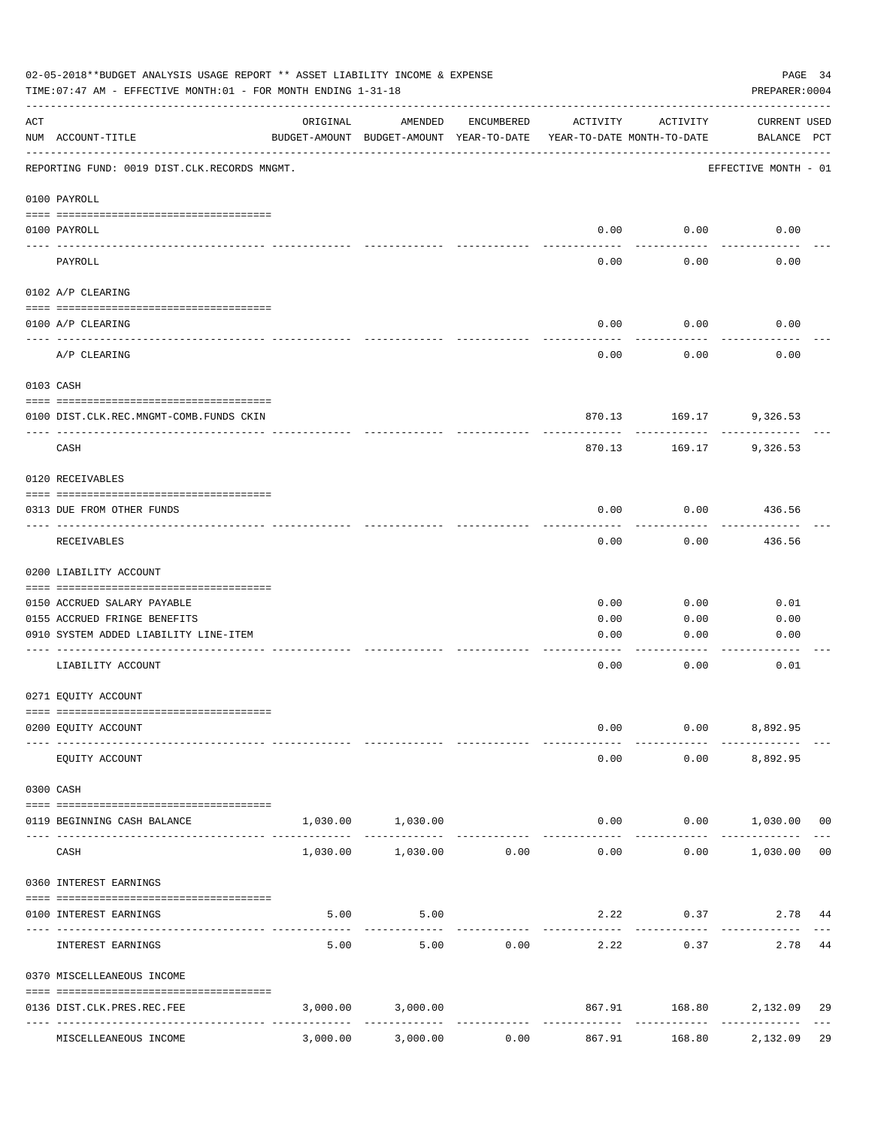|     | 02-05-2018**BUDGET ANALYSIS USAGE REPORT ** ASSET LIABILITY INCOME & EXPENSE<br>PAGE 34<br>TIME: 07:47 AM - EFFECTIVE MONTH: 01 - FOR MONTH ENDING 1-31-18<br>PREPARER: 0004 |                                         |                                                     |            |                                        |                         |                                          |  |  |
|-----|------------------------------------------------------------------------------------------------------------------------------------------------------------------------------|-----------------------------------------|-----------------------------------------------------|------------|----------------------------------------|-------------------------|------------------------------------------|--|--|
| ACT | NUM ACCOUNT-TITLE                                                                                                                                                            | ORIGINAL                                | AMENDED<br>BUDGET-AMOUNT BUDGET-AMOUNT YEAR-TO-DATE | ENCUMBERED | ACTIVITY<br>YEAR-TO-DATE MONTH-TO-DATE | ACTIVITY                | <b>CURRENT USED</b><br>BALANCE PCT       |  |  |
|     | REPORTING FUND: 0019 DIST.CLK.RECORDS MNGMT.                                                                                                                                 |                                         |                                                     |            |                                        |                         | EFFECTIVE MONTH - 01                     |  |  |
|     | 0100 PAYROLL                                                                                                                                                                 |                                         |                                                     |            |                                        |                         |                                          |  |  |
|     | 0100 PAYROLL                                                                                                                                                                 |                                         |                                                     |            | 0.00                                   | 0.00                    | 0.00                                     |  |  |
|     | PAYROLL                                                                                                                                                                      |                                         |                                                     |            | 0.00                                   | 0.00                    | 0.00                                     |  |  |
|     | 0102 A/P CLEARING                                                                                                                                                            |                                         |                                                     |            |                                        |                         |                                          |  |  |
|     | 0100 A/P CLEARING                                                                                                                                                            |                                         |                                                     |            | 0.00                                   | 0.00                    | 0.00                                     |  |  |
|     | A/P CLEARING                                                                                                                                                                 |                                         |                                                     |            | 0.00                                   | 0.00                    | 0.00                                     |  |  |
|     | 0103 CASH                                                                                                                                                                    |                                         |                                                     |            |                                        |                         |                                          |  |  |
|     | 0100 DIST.CLK.REC.MNGMT-COMB.FUNDS CKIN                                                                                                                                      |                                         |                                                     |            |                                        | 870.13 169.17           | 9,326.53                                 |  |  |
|     | _____________________________<br>CASH                                                                                                                                        |                                         |                                                     |            | 870.13                                 | 169.17                  | 9,326.53                                 |  |  |
|     | 0120 RECEIVABLES                                                                                                                                                             |                                         |                                                     |            |                                        |                         |                                          |  |  |
|     | 0313 DUE FROM OTHER FUNDS                                                                                                                                                    |                                         |                                                     |            | 0.00                                   | 0.00                    | 436.56                                   |  |  |
|     | RECEIVABLES                                                                                                                                                                  |                                         |                                                     |            | 0.00                                   | 0.00                    | 436.56                                   |  |  |
|     | 0200 LIABILITY ACCOUNT                                                                                                                                                       |                                         |                                                     |            |                                        |                         |                                          |  |  |
|     | 0150 ACCRUED SALARY PAYABLE                                                                                                                                                  |                                         |                                                     |            | 0.00                                   | 0.00                    | 0.01                                     |  |  |
|     | 0155 ACCRUED FRINGE BENEFITS                                                                                                                                                 |                                         |                                                     |            | 0.00                                   | 0.00                    | 0.00                                     |  |  |
|     | 0910 SYSTEM ADDED LIABILITY LINE-ITEM                                                                                                                                        |                                         |                                                     |            | 0.00                                   | 0.00                    | 0.00                                     |  |  |
|     | LIABILITY ACCOUNT                                                                                                                                                            |                                         |                                                     |            | 0.00                                   | 0.00                    | 0.01                                     |  |  |
|     | 0271 EQUITY ACCOUNT                                                                                                                                                          |                                         |                                                     |            |                                        |                         |                                          |  |  |
|     | 0200 EQUITY ACCOUNT                                                                                                                                                          |                                         |                                                     |            | 0.00                                   | 0.00                    | 8,892.95                                 |  |  |
|     | EQUITY ACCOUNT                                                                                                                                                               |                                         |                                                     |            | 0.00                                   |                         | $0.00$ $8,892.95$                        |  |  |
|     | 0300 CASH                                                                                                                                                                    |                                         |                                                     |            |                                        |                         |                                          |  |  |
|     | 0119 BEGINNING CASH BALANCE                                                                                                                                                  |                                         | 1,030.00 1,030.00                                   |            |                                        | 0.00                    | $0.00$ 1,030.00 00                       |  |  |
|     | CASH                                                                                                                                                                         |                                         | -------------<br>1,030.00 1,030.00 0.00             |            | 0.00                                   | 0.00                    | . <u>.</u><br>1,030.00<br>0 <sub>0</sub> |  |  |
|     | 0360 INTEREST EARNINGS                                                                                                                                                       |                                         |                                                     |            |                                        |                         |                                          |  |  |
|     | 0100 INTEREST EARNINGS                                                                                                                                                       | 5.00                                    | 5.00                                                |            |                                        | 2.22                    | 0.37<br>2.78<br>44                       |  |  |
|     | INTEREST EARNINGS                                                                                                                                                            | --------<br>5.00                        | 5.00                                                | 0.00       | ----------- -------------<br>2.22      | ---------<br>0.37       | 2.78<br>44                               |  |  |
|     | 0370 MISCELLEANEOUS INCOME                                                                                                                                                   |                                         |                                                     |            |                                        |                         |                                          |  |  |
|     | 0136 DIST.CLK.PRES.REC.FEE                                                                                                                                                   |                                         | 3,000.00 3,000.00                                   |            |                                        | 867.91                  | 168.80 2,132.09<br>29                    |  |  |
|     | MISCELLEANEOUS INCOME                                                                                                                                                        | ------------- -------------<br>3,000.00 | 3,000.00                                            | .<br>0.00  | ------------<br>867.91                 | -------------<br>168.80 | ---------<br>29<br>2,132.09              |  |  |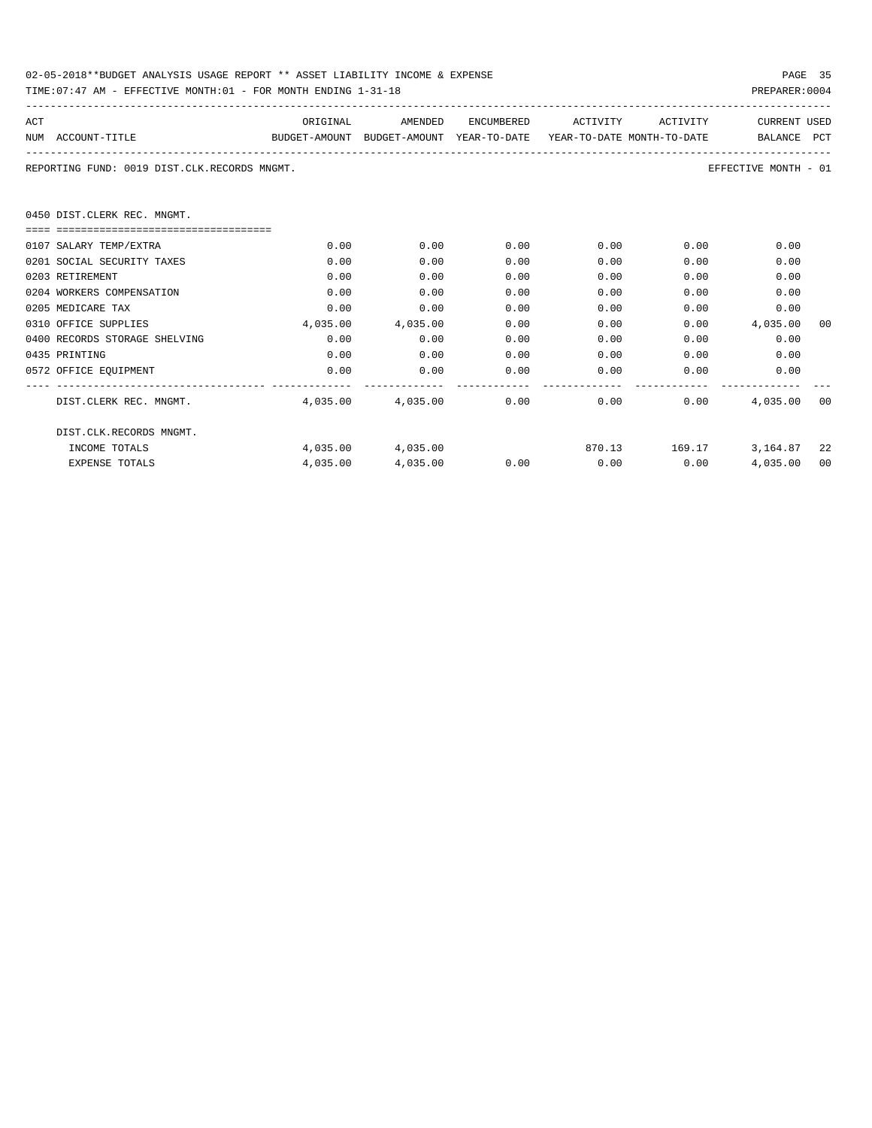| 02-05-2018**BUDGET ANALYSIS USAGE REPORT ** ASSET LIABILITY INCOME & EXPENSE | PAGE 35        |  |
|------------------------------------------------------------------------------|----------------|--|
| TIME: 07:47 AM - EFFECTIVE MONTH: 01 - FOR MONTH ENDING 1-31-18              | PREPARER: 0004 |  |

| ACT |                                                                                          | ORIGINAL | AMENDED                                           | ENCUMBERED | ACTIVITY             | ACTIVITY                                                                                                                                                                                                                            | <b>CURRENT USED</b>       |      |
|-----|------------------------------------------------------------------------------------------|----------|---------------------------------------------------|------------|----------------------|-------------------------------------------------------------------------------------------------------------------------------------------------------------------------------------------------------------------------------------|---------------------------|------|
|     | NUM ACCOUNT-TITLE<br>BUDGET-AMOUNT BUDGET-AMOUNT YEAR-TO-DATE YEAR-TO-DATE_MONTH-TO-DATE |          |                                                   |            |                      |                                                                                                                                                                                                                                     | BALANCE PCT               |      |
|     |                                                                                          |          |                                                   |            |                      |                                                                                                                                                                                                                                     |                           |      |
|     | REPORTING FUND: 0019 DIST.CLK.RECORDS MNGMT.                                             |          |                                                   |            |                      |                                                                                                                                                                                                                                     | EFFECTIVE MONTH - 01      |      |
|     |                                                                                          |          |                                                   |            |                      |                                                                                                                                                                                                                                     |                           |      |
|     |                                                                                          |          |                                                   |            |                      |                                                                                                                                                                                                                                     |                           |      |
|     | 0450 DIST.CLERK REC. MNGMT.                                                              |          |                                                   |            |                      |                                                                                                                                                                                                                                     |                           |      |
|     | =================================                                                        |          |                                                   |            |                      |                                                                                                                                                                                                                                     |                           |      |
|     | 0107 SALARY TEMP/EXTRA                                                                   | 0.00     | 0.00                                              | 0.00       |                      | $0.00$ and $0.00$ and $0.00$ and $0.00$ and $0.00$ and $0.00$ and $0.00$ and $0.00$ and $0.00$ and $0.00$ and $0.00$ and $0.00$ and $0.00$ and $0.00$ and $0.00$ and $0.00$ and $0.00$ and $0.00$ and $0.00$ and $0.00$ and<br>0.00 | 0.00                      |      |
|     | 0201 SOCIAL SECURITY TAXES                                                               | 0.00     | 0.00                                              | 0.00       | 0.00                 | 0.00                                                                                                                                                                                                                                | 0.00                      |      |
|     | 0203 RETIREMENT                                                                          | 0.00     | 0.00                                              | 0.00       | 0.00                 | 0.00                                                                                                                                                                                                                                | 0.00                      |      |
|     | 0204 WORKERS COMPENSATION                                                                | 0.00     | 0.00                                              | 0.00       | 0.00                 | 0.00                                                                                                                                                                                                                                | 0.00                      |      |
|     | 0205 MEDICARE TAX                                                                        | 0.00     | 0.00                                              | 0.00       | 0.00                 | 0.00                                                                                                                                                                                                                                | 0.00                      |      |
|     | 0310 OFFICE SUPPLIES                                                                     | 4,035.00 | 4,035.00                                          | 0.00       | 0.00                 |                                                                                                                                                                                                                                     | $0.00$ 4,035.00           | 00   |
|     | 0400 RECORDS STORAGE SHELVING                                                            | 0.00     | 0.00                                              | 0.00       | 0.00                 |                                                                                                                                                                                                                                     | $0.00$ and $0.00$<br>0.00 |      |
|     | 0435 PRINTING                                                                            | 0.00     | 0.00                                              | 0.00       |                      | 0.00<br>0.00                                                                                                                                                                                                                        | 0.00                      |      |
|     | 0572 OFFICE EQUIPMENT                                                                    | 0.00     | 0.00                                              | 0.00       |                      | $0.00$ and $0.00$                                                                                                                                                                                                                   | 0.00<br>0.00              |      |
|     |                                                                                          |          |                                                   |            |                      |                                                                                                                                                                                                                                     |                           |      |
|     | DIST.CLERK REC. MNGMT.                                                                   |          | $4,035.00$ $4,035.00$ $0.00$ $0.00$ $0.00$ $0.00$ |            |                      |                                                                                                                                                                                                                                     | 4,035.00                  | - 00 |
|     | DIST.CLK.RECORDS MNGMT.                                                                  |          |                                                   |            |                      |                                                                                                                                                                                                                                     |                           |      |
|     | INCOME TOTALS                                                                            |          | 4,035,00 4,035,00                                 |            |                      |                                                                                                                                                                                                                                     | 870.13 169.17 3.164.87 22 |      |
|     | <b>EXPENSE TOTALS</b>                                                                    |          |                                                   |            | $0.00$ $0.00$ $0.00$ |                                                                                                                                                                                                                                     |                           | 00   |
|     |                                                                                          | 4,035.00 | 4,035.00                                          |            |                      |                                                                                                                                                                                                                                     | 4,035.00                  |      |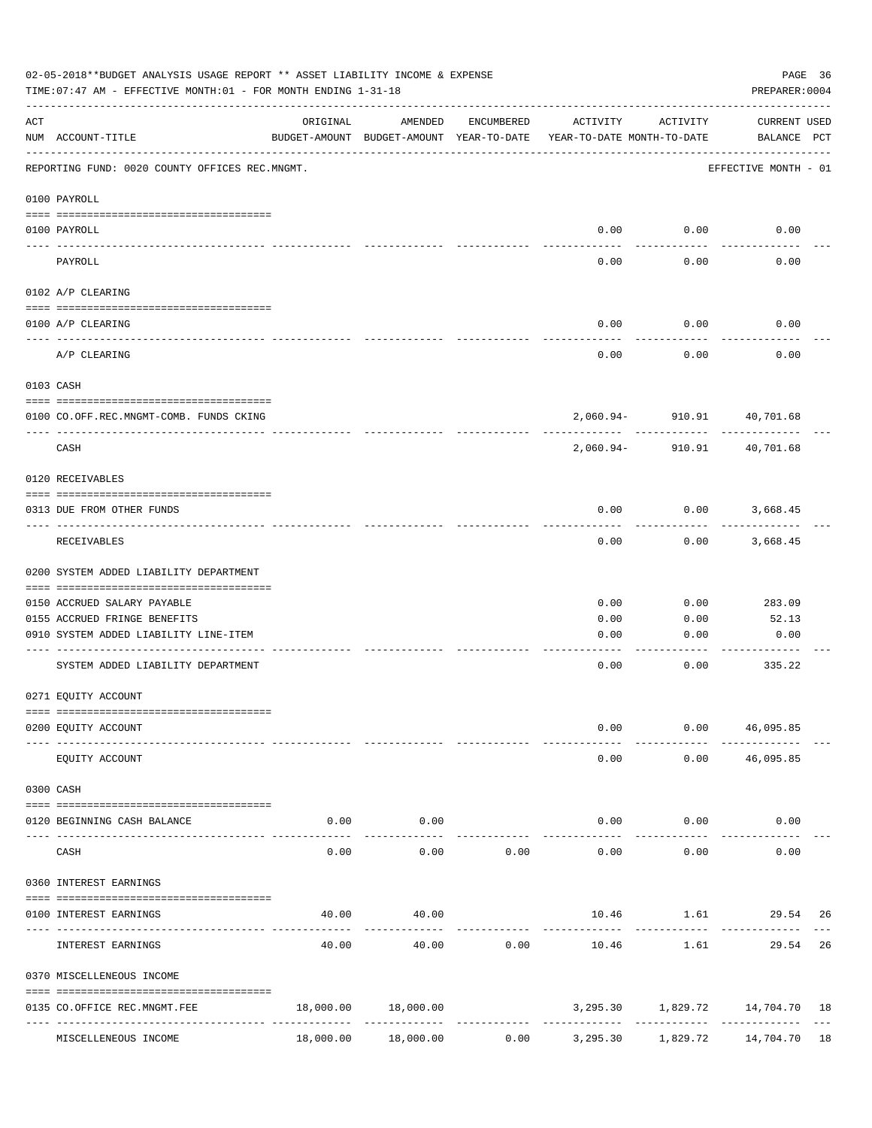|                    | 02-05-2018**BUDGET ANALYSIS USAGE REPORT ** ASSET LIABILITY INCOME & EXPENSE<br>TIME: 07:47 AM - EFFECTIVE MONTH: 01 - FOR MONTH ENDING 1-31-18 |           |                                                     |            |                                        |                                | PAGE 36<br>PREPARER: 0004    |  |
|--------------------|-------------------------------------------------------------------------------------------------------------------------------------------------|-----------|-----------------------------------------------------|------------|----------------------------------------|--------------------------------|------------------------------|--|
| $\mathop{\rm ACT}$ | NUM ACCOUNT-TITLE                                                                                                                               | ORIGINAL  | AMENDED<br>BUDGET-AMOUNT BUDGET-AMOUNT YEAR-TO-DATE | ENCUMBERED | ACTIVITY<br>YEAR-TO-DATE MONTH-TO-DATE | ACTIVITY                       | CURRENT USED<br>BALANCE PCT  |  |
|                    | REPORTING FUND: 0020 COUNTY OFFICES REC.MNGMT.                                                                                                  |           |                                                     |            |                                        |                                | EFFECTIVE MONTH - 01         |  |
|                    | 0100 PAYROLL                                                                                                                                    |           |                                                     |            |                                        |                                |                              |  |
|                    | 0100 PAYROLL                                                                                                                                    |           |                                                     |            |                                        | $0.00$ 0.00                    | 0.00                         |  |
|                    | PAYROLL                                                                                                                                         |           |                                                     |            | 0.00                                   | 0.00                           | 0.00                         |  |
|                    | 0102 A/P CLEARING                                                                                                                               |           |                                                     |            |                                        |                                |                              |  |
|                    | 0100 A/P CLEARING                                                                                                                               |           |                                                     |            | 0.00                                   | 0.00                           | 0.00                         |  |
|                    | A/P CLEARING                                                                                                                                    |           |                                                     |            | 0.00                                   | 0.00                           | 0.00                         |  |
|                    | 0103 CASH                                                                                                                                       |           |                                                     |            |                                        |                                |                              |  |
|                    | 0100 CO.OFF.REC.MNGMT-COMB. FUNDS CKING                                                                                                         |           |                                                     |            |                                        | 2,060.94- 910.91 40,701.68     |                              |  |
|                    | _______________________________<br>CASH                                                                                                         |           |                                                     |            | 2,060.94-                              | ----------<br>910.91           | $- - - - - - -$<br>40,701.68 |  |
|                    | 0120 RECEIVABLES                                                                                                                                |           |                                                     |            |                                        |                                |                              |  |
|                    | 0313 DUE FROM OTHER FUNDS                                                                                                                       |           |                                                     |            | 0.00                                   |                                | $0.00$ 3,668.45              |  |
|                    | RECEIVABLES                                                                                                                                     |           |                                                     |            | 0.00                                   | 0.00                           | 3,668.45                     |  |
|                    | 0200 SYSTEM ADDED LIABILITY DEPARTMENT                                                                                                          |           |                                                     |            |                                        |                                |                              |  |
|                    | 0150 ACCRUED SALARY PAYABLE                                                                                                                     |           |                                                     |            | 0.00                                   | 0.00                           | 283.09                       |  |
|                    | 0155 ACCRUED FRINGE BENEFITS                                                                                                                    |           |                                                     |            | 0.00                                   | 0.00                           | 52.13                        |  |
|                    | 0910 SYSTEM ADDED LIABILITY LINE-ITEM                                                                                                           |           |                                                     |            | 0.00                                   | 0.00                           | 0.00                         |  |
|                    | SYSTEM ADDED LIABILITY DEPARTMENT                                                                                                               |           |                                                     |            | 0.00                                   | 0.00                           | 335.22                       |  |
|                    | 0271 EQUITY ACCOUNT                                                                                                                             |           |                                                     |            |                                        |                                |                              |  |
|                    | 0200 EQUITY ACCOUNT                                                                                                                             |           |                                                     |            | 0.00                                   |                                | 0.00 46,095.85               |  |
|                    | EQUITY ACCOUNT                                                                                                                                  |           |                                                     |            | 0.00                                   |                                | $0.00$ 46,095.85             |  |
|                    | 0300 CASH                                                                                                                                       |           |                                                     |            |                                        |                                |                              |  |
|                    | 0120 BEGINNING CASH BALANCE                                                                                                                     | 0.00      | 0.00                                                |            |                                        | $0.00$ 0.00                    | 0.00                         |  |
| $- - - - -$        | CASH                                                                                                                                            | 0.00      | . <u>.</u> .<br>0.00                                | 0.00       | $- - - - - -$<br>0.00                  | . <u>.</u> .<br>0.00           | 0.00                         |  |
|                    | 0360 INTEREST EARNINGS                                                                                                                          |           |                                                     |            |                                        |                                |                              |  |
|                    | 0100 INTEREST EARNINGS                                                                                                                          | 40.00     | 40.00                                               |            | --------------                         | 10.46    1.61    29.54    26   |                              |  |
|                    | INTEREST EARNINGS                                                                                                                               | 40.00     | 40.00                                               | 0.00       | 10.46                                  | 1.61                           | 29.54 26                     |  |
|                    | 0370 MISCELLENEOUS INCOME                                                                                                                       |           |                                                     |            |                                        |                                |                              |  |
|                    | 0135 CO.OFFICE REC.MNGMT.FEE                                                                                                                    |           | 18,000.00 18,000.00                                 |            |                                        | 3,295.30 1,829.72 14,704.70 18 |                              |  |
|                    | MISCELLENEOUS INCOME                                                                                                                            | 18,000.00 | 18,000.00                                           | 0.00       | 3,295.30                               |                                |                              |  |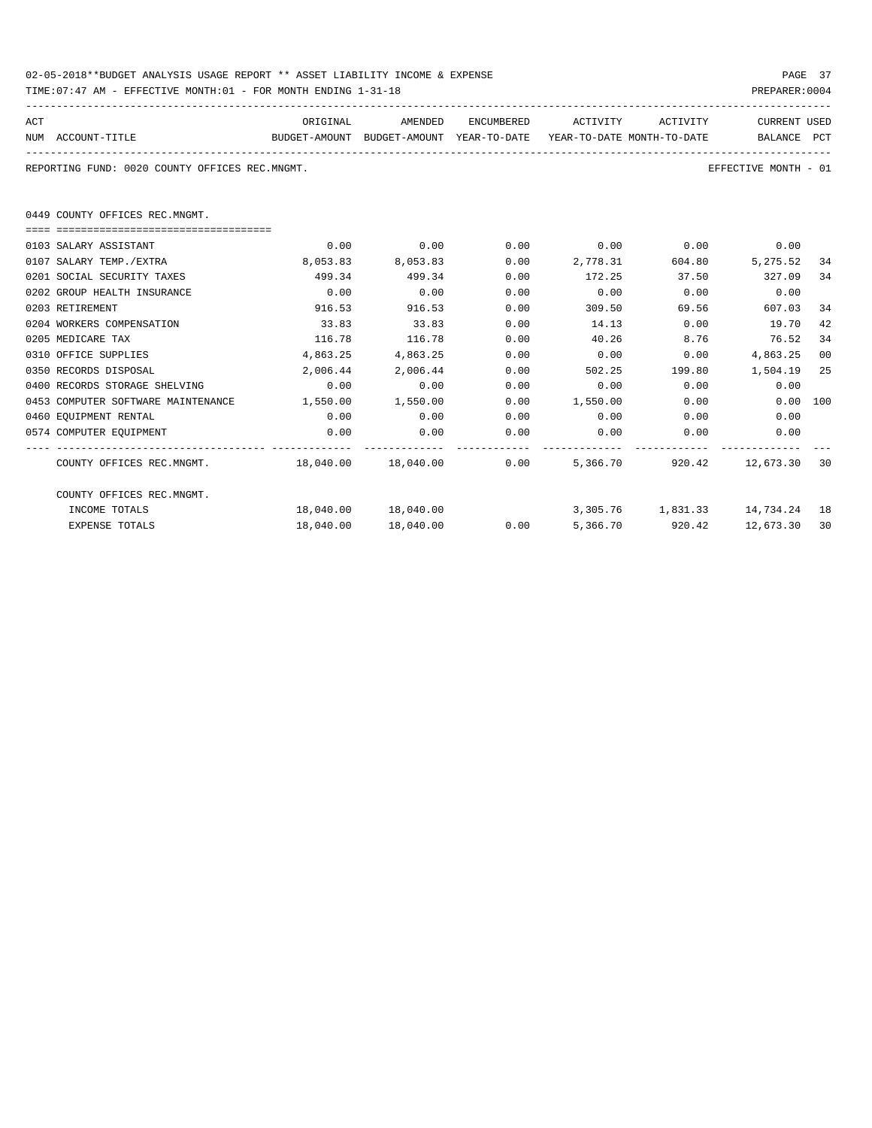| 02-05-2018**BUDGET ANALYSIS USAGE REPORT ** ASSET LIABILITY INCOME & EXPENSE | PAGE 37        |
|------------------------------------------------------------------------------|----------------|
| TIME: 07:47 AM - EFFECTIVE MONTH: 01 - FOR MONTH ENDING 1-31-18              | PREPARER: 0004 |

| ACT |                                                             | ORIGINAL                                                            | AMENDED              | ENCUMBERED | ACTIVITY ACTIVITY |                 | CURRENT USED                   |    |
|-----|-------------------------------------------------------------|---------------------------------------------------------------------|----------------------|------------|-------------------|-----------------|--------------------------------|----|
|     | NUM ACCOUNT-TITLE                                           | BUDGET-AMOUNT BUDGET-AMOUNT YEAR-TO-DATE YEAR-TO-DATE MONTH-TO-DATE |                      |            |                   |                 | BALANCE PCT                    |    |
|     | REPORTING FUND: 0020 COUNTY OFFICES REC.MNGMT.              |                                                                     |                      |            |                   |                 | EFFECTIVE MONTH - 01           |    |
|     | 0449 COUNTY OFFICES REC.MNGMT.                              |                                                                     |                      |            |                   |                 |                                |    |
|     | 0103 SALARY ASSISTANT                                       | 0.00                                                                | 0.00                 | 0.00       | $0.00$ 0.00       |                 | 0.00                           |    |
|     | 0107 SALARY TEMP./EXTRA                                     | 8,053.83                                                            | 8,053.83             | 0.00       | 2,778.31          | 604.80          | 5,275.52                       | 34 |
|     | 0201 SOCIAL SECURITY TAXES                                  | 499.34                                                              | 499.34               | 0.00       | 172.25            | 37.50           | 327.09                         | 34 |
|     | 0202 GROUP HEALTH INSURANCE                                 | 0.00                                                                | 0.00                 | 0.00       | 0.00              | 0.00            | 0.00                           |    |
|     | 0203 RETIREMENT                                             | 916.53                                                              | 916.53               | 0.00       | 309.50            | 69.56           | 607.03                         | 34 |
|     | 0204 WORKERS COMPENSATION                                   | 33.83                                                               | 33.83                | 0.00       | 14.13             | 0.00            | 19.70                          | 42 |
|     | 0205 MEDICARE TAX                                           | 116.78                                                              | 116.78               | 0.00       | 40.26             | 8.76            | 76.52                          | 34 |
|     | 0310 OFFICE SUPPLIES                                        | 4,863.25                                                            | 4,863.25             | 0.00       | 0.00              | 0.00            | 4,863.25                       | 00 |
|     | 0350 RECORDS DISPOSAL                                       | 2,006.44                                                            | 2,006.44             | 0.00       | 502.25            |                 | 199.80 1,504.19                | 25 |
|     | 0400 RECORDS STORAGE SHELVING                               | 0.00                                                                | 0.00                 | 0.00       | 0.00              | 0.00            | 0.00                           |    |
|     | 0453 COMPUTER SOFTWARE MAINTENANCE                          |                                                                     | 1,550.00 1,550.00    | 0.00       | 1,550.00          | 0.00            | 0.00 100                       |    |
|     | 0460 EQUIPMENT RENTAL                                       | 0.00                                                                | 0.00                 | 0.00       | $0.00$ 0.00       |                 | 0.00                           |    |
|     | 0574 COMPUTER EQUIPMENT                                     | 0.00                                                                | 0.00                 | 0.00       | 0.00              | 0.00            | 0.00                           |    |
|     | COUNTY OFFICES REC.MNGMT. 48,040.00 18,040.00 0.00 5,366.70 |                                                                     |                      |            |                   |                 | 920.42 12.673.30               | 30 |
|     | COUNTY OFFICES REC.MNGMT.                                   |                                                                     |                      |            |                   |                 |                                |    |
|     | INCOME TOTALS                                               |                                                                     | 18,040.00  18,040.00 |            |                   |                 | 3,305.76 1,831.33 14,734.24 18 |    |
|     | <b>EXPENSE TOTALS</b>                                       |                                                                     | 18,040.00 18,040.00  | 0.00       |                   | 5,366.70 920.42 | 12,673.30                      | 30 |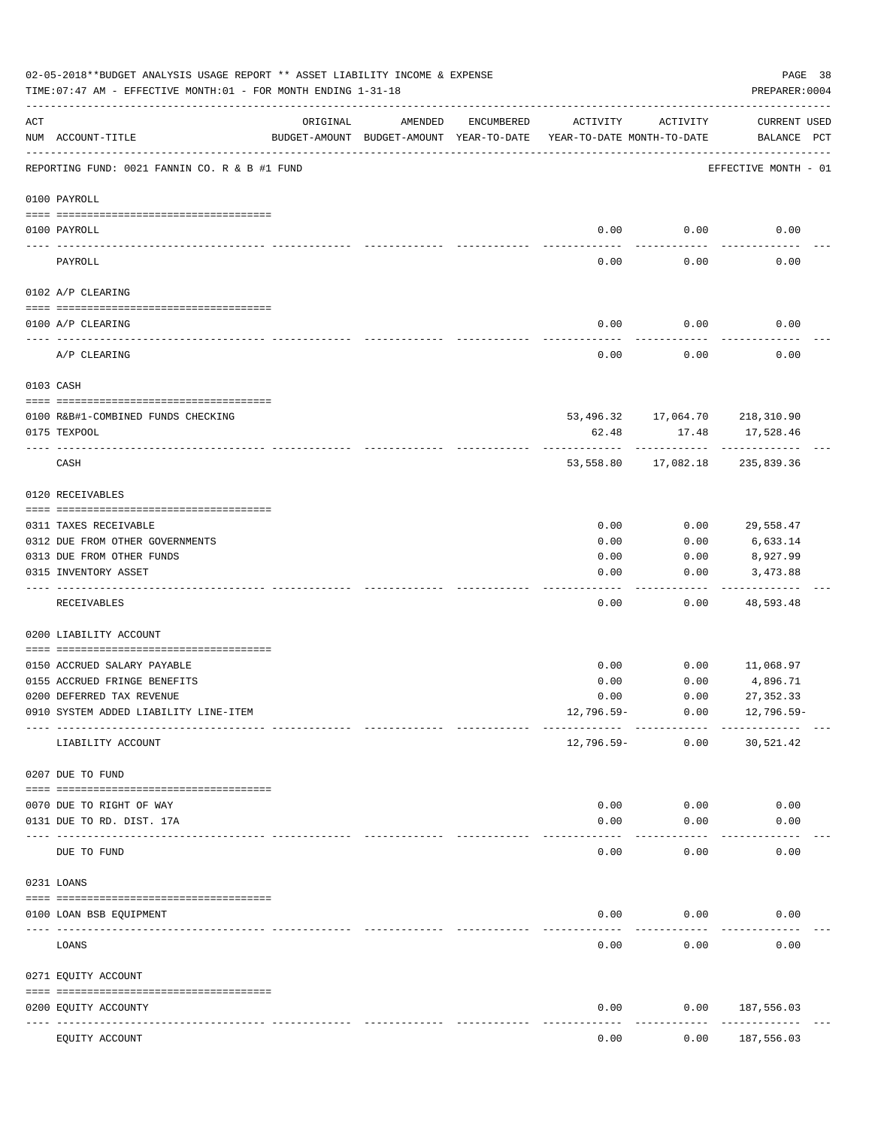|               | 02-05-2018**BUDGET ANALYSIS USAGE REPORT ** ASSET LIABILITY INCOME & EXPENSE<br>TIME: 07:47 AM - EFFECTIVE MONTH: 01 - FOR MONTH ENDING 1-31-18 |                            |                                                     |            |                                        |                     | PREPARER: 0004                     | PAGE 38 |
|---------------|-------------------------------------------------------------------------------------------------------------------------------------------------|----------------------------|-----------------------------------------------------|------------|----------------------------------------|---------------------|------------------------------------|---------|
| ACT           | NUM ACCOUNT-TITLE                                                                                                                               | ORIGINAL                   | AMENDED<br>BUDGET-AMOUNT BUDGET-AMOUNT YEAR-TO-DATE | ENCUMBERED | ACTIVITY<br>YEAR-TO-DATE MONTH-TO-DATE | ACTIVITY            | <b>CURRENT USED</b><br>BALANCE PCT |         |
|               | REPORTING FUND: 0021 FANNIN CO. R & B #1 FUND                                                                                                   |                            |                                                     |            |                                        |                     | EFFECTIVE MONTH - 01               |         |
|               | 0100 PAYROLL                                                                                                                                    |                            |                                                     |            |                                        |                     |                                    |         |
|               | 0100 PAYROLL                                                                                                                                    |                            |                                                     |            | 0.00                                   | 0.00                | 0.00                               |         |
| $\frac{1}{2}$ | PAYROLL                                                                                                                                         |                            |                                                     |            | 0.00                                   | 0.00                | 0.00                               |         |
|               | 0102 A/P CLEARING                                                                                                                               |                            |                                                     |            |                                        |                     |                                    |         |
|               | 0100 A/P CLEARING                                                                                                                               |                            |                                                     |            | 0.00                                   | 0.00                | 0.00                               |         |
|               | A/P CLEARING                                                                                                                                    |                            |                                                     |            | 0.00                                   | 0.00                | 0.00                               |         |
|               | 0103 CASH                                                                                                                                       |                            |                                                     |            |                                        |                     |                                    |         |
|               | 0100 R&B#1-COMBINED FUNDS CHECKING                                                                                                              |                            |                                                     |            |                                        |                     | 53,496.32 17,064.70 218,310.90     |         |
|               | 0175 TEXPOOL                                                                                                                                    |                            |                                                     |            | 62.48                                  | 17.48<br>---------- | 17,528.46                          |         |
|               | CASH                                                                                                                                            |                            |                                                     |            |                                        |                     | 53,558.80 17,082.18 235,839.36     |         |
|               | 0120 RECEIVABLES                                                                                                                                |                            |                                                     |            |                                        |                     |                                    |         |
|               | 0311 TAXES RECEIVABLE                                                                                                                           |                            |                                                     |            | 0.00                                   | 0.00                | 29,558.47                          |         |
|               | 0312 DUE FROM OTHER GOVERNMENTS                                                                                                                 |                            |                                                     |            | 0.00                                   | 0.00                | 6,633.14                           |         |
|               | 0313 DUE FROM OTHER FUNDS                                                                                                                       |                            |                                                     |            | 0.00                                   | 0.00                | 8,927.99                           |         |
|               | 0315 INVENTORY ASSET                                                                                                                            |                            |                                                     |            | 0.00                                   | 0.00                | 3,473.88<br>----------             |         |
|               | RECEIVABLES                                                                                                                                     |                            |                                                     |            | 0.00                                   | 0.00                | 48,593.48                          |         |
|               | 0200 LIABILITY ACCOUNT                                                                                                                          |                            |                                                     |            |                                        |                     |                                    |         |
|               | 0150 ACCRUED SALARY PAYABLE                                                                                                                     |                            |                                                     |            | 0.00                                   | 0.00                | 11,068.97                          |         |
|               | 0155 ACCRUED FRINGE BENEFITS                                                                                                                    |                            |                                                     |            | 0.00                                   | 0.00                | 4,896.71                           |         |
|               | 0200 DEFERRED TAX REVENUE                                                                                                                       |                            |                                                     |            | 0.00                                   | 0.00                | 27, 352.33                         |         |
|               | 0910 SYSTEM ADDED LIABILITY LINE-ITEM                                                                                                           |                            |                                                     |            | 12,796.59-                             | 0.00                | $12,796.59-$                       |         |
|               | LIABILITY ACCOUNT                                                                                                                               |                            |                                                     |            | 12,796.59-                             | 0.00                | 30,521.42                          |         |
|               | 0207 DUE TO FUND                                                                                                                                |                            |                                                     |            |                                        |                     |                                    |         |
|               | 0070 DUE TO RIGHT OF WAY                                                                                                                        |                            |                                                     |            | 0.00                                   | 0.00                | 0.00                               |         |
|               | 0131 DUE TO RD. DIST. 17A                                                                                                                       |                            |                                                     |            | 0.00                                   | 0.00                | 0.00                               |         |
|               | DUE TO FUND                                                                                                                                     | ------------ ------------- |                                                     |            | 0.00                                   | 0.00                | 0.00                               |         |
|               | 0231 LOANS                                                                                                                                      |                            |                                                     |            |                                        |                     |                                    |         |
|               |                                                                                                                                                 |                            |                                                     |            |                                        |                     |                                    |         |
|               | 0100 LOAN BSB EQUIPMENT                                                                                                                         |                            |                                                     |            | 0.00                                   | 0.00                | 0.00                               |         |
|               | LOANS                                                                                                                                           |                            |                                                     |            | 0.00                                   | 0.00                | 0.00                               |         |
|               | 0271 EQUITY ACCOUNT                                                                                                                             |                            |                                                     |            |                                        |                     |                                    |         |
|               | 0200 EQUITY ACCOUNTY                                                                                                                            | ------ -------------       |                                                     |            | 0.00                                   | 0.00                | 187,556.03<br>---------            |         |
|               | EQUITY ACCOUNT                                                                                                                                  |                            |                                                     |            | 0.00                                   | 0.00                | 187,556.03                         |         |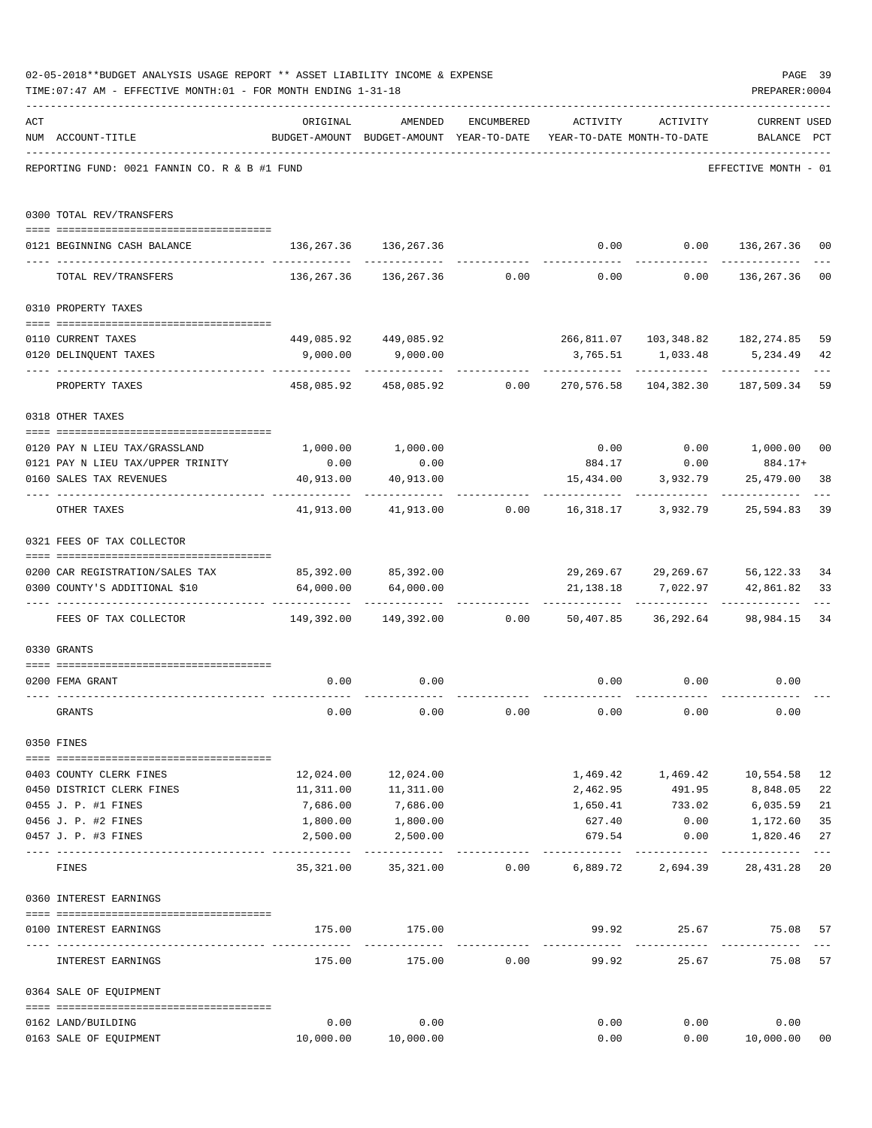|     | 02-05-2018**BUDGET ANALYSIS USAGE REPORT ** ASSET LIABILITY INCOME & EXPENSE                                                             |                                                                     |                                                                  |                |                        |                                                | PAGE 39              |             |
|-----|------------------------------------------------------------------------------------------------------------------------------------------|---------------------------------------------------------------------|------------------------------------------------------------------|----------------|------------------------|------------------------------------------------|----------------------|-------------|
|     | TIME: 07:47 AM - EFFECTIVE MONTH: 01 - FOR MONTH ENDING 1-31-18                                                                          |                                                                     |                                                                  |                |                        |                                                | PREPARER: 0004       |             |
| ACT |                                                                                                                                          | ORIGINAL                                                            | AMENDED                                                          | ENCUMBERED     |                        | ACTIVITY ACTIVITY                              | <b>CURRENT USED</b>  |             |
|     | NUM ACCOUNT-TITLE                                                                                                                        | BUDGET-AMOUNT BUDGET-AMOUNT YEAR-TO-DATE YEAR-TO-DATE MONTH-TO-DATE |                                                                  |                |                        |                                                | BALANCE PCT          |             |
|     | REPORTING FUND: 0021 FANNIN CO. R & B #1 FUND                                                                                            |                                                                     |                                                                  |                |                        |                                                | EFFECTIVE MONTH - 01 |             |
|     | 0300 TOTAL REV/TRANSFERS                                                                                                                 |                                                                     |                                                                  |                |                        |                                                |                      |             |
|     | 0121 BEGINNING CASH BALANCE                                                                                                              | 136, 267.36 136, 267.36                                             |                                                                  |                |                        | $0.00$ $0.00$ $136,267.36$                     |                      | 00          |
|     | TOTAL REV/TRANSFERS                                                                                                                      |                                                                     | $136,267.36$ $136,267.36$ $0.00$ $0.00$ $0.00$ $136,267.36$      |                |                        |                                                |                      | 00          |
|     | 0310 PROPERTY TAXES                                                                                                                      |                                                                     |                                                                  |                |                        |                                                |                      |             |
|     | 0110 CURRENT TAXES                                                                                                                       |                                                                     | 449,085.92 449,085.92                                            |                |                        | 266,811.07  103,348.82  182,274.85             |                      | 59          |
|     | 0120 DELINQUENT TAXES                                                                                                                    |                                                                     | $9,000.00$ $9,000.00$                                            |                |                        | 3,765.51 1,033.48 5,234.49                     |                      | 42          |
|     | PROPERTY TAXES                                                                                                                           |                                                                     | 458,085.92  458,085.92  0.00  270,576.58  104,382.30  187,509.34 |                |                        |                                                | ------------         | $---$<br>59 |
|     | 0318 OTHER TAXES                                                                                                                         |                                                                     |                                                                  |                |                        |                                                |                      |             |
|     | 0120 PAY N LIEU TAX/GRASSLAND                                                                                                            |                                                                     | $1,000.00$ $1,000.00$                                            |                |                        | $0.00$ $0.00$ $1,000.00$ $00$                  |                      |             |
|     | 0121 PAY N LIEU TAX/UPPER TRINITY                                                                                                        | 0.00                                                                | 0.00                                                             |                | 884.17                 | 0.00                                           | $884.17+$            |             |
|     | 0160 SALES TAX REVENUES                                                                                                                  | 40,913.00<br>------------                                           | 40,913.00                                                        |                |                        | 15,434.00 3,932.79                             | 25,479.00            | 38          |
|     | OTHER TAXES                                                                                                                              |                                                                     | $41,913.00$ $41,913.00$ $0.00$ $16,318.17$ $3,932.79$            |                |                        |                                                | 25,594.83            | 39          |
|     | 0321 FEES OF TAX COLLECTOR                                                                                                               |                                                                     |                                                                  |                |                        |                                                |                      |             |
|     | 0200 CAR REGISTRATION/SALES TAX                                                                                                          | 85,392.00 85,392.00                                                 |                                                                  |                |                        | 29, 269.67 29, 269.67 56, 122.33               |                      | 34          |
|     | 0300 COUNTY'S ADDITIONAL \$10                                                                                                            |                                                                     | 64,000.00 64,000.00                                              |                |                        | 21, 138.18 7, 022.97 42, 861.82<br>----------- | -------------        | 33          |
|     | FEES OF TAX COLLECTOR                             149,392.00       149,392.00           0.00     50,407.85     36,292.64       98,984.15 |                                                                     |                                                                  |                |                        |                                                |                      | 34          |
|     | 0330 GRANTS                                                                                                                              |                                                                     |                                                                  |                |                        |                                                |                      |             |
|     | 0200 FEMA GRANT                                                                                                                          | 0.00                                                                | 0.00                                                             |                |                        | $0.00$ $0.00$                                  | 0.00                 |             |
|     | GRANTS                                                                                                                                   | 0.00                                                                | 0.00                                                             | 0.00           | 0.00                   | 0.00                                           | 0.00                 |             |
|     | 0350 FINES                                                                                                                               |                                                                     |                                                                  |                |                        |                                                |                      |             |
|     | 0403 COUNTY CLERK FINES                                                                                                                  |                                                                     | 12,024.00 12,024.00                                              |                |                        | 1,469.42 1,469.42 10,554.58                    |                      | 12          |
|     | 0450 DISTRICT CLERK FINES                                                                                                                | 11,311.00                                                           | 11,311.00                                                        |                | 2,462.95               | 491.95                                         | 8,848.05             | 22          |
|     | 0455 J. P. #1 FINES                                                                                                                      | 7,686.00                                                            | 7,686.00<br>1,800.00                                             |                | 1,650.41               | 733.02                                         | 6,035.59             | 21          |
|     | 0456 J. P. #2 FINES                                                                                                                      | 1,800.00                                                            |                                                                  |                | 627.40                 | 0.00                                           | 1,172.60             | 35          |
|     | 0457 J. P. #3 FINES                                                                                                                      | 2,500.00                                                            | 2,500.00                                                         |                | 679.54<br>------------ | 0.00<br>------------                           | 1,820.46             | 27<br>$---$ |
|     | FINES                                                                                                                                    | 35,321.00                                                           |                                                                  | 35,321.00 0.00 |                        | 6,889.72 2,694.39                              | 28,431.28            | 20          |
|     | 0360 INTEREST EARNINGS                                                                                                                   |                                                                     |                                                                  |                |                        |                                                |                      |             |
|     | 0100 INTEREST EARNINGS                                                                                                                   |                                                                     | 175.00 175.00                                                    |                |                        | 99.92 25.67                                    | 75.08                | 57          |
|     | INTEREST EARNINGS                                                                                                                        | 175.00                                                              | 175.00                                                           |                | $0.00$ 99.92           | ----------<br>25.67                            | 75.08                | 57          |
|     | 0364 SALE OF EQUIPMENT                                                                                                                   |                                                                     |                                                                  |                |                        |                                                |                      |             |
|     | 0162 LAND/BUILDING                                                                                                                       | 0.00                                                                | 0.00                                                             |                | 0.00                   |                                                | 0.00<br>0.00         |             |
|     | 0163 SALE OF EQUIPMENT                                                                                                                   |                                                                     | 10,000.00 10,000.00                                              |                | 0.00                   | 0.00                                           | 10,000.00            | 00          |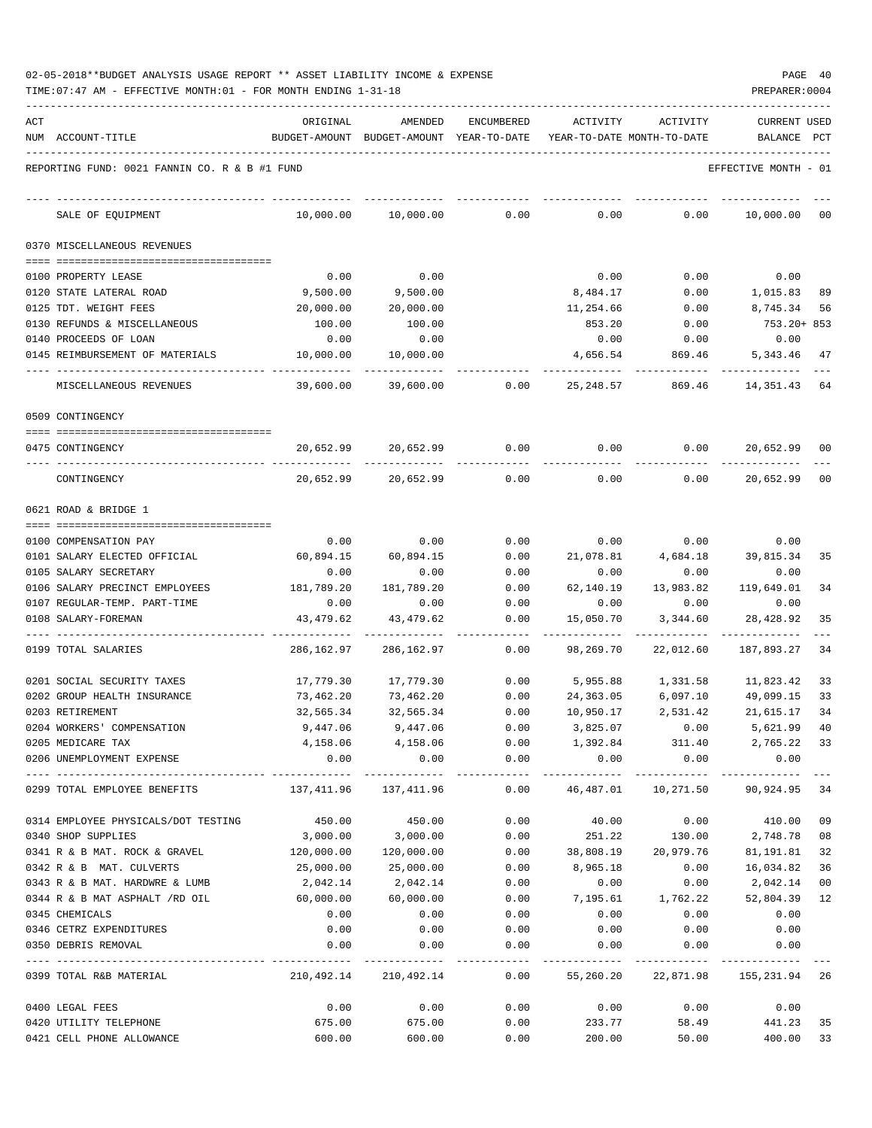| 02-05-2018**BUDGET ANALYSIS USAGE REPORT ** ASSET LIABILITY INCOME & EXPENSE |  |  |  |  |  | PAGE | -40 |
|------------------------------------------------------------------------------|--|--|--|--|--|------|-----|
|                                                                              |  |  |  |  |  |      |     |

| ACT |                                               | ORIGINAL                                                            | AMENDED                 | ENCUMBERED     | ACTIVITY                   | ACTIVITY        | <b>CURRENT USED</b>                     |     |
|-----|-----------------------------------------------|---------------------------------------------------------------------|-------------------------|----------------|----------------------------|-----------------|-----------------------------------------|-----|
|     | NUM ACCOUNT-TITLE                             | BUDGET-AMOUNT BUDGET-AMOUNT YEAR-TO-DATE YEAR-TO-DATE MONTH-TO-DATE |                         |                |                            |                 | BALANCE                                 | PCT |
|     | REPORTING FUND: 0021 FANNIN CO. R & B #1 FUND |                                                                     |                         |                |                            |                 | EFFECTIVE MONTH - 01                    |     |
|     |                                               |                                                                     |                         |                |                            |                 |                                         |     |
|     | SALE OF EQUIPMENT                             | 10,000.00                                                           | 10,000.00               | 0.00           | 0.00                       | 0.00            | 10,000.00                               | 00  |
|     | 0370 MISCELLANEOUS REVENUES                   |                                                                     |                         |                |                            |                 |                                         |     |
|     | 0100 PROPERTY LEASE                           | 0.00                                                                | 0.00                    |                | 0.00                       | 0.00            | 0.00                                    |     |
|     | 0120 STATE LATERAL ROAD                       | 9,500.00                                                            | 9,500.00                |                | 8,484.17                   | 0.00            | 1,015.83                                | 89  |
|     | 0125 TDT. WEIGHT FEES                         | 20,000.00                                                           | 20,000.00               |                | 11,254.66                  | 0.00            | 8,745.34                                | 56  |
|     | 0130 REFUNDS & MISCELLANEOUS                  | 100.00                                                              | 100.00                  |                | 853.20                     | 0.00            | 753.20+ 853                             |     |
|     | 0140 PROCEEDS OF LOAN                         | 0.00                                                                | 0.00                    |                | 0.00                       | 0.00            | 0.00                                    |     |
|     | 0145 REIMBURSEMENT OF MATERIALS               | 10,000.00                                                           | 10,000.00               |                | 4,656.54                   | 869.46          | 5,343.46                                | 47  |
|     | MISCELLANEOUS REVENUES                        | 39,600.00                                                           | 39,600.00               | 0.00           | 25,248.57                  | 869.46          | 14,351.43                               | 64  |
|     | 0509 CONTINGENCY                              |                                                                     |                         |                |                            |                 |                                         |     |
|     | 0475 CONTINGENCY                              | 20,652.99                                                           |                         | 20,652.99 0.00 | $0.00$ 0.00                |                 | 20,652.99                               | 00  |
|     | CONTINGENCY                                   | 20,652.99                                                           | 20,652.99               | 0.00           | 0.00                       | 0.00            | 20,652.99                               | 00  |
|     | 0621 ROAD & BRIDGE 1                          |                                                                     |                         |                |                            |                 |                                         |     |
|     | 0100 COMPENSATION PAY                         | 0.00                                                                | 0.00                    | 0.00           | 0.00                       | 0.00            | 0.00                                    |     |
|     | 0101 SALARY ELECTED OFFICIAL                  | 60,894.15                                                           | 60,894.15               | 0.00           | 21,078.81                  | 4,684.18        | 39,815.34                               | 35  |
|     | 0105 SALARY SECRETARY                         | 0.00                                                                | 0.00                    | 0.00           | 0.00                       | 0.00            | 0.00                                    |     |
|     | 0106 SALARY PRECINCT EMPLOYEES                | 181,789.20                                                          | 181,789.20              | 0.00           | 62,140.19                  | 13,983.82       | 119,649.01                              | 34  |
|     | 0107 REGULAR-TEMP. PART-TIME                  | 0.00                                                                | 0.00                    | 0.00           | 0.00                       | 0.00            | 0.00                                    |     |
|     | 0108 SALARY-FOREMAN                           | 43,479.62                                                           | 43,479.62               | 0.00           | 15,050.70                  | 3,344.60        | 28,428.92                               | 35  |
|     | 0199 TOTAL SALARIES                           | 286,162.97                                                          | 286,162.97              | 0.00           | 98,269.70                  | 22,012.60       | 187,893.27                              | 34  |
|     | 0201 SOCIAL SECURITY TAXES                    | 17,779.30                                                           | 17,779.30               | 0.00           | 5,955.88                   | 1,331.58        | 11,823.42                               | 33  |
|     | 0202 GROUP HEALTH INSURANCE                   | 73,462.20                                                           | 73,462.20               | 0.00           | 24,363.05                  | 6,097.10        | 49,099.15                               | 33  |
|     | 0203 RETIREMENT                               | 32,565.34                                                           | 32,565.34               | 0.00           | 10,950.17                  | 2,531.42        | 21,615.17                               | 34  |
|     | 0204 WORKERS' COMPENSATION                    | 9,447.06                                                            | 9,447.06                | 0.00           | 3,825.07                   | 0.00            | 5,621.99                                | 40  |
|     | 0205 MEDICARE TAX                             |                                                                     | 4, 158.06 4, 158.06     |                |                            |                 | $0.00$ 1,392.84 311.40 2,765.22 33      |     |
|     | 0206 UNEMPLOYMENT EXPENSE                     | 0.00                                                                | 0.00                    | 0.00           | 0.00                       | 0.00            | 0.00                                    |     |
|     | 0299 TOTAL EMPLOYEE BENEFITS                  |                                                                     | 137, 411.96 137, 411.96 |                |                            |                 | $0.00$ 46,487.01 10,271.50 90,924.95 34 |     |
|     | 0314 EMPLOYEE PHYSICALS/DOT TESTING           | 450.00                                                              | 450.00                  | 0.00           | 40.00                      |                 | $0.00$ 410.00 09                        |     |
|     | 0340 SHOP SUPPLIES                            | 3,000.00                                                            | 3,000.00                | 0.00           |                            | 251.22 130.00   | 2,748.78                                | 08  |
|     | 0341 R & B MAT. ROCK & GRAVEL 120,000.00      |                                                                     | 120,000.00              |                | $0.00$ 38,808.19 20,979.76 |                 | 81,191.81                               | 32  |
|     | 0342 R & B MAT. CULVERTS                      | 25,000.00                                                           | 25,000.00               | 0.00           | 8,965.18                   | 0.00            | 16,034.82                               | 36  |
|     | 0343 R & B MAT. HARDWRE & LUMB                | 2,042.14                                                            | 2,042.14                | 0.00           | 0.00                       | 0.00            | 2,042.14                                | 00  |
|     | 0344 R & B MAT ASPHALT /RD OIL                | 60,000.00                                                           | 60,000.00               | 0.00           | 7,195.61                   | 1,762.22        | 52,804.39                               | 12  |
|     | 0345 CHEMICALS                                | 0.00                                                                | 0.00                    | 0.00           | 0.00                       | 0.00            | 0.00                                    |     |
|     | 0346 CETRZ EXPENDITURES                       | 0.00                                                                | 0.00                    | 0.00           | 0.00                       | 0.00            | 0.00                                    |     |
|     | 0350 DEBRIS REMOVAL                           | 0.00                                                                | 0.00                    | 0.00           | 0.00                       | 0.00            | 0.00                                    |     |
|     | 0399 TOTAL R&B MATERIAL                       |                                                                     | 210,492.14 210,492.14   |                |                            |                 | 0.00 55,260.20 22,871.98 155,231.94 26  |     |
|     | 0400 LEGAL FEES                               | 0.00                                                                | 0.00                    | 0.00           |                            | $0.00$ 0.00     | 0.00                                    |     |
|     | 0420 UTILITY TELEPHONE                        | 675.00                                                              | 675.00                  | 0.00           |                            |                 | 233.77 58.49 441.23                     | 35  |
|     | 0421 CELL PHONE ALLOWANCE                     | 600.00                                                              | 600.00                  | 0.00           |                            | 200.00<br>50.00 | 400.00 33                               |     |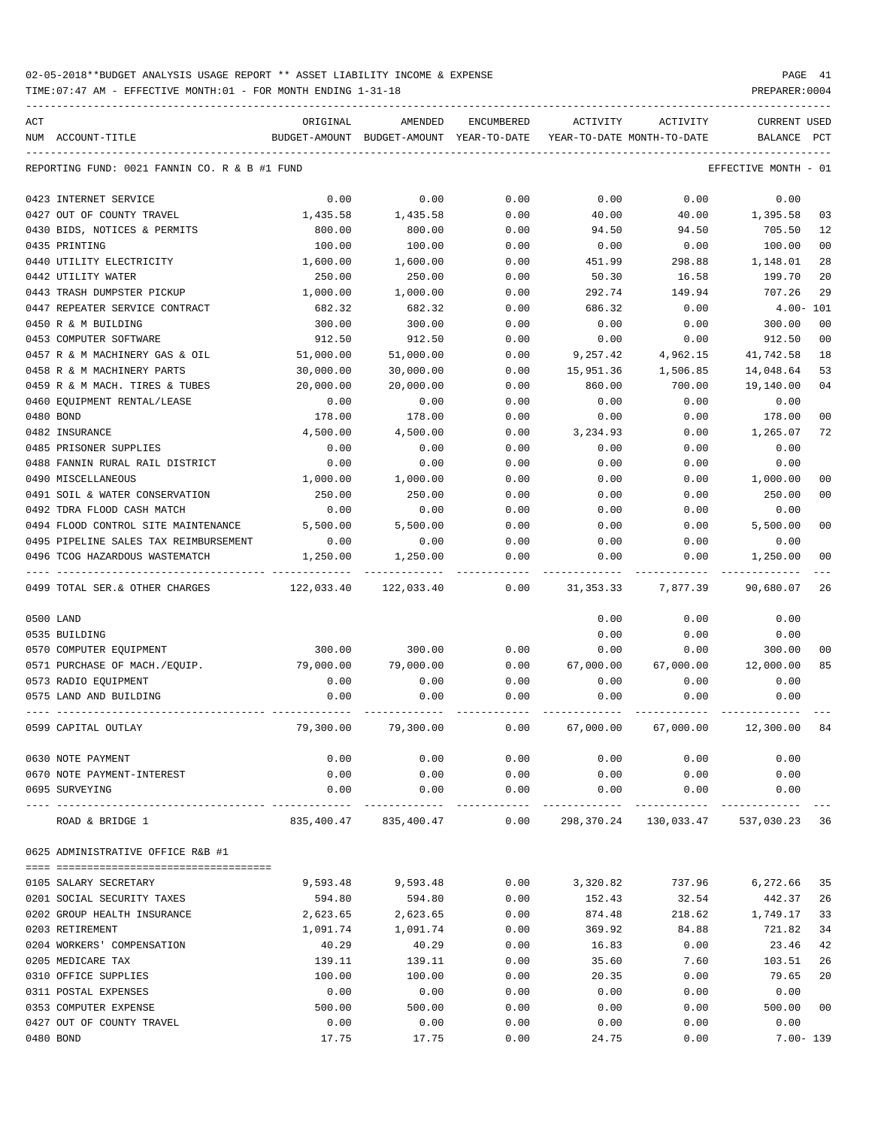TIME:07:47 AM - EFFECTIVE MONTH:01 - FOR MONTH ENDING 1-31-18 PREPARER:0004

-----------------------------------------------------------------------------------------------------------------------------------

| ACT |                                               | ORIGINAL                                 | AMENDED                    | ENCUMBERED           | ACTIVITY                   | ACTIVITY                               | <b>CURRENT USED</b>  |                |
|-----|-----------------------------------------------|------------------------------------------|----------------------------|----------------------|----------------------------|----------------------------------------|----------------------|----------------|
|     | NUM ACCOUNT-TITLE                             | BUDGET-AMOUNT BUDGET-AMOUNT YEAR-TO-DATE |                            |                      | YEAR-TO-DATE MONTH-TO-DATE |                                        | BALANCE PCT          |                |
|     | REPORTING FUND: 0021 FANNIN CO. R & B #1 FUND |                                          |                            |                      |                            |                                        | EFFECTIVE MONTH - 01 |                |
|     | 0423 INTERNET SERVICE                         | 0.00                                     | 0.00                       | 0.00                 | 0.00                       | 0.00                                   | 0.00                 |                |
|     | 0427 OUT OF COUNTY TRAVEL                     | 1,435.58                                 | 1,435.58                   | 0.00                 | 40.00                      | 40.00                                  | 1,395.58             | 03             |
|     | 0430 BIDS, NOTICES & PERMITS                  | 800.00                                   | 800.00                     | 0.00                 | 94.50                      | 94.50                                  | 705.50               | 12             |
|     | 0435 PRINTING                                 | 100.00                                   | 100.00                     | 0.00                 | 0.00                       | 0.00                                   | 100.00               | 0 <sub>0</sub> |
|     | 0440 UTILITY ELECTRICITY                      | 1,600.00                                 | 1,600.00                   | 0.00                 | 451.99                     | 298.88                                 | 1,148.01             | 28             |
|     | 0442 UTILITY WATER                            | 250.00                                   | 250.00                     | 0.00                 | 50.30                      | 16.58                                  | 199.70               | 20             |
|     | 0443 TRASH DUMPSTER PICKUP                    | 1,000.00                                 | 1,000.00                   | 0.00                 | 292.74                     | 149.94                                 | 707.26               | 29             |
|     | 0447 REPEATER SERVICE CONTRACT                | 682.32                                   | 682.32                     | 0.00                 | 686.32                     | 0.00                                   | $4.00 - 101$         |                |
|     | 0450 R & M BUILDING                           | 300.00                                   | 300.00                     | 0.00                 | 0.00                       | 0.00                                   | 300.00               | 0 <sub>0</sub> |
|     | 0453 COMPUTER SOFTWARE                        | 912.50                                   | 912.50                     | 0.00                 | 0.00                       | 0.00                                   | 912.50               | 0 <sub>0</sub> |
|     | 0457 R & M MACHINERY GAS & OIL                | 51,000.00                                | 51,000.00                  | 0.00                 | 9,257.42                   | 4,962.15                               | 41,742.58            | 18             |
|     | 0458 R & M MACHINERY PARTS                    | 30,000.00                                | 30,000.00                  | 0.00                 | 15,951.36                  | 1,506.85                               | 14,048.64            | 53             |
|     | 0459 R & M MACH. TIRES & TUBES                | 20,000.00                                | 20,000.00                  | 0.00                 | 860.00                     | 700.00                                 | 19,140.00            | 0 <sub>4</sub> |
|     | 0460 EQUIPMENT RENTAL/LEASE                   | 0.00                                     | 0.00                       | 0.00                 | 0.00                       | 0.00                                   | 0.00                 |                |
|     | 0480 BOND                                     | 178.00                                   | 178.00                     | 0.00                 | 0.00                       | 0.00                                   | 178.00               | 0 <sub>0</sub> |
|     | 0482 INSURANCE                                | 4,500.00                                 | 4,500.00                   | 0.00                 | 3,234.93                   | 0.00                                   | 1,265.07             | 72             |
|     | 0485 PRISONER SUPPLIES                        | 0.00                                     | 0.00                       | 0.00                 | 0.00                       | 0.00                                   | 0.00                 |                |
|     | 0488 FANNIN RURAL RAIL DISTRICT               | 0.00                                     | 0.00                       | 0.00                 | 0.00                       | 0.00                                   | 0.00                 |                |
|     | 0490 MISCELLANEOUS                            | 1,000.00                                 | 1,000.00                   | 0.00                 | 0.00                       | 0.00                                   | 1,000.00             | 00             |
|     | 0491 SOIL & WATER CONSERVATION                | 250.00                                   | 250.00                     | 0.00                 | 0.00                       | 0.00                                   | 250.00               | 0 <sub>0</sub> |
|     | 0492 TDRA FLOOD CASH MATCH                    | 0.00                                     | 0.00                       | 0.00                 | 0.00                       | 0.00                                   | 0.00                 |                |
|     | 0494 FLOOD CONTROL SITE MAINTENANCE 5,500.00  |                                          | 5,500.00                   | 0.00                 | 0.00                       | 0.00                                   | 5,500.00             | 0 <sub>0</sub> |
|     | 0495 PIPELINE SALES TAX REIMBURSEMENT         | 0.00                                     | 0.00                       | 0.00                 | 0.00                       | 0.00                                   | 0.00                 |                |
|     | 0496 TCOG HAZARDOUS WASTEMATCH                | 1,250.00                                 | 1,250.00                   | 0.00                 | 0.00                       | 0.00                                   | 1,250.00             | 0 <sub>0</sub> |
|     | 0499 TOTAL SER.& OTHER CHARGES                | 122,033.40                               | . <u>.</u> .<br>122,033.40 | 0.00                 | 31,353.33                  | 7,877.39                               | 90,680.07            | 26             |
|     |                                               |                                          |                            |                      |                            |                                        |                      |                |
|     | 0500 LAND                                     |                                          |                            |                      | 0.00                       | 0.00                                   | 0.00                 |                |
|     | 0535 BUILDING                                 |                                          |                            |                      | 0.00                       | 0.00                                   | 0.00                 |                |
|     | 0570 COMPUTER EQUIPMENT                       | 300.00                                   | 300.00                     | 0.00                 | 0.00                       | 0.00                                   | 300.00               | 00             |
|     | 0571 PURCHASE OF MACH./EQUIP.                 | 79,000.00                                | 79,000.00                  | 0.00                 | 67,000.00                  | 67,000.00                              | 12,000.00            | 85             |
|     | 0573 RADIO EQUIPMENT                          | 0.00                                     | 0.00                       | 0.00                 | 0.00                       | 0.00                                   | 0.00                 |                |
|     | 0575 LAND AND BUILDING                        | 0.00                                     | 0.00                       | 0.00                 | 0.00                       | 0.00                                   | 0.00                 |                |
|     | 0599 CAPITAL OUTLAY                           | 79,300.00                                | 79,300.00                  | 0.00                 | 67,000.00                  | 67,000.00                              | 12,300.00            | -84            |
|     | 0630 NOTE PAYMENT                             | 0.00                                     | 0.00                       | 0.00                 | 0.00                       | 0.00                                   | 0.00                 |                |
|     | 0670 NOTE PAYMENT-INTEREST                    | 0.00                                     | 0.00                       | 0.00                 | 0.00                       | 0.00                                   | 0.00                 |                |
|     | 0695 SURVEYING                                | 0.00                                     | 0.00                       | 0.00                 | 0.00                       | 0.00                                   | 0.00                 |                |
|     | ROAD & BRIDGE 1                               |                                          | 835,400.47 835,400.47      | ------------<br>0.00 |                            | -------------<br>298,370.24 130,033.47 | 537,030.23           | 36             |
|     | 0625 ADMINISTRATIVE OFFICE R&B #1             |                                          |                            |                      |                            |                                        |                      |                |
|     |                                               |                                          |                            |                      |                            |                                        |                      |                |
|     | 0105 SALARY SECRETARY                         | 9,593.48                                 | 9,593.48                   | 0.00                 | 3,320.82                   | 737.96                                 | 6,272.66             | 35             |
|     | 0201 SOCIAL SECURITY TAXES                    | 594.80                                   | 594.80                     | 0.00                 | 152.43                     | 32.54                                  | 442.37               | 26             |
|     | 0202 GROUP HEALTH INSURANCE                   | 2,623.65                                 | 2,623.65                   | 0.00                 | 874.48                     | 218.62                                 | 1,749.17             | 33             |
|     | 0203 RETIREMENT                               | 1,091.74                                 | 1,091.74                   | 0.00                 | 369.92                     | 84.88                                  | 721.82               | 34             |
|     | 0204 WORKERS' COMPENSATION                    | 40.29                                    | 40.29                      | 0.00                 | 16.83                      | 0.00                                   | 23.46                | 42             |
|     | 0205 MEDICARE TAX                             | 139.11                                   | 139.11                     | 0.00                 | 35.60                      | 7.60                                   | 103.51               | 26             |
|     | 0310 OFFICE SUPPLIES                          | 100.00                                   | 100.00                     | 0.00                 | 20.35                      | 0.00                                   | 79.65                | 20             |
|     | 0311 POSTAL EXPENSES                          | 0.00                                     | 0.00                       | 0.00                 | 0.00                       | 0.00                                   | 0.00                 |                |
|     | 0353 COMPUTER EXPENSE                         | 500.00                                   | 500.00                     | 0.00                 | 0.00                       | 0.00                                   | 500.00               | 0 <sub>0</sub> |
|     | 0427 OUT OF COUNTY TRAVEL                     | 0.00                                     | 0.00                       | 0.00                 | 0.00                       | 0.00                                   | 0.00                 |                |

0480 BOND 17.75 17.75 0.00 24.75 0.00 7.00- 139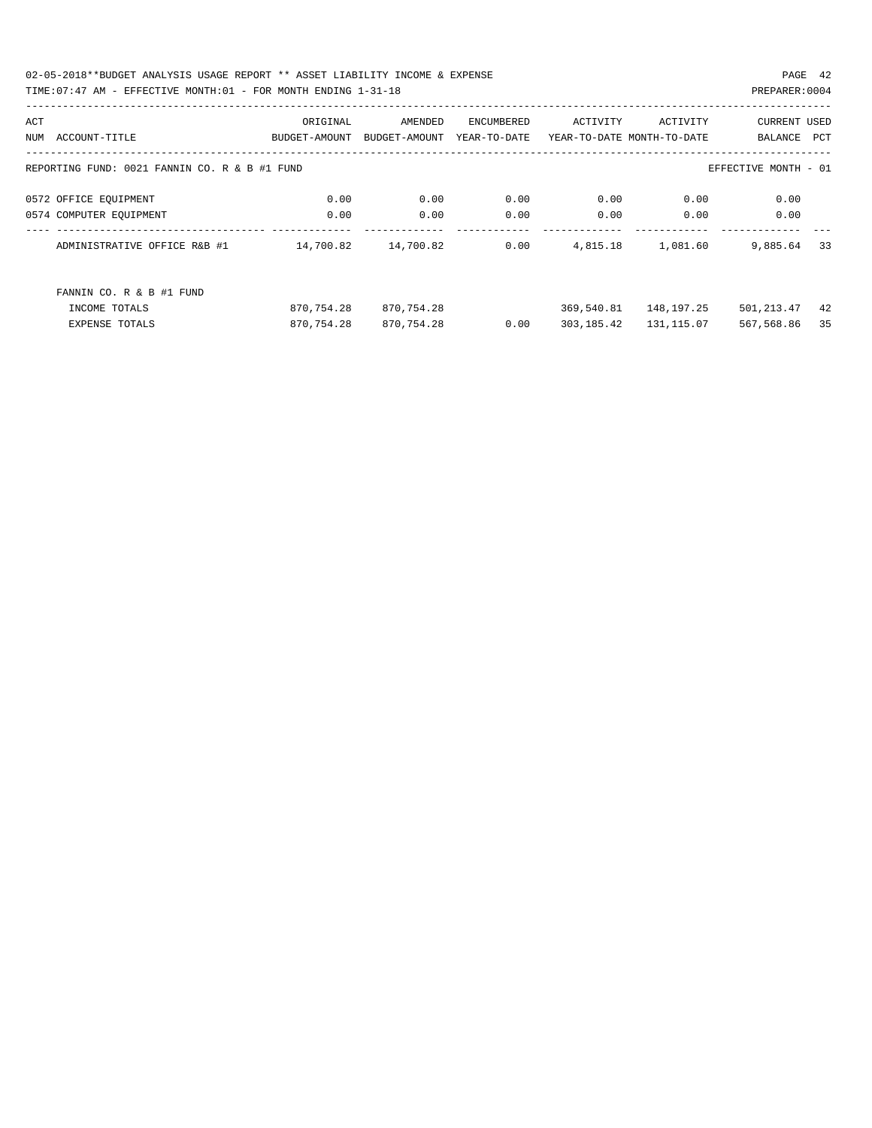02-05-2018\*\*BUDGET ANALYSIS USAGE REPORT \*\* ASSET LIABILITY INCOME & EXPENSE PAGE 42 TIME:07:47 AM - EFFECTIVE MONTH:01 - FOR MONTH ENDING 1-31-18 PREPARER:0004

| ACT |                                               | ORIGINAL      | AMENDED       | ENCUMBERED   | ACTIVITY                   | ACTIVITY   | <b>CURRENT USED</b>  |     |
|-----|-----------------------------------------------|---------------|---------------|--------------|----------------------------|------------|----------------------|-----|
| NUM | ACCOUNT-TITLE                                 | BUDGET-AMOUNT | BUDGET-AMOUNT | YEAR-TO-DATE | YEAR-TO-DATE MONTH-TO-DATE |            | BALANCE              | PCT |
|     |                                               |               |               |              |                            |            |                      |     |
|     | REPORTING FUND: 0021 FANNIN CO. R & B #1 FUND |               |               |              |                            |            | EFFECTIVE MONTH - 01 |     |
|     | 0572 OFFICE EQUIPMENT                         | 0.00          | 0.00          | 0.00         | 0.00                       | 0.00       | 0.00                 |     |
|     | 0574 COMPUTER EQUIPMENT                       | 0.00          | 0.00          | 0.00         | 0.00                       | 0.00       | 0.00                 |     |
|     |                                               |               |               |              |                            |            |                      |     |
|     | ADMINISTRATIVE OFFICE R&B #1                  | 14,700.82     | 14,700.82     | 0.00         | 4,815.18                   | 1,081.60   | 9,885.64             | 33  |
|     |                                               |               |               |              |                            |            |                      |     |
|     | FANNIN CO. R & B #1 FUND                      |               |               |              |                            |            |                      |     |
|     |                                               |               |               |              |                            |            |                      |     |
|     | INCOME TOTALS                                 | 870,754.28    | 870,754.28    |              | 369,540.81                 | 148,197.25 | 501, 213.47          | 42  |
|     | <b>EXPENSE TOTALS</b>                         | 870,754.28    | 870,754.28    | 0.00         | 303,185.42                 | 131,115.07 | 567,568.86           | 35  |
|     |                                               |               |               |              |                            |            |                      |     |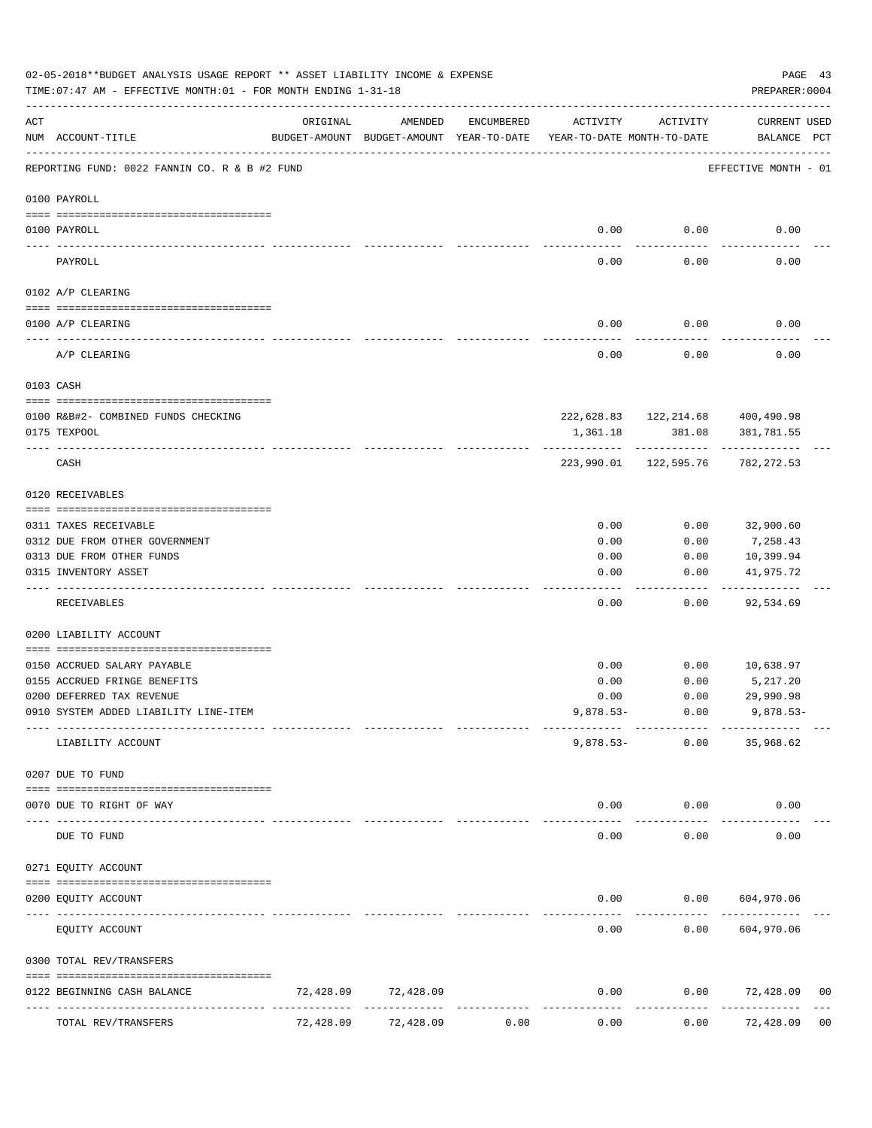|                   | 02-05-2018**BUDGET ANALYSIS USAGE REPORT ** ASSET LIABILITY INCOME & EXPENSE<br>TIME: 07:47 AM - EFFECTIVE MONTH: 01 - FOR MONTH ENDING 1-31-18 |           |                                                     |            |                                        |                                        | PAGE 43<br>PREPARER: 0004        |                |
|-------------------|-------------------------------------------------------------------------------------------------------------------------------------------------|-----------|-----------------------------------------------------|------------|----------------------------------------|----------------------------------------|----------------------------------|----------------|
| ACT               | NUM ACCOUNT-TITLE                                                                                                                               | ORIGINAL  | AMENDED<br>BUDGET-AMOUNT BUDGET-AMOUNT YEAR-TO-DATE | ENCUMBERED | ACTIVITY<br>YEAR-TO-DATE MONTH-TO-DATE | ACTIVITY                               | CURRENT USED<br>BALANCE PCT      |                |
|                   | REPORTING FUND: 0022 FANNIN CO. R & B #2 FUND                                                                                                   |           |                                                     |            |                                        |                                        | EFFECTIVE MONTH - 01             |                |
|                   | 0100 PAYROLL                                                                                                                                    |           |                                                     |            |                                        |                                        |                                  |                |
|                   | 0100 PAYROLL                                                                                                                                    |           |                                                     |            | 0.00                                   | 0.00                                   | 0.00                             |                |
| $- - - - - - - -$ | PAYROLL                                                                                                                                         |           |                                                     |            | 0.00                                   | 0.00                                   | 0.00                             |                |
|                   | 0102 A/P CLEARING                                                                                                                               |           |                                                     |            |                                        |                                        |                                  |                |
|                   | 0100 A/P CLEARING                                                                                                                               |           |                                                     |            | 0.00                                   | 0.00                                   | 0.00                             |                |
|                   | A/P CLEARING                                                                                                                                    |           |                                                     |            | 0.00                                   | 0.00                                   | 0.00                             |                |
|                   | 0103 CASH                                                                                                                                       |           |                                                     |            |                                        |                                        |                                  |                |
|                   |                                                                                                                                                 |           |                                                     |            |                                        |                                        | 222,628.83 122,214.68 400,490.98 |                |
|                   | 0100 R&B#2- COMBINED FUNDS CHECKING<br>0175 TEXPOOL                                                                                             |           |                                                     |            | 1,361.18                               | 381.08                                 | 381,781.55                       |                |
|                   | CASH                                                                                                                                            |           |                                                     |            |                                        | -------------<br>223,990.01 122,595.76 | 782,272.53                       |                |
|                   | 0120 RECEIVABLES                                                                                                                                |           |                                                     |            |                                        |                                        |                                  |                |
|                   | 0311 TAXES RECEIVABLE                                                                                                                           |           |                                                     |            | 0.00                                   | 0.00                                   | 32,900.60                        |                |
|                   | 0312 DUE FROM OTHER GOVERNMENT                                                                                                                  |           |                                                     |            | 0.00                                   | 0.00                                   | 7,258.43                         |                |
|                   | 0313 DUE FROM OTHER FUNDS                                                                                                                       |           |                                                     |            | 0.00                                   | 0.00                                   | 10,399.94                        |                |
|                   | 0315 INVENTORY ASSET                                                                                                                            |           |                                                     |            | 0.00                                   | 0.00                                   | 41,975.72<br>----------          |                |
|                   | RECEIVABLES                                                                                                                                     |           |                                                     |            | 0.00                                   | 0.00                                   | 92,534.69                        |                |
|                   | 0200 LIABILITY ACCOUNT                                                                                                                          |           |                                                     |            |                                        |                                        |                                  |                |
|                   | 0150 ACCRUED SALARY PAYABLE                                                                                                                     |           |                                                     |            | 0.00                                   | 0.00                                   | 10,638.97                        |                |
|                   | 0155 ACCRUED FRINGE BENEFITS                                                                                                                    |           |                                                     |            | 0.00                                   | 0.00                                   | 5,217.20                         |                |
|                   | 0200 DEFERRED TAX REVENUE                                                                                                                       |           |                                                     |            | 0.00                                   | 0.00                                   | 29,990.98                        |                |
|                   | 0910 SYSTEM ADDED LIABILITY LINE-ITEM                                                                                                           |           |                                                     |            | $9,878.53-$                            | 0.00                                   | $9,878.53-$                      |                |
|                   | LIABILITY ACCOUNT                                                                                                                               |           |                                                     |            | $9,878.53-$                            | 0.00                                   | 35,968.62                        |                |
|                   | 0207 DUE TO FUND                                                                                                                                |           |                                                     |            |                                        |                                        |                                  |                |
|                   | 0070 DUE TO RIGHT OF WAY                                                                                                                        |           |                                                     |            | 0.00                                   | 0.00                                   | 0.00                             |                |
| $---$             | DUE TO FUND                                                                                                                                     |           |                                                     |            | 0.00                                   | 0.00                                   | 0.00                             |                |
|                   | 0271 EQUITY ACCOUNT                                                                                                                             |           |                                                     |            |                                        |                                        |                                  |                |
|                   | 0200 EQUITY ACCOUNT                                                                                                                             |           |                                                     |            | 0.00                                   |                                        | 0.00 604,970.06                  |                |
|                   | EQUITY ACCOUNT                                                                                                                                  |           |                                                     |            | 0.00                                   | 0.00                                   | 604,970.06                       |                |
|                   | 0300 TOTAL REV/TRANSFERS                                                                                                                        |           |                                                     |            |                                        |                                        |                                  |                |
|                   | 0122 BEGINNING CASH BALANCE                                                                                                                     | 72,428.09 | 72,428.09                                           |            | 0.00                                   | 0.00                                   | 72,428.09                        | 00             |
|                   | TOTAL REV/TRANSFERS                                                                                                                             | 72,428.09 | 72,428.09                                           | 0.00       | 0.00                                   | 0.00                                   | 72,428.09                        | 0 <sub>0</sub> |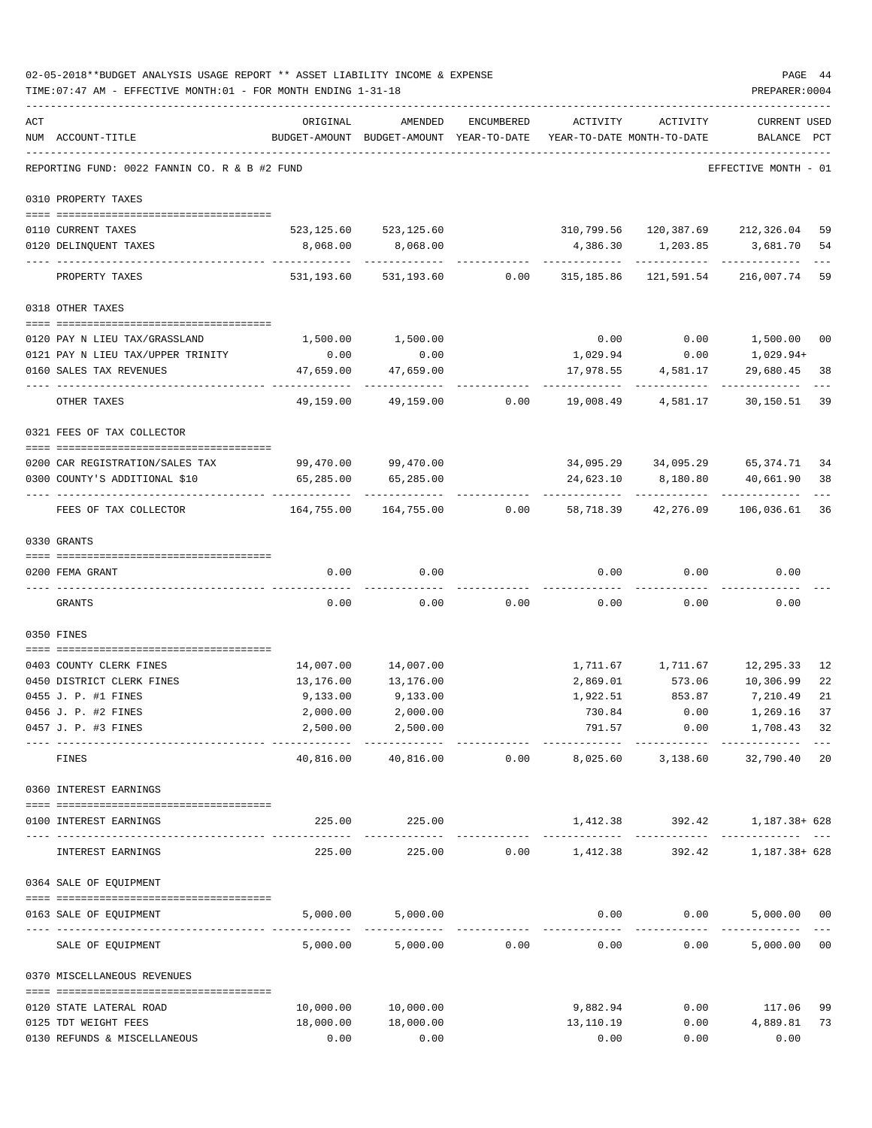|     | 02-05-2018**BUDGET ANALYSIS USAGE REPORT ** ASSET LIABILITY INCOME & EXPENSE<br>TIME: 07:47 AM - EFFECTIVE MONTH: 01 - FOR MONTH ENDING 1-31-18 |                        |                                                     |            |                         |                                                       | PAGE 44<br>PREPARER: 0004           |              |
|-----|-------------------------------------------------------------------------------------------------------------------------------------------------|------------------------|-----------------------------------------------------|------------|-------------------------|-------------------------------------------------------|-------------------------------------|--------------|
| ACT | NUM ACCOUNT-TITLE                                                                                                                               | ORIGINAL               | AMENDED<br>BUDGET-AMOUNT BUDGET-AMOUNT YEAR-TO-DATE | ENCUMBERED | ACTIVITY                | ACTIVITY<br>YEAR-TO-DATE MONTH-TO-DATE                | CURRENT USED<br>BALANCE             | $_{\rm PCT}$ |
|     | REPORTING FUND: 0022 FANNIN CO. R & B #2 FUND                                                                                                   |                        |                                                     |            |                         |                                                       | EFFECTIVE MONTH - 01                |              |
|     | 0310 PROPERTY TAXES                                                                                                                             |                        |                                                     |            |                         |                                                       |                                     |              |
|     |                                                                                                                                                 |                        |                                                     |            |                         |                                                       |                                     |              |
|     | 0110 CURRENT TAXES<br>0120 DELINQUENT TAXES                                                                                                     | 8,068.00               | 523, 125.60 523, 125.60<br>8,068.00                 |            |                         | 310,799.56 120,387.69 212,326.04<br>4,386.30 1,203.85 | 3,681.70                            | 59<br>54     |
|     |                                                                                                                                                 |                        |                                                     |            |                         |                                                       |                                     |              |
|     | PROPERTY TAXES                                                                                                                                  | 531,193.60             | 531,193.60                                          | 0.00       | 315,185.86              | 121,591.54                                            | 216,007.74 59                       |              |
|     | 0318 OTHER TAXES                                                                                                                                |                        |                                                     |            |                         |                                                       |                                     |              |
|     | 0120 PAY N LIEU TAX/GRASSLAND                                                                                                                   | 1,500.00               | 1,500.00                                            |            | 0.00                    | 0.00                                                  | 1,500.00 00                         |              |
|     | 0121 PAY N LIEU TAX/UPPER TRINITY                                                                                                               | 0.00                   | 0.00                                                |            | 1,029.94                | 0.00                                                  | 1,029.94+                           |              |
|     | 0160 SALES TAX REVENUES                                                                                                                         | 47,659.00              | 47,659.00                                           |            | 17,978.55<br>---------- | 4,581.17                                              | 29,680.45<br>.                      | 38           |
|     | OTHER TAXES                                                                                                                                     | 49,159.00              | 49,159.00                                           | 0.00       | 19,008.49               | 4,581.17                                              | 30,150.51                           | 39           |
|     | 0321 FEES OF TAX COLLECTOR                                                                                                                      |                        |                                                     |            |                         |                                                       |                                     |              |
|     | 0200 CAR REGISTRATION/SALES TAX                                                                                                                 |                        |                                                     |            |                         |                                                       |                                     | 34           |
|     | 0300 COUNTY'S ADDITIONAL \$10                                                                                                                   | 99,470.00<br>65,285.00 | 99,470.00<br>65,285.00                              |            | 24,623.10               | 34,095.29 34,095.29 65,374.71<br>8,180.80             | 40,661.90                           | 38           |
|     | FEES OF TAX COLLECTOR                                                                                                                           | 164,755.00             | 164,755.00                                          | 0.00       | 58,718.39               | 42,276.09                                             | 106,036.61                          | 36           |
|     | 0330 GRANTS                                                                                                                                     |                        |                                                     |            |                         |                                                       |                                     |              |
|     | 0200 FEMA GRANT                                                                                                                                 | 0.00                   | 0.00                                                |            | 0.00                    | 0.00                                                  | 0.00                                |              |
|     | GRANTS                                                                                                                                          | 0.00                   | 0.00                                                | 0.00       | 0.00                    | 0.00                                                  | 0.00                                |              |
|     | 0350 FINES                                                                                                                                      |                        |                                                     |            |                         |                                                       |                                     |              |
|     | 0403 COUNTY CLERK FINES                                                                                                                         | 14,007.00              | 14,007.00                                           |            |                         | 1,711.67 1,711.67                                     | 12,295.33 12                        |              |
|     | 0450 DISTRICT CLERK FINES                                                                                                                       | 13,176.00              | 13,176.00                                           |            | 2,869.01                | 573.06                                                | 10,306.99                           | 22           |
|     | 0455 J. P. #1 FINES                                                                                                                             | 9,133.00               | 9,133.00                                            |            | 1,922.51                | 853.87                                                | 7,210.49                            | 21           |
|     | 0456 J. P. #2 FINES                                                                                                                             |                        | 2,000.00 2,000.00                                   |            | 730.84                  |                                                       | $0.00$ 1,269.16 37                  |              |
|     | 0457 J. P. #3 FINES                                                                                                                             | 2,500.00               | 2,500.00<br>-----------                             |            | 791.57                  |                                                       | $0.00$ 1,708.43 32<br>------------- |              |
|     | FINES                                                                                                                                           | 40,816.00              | 40,816.00                                           | 0.00       |                         | 8,025.60 3,138.60 32,790.40 20                        |                                     |              |
|     | 0360 INTEREST EARNINGS                                                                                                                          |                        |                                                     |            |                         |                                                       |                                     |              |
|     | 0100 INTEREST EARNINGS                                                                                                                          |                        | 225.00 225.00                                       |            |                         | $1,412.38$ $392.42$ $1,187.38+628$                    |                                     |              |
|     | INTEREST EARNINGS                                                                                                                               |                        | 225.00 225.00 0.00 1,412.38                         |            |                         |                                                       | 392.42 1,187.38+ 628                |              |
|     | 0364 SALE OF EQUIPMENT                                                                                                                          |                        |                                                     |            |                         |                                                       |                                     |              |
|     | 0163 SALE OF EQUIPMENT                                                                                                                          |                        | 5,000.00 5,000.00                                   |            |                         | $0.00$ 0.00                                           | 5,000.00 00                         |              |
|     | SALE OF EQUIPMENT                                                                                                                               |                        | 5,000.00 5,000.00 0.00                              |            | ------------<br>0.00    | 0.00                                                  | 5,000.00 00                         |              |
|     | 0370 MISCELLANEOUS REVENUES                                                                                                                     |                        |                                                     |            |                         |                                                       |                                     |              |
|     |                                                                                                                                                 |                        |                                                     |            |                         |                                                       |                                     |              |
|     | 0120 STATE LATERAL ROAD                                                                                                                         | 18,000.00              | 10,000.00 10,000.00<br>18,000.00                    |            | 9,882.94                | 0.00                                                  | 117.06 99                           |              |
|     | 0125 TDT WEIGHT FEES<br>0130 REFUNDS & MISCELLANEOUS                                                                                            | 0.00                   | 0.00                                                |            | 13,110.19<br>0.00       | 0.00<br>0.00                                          | 4,889.81 73<br>0.00                 |              |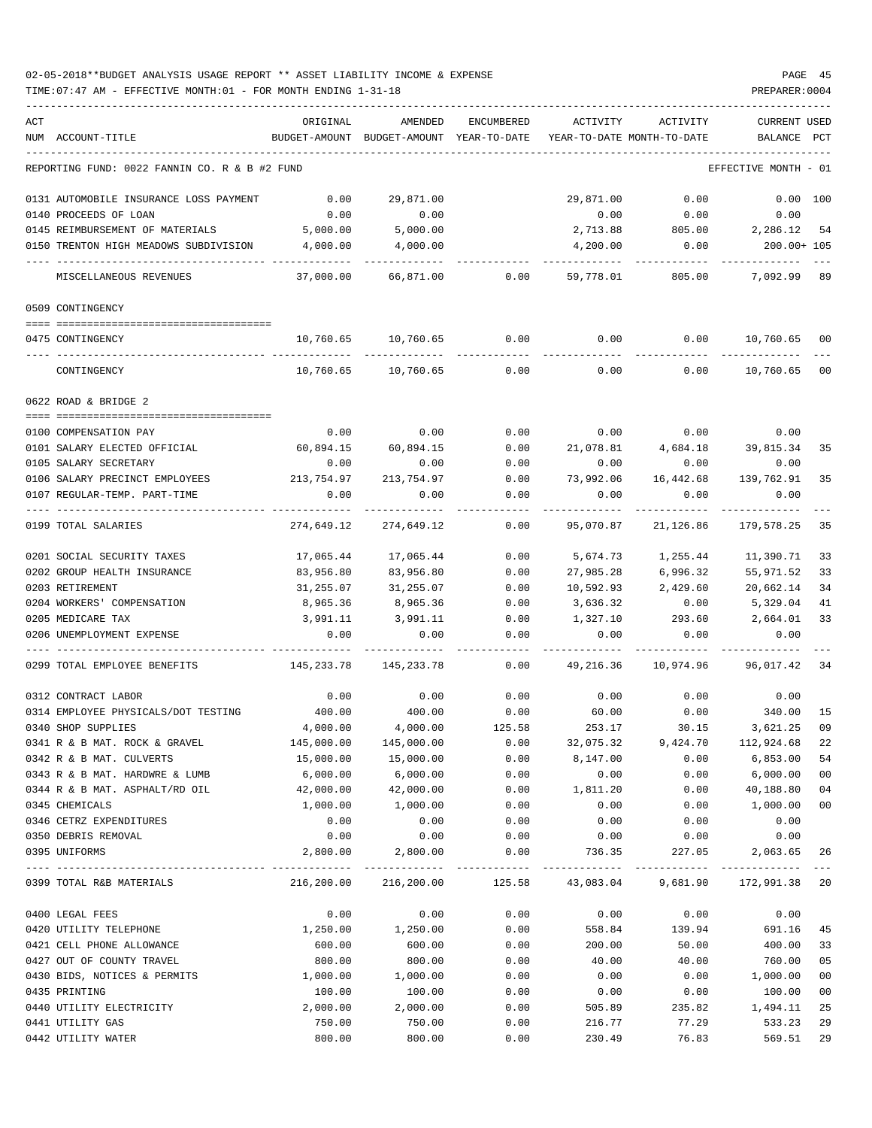| ACT | NUM ACCOUNT-TITLE                             | ORIGINAL<br>BUDGET-AMOUNT | AMENDED<br>BUDGET-AMOUNT YEAR-TO-DATE | <b>ENCUMBERED</b> | ACTIVITY<br>YEAR-TO-DATE MONTH-TO-DATE                        | ACTIVITY  | <b>CURRENT USED</b><br>BALANCE | PCT    |
|-----|-----------------------------------------------|---------------------------|---------------------------------------|-------------------|---------------------------------------------------------------|-----------|--------------------------------|--------|
|     |                                               |                           |                                       |                   |                                                               |           |                                |        |
|     | REPORTING FUND: 0022 FANNIN CO. R & B #2 FUND |                           |                                       |                   |                                                               |           | EFFECTIVE MONTH - 01           |        |
|     | 0131 AUTOMOBILE INSURANCE LOSS PAYMENT        | 0.00                      | 29,871.00                             |                   | 29,871.00                                                     | 0.00      | 0.00 100                       |        |
|     | 0140 PROCEEDS OF LOAN                         | 0.00                      | 0.00                                  |                   | 0.00                                                          | 0.00      | 0.00                           |        |
|     | 0145 REIMBURSEMENT OF MATERIALS               | 5,000.00                  | 5,000.00                              |                   | 2,713.88                                                      | 805.00    | 2,286.12                       | -54    |
|     | 0150 TRENTON HIGH MEADOWS SUBDIVISION         | 4,000.00                  | 4,000.00                              |                   | 4,200.00                                                      | 0.00      | 200.00+ 105                    |        |
|     | MISCELLANEOUS REVENUES                        | 37,000.00                 | 66,871.00                             | 0.00              | 59,778.01                                                     | 805.00    | 7,092.99 89                    |        |
|     | 0509 CONTINGENCY                              |                           |                                       |                   |                                                               |           |                                |        |
|     | 0475 CONTINGENCY                              | 10,760.65                 | 10,760.65                             | 0.00              | 0.00                                                          | 0.00      | 10,760.65 00                   |        |
|     | CONTINGENCY                                   | 10,760.65                 | 10,760.65                             | 0.00              | 0.00                                                          | 0.00      | 10,760.65                      | 00     |
|     | 0622 ROAD & BRIDGE 2                          |                           |                                       |                   |                                                               |           |                                |        |
|     |                                               |                           |                                       |                   |                                                               |           |                                |        |
|     | 0100 COMPENSATION PAY                         | 0.00                      | 0.00                                  | 0.00              | 0.00                                                          | 0.00      | 0.00                           |        |
|     | 0101 SALARY ELECTED OFFICIAL                  | 60,894.15                 | 60,894.15                             | 0.00              | 21,078.81                                                     |           | 4,684.18 39,815.34             | 35     |
|     | 0105 SALARY SECRETARY                         | 0.00                      | 0.00                                  | 0.00              | 0.00                                                          | 0.00      | 0.00                           |        |
|     | 0106 SALARY PRECINCT EMPLOYEES                | 213,754.97                | 213,754.97                            | 0.00              | 73,992.06                                                     | 16,442.68 | 139,762.91                     | 35     |
|     | 0107 REGULAR-TEMP. PART-TIME                  | 0.00                      | 0.00                                  | 0.00              | 0.00                                                          | 0.00      | 0.00                           |        |
|     | 0199 TOTAL SALARIES                           | 274,649.12                | 274,649.12                            | 0.00              | 95,070.87                                                     | 21,126.86 | 179,578.25                     | 35     |
|     | 0201 SOCIAL SECURITY TAXES                    | 17,065.44                 | 17,065.44                             | 0.00              | 5,674.73                                                      | 1,255.44  | 11,390.71                      | 33     |
|     | 0202 GROUP HEALTH INSURANCE                   | 83,956.80                 | 83,956.80                             | 0.00              | 27,985.28                                                     | 6,996.32  | 55,971.52                      | 33     |
|     | 0203 RETIREMENT                               | 31,255.07                 | 31,255.07                             | 0.00              | 10,592.93                                                     | 2,429.60  | 20,662.14                      | 34     |
|     | 0204 WORKERS' COMPENSATION                    | 8,965.36                  | 8,965.36                              | 0.00              | 3,636.32                                                      | 0.00      | 5,329.04                       | 41     |
|     | 0205 MEDICARE TAX                             | 3,991.11                  | 3,991.11                              | 0.00              | 1,327.10                                                      | 293.60    | 2,664.01                       | 33     |
|     | 0206 UNEMPLOYMENT EXPENSE                     | 0.00                      | 0.00                                  | 0.00              | 0.00                                                          | 0.00      | 0.00                           |        |
|     | 0299 TOTAL EMPLOYEE BENEFITS                  | 145,233.78                | 145,233.78                            | 0.00              | 49,216.36                                                     | 10,974.96 | 96,017.42                      | 34     |
|     | 0312 CONTRACT LABOR                           | 0.00                      | 0.00                                  | 0.00              | 0.00                                                          | 0.00      | 0.00                           |        |
|     | 0314 EMPLOYEE PHYSICALS/DOT TESTING           | 400.00                    | 400.00                                | 0.00              | 60.00                                                         | 0.00      | 340.00                         | 15     |
|     | 0340 SHOP SUPPLIES                            | 4,000.00                  | 4,000.00                              | 125.58            | 253.17                                                        | 30.15     | 3,621.25                       | 09     |
|     | 0341 R & B MAT. ROCK & GRAVEL                 | 145,000.00                | 145,000.00                            | 0.00              | 32,075.32                                                     | 9,424.70  | 112,924.68                     | 22     |
|     | 0342 R & B MAT. CULVERTS                      | 15,000.00                 | 15,000.00                             | 0.00              | 8,147.00                                                      | 0.00      | 6,853.00                       | 54     |
|     | 0343 R & B MAT. HARDWRE & LUMB                | 6,000.00                  | 6,000.00                              | 0.00              | 0.00                                                          | 0.00      | 6,000.00                       | 00     |
|     | 0344 R & B MAT. ASPHALT/RD OIL                | 42,000.00                 | 42,000.00                             | 0.00              | 1,811.20                                                      | 0.00      | 40,188.80                      | 04     |
|     | 0345 CHEMICALS                                | 1,000.00                  | 1,000.00                              | 0.00              | 0.00                                                          | 0.00      | 1,000.00                       | $00\,$ |
|     | 0346 CETRZ EXPENDITURES                       | 0.00                      | 0.00                                  | 0.00              | 0.00                                                          | 0.00      | 0.00                           |        |
|     | 0350 DEBRIS REMOVAL                           | 0.00                      | 0.00                                  | 0.00              | 0.00                                                          | 0.00      | 0.00                           |        |
|     | 0395 UNIFORMS                                 | 2,800.00                  | 2,800.00                              | 0.00              | 736.35                                                        | 227.05    | 2,063.65                       | 26     |
|     | 0399 TOTAL R&B MATERIALS                      |                           |                                       |                   | 216,200.00 216,200.00 125.58 43,083.04 9,681.90 172,991.38 20 |           |                                |        |
|     | 0400 LEGAL FEES                               | 0.00                      | 0.00                                  | 0.00              | 0.00                                                          | 0.00      | 0.00                           |        |
|     | 0420 UTILITY TELEPHONE                        | 1,250.00                  | 1,250.00                              | 0.00              | 558.84                                                        | 139.94    | 691.16                         | 45     |
|     | 0421 CELL PHONE ALLOWANCE                     | 600.00                    | 600.00                                | 0.00              | 200.00                                                        | 50.00     | 400.00                         | 33     |
|     | 0427 OUT OF COUNTY TRAVEL                     | 800.00                    | 800.00                                | 0.00              | 40.00                                                         | 40.00     | 760.00                         | 05     |
|     | 0430 BIDS, NOTICES & PERMITS                  | 1,000.00                  | 1,000.00                              | 0.00              | 0.00                                                          | 0.00      | 1,000.00                       | 00     |
|     | 0435 PRINTING                                 | 100.00                    | 100.00                                | 0.00              | 0.00                                                          | 0.00      | 100.00                         | 00     |
|     | 0440 UTILITY ELECTRICITY                      | 2,000.00                  | 2,000.00                              | 0.00              | 505.89                                                        | 235.82    | 1,494.11                       | 25     |
|     | 0441 UTILITY GAS                              | 750.00                    | 750.00                                | 0.00              | 216.77                                                        | 77.29     | 533.23                         | 29     |
|     | 0442 UTILITY WATER                            | 800.00                    | 800.00                                | 0.00              | 230.49                                                        | 76.83     | 569.51                         | 29     |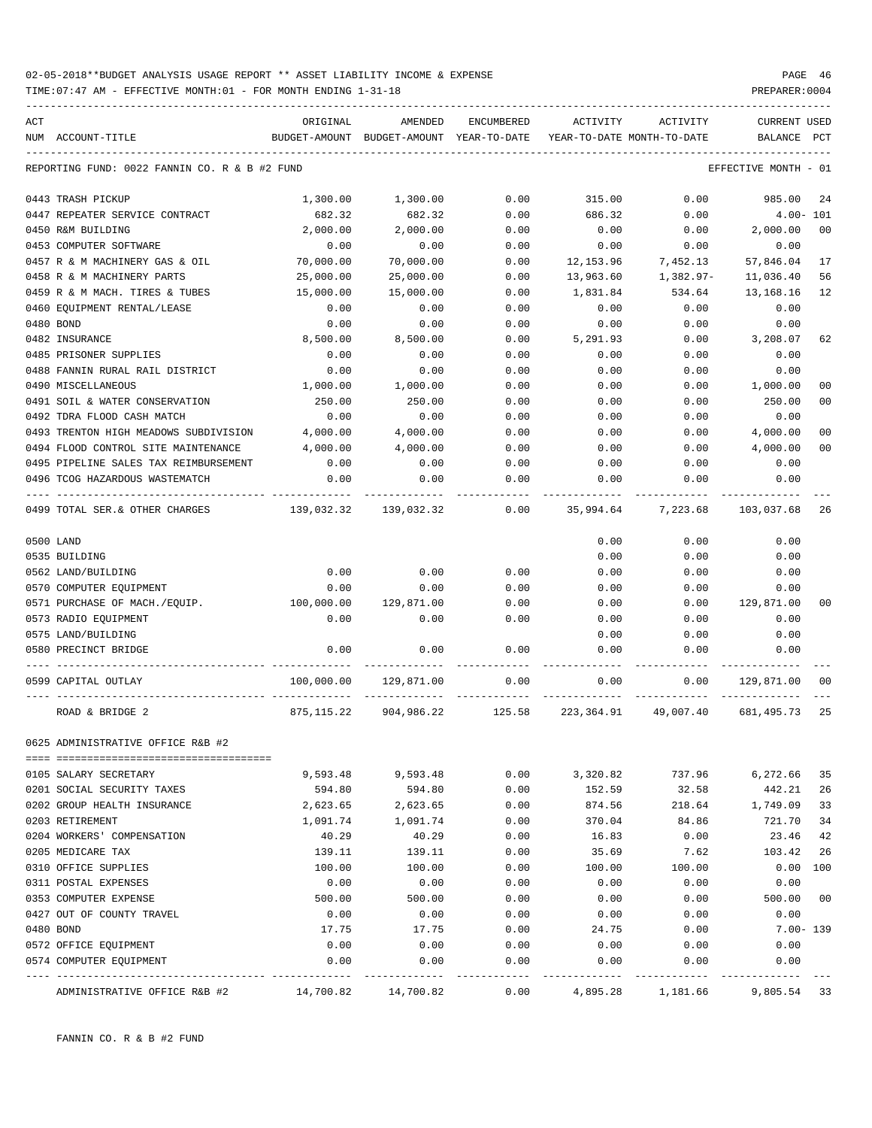| ACT |                                               | ORIGINAL   | AMENDED                                  | ENCUMBERED        | ACTIVITY                   | ACTIVITY             | <b>CURRENT USED</b>  |                |
|-----|-----------------------------------------------|------------|------------------------------------------|-------------------|----------------------------|----------------------|----------------------|----------------|
|     | NUM ACCOUNT-TITLE                             |            | BUDGET-AMOUNT BUDGET-AMOUNT YEAR-TO-DATE |                   | YEAR-TO-DATE MONTH-TO-DATE |                      | BALANCE              | PCT            |
|     | REPORTING FUND: 0022 FANNIN CO. R & B #2 FUND |            |                                          |                   |                            |                      | EFFECTIVE MONTH - 01 |                |
|     | 0443 TRASH PICKUP                             | 1,300.00   | 1,300.00                                 | 0.00              | 315.00                     | 0.00                 | 985.00               | 24             |
|     | 0447 REPEATER SERVICE CONTRACT                | 682.32     | 682.32                                   | 0.00              | 686.32                     | 0.00                 | $4.00 - 101$         |                |
|     | 0450 R&M BUILDING                             | 2,000.00   | 2,000.00                                 | 0.00              | 0.00                       | 0.00                 | 2,000.00             | 0 <sup>0</sup> |
|     | 0453 COMPUTER SOFTWARE                        | 0.00       | 0.00                                     | 0.00              | 0.00                       | 0.00                 | 0.00                 |                |
|     | 0457 R & M MACHINERY GAS & OIL                | 70,000.00  | 70,000.00                                | 0.00              | 12,153.96                  | 7,452.13             | 57,846.04            | 17             |
|     | 0458 R & M MACHINERY PARTS                    | 25,000.00  | 25,000.00                                | 0.00              | 13,963.60                  | 1,382.97-            | 11,036.40            | 56             |
|     | 0459 R & M MACH. TIRES & TUBES                | 15,000.00  | 15,000.00                                | 0.00              | 1,831.84                   | 534.64               | 13,168.16            | 12             |
|     | 0460 EQUIPMENT RENTAL/LEASE                   | 0.00       | 0.00                                     | 0.00              | 0.00                       | 0.00                 | 0.00                 |                |
|     | 0480 BOND                                     | 0.00       | 0.00                                     | 0.00              | 0.00                       | 0.00                 | 0.00                 |                |
|     | 0482 INSURANCE                                | 8,500.00   | 8,500.00                                 | 0.00              | 5,291.93                   | 0.00                 | 3,208.07             | 62             |
|     | 0485 PRISONER SUPPLIES                        | 0.00       | 0.00                                     | 0.00              | 0.00                       | 0.00                 | 0.00                 |                |
|     | 0488 FANNIN RURAL RAIL DISTRICT               | 0.00       | 0.00                                     | 0.00              | 0.00                       | 0.00                 | 0.00                 |                |
|     | 0490 MISCELLANEOUS                            | 1,000.00   | 1,000.00                                 | 0.00              | 0.00                       | 0.00                 | 1,000.00             | 00             |
|     | 0491 SOIL & WATER CONSERVATION                | 250.00     | 250.00                                   | 0.00              | 0.00                       | 0.00                 | 250.00               | 00             |
|     | 0492 TDRA FLOOD CASH MATCH                    | 0.00       | 0.00                                     | 0.00              | 0.00                       | 0.00                 | 0.00                 |                |
|     | 0493 TRENTON HIGH MEADOWS SUBDIVISION         | 4,000.00   | 4,000.00                                 | 0.00              | 0.00                       | 0.00                 | 4,000.00             | 00             |
|     | 0494 FLOOD CONTROL SITE MAINTENANCE           | 4,000.00   | 4,000.00                                 | 0.00              | 0.00                       | 0.00                 | 4,000.00             | 00             |
|     | 0495 PIPELINE SALES TAX REIMBURSEMENT         | 0.00       | 0.00                                     | 0.00              | 0.00                       | 0.00                 | 0.00                 |                |
|     | 0496 TCOG HAZARDOUS WASTEMATCH                | 0.00       | 0.00                                     | 0.00              | 0.00                       | 0.00                 | 0.00                 |                |
|     | 0499 TOTAL SER. & OTHER CHARGES               | 139,032.32 | 139,032.32                               | 0.00              | 35,994.64                  | 7,223.68             | 103,037.68           | 26             |
|     | 0500 LAND                                     |            |                                          |                   | 0.00                       | 0.00                 | 0.00                 |                |
|     | 0535 BUILDING                                 |            |                                          |                   | 0.00                       | 0.00                 | 0.00                 |                |
|     | 0562 LAND/BUILDING                            | 0.00       | 0.00                                     | 0.00              | 0.00                       | 0.00                 | 0.00                 |                |
|     | 0570 COMPUTER EQUIPMENT                       | 0.00       | 0.00                                     | 0.00              | 0.00                       | 0.00                 | 0.00                 |                |
|     | 0571 PURCHASE OF MACH./EQUIP.                 | 100,000.00 | 129,871.00                               | 0.00              | 0.00                       | 0.00                 | 129,871.00           | 00             |
|     | 0573 RADIO EQUIPMENT                          | 0.00       | 0.00                                     | 0.00              | 0.00                       | 0.00                 | 0.00                 |                |
|     | 0575 LAND/BUILDING                            |            |                                          |                   | 0.00                       | 0.00                 | 0.00                 |                |
|     | 0580 PRECINCT BRIDGE                          | 0.00       | 0.00                                     | 0.00              | 0.00                       | 0.00                 | 0.00                 |                |
|     |                                               |            |                                          |                   |                            |                      |                      |                |
|     | 0599 CAPITAL OUTLAY                           | 100,000.00 | 129,871.00                               | 0.00              | 0.00                       | 0.00                 | 129,871.00           | 00             |
|     | ROAD & BRIDGE 2                               |            | 875,115.22 904,986.22 125.58             |                   |                            | 223,364.91 49,007.40 | 681,495.73           | 25             |
|     | 0625 ADMINISTRATIVE OFFICE R&B #2             |            |                                          |                   |                            |                      |                      |                |
|     | 0105 SALARY SECRETARY                         | 9,593.48   | 9,593.48                                 | 0.00              | 3,320.82                   | 737.96               | 6,272.66             | 35             |
|     | 0201 SOCIAL SECURITY TAXES                    | 594.80     | 594.80                                   | 0.00              | 152.59                     | 32.58                | 442.21               | 26             |
|     | 0202 GROUP HEALTH INSURANCE                   | 2,623.65   | 2,623.65                                 | 0.00              | 874.56                     | 218.64               | 1,749.09             | 33             |
|     | 0203 RETIREMENT                               | 1,091.74   | 1,091.74                                 | 0.00              | 370.04                     | 84.86                | 721.70               | 34             |
|     | 0204 WORKERS' COMPENSATION                    | 40.29      | 40.29                                    | 0.00              | 16.83                      | 0.00                 | 23.46                | 42             |
|     | 0205 MEDICARE TAX                             | 139.11     | 139.11                                   | 0.00              | 35.69                      | 7.62                 | 103.42               | 26             |
|     | 0310 OFFICE SUPPLIES                          | 100.00     | 100.00                                   | 0.00              | 100.00                     | 100.00               | 0.00                 | 100            |
|     | 0311 POSTAL EXPENSES                          | 0.00       | 0.00                                     | 0.00              | 0.00                       | 0.00                 | 0.00                 |                |
|     | 0353 COMPUTER EXPENSE                         | 500.00     | 500.00                                   | 0.00              | 0.00                       | 0.00                 | 500.00               | 00             |
|     | 0427 OUT OF COUNTY TRAVEL                     | 0.00       | 0.00                                     | 0.00              | 0.00                       | 0.00                 | 0.00                 |                |
|     | 0480 BOND                                     | 17.75      | 17.75                                    | 0.00              | 24.75                      | 0.00                 |                      | $7.00 - 139$   |
|     | 0572 OFFICE EQUIPMENT                         | 0.00       | 0.00                                     | 0.00              | 0.00                       | 0.00                 | 0.00                 |                |
|     | 0574 COMPUTER EQUIPMENT                       | 0.00       | 0.00                                     | 0.00              | 0.00                       | 0.00                 | 0.00                 |                |
|     | ADMINISTRATIVE OFFICE R&B #2                  | 14,700.82  | 14,700.82                                | $- - - -$<br>0.00 | 4,895.28                   | 1,181.66             | 9,805.54 33          |                |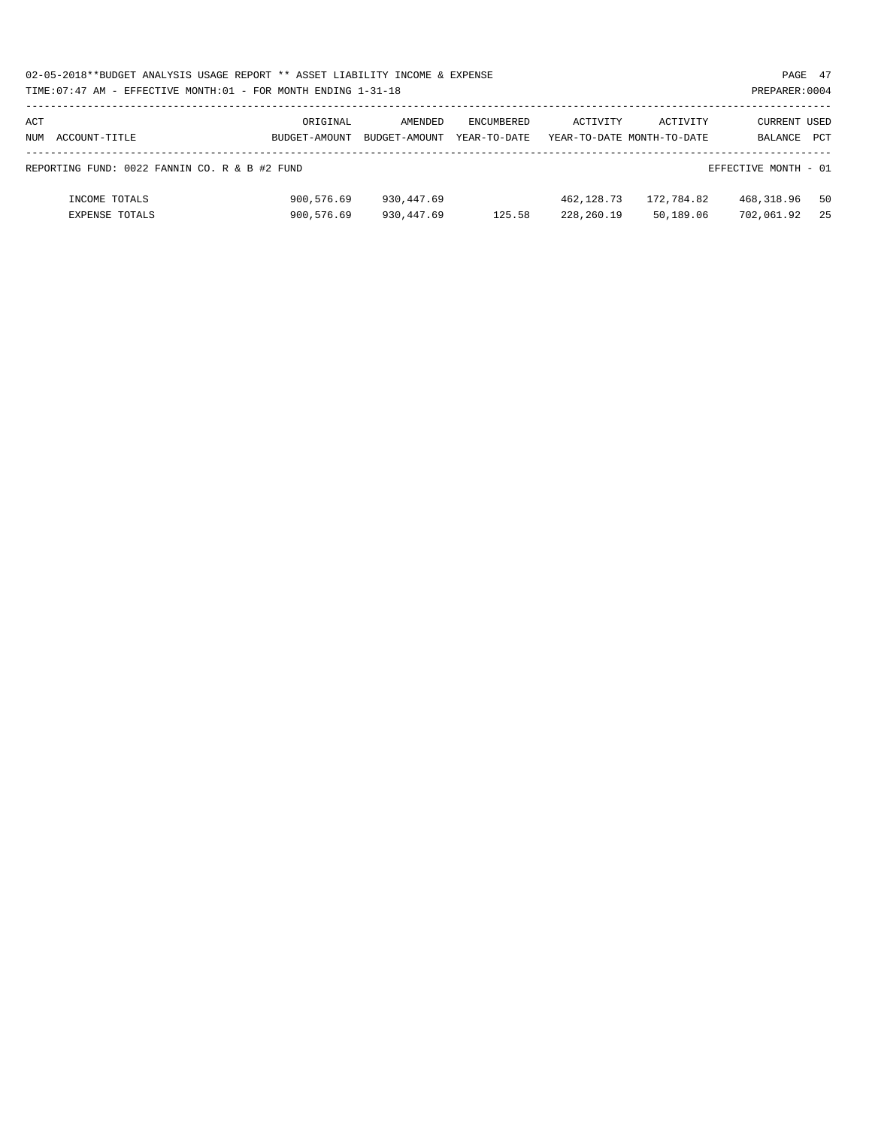| 02-05-2018**BUDGET ANALYSIS USAGE REPORT ** ASSET LIABILITY INCOME & EXPENSE | PAGE 47        |  |
|------------------------------------------------------------------------------|----------------|--|
| TIME: 07:47 AM - EFFECTIVE MONTH: 01 - FOR MONTH ENDING 1-31-18              | PREPARER: 0004 |  |

| ACT |                                               | ORIGINAL      | AMENDED       | ENCUMBERED   | ACTIVITY   | ACTIVITY                   | CURRENT USED         |     |
|-----|-----------------------------------------------|---------------|---------------|--------------|------------|----------------------------|----------------------|-----|
| NUM | ACCOUNT-TITLE                                 | BUDGET-AMOUNT | BUDGET-AMOUNT | YEAR-TO-DATE |            | YEAR-TO-DATE MONTH-TO-DATE | BALANCE              | PCT |
|     |                                               |               |               |              |            |                            |                      |     |
|     | REPORTING FUND: 0022 FANNIN CO. R & B #2 FUND |               |               |              |            |                            | EFFECTIVE MONTH - 01 |     |
|     |                                               |               |               |              |            |                            |                      |     |
|     | INCOME TOTALS                                 | 900,576.69    | 930,447.69    |              | 462,128.73 | 172,784.82                 | 468,318.96           | 50  |
|     | EXPENSE TOTALS                                | 900,576.69    | 930, 447.69   | 125.58       | 228,260.19 | 50,189.06                  | 702,061.92           | 25  |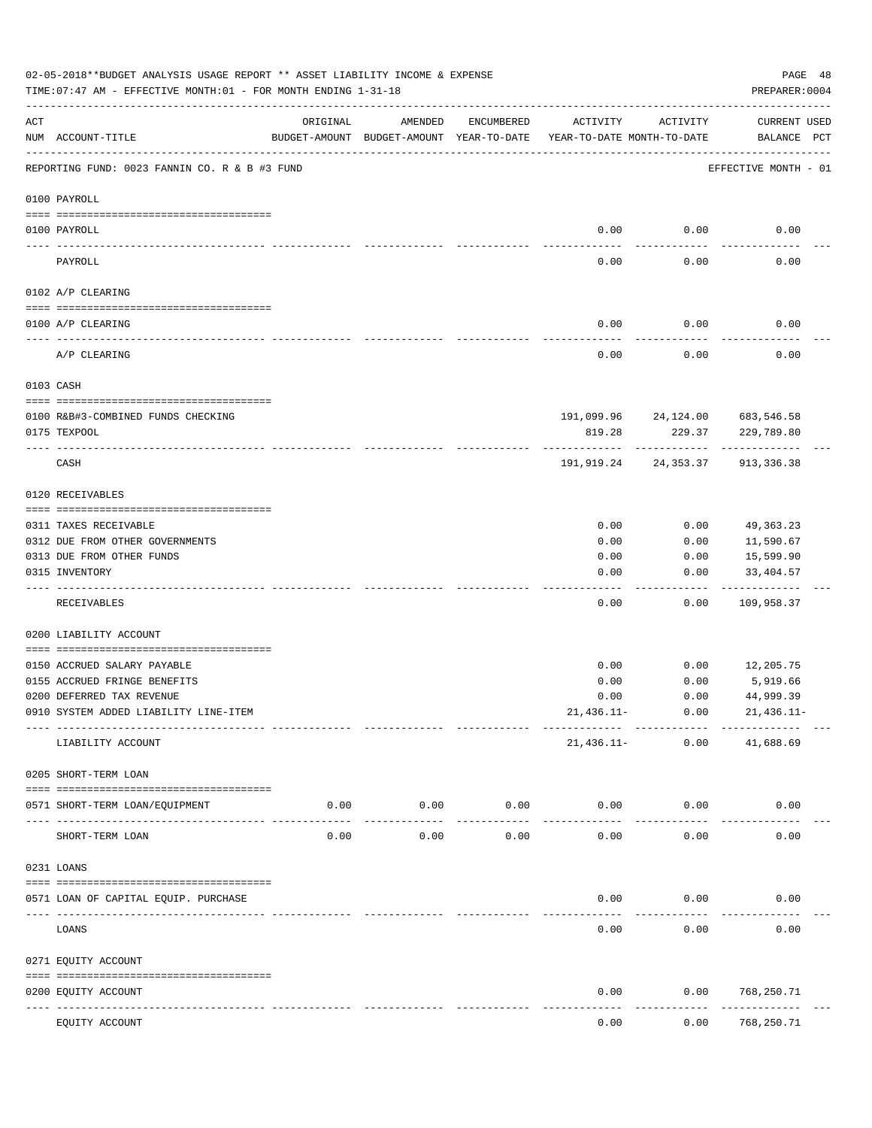|     | 02-05-2018**BUDGET ANALYSIS USAGE REPORT ** ASSET LIABILITY INCOME & EXPENSE<br>TIME: 07:47 AM - EFFECTIVE MONTH: 01 - FOR MONTH ENDING 1-31-18 |                                                                                 |         |            |              |                                 | PAGE 48<br>PREPARER: 0004          |
|-----|-------------------------------------------------------------------------------------------------------------------------------------------------|---------------------------------------------------------------------------------|---------|------------|--------------|---------------------------------|------------------------------------|
| ACT | NUM ACCOUNT-TITLE                                                                                                                               | ORIGINAL<br>BUDGET-AMOUNT BUDGET-AMOUNT YEAR-TO-DATE YEAR-TO-DATE MONTH-TO-DATE | AMENDED | ENCUMBERED | ACTIVITY     | ACTIVITY                        | <b>CURRENT USED</b><br>BALANCE PCT |
|     | REPORTING FUND: 0023 FANNIN CO. R & B #3 FUND                                                                                                   |                                                                                 |         |            |              |                                 | EFFECTIVE MONTH - 01               |
|     | 0100 PAYROLL                                                                                                                                    |                                                                                 |         |            |              |                                 |                                    |
|     | 0100 PAYROLL                                                                                                                                    |                                                                                 |         |            | 0.00         | 0.00                            | 0.00                               |
|     | PAYROLL                                                                                                                                         |                                                                                 |         |            | 0.00         | 0.00                            | 0.00                               |
|     | 0102 A/P CLEARING                                                                                                                               |                                                                                 |         |            |              |                                 |                                    |
|     | 0100 A/P CLEARING                                                                                                                               |                                                                                 |         |            | 0.00         | 0.00                            | 0.00                               |
|     | A/P CLEARING                                                                                                                                    |                                                                                 |         |            | 0.00         | 0.00                            | 0.00                               |
|     | 0103 CASH                                                                                                                                       |                                                                                 |         |            |              |                                 |                                    |
|     | 0100 R&B#3-COMBINED FUNDS CHECKING                                                                                                              |                                                                                 |         |            |              | 191,099.96 24,124.00 683,546.58 |                                    |
|     | 0175 TEXPOOL                                                                                                                                    |                                                                                 |         |            | 819.28       | 229.37                          | 229,789.80                         |
|     | CASH                                                                                                                                            |                                                                                 |         |            |              | ------------                    | 191,919.24 24,353.37 913,336.38    |
|     | 0120 RECEIVABLES                                                                                                                                |                                                                                 |         |            |              |                                 |                                    |
|     | 0311 TAXES RECEIVABLE                                                                                                                           |                                                                                 |         |            | 0.00         | 0.00                            | 49,363.23                          |
|     | 0312 DUE FROM OTHER GOVERNMENTS                                                                                                                 |                                                                                 |         |            | 0.00         | 0.00                            | 11,590.67                          |
|     | 0313 DUE FROM OTHER FUNDS                                                                                                                       |                                                                                 |         |            | 0.00         | 0.00                            | 15,599.90                          |
|     | 0315 INVENTORY                                                                                                                                  |                                                                                 |         |            | 0.00         | 0.00                            | 33,404.57<br>. <u>.</u>            |
|     | RECEIVABLES                                                                                                                                     |                                                                                 |         |            | 0.00         | 0.00                            | 109,958.37                         |
|     | 0200 LIABILITY ACCOUNT                                                                                                                          |                                                                                 |         |            |              |                                 |                                    |
|     | 0150 ACCRUED SALARY PAYABLE                                                                                                                     |                                                                                 |         |            | 0.00         | 0.00                            | 12,205.75                          |
|     | 0155 ACCRUED FRINGE BENEFITS                                                                                                                    |                                                                                 |         |            | 0.00         | 0.00                            | 5,919.66                           |
|     | 0200 DEFERRED TAX REVENUE                                                                                                                       |                                                                                 |         |            | 0.00         | 0.00                            | 44,999.39                          |
|     | 0910 SYSTEM ADDED LIABILITY LINE-ITEM                                                                                                           |                                                                                 |         |            | $21,436.11-$ | 0.00                            | $21,436.11-$                       |
|     | LIABILITY ACCOUNT                                                                                                                               |                                                                                 |         |            | 21,436.11-   | 0.00                            | 41,688.69                          |
|     | 0205 SHORT-TERM LOAN                                                                                                                            |                                                                                 |         |            |              |                                 |                                    |
|     | 0571 SHORT-TERM LOAN/EQUIPMENT                                                                                                                  | 0.00                                                                            | 0.00    | 0.00       | 0.00         | 0.00                            | 0.00                               |
|     | SHORT-TERM LOAN                                                                                                                                 | 0.00                                                                            | 0.00    | 0.00       | 0.00         | 0.00                            | 0.00                               |
|     | 0231 LOANS                                                                                                                                      |                                                                                 |         |            |              |                                 |                                    |
|     | 0571 LOAN OF CAPITAL EQUIP. PURCHASE                                                                                                            |                                                                                 |         |            | 0.00         | 0.00                            | 0.00                               |
|     | LOANS                                                                                                                                           |                                                                                 |         |            | 0.00         | 0.00                            | 0.00                               |
|     | 0271 EQUITY ACCOUNT                                                                                                                             |                                                                                 |         |            |              |                                 |                                    |
|     | 0200 EQUITY ACCOUNT                                                                                                                             |                                                                                 |         |            | 0.00         | 0.00                            | 768,250.71                         |
|     | ---- ------------                                                                                                                               | ---------------- -------------                                                  |         |            |              |                                 | ----------                         |
|     | EQUITY ACCOUNT                                                                                                                                  |                                                                                 |         |            | 0.00         | 0.00                            | 768,250.71                         |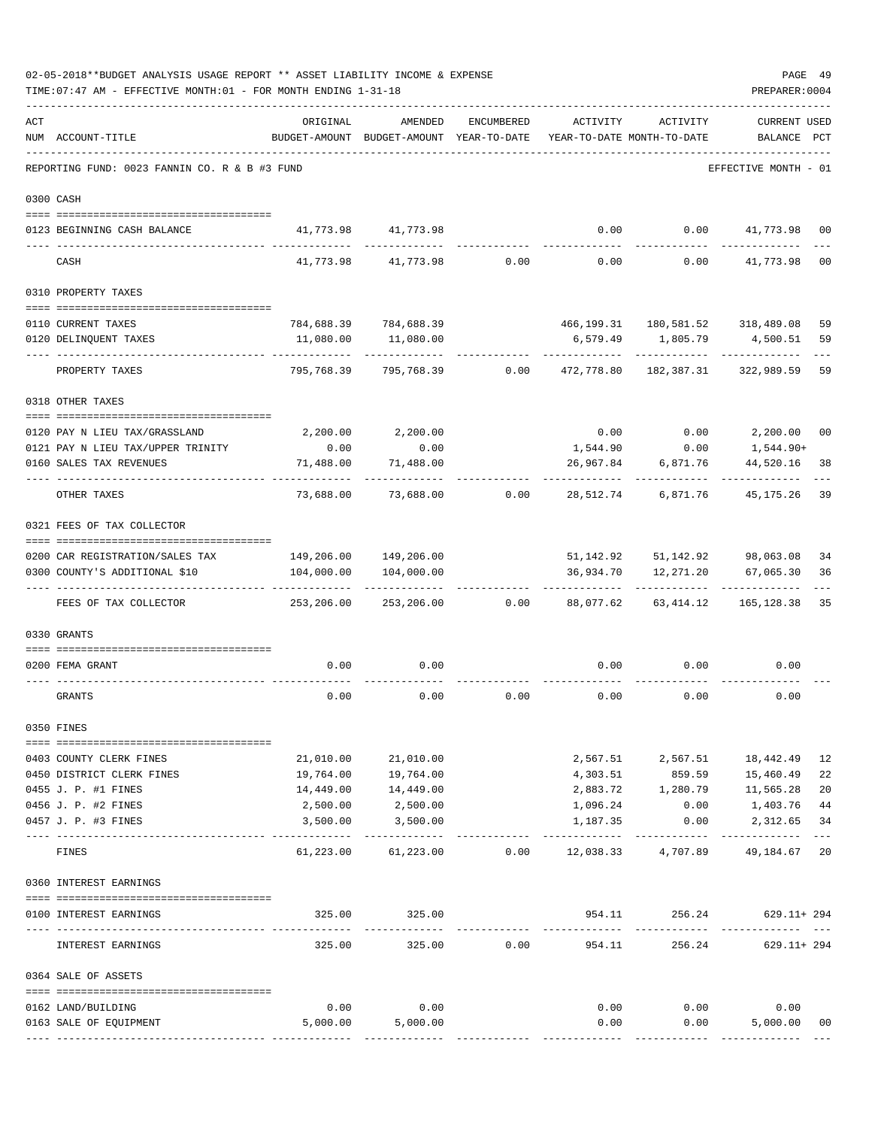|     | TIME: 07:47 AM - EFFECTIVE MONTH: 01 - FOR MONTH ENDING 1-31-18 |                                             |                                                                                |                 |                         |                     | PREPARER: 0004                                                 |                |
|-----|-----------------------------------------------------------------|---------------------------------------------|--------------------------------------------------------------------------------|-----------------|-------------------------|---------------------|----------------------------------------------------------------|----------------|
| ACT | NUM ACCOUNT-TITLE                                               | ORIGINAL                                    | AMENDED<br>BUDGET-AMOUNT BUDGET-AMOUNT YEAR-TO-DATE YEAR-TO-DATE MONTH-TO-DATE | ENCUMBERED      | ACTIVITY                | ACTIVITY            | <b>CURRENT USED</b><br>BALANCE PCT                             |                |
|     | REPORTING FUND: 0023 FANNIN CO. R & B #3 FUND                   |                                             |                                                                                |                 |                         |                     | EFFECTIVE MONTH - 01                                           |                |
|     | 0300 CASH                                                       |                                             |                                                                                |                 |                         |                     |                                                                |                |
|     | 0123 BEGINNING CASH BALANCE                                     |                                             | 41,773.98 41,773.98                                                            |                 | 0.00                    |                     | $0.00$ $41,773.98$                                             | 0 <sub>0</sub> |
|     | CASH                                                            |                                             | 41,773.98 41,773.98                                                            | $0.00$ 0.00     |                         |                     | $0.00$ $41,773.98$                                             | 0 <sub>0</sub> |
|     | 0310 PROPERTY TAXES                                             |                                             |                                                                                |                 |                         |                     |                                                                |                |
|     |                                                                 |                                             |                                                                                |                 |                         |                     |                                                                |                |
|     | 0110 CURRENT TAXES                                              |                                             | 784,688.39 784,688.39                                                          |                 |                         |                     | 466, 199.31 180, 581.52 318, 489.08                            | 59             |
|     | 0120 DELINQUENT TAXES<br>-------------------                    | 11,080.00                                   | 11,080.00                                                                      |                 |                         |                     | 6,579.49 1,805.79 4,500.51                                     | 59             |
|     | PROPERTY TAXES                                                  | 795,768.39                                  | 795,768.39                                                                     | 0.00            | 472,778.80              | 182,387.31          | 322,989.59                                                     | 59             |
|     | 0318 OTHER TAXES                                                |                                             |                                                                                |                 |                         |                     |                                                                |                |
|     | 0120 PAY N LIEU TAX/GRASSLAND                                   |                                             | 2,200.00 2,200.00                                                              |                 | 0.00                    |                     | $0.00$ 2,200.00                                                | 0 <sub>0</sub> |
|     | 0121 PAY N LIEU TAX/UPPER TRINITY                               | 0.00                                        | 0.00                                                                           |                 | 1,544.90                | 0.00                | 1,544.90+                                                      |                |
|     | 0160 SALES TAX REVENUES                                         | 71,488.00                                   | 71,488.00                                                                      |                 | 26,967.84               | 6,871.76            | 44,520.16                                                      | 38             |
|     | OTHER TAXES                                                     | 73,688.00                                   |                                                                                | 73,688.00 0.00  | 28,512.74               | 6,871.76            | 45,175.26                                                      | 39             |
|     | 0321 FEES OF TAX COLLECTOR                                      |                                             |                                                                                |                 |                         |                     |                                                                |                |
|     |                                                                 |                                             |                                                                                |                 |                         |                     |                                                                |                |
|     | 0200 CAR REGISTRATION/SALES TAX                                 |                                             | 149,206.00 149,206.00                                                          |                 |                         |                     | 51, 142.92 51, 142.92 98, 063.08                               | 34             |
|     | 0300 COUNTY'S ADDITIONAL \$10                                   |                                             | 104,000.00   104,000.00                                                        |                 |                         | ------------        | 36,934.70    12,271.20    67,065.30<br>. _ _ _ _ _ _ _ _ _ _ _ | 36             |
|     | FEES OF TAX COLLECTOR                                           | 253,206.00                                  |                                                                                | 253,206.00 0.00 | 88,077.62               | 63,414.12           | 165,128.38                                                     | 35             |
|     | 0330 GRANTS                                                     |                                             |                                                                                |                 |                         |                     |                                                                |                |
|     |                                                                 |                                             | 0.00                                                                           |                 |                         |                     | 0.00                                                           |                |
|     | 0200 FEMA GRANT                                                 | 0.00                                        |                                                                                |                 | 0.00                    | 0.00                |                                                                |                |
|     | GRANTS                                                          | 0.00                                        | 0.00                                                                           | 0.00            | 0.00                    | 0.00                | 0.00                                                           |                |
|     | 0350 FINES                                                      |                                             |                                                                                |                 |                         |                     |                                                                |                |
|     | 0403 COUNTY CLERK FINES                                         | 21,010.00                                   | 21,010.00                                                                      |                 |                         |                     | 2,567.51 2,567.51 18,442.49                                    | 12             |
|     | 0450 DISTRICT CLERK FINES                                       | 19,764.00                                   | 19,764.00                                                                      |                 |                         |                     | 4,303.51 859.59 15,460.49                                      | 22             |
|     | 0455 J. P. #1 FINES                                             | 14,449.00                                   | 14,449.00                                                                      |                 |                         | 2,883.72 1,280.79   | 11,565.28                                                      | 20             |
|     | 0456 J. P. #2 FINES                                             | 2,500.00                                    | 2,500.00                                                                       |                 | 1,096.24                | 0.00                | 1,403.76                                                       | 44             |
|     | 0457 J. P. #3 FINES                                             | 3,500.00                                    | 3,500.00                                                                       |                 | 1,187.35                | 0.00<br>----------- | 2,312.65                                                       | 34<br>$---$    |
|     | FINES                                                           | 61,223.00                                   |                                                                                |                 |                         |                     | 49,184.67                                                      | 20             |
|     | 0360 INTEREST EARNINGS                                          |                                             |                                                                                |                 |                         |                     |                                                                |                |
|     | 0100 INTEREST EARNINGS                                          |                                             | 325.00 325.00                                                                  |                 |                         |                     | 954.11 256.24 629.11+294                                       |                |
|     | ---- --------------<br>INTEREST EARNINGS                        | ------------------- -------------<br>325.00 | -----------<br>325.00                                                          | 0.00            | -------------<br>954.11 | ------------        | . <u>.</u> .<br>256.24 629.11+294                              |                |
|     | 0364 SALE OF ASSETS                                             |                                             |                                                                                |                 |                         |                     |                                                                |                |
|     | 0162 LAND/BUILDING                                              | 0.00                                        | 0.00                                                                           |                 |                         | $0.00$ 0.00         | 0.00                                                           |                |
|     | 0163 SALE OF EQUIPMENT                                          |                                             | 5,000.00 5,000.00                                                              |                 | 0.00                    | 0.00                | 5,000.00                                                       | 00             |
|     |                                                                 |                                             |                                                                                |                 |                         |                     |                                                                |                |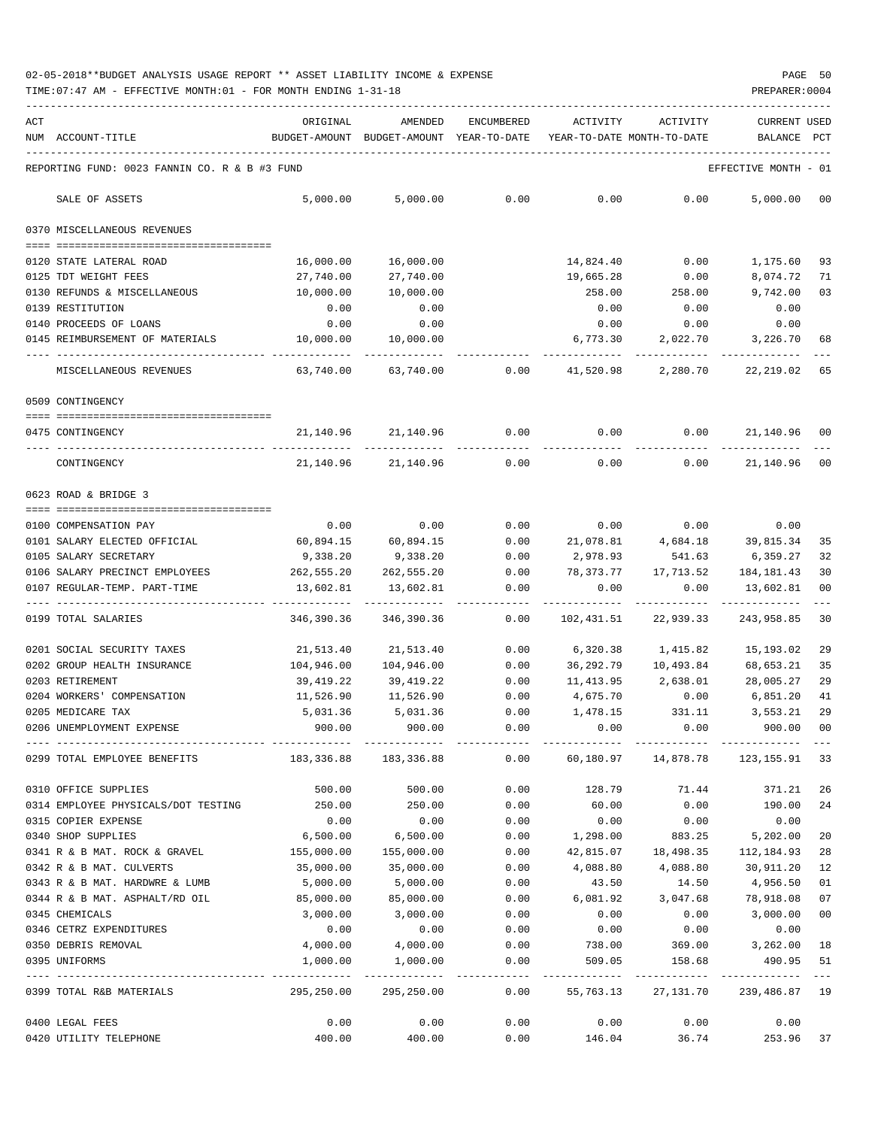TIME:07:47 AM - EFFECTIVE MONTH:01 - FOR MONTH ENDING 1-31-18 PREPARER:0004

| ACT | NUM ACCOUNT-TITLE                                     | ORIGINAL          | AMENDED<br>BUDGET-AMOUNT BUDGET-AMOUNT YEAR-TO-DATE | <b>ENCUMBERED</b> | ACTIVITY<br>YEAR-TO-DATE MONTH-TO-DATE   | ACTIVITY                             | CURRENT USED<br>BALANCE PCT |                |
|-----|-------------------------------------------------------|-------------------|-----------------------------------------------------|-------------------|------------------------------------------|--------------------------------------|-----------------------------|----------------|
|     |                                                       |                   |                                                     |                   |                                          |                                      |                             |                |
|     | REPORTING FUND: 0023 FANNIN CO. R & B #3 FUND         |                   |                                                     |                   |                                          |                                      | EFFECTIVE MONTH - 01        |                |
|     | SALE OF ASSETS                                        | 5,000.00          | 5,000.00                                            | 0.00              | 0.00                                     | 0.00                                 | 5,000.00                    | 0 <sub>0</sub> |
|     | 0370 MISCELLANEOUS REVENUES                           |                   |                                                     |                   |                                          |                                      |                             |                |
|     | 0120 STATE LATERAL ROAD                               | 16,000.00         | 16,000.00                                           |                   | 14,824.40                                | 0.00                                 | 1,175.60                    | 93             |
|     | 0125 TDT WEIGHT FEES                                  | 27,740.00         | 27,740.00                                           |                   | 19,665.28                                | 0.00                                 | 8,074.72                    | 71             |
|     | 0130 REFUNDS & MISCELLANEOUS                          | 10,000.00         | 10,000.00                                           |                   | 258.00                                   | 258.00                               | 9,742.00                    | 03             |
|     | 0139 RESTITUTION                                      | 0.00              | 0.00                                                |                   | 0.00                                     | 0.00                                 | 0.00                        |                |
|     | 0140 PROCEEDS OF LOANS                                | 0.00              | 0.00                                                |                   | 0.00                                     | 0.00                                 | 0.00                        |                |
|     | 0145 REIMBURSEMENT OF MATERIALS                       | 10,000.00         | 10,000.00                                           |                   | 6,773.30                                 | 2,022.70                             | 3,226.70                    | 68             |
|     | MISCELLANEOUS REVENUES                                | 63,740.00         | 63,740.00                                           | 0.00              | 41,520.98                                | 2,280.70                             | 22,219.02                   | 65             |
|     | 0509 CONTINGENCY                                      |                   |                                                     |                   |                                          |                                      |                             |                |
|     |                                                       |                   |                                                     |                   |                                          |                                      |                             |                |
|     | 0475 CONTINGENCY                                      |                   | 21, 140.96 21, 140.96                               | 0.00              | 0.00                                     |                                      | $0.00$ 21,140.96            | 00             |
|     | CONTINGENCY                                           | 21,140.96         | 21,140.96                                           | 0.00              | 0.00                                     | 0.00                                 | 21,140.96                   | 00             |
|     | 0623 ROAD & BRIDGE 3                                  |                   |                                                     |                   |                                          |                                      |                             |                |
|     |                                                       |                   |                                                     |                   |                                          |                                      |                             |                |
|     | 0100 COMPENSATION PAY<br>0101 SALARY ELECTED OFFICIAL | 0.00<br>60,894.15 | 0.00<br>60,894.15                                   | 0.00<br>0.00      | 0.00<br>21,078.81                        | 0.00<br>4,684.18                     | 0.00<br>39,815.34           | 35             |
|     | 0105 SALARY SECRETARY                                 | 9,338.20          | 9,338.20                                            | 0.00              | 2,978.93                                 | 541.63                               | 6,359.27                    | 32             |
|     | 0106 SALARY PRECINCT EMPLOYEES                        | 262,555.20        | 262,555.20                                          | 0.00              | 78,373.77                                | 17,713.52                            | 184,181.43                  | 30             |
|     | 0107 REGULAR-TEMP. PART-TIME                          | 13,602.81         | 13,602.81                                           | 0.00              | 0.00                                     | 0.00                                 | 13,602.81                   | 0 <sub>0</sub> |
|     | 0199 TOTAL SALARIES                                   | 346,390.36        | 346,390.36                                          | -----<br>0.00     | 102,431.51                               | 22,939.33                            | 243,958.85                  | 30             |
|     |                                                       |                   |                                                     |                   |                                          |                                      |                             |                |
|     | 0201 SOCIAL SECURITY TAXES                            | 21,513.40         | 21,513.40                                           | 0.00              | 6,320.38                                 | 1,415.82                             | 15,193.02                   | 29             |
|     | 0202 GROUP HEALTH INSURANCE                           | 104,946.00        | 104,946.00                                          | 0.00              | 36,292.79                                | 10,493.84                            | 68,653.21                   | 35             |
|     | 0203 RETIREMENT                                       | 39,419.22         | 39,419.22                                           | 0.00              | 11,413.95                                | 2,638.01                             | 28,005.27                   | 29             |
|     | 0204 WORKERS' COMPENSATION                            | 11,526.90         | 11,526.90                                           | 0.00              | 4,675.70                                 | 0.00                                 | 6,851.20                    | 41             |
|     | 0205 MEDICARE TAX                                     | 5,031.36          | 5,031.36                                            | 0.00              | 1,478.15                                 | 331.11                               | 3,553.21                    | 29             |
|     | 0206 UNEMPLOYMENT EXPENSE                             | 900.00            | 900.00                                              | 0.00              | 0.00                                     | 0.00                                 | 900.00                      | 0 <sub>0</sub> |
|     | 0299 TOTAL EMPLOYEE BENEFITS 183,336.88 183,336.88    |                   |                                                     |                   | $0.00$ 60,180.97 14,878.78 123,155.91 33 |                                      |                             |                |
|     | 0310 OFFICE SUPPLIES                                  | 500.00            | 500.00                                              | 0.00              | 128.79                                   | 71.44                                | 371.21                      | 26             |
|     | 0314 EMPLOYEE PHYSICALS/DOT TESTING                   | 250.00            | 250.00                                              | 0.00              | 60.00                                    | 0.00                                 | 190.00                      | 24             |
|     | 0315 COPIER EXPENSE                                   | 0.00              | 0.00                                                | 0.00              | 0.00                                     | 0.00                                 | 0.00                        |                |
|     | 0340 SHOP SUPPLIES                                    | 6,500.00          | 6,500.00                                            | 0.00              | 1,298.00                                 | 883.25                               | 5,202.00                    | 20             |
|     | 0341 R & B MAT. ROCK & GRAVEL                         | 155,000.00        | 155,000.00                                          | 0.00              |                                          | 42,815.07  18,498.35  112,184.93     |                             | 28             |
|     | 0342 R & B MAT. CULVERTS                              | 35,000.00         | 35,000.00                                           | 0.00              | 4,088.80                                 | 4,088.80                             | 30,911.20                   | 12             |
|     | 0343 R & B MAT. HARDWRE & LUMB                        | 5,000.00          | 5,000.00                                            | 0.00              | 43.50                                    | 14.50                                | 4,956.50                    | 01             |
|     | 0344 R & B MAT. ASPHALT/RD OIL                        | 85,000.00         | 85,000.00                                           | 0.00              |                                          | 6,081.92 3,047.68                    | 78,918.08                   | 07             |
|     | 0345 CHEMICALS                                        | 3,000.00          | 3,000.00                                            | 0.00              | 0.00                                     | 0.00                                 | 3,000.00                    | 0 <sub>0</sub> |
|     | 0346 CETRZ EXPENDITURES                               | 0.00              | 0.00                                                | 0.00              | 0.00                                     | 0.00                                 | 0.00                        |                |
|     | 0350 DEBRIS REMOVAL                                   | 4,000.00          | 4,000.00                                            | 0.00              | 738.00                                   |                                      | 369.00 3,262.00             | 18             |
|     | 0395 UNIFORMS                                         | 1,000.00          | 1,000.00                                            | 0.00              | 509.05                                   | 158.68                               | 490.95                      | 51             |
|     | 0399 TOTAL R&B MATERIALS                              | 295,250.00        | 295,250.00                                          | 0.00              |                                          | 55, 763.13 27, 131.70 239, 486.87 19 |                             | $- - -$        |
|     | 0400 LEGAL FEES                                       | 0.00              | 0.00                                                | 0.00              | 0.00                                     | 0.00                                 | 0.00                        |                |

0420 UTILITY TELEPHONE 400.00 0.00 146.04 36.74 253.96 37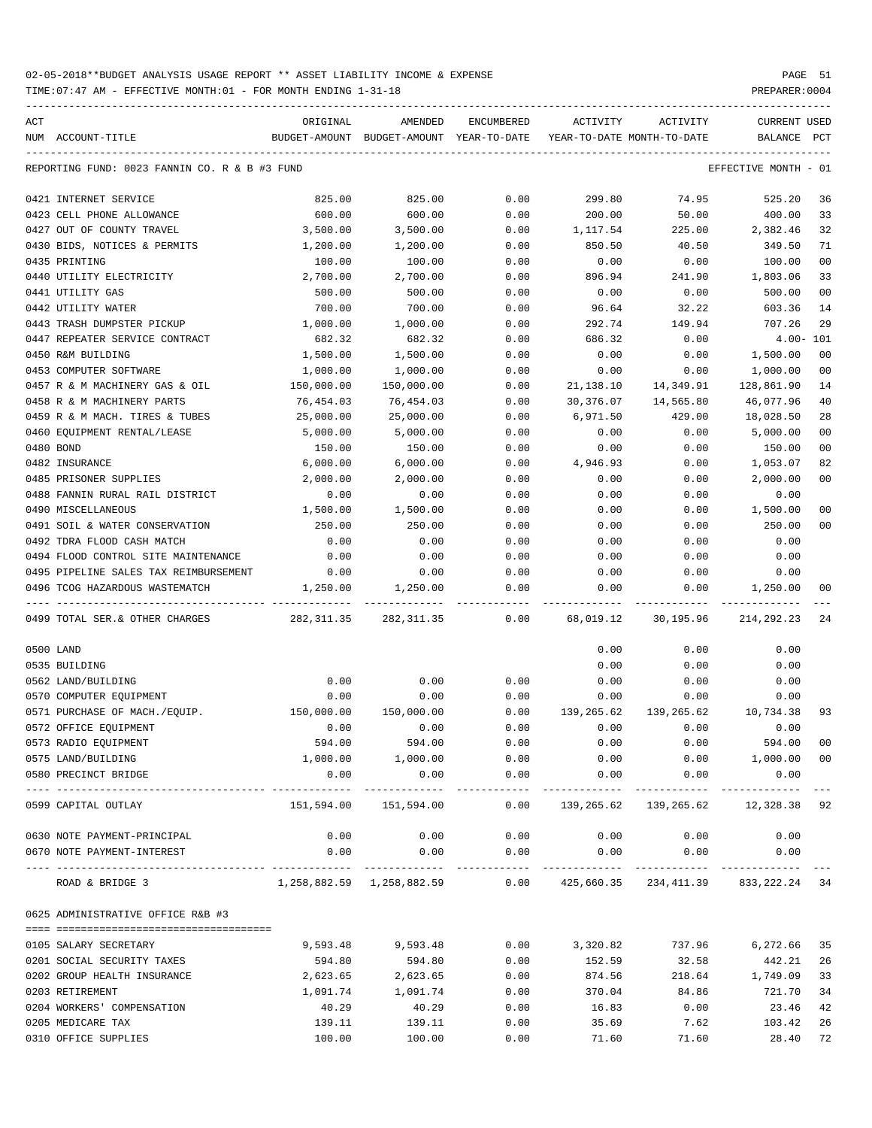| ACT |                                               | ORIGINAL         | AMENDED                                                                  | <b>ENCUMBERED</b> | ACTIVITY       | ACTIVITY                   | <b>CURRENT USED</b>  |                |
|-----|-----------------------------------------------|------------------|--------------------------------------------------------------------------|-------------------|----------------|----------------------------|----------------------|----------------|
|     | NUM ACCOUNT-TITLE                             |                  | BUDGET-AMOUNT BUDGET-AMOUNT YEAR-TO-DATE                                 |                   |                | YEAR-TO-DATE MONTH-TO-DATE | BALANCE              | $_{\rm PCT}$   |
|     |                                               |                  |                                                                          |                   |                |                            |                      |                |
|     | REPORTING FUND: 0023 FANNIN CO. R & B #3 FUND |                  |                                                                          |                   |                |                            | EFFECTIVE MONTH - 01 |                |
|     | 0421 INTERNET SERVICE                         | 825.00           | 825.00                                                                   | 0.00              | 299.80         | 74.95                      | 525.20               | 36             |
|     | 0423 CELL PHONE ALLOWANCE                     | 600.00           | 600.00                                                                   | 0.00              | 200.00         | 50.00                      | 400.00               | 33             |
|     | 0427 OUT OF COUNTY TRAVEL                     | 3,500.00         | 3,500.00                                                                 | 0.00              | 1,117.54       | 225.00                     | 2,382.46             | 32             |
|     | 0430 BIDS, NOTICES & PERMITS                  | 1,200.00         | 1,200.00                                                                 | 0.00              | 850.50         | 40.50                      | 349.50               | 71             |
|     | 0435 PRINTING                                 | 100.00           | 100.00                                                                   | 0.00              | 0.00           | 0.00                       | 100.00               | 0 <sub>0</sub> |
|     | 0440 UTILITY ELECTRICITY                      | 2,700.00         | 2,700.00                                                                 | 0.00              | 896.94         | 241.90                     | 1,803.06             | 33             |
|     | 0441 UTILITY GAS                              | 500.00           | 500.00                                                                   | 0.00              | 0.00           | 0.00                       | 500.00               | 0 <sub>0</sub> |
|     | 0442 UTILITY WATER                            | 700.00           | 700.00                                                                   | 0.00              | 96.64          | 32.22                      | 603.36               | 14             |
|     | 0443 TRASH DUMPSTER PICKUP                    | 1,000.00         | 1,000.00                                                                 | 0.00              | 292.74         | 149.94                     | 707.26               | 29             |
|     | 0447 REPEATER SERVICE CONTRACT                | 682.32           | 682.32                                                                   | 0.00              | 686.32         | 0.00                       | $4.00 - 101$         |                |
|     | 0450 R&M BUILDING                             | 1,500.00         | 1,500.00                                                                 | 0.00              | 0.00           | 0.00                       | 1,500.00             | 00             |
|     | 0453 COMPUTER SOFTWARE                        | 1,000.00         | 1,000.00                                                                 | 0.00              | 0.00           | 0.00                       | 1,000.00             | 0 <sub>0</sub> |
|     | 0457 R & M MACHINERY GAS & OIL                | 150,000.00       | 150,000.00                                                               | 0.00              | 21,138.10      | 14,349.91                  | 128,861.90           | 14             |
|     | 0458 R & M MACHINERY PARTS                    | 76,454.03        | 76,454.03                                                                | 0.00              | 30,376.07      | 14,565.80                  | 46,077.96            | 40             |
|     | 0459 R & M MACH. TIRES & TUBES                | 25,000.00        | 25,000.00                                                                | 0.00              | 6,971.50       | 429.00                     | 18,028.50            | 28             |
|     | 0460 EOUIPMENT RENTAL/LEASE                   | 5,000.00         | 5,000.00                                                                 | 0.00              | 0.00           | 0.00                       | 5,000.00             | 00             |
|     | 0480 BOND                                     | 150.00           | 150.00                                                                   | 0.00              | 0.00           | 0.00                       | 150.00               | 00             |
|     | 0482 INSURANCE                                | 6,000.00         | 6,000.00                                                                 | 0.00              | 4,946.93       | 0.00                       | 1,053.07             | 82             |
|     | 0485 PRISONER SUPPLIES                        | 2,000.00         | 2,000.00                                                                 | 0.00              | 0.00           | 0.00                       | 2,000.00             | 0 <sub>0</sub> |
|     | 0488 FANNIN RURAL RAIL DISTRICT               | 0.00             | 0.00                                                                     | 0.00              | 0.00           | 0.00                       | 0.00                 |                |
|     | 0490 MISCELLANEOUS                            | 1,500.00         | 1,500.00                                                                 | 0.00              | 0.00           | 0.00                       | 1,500.00             | 0 <sub>0</sub> |
|     | 0491 SOIL & WATER CONSERVATION                | 250.00           | 250.00                                                                   | 0.00              | 0.00           | 0.00                       | 250.00               | 0 <sup>0</sup> |
|     | 0492 TDRA FLOOD CASH MATCH                    | 0.00             | 0.00                                                                     | 0.00              | 0.00           | 0.00                       | 0.00                 |                |
|     | 0494 FLOOD CONTROL SITE MAINTENANCE           | 0.00             | 0.00                                                                     | 0.00              | 0.00           | 0.00                       | 0.00                 |                |
|     | 0495 PIPELINE SALES TAX REIMBURSEMENT         | 0.00             | 0.00                                                                     | 0.00              | 0.00           | 0.00                       | 0.00                 |                |
|     | 0496 TCOG HAZARDOUS WASTEMATCH                | 1,250.00         | 1,250.00                                                                 | 0.00              | 0.00           | 0.00                       | 1,250.00             | 00             |
|     |                                               |                  |                                                                          |                   |                |                            |                      |                |
|     | 0499 TOTAL SER. & OTHER CHARGES               | 282,311.35       | 282, 311.35                                                              | 0.00              | 68,019.12      | 30,195.96                  | 214, 292. 23         | -24            |
|     | 0500 LAND                                     |                  |                                                                          |                   | 0.00           | 0.00                       | 0.00                 |                |
|     | 0535 BUILDING                                 |                  |                                                                          |                   | 0.00           | 0.00                       | 0.00                 |                |
|     | 0562 LAND/BUILDING                            | 0.00             | 0.00                                                                     | 0.00              | 0.00           | 0.00                       | 0.00                 |                |
|     | 0570 COMPUTER EQUIPMENT                       | 0.00             | 0.00                                                                     | 0.00              | 0.00           | 0.00                       | 0.00                 |                |
|     | 0571 PURCHASE OF MACH./EQUIP.                 | 150,000.00       | 150,000.00                                                               | 0.00              | 139,265.62     | 139,265.62                 | 10,734.38            | 93             |
|     | 0572 OFFICE EQUIPMENT                         | 0.00             | 0.00                                                                     | 0.00              | 0.00           | 0.00                       | 0.00                 |                |
|     | 0573 RADIO EQUIPMENT                          | 594.00           | 594.00                                                                   | 0.00              | 0.00           | 0.00                       | 594.00 00            |                |
|     | 0575 LAND/BUILDING                            | 1,000.00         | 1,000.00                                                                 | 0.00              | 0.00           |                            | $0.00$ 1,000.00      | $00\,$         |
|     | 0580 PRECINCT BRIDGE                          | 0.00             | 0.00                                                                     | 0.00              | 0.00           | 0.00                       | 0.00                 |                |
|     | --------------------- ---------------         |                  | -----------                                                              | ---------         | -----------    |                            | ----------           |                |
|     | 0599 CAPITAL OUTLAY                           | 151,594.00       | 151,594.00                                                               | 0.00              | 139,265.62     | 139,265.62                 | 12,328.38 92         |                |
|     | 0630 NOTE PAYMENT-PRINCIPAL                   | 0.00             | 0.00                                                                     | 0.00              | 0.00           | 0.00                       | 0.00                 |                |
|     | 0670 NOTE PAYMENT-INTEREST                    | 0.00             | 0.00                                                                     | 0.00              | 0.00           | 0.00                       | 0.00                 |                |
|     |                                               |                  |                                                                          |                   |                |                            | -------------        |                |
|     | ROAD & BRIDGE 3                               |                  | $1,258,882.59$ $1,258,882.59$ 0.00 $425,660.35$ 234,411.39 833,222.24 34 |                   |                |                            |                      |                |
|     | 0625 ADMINISTRATIVE OFFICE R&B #3             |                  |                                                                          |                   |                |                            |                      |                |
|     |                                               |                  |                                                                          |                   |                |                            |                      |                |
|     | 0105 SALARY SECRETARY                         | 9,593.48         | 9,593.48                                                                 | 0.00              | 3,320.82       | 737.96                     | 6,272.66             | 35             |
|     | 0201 SOCIAL SECURITY TAXES                    | 594.80           | 594.80                                                                   | 0.00              | 152.59         | 32.58                      | 442.21               | 26             |
|     | 0202 GROUP HEALTH INSURANCE                   | 2,623.65         | 2,623.65                                                                 | 0.00              | 874.56         | 218.64                     | 1,749.09             | 33             |
|     | 0203 RETIREMENT                               | 1,091.74         | 1,091.74<br>40.29                                                        | 0.00              | 370.04         | 84.86                      | 721.70               | 34             |
|     | 0204 WORKERS' COMPENSATION                    | 40.29            |                                                                          | 0.00              | 16.83          | 0.00                       | 23.46                | 42             |
|     | 0205 MEDICARE TAX<br>0310 OFFICE SUPPLIES     | 139.11<br>100.00 | 139.11<br>100.00                                                         | 0.00<br>0.00      | 35.69<br>71.60 | 7.62<br>71.60              | 103.42<br>28.40      | 26<br>72       |
|     |                                               |                  |                                                                          |                   |                |                            |                      |                |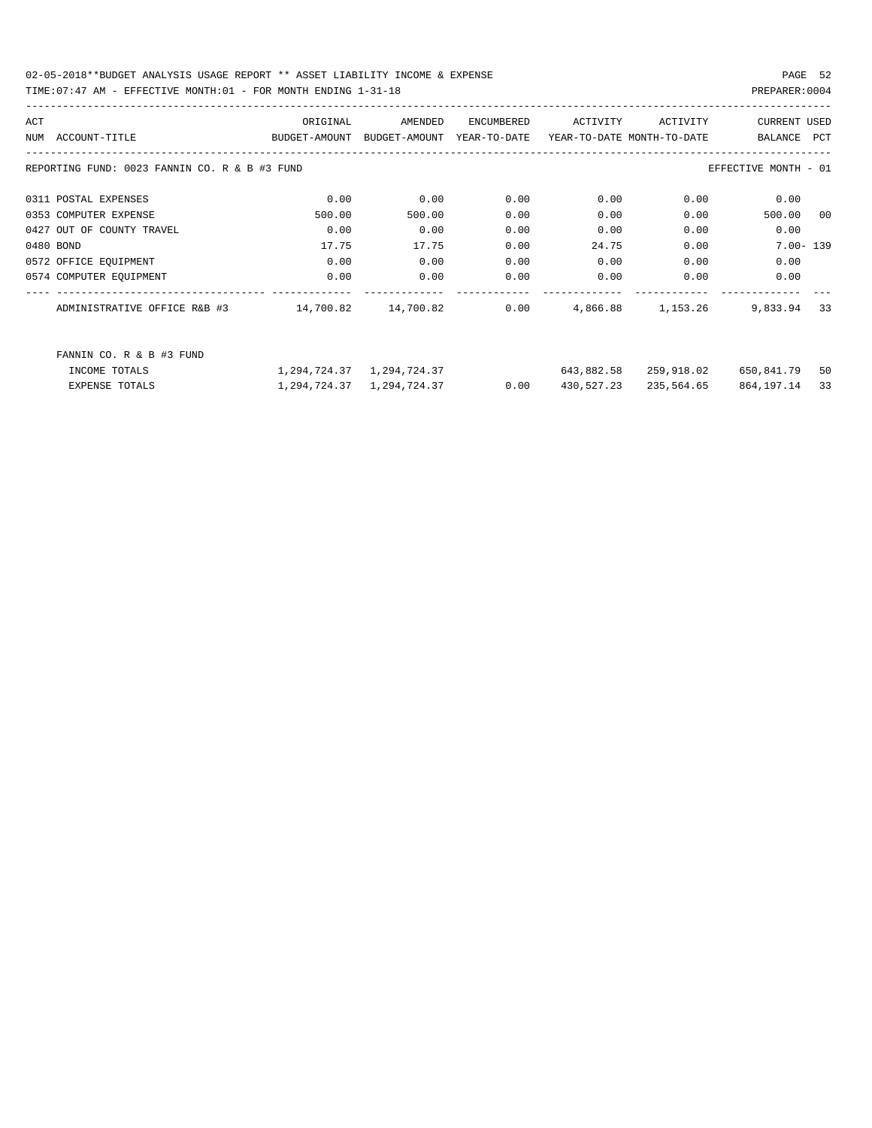02-05-2018\*\*BUDGET ANALYSIS USAGE REPORT \*\* ASSET LIABILITY INCOME & EXPENSE PAGE 52 TIME:07:47 AM - EFFECTIVE MONTH:01 - FOR MONTH ENDING 1-31-18 PREPARER:0004

| ACT |                                               | ORIGINAL      | AMENDED       | ENCUMBERED   | ACTIVITY                   | ACTIVITY   | <b>CURRENT USED</b>  |              |
|-----|-----------------------------------------------|---------------|---------------|--------------|----------------------------|------------|----------------------|--------------|
|     | NUM ACCOUNT-TITLE                             | BUDGET-AMOUNT | BUDGET-AMOUNT | YEAR-TO-DATE | YEAR-TO-DATE MONTH-TO-DATE |            | BALANCE              | <b>PCT</b>   |
|     | REPORTING FUND: 0023 FANNIN CO. R & B #3 FUND |               |               |              |                            |            | EFFECTIVE MONTH - 01 |              |
|     | 0311 POSTAL EXPENSES                          | 0.00          | 0.00          | 0.00         | 0.00                       | 0.00       | 0.00                 |              |
|     | 0353 COMPUTER EXPENSE                         | 500.00        | 500.00        | 0.00         | 0.00                       | 0.00       | 500.00               | 00           |
|     | 0427 OUT OF COUNTY TRAVEL                     | 0.00          | 0.00          | 0.00         | 0.00                       | 0.00       | 0.00                 |              |
|     | 0480 BOND                                     | 17.75         | 17.75         | 0.00         | 24.75                      | 0.00       |                      | $7.00 - 139$ |
|     | 0572 OFFICE EQUIPMENT                         | 0.00          | 0.00          | 0.00         | 0.00                       | 0.00       | 0.00                 |              |
|     | 0574 COMPUTER EQUIPMENT                       | 0.00          | 0.00          | 0.00         | 0.00                       | 0.00       | 0.00                 |              |
|     | ADMINISTRATIVE OFFICE R&B #3                  | 14,700.82     | 14,700.82     | 0.00         | 4,866.88                   | 1,153.26   | 9,833.94             | 33           |
|     | FANNIN CO. R & B #3 FUND                      |               |               |              |                            |            |                      |              |
|     | INCOME TOTALS                                 | 1,294,724.37  | 1,294,724.37  |              | 643,882.58                 | 259,918.02 | 650,841.79           | 50           |
|     | <b>EXPENSE TOTALS</b>                         | 1,294,724.37  | 1,294,724.37  | 0.00         | 430,527.23                 | 235,564.65 | 864,197.14           | 33           |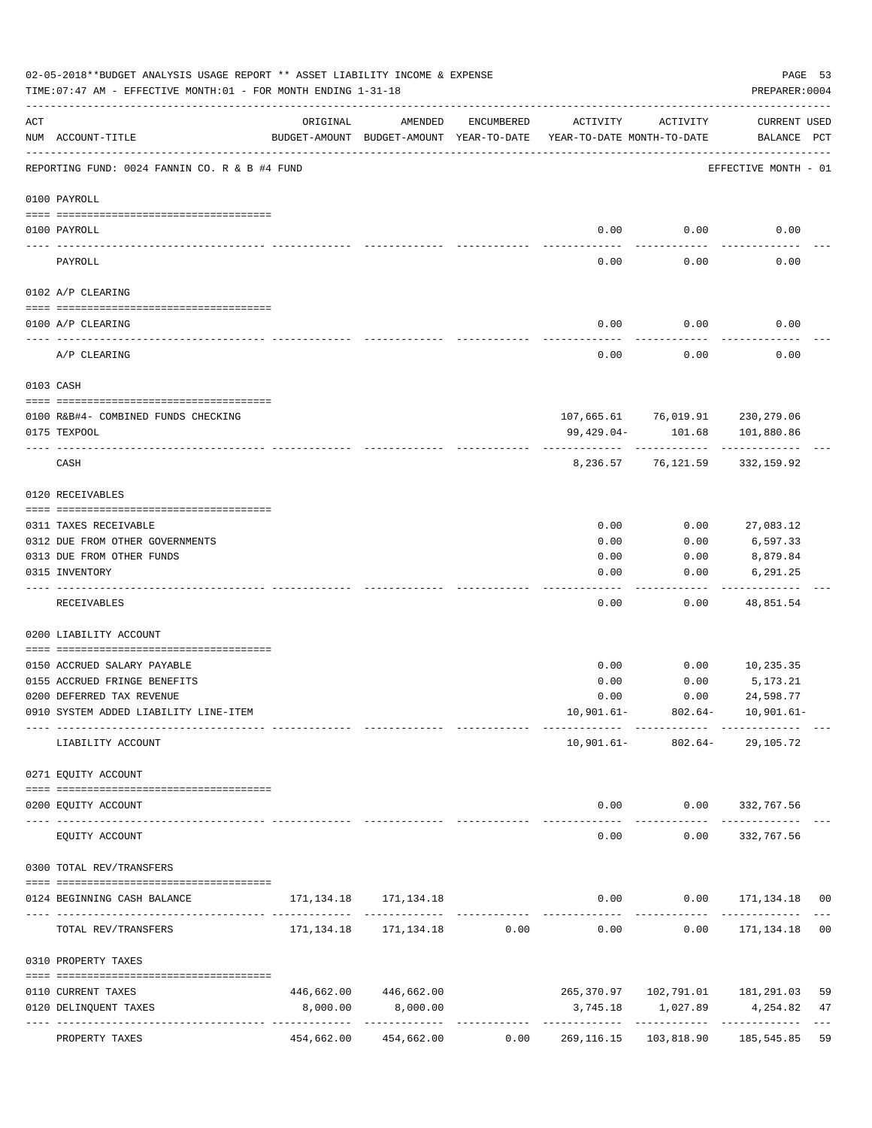|     | 02-05-2018**BUDGET ANALYSIS USAGE REPORT ** ASSET LIABILITY INCOME & EXPENSE<br>TIME: 07:47 AM - EFFECTIVE MONTH: 01 - FOR MONTH ENDING 1-31-18 |                                                      |                       |            |                                        |           | PREPARER: 0004                                           | PAGE 53 |
|-----|-------------------------------------------------------------------------------------------------------------------------------------------------|------------------------------------------------------|-----------------------|------------|----------------------------------------|-----------|----------------------------------------------------------|---------|
| ACT | NUM ACCOUNT-TITLE                                                                                                                               | ORIGINAL<br>BUDGET-AMOUNT BUDGET-AMOUNT YEAR-TO-DATE | AMENDED               | ENCUMBERED | ACTIVITY<br>YEAR-TO-DATE MONTH-TO-DATE | ACTIVITY  | CURRENT USED<br>BALANCE PCT                              |         |
|     | REPORTING FUND: 0024 FANNIN CO. R & B #4 FUND                                                                                                   |                                                      |                       |            |                                        |           | EFFECTIVE MONTH - 01                                     |         |
|     | 0100 PAYROLL                                                                                                                                    |                                                      |                       |            |                                        |           |                                                          |         |
|     |                                                                                                                                                 |                                                      |                       |            | 0.00                                   | 0.00      | 0.00                                                     |         |
|     | 0100 PAYROLL                                                                                                                                    |                                                      |                       |            |                                        |           |                                                          |         |
|     | PAYROLL                                                                                                                                         |                                                      |                       |            | 0.00                                   | 0.00      | 0.00                                                     |         |
|     | 0102 A/P CLEARING                                                                                                                               |                                                      |                       |            |                                        |           |                                                          |         |
|     | 0100 A/P CLEARING                                                                                                                               |                                                      |                       |            | 0.00                                   | 0.00      | 0.00                                                     |         |
|     | A/P CLEARING                                                                                                                                    |                                                      |                       |            | 0.00                                   | 0.00      | 0.00                                                     |         |
|     | 0103 CASH                                                                                                                                       |                                                      |                       |            |                                        |           |                                                          |         |
|     |                                                                                                                                                 |                                                      |                       |            |                                        |           |                                                          |         |
|     | 0100 R&B#4- COMBINED FUNDS CHECKING<br>0175 TEXPOOL                                                                                             |                                                      |                       |            | 99,429.04-                             | 101.68    | 107,665.61 76,019.91 230,279.06<br>101,880.86            |         |
|     | CASH                                                                                                                                            |                                                      |                       |            | 8,236.57                               | 76,121.59 | 332,159.92                                               |         |
|     | 0120 RECEIVABLES                                                                                                                                |                                                      |                       |            |                                        |           |                                                          |         |
|     | 0311 TAXES RECEIVABLE                                                                                                                           |                                                      |                       |            | 0.00                                   | 0.00      | 27,083.12                                                |         |
|     | 0312 DUE FROM OTHER GOVERNMENTS                                                                                                                 |                                                      |                       |            | 0.00                                   | 0.00      | 6,597.33                                                 |         |
|     | 0313 DUE FROM OTHER FUNDS                                                                                                                       |                                                      |                       |            | 0.00                                   | 0.00      | 8,879.84                                                 |         |
|     | 0315 INVENTORY                                                                                                                                  |                                                      |                       |            | 0.00                                   | 0.00      | 6,291.25                                                 |         |
|     | RECEIVABLES                                                                                                                                     |                                                      |                       |            | 0.00                                   | 0.00      | 48,851.54                                                |         |
|     | 0200 LIABILITY ACCOUNT                                                                                                                          |                                                      |                       |            |                                        |           |                                                          |         |
|     | 0150 ACCRUED SALARY PAYABLE                                                                                                                     |                                                      |                       |            | 0.00                                   | 0.00      |                                                          |         |
|     | 0155 ACCRUED FRINGE BENEFITS                                                                                                                    |                                                      |                       |            | 0.00                                   | 0.00      | 10,235.35<br>5,173.21                                    |         |
|     | 0200 DEFERRED TAX REVENUE                                                                                                                       |                                                      |                       |            | 0.00                                   | 0.00      | 24,598.77                                                |         |
|     | 0910 SYSTEM ADDED LIABILITY LINE-ITEM                                                                                                           |                                                      |                       |            |                                        |           | $10,901.61 - 802.64 - 10,901.61 -$                       |         |
|     | LIABILITY ACCOUNT                                                                                                                               | ---------- --------------                            |                       |            |                                        |           | 10,901.61- 802.64- 29,105.72                             |         |
|     |                                                                                                                                                 |                                                      |                       |            |                                        |           |                                                          |         |
|     | 0271 EQUITY ACCOUNT<br>--------------------------------------                                                                                   |                                                      |                       |            |                                        |           |                                                          |         |
|     | 0200 EQUITY ACCOUNT                                                                                                                             |                                                      |                       |            | -------------                          |           | $0.00$ $0.00$ $332,767.56$                               |         |
|     | EQUITY ACCOUNT                                                                                                                                  |                                                      |                       |            | 0.00                                   | 0.00      | 332,767.56                                               |         |
|     | 0300 TOTAL REV/TRANSFERS                                                                                                                        |                                                      |                       |            |                                        |           |                                                          |         |
|     | 0124 BEGINNING CASH BALANCE                                                                                                                     |                                                      |                       |            |                                        |           | $0.00$ $0.00$ $171,134.18$ 00                            |         |
|     | TOTAL REV/TRANSFERS                                                                                                                             |                                                      |                       |            |                                        |           | $171, 134.18$ $171, 134.18$ 0.00 0.00 0.00 171,134.18 00 |         |
|     | 0310 PROPERTY TAXES                                                                                                                             |                                                      |                       |            |                                        |           |                                                          |         |
|     | 0110 CURRENT TAXES                                                                                                                              |                                                      | 446,662.00 446,662.00 |            |                                        |           |                                                          | 59      |
|     | 0120 DELINQUENT TAXES                                                                                                                           | 8,000.00                                             | 8,000.00              |            |                                        |           | 3,745.18 1,027.89 4,254.82                               | 47      |
|     | PROPERTY TAXES                                                                                                                                  |                                                      | 454,662.00 454,662.00 |            |                                        |           | $0.00$ $269,116.15$ $103,818.90$ $185,545.85$            | 59      |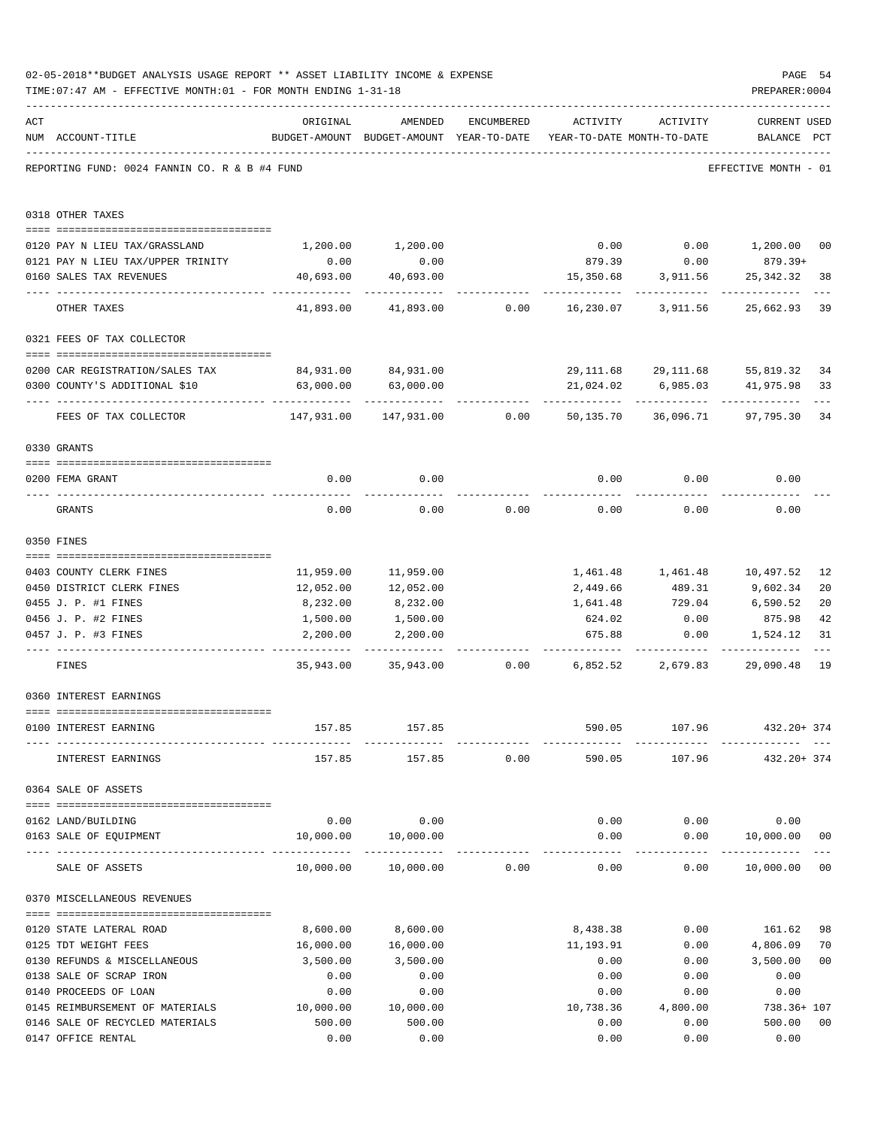|     | 02-05-2018**BUDGET ANALYSIS USAGE REPORT ** ASSET LIABILITY INCOME & EXPENSE<br>TIME: 07:47 AM - EFFECTIVE MONTH: 01 - FOR MONTH ENDING 1-31-18                                                                                                                                                                                                                                                                                                  |                          |                                                                                |            |               |                     | PAGE 54<br>PREPARER: 0004            |                |
|-----|--------------------------------------------------------------------------------------------------------------------------------------------------------------------------------------------------------------------------------------------------------------------------------------------------------------------------------------------------------------------------------------------------------------------------------------------------|--------------------------|--------------------------------------------------------------------------------|------------|---------------|---------------------|--------------------------------------|----------------|
| ACT | NUM ACCOUNT-TITLE                                                                                                                                                                                                                                                                                                                                                                                                                                | ORIGINAL                 | AMENDED<br>BUDGET-AMOUNT BUDGET-AMOUNT YEAR-TO-DATE YEAR-TO-DATE MONTH-TO-DATE | ENCUMBERED | ACTIVITY      | ACTIVITY            | <b>CURRENT USED</b><br>BALANCE PCT   |                |
|     | REPORTING FUND: 0024 FANNIN CO. R & B #4 FUND                                                                                                                                                                                                                                                                                                                                                                                                    |                          |                                                                                |            |               |                     | EFFECTIVE MONTH - 01                 |                |
|     | 0318 OTHER TAXES                                                                                                                                                                                                                                                                                                                                                                                                                                 |                          |                                                                                |            |               |                     |                                      |                |
|     | 0120 PAY N LIEU TAX/GRASSLAND                                                                                                                                                                                                                                                                                                                                                                                                                    |                          | 1,200.00 1,200.00                                                              |            |               |                     | $0.00$ $0.00$ $1,200.00$             | 00             |
|     | 0121 PAY N LIEU TAX/UPPER TRINITY                                                                                                                                                                                                                                                                                                                                                                                                                | 0.00                     | 0.00                                                                           |            |               | 879.39 0.00         | 879.39+                              |                |
|     | 0160 SALES TAX REVENUES                                                                                                                                                                                                                                                                                                                                                                                                                          | 40,693.00                | 40,693.00                                                                      |            | 15,350.68     | 3,911.56            | 25,342.32                            | 38             |
|     | OTHER TAXES                                                                                                                                                                                                                                                                                                                                                                                                                                      | -----------<br>41,893.00 | 41,893.00                                                                      | 0.00       | 16,230.07     | 3,911.56            | 25,662.93                            | 39             |
|     | 0321 FEES OF TAX COLLECTOR                                                                                                                                                                                                                                                                                                                                                                                                                       |                          |                                                                                |            |               |                     |                                      |                |
|     |                                                                                                                                                                                                                                                                                                                                                                                                                                                  |                          |                                                                                |            |               |                     |                                      |                |
|     | 0200 CAR REGISTRATION/SALES TAX                                                                                                                                                                                                                                                                                                                                                                                                                  |                          | 84,931.00 84,931.00                                                            |            |               | 29,111.68 29,111.68 | 55,819.32                            | 34             |
|     | 0300 COUNTY'S ADDITIONAL \$10                                                                                                                                                                                                                                                                                                                                                                                                                    | 63,000.00                | 63,000.00                                                                      |            | 21,024.02     | 6,985.03            | 41,975.98                            | 33             |
|     | FEES OF TAX COLLECTOR                                                                                                                                                                                                                                                                                                                                                                                                                            |                          |                                                                                |            |               |                     | 97,795.30                            | 34             |
|     | 0330 GRANTS                                                                                                                                                                                                                                                                                                                                                                                                                                      |                          |                                                                                |            |               |                     |                                      |                |
|     |                                                                                                                                                                                                                                                                                                                                                                                                                                                  |                          |                                                                                |            |               |                     |                                      |                |
|     | 0200 FEMA GRANT                                                                                                                                                                                                                                                                                                                                                                                                                                  | 0.00                     | 0.00                                                                           |            | 0.00          | 0.00                | 0.00                                 |                |
|     | GRANTS                                                                                                                                                                                                                                                                                                                                                                                                                                           | 0.00                     | 0.00                                                                           | 0.00       | 0.00          | 0.00                | 0.00                                 |                |
|     | 0350 FINES                                                                                                                                                                                                                                                                                                                                                                                                                                       |                          |                                                                                |            |               |                     |                                      |                |
|     | 0403 COUNTY CLERK FINES                                                                                                                                                                                                                                                                                                                                                                                                                          |                          | 11,959.00 11,959.00                                                            |            |               |                     | 1,461.48    1,461.48    10,497.52    | 12             |
|     | 0450 DISTRICT CLERK FINES                                                                                                                                                                                                                                                                                                                                                                                                                        | 12,052.00                | 12,052.00                                                                      |            |               |                     | 2,449.66 489.31 9,602.34             | 20             |
|     | 0455 J. P. #1 FINES                                                                                                                                                                                                                                                                                                                                                                                                                              | 8,232.00                 | 8,232.00                                                                       |            | 1,641.48      |                     | 729.04 6,590.52                      | 20             |
|     | 0456 J. P. #2 FINES                                                                                                                                                                                                                                                                                                                                                                                                                              | 1,500.00                 | 1,500.00                                                                       |            | 624.02        | 0.00                | 875.98                               | 42             |
|     | 0457 J. P. #3 FINES                                                                                                                                                                                                                                                                                                                                                                                                                              | 2,200.00                 | 2,200.00                                                                       |            | 675.88        | 0.00                | 1,524.12                             | 31             |
|     | FINES                                                                                                                                                                                                                                                                                                                                                                                                                                            |                          | 35,943.00 35,943.00 0.00 6,852.52 2,679.83                                     |            |               |                     | .<br>29,090.48                       | 19             |
|     | 0360 INTEREST EARNINGS                                                                                                                                                                                                                                                                                                                                                                                                                           |                          |                                                                                |            |               |                     |                                      |                |
|     |                                                                                                                                                                                                                                                                                                                                                                                                                                                  |                          |                                                                                |            |               |                     |                                      |                |
|     | 0100 INTEREST EARNING                                                                                                                                                                                                                                                                                                                                                                                                                            |                          | 157.85 157.85                                                                  |            | ------------- |                     | 590.05 107.96 432.20+374             |                |
|     | INTEREST EARNINGS                                                                                                                                                                                                                                                                                                                                                                                                                                |                          | 157.85 157.85 0.00                                                             |            | 590.05        |                     | 107.96 432.20+374                    |                |
|     | 0364 SALE OF ASSETS                                                                                                                                                                                                                                                                                                                                                                                                                              |                          |                                                                                |            |               |                     |                                      |                |
|     | 0162 LAND/BUILDING                                                                                                                                                                                                                                                                                                                                                                                                                               |                          | $0.00$ 0.00                                                                    |            |               |                     | $0.00$ $0.00$ $0.00$ $0.00$          |                |
|     | 0163 SALE OF EQUIPMENT                                                                                                                                                                                                                                                                                                                                                                                                                           |                          | 10,000.00  10,000.00                                                           |            |               |                     | $0.00$ $0.00$ $10,000.00$            | 0 <sub>0</sub> |
|     | SALE OF ASSETS                                                                                                                                                                                                                                                                                                                                                                                                                                   |                          | 10,000.00  10,000.00  0.00                                                     |            | 0.00          | ------------        | -------------<br>$0.00$ 10,000.00 00 |                |
|     | 0370 MISCELLANEOUS REVENUES                                                                                                                                                                                                                                                                                                                                                                                                                      |                          |                                                                                |            |               |                     |                                      |                |
|     | $\verb c  = \verb c  = \verb c  = \verb c  = \verb c  = \verb c  = \verb c  = \verb c  = \verb c  = \verb c  = \verb c  = \verb c  = \verb c  = \verb c  = \verb c  = \verb c  = \verb c  = \verb c  = \verb c  = \verb c  = \verb c  = \verb c  = \verb c  = \verb c  = \verb c  = \verb c  = \verb c  = \verb c  = \verb c  = \verb c  = \verb c  = \verb c  = \verb c  = \verb c  = \verb c  = \verb c  = \verb c$<br>0120 STATE LATERAL ROAD | 8,600.00                 | 8,600.00                                                                       |            | 8,438.38      |                     | $0.00$ 161.62                        | 98             |
|     | 0125 TDT WEIGHT FEES                                                                                                                                                                                                                                                                                                                                                                                                                             | 16,000.00                | 16,000.00                                                                      |            | 11,193.91     | 0.00                | 4,806.09                             | 70             |
|     | 0130 REFUNDS & MISCELLANEOUS                                                                                                                                                                                                                                                                                                                                                                                                                     | 3,500.00                 | 3,500.00                                                                       |            | 0.00          | 0.00                | 3,500.00                             | 0 <sub>0</sub> |
|     | 0138 SALE OF SCRAP IRON                                                                                                                                                                                                                                                                                                                                                                                                                          | 0.00                     | 0.00                                                                           |            | 0.00          | 0.00                | 0.00                                 |                |
|     | 0140 PROCEEDS OF LOAN                                                                                                                                                                                                                                                                                                                                                                                                                            | 0.00                     | 0.00                                                                           |            | 0.00          | 0.00                | 0.00                                 |                |
|     | 0145 REIMBURSEMENT OF MATERIALS 10,000.00                                                                                                                                                                                                                                                                                                                                                                                                        |                          | 10,000.00                                                                      |            | 10,738.36     | 4,800.00            | 738.36+ 107                          |                |
|     | 0146 SALE OF RECYCLED MATERIALS                                                                                                                                                                                                                                                                                                                                                                                                                  | 500.00                   | 500.00                                                                         |            | 0.00          | 0.00                | 500.00                               | 0 <sub>0</sub> |
|     | 0147 OFFICE RENTAL                                                                                                                                                                                                                                                                                                                                                                                                                               | 0.00                     | 0.00                                                                           |            | 0.00          | 0.00                | 0.00                                 |                |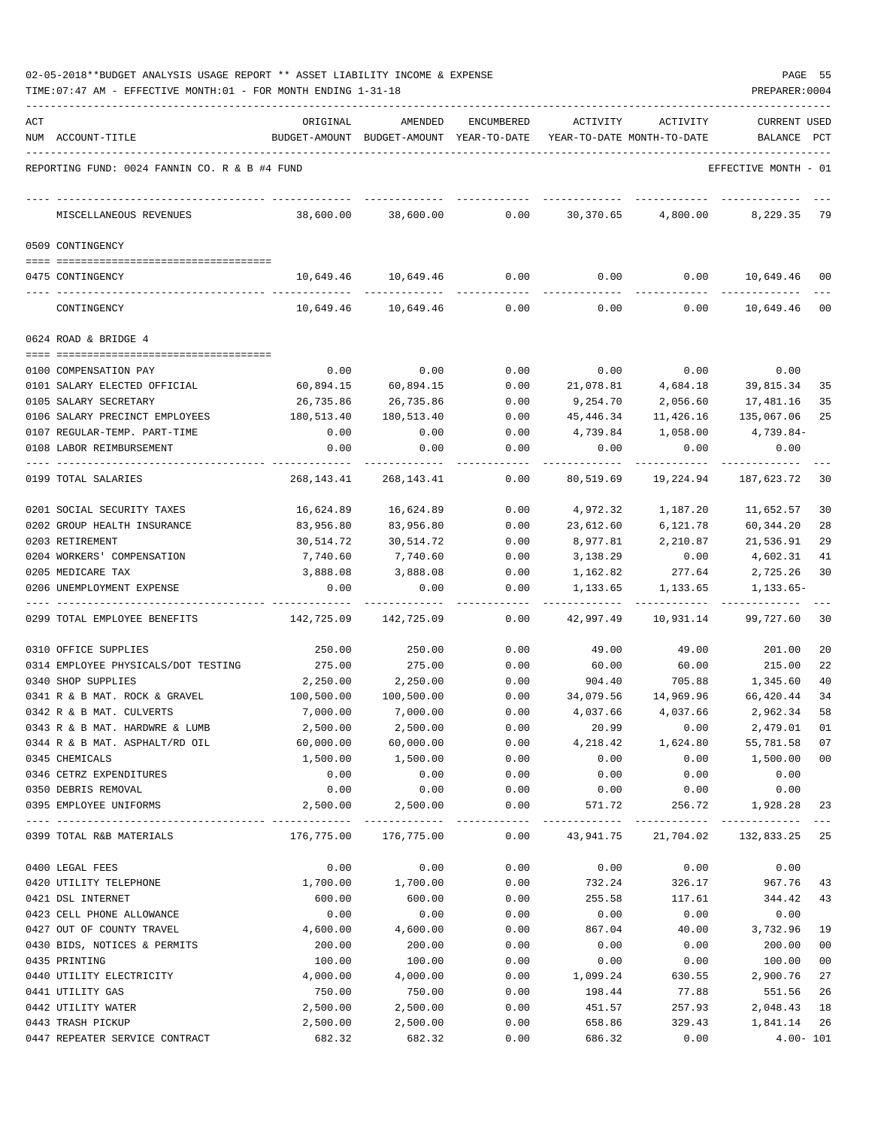| 02-05-2018**BUDGET ANALYSIS USAGE REPORT ** ASSET LIABILITY INCOME & EXPENSE |  |  |  |  | PAGE |  |
|------------------------------------------------------------------------------|--|--|--|--|------|--|
|                                                                              |  |  |  |  |      |  |

|     | TIME: 07:47 AM - EFFECTIVE MONTH: 01 - FOR MONTH ENDING 1-31-18 |            |                                                                     |               |           |                                  | PREPARER: 0004       |              |
|-----|-----------------------------------------------------------------|------------|---------------------------------------------------------------------|---------------|-----------|----------------------------------|----------------------|--------------|
| ACT |                                                                 | ORIGINAL   | AMENDED                                                             | ENCUMBERED    | ACTIVITY  | ACTIVITY                         | <b>CURRENT USED</b>  |              |
|     | NUM ACCOUNT-TITLE                                               |            | BUDGET-AMOUNT BUDGET-AMOUNT YEAR-TO-DATE YEAR-TO-DATE MONTH-TO-DATE |               |           |                                  | BALANCE PCT          |              |
|     | REPORTING FUND: 0024 FANNIN CO. R & B #4 FUND                   |            |                                                                     |               |           |                                  | EFFECTIVE MONTH - 01 |              |
|     | MISCELLANEOUS REVENUES                                          | 38,600.00  | 38,600.00                                                           | 0.00          | 30,370.65 | 4,800.00                         | 8,229.35             | 79           |
|     | 0509 CONTINGENCY                                                |            |                                                                     |               |           |                                  |                      |              |
|     | 0475 CONTINGENCY                                                |            | 10,649.46 10,649.46                                                 |               |           | $0.00$ $0.00$ $0.00$ $10,649.46$ |                      | 00           |
|     | CONTINGENCY                                                     | 10,649.46  | 10,649.46                                                           | 0.00          | 0.00      | 0.00                             | 10,649.46 00         |              |
|     | 0624 ROAD & BRIDGE 4                                            |            |                                                                     |               |           |                                  |                      |              |
|     |                                                                 |            |                                                                     |               |           |                                  |                      |              |
|     | 0100 COMPENSATION PAY                                           | 0.00       | 0.00                                                                | 0.00          | 0.00      | 0.00                             | 0.00                 |              |
|     | 0101 SALARY ELECTED OFFICIAL                                    | 60,894.15  | 60,894.15                                                           | 0.00          | 21,078.81 | 4,684.18                         | 39,815.34            | 35           |
|     | 0105 SALARY SECRETARY                                           | 26,735.86  | 26,735.86                                                           | 0.00          | 9,254.70  | 2,056.60                         | 17,481.16            | 35           |
|     | 0106 SALARY PRECINCT EMPLOYEES                                  | 180,513.40 | 180,513.40                                                          | 0.00          | 45,446.34 | 11,426.16                        | 135,067.06           | 25           |
|     | 0107 REGULAR-TEMP. PART-TIME                                    | 0.00       | 0.00                                                                | 0.00          | 4,739.84  | 1,058.00                         | 4,739.84-            |              |
|     | 0108 LABOR REIMBURSEMENT                                        | 0.00       | 0.00                                                                | 0.00          | 0.00      | 0.00                             | 0.00                 |              |
|     | 0199 TOTAL SALARIES                                             | 268,143.41 | 268,143.41                                                          | 0.00          | 80,519.69 | 19,224.94                        | 187,623.72           | 30           |
|     | 0201 SOCIAL SECURITY TAXES                                      | 16,624.89  | 16,624.89                                                           | 0.00          | 4,972.32  | 1,187.20                         | 11,652.57            | 30           |
|     | 0202 GROUP HEALTH INSURANCE                                     | 83,956.80  | 83,956.80                                                           | 0.00          | 23,612.60 | 6,121.78                         | 60,344.20            | 28           |
|     | 0203 RETIREMENT                                                 | 30,514.72  | 30,514.72                                                           | 0.00          | 8,977.81  | 2,210.87                         | 21,536.91            | 29           |
|     | 0204 WORKERS' COMPENSATION                                      | 7,740.60   | 7,740.60                                                            | 0.00          | 3,138.29  | 0.00                             | 4,602.31             | 41           |
|     | 0205 MEDICARE TAX                                               | 3,888.08   | 3,888.08                                                            | 0.00          | 1,162.82  | 277.64                           | 2,725.26             | 30           |
|     | 0206 UNEMPLOYMENT EXPENSE                                       | 0.00       | 0.00                                                                | 0.00          | 1,133.65  | 1,133.65                         | 1,133.65-            |              |
|     | 0299 TOTAL EMPLOYEE BENEFITS                                    | 142,725.09 | 142,725.09                                                          | -----<br>0.00 | 42,997.49 | 10,931.14                        | 99,727.60            | 30           |
|     | 0310 OFFICE SUPPLIES                                            | 250.00     | 250.00                                                              | 0.00          | 49.00     | 49.00                            | 201.00               | 20           |
|     | 0314 EMPLOYEE PHYSICALS/DOT TESTING                             | 275.00     | 275.00                                                              | 0.00          | 60.00     | 60.00                            | 215.00               | 22           |
|     | 0340 SHOP SUPPLIES                                              | 2,250.00   | 2,250.00                                                            | 0.00          | 904.40    | 705.88                           | 1,345.60             | 40           |
|     | 0341 R & B MAT. ROCK & GRAVEL                                   | 100,500.00 | 100,500.00                                                          | 0.00          | 34,079.56 |                                  | 14,969.96 66,420.44  | 34           |
|     | 0342 R & B MAT. CULVERTS                                        | 7,000.00   | 7,000.00                                                            | 0.00          | 4,037.66  | 4,037.66                         | 2,962.34             | 58           |
|     | 0343 R & B MAT. HARDWRE & LUMB                                  | 2,500.00   | 2,500.00                                                            | 0.00          | 20.99     | 0.00                             | 2,479.01             | 01           |
|     | 0344 R & B MAT. ASPHALT/RD OIL                                  | 60,000.00  | 60,000.00                                                           | 0.00          | 4,218.42  | 1,624.80                         | 55,781.58            | 07           |
|     | 0345 CHEMICALS                                                  | 1,500.00   | 1,500.00                                                            | 0.00          | 0.00      | 0.00                             | 1,500.00             | 00           |
|     | 0346 CETRZ EXPENDITURES                                         | 0.00       | 0.00                                                                | 0.00          | 0.00      | 0.00                             | 0.00                 |              |
|     | 0350 DEBRIS REMOVAL                                             | 0.00       | 0.00                                                                | 0.00          | 0.00      | 0.00                             | 0.00                 |              |
|     | 0395 EMPLOYEE UNIFORMS                                          | 2,500.00   | 2,500.00                                                            | 0.00          | 571.72    | 256.72                           | 1,928.28             | 23           |
|     | 0399 TOTAL R&B MATERIALS                                        | 176,775.00 | -----------------------------<br>176,775.00                         | 0.00          | 43,941.75 | 21,704.02                        | 132,833.25 25        |              |
|     | 0400 LEGAL FEES                                                 | 0.00       | 0.00                                                                | 0.00          | 0.00      | 0.00                             | 0.00                 |              |
|     | 0420 UTILITY TELEPHONE                                          | 1,700.00   | 1,700.00                                                            | 0.00          | 732.24    | 326.17                           | 967.76               | 43           |
|     | 0421 DSL INTERNET                                               | 600.00     | 600.00                                                              | 0.00          | 255.58    | 117.61                           | 344.42               | 43           |
|     | 0423 CELL PHONE ALLOWANCE                                       | 0.00       | 0.00                                                                | 0.00          | 0.00      | 0.00                             | 0.00                 |              |
|     | 0427 OUT OF COUNTY TRAVEL                                       | 4,600.00   | 4,600.00                                                            | 0.00          | 867.04    | 40.00                            | 3,732.96             | 19           |
|     | 0430 BIDS, NOTICES & PERMITS                                    | 200.00     | 200.00                                                              | 0.00          | 0.00      | 0.00                             | 200.00               | 00           |
|     | 0435 PRINTING                                                   | 100.00     | 100.00                                                              | 0.00          | 0.00      | 0.00                             | 100.00               | $00\,$       |
|     | 0440 UTILITY ELECTRICITY                                        | 4,000.00   | 4,000.00                                                            | 0.00          | 1,099.24  | 630.55                           | 2,900.76             | 27           |
|     | 0441 UTILITY GAS                                                | 750.00     | 750.00                                                              | 0.00          | 198.44    | 77.88                            | 551.56               | 26           |
|     | 0442 UTILITY WATER                                              | 2,500.00   | 2,500.00                                                            | 0.00          | 451.57    | 257.93                           | 2,048.43             | 18           |
|     | 0443 TRASH PICKUP                                               | 2,500.00   | 2,500.00                                                            | 0.00          | 658.86    | 329.43                           | 1,841.14             | 26           |
|     | 0447 REPEATER SERVICE CONTRACT                                  | 682.32     | 682.32                                                              | 0.00          | 686.32    | 0.00                             |                      | $4.00 - 101$ |
|     |                                                                 |            |                                                                     |               |           |                                  |                      |              |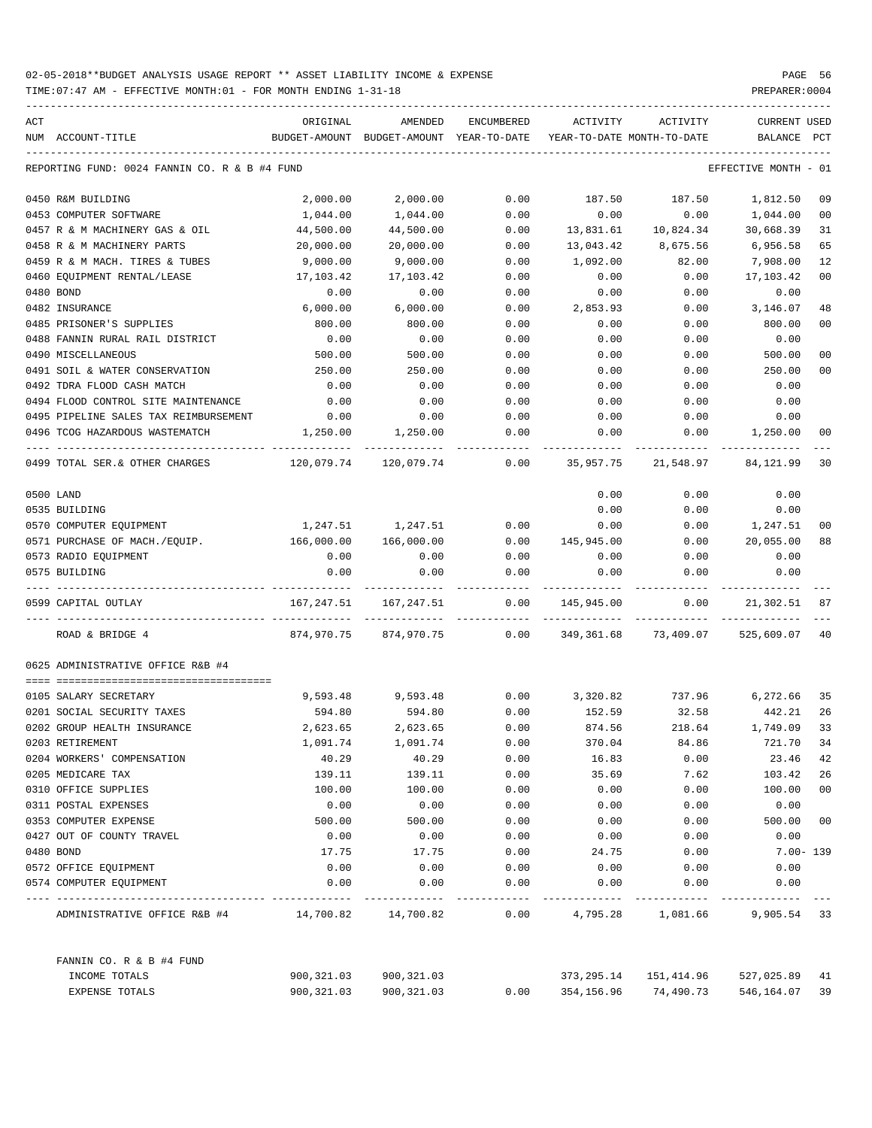| ACT | NUM ACCOUNT-TITLE                                                   | ORIGINAL                                                 | AMENDED<br>BUDGET-AMOUNT BUDGET-AMOUNT YEAR-TO-DATE | ENCUMBERED   | ACTIVITY          | ACTIVITY<br>YEAR-TO-DATE MONTH-TO-DATE             | <b>CURRENT USED</b><br>BALANCE | $_{\rm PCT}$ |
|-----|---------------------------------------------------------------------|----------------------------------------------------------|-----------------------------------------------------|--------------|-------------------|----------------------------------------------------|--------------------------------|--------------|
|     |                                                                     |                                                          |                                                     |              |                   |                                                    |                                |              |
|     | REPORTING FUND: 0024 FANNIN CO. R & B #4 FUND                       |                                                          |                                                     |              |                   |                                                    | EFFECTIVE MONTH - 01           |              |
|     | 0450 R&M BUILDING                                                   | 2,000.00                                                 | 2,000.00                                            | 0.00         | 187.50            | 187.50                                             | 1,812.50                       | 09           |
|     | 0453 COMPUTER SOFTWARE                                              | 1,044.00                                                 | 1,044.00                                            | 0.00         | 0.00              | 0.00                                               | 1,044.00                       | 00           |
|     | 0457 R & M MACHINERY GAS & OIL                                      | 44,500.00                                                | 44,500.00                                           | 0.00         | 13,831.61         | 10,824.34                                          | 30,668.39                      | 31           |
|     | 0458 R & M MACHINERY PARTS                                          | 20,000.00                                                | 20,000.00                                           | 0.00         | 13,043.42         | 8,675.56                                           | 6,956.58                       | 65           |
|     | 0459 R & M MACH. TIRES & TUBES                                      | 9,000.00                                                 | 9,000.00                                            | 0.00         | 1,092.00          | 82.00                                              | 7,908.00                       | 12           |
|     | 0460 EQUIPMENT RENTAL/LEASE                                         | 17,103.42                                                | 17,103.42                                           | 0.00         | 0.00              | 0.00                                               | 17,103.42                      | 00           |
|     | 0480 BOND                                                           | 0.00                                                     | 0.00                                                | 0.00         | 0.00              | 0.00                                               | 0.00                           |              |
|     | 0482 INSURANCE                                                      | 6,000.00                                                 | 6,000.00                                            | 0.00         | 2,853.93          | 0.00                                               | 3,146.07                       | 48           |
|     | 0485 PRISONER'S SUPPLIES                                            | 800.00                                                   | 800.00                                              | 0.00         | 0.00              | 0.00                                               | 800.00                         | 00           |
|     | 0488 FANNIN RURAL RAIL DISTRICT                                     | 0.00                                                     | 0.00                                                | 0.00         | 0.00              | 0.00                                               | 0.00                           |              |
|     | 0490 MISCELLANEOUS                                                  | 500.00                                                   | 500.00                                              | 0.00         | 0.00              | 0.00                                               | 500.00                         | 00           |
|     | 0491 SOIL & WATER CONSERVATION                                      | 250.00                                                   | 250.00                                              | 0.00         | 0.00              | 0.00                                               | 250.00                         | 00           |
|     | 0492 TDRA FLOOD CASH MATCH                                          | 0.00                                                     | 0.00                                                | 0.00         | 0.00              | 0.00                                               | 0.00                           |              |
|     | 0494 FLOOD CONTROL SITE MAINTENANCE                                 | 0.00                                                     | 0.00                                                | 0.00         | 0.00              | 0.00                                               | 0.00                           |              |
|     | 0495 PIPELINE SALES TAX REIMBURSEMENT                               | 0.00                                                     | 0.00                                                | 0.00         | 0.00              | 0.00                                               | 0.00                           |              |
|     | 0496 TCOG HAZARDOUS WASTEMATCH                                      | 1,250.00                                                 | 1,250.00                                            | 0.00         | 0.00              | 0.00                                               | 1,250.00                       | 00           |
|     | ---------------------------------<br>0499 TOTAL SER.& OTHER CHARGES | $120,079.74$ $120,079.74$ $0.00$ $35,957.75$ $21,548.97$ |                                                     |              |                   |                                                    | 84,121.99                      | 30           |
|     | 0500 LAND                                                           |                                                          |                                                     |              | 0.00              | 0.00                                               | 0.00                           |              |
|     | 0535 BUILDING                                                       |                                                          |                                                     |              | 0.00              | 0.00                                               | 0.00                           |              |
|     | 0570 COMPUTER EQUIPMENT                                             |                                                          | 1,247.51 1,247.51                                   | 0.00         | 0.00              | 0.00                                               | 1,247.51                       | 00           |
|     | 0571 PURCHASE OF MACH./EQUIP. 166,000.00                            |                                                          | 166,000.00                                          |              | 0.00 145,945.00   | 0.00                                               | 20,055.00                      | 88           |
|     | 0573 RADIO EQUIPMENT                                                | 0.00                                                     | 0.00                                                | 0.00         | 0.00              | 0.00                                               | 0.00                           |              |
|     | 0575 BUILDING                                                       | 0.00                                                     | 0.00                                                | 0.00         | 0.00              | 0.00                                               | 0.00                           |              |
|     | 0599 CAPITAL OUTLAY                                                 |                                                          | 167,247.51 167,247.51                               |              | $0.00$ 145,945.00 | 0.00                                               | 21,302.51 87                   |              |
|     | ROAD & BRIDGE 4                                                     |                                                          | 874,970.75 874,970.75 0.00                          |              |                   | 349,361.68 73,409.07                               | 525,609.07                     | 40           |
|     | 0625 ADMINISTRATIVE OFFICE R&B #4                                   |                                                          |                                                     |              |                   |                                                    |                                |              |
|     |                                                                     |                                                          |                                                     |              |                   |                                                    |                                |              |
|     | 0105 SALARY SECRETARY                                               |                                                          |                                                     |              |                   | 9,593.48 9,593.48 0.00 3,320.82 737.96 6,272.66 35 |                                |              |
|     | 0201 SOCIAL SECURITY TAXES                                          | 594.80                                                   | 594.80                                              | 0.00         | 152.59            | 32.58                                              | 442.21                         | 26           |
|     | 0202 GROUP HEALTH INSURANCE                                         | 2,623.65                                                 | 2,623.65                                            | 0.00         | 874.56            | 218.64<br>84.86                                    | 1,749.09<br>721.70 34          | 33           |
|     | 0203 RETIREMENT                                                     | 1,091.74                                                 | 1,091.74                                            | 0.00         | 370.04            |                                                    |                                |              |
|     | 0204 WORKERS' COMPENSATION                                          | 40.29                                                    | 40.29                                               | 0.00         | 16.83             | 0.00                                               | 23.46                          | 42           |
|     | 0205 MEDICARE TAX                                                   | 139.11                                                   | 139.11                                              | 0.00         | 35.69             | 7.62                                               | 103.42                         | 26           |
|     | 0310 OFFICE SUPPLIES                                                | 100.00                                                   | 100.00                                              | 0.00         | 0.00              | 0.00                                               | 100.00                         | 00           |
|     | 0311 POSTAL EXPENSES<br>0353 COMPUTER EXPENSE                       | 0.00                                                     | 0.00                                                | 0.00         | 0.00              | 0.00                                               | 0.00                           |              |
|     |                                                                     | 500.00                                                   | 500.00                                              | 0.00         | 0.00              | 0.00                                               | 500.00                         | 00           |
|     | 0427 OUT OF COUNTY TRAVEL                                           | 0.00                                                     | 0.00                                                | 0.00         | 0.00              | 0.00                                               | 0.00                           |              |
|     | 0480 BOND                                                           | 17.75                                                    | 17.75                                               | 0.00         | 24.75             | 0.00                                               | $7.00 - 139$                   |              |
|     | 0572 OFFICE EQUIPMENT<br>0574 COMPUTER EQUIPMENT                    | 0.00<br>0.00                                             | 0.00<br>0.00                                        | 0.00<br>0.00 | 0.00<br>0.00      | 0.00<br>0.00                                       | 0.00<br>0.00                   |              |
|     |                                                                     |                                                          |                                                     |              |                   |                                                    |                                |              |
|     | ADMINISTRATIVE OFFICE R&B #4 14,700.82 14,700.82                    |                                                          |                                                     | 0.00         |                   | 4,795.28 1,081.66                                  | 9,905.54 33                    |              |
|     | FANNIN CO. R & B #4 FUND                                            |                                                          |                                                     |              |                   |                                                    |                                |              |
|     | INCOME TOTALS                                                       | 900,321.03                                               | 900,321.03                                          |              |                   | 373, 295.14 151, 414.96                            | 527,025.89 41                  |              |
|     | EXPENSE TOTALS                                                      | 900,321.03                                               | 900,321.03                                          | 0.00         |                   | 354, 156.96 74, 490.73                             | 546, 164.07 39                 |              |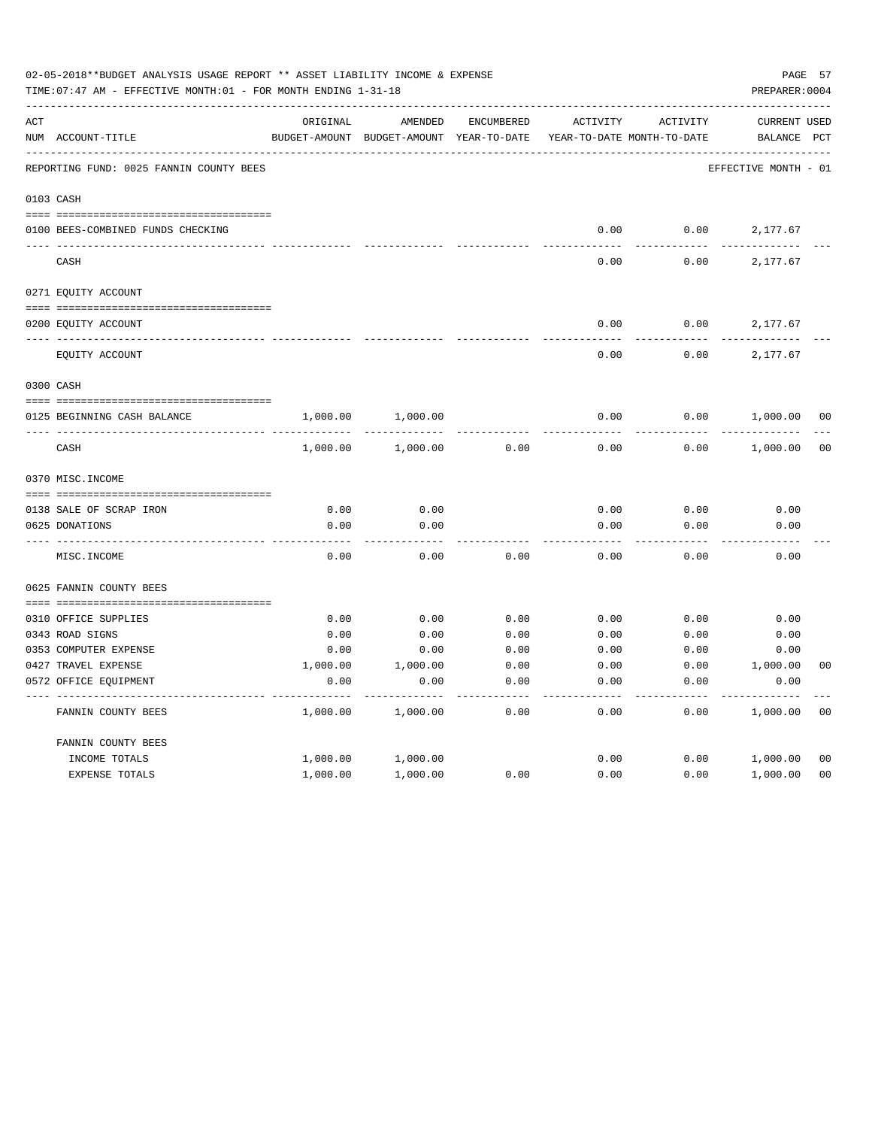|     | 02-05-2018**BUDGET ANALYSIS USAGE REPORT ** ASSET LIABILITY INCOME & EXPENSE<br>TIME: 07:47 AM - EFFECTIVE MONTH: 01 - FOR MONTH ENDING 1-31-18 |               |               |              |                            |          | PREPARER: 0004       | PAGE 57        |
|-----|-------------------------------------------------------------------------------------------------------------------------------------------------|---------------|---------------|--------------|----------------------------|----------|----------------------|----------------|
| ACT |                                                                                                                                                 | ORIGINAL      | AMENDED       | ENCUMBERED   | <b>ACTIVITY</b>            | ACTIVITY | <b>CURRENT USED</b>  |                |
|     | NUM ACCOUNT-TITLE                                                                                                                               | BUDGET-AMOUNT | BUDGET-AMOUNT | YEAR-TO-DATE | YEAR-TO-DATE MONTH-TO-DATE |          | BALANCE              | $_{\rm PCT}$   |
|     | REPORTING FUND: 0025 FANNIN COUNTY BEES                                                                                                         |               |               |              |                            |          | EFFECTIVE MONTH - 01 |                |
|     | 0103 CASH                                                                                                                                       |               |               |              |                            |          |                      |                |
|     |                                                                                                                                                 |               |               |              |                            |          |                      |                |
|     | 0100 BEES-COMBINED FUNDS CHECKING                                                                                                               |               |               |              | 0.00                       | 0.00     | 2,177.67             |                |
|     | CASH                                                                                                                                            |               |               |              | 0.00                       | 0.00     | 2,177.67             |                |
|     | 0271 EQUITY ACCOUNT                                                                                                                             |               |               |              |                            |          |                      |                |
|     |                                                                                                                                                 |               |               |              |                            |          |                      |                |
|     | 0200 EQUITY ACCOUNT                                                                                                                             |               |               |              | 0.00                       | 0.00     | 2,177.67             |                |
|     | EQUITY ACCOUNT                                                                                                                                  |               |               |              | 0.00                       | 0.00     | 2,177.67             |                |
|     | 0300 CASH                                                                                                                                       |               |               |              |                            |          |                      |                |
|     | 0125 BEGINNING CASH BALANCE                                                                                                                     | 1,000.00      | 1,000.00      |              | 0.00                       | 0.00     | 1,000.00             | 00             |
|     | CASH                                                                                                                                            | 1,000.00      | 1,000.00      | 0.00         | 0.00                       | 0.00     | 1,000.00             | 0 <sub>0</sub> |
|     | 0370 MISC. INCOME                                                                                                                               |               |               |              |                            |          |                      |                |
|     |                                                                                                                                                 |               |               |              |                            |          |                      |                |
|     | 0138 SALE OF SCRAP IRON                                                                                                                         | 0.00          | 0.00          |              | 0.00                       | 0.00     | 0.00                 |                |
|     | 0625 DONATIONS                                                                                                                                  | 0.00          | 0.00          |              | 0.00                       | 0.00     | 0.00                 |                |
|     | MISC. INCOME                                                                                                                                    | 0.00          | 0.00          | 0.00         | 0.00                       | 0.00     | 0.00                 |                |
|     | 0625 FANNIN COUNTY BEES                                                                                                                         |               |               |              |                            |          |                      |                |
|     |                                                                                                                                                 |               |               |              |                            |          |                      |                |
|     | 0310 OFFICE SUPPLIES                                                                                                                            | 0.00          | 0.00          | 0.00         | 0.00                       | 0.00     | 0.00                 |                |
|     | 0343 ROAD SIGNS                                                                                                                                 | 0.00          | 0.00          | 0.00         | 0.00                       | 0.00     | 0.00                 |                |
|     | 0353 COMPUTER EXPENSE                                                                                                                           | 0.00          | 0.00          | 0.00         | 0.00                       | 0.00     | 0.00                 |                |
|     | 0427 TRAVEL EXPENSE                                                                                                                             | 1,000.00      | 1,000.00      | 0.00         | 0.00                       | 0.00     | 1,000.00             | 0 <sub>0</sub> |
|     | 0572 OFFICE EQUIPMENT                                                                                                                           | 0.00          | 0.00          | 0.00         | 0.00                       | 0.00     | 0.00                 |                |
|     | FANNIN COUNTY BEES                                                                                                                              | 1,000.00      | 1,000.00      | 0.00         | 0.00                       | 0.00     | 1,000.00             | 0 <sub>0</sub> |
|     | FANNIN COUNTY BEES                                                                                                                              |               |               |              |                            |          |                      |                |
|     | INCOME TOTALS                                                                                                                                   | 1,000.00      | 1,000.00      |              | 0.00                       | 0.00     | 1,000.00             | 0 <sub>0</sub> |
|     | <b>EXPENSE TOTALS</b>                                                                                                                           | 1,000.00      | 1,000.00      | 0.00         | 0.00                       | 0.00     | 1,000.00             | 0 <sub>0</sub> |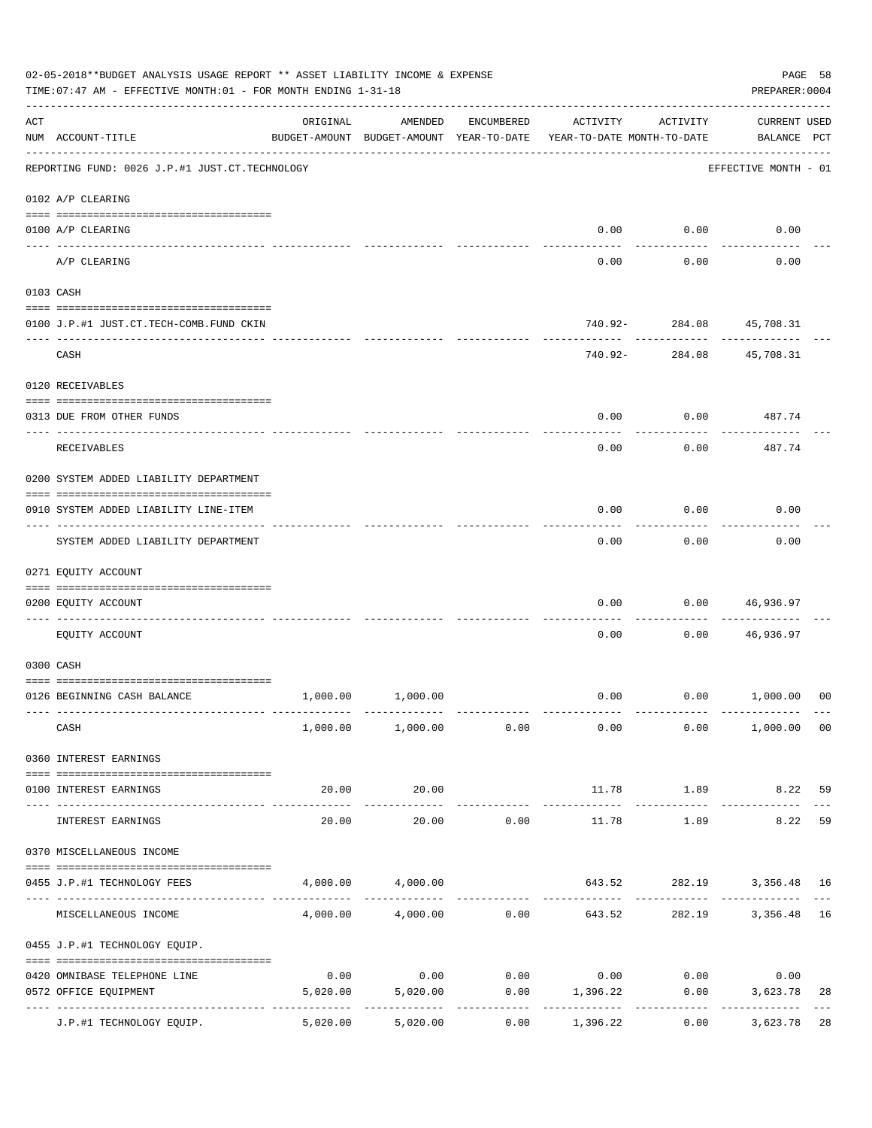|     | 02-05-2018**BUDGET ANALYSIS USAGE REPORT ** ASSET LIABILITY INCOME & EXPENSE<br>TIME: 07:47 AM - EFFECTIVE MONTH: 01 - FOR MONTH ENDING 1-31-18 |          |                                                     |              |                                        |                        | PAGE 58<br>PREPARER: 0004          |                     |
|-----|-------------------------------------------------------------------------------------------------------------------------------------------------|----------|-----------------------------------------------------|--------------|----------------------------------------|------------------------|------------------------------------|---------------------|
| ACT | NUM ACCOUNT-TITLE                                                                                                                               | ORIGINAL | AMENDED<br>BUDGET-AMOUNT BUDGET-AMOUNT YEAR-TO-DATE | ENCUMBERED   | ACTIVITY<br>YEAR-TO-DATE MONTH-TO-DATE | ACTIVITY               | <b>CURRENT USED</b><br>BALANCE PCT |                     |
|     | REPORTING FUND: 0026 J.P.#1 JUST.CT.TECHNOLOGY                                                                                                  |          |                                                     |              |                                        |                        | EFFECTIVE MONTH - 01               |                     |
|     | 0102 A/P CLEARING                                                                                                                               |          |                                                     |              |                                        |                        |                                    |                     |
|     | 0100 A/P CLEARING                                                                                                                               |          |                                                     |              | 0.00                                   | 0.00                   | 0.00                               |                     |
|     | ---- ---------<br>A/P CLEARING                                                                                                                  |          |                                                     |              | 0.00                                   | 0.00                   | 0.00                               |                     |
|     | 0103 CASH                                                                                                                                       |          |                                                     |              |                                        |                        |                                    |                     |
|     | 0100 J.P.#1 JUST.CT.TECH-COMB.FUND CKIN                                                                                                         |          |                                                     |              |                                        | 740.92- 284.08<br>.    | 45,708.31                          |                     |
|     | CASH                                                                                                                                            |          |                                                     |              | 740.92-                                | 284.08                 | 45,708.31                          |                     |
|     | 0120 RECEIVABLES                                                                                                                                |          |                                                     |              |                                        |                        |                                    |                     |
|     | 0313 DUE FROM OTHER FUNDS                                                                                                                       |          |                                                     |              | 0.00                                   | 0.00                   | 487.74                             |                     |
|     | RECEIVABLES                                                                                                                                     |          |                                                     |              | 0.00                                   | 0.00                   | 487.74                             |                     |
|     | 0200 SYSTEM ADDED LIABILITY DEPARTMENT                                                                                                          |          |                                                     |              |                                        |                        |                                    |                     |
|     | 0910 SYSTEM ADDED LIABILITY LINE-ITEM                                                                                                           |          |                                                     |              | 0.00                                   | 0.00                   | 0.00                               |                     |
|     | SYSTEM ADDED LIABILITY DEPARTMENT                                                                                                               |          |                                                     |              | 0.00                                   | 0.00                   | 0.00                               |                     |
|     | 0271 EQUITY ACCOUNT                                                                                                                             |          |                                                     |              |                                        |                        |                                    |                     |
|     | 0200 EQUITY ACCOUNT                                                                                                                             |          |                                                     |              | 0.00                                   | 0.00                   | 46,936.97                          |                     |
|     | EQUITY ACCOUNT                                                                                                                                  |          |                                                     |              | 0.00                                   | 0.00                   | 46,936.97                          |                     |
|     | 0300 CASH                                                                                                                                       |          |                                                     |              |                                        |                        |                                    |                     |
|     | 0126 BEGINNING CASH BALANCE                                                                                                                     | 1,000.00 | 1,000.00                                            |              | 0.00                                   |                        | 0.00 1,000.00                      | 00                  |
|     | CASH                                                                                                                                            |          | $1,000.00$ $1,000.00$ $0.00$                        |              |                                        | $0.00$ 0.00            | 1,000.00 00                        |                     |
|     | 0360 INTEREST EARNINGS                                                                                                                          |          |                                                     |              |                                        |                        |                                    |                     |
|     | 0100 INTEREST EARNINGS                                                                                                                          | 20.00    | 20.00                                               |              | 11.78                                  | 1.89                   | 8.22 59                            |                     |
|     | INTEREST EARNINGS                                                                                                                               | 20.00    | 20.00                                               | 0.00         | 11.78                                  | 1.89                   | -------------<br>8.22              | 59                  |
|     | 0370 MISCELLANEOUS INCOME                                                                                                                       |          |                                                     |              |                                        |                        |                                    |                     |
|     | 0455 J.P.#1 TECHNOLOGY FEES                                                                                                                     |          | 4,000.00 4,000.00                                   |              |                                        |                        | 643.52 282.19 3,356.48 16          |                     |
|     | ------------------ -------<br>MISCELLANEOUS INCOME                                                                                              |          |                                                     | ------------ | $4,000.00$ $4,000.00$ $0.00$ $643.52$  | ------------<br>282.19 | 3,356.48                           | $\frac{1}{2}$<br>16 |
|     | 0455 J.P.#1 TECHNOLOGY EQUIP.                                                                                                                   |          |                                                     |              |                                        |                        |                                    |                     |
|     | 0420 OMNIBASE TELEPHONE LINE                                                                                                                    | 0.00     |                                                     |              | $0.00$ $0.00$ $0.00$ $0.00$ $0.00$     |                        | 0.00                               |                     |
|     | 0572 OFFICE EQUIPMENT                                                                                                                           | 5,020.00 | 5,020.00<br>-------------                           | -----------  | $0.00$ 1,396.22<br>-------------       | 0.00<br>------------   | 3,623.78<br>_____________          | 28                  |
|     | J.P.#1 TECHNOLOGY EQUIP.                                                                                                                        | 5,020.00 | 5,020.00                                            | 0.00         | 1,396.22                               | 0.00                   | 3,623.78                           | 28                  |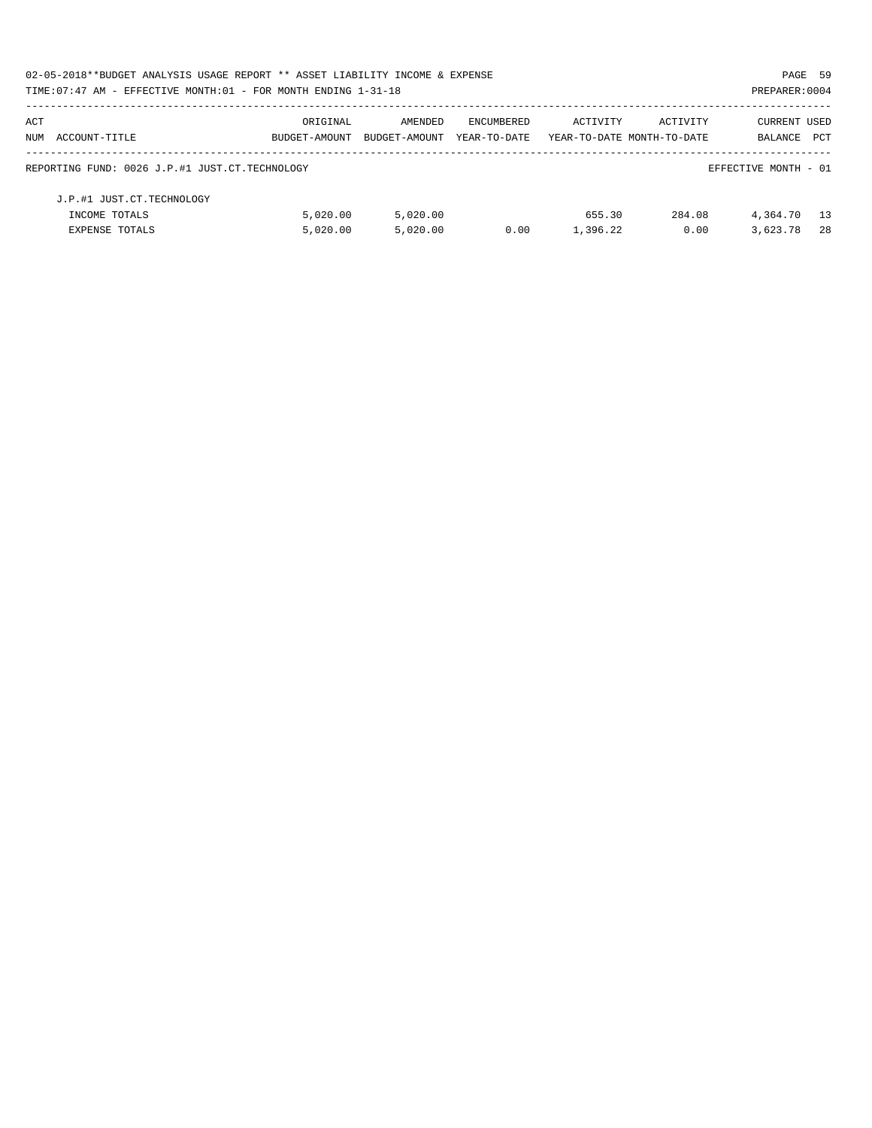| 02-05-2018**BUDGET ANALYSIS USAGE REPORT ** ASSET LIABILITY INCOME & EXPENSE |               |               |              |                            |          | PAGE 59              |     |
|------------------------------------------------------------------------------|---------------|---------------|--------------|----------------------------|----------|----------------------|-----|
| TIME: $07:47$ AM - EFFECTIVE MONTH: $01$ - FOR MONTH ENDING $1-31-18$        |               |               |              |                            |          | PREPARER: 0004       |     |
| ACT                                                                          | ORIGINAL      | AMENDED       | ENCUMBERED   | ACTIVITY                   | ACTIVITY | CURRENT USED         |     |
| NUM ACCOUNT-TITLE                                                            | BUDGET-AMOUNT | BUDGET-AMOUNT | YEAR-TO-DATE | YEAR-TO-DATE MONTH-TO-DATE |          | BALANCE              | PCT |
| REPORTING FUND: 0026 J.P.#1 JUST.CT.TECHNOLOGY                               |               |               |              |                            |          | EFFECTIVE MONTH - 01 |     |
| J.P.#1 JUST.CT.TECHNOLOGY                                                    |               |               |              |                            |          |                      |     |
| INCOME TOTALS                                                                | 5.020.00      | 5.020.00      |              | 655.30                     | 284.08   | 4,364.70             | 13  |
| <b>EXPENSE TOTALS</b>                                                        | 5.020.00      | 5.020.00      | 0.00         | 1,396.22                   | 0.00     | 3,623.78             | -28 |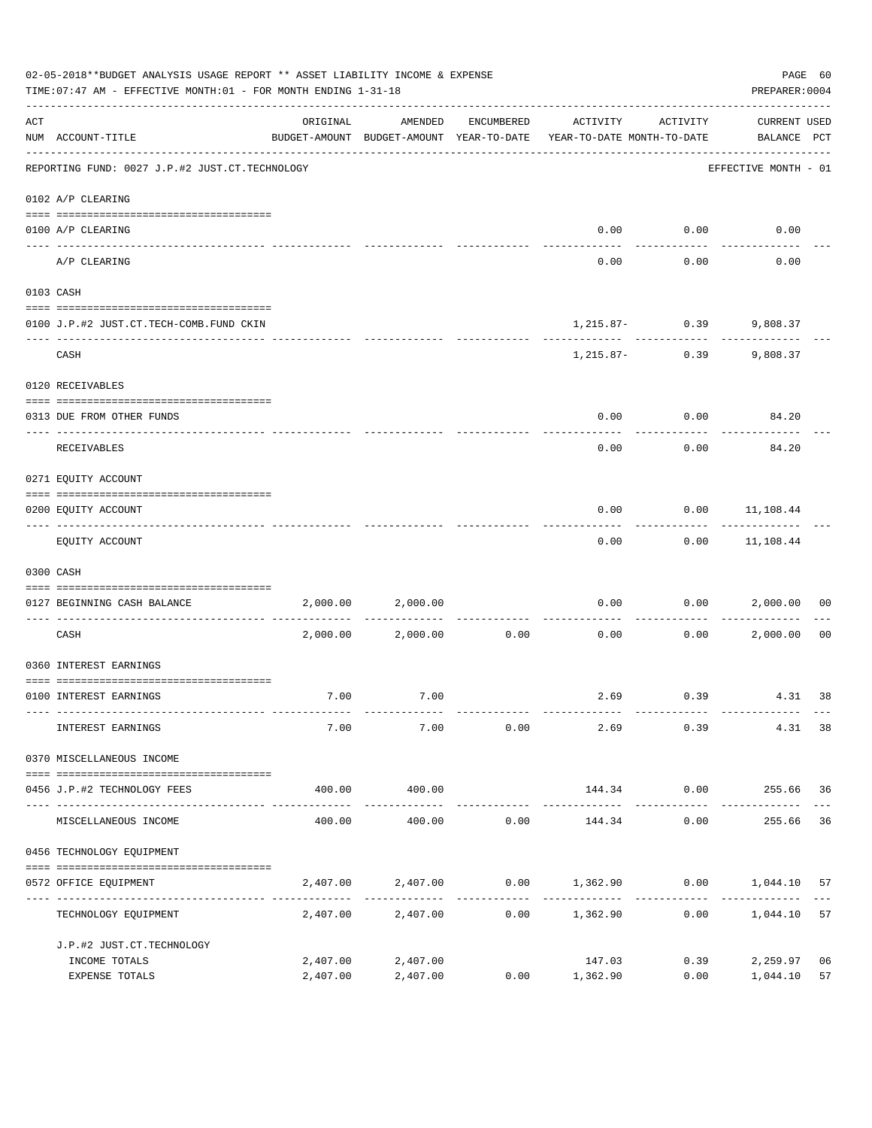|                    | 02-05-2018**BUDGET ANALYSIS USAGE REPORT ** ASSET LIABILITY INCOME & EXPENSE<br>TIME: 07:47 AM - EFFECTIVE MONTH: 01 - FOR MONTH ENDING 1-31-18                                                                                                                                                                                                                                                                                                      |                      |                        |            |                                                                                 |               | PREPARER: 0004                     | PAGE 60        |
|--------------------|------------------------------------------------------------------------------------------------------------------------------------------------------------------------------------------------------------------------------------------------------------------------------------------------------------------------------------------------------------------------------------------------------------------------------------------------------|----------------------|------------------------|------------|---------------------------------------------------------------------------------|---------------|------------------------------------|----------------|
| $\mathop{\rm ACT}$ | NUM ACCOUNT-TITLE                                                                                                                                                                                                                                                                                                                                                                                                                                    | ORIGINAL             | AMENDED                | ENCUMBERED | ACTIVITY<br>BUDGET-AMOUNT BUDGET-AMOUNT YEAR-TO-DATE YEAR-TO-DATE MONTH-TO-DATE | ACTIVITY      | <b>CURRENT USED</b><br>BALANCE PCT |                |
|                    | -------------------------------------<br>REPORTING FUND: 0027 J.P.#2 JUST.CT.TECHNOLOGY                                                                                                                                                                                                                                                                                                                                                              |                      |                        |            |                                                                                 |               | EFFECTIVE MONTH - 01               |                |
|                    | 0102 A/P CLEARING                                                                                                                                                                                                                                                                                                                                                                                                                                    |                      |                        |            |                                                                                 |               |                                    |                |
|                    | 0100 A/P CLEARING                                                                                                                                                                                                                                                                                                                                                                                                                                    |                      |                        |            | 0.00                                                                            | 0.00          | 0.00                               |                |
|                    | ---- -------<br>A/P CLEARING                                                                                                                                                                                                                                                                                                                                                                                                                         |                      |                        |            | 0.00                                                                            | 0.00          | 0.00                               |                |
|                    | 0103 CASH                                                                                                                                                                                                                                                                                                                                                                                                                                            |                      |                        |            |                                                                                 |               |                                    |                |
|                    | 0100 J.P.#2 JUST.CT.TECH-COMB.FUND CKIN                                                                                                                                                                                                                                                                                                                                                                                                              |                      |                        |            | 1,215.87- 0.39 9,808.37                                                         |               |                                    |                |
|                    | CASH                                                                                                                                                                                                                                                                                                                                                                                                                                                 |                      |                        |            | $1,215.87 - 0.39$                                                               | ------------- | 9,808.37                           |                |
|                    | 0120 RECEIVABLES                                                                                                                                                                                                                                                                                                                                                                                                                                     |                      |                        |            |                                                                                 |               |                                    |                |
|                    | 0313 DUE FROM OTHER FUNDS                                                                                                                                                                                                                                                                                                                                                                                                                            |                      |                        |            | 0.00                                                                            |               | $0.00$ 84.20                       |                |
|                    | RECEIVABLES                                                                                                                                                                                                                                                                                                                                                                                                                                          |                      |                        |            | 0.00                                                                            | 0.00          | 84.20                              |                |
|                    | 0271 EQUITY ACCOUNT                                                                                                                                                                                                                                                                                                                                                                                                                                  |                      |                        |            |                                                                                 |               |                                    |                |
|                    | 0200 EQUITY ACCOUNT                                                                                                                                                                                                                                                                                                                                                                                                                                  |                      |                        |            | 0.00                                                                            |               | $0.00$ 11,108.44                   |                |
|                    | EQUITY ACCOUNT                                                                                                                                                                                                                                                                                                                                                                                                                                       |                      |                        |            | 0.00                                                                            |               | $0.00$ 11,108.44                   |                |
|                    | 0300 CASH                                                                                                                                                                                                                                                                                                                                                                                                                                            |                      |                        |            |                                                                                 |               |                                    |                |
|                    | 0127 BEGINNING CASH BALANCE                                                                                                                                                                                                                                                                                                                                                                                                                          | 2,000.00             | 2,000.00               |            | 0.00                                                                            |               | 0.00 2,000.00                      | 00             |
|                    | CASH                                                                                                                                                                                                                                                                                                                                                                                                                                                 |                      | 2,000.00 2,000.00 0.00 |            | 0.00                                                                            |               | $0.00$ 2,000.00                    | 0 <sub>0</sub> |
|                    | 0360 INTEREST EARNINGS                                                                                                                                                                                                                                                                                                                                                                                                                               |                      |                        |            |                                                                                 |               |                                    |                |
|                    | 0100 INTEREST EARNINGS                                                                                                                                                                                                                                                                                                                                                                                                                               | 7.00                 | 7.00                   |            |                                                                                 |               | 2.69 0.39 4.31 38                  |                |
|                    | INTEREST EARNINGS                                                                                                                                                                                                                                                                                                                                                                                                                                    | 7.00                 | 7.00                   | 0.00       | 2.69                                                                            | 0.39          | 4.31 38                            |                |
|                    | 0370 MISCELLANEOUS INCOME                                                                                                                                                                                                                                                                                                                                                                                                                            |                      |                        |            |                                                                                 |               |                                    |                |
|                    | $\verb c  = \verb c  = \verb c  = \verb c  = \verb c  = \verb c  = \verb c  = \verb c  = \verb c  = \verb c  = \verb c  = \verb c  = \verb c  = \verb c  = \verb c  = \verb c  = \verb c  = \verb c  = \verb c  = \verb c  = \verb c  = \verb c  = \verb c  = \verb c  = \verb c  = \verb c  = \verb c  = \verb c  = \verb c  = \verb c  = \verb c  = \verb c  = \verb c  = \verb c  = \verb c  = \verb c  = \verb c$<br>0456 J.P.#2 TECHNOLOGY FEES | 400.00               | 400.00                 |            |                                                                                 |               | 144.34 0.00 255.66 36              |                |
|                    | MISCELLANEOUS INCOME                                                                                                                                                                                                                                                                                                                                                                                                                                 | 400.00               | 400.00                 | 0.00       | 144.34                                                                          | 0.00          | -------------<br>255.66            | 36             |
|                    | 0456 TECHNOLOGY EQUIPMENT                                                                                                                                                                                                                                                                                                                                                                                                                            |                      |                        |            |                                                                                 |               |                                    |                |
|                    | 0572 OFFICE EQUIPMENT                                                                                                                                                                                                                                                                                                                                                                                                                                |                      |                        |            | $2,407.00$ $2,407.00$ $0.00$ $1,362.90$ $0.00$ $1,044.10$                       |               |                                    | 57             |
|                    | ------------------<br>TECHNOLOGY EQUIPMENT                                                                                                                                                                                                                                                                                                                                                                                                           |                      | 2,407.00 2,407.00      | 0.00       | 1,362.90                                                                        | 0.00          | 1,044.10                           | 57             |
|                    | J.P.#2 JUST.CT.TECHNOLOGY                                                                                                                                                                                                                                                                                                                                                                                                                            |                      |                        |            |                                                                                 |               |                                    |                |
|                    | INCOME TOTALS<br>EXPENSE TOTALS                                                                                                                                                                                                                                                                                                                                                                                                                      | 2,407.00<br>2,407.00 | 2,407.00<br>2,407.00   |            | 147.03<br>$0.00$ 1,362.90                                                       | 0.39<br>0.00  | 2,259.97<br>1,044.10               | 06<br>57       |
|                    |                                                                                                                                                                                                                                                                                                                                                                                                                                                      |                      |                        |            |                                                                                 |               |                                    |                |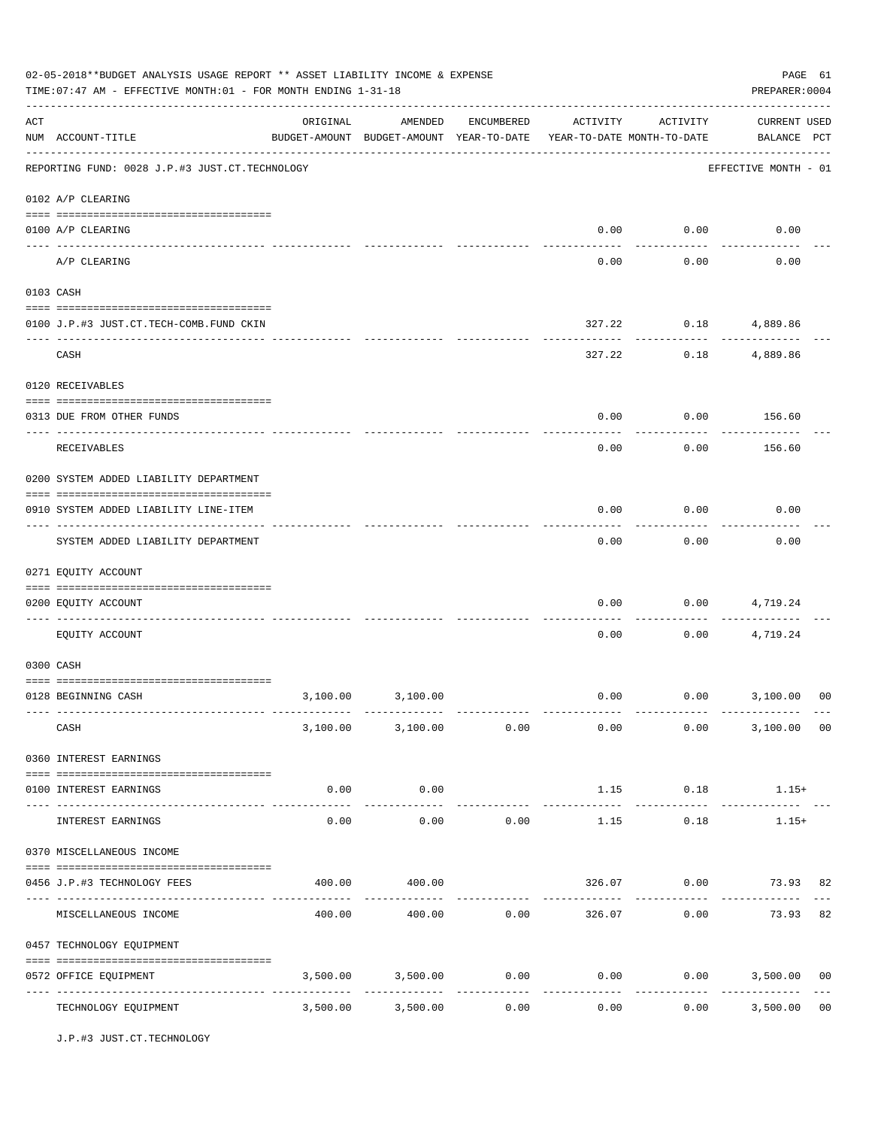|     | 02-05-2018**BUDGET ANALYSIS USAGE REPORT ** ASSET LIABILITY INCOME & EXPENSE<br>TIME: 07:47 AM - EFFECTIVE MONTH: 01 - FOR MONTH ENDING 1-31-18 |                     |                                                                                |                       |                      |                    | PREPARER: 0004                        | PAGE 61        |
|-----|-------------------------------------------------------------------------------------------------------------------------------------------------|---------------------|--------------------------------------------------------------------------------|-----------------------|----------------------|--------------------|---------------------------------------|----------------|
| ACT | NUM ACCOUNT-TITLE                                                                                                                               | ORIGINAL            | AMENDED<br>BUDGET-AMOUNT BUDGET-AMOUNT YEAR-TO-DATE YEAR-TO-DATE MONTH-TO-DATE | ENCUMBERED            | ACTIVITY             | ACTIVITY           | <b>CURRENT USED</b><br>BALANCE PCT    |                |
|     | REPORTING FUND: 0028 J.P.#3 JUST.CT.TECHNOLOGY                                                                                                  |                     |                                                                                |                       |                      |                    | EFFECTIVE MONTH - 01                  |                |
|     | 0102 A/P CLEARING                                                                                                                               |                     |                                                                                |                       |                      |                    |                                       |                |
|     | 0100 A/P CLEARING                                                                                                                               |                     |                                                                                |                       | 0.00                 | 0.00               | 0.00                                  |                |
|     | A/P CLEARING                                                                                                                                    |                     |                                                                                |                       | 0.00                 | 0.00               | 0.00                                  |                |
|     | 0103 CASH                                                                                                                                       |                     |                                                                                |                       |                      |                    |                                       |                |
|     | 0100 J.P.#3 JUST.CT.TECH-COMB.FUND CKIN                                                                                                         |                     |                                                                                |                       | 327.22               |                    | $0.18$ 4,889.86                       |                |
|     | -----------------------------------<br>CASH                                                                                                     |                     |                                                                                |                       | 327.22               | ---------<br>0.18  | 4,889.86                              |                |
|     | 0120 RECEIVABLES                                                                                                                                |                     |                                                                                |                       |                      |                    |                                       |                |
|     | 0313 DUE FROM OTHER FUNDS                                                                                                                       |                     |                                                                                |                       | 0.00                 | 0.00               | 156.60                                |                |
|     | RECEIVABLES                                                                                                                                     |                     |                                                                                |                       | 0.00                 | 0.00               | 156.60                                |                |
|     | 0200 SYSTEM ADDED LIABILITY DEPARTMENT                                                                                                          |                     |                                                                                |                       |                      |                    |                                       |                |
|     | 0910 SYSTEM ADDED LIABILITY LINE-ITEM                                                                                                           |                     |                                                                                |                       | 0.00                 | 0.00               | 0.00                                  |                |
|     | SYSTEM ADDED LIABILITY DEPARTMENT                                                                                                               |                     |                                                                                |                       | 0.00                 | 0.00               | 0.00                                  |                |
|     | 0271 EQUITY ACCOUNT                                                                                                                             |                     |                                                                                |                       |                      |                    |                                       |                |
|     | 0200 EQUITY ACCOUNT                                                                                                                             |                     |                                                                                |                       | 0.00                 | 0.00               | 4,719.24                              |                |
|     | ----- ----------<br>EQUITY ACCOUNT                                                                                                              |                     |                                                                                |                       | 0.00                 | 0.00               | 4,719.24                              |                |
|     | 0300 CASH                                                                                                                                       |                     |                                                                                |                       |                      |                    |                                       |                |
|     | 0128 BEGINNING CASH                                                                                                                             | 3,100.00            | 3,100.00                                                                       |                       | 0.00                 |                    | $0.00$ 3,100.00                       | 00             |
|     | CASH                                                                                                                                            |                     | $3,100.00$ $3,100.00$ $0.00$ $0.00$ $0.00$ $0.00$                              |                       |                      |                    | 3,100.00 00                           |                |
|     | 0360 INTEREST EARNINGS                                                                                                                          |                     |                                                                                |                       |                      |                    |                                       |                |
|     | 0100 INTEREST EARNINGS                                                                                                                          | 0.00                | 0.00                                                                           |                       |                      | 1.15 0.18          | $1.15+$                               |                |
|     | INTEREST EARNINGS                                                                                                                               | -----------<br>0.00 | ----------<br>0.00                                                             | 0.00                  | ------------<br>1.15 | ----------<br>0.18 | $1.15+$                               |                |
|     | 0370 MISCELLANEOUS INCOME                                                                                                                       |                     |                                                                                |                       |                      |                    |                                       |                |
|     |                                                                                                                                                 |                     |                                                                                |                       |                      |                    |                                       |                |
|     | 0456 J.P.#3 TECHNOLOGY FEES                                                                                                                     | 400.00              | 400.00                                                                         |                       |                      |                    | 326.07 0.00 73.93 82                  |                |
|     | MISCELLANEOUS INCOME                                                                                                                            |                     | $400.00$ $400.00$ $0.00$ $326.07$ $0.00$ $73.93$                               |                       |                      |                    |                                       | 82             |
|     | 0457 TECHNOLOGY EQUIPMENT                                                                                                                       |                     |                                                                                |                       |                      |                    |                                       |                |
|     | 0572 OFFICE EQUIPMENT                                                                                                                           | 3,500.00            | 3,500.00                                                                       | 0.00<br>------------- | 0.00<br>------------ | -----------        | 0.00<br>3,500.00 00<br>-------------- |                |
|     | TECHNOLOGY EQUIPMENT                                                                                                                            |                     | 3,500.00 3,500.00                                                              | 0.00                  | 0.00                 |                    | 0.00<br>3,500.00                      | 0 <sub>0</sub> |

J.P.#3 JUST.CT.TECHNOLOGY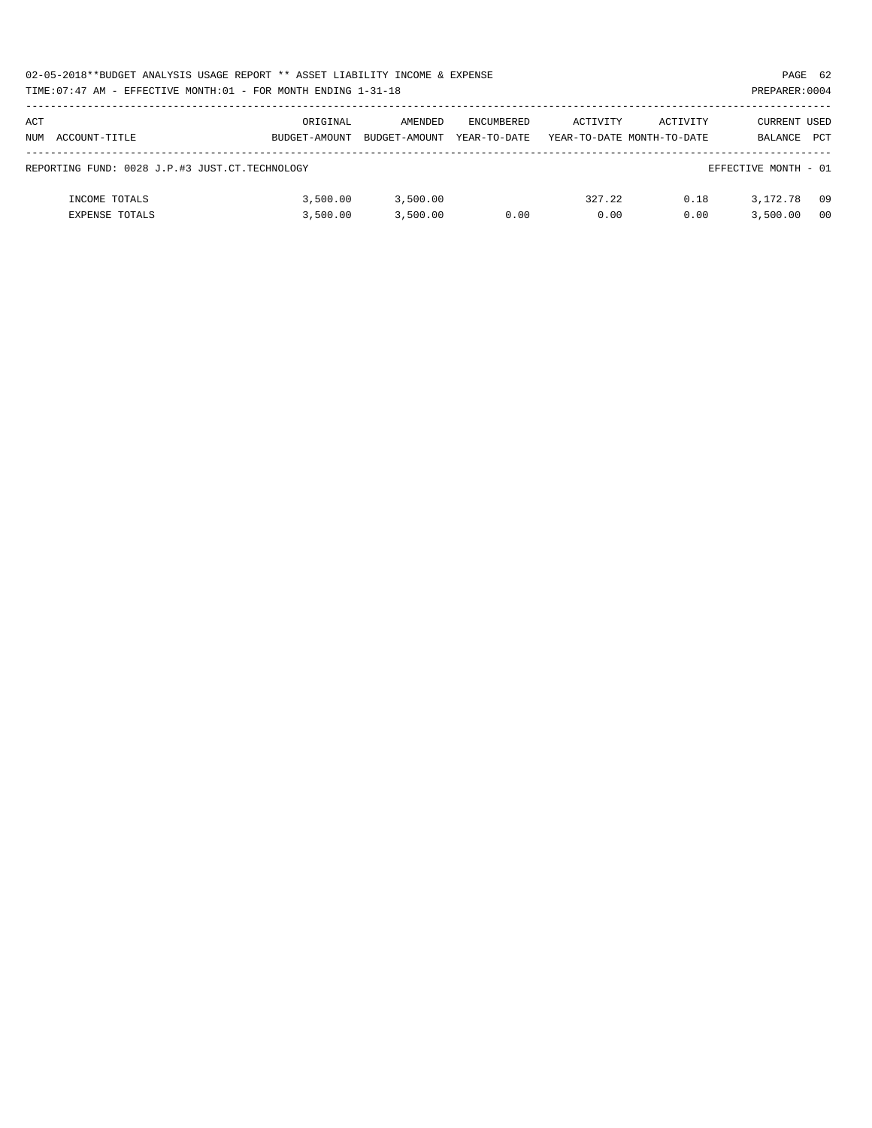|     | 02-05-2018**BUDGET ANALYSIS USAGE REPORT ** ASSET LIABILITY INCOME & EXPENSE<br>PAGE 62 |               |               |                   |          |                            |                      |                |  |  |  |
|-----|-----------------------------------------------------------------------------------------|---------------|---------------|-------------------|----------|----------------------------|----------------------|----------------|--|--|--|
|     | TIME:07:47 AM - EFFECTIVE MONTH:01 - FOR MONTH ENDING 1-31-18                           |               |               |                   |          |                            | PREPARER: 0004       |                |  |  |  |
|     |                                                                                         |               |               |                   |          |                            |                      |                |  |  |  |
| ACT |                                                                                         | ORIGINAL      | AMENDED       | <b>ENCUMBERED</b> | ACTIVITY | ACTIVITY                   | CURRENT USED         |                |  |  |  |
|     | NUM ACCOUNT-TITLE                                                                       | BUDGET-AMOUNT | BUDGET-AMOUNT | YEAR-TO-DATE      |          | YEAR-TO-DATE MONTH-TO-DATE | BALANCE              | <b>PCT</b>     |  |  |  |
|     |                                                                                         |               |               |                   |          |                            |                      |                |  |  |  |
|     | REPORTING FUND: 0028 J.P.#3 JUST.CT.TECHNOLOGY                                          |               |               |                   |          |                            | EFFECTIVE MONTH - 01 |                |  |  |  |
|     |                                                                                         |               |               |                   |          |                            |                      |                |  |  |  |
|     | INCOME TOTALS                                                                           | 3,500.00      | 3,500.00      |                   | 327.22   | 0.18                       | 3, 172, 78           | 09             |  |  |  |
|     | <b>EXPENSE TOTALS</b>                                                                   | 3,500.00      | 3.500.00      | 0.00              | 0.00     | 0.00                       | 3,500.00             | 0 <sub>0</sub> |  |  |  |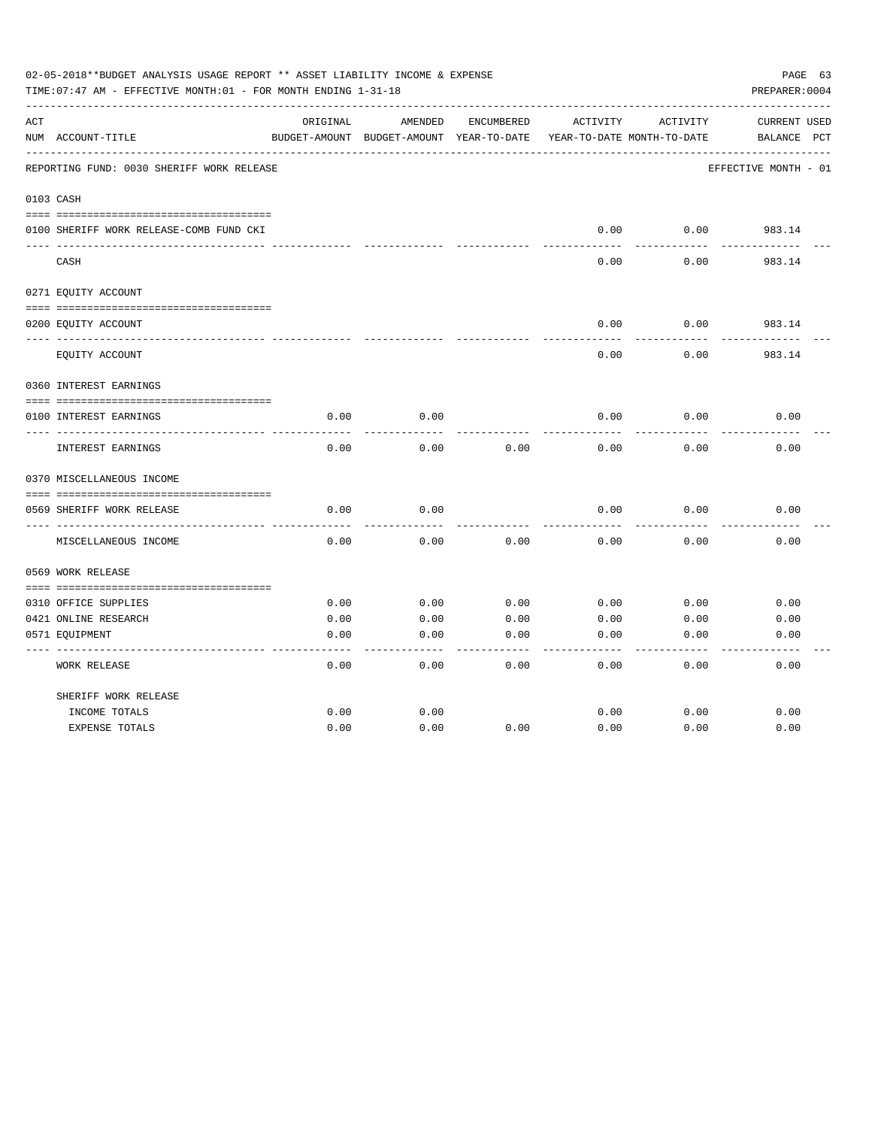|     | 02-05-2018**BUDGET ANALYSIS USAGE REPORT ** ASSET LIABILITY INCOME & EXPENSE<br>TIME: 07:47 AM - EFFECTIVE MONTH: 01 - FOR MONTH ENDING 1-31-18 |          |                                                     |            |          |                                        | PAGE 63<br>PREPARER: 0004          |
|-----|-------------------------------------------------------------------------------------------------------------------------------------------------|----------|-----------------------------------------------------|------------|----------|----------------------------------------|------------------------------------|
| ACT | NUM ACCOUNT-TITLE                                                                                                                               | ORIGINAL | AMENDED<br>BUDGET-AMOUNT BUDGET-AMOUNT YEAR-TO-DATE | ENCUMBERED | ACTIVITY | ACTIVITY<br>YEAR-TO-DATE MONTH-TO-DATE | <b>CURRENT USED</b><br>BALANCE PCT |
|     | REPORTING FUND: 0030 SHERIFF WORK RELEASE                                                                                                       |          |                                                     |            |          |                                        | EFFECTIVE MONTH - 01               |
|     | 0103 CASH                                                                                                                                       |          |                                                     |            |          |                                        |                                    |
|     | 0100 SHERIFF WORK RELEASE-COMB FUND CKI                                                                                                         |          |                                                     |            | 0.00     | 0.00                                   | 983.14                             |
|     | CASH                                                                                                                                            |          |                                                     |            | 0.00     | 0.00                                   | 983.14                             |
|     | 0271 EQUITY ACCOUNT                                                                                                                             |          |                                                     |            |          |                                        |                                    |
|     | 0200 EQUITY ACCOUNT                                                                                                                             |          |                                                     |            | 0.00     | 0.00                                   | 983.14                             |
|     | EQUITY ACCOUNT                                                                                                                                  |          |                                                     |            | 0.00     | 0.00                                   | 983.14                             |
|     | 0360 INTEREST EARNINGS                                                                                                                          |          |                                                     |            |          |                                        |                                    |
|     | 0100 INTEREST EARNINGS                                                                                                                          | 0.00     | 0.00                                                |            | 0.00     | 0.00                                   | 0.00                               |
|     | INTEREST EARNINGS                                                                                                                               | 0.00     | 0.00                                                | 0.00       | 0.00     | 0.00                                   | 0.00                               |
|     | 0370 MISCELLANEOUS INCOME                                                                                                                       |          |                                                     |            |          |                                        |                                    |
|     | 0569 SHERIFF WORK RELEASE                                                                                                                       | 0.00     | 0.00                                                |            | 0.00     | 0.00                                   | 0.00                               |
|     | MISCELLANEOUS INCOME                                                                                                                            | 0.00     | 0.00                                                | 0.00       | 0.00     | 0.00                                   | 0.00                               |
|     | 0569 WORK RELEASE                                                                                                                               |          |                                                     |            |          |                                        |                                    |
|     |                                                                                                                                                 |          |                                                     |            |          |                                        |                                    |
|     | 0310 OFFICE SUPPLIES                                                                                                                            | 0.00     | 0.00                                                | 0.00       | 0.00     | 0.00                                   | 0.00                               |
|     | 0421 ONLINE RESEARCH                                                                                                                            | 0.00     | 0.00                                                | 0.00       | 0.00     | 0.00                                   | 0.00                               |
|     | 0571 EQUIPMENT                                                                                                                                  | 0.00     | 0.00                                                | 0.00       | 0.00     | 0.00                                   | 0.00                               |
|     | <b>WORK RELEASE</b>                                                                                                                             | 0.00     | 0.00                                                | 0.00       | 0.00     | 0.00                                   | 0.00                               |
|     | SHERIFF WORK RELEASE                                                                                                                            |          |                                                     |            |          |                                        |                                    |
|     | INCOME TOTALS                                                                                                                                   | 0.00     | 0.00                                                |            | 0.00     | 0.00                                   | 0.00                               |
|     | <b>EXPENSE TOTALS</b>                                                                                                                           | 0.00     | 0.00                                                | 0.00       | 0.00     | 0.00                                   | 0.00                               |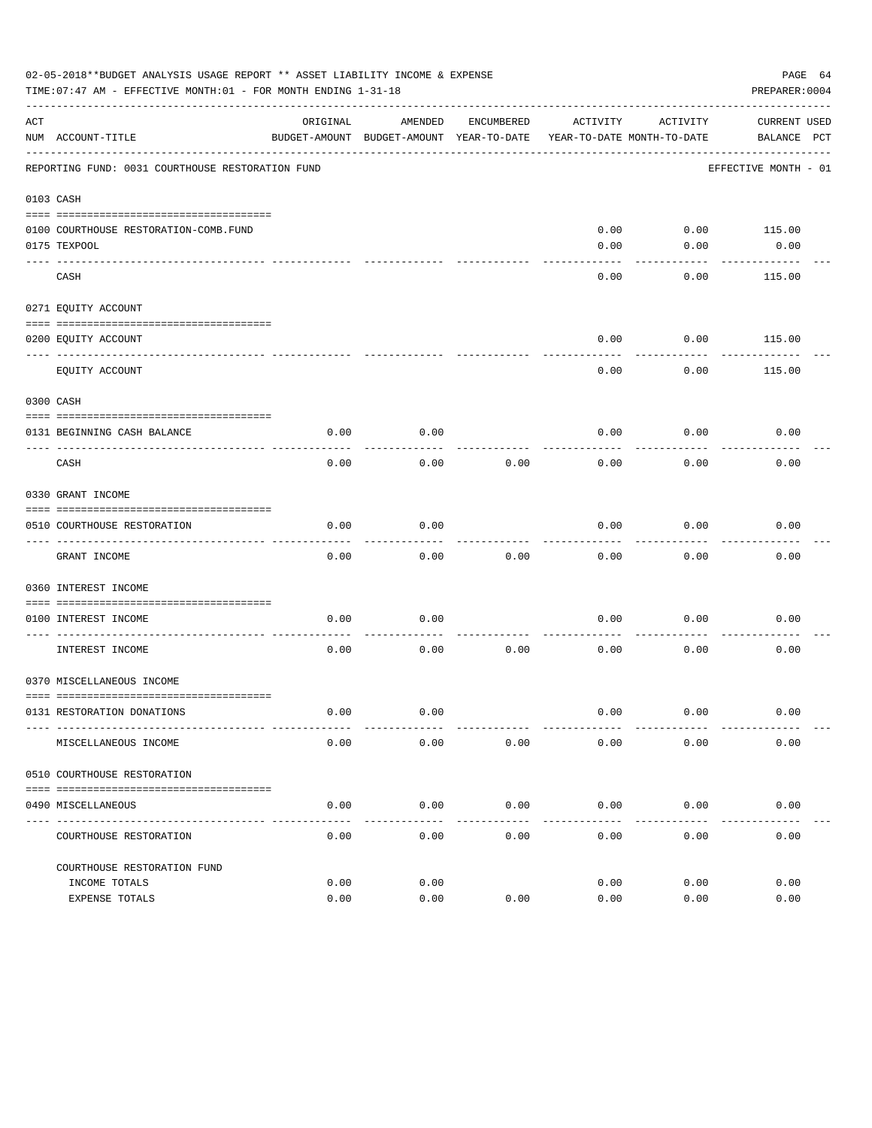|     | 02-05-2018**BUDGET ANALYSIS USAGE REPORT ** ASSET LIABILITY INCOME & EXPENSE<br>TIME: 07:47 AM - EFFECTIVE MONTH: 01 - FOR MONTH ENDING 1-31-18 |          |                                                     |               |              |                                        | PAGE 64<br>PREPARER: 0004          |  |
|-----|-------------------------------------------------------------------------------------------------------------------------------------------------|----------|-----------------------------------------------------|---------------|--------------|----------------------------------------|------------------------------------|--|
| ACT | NUM ACCOUNT-TITLE                                                                                                                               | ORIGINAL | AMENDED<br>BUDGET-AMOUNT BUDGET-AMOUNT YEAR-TO-DATE | ENCUMBERED    | ACTIVITY     | ACTIVITY<br>YEAR-TO-DATE MONTH-TO-DATE | <b>CURRENT USED</b><br>BALANCE PCT |  |
|     | REPORTING FUND: 0031 COURTHOUSE RESTORATION FUND                                                                                                |          |                                                     |               |              |                                        | EFFECTIVE MONTH - 01               |  |
|     | 0103 CASH                                                                                                                                       |          |                                                     |               |              |                                        |                                    |  |
|     | 0100 COURTHOUSE RESTORATION-COMB.FUND<br>0175 TEXPOOL                                                                                           |          |                                                     |               | 0.00<br>0.00 | 0.00<br>0.00                           | 115.00<br>0.00                     |  |
|     | CASH                                                                                                                                            |          |                                                     |               | 0.00         | 0.00                                   | 115.00                             |  |
|     | 0271 EQUITY ACCOUNT                                                                                                                             |          |                                                     |               |              |                                        |                                    |  |
|     | 0200 EQUITY ACCOUNT                                                                                                                             |          |                                                     |               | 0.00         | 0.00                                   | 115.00                             |  |
|     | EQUITY ACCOUNT                                                                                                                                  |          |                                                     |               | 0.00         | 0.00                                   | 115.00                             |  |
|     | 0300 CASH                                                                                                                                       |          |                                                     |               |              |                                        |                                    |  |
|     | 0131 BEGINNING CASH BALANCE                                                                                                                     | 0.00     | 0.00                                                |               | 0.00         | 0.00                                   | 0.00                               |  |
|     | CASH                                                                                                                                            | 0.00     | 0.00                                                | 0.00          | 0.00         | 0.00                                   | 0.00                               |  |
|     | 0330 GRANT INCOME                                                                                                                               |          |                                                     |               |              |                                        |                                    |  |
|     | 0510 COURTHOUSE RESTORATION                                                                                                                     | 0.00     | 0.00                                                |               | 0.00         | 0.00                                   | 0.00                               |  |
|     |                                                                                                                                                 |          |                                                     |               |              |                                        |                                    |  |
|     | GRANT INCOME                                                                                                                                    | 0.00     | 0.00                                                | 0.00          | 0.00         | 0.00                                   | 0.00                               |  |
|     | 0360 INTEREST INCOME                                                                                                                            |          |                                                     |               |              |                                        |                                    |  |
|     | 0100 INTEREST INCOME                                                                                                                            | 0.00     | 0.00                                                |               | 0.00         | 0.00                                   | 0.00                               |  |
|     |                                                                                                                                                 |          |                                                     |               |              |                                        |                                    |  |
|     | INTEREST INCOME                                                                                                                                 | 0.00     | 0.00                                                | 0.00          | 0.00         | 0.00                                   | 0.00                               |  |
|     | 0370 MISCELLANEOUS INCOME                                                                                                                       |          |                                                     |               |              |                                        |                                    |  |
|     | 0131 RESTORATION DONATIONS                                                                                                                      | 0.00     | 0.00                                                |               | 0.00         | 0.00                                   | 0.00                               |  |
|     | MISCELLANEOUS INCOME                                                                                                                            | 0.00     | 0.00                                                | 0.00          | 0.00         | 0.00                                   | 0.00                               |  |
|     | 0510 COURTHOUSE RESTORATION                                                                                                                     |          |                                                     |               |              |                                        |                                    |  |
|     | 0490 MISCELLANEOUS                                                                                                                              | 0.00     | 0.00                                                | 0.00          | 0.00         | 0.00                                   | 0.00                               |  |
|     | ------------------------------------<br>COURTHOUSE RESTORATION                                                                                  | 0.00     | $- - - - -$<br>0.00                                 | -----<br>0.00 | 0.00         | 0.00                                   | 0.00                               |  |
|     | COURTHOUSE RESTORATION FUND                                                                                                                     |          |                                                     |               |              |                                        |                                    |  |
|     | INCOME TOTALS                                                                                                                                   | 0.00     | 0.00                                                |               | 0.00         | 0.00                                   | 0.00                               |  |
|     | EXPENSE TOTALS                                                                                                                                  | 0.00     | 0.00                                                | 0.00          | 0.00         | 0.00                                   | 0.00                               |  |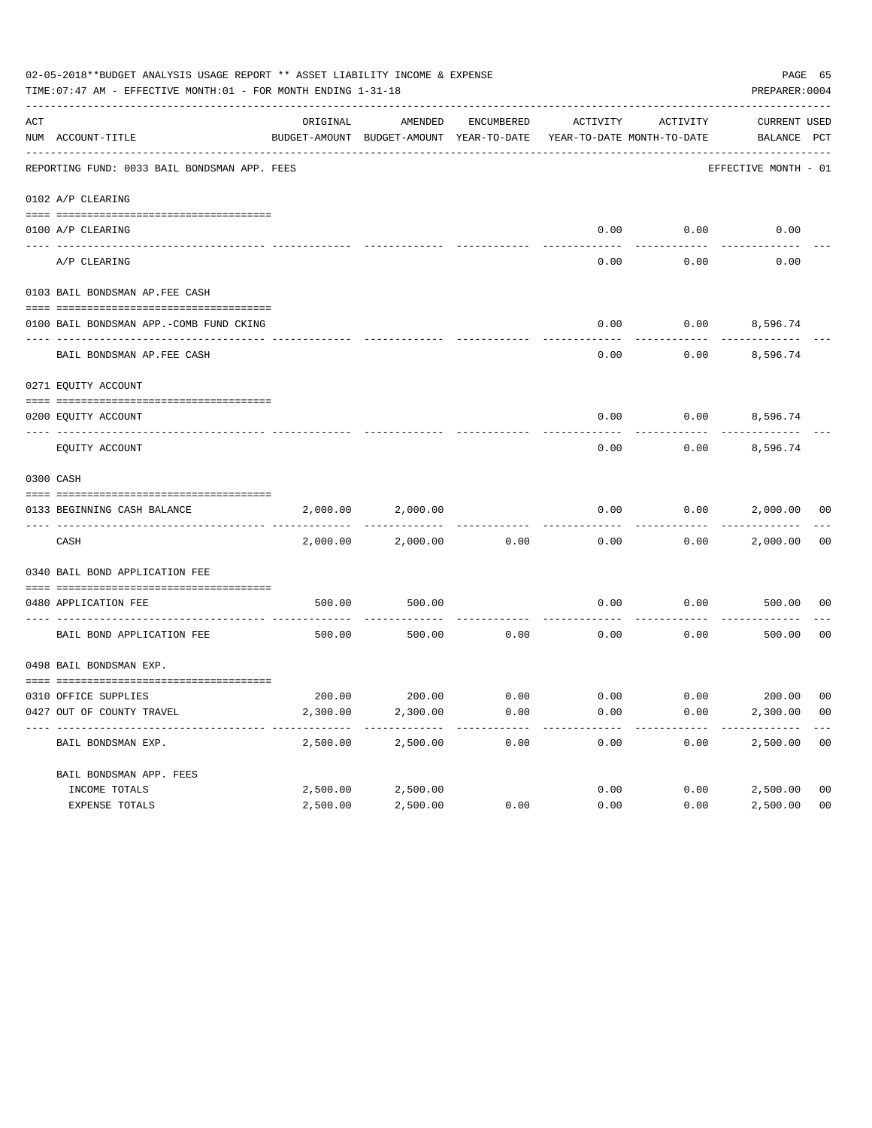|     | 02-05-2018**BUDGET ANALYSIS USAGE REPORT ** ASSET LIABILITY INCOME & EXPENSE<br>TIME: 07:47 AM - EFFECTIVE MONTH: 01 - FOR MONTH ENDING 1-31-18 |          |                                                     |            |                                        |          | PAGE 65<br>PREPARER: 0004   |                |
|-----|-------------------------------------------------------------------------------------------------------------------------------------------------|----------|-----------------------------------------------------|------------|----------------------------------------|----------|-----------------------------|----------------|
| ACT | NUM ACCOUNT-TITLE                                                                                                                               | ORIGINAL | AMENDED<br>BUDGET-AMOUNT BUDGET-AMOUNT YEAR-TO-DATE | ENCUMBERED | ACTIVITY<br>YEAR-TO-DATE MONTH-TO-DATE | ACTIVITY | CURRENT USED<br>BALANCE PCT |                |
|     | REPORTING FUND: 0033 BAIL BONDSMAN APP. FEES                                                                                                    |          |                                                     |            |                                        |          | EFFECTIVE MONTH - 01        |                |
|     | 0102 A/P CLEARING                                                                                                                               |          |                                                     |            |                                        |          |                             |                |
|     | 0100 A/P CLEARING                                                                                                                               |          |                                                     |            | 0.00                                   | 0.00     | 0.00                        |                |
|     | ---- --------<br>A/P CLEARING                                                                                                                   |          |                                                     |            | 0.00                                   | 0.00     | 0.00                        |                |
|     | 0103 BAIL BONDSMAN AP.FEE CASH                                                                                                                  |          |                                                     |            |                                        |          |                             |                |
|     | 0100 BAIL BONDSMAN APP.-COMB FUND CKING                                                                                                         |          |                                                     |            | 0.00                                   | 0.00     | 8,596.74                    |                |
|     | BAIL BONDSMAN AP.FEE CASH                                                                                                                       |          |                                                     |            | 0.00                                   | 0.00     | 8,596.74                    |                |
|     | 0271 EQUITY ACCOUNT                                                                                                                             |          |                                                     |            |                                        |          |                             |                |
|     | 0200 EQUITY ACCOUNT                                                                                                                             |          |                                                     |            | 0.00                                   |          | $0.00$ 8,596.74             |                |
|     | EQUITY ACCOUNT                                                                                                                                  |          |                                                     |            | 0.00                                   | 0.00     | 8,596.74                    |                |
|     | 0300 CASH                                                                                                                                       |          |                                                     |            |                                        |          |                             |                |
|     | 0133 BEGINNING CASH BALANCE                                                                                                                     | 2,000.00 | 2,000.00                                            |            | 0.00                                   | 0.00     | 2,000.00 00                 |                |
|     | CASH                                                                                                                                            | 2,000.00 | 2,000.00                                            | 0.00       | 0.00                                   | 0.00     | 2,000.00                    | 00             |
|     | 0340 BAIL BOND APPLICATION FEE                                                                                                                  |          |                                                     |            |                                        |          |                             |                |
|     | 0480 APPLICATION FEE                                                                                                                            | 500.00   | 500.00                                              |            | 0.00                                   | 0.00     | 500.00                      | 00             |
|     | BAIL BOND APPLICATION FEE                                                                                                                       | 500.00   | 500.00                                              | 0.00       | 0.00                                   | 0.00     | 500.00                      | 0 <sub>0</sub> |
|     | 0498 BAIL BONDSMAN EXP.                                                                                                                         |          |                                                     |            |                                        |          |                             |                |
|     | 0310 OFFICE SUPPLIES                                                                                                                            |          | 200.00 200.00 0.00                                  |            | $0.00$ $0.00$ $200.00$ $00$            |          |                             |                |
|     | 0427 OUT OF COUNTY TRAVEL                                                                                                                       | 2,300.00 | 2,300.00                                            | 0.00       | 0.00                                   | 0.00     | 2,300.00 00                 |                |
|     | BAIL BONDSMAN EXP.                                                                                                                              | 2,500.00 | 2,500.00                                            | 0.00       | 0.00                                   | 0.00     | 2,500.00                    | 0 <sub>0</sub> |
|     | BAIL BONDSMAN APP. FEES                                                                                                                         |          |                                                     |            |                                        |          |                             |                |
|     | INCOME TOTALS                                                                                                                                   | 2,500.00 | 2,500.00                                            |            | 0.00                                   | 0.00     | 2,500.00                    | 0 <sub>0</sub> |
|     | EXPENSE TOTALS                                                                                                                                  | 2,500.00 | 2,500.00                                            | 0.00       | 0.00                                   | 0.00     | 2,500.00                    | 0 <sub>0</sub> |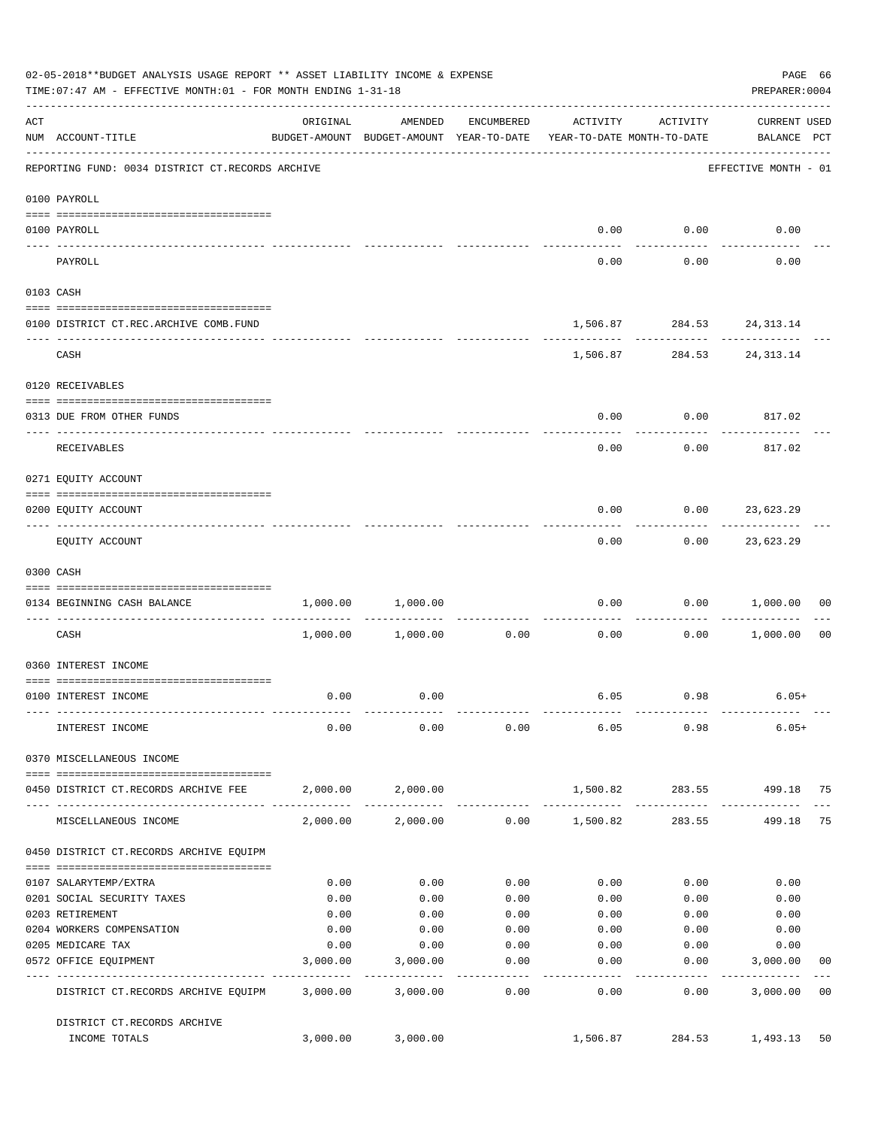|     | 02-05-2018**BUDGET ANALYSIS USAGE REPORT ** ASSET LIABILITY INCOME & EXPENSE<br>TIME: 07:47 AM - EFFECTIVE MONTH: 01 - FOR MONTH ENDING 1-31-18 |          |                                                                                |                  |                 |                                           | PAGE 66<br>PREPARER: 0004          |                |
|-----|-------------------------------------------------------------------------------------------------------------------------------------------------|----------|--------------------------------------------------------------------------------|------------------|-----------------|-------------------------------------------|------------------------------------|----------------|
| ACT | NUM ACCOUNT-TITLE                                                                                                                               | ORIGINAL | AMENDED<br>BUDGET-AMOUNT BUDGET-AMOUNT YEAR-TO-DATE YEAR-TO-DATE MONTH-TO-DATE | ENCUMBERED       | ACTIVITY        | ACTIVITY                                  | <b>CURRENT USED</b><br>BALANCE PCT |                |
|     | REPORTING FUND: 0034 DISTRICT CT.RECORDS ARCHIVE                                                                                                |          |                                                                                |                  |                 |                                           | EFFECTIVE MONTH - 01               |                |
|     | 0100 PAYROLL                                                                                                                                    |          |                                                                                |                  |                 |                                           |                                    |                |
|     | 0100 PAYROLL                                                                                                                                    |          |                                                                                |                  | 0.00            | 0.00                                      | 0.00                               |                |
|     | ---- -------<br>PAYROLL                                                                                                                         |          |                                                                                |                  | 0.00            | .<br>0.00                                 | 0.00                               |                |
|     | 0103 CASH                                                                                                                                       |          |                                                                                |                  |                 |                                           |                                    |                |
|     | 0100 DISTRICT CT.REC.ARCHIVE COMB.FUND                                                                                                          |          |                                                                                |                  |                 | 1,506.87 284.53 24,313.14                 |                                    |                |
|     | CASH                                                                                                                                            |          |                                                                                |                  |                 | ------------<br>1,506.87 284.53 24,313.14 |                                    |                |
|     | 0120 RECEIVABLES                                                                                                                                |          |                                                                                |                  |                 |                                           |                                    |                |
|     |                                                                                                                                                 |          |                                                                                |                  |                 |                                           |                                    |                |
|     | 0313 DUE FROM OTHER FUNDS                                                                                                                       |          |                                                                                |                  | 0.00            | 0.00                                      | 817.02                             |                |
|     | RECEIVABLES                                                                                                                                     |          |                                                                                |                  | 0.00            | 0.00                                      | 817.02                             |                |
|     | 0271 EQUITY ACCOUNT                                                                                                                             |          |                                                                                |                  |                 |                                           |                                    |                |
|     | 0200 EQUITY ACCOUNT                                                                                                                             |          |                                                                                |                  | 0.00            | 0.00                                      | 23,623.29                          |                |
|     | EQUITY ACCOUNT                                                                                                                                  |          |                                                                                |                  | 0.00            |                                           | $0.00$ 23,623.29                   |                |
|     | 0300 CASH                                                                                                                                       |          |                                                                                |                  |                 |                                           |                                    |                |
|     | 0134 BEGINNING CASH BALANCE                                                                                                                     | 1,000.00 | 1,000.00                                                                       |                  | 0.00            | 0.00                                      | 1,000.00                           | 00             |
|     | ------------------------------ ----                                                                                                             |          |                                                                                |                  |                 |                                           |                                    |                |
|     | CASH                                                                                                                                            | 1,000.00 | 1,000.00                                                                       | 0.00             | 0.00            | 0.00                                      | 1,000.00                           | 0 <sub>0</sub> |
|     | 0360 INTEREST INCOME                                                                                                                            |          |                                                                                |                  |                 |                                           |                                    |                |
|     | 0100 INTEREST INCOME                                                                                                                            | 0.00     | 0.00                                                                           |                  |                 | $6.05$ 0.98                               | $6.05+$                            |                |
|     | INTEREST INCOME                                                                                                                                 | 0.00     | 0.00                                                                           | 0.00             | 6.05            | 0.98                                      | $6.05+$                            |                |
|     | 0370 MISCELLANEOUS INCOME                                                                                                                       |          |                                                                                |                  |                 |                                           |                                    |                |
|     | 0450 DISTRICT CT.RECORDS ARCHIVE FEE                                                                                                            |          | 2,000.00 2,000.00                                                              |                  | 1,500.82        | 283.55                                    | 499.18 75                          |                |
|     | MISCELLANEOUS INCOME                                                                                                                            | 2,000.00 | 2,000.00                                                                       |                  | $0.00$ 1,500.82 | ------------<br>283.55                    | 499.18                             | 75             |
|     | 0450 DISTRICT CT.RECORDS ARCHIVE EQUIPM                                                                                                         |          |                                                                                |                  |                 |                                           |                                    |                |
|     | 0107 SALARYTEMP/EXTRA                                                                                                                           | 0.00     | 0.00                                                                           | 0.00             | 0.00            | 0.00                                      | 0.00                               |                |
|     | 0201 SOCIAL SECURITY TAXES                                                                                                                      | 0.00     | 0.00                                                                           | 0.00             | 0.00            | 0.00                                      | 0.00                               |                |
|     | 0203 RETIREMENT                                                                                                                                 | 0.00     | 0.00                                                                           | 0.00             | 0.00            | 0.00                                      | 0.00                               |                |
|     | 0204 WORKERS COMPENSATION                                                                                                                       | 0.00     | 0.00                                                                           | 0.00             | 0.00            | 0.00                                      | 0.00                               |                |
|     | 0205 MEDICARE TAX                                                                                                                               | 0.00     | 0.00                                                                           | 0.00             | 0.00            | 0.00                                      | 0.00                               |                |
|     | 0572 OFFICE EQUIPMENT<br>-------------------- -------------                                                                                     | 3,000.00 | 3,000.00<br>-----------                                                        | 0.00<br>-------- | 0.00            | 0.00<br>--------                          | 3,000.00<br>-----------            | 00             |
|     | DISTRICT CT.RECORDS ARCHIVE EQUIPM                                                                                                              | 3,000.00 | 3,000.00                                                                       | 0.00             | 0.00            | 0.00                                      | 3,000.00                           | 0 <sub>0</sub> |
|     | DISTRICT CT.RECORDS ARCHIVE<br>INCOME TOTALS                                                                                                    | 3,000.00 | 3,000.00                                                                       |                  | 1,506.87        | 284.53                                    | 1,493.13                           | 50             |
|     |                                                                                                                                                 |          |                                                                                |                  |                 |                                           |                                    |                |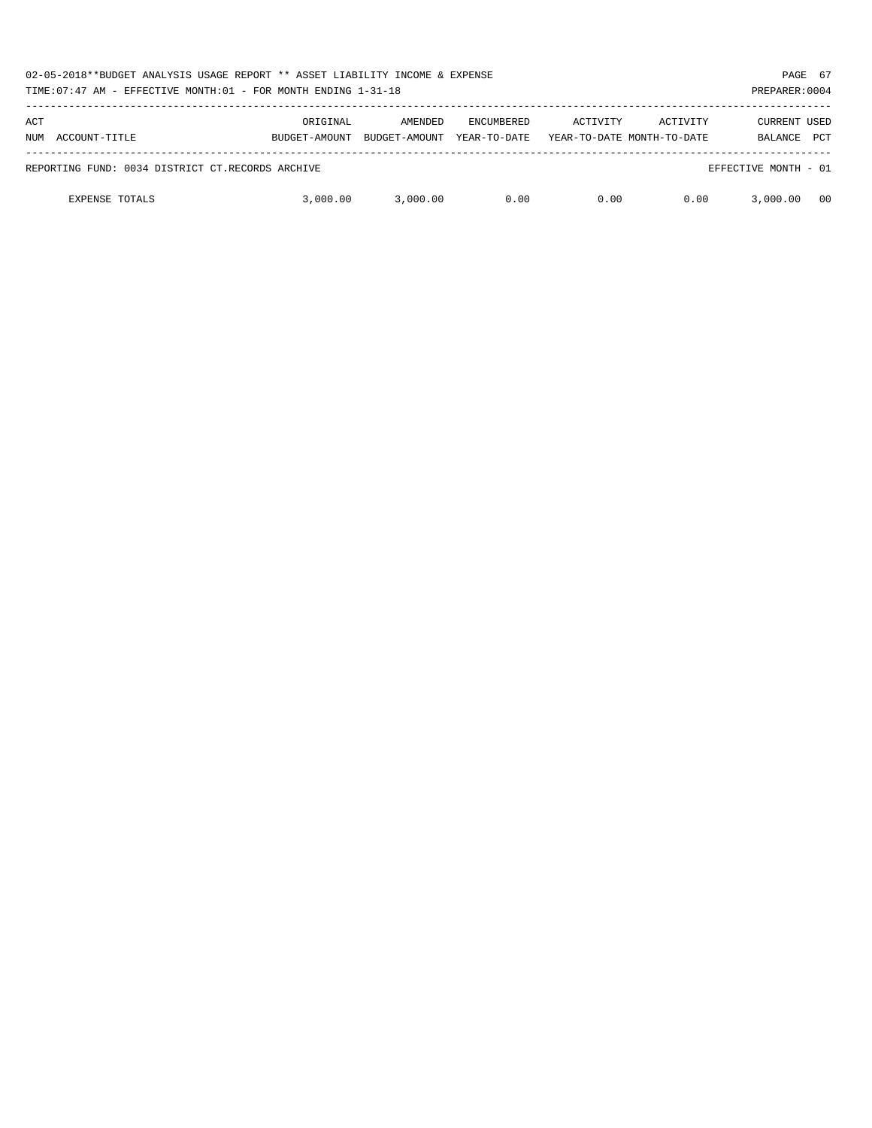| 02-05-2018**BUDGET ANALYSIS USAGE REPORT ** ASSET LIABILITY INCOME & EXPENSE<br>TIME: 07:47 AM - EFFECTIVE MONTH: 01 - FOR MONTH ENDING 1-31-18 |                           |                          |                                   |          |                                        |                                       |            |
|-------------------------------------------------------------------------------------------------------------------------------------------------|---------------------------|--------------------------|-----------------------------------|----------|----------------------------------------|---------------------------------------|------------|
| ACT<br>ACCOUNT-TITLE<br>NUM                                                                                                                     | ORIGINAL<br>BUDGET-AMOUNT | AMENDED<br>BUDGET-AMOUNT | <b>ENCUMBERED</b><br>YEAR-TO-DATE | ACTIVITY | ACTIVITY<br>YEAR-TO-DATE MONTH-TO-DATE | <b>CURRENT USED</b><br><b>BALANCE</b> | <b>PCT</b> |
| REPORTING FUND: 0034 DISTRICT CT.RECORDS ARCHIVE                                                                                                |                           |                          |                                   |          |                                        | EFFECTIVE MONTH - 01                  |            |
| <b>EXPENSE TOTALS</b>                                                                                                                           | 3,000,00                  | 3,000.00                 | 0.00                              | 0.00     | 0.00                                   | 3,000,00                              | 00         |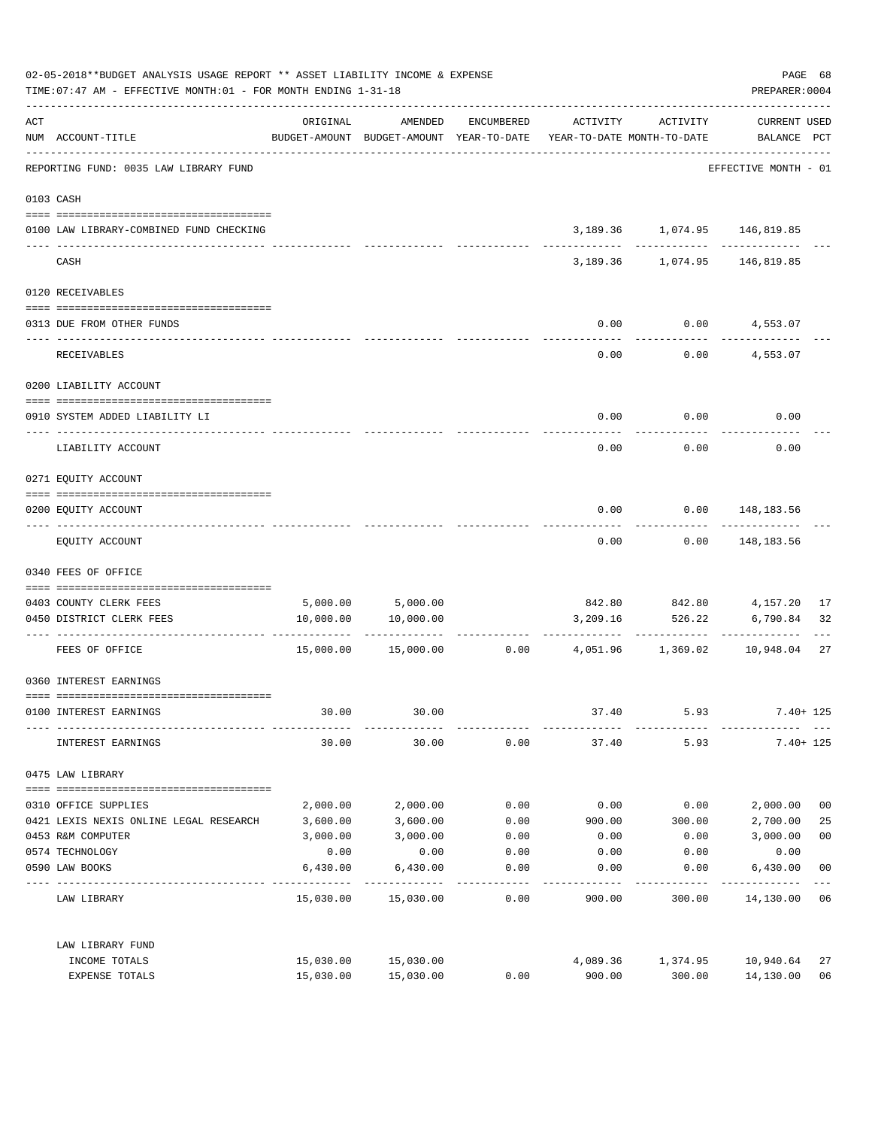|     | 02-05-2018**BUDGET ANALYSIS USAGE REPORT ** ASSET LIABILITY INCOME & EXPENSE<br>TIME: 07:47 AM - EFFECTIVE MONTH: 01 - FOR MONTH ENDING 1-31-18 |           |                                                                                |            |          |                                    | PREPARER: 0004                     | PAGE 68        |
|-----|-------------------------------------------------------------------------------------------------------------------------------------------------|-----------|--------------------------------------------------------------------------------|------------|----------|------------------------------------|------------------------------------|----------------|
| ACT | NUM ACCOUNT-TITLE                                                                                                                               | ORIGINAL  | AMENDED<br>BUDGET-AMOUNT BUDGET-AMOUNT YEAR-TO-DATE YEAR-TO-DATE MONTH-TO-DATE | ENCUMBERED | ACTIVITY | ACTIVITY                           | <b>CURRENT USED</b><br>BALANCE PCT |                |
|     | -----------------------------------<br>REPORTING FUND: 0035 LAW LIBRARY FUND                                                                    |           |                                                                                |            |          |                                    | EFFECTIVE MONTH - 01               |                |
|     | 0103 CASH                                                                                                                                       |           |                                                                                |            |          |                                    |                                    |                |
|     | 0100 LAW LIBRARY-COMBINED FUND CHECKING                                                                                                         |           |                                                                                |            |          | 3, 189. 36 1, 074. 95 146, 819. 85 |                                    |                |
|     | CASH                                                                                                                                            |           |                                                                                |            |          | 3,189.36 1,074.95                  | 146,819.85                         |                |
|     | 0120 RECEIVABLES                                                                                                                                |           |                                                                                |            |          |                                    |                                    |                |
|     | 0313 DUE FROM OTHER FUNDS                                                                                                                       |           |                                                                                |            | 0.00     |                                    | $0.00$ $4,553.07$                  |                |
|     | RECEIVABLES                                                                                                                                     |           |                                                                                |            | 0.00     | 0.00                               | 4,553.07                           |                |
|     | 0200 LIABILITY ACCOUNT                                                                                                                          |           |                                                                                |            |          |                                    |                                    |                |
|     | 0910 SYSTEM ADDED LIABILITY LI                                                                                                                  |           |                                                                                |            | 0.00     | 0.00                               | 0.00                               |                |
|     | LIABILITY ACCOUNT                                                                                                                               |           |                                                                                |            | 0.00     | 0.00                               | 0.00                               |                |
|     | 0271 EQUITY ACCOUNT                                                                                                                             |           |                                                                                |            |          |                                    |                                    |                |
|     | 0200 EQUITY ACCOUNT                                                                                                                             |           |                                                                                |            | 0.00     |                                    | $0.00$ 148,183.56                  |                |
|     | EQUITY ACCOUNT                                                                                                                                  |           |                                                                                |            | 0.00     | 0.00                               | 148,183.56                         |                |
|     | 0340 FEES OF OFFICE                                                                                                                             |           |                                                                                |            |          |                                    |                                    |                |
|     |                                                                                                                                                 |           |                                                                                |            |          |                                    |                                    | 17             |
|     | 0403 COUNTY CLERK FEES<br>0450 DISTRICT CLERK FEES                                                                                              | 10,000.00 | 5,000.00 5,000.00<br>10,000.00                                                 |            | 3,209.16 | 842.80 842.80 4,157.20<br>526.22   | 6,790.84                           | 32             |
|     |                                                                                                                                                 |           |                                                                                |            |          |                                    |                                    |                |
|     | FEES OF OFFICE                                                                                                                                  |           | 15,000.00 15,000.00                                                            |            |          | $0.00$ 4,051.96 1,369.02 10,948.04 |                                    | 27             |
|     | 0360 INTEREST EARNINGS                                                                                                                          |           |                                                                                |            |          |                                    |                                    |                |
|     | 0100 INTEREST EARNINGS                                                                                                                          | 30.00     | 30.00                                                                          |            | 37.40    | 5.93                               | $7.40 + 125$                       |                |
|     | INTEREST EARNINGS                                                                                                                               | 30.00     | 30.00                                                                          | 0.00       | 37.40    | 5.93                               | $7.40 + 125$                       |                |
|     | 0475 LAW LIBRARY                                                                                                                                |           |                                                                                |            |          |                                    |                                    |                |
|     | 0310 OFFICE SUPPLIES                                                                                                                            | 2,000.00  | 2,000.00                                                                       | 0.00       | 0.00     | 0.00                               | 2,000.00                           | 0 <sub>0</sub> |
|     | 0421 LEXIS NEXIS ONLINE LEGAL RESEARCH                                                                                                          | 3,600.00  | 3,600.00                                                                       | 0.00       | 900.00   | 300.00                             | 2,700.00                           | 25             |
|     | 0453 R&M COMPUTER                                                                                                                               | 3,000.00  | 3,000.00                                                                       | 0.00       | 0.00     | 0.00                               | 3,000.00                           | 0 <sub>0</sub> |
|     | 0574 TECHNOLOGY                                                                                                                                 | 0.00      | 0.00                                                                           | 0.00       | 0.00     | 0.00                               | 0.00                               |                |
|     | 0590 LAW BOOKS                                                                                                                                  | 6,430.00  | 6,430.00                                                                       | 0.00       | 0.00     | 0.00                               | 6,430.00                           | 0 <sub>0</sub> |
|     | LAW LIBRARY                                                                                                                                     |           | 15,030.00 15,030.00                                                            | 0.00       | 900.00   | 300.00                             | 14,130.00 06                       |                |
|     | LAW LIBRARY FUND                                                                                                                                |           |                                                                                |            |          |                                    |                                    |                |
|     | INCOME TOTALS                                                                                                                                   | 15,030.00 | 15,030.00                                                                      |            | 4,089.36 | 1,374.95                           | 10,940.64                          | 27             |
|     | EXPENSE TOTALS                                                                                                                                  | 15,030.00 | 15,030.00                                                                      | 0.00       | 900.00   | 300.00                             | 14,130.00                          | 06             |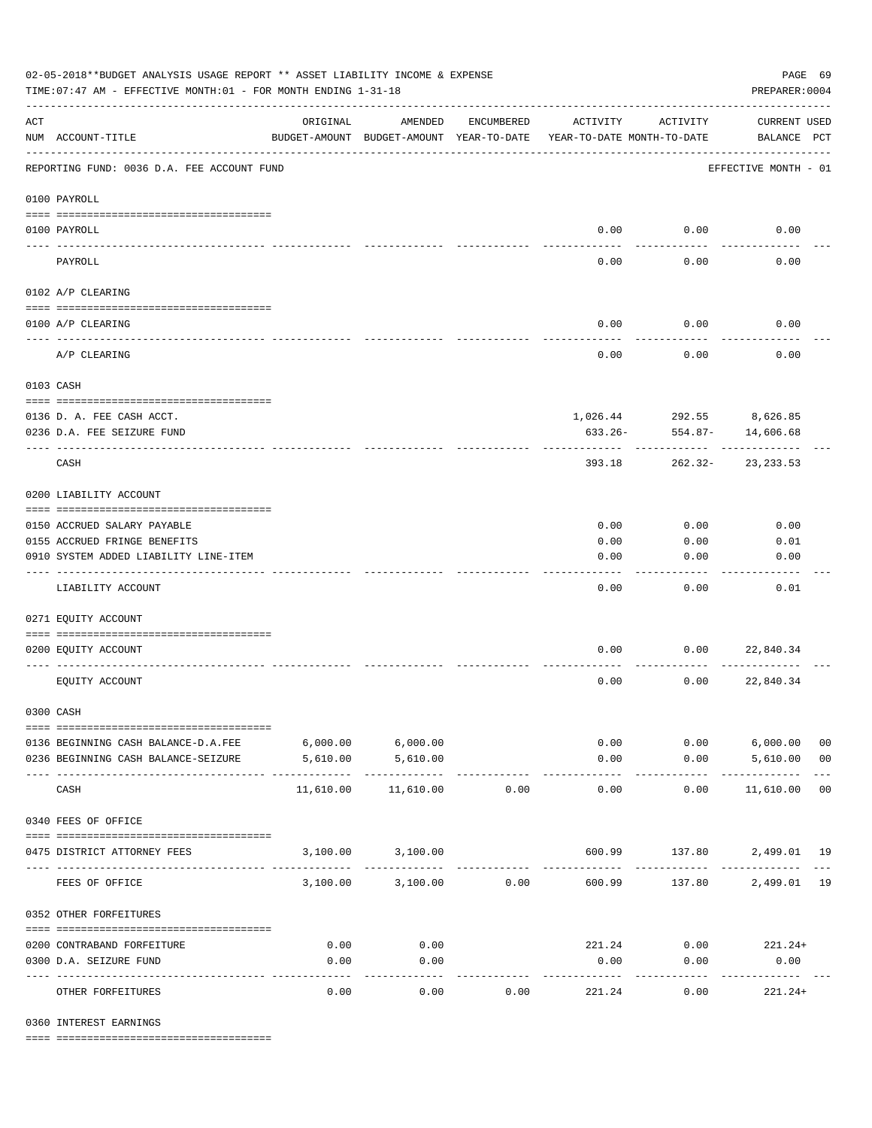|                                                                    | 02-05-2018**BUDGET ANALYSIS USAGE REPORT ** ASSET LIABILITY INCOME & EXPENSE<br>PAGE 69<br>TIME: 07:47 AM - EFFECTIVE MONTH: 01 - FOR MONTH ENDING 1-31-18<br>PREPARER: 0004 |                                                      |                    |            |                       |                                        |                                    |                |  |  |  |  |
|--------------------------------------------------------------------|------------------------------------------------------------------------------------------------------------------------------------------------------------------------------|------------------------------------------------------|--------------------|------------|-----------------------|----------------------------------------|------------------------------------|----------------|--|--|--|--|
| $\mathop{\rm ACT}$                                                 | NUM ACCOUNT-TITLE                                                                                                                                                            | ORIGINAL<br>BUDGET-AMOUNT BUDGET-AMOUNT YEAR-TO-DATE | AMENDED            | ENCUMBERED | ACTIVITY              | ACTIVITY<br>YEAR-TO-DATE MONTH-TO-DATE | <b>CURRENT USED</b><br>BALANCE PCT |                |  |  |  |  |
| REPORTING FUND: 0036 D.A. FEE ACCOUNT FUND<br>EFFECTIVE MONTH - 01 |                                                                                                                                                                              |                                                      |                    |            |                       |                                        |                                    |                |  |  |  |  |
|                                                                    | 0100 PAYROLL                                                                                                                                                                 |                                                      |                    |            |                       |                                        |                                    |                |  |  |  |  |
|                                                                    | 0100 PAYROLL                                                                                                                                                                 |                                                      |                    |            |                       | $0.00$ 0.00                            | 0.00                               |                |  |  |  |  |
| ---- ---                                                           | PAYROLL                                                                                                                                                                      |                                                      |                    |            | 0.00                  | 0.00                                   | 0.00                               |                |  |  |  |  |
|                                                                    | 0102 A/P CLEARING                                                                                                                                                            |                                                      |                    |            |                       |                                        |                                    |                |  |  |  |  |
|                                                                    | 0100 A/P CLEARING                                                                                                                                                            |                                                      |                    |            | 0.00                  | 0.00                                   | 0.00                               |                |  |  |  |  |
|                                                                    |                                                                                                                                                                              |                                                      |                    |            |                       |                                        |                                    |                |  |  |  |  |
|                                                                    | A/P CLEARING                                                                                                                                                                 |                                                      |                    |            | 0.00                  | 0.00                                   | 0.00                               |                |  |  |  |  |
|                                                                    | 0103 CASH                                                                                                                                                                    |                                                      |                    |            |                       |                                        |                                    |                |  |  |  |  |
|                                                                    | 0136 D. A. FEE CASH ACCT.                                                                                                                                                    |                                                      |                    |            |                       | 1,026.44 292.55 8,626.85               |                                    |                |  |  |  |  |
|                                                                    | 0236 D.A. FEE SEIZURE FUND                                                                                                                                                   |                                                      |                    |            | 633.26-               | 554.87-                                | 14,606.68                          |                |  |  |  |  |
|                                                                    | CASH                                                                                                                                                                         |                                                      |                    |            | 393.18                |                                        | 262.32-23,233.53                   |                |  |  |  |  |
|                                                                    | 0200 LIABILITY ACCOUNT                                                                                                                                                       |                                                      |                    |            |                       |                                        |                                    |                |  |  |  |  |
|                                                                    | 0150 ACCRUED SALARY PAYABLE                                                                                                                                                  |                                                      |                    |            | 0.00                  | 0.00                                   | 0.00                               |                |  |  |  |  |
|                                                                    | 0155 ACCRUED FRINGE BENEFITS                                                                                                                                                 |                                                      |                    |            | 0.00                  | 0.00                                   | 0.01                               |                |  |  |  |  |
|                                                                    | 0910 SYSTEM ADDED LIABILITY LINE-ITEM                                                                                                                                        |                                                      |                    |            | 0.00                  | 0.00                                   | 0.00                               |                |  |  |  |  |
|                                                                    | LIABILITY ACCOUNT                                                                                                                                                            |                                                      |                    |            | 0.00                  | 0.00                                   | 0.01                               |                |  |  |  |  |
|                                                                    | 0271 EQUITY ACCOUNT                                                                                                                                                          |                                                      |                    |            |                       |                                        |                                    |                |  |  |  |  |
|                                                                    | 0200 EQUITY ACCOUNT                                                                                                                                                          |                                                      |                    |            | 0.00                  | 0.00                                   | 22,840.34                          |                |  |  |  |  |
|                                                                    | EQUITY ACCOUNT                                                                                                                                                               |                                                      |                    |            | 0.00                  | 0.00                                   | 22,840.34                          |                |  |  |  |  |
|                                                                    | 0300 CASH                                                                                                                                                                    |                                                      |                    |            |                       |                                        |                                    |                |  |  |  |  |
|                                                                    | 0136 BEGINNING CASH BALANCE-D.A.FEE                                                                                                                                          | $6,000.00$ $6,000.00$                                |                    |            |                       | 0.00                                   | $0.00$ 6,000.00                    | 0 <sub>0</sub> |  |  |  |  |
|                                                                    | 0236 BEGINNING CASH BALANCE-SEIZURE                                                                                                                                          | 5,610.00                                             | 5,610.00           |            | 0.00                  |                                        | $0.00$ 5,610.00                    | 0 <sub>0</sub> |  |  |  |  |
|                                                                    | CASH                                                                                                                                                                         | 11,610.00                                            | 11,610.00          | 0.00       | -------------<br>0.00 | ----------<br>0.00                     | .<br>11,610.00 00                  |                |  |  |  |  |
|                                                                    | 0340 FEES OF OFFICE                                                                                                                                                          |                                                      |                    |            |                       |                                        |                                    |                |  |  |  |  |
|                                                                    | 0475 DISTRICT ATTORNEY FEES                                                                                                                                                  |                                                      | 3,100.00 3,100.00  |            |                       |                                        | 600.99 137.80 2,499.01 19          |                |  |  |  |  |
|                                                                    | FEES OF OFFICE                                                                                                                                                               |                                                      | 3,100.00 3,100.00  | 0.00       | 600.99                |                                        | 137.80 2,499.01 19                 |                |  |  |  |  |
|                                                                    | 0352 OTHER FORFEITURES                                                                                                                                                       |                                                      |                    |            |                       |                                        |                                    |                |  |  |  |  |
|                                                                    | 0200 CONTRABAND FORFEITURE                                                                                                                                                   | 0.00                                                 | 0.00               |            | 221.24                |                                        | $0.00$ 221.24+                     |                |  |  |  |  |
|                                                                    | 0300 D.A. SEIZURE FUND                                                                                                                                                       | 0.00                                                 | 0.00               |            | 0.00                  | 0.00                                   | 0.00                               |                |  |  |  |  |
|                                                                    | OTHER FORFEITURES                                                                                                                                                            | 0.00                                                 | ----------<br>0.00 | 0.00       | 221.24                | 0.00                                   | -----------<br>$221.24+$           |                |  |  |  |  |

0360 INTEREST EARNINGS

==== ===================================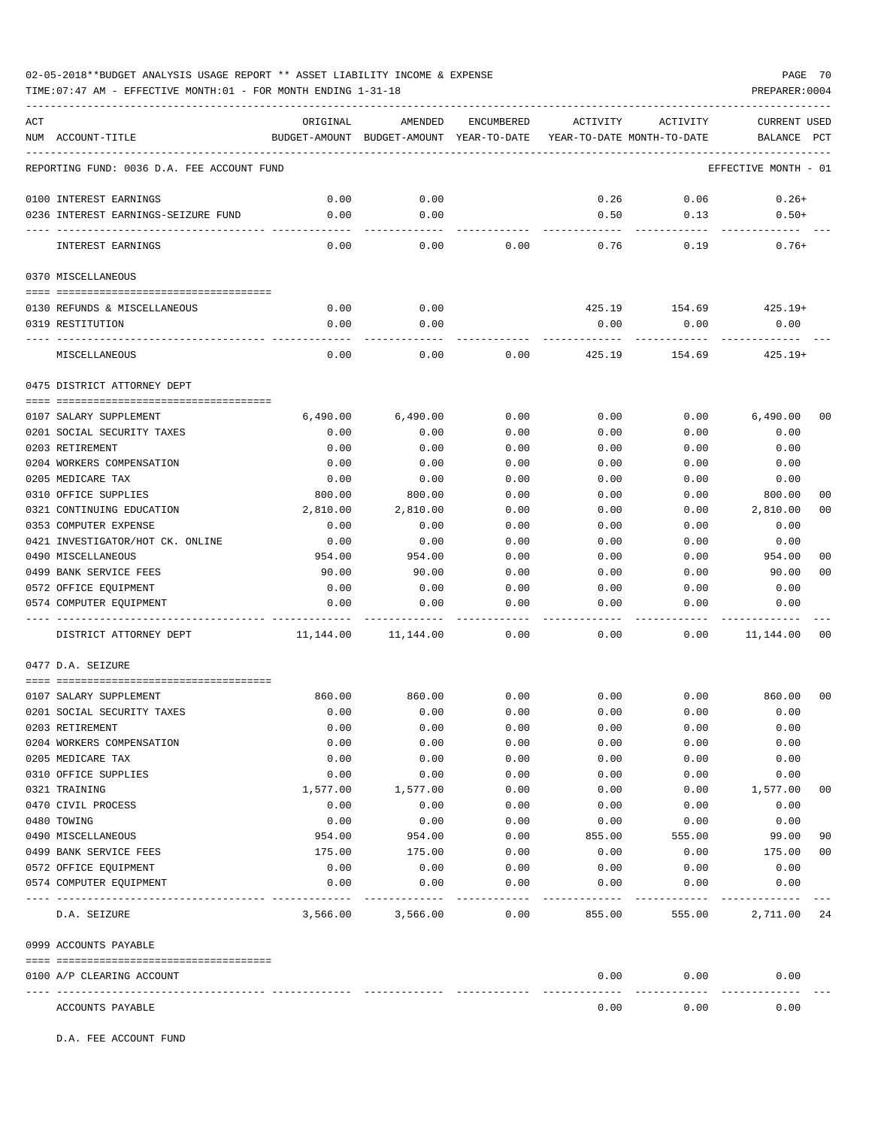TIME:07:47 AM - EFFECTIVE MONTH:01 - FOR MONTH ENDING 1-31-18 PREPARER:0004

| ACT |                                            | ORIGINAL  | AMENDED                                  | <b>ENCUMBERED</b> | ACTIVITY | ACTIVITY                   | CURRENT USED         |                |
|-----|--------------------------------------------|-----------|------------------------------------------|-------------------|----------|----------------------------|----------------------|----------------|
|     | NUM ACCOUNT-TITLE                          |           | BUDGET-AMOUNT BUDGET-AMOUNT YEAR-TO-DATE |                   |          | YEAR-TO-DATE MONTH-TO-DATE | BALANCE              | PCT            |
|     |                                            |           |                                          |                   |          |                            |                      |                |
|     | REPORTING FUND: 0036 D.A. FEE ACCOUNT FUND |           |                                          |                   |          |                            | EFFECTIVE MONTH - 01 |                |
|     | 0100 INTEREST EARNINGS                     | 0.00      | 0.00                                     |                   | 0.26     | 0.06                       | $0.26+$              |                |
|     | 0236 INTEREST EARNINGS-SEIZURE FUND        | 0.00      | 0.00                                     |                   | 0.50     | 0.13                       | $0.50+$              |                |
|     |                                            |           |                                          |                   |          |                            |                      |                |
|     | INTEREST EARNINGS                          | 0.00      | 0.00                                     | 0.00              | 0.76     | 0.19                       | $0.76+$              |                |
|     | 0370 MISCELLANEOUS                         |           |                                          |                   |          |                            |                      |                |
|     |                                            |           |                                          |                   |          |                            |                      |                |
|     | 0130 REFUNDS & MISCELLANEOUS               | 0.00      | 0.00                                     |                   | 425.19   | 154.69                     | $425.19+$            |                |
|     | 0319 RESTITUTION                           | 0.00      | 0.00                                     |                   | 0.00     | 0.00                       | 0.00                 |                |
|     | MISCELLANEOUS                              | 0.00      | 0.00                                     | 0.00              | 425.19   | 154.69                     | $425.19+$            |                |
|     | 0475 DISTRICT ATTORNEY DEPT                |           |                                          |                   |          |                            |                      |                |
|     |                                            |           |                                          |                   |          |                            |                      |                |
|     | 0107 SALARY SUPPLEMENT                     | 6,490.00  | 6,490.00                                 | 0.00              | 0.00     | 0.00                       | 6,490.00             | 0 <sup>0</sup> |
|     | 0201 SOCIAL SECURITY TAXES                 | 0.00      | 0.00                                     | 0.00              | 0.00     | 0.00                       | 0.00                 |                |
|     | 0203 RETIREMENT                            | 0.00      | 0.00                                     | 0.00              | 0.00     | 0.00                       | 0.00                 |                |
|     | 0204 WORKERS COMPENSATION                  | 0.00      | 0.00                                     | 0.00              | 0.00     | 0.00                       | 0.00                 |                |
|     | 0205 MEDICARE TAX                          | 0.00      | 0.00                                     | 0.00              | 0.00     | 0.00                       | 0.00                 |                |
|     | 0310 OFFICE SUPPLIES                       | 800.00    | 800.00                                   | 0.00              | 0.00     | 0.00                       | 800.00               | 00             |
|     | 0321 CONTINUING EDUCATION                  | 2,810.00  | 2,810.00                                 | 0.00              | 0.00     | 0.00                       | 2,810.00             | 0 <sub>0</sub> |
|     | 0353 COMPUTER EXPENSE                      | 0.00      | 0.00                                     | 0.00              | 0.00     | 0.00                       | 0.00                 |                |
|     | 0421 INVESTIGATOR/HOT CK. ONLINE           | 0.00      | 0.00                                     | 0.00              | 0.00     | 0.00                       | 0.00                 |                |
|     | 0490 MISCELLANEOUS                         | 954.00    | 954.00                                   | 0.00              | 0.00     | 0.00                       | 954.00               | 0 <sub>0</sub> |
|     | 0499 BANK SERVICE FEES                     | 90.00     | 90.00                                    | 0.00              | 0.00     | 0.00                       | 90.00                | 0 <sub>0</sub> |
|     | 0572 OFFICE EQUIPMENT                      | 0.00      | 0.00                                     | 0.00              | 0.00     | 0.00                       | 0.00                 |                |
|     | 0574 COMPUTER EQUIPMENT                    | 0.00      | 0.00                                     | 0.00              | 0.00     | 0.00                       | 0.00                 |                |
|     |                                            |           |                                          |                   |          |                            |                      |                |
|     | DISTRICT ATTORNEY DEPT                     | 11,144.00 | 11,144.00                                | 0.00              | 0.00     | 0.00                       | 11,144.00            | 00             |
|     | 0477 D.A. SEIZURE                          |           |                                          |                   |          |                            |                      |                |
|     |                                            |           |                                          |                   |          |                            |                      |                |
|     | 0107 SALARY SUPPLEMENT                     | 860.00    | 860.00                                   | 0.00              | 0.00     | 0.00                       | 860.00               | 0 <sup>0</sup> |
|     | 0201 SOCIAL SECURITY TAXES                 | 0.00      | 0.00                                     | 0.00              | 0.00     | 0.00                       | 0.00                 |                |
|     | 0203 RETIREMENT                            | 0.00      | 0.00                                     | 0.00              | 0.00     | 0.00                       | 0.00                 |                |
|     | 0204 WORKERS COMPENSATION                  | 0.00      | 0.00                                     | 0.00              | 0.00     | 0.00                       | 0.00                 |                |
|     | 0205 MEDICARE TAX                          | 0.00      | 0.00                                     | 0.00              | 0.00     | 0.00                       | 0.00                 |                |
|     | 0310 OFFICE SUPPLIES                       | 0.00      | 0.00                                     | 0.00              | 0.00     | 0.00                       | 0.00                 |                |
|     | 0321 TRAINING                              | 1,577.00  | 1,577.00                                 | 0.00              | 0.00     | 0.00                       | 1,577.00             | 00             |
|     | 0470 CIVIL PROCESS                         | 0.00      | 0.00                                     | 0.00              | 0.00     | 0.00                       | 0.00                 |                |
|     | 0480 TOWING                                | 0.00      | 0.00                                     | 0.00              | 0.00     | 0.00                       | 0.00                 |                |
|     | 0490 MISCELLANEOUS                         | 954.00    | 954.00                                   | 0.00              | 855.00   | 555.00                     | 99.00                | 90             |
|     | 0499 BANK SERVICE FEES                     | 175.00    | 175.00                                   | 0.00              | 0.00     | 0.00                       | 175.00               | 00             |
|     | 0572 OFFICE EQUIPMENT                      | 0.00      | 0.00                                     | 0.00              | 0.00     | 0.00                       | 0.00                 |                |
|     | 0574 COMPUTER EQUIPMENT                    | 0.00      | 0.00                                     | 0.00              | 0.00     | 0.00                       | 0.00                 |                |
|     | D.A. SEIZURE                               | 3,566.00  | 3,566.00                                 | 0.00              | 855.00   | 555.00                     | 2,711.00 24          |                |
|     | 0999 ACCOUNTS PAYABLE                      |           |                                          |                   |          |                            |                      |                |
|     | 0100 A/P CLEARING ACCOUNT                  |           |                                          |                   | 0.00     | 0.00                       | 0.00                 |                |
|     |                                            |           |                                          |                   |          |                            |                      |                |
|     | ACCOUNTS PAYABLE                           |           |                                          |                   | 0.00     | 0.00                       | 0.00                 |                |

D.A. FEE ACCOUNT FUND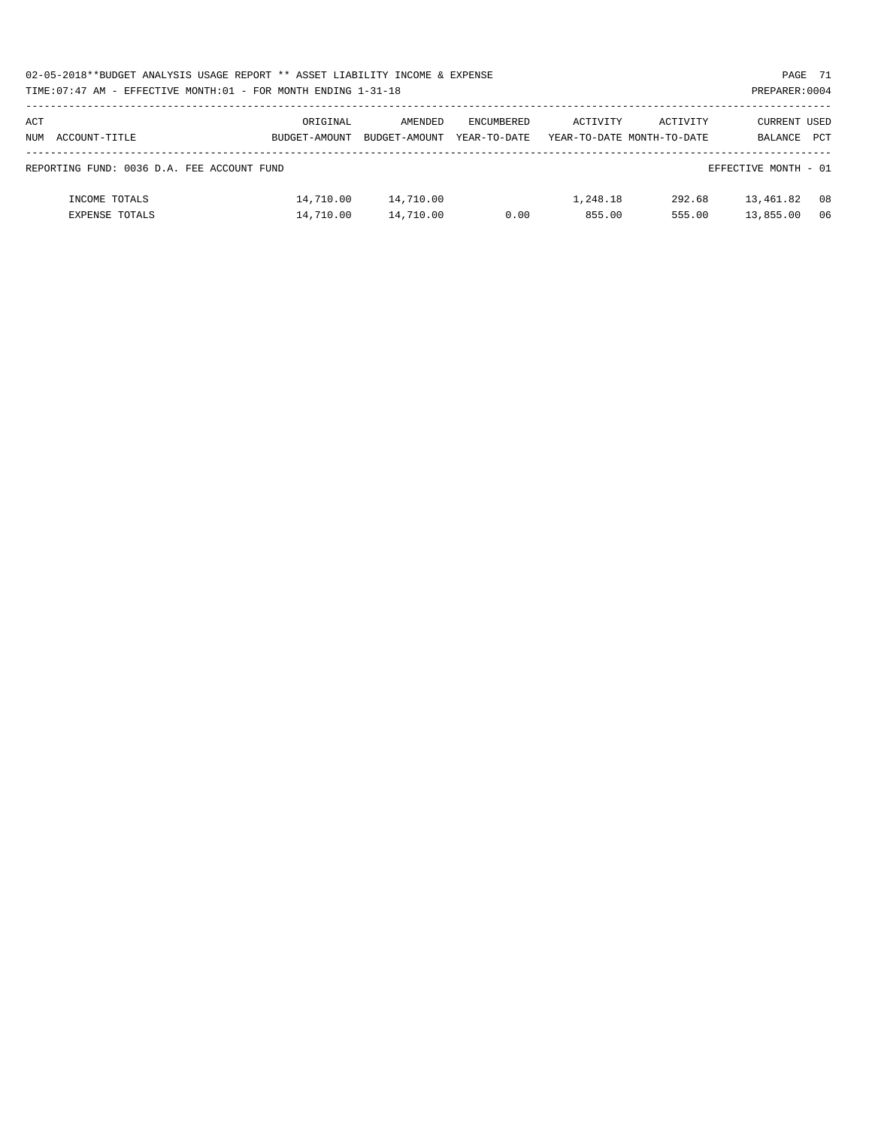| 02-05-2018**BUDGET ANALYSIS USAGE REPORT ** ASSET LIABILITY INCOME & EXPENSE |  |  |  | PAGE 71        |  |
|------------------------------------------------------------------------------|--|--|--|----------------|--|
| TIME: 07:47 AM - EFFECTIVE MONTH: 01 - FOR MONTH ENDING 1-31-18              |  |  |  | PREPARER: 0004 |  |

# PREPARER:0004

| ACT<br>NUM | ACCOUNT-TITLE                              | ORIGINAL<br>BUDGET-AMOUNT | AMENDED<br>BUDGET-AMOUNT | ENCUMBERED<br>YEAR-TO-DATE | ACTIVITY | ACTIVITY<br>YEAR-TO-DATE MONTH-TO-DATE | CURRENT USED<br>BALANCE | PCT |
|------------|--------------------------------------------|---------------------------|--------------------------|----------------------------|----------|----------------------------------------|-------------------------|-----|
|            |                                            |                           |                          |                            |          |                                        |                         |     |
|            | REPORTING FUND: 0036 D.A. FEE ACCOUNT FUND |                           |                          |                            |          |                                        | EFFECTIVE MONTH - 01    |     |
|            | INCOME TOTALS                              | 14,710.00                 | 14,710.00                |                            | 1,248.18 | 292.68                                 | 13,461.82               | 08  |
|            | <b>EXPENSE TOTALS</b>                      | 14,710.00                 | 14,710.00                | 0.00                       | 855.00   | 555.00                                 | 13,855.00               | 06  |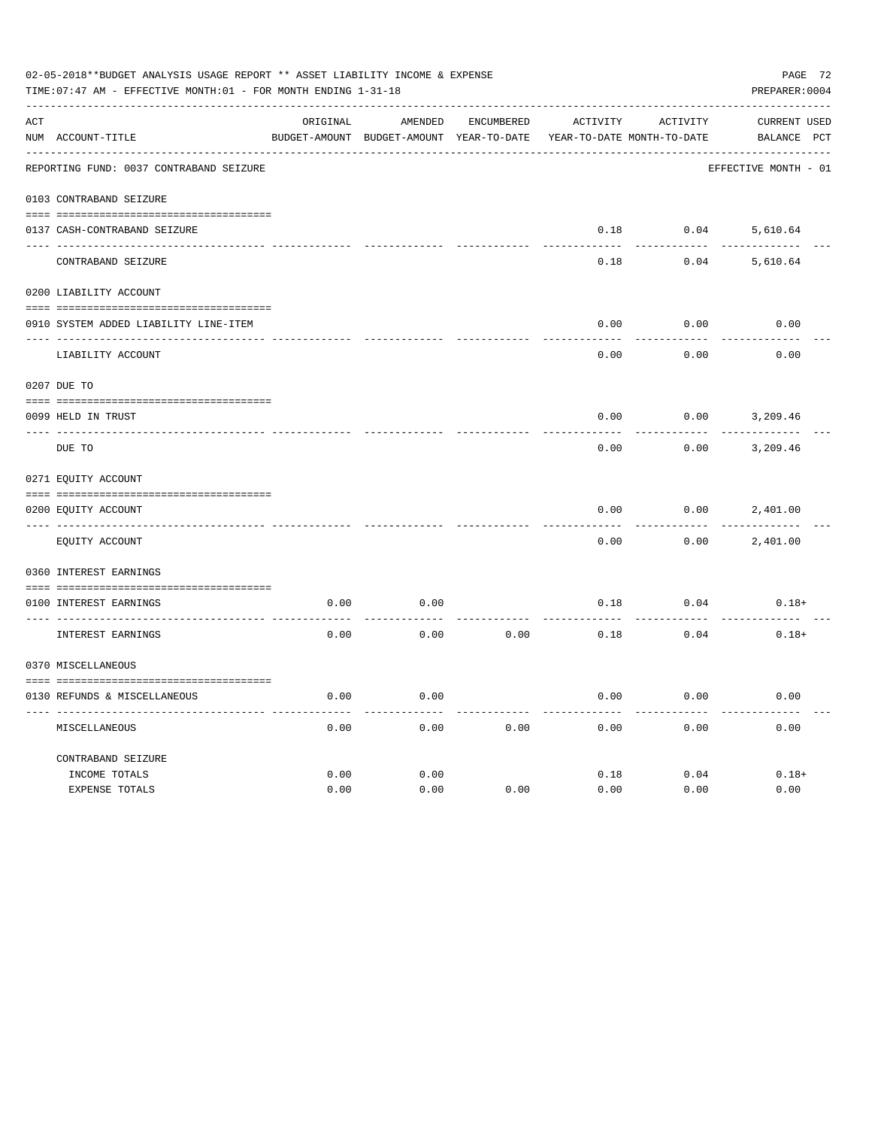| 02-05-2018**BUDGET ANALYSIS USAGE REPORT ** ASSET LIABILITY INCOME & EXPENSE<br>TIME: 07:47 AM - EFFECTIVE MONTH: 01 - FOR MONTH ENDING 1-31-18<br>PREPARER: 0004 |                                         |              |                                          |                   |              |                            |                      |  |
|-------------------------------------------------------------------------------------------------------------------------------------------------------------------|-----------------------------------------|--------------|------------------------------------------|-------------------|--------------|----------------------------|----------------------|--|
| ACT                                                                                                                                                               |                                         | ORIGINAL     | AMENDED                                  | <b>ENCUMBERED</b> | ACTIVITY     | ACTIVITY                   | CURRENT USED         |  |
|                                                                                                                                                                   | NUM ACCOUNT-TITLE                       |              | BUDGET-AMOUNT BUDGET-AMOUNT YEAR-TO-DATE |                   |              | YEAR-TO-DATE MONTH-TO-DATE | BALANCE PCT          |  |
|                                                                                                                                                                   | REPORTING FUND: 0037 CONTRABAND SEIZURE |              |                                          |                   |              |                            | EFFECTIVE MONTH - 01 |  |
|                                                                                                                                                                   | 0103 CONTRABAND SEIZURE                 |              |                                          |                   |              |                            |                      |  |
|                                                                                                                                                                   | 0137 CASH-CONTRABAND SEIZURE            |              |                                          |                   | 0.18         | 0.04                       | 5,610.64             |  |
|                                                                                                                                                                   | CONTRABAND SEIZURE                      |              |                                          |                   | 0.18         | 0.04                       | 5,610.64             |  |
|                                                                                                                                                                   | 0200 LIABILITY ACCOUNT                  |              |                                          |                   |              |                            |                      |  |
|                                                                                                                                                                   | 0910 SYSTEM ADDED LIABILITY LINE-ITEM   |              |                                          |                   | 0.00         | 0.00                       | 0.00                 |  |
|                                                                                                                                                                   | LIABILITY ACCOUNT                       |              |                                          |                   | 0.00         | 0.00                       | 0.00                 |  |
|                                                                                                                                                                   | 0207 DUE TO                             |              |                                          |                   |              |                            |                      |  |
|                                                                                                                                                                   | 0099 HELD IN TRUST                      |              |                                          |                   | 0.00         | 0.00                       | 3,209.46             |  |
| $- - - - - - -$                                                                                                                                                   | DUE TO                                  |              |                                          |                   | 0.00         | 0.00                       | 3,209.46             |  |
|                                                                                                                                                                   | 0271 EQUITY ACCOUNT                     |              |                                          |                   |              |                            |                      |  |
|                                                                                                                                                                   | 0200 EQUITY ACCOUNT                     |              |                                          |                   | 0.00         | 0.00                       | 2,401.00             |  |
|                                                                                                                                                                   | EQUITY ACCOUNT                          |              |                                          |                   | 0.00         | 0.00                       | 2,401.00             |  |
|                                                                                                                                                                   | 0360 INTEREST EARNINGS                  |              |                                          |                   |              |                            |                      |  |
|                                                                                                                                                                   | 0100 INTEREST EARNINGS                  | 0.00         | 0.00                                     |                   | 0.18         | 0.04                       | $0.18+$              |  |
|                                                                                                                                                                   | INTEREST EARNINGS                       | 0.00         | 0.00                                     | 0.00              | 0.18         | 0.04                       | $0.18+$              |  |
|                                                                                                                                                                   | 0370 MISCELLANEOUS                      |              |                                          |                   |              |                            |                      |  |
|                                                                                                                                                                   | 0130 REFUNDS & MISCELLANEOUS            | 0.00         | 0.00                                     |                   | 0.00         | 0.00                       | 0.00                 |  |
|                                                                                                                                                                   | MISCELLANEOUS                           | 0.00         | 0.00                                     | 0.00              | 0.00         | 0.00                       | 0.00                 |  |
|                                                                                                                                                                   | CONTRABAND SEIZURE                      |              |                                          |                   |              |                            |                      |  |
|                                                                                                                                                                   | INCOME TOTALS<br>EXPENSE TOTALS         | 0.00<br>0.00 | 0.00<br>0.00                             | 0.00              | 0.18<br>0.00 | 0.04<br>0.00               | $0.18+$<br>0.00      |  |
|                                                                                                                                                                   |                                         |              |                                          |                   |              |                            |                      |  |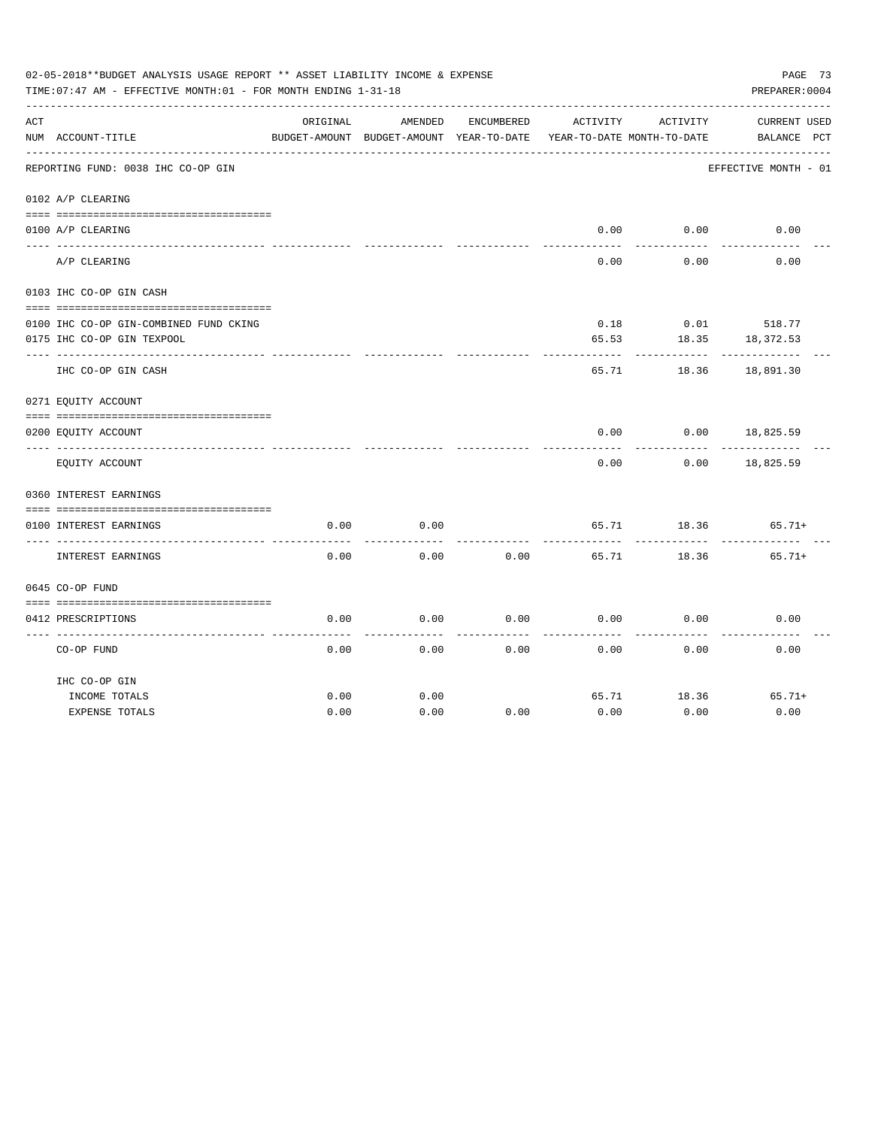|     | 02-05-2018**BUDGET ANALYSIS USAGE REPORT ** ASSET LIABILITY INCOME & EXPENSE<br>TIME: 07:47 AM - EFFECTIVE MONTH: 01 - FOR MONTH ENDING 1-31-18 |          |                                          |            |                            |          | PAGE 73<br>PREPARER: 0004 |  |
|-----|-------------------------------------------------------------------------------------------------------------------------------------------------|----------|------------------------------------------|------------|----------------------------|----------|---------------------------|--|
| ACT |                                                                                                                                                 | ORIGINAL | AMENDED                                  | ENCUMBERED | ACTIVITY                   | ACTIVITY | <b>CURRENT USED</b>       |  |
|     | NUM ACCOUNT-TITLE                                                                                                                               |          | BUDGET-AMOUNT BUDGET-AMOUNT YEAR-TO-DATE |            | YEAR-TO-DATE MONTH-TO-DATE |          | BALANCE PCT               |  |
|     | REPORTING FUND: 0038 IHC CO-OP GIN                                                                                                              |          |                                          |            |                            |          | EFFECTIVE MONTH - 01      |  |
|     | 0102 A/P CLEARING                                                                                                                               |          |                                          |            |                            |          |                           |  |
|     | 0100 A/P CLEARING                                                                                                                               |          |                                          |            | 0.00                       | 0.00     | 0.00                      |  |
|     |                                                                                                                                                 |          |                                          |            |                            |          |                           |  |
|     | A/P CLEARING                                                                                                                                    |          |                                          |            | 0.00                       | 0.00     | 0.00                      |  |
|     | 0103 IHC CO-OP GIN CASH                                                                                                                         |          |                                          |            |                            |          |                           |  |
|     |                                                                                                                                                 |          |                                          |            |                            |          |                           |  |
|     | 0100 IHC CO-OP GIN-COMBINED FUND CKING                                                                                                          |          |                                          |            | 0.18                       |          | $0.01$ 518.77             |  |
|     | 0175 IHC CO-OP GIN TEXPOOL                                                                                                                      |          |                                          |            | 65.53                      | 18.35    | 18,372.53                 |  |
|     | IHC CO-OP GIN CASH                                                                                                                              |          |                                          |            | 65.71                      | 18.36    | 18,891.30                 |  |
|     | 0271 EQUITY ACCOUNT                                                                                                                             |          |                                          |            |                            |          |                           |  |
|     | 0200 EQUITY ACCOUNT                                                                                                                             |          |                                          |            | 0.00                       | 0.00     | 18,825.59                 |  |
|     | EQUITY ACCOUNT                                                                                                                                  |          |                                          |            | 0.00                       | 0.00     | 18,825.59                 |  |
|     | 0360 INTEREST EARNINGS                                                                                                                          |          |                                          |            |                            |          |                           |  |
|     |                                                                                                                                                 |          |                                          |            |                            |          |                           |  |
|     | 0100 INTEREST EARNINGS                                                                                                                          | 0.00     | 0.00                                     |            | 65.71                      | 18.36    | $65.71+$                  |  |
|     | INTEREST EARNINGS                                                                                                                               | 0.00     | 0.00                                     | 0.00       | 65.71                      | 18.36    | $65.71+$                  |  |
|     | 0645 CO-OP FUND                                                                                                                                 |          |                                          |            |                            |          |                           |  |
|     |                                                                                                                                                 |          |                                          |            |                            |          |                           |  |
|     | 0412 PRESCRIPTIONS                                                                                                                              | 0.00     | 0.00                                     | 0.00       | 0.00                       | 0.00     | 0.00                      |  |
|     | CO-OP FUND                                                                                                                                      | 0.00     | 0.00                                     | 0.00       | 0.00                       | 0.00     | 0.00                      |  |
|     | IHC CO-OP GIN                                                                                                                                   |          |                                          |            |                            |          |                           |  |
|     | INCOME TOTALS                                                                                                                                   | 0.00     | 0.00                                     |            | 65.71                      | 18.36    | $65.71+$                  |  |
|     | <b>EXPENSE TOTALS</b>                                                                                                                           | 0.00     | 0.00                                     | 0.00       | 0.00                       | 0.00     | 0.00                      |  |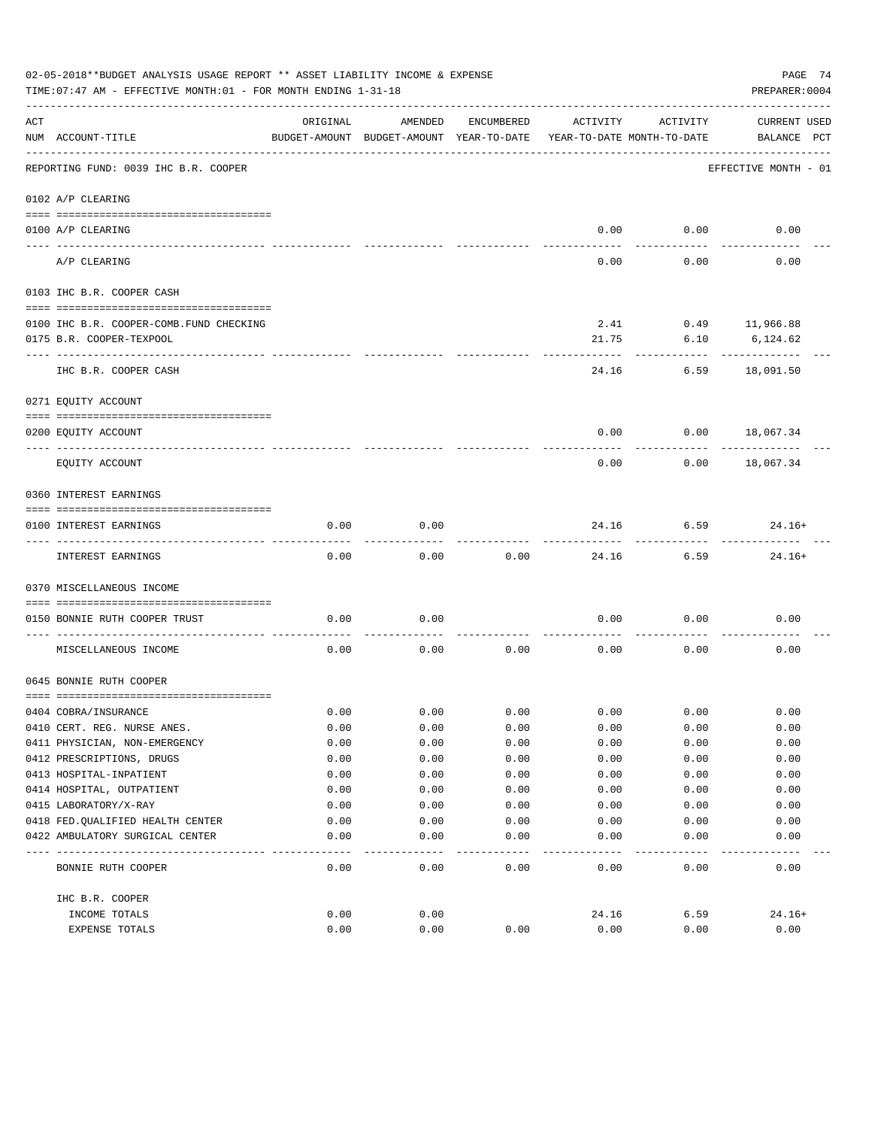|     | 02-05-2018**BUDGET ANALYSIS USAGE REPORT ** ASSET LIABILITY INCOME & EXPENSE<br>PAGE 74<br>TIME: 07:47 AM - EFFECTIVE MONTH: 01 - FOR MONTH ENDING 1-31-18<br>PREPARER: 0004 |          |                                                     |            |                                        |          |                             |  |  |  |
|-----|------------------------------------------------------------------------------------------------------------------------------------------------------------------------------|----------|-----------------------------------------------------|------------|----------------------------------------|----------|-----------------------------|--|--|--|
| ACT | NUM ACCOUNT-TITLE                                                                                                                                                            | ORIGINAL | AMENDED<br>BUDGET-AMOUNT BUDGET-AMOUNT YEAR-TO-DATE | ENCUMBERED | ACTIVITY<br>YEAR-TO-DATE MONTH-TO-DATE | ACTIVITY | CURRENT USED<br>BALANCE PCT |  |  |  |
|     | REPORTING FUND: 0039 IHC B.R. COOPER                                                                                                                                         |          |                                                     |            |                                        |          | EFFECTIVE MONTH - 01        |  |  |  |
|     | 0102 A/P CLEARING                                                                                                                                                            |          |                                                     |            |                                        |          |                             |  |  |  |
|     |                                                                                                                                                                              |          |                                                     |            |                                        |          |                             |  |  |  |
|     | 0100 A/P CLEARING                                                                                                                                                            |          |                                                     |            | 0.00                                   | 0.00     | 0.00                        |  |  |  |
|     | A/P CLEARING                                                                                                                                                                 |          |                                                     |            | 0.00                                   | 0.00     | 0.00                        |  |  |  |
|     | 0103 IHC B.R. COOPER CASH                                                                                                                                                    |          |                                                     |            |                                        |          |                             |  |  |  |
|     | 0100 IHC B.R. COOPER-COMB. FUND CHECKING                                                                                                                                     |          |                                                     |            | 2.41                                   |          | $0.49$ 11,966.88            |  |  |  |
|     | 0175 B.R. COOPER-TEXPOOL                                                                                                                                                     |          |                                                     |            | 21.75                                  | 6.10     | 6,124.62                    |  |  |  |
|     | IHC B.R. COOPER CASH                                                                                                                                                         |          |                                                     |            | 24.16                                  | 6.59     | 18,091.50                   |  |  |  |
|     | 0271 EQUITY ACCOUNT                                                                                                                                                          |          |                                                     |            |                                        |          |                             |  |  |  |
|     | 0200 EQUITY ACCOUNT                                                                                                                                                          |          |                                                     |            | 0.00                                   |          | $0.00$ 18,067.34            |  |  |  |
|     | EQUITY ACCOUNT                                                                                                                                                               |          |                                                     |            | 0.00                                   | 0.00     | 18,067.34                   |  |  |  |
|     | 0360 INTEREST EARNINGS                                                                                                                                                       |          |                                                     |            |                                        |          |                             |  |  |  |
|     | 0100 INTEREST EARNINGS                                                                                                                                                       | 0.00     | 0.00                                                |            | 24.16                                  | 6.59     | $24.16+$                    |  |  |  |
|     | INTEREST EARNINGS                                                                                                                                                            | 0.00     | 0.00                                                | 0.00       | 24.16                                  | 6.59     | $24.16+$                    |  |  |  |
|     | 0370 MISCELLANEOUS INCOME                                                                                                                                                    |          |                                                     |            |                                        |          |                             |  |  |  |
|     | 0150 BONNIE RUTH COOPER TRUST                                                                                                                                                | 0.00     | 0.00                                                |            | 0.00                                   | 0.00     | 0.00                        |  |  |  |
|     | MISCELLANEOUS INCOME                                                                                                                                                         | 0.00     | 0.00                                                | 0.00       | 0.00                                   | 0.00     | 0.00                        |  |  |  |
|     | 0645 BONNIE RUTH COOPER                                                                                                                                                      |          |                                                     |            |                                        |          |                             |  |  |  |
|     | 0404 COBRA/INSURANCE                                                                                                                                                         | 0.00     | 0.00                                                | 0.00       | 0.00                                   | 0.00     | 0.00                        |  |  |  |
|     | 0410 CERT. REG. NURSE ANES.                                                                                                                                                  | 0.00     | 0.00                                                | 0.00       | 0.00                                   | 0.00     | 0.00                        |  |  |  |
|     | 0411 PHYSICIAN, NON-EMERGENCY                                                                                                                                                | 0.00     | 0.00                                                | 0.00       | 0.00                                   | 0.00     | 0.00                        |  |  |  |
|     | 0412 PRESCRIPTIONS, DRUGS                                                                                                                                                    | 0.00     | 0.00                                                | 0.00       | 0.00                                   | 0.00     | 0.00                        |  |  |  |
|     | 0413 HOSPITAL-INPATIENT                                                                                                                                                      | 0.00     | 0.00                                                | 0.00       | 0.00                                   | 0.00     | 0.00                        |  |  |  |
|     | 0414 HOSPITAL, OUTPATIENT                                                                                                                                                    | 0.00     | 0.00                                                | 0.00       | 0.00                                   | 0.00     | 0.00                        |  |  |  |
|     | 0415 LABORATORY/X-RAY                                                                                                                                                        | 0.00     | 0.00                                                | 0.00       | 0.00                                   | 0.00     | 0.00                        |  |  |  |
|     | 0418 FED.QUALIFIED HEALTH CENTER                                                                                                                                             | 0.00     | 0.00                                                | 0.00       | 0.00                                   | 0.00     | 0.00                        |  |  |  |
|     | 0422 AMBULATORY SURGICAL CENTER                                                                                                                                              | 0.00     | 0.00                                                | 0.00       | 0.00                                   | 0.00     | 0.00                        |  |  |  |
|     |                                                                                                                                                                              |          |                                                     |            |                                        |          |                             |  |  |  |
|     | BONNIE RUTH COOPER                                                                                                                                                           | 0.00     | 0.00                                                | 0.00       | 0.00                                   | 0.00     | 0.00                        |  |  |  |
|     | IHC B.R. COOPER                                                                                                                                                              |          |                                                     |            |                                        |          |                             |  |  |  |
|     | INCOME TOTALS                                                                                                                                                                | 0.00     | 0.00                                                |            | 24.16                                  | 6.59     | $24.16+$                    |  |  |  |
|     | EXPENSE TOTALS                                                                                                                                                               | 0.00     | 0.00                                                | 0.00       | 0.00                                   | 0.00     | 0.00                        |  |  |  |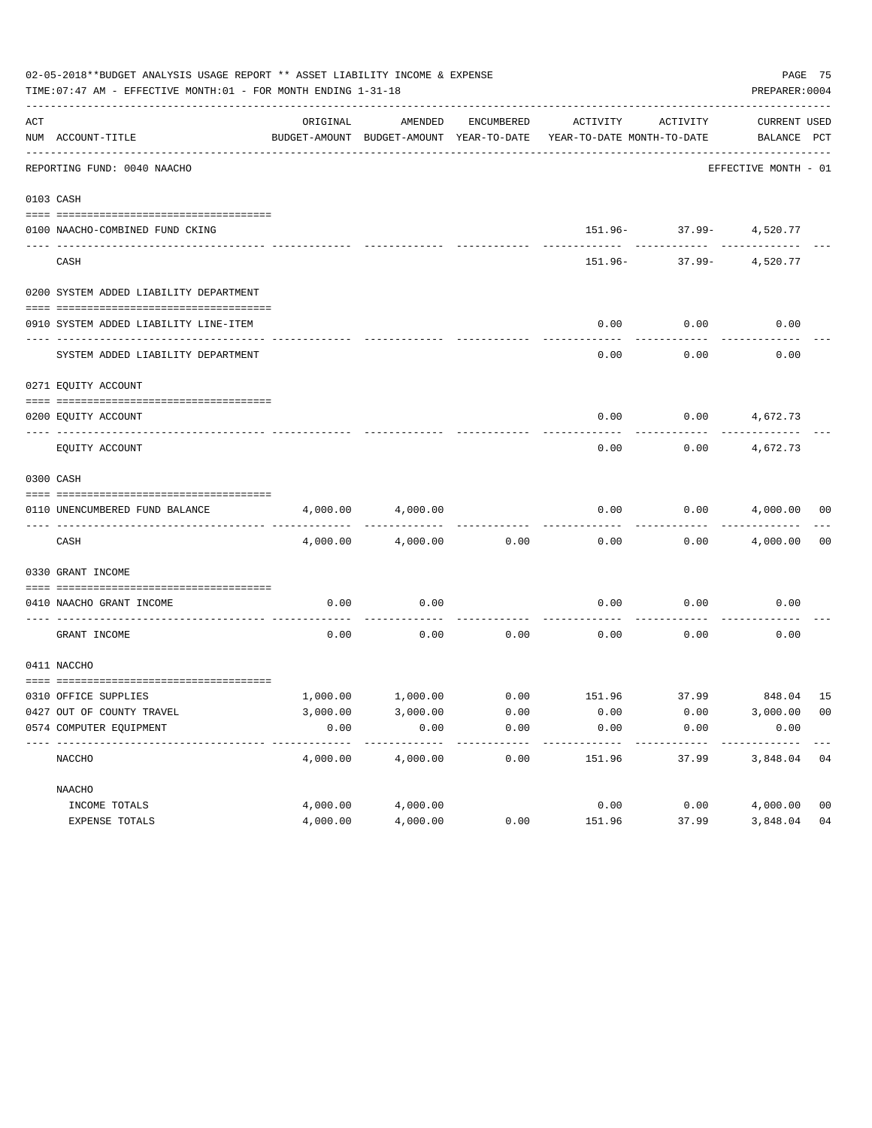|     | 02-05-2018**BUDGET ANALYSIS USAGE REPORT ** ASSET LIABILITY INCOME & EXPENSE<br>TIME: 07:47 AM - EFFECTIVE MONTH: 01 - FOR MONTH ENDING 1-31-18 |          |          |            |                                                                                 |                                                 | PREPARER: 0004              | PAGE 75        |
|-----|-------------------------------------------------------------------------------------------------------------------------------------------------|----------|----------|------------|---------------------------------------------------------------------------------|-------------------------------------------------|-----------------------------|----------------|
| ACT | NUM ACCOUNT-TITLE                                                                                                                               | ORIGINAL | AMENDED  | ENCUMBERED | ACTIVITY<br>BUDGET-AMOUNT BUDGET-AMOUNT YEAR-TO-DATE YEAR-TO-DATE MONTH-TO-DATE | ACTIVITY                                        | CURRENT USED<br>BALANCE PCT |                |
|     | ----------------------------------<br>REPORTING FUND: 0040 NAACHO                                                                               |          |          |            |                                                                                 |                                                 | EFFECTIVE MONTH - 01        |                |
|     | 0103 CASH                                                                                                                                       |          |          |            |                                                                                 |                                                 |                             |                |
|     | 0100 NAACHO-COMBINED FUND CKING                                                                                                                 |          |          |            |                                                                                 | 151.96- 37.99- 4,520.77                         |                             |                |
|     | CASH                                                                                                                                            |          |          |            |                                                                                 | ---------- ---------<br>151.96- 37.99- 4,520.77 |                             |                |
|     | 0200 SYSTEM ADDED LIABILITY DEPARTMENT                                                                                                          |          |          |            |                                                                                 |                                                 |                             |                |
|     | 0910 SYSTEM ADDED LIABILITY LINE-ITEM                                                                                                           |          |          |            | 0.00                                                                            | 0.00                                            | 0.00                        |                |
|     | SYSTEM ADDED LIABILITY DEPARTMENT                                                                                                               |          |          |            | 0.00                                                                            | 0.00                                            | 0.00                        |                |
|     | 0271 EQUITY ACCOUNT                                                                                                                             |          |          |            |                                                                                 |                                                 |                             |                |
|     | 0200 EQUITY ACCOUNT                                                                                                                             |          |          |            | 0.00                                                                            | $0.00$ 4,672.73                                 |                             |                |
|     | EQUITY ACCOUNT                                                                                                                                  |          |          |            | 0.00                                                                            | 0.00                                            | 4,672.73                    |                |
|     | 0300 CASH                                                                                                                                       |          |          |            |                                                                                 |                                                 |                             |                |
|     | 0110 UNENCUMBERED FUND BALANCE                                                                                                                  | 4,000.00 | 4,000.00 |            | 0.00                                                                            |                                                 | $0.00$ $4,000.00$ 00        |                |
|     | CASH                                                                                                                                            | 4,000.00 | 4,000.00 | 0.00       | 0.00                                                                            |                                                 | $0.00$ $4,000.00$ 00        |                |
|     | 0330 GRANT INCOME                                                                                                                               |          |          |            |                                                                                 |                                                 |                             |                |
|     | 0410 NAACHO GRANT INCOME                                                                                                                        | 0.00     | 0.00     |            | 0.00                                                                            | 0.00                                            | 0.00                        |                |
|     | GRANT INCOME                                                                                                                                    | 0.00     | 0.00     | 0.00       | 0.00                                                                            | 0.00                                            | 0.00                        |                |
|     | 0411 NACCHO                                                                                                                                     |          |          |            |                                                                                 |                                                 |                             |                |
|     | 0310 OFFICE SUPPLIES                                                                                                                            |          |          |            | $1,000.00$ $1,000.00$ $0.00$ $151.96$ $37.99$ $848.04$ $15$                     |                                                 |                             |                |
|     | 0427 OUT OF COUNTY TRAVEL                                                                                                                       | 3,000.00 | 3,000.00 | 0.00       | 0.00                                                                            | 0.00                                            | 3,000.00 00                 |                |
|     | 0574 COMPUTER EQUIPMENT                                                                                                                         | 0.00     | 0.00     | 0.00       | 0.00                                                                            | 0.00                                            | 0.00                        |                |
|     | NACCHO                                                                                                                                          | 4,000.00 | 4,000.00 | 0.00       | 151.96                                                                          | 37.99                                           | 3,848.04                    | 04             |
|     | NAACHO                                                                                                                                          |          |          |            |                                                                                 |                                                 |                             |                |
|     | INCOME TOTALS                                                                                                                                   | 4,000.00 | 4,000.00 |            | 0.00                                                                            | 0.00                                            | 4,000.00                    | 0 <sub>0</sub> |
|     | EXPENSE TOTALS                                                                                                                                  | 4,000.00 | 4,000.00 | 0.00       | 151.96                                                                          | 37.99                                           | 3,848.04                    | 04             |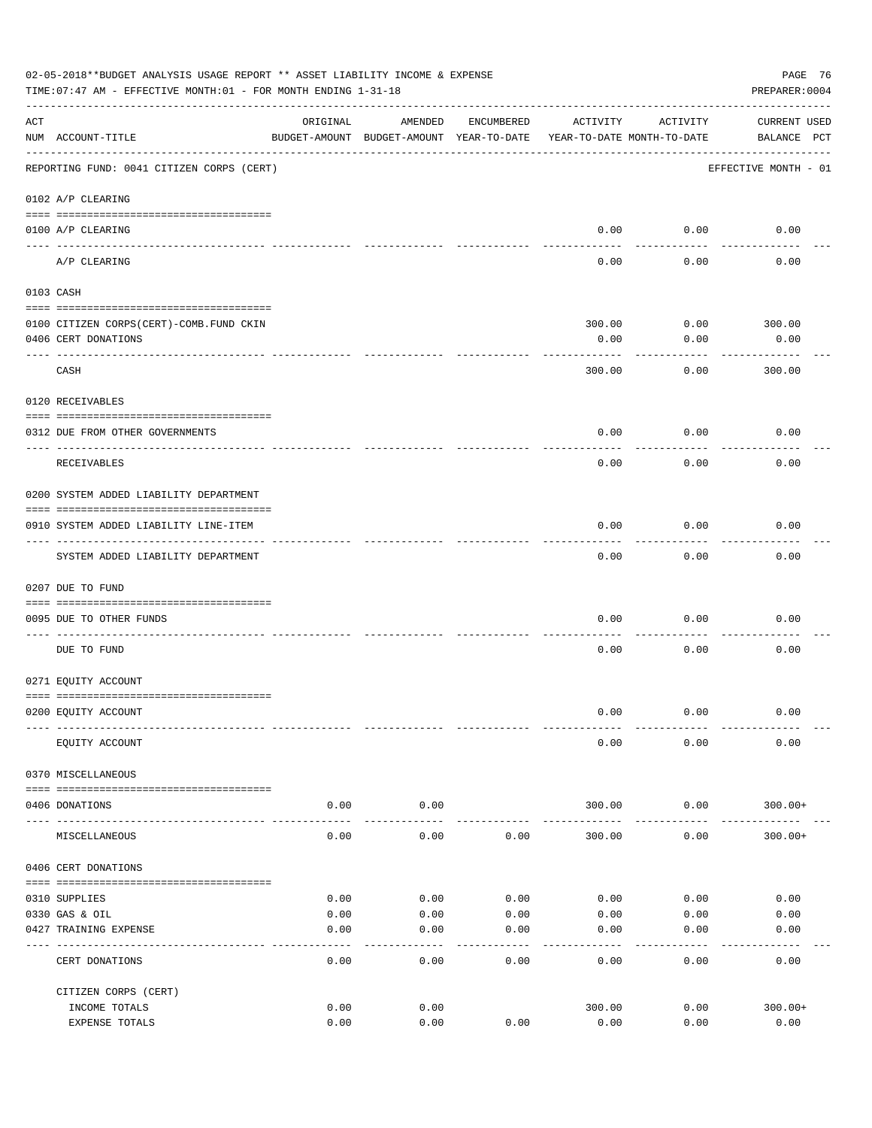|     | 02-05-2018**BUDGET ANALYSIS USAGE REPORT ** ASSET LIABILITY INCOME & EXPENSE<br>TIME: 07:47 AM - EFFECTIVE MONTH: 01 - FOR MONTH ENDING 1-31-18 |          |                                                     |            |                                        |                 | PAGE 76<br>PREPARER: 0004          |
|-----|-------------------------------------------------------------------------------------------------------------------------------------------------|----------|-----------------------------------------------------|------------|----------------------------------------|-----------------|------------------------------------|
| ACT | NUM ACCOUNT-TITLE                                                                                                                               | ORIGINAL | AMENDED<br>BUDGET-AMOUNT BUDGET-AMOUNT YEAR-TO-DATE | ENCUMBERED | ACTIVITY<br>YEAR-TO-DATE MONTH-TO-DATE | ACTIVITY        | <b>CURRENT USED</b><br>BALANCE PCT |
|     | REPORTING FUND: 0041 CITIZEN CORPS (CERT)                                                                                                       |          |                                                     |            |                                        |                 | EFFECTIVE MONTH - 01               |
|     | 0102 A/P CLEARING                                                                                                                               |          |                                                     |            |                                        |                 |                                    |
|     | 0100 A/P CLEARING<br>---- ---------                                                                                                             |          |                                                     |            | 0.00                                   | 0.00            | 0.00                               |
|     | A/P CLEARING                                                                                                                                    |          |                                                     |            | 0.00                                   | 0.00            | 0.00                               |
|     | 0103 CASH                                                                                                                                       |          |                                                     |            |                                        |                 |                                    |
|     |                                                                                                                                                 |          |                                                     |            |                                        |                 |                                    |
|     | 0100 CITIZEN CORPS (CERT) - COMB. FUND CKIN                                                                                                     |          |                                                     |            | 300.00                                 | 0.00            | 300.00                             |
|     | 0406 CERT DONATIONS                                                                                                                             |          |                                                     |            | 0.00                                   | 0.00            | 0.00<br>------                     |
|     | CASH                                                                                                                                            |          |                                                     |            | 300.00                                 | 0.00            | 300.00                             |
|     | 0120 RECEIVABLES                                                                                                                                |          |                                                     |            |                                        |                 |                                    |
|     | 0312 DUE FROM OTHER GOVERNMENTS                                                                                                                 |          |                                                     |            | 0.00                                   | 0.00            | 0.00                               |
|     | RECEIVABLES                                                                                                                                     |          |                                                     |            | 0.00                                   | 0.00            | 0.00                               |
|     | 0200 SYSTEM ADDED LIABILITY DEPARTMENT                                                                                                          |          |                                                     |            |                                        |                 |                                    |
|     |                                                                                                                                                 |          |                                                     |            |                                        |                 |                                    |
|     | 0910 SYSTEM ADDED LIABILITY LINE-ITEM                                                                                                           |          |                                                     |            | 0.00                                   | 0.00<br>------- | 0.00                               |
|     | SYSTEM ADDED LIABILITY DEPARTMENT                                                                                                               |          |                                                     |            | 0.00                                   | 0.00            | 0.00                               |
|     | 0207 DUE TO FUND                                                                                                                                |          |                                                     |            |                                        |                 |                                    |
|     | 0095 DUE TO OTHER FUNDS                                                                                                                         |          |                                                     |            | 0.00                                   | 0.00            | 0.00                               |
|     | DUE TO FUND                                                                                                                                     |          |                                                     |            | 0.00                                   | 0.00            | 0.00                               |
|     | 0271 EQUITY ACCOUNT                                                                                                                             |          |                                                     |            |                                        |                 |                                    |
|     | 0200 EQUITY ACCOUNT                                                                                                                             |          |                                                     |            | 0.00                                   | 0.00            | 0.00                               |
|     |                                                                                                                                                 |          |                                                     |            |                                        |                 |                                    |
|     | EQUITY ACCOUNT                                                                                                                                  |          |                                                     |            | 0.00                                   | 0.00            | 0.00                               |
|     | 0370 MISCELLANEOUS                                                                                                                              |          |                                                     |            |                                        |                 |                                    |
|     | 0406 DONATIONS                                                                                                                                  | 0.00     | 0.00                                                |            | 300.00                                 | 0.00            | $300.00+$                          |
|     | MISCELLANEOUS                                                                                                                                   | 0.00     | 0.00                                                | 0.00       | 300.00                                 | 0.00            | $300.00+$                          |
|     | 0406 CERT DONATIONS                                                                                                                             |          |                                                     |            |                                        |                 |                                    |
|     | 0310 SUPPLIES                                                                                                                                   | 0.00     | 0.00                                                | 0.00       | 0.00                                   | 0.00            | 0.00                               |
|     | 0330 GAS & OIL                                                                                                                                  | 0.00     | 0.00                                                | 0.00       | 0.00                                   | 0.00            | 0.00                               |
|     | 0427 TRAINING EXPENSE                                                                                                                           | 0.00     | 0.00                                                | 0.00       | 0.00                                   | 0.00            | 0.00                               |
|     | CERT DONATIONS                                                                                                                                  | 0.00     | 0.00                                                | 0.00       | 0.00                                   | 0.00            | 0.00                               |
|     | CITIZEN CORPS (CERT)                                                                                                                            |          |                                                     |            |                                        |                 |                                    |
|     | INCOME TOTALS                                                                                                                                   | 0.00     | 0.00                                                |            | 300.00                                 | 0.00            | $300.00+$                          |
|     | EXPENSE TOTALS                                                                                                                                  | 0.00     | 0.00                                                | 0.00       | 0.00                                   | 0.00            | 0.00                               |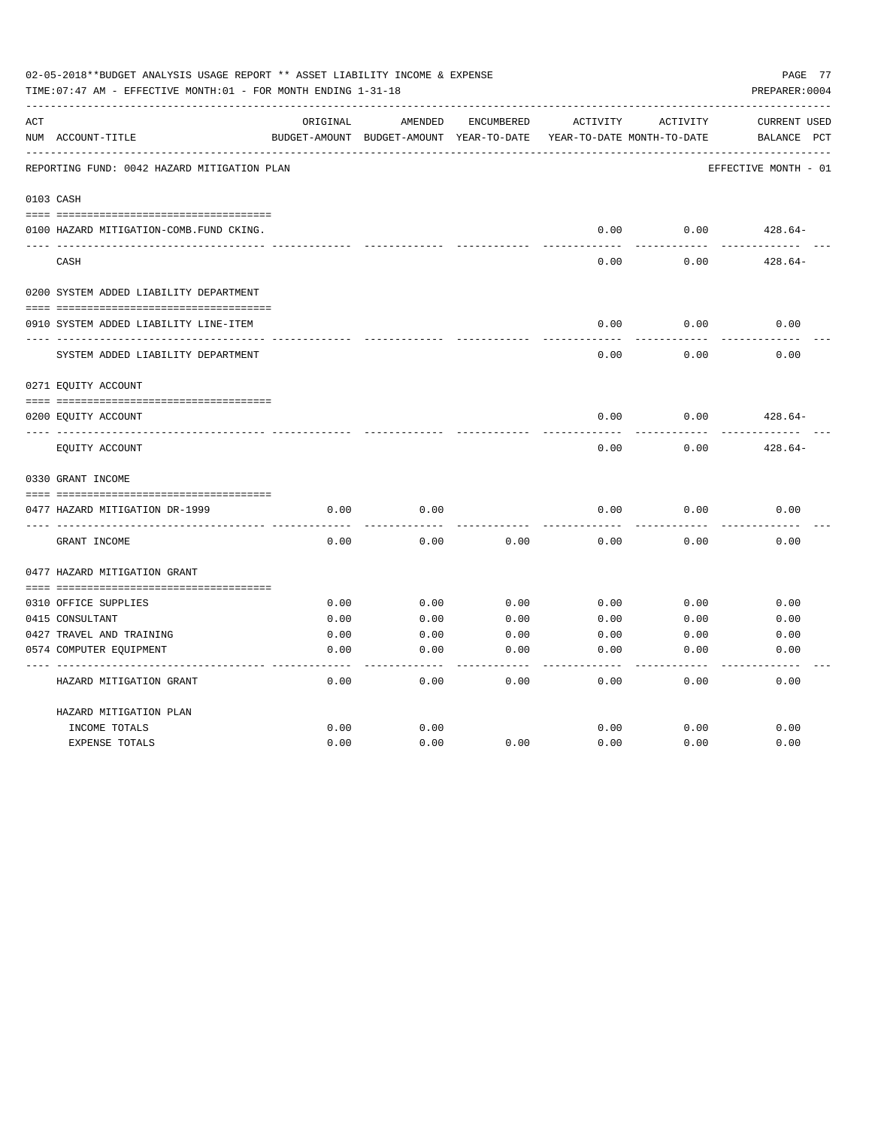|     | 02-05-2018**BUDGET ANALYSIS USAGE REPORT ** ASSET LIABILITY INCOME & EXPENSE<br>TIME: 07:47 AM - EFFECTIVE MONTH: 01 - FOR MONTH ENDING 1-31-18 |          |                                                     |            |          |                                        | PAGE 77<br>PREPARER: 0004          |
|-----|-------------------------------------------------------------------------------------------------------------------------------------------------|----------|-----------------------------------------------------|------------|----------|----------------------------------------|------------------------------------|
| ACT | NUM ACCOUNT-TITLE                                                                                                                               | ORIGINAL | AMENDED<br>BUDGET-AMOUNT BUDGET-AMOUNT YEAR-TO-DATE | ENCUMBERED | ACTIVITY | ACTIVITY<br>YEAR-TO-DATE MONTH-TO-DATE | <b>CURRENT USED</b><br>BALANCE PCT |
|     | REPORTING FUND: 0042 HAZARD MITIGATION PLAN                                                                                                     |          |                                                     |            |          |                                        | EFFECTIVE MONTH - 01               |
|     | 0103 CASH                                                                                                                                       |          |                                                     |            |          |                                        |                                    |
|     | 0100 HAZARD MITIGATION-COMB.FUND CKING.                                                                                                         |          |                                                     |            | 0.00     | 0.00                                   | $428.64-$                          |
|     | CASH                                                                                                                                            |          |                                                     |            | 0.00     | 0.00                                   | $428.64-$                          |
|     | 0200 SYSTEM ADDED LIABILITY DEPARTMENT                                                                                                          |          |                                                     |            |          |                                        |                                    |
|     | 0910 SYSTEM ADDED LIABILITY LINE-ITEM                                                                                                           |          |                                                     |            | 0.00     | 0.00                                   | 0.00                               |
|     | SYSTEM ADDED LIABILITY DEPARTMENT                                                                                                               |          |                                                     |            | 0.00     | 0.00                                   | 0.00                               |
|     | 0271 EQUITY ACCOUNT                                                                                                                             |          |                                                     |            |          |                                        |                                    |
|     | 0200 EQUITY ACCOUNT                                                                                                                             |          |                                                     |            | 0.00     | 0.00                                   | $428.64-$                          |
|     | EQUITY ACCOUNT                                                                                                                                  |          |                                                     |            | 0.00     | 0.00                                   | $428.64-$                          |
|     | 0330 GRANT INCOME                                                                                                                               |          |                                                     |            |          |                                        |                                    |
|     | 0477 HAZARD MITIGATION DR-1999                                                                                                                  | 0.00     | 0.00                                                |            | 0.00     | 0.00                                   | 0.00                               |
|     | GRANT INCOME                                                                                                                                    | 0.00     | 0.00                                                | 0.00       | 0.00     | 0.00                                   | 0.00                               |
|     | 0477 HAZARD MITIGATION GRANT                                                                                                                    |          |                                                     |            |          |                                        |                                    |
|     |                                                                                                                                                 |          |                                                     |            |          |                                        |                                    |
|     | 0310 OFFICE SUPPLIES                                                                                                                            | 0.00     | 0.00                                                | 0.00       | 0.00     | 0.00                                   | 0.00                               |
|     | 0415 CONSULTANT                                                                                                                                 | 0.00     | 0.00                                                | 0.00       | 0.00     | 0.00                                   | 0.00                               |
|     | 0427 TRAVEL AND TRAINING                                                                                                                        | 0.00     | 0.00                                                | 0.00       | 0.00     | 0.00                                   | 0.00                               |
|     | 0574 COMPUTER EQUIPMENT                                                                                                                         | 0.00     | 0.00                                                | 0.00       | 0.00     | 0.00                                   | 0.00                               |
|     | HAZARD MITIGATION GRANT                                                                                                                         | 0.00     | 0.00                                                | 0.00       | 0.00     | 0.00                                   | 0.00                               |
|     | HAZARD MITIGATION PLAN                                                                                                                          |          |                                                     |            |          |                                        |                                    |
|     | INCOME TOTALS                                                                                                                                   | 0.00     | 0.00                                                |            | 0.00     | 0.00                                   | 0.00                               |
|     | <b>EXPENSE TOTALS</b>                                                                                                                           | 0.00     | 0.00                                                | 0.00       | 0.00     | 0.00                                   | 0.00                               |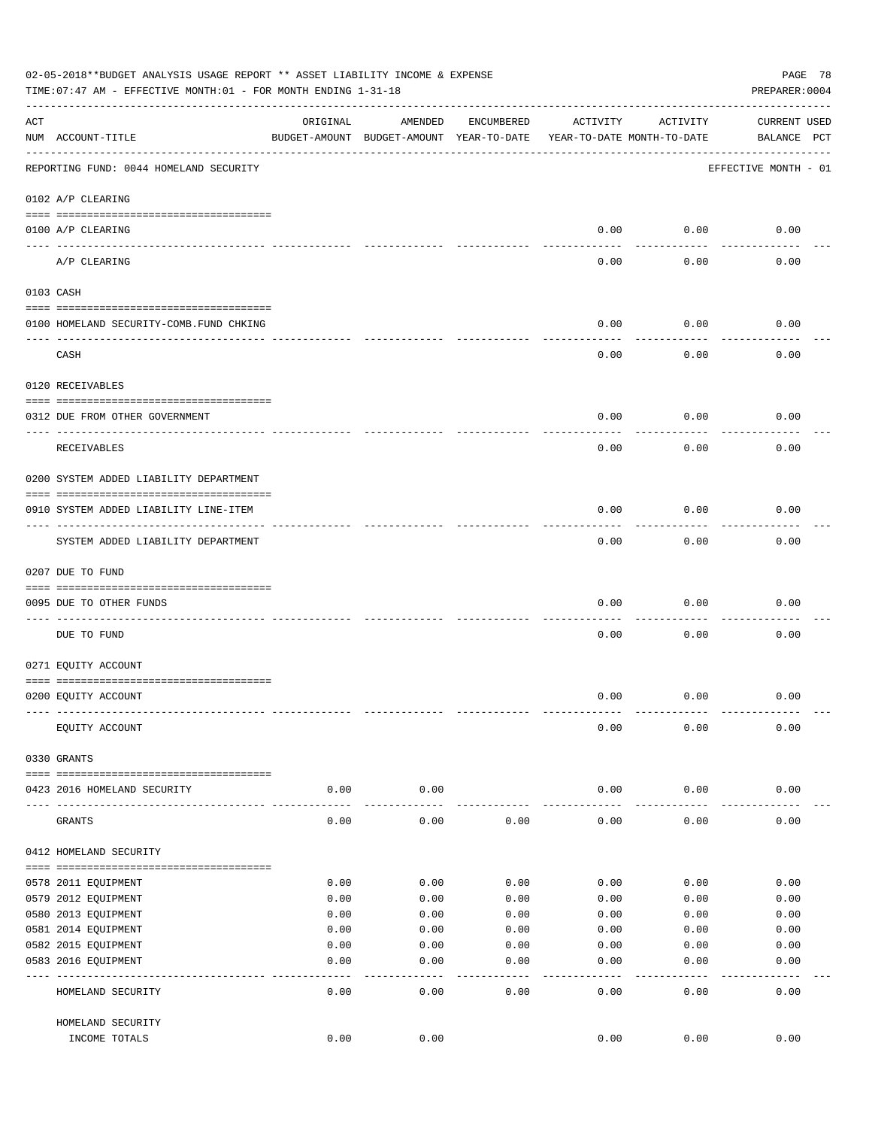|     | 02-05-2018**BUDGET ANALYSIS USAGE REPORT ** ASSET LIABILITY INCOME & EXPENSE<br>TIME: 07:47 AM - EFFECTIVE MONTH: 01 - FOR MONTH ENDING 1-31-18 |          |                                                     |              |                                        |               | PAGE 78<br>PREPARER: 0004          |
|-----|-------------------------------------------------------------------------------------------------------------------------------------------------|----------|-----------------------------------------------------|--------------|----------------------------------------|---------------|------------------------------------|
| ACT | NUM ACCOUNT-TITLE                                                                                                                               | ORIGINAL | AMENDED<br>BUDGET-AMOUNT BUDGET-AMOUNT YEAR-TO-DATE | ENCUMBERED   | ACTIVITY<br>YEAR-TO-DATE MONTH-TO-DATE | ACTIVITY      | <b>CURRENT USED</b><br>BALANCE PCT |
|     | REPORTING FUND: 0044 HOMELAND SECURITY                                                                                                          |          |                                                     |              |                                        |               | EFFECTIVE MONTH - 01               |
|     | 0102 A/P CLEARING                                                                                                                               |          |                                                     |              |                                        |               |                                    |
|     | 0100 A/P CLEARING                                                                                                                               |          |                                                     |              | 0.00                                   | 0.00          | 0.00                               |
|     | ---- ---------<br>A/P CLEARING                                                                                                                  |          |                                                     |              | 0.00                                   | 0.00          | 0.00                               |
|     | 0103 CASH                                                                                                                                       |          |                                                     |              |                                        |               |                                    |
|     | 0100 HOMELAND SECURITY-COMB.FUND CHKING                                                                                                         |          |                                                     |              | 0.00                                   | 0.00          | 0.00                               |
|     | CASH                                                                                                                                            |          |                                                     |              | 0.00                                   | 0.00          | 0.00                               |
|     | 0120 RECEIVABLES                                                                                                                                |          |                                                     |              |                                        |               |                                    |
|     | 0312 DUE FROM OTHER GOVERNMENT                                                                                                                  |          |                                                     |              | 0.00                                   | 0.00          | 0.00                               |
|     | RECEIVABLES                                                                                                                                     |          |                                                     |              | 0.00                                   | 0.00          | 0.00                               |
|     | 0200 SYSTEM ADDED LIABILITY DEPARTMENT                                                                                                          |          |                                                     |              |                                        |               |                                    |
|     | 0910 SYSTEM ADDED LIABILITY LINE-ITEM                                                                                                           |          |                                                     |              | 0.00                                   | 0.00          | 0.00                               |
|     | SYSTEM ADDED LIABILITY DEPARTMENT                                                                                                               |          |                                                     |              | 0.00                                   | 0.00          | 0.00                               |
|     | 0207 DUE TO FUND                                                                                                                                |          |                                                     |              |                                        |               |                                    |
|     | 0095 DUE TO OTHER FUNDS                                                                                                                         |          |                                                     |              | 0.00                                   | 0.00          | 0.00                               |
|     | DUE TO FUND                                                                                                                                     |          |                                                     |              | 0.00                                   | 0.00          | 0.00                               |
|     | 0271 EQUITY ACCOUNT                                                                                                                             |          |                                                     |              |                                        |               |                                    |
|     | 0200 EQUITY ACCOUNT                                                                                                                             |          |                                                     |              | 0.00                                   | 0.00          | 0.00                               |
|     | EQUITY ACCOUNT                                                                                                                                  |          |                                                     |              | 0.00                                   | 0.00          | 0.00                               |
|     | 0330 GRANTS                                                                                                                                     |          |                                                     |              |                                        |               |                                    |
|     | 0423 2016 HOMELAND SECURITY                                                                                                                     | 0.00     | 0.00                                                |              | 0.00                                   | 0.00          | 0.00                               |
|     | GRANTS                                                                                                                                          | 0.00     | 0.00                                                | 0.00         | 0.00                                   | 0.00          | 0.00                               |
|     | 0412 HOMELAND SECURITY                                                                                                                          |          |                                                     |              |                                        |               |                                    |
|     | 0578 2011 EQUIPMENT                                                                                                                             | 0.00     | 0.00                                                | 0.00         | 0.00                                   | 0.00          | 0.00                               |
|     | 0579 2012 EQUIPMENT                                                                                                                             | 0.00     | 0.00                                                | 0.00         | 0.00                                   | 0.00          | 0.00                               |
|     | 0580 2013 EQUIPMENT                                                                                                                             | 0.00     | 0.00                                                | 0.00         | 0.00                                   | 0.00          | 0.00                               |
|     | 0581 2014 EQUIPMENT                                                                                                                             | 0.00     | 0.00                                                | 0.00         | 0.00                                   | 0.00          | 0.00                               |
|     | 0582 2015 EQUIPMENT                                                                                                                             | 0.00     | 0.00                                                | 0.00         | 0.00                                   | 0.00          | 0.00                               |
|     | 0583 2016 EQUIPMENT                                                                                                                             | 0.00     | 0.00                                                | 0.00         | 0.00                                   | 0.00          | 0.00                               |
|     | HOMELAND SECURITY                                                                                                                               | 0.00     | ----<br>0.00                                        | ----<br>0.00 | $---$<br>0.00                          | $---$<br>0.00 | 0.00                               |
|     | HOMELAND SECURITY                                                                                                                               |          |                                                     |              |                                        |               |                                    |
|     | INCOME TOTALS                                                                                                                                   | 0.00     | 0.00                                                |              | 0.00                                   | 0.00          | 0.00                               |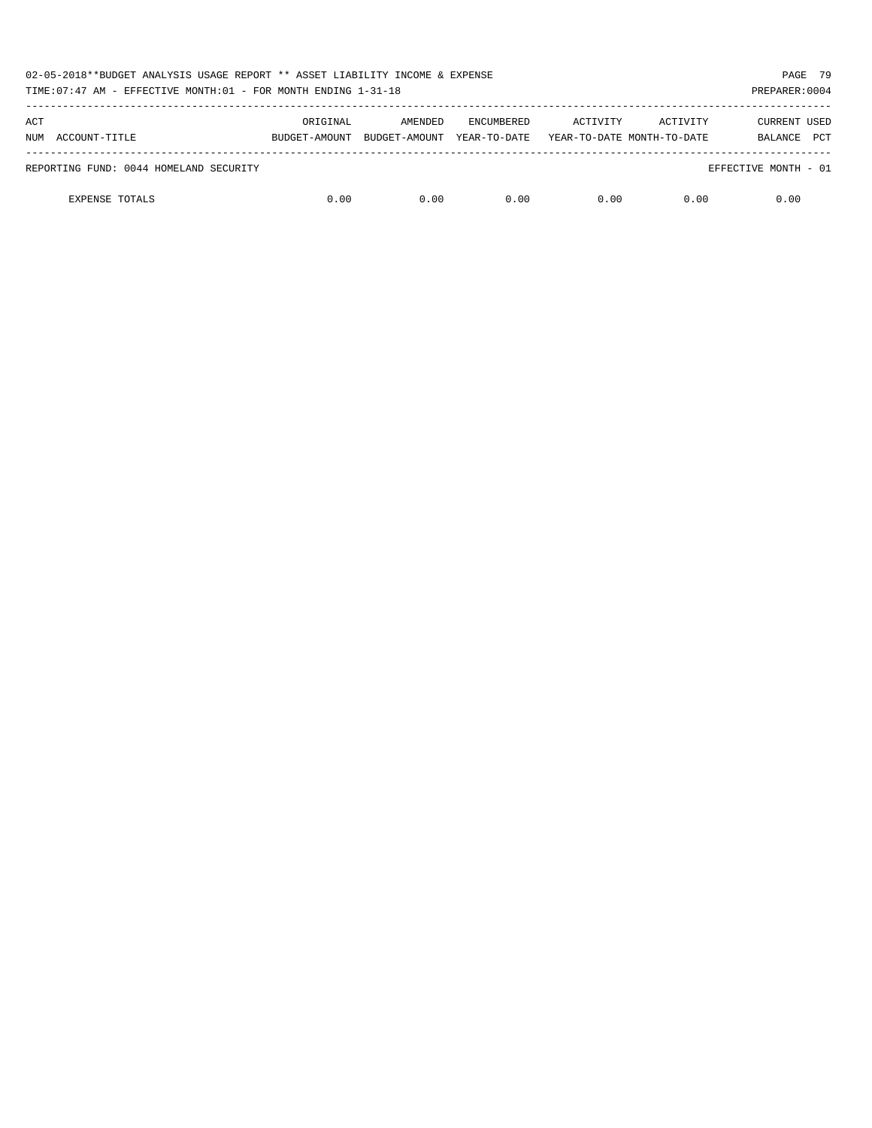| 02-05-2018**BUDGET ANALYSIS USAGE REPORT ** ASSET LIABILITY INCOME & EXPENSE<br>TIME: 07:47 AM - EFFECTIVE MONTH: 01 - FOR MONTH ENDING 1-31-18 |               |               |                   |          |                            | PAGE 79<br>PREPARER: 0004 |
|-------------------------------------------------------------------------------------------------------------------------------------------------|---------------|---------------|-------------------|----------|----------------------------|---------------------------|
| ACT                                                                                                                                             | ORIGINAL      | AMENDED       | <b>ENCUMBERED</b> | ACTIVITY | ACTIVITY                   | <b>CURRENT USED</b>       |
| ACCOUNT-TITLE<br>NUM                                                                                                                            | BUDGET-AMOUNT | BUDGET-AMOUNT | YEAR-TO-DATE      |          | YEAR-TO-DATE MONTH-TO-DATE | <b>PCT</b><br>BALANCE     |
| REPORTING FUND: 0044 HOMELAND SECURITY                                                                                                          |               |               |                   |          |                            | EFFECTIVE MONTH - 01      |
| <b>EXPENSE TOTALS</b>                                                                                                                           | 0.00          | 0.00          | 0.00              | 0.00     | 0.00                       | 0.00                      |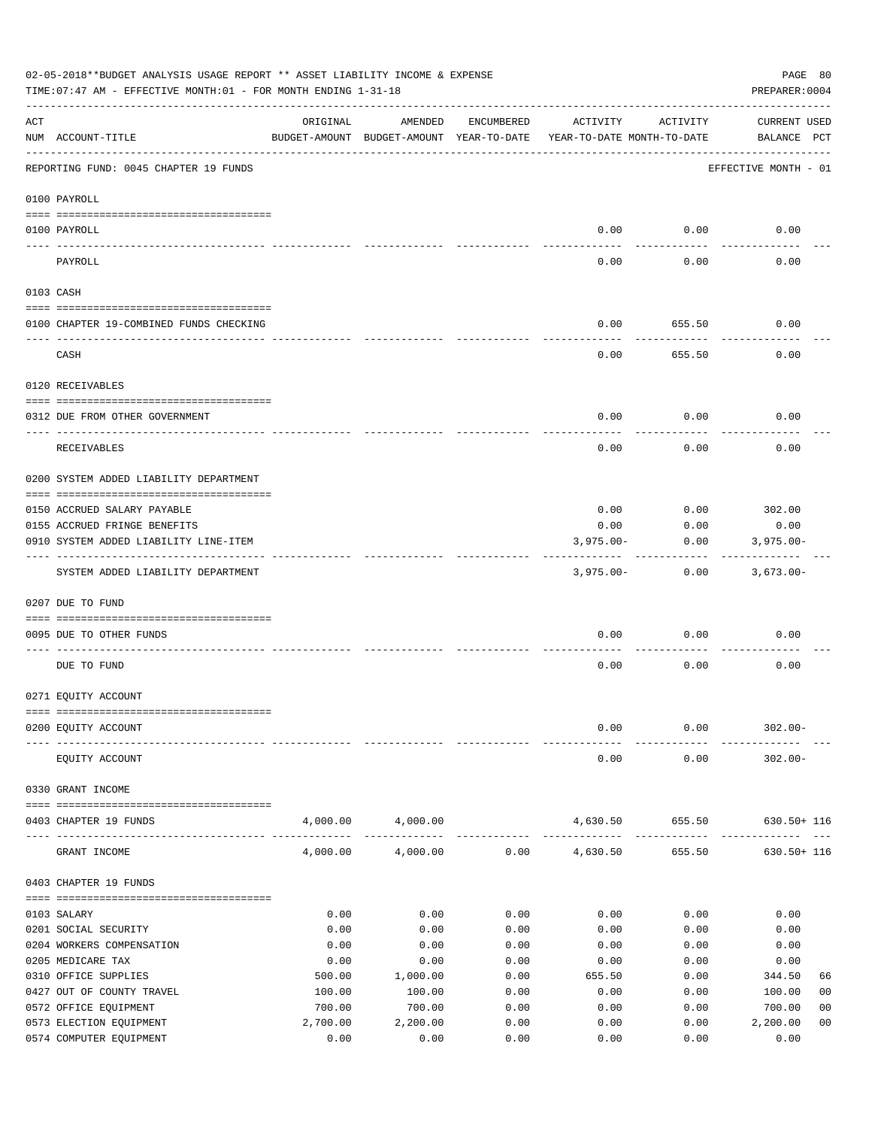|     | 02-05-2018**BUDGET ANALYSIS USAGE REPORT ** ASSET LIABILITY INCOME & EXPENSE<br>PAGE 80<br>TIME: 07:47 AM - EFFECTIVE MONTH: 01 - FOR MONTH ENDING 1-31-18<br>PREPARER: 0004 |          |                                                     |            |                                        |          |                                    |  |  |  |
|-----|------------------------------------------------------------------------------------------------------------------------------------------------------------------------------|----------|-----------------------------------------------------|------------|----------------------------------------|----------|------------------------------------|--|--|--|
| ACT | NUM ACCOUNT-TITLE                                                                                                                                                            | ORIGINAL | AMENDED<br>BUDGET-AMOUNT BUDGET-AMOUNT YEAR-TO-DATE | ENCUMBERED | ACTIVITY<br>YEAR-TO-DATE MONTH-TO-DATE | ACTIVITY | <b>CURRENT USED</b><br>BALANCE PCT |  |  |  |
|     | REPORTING FUND: 0045 CHAPTER 19 FUNDS                                                                                                                                        |          |                                                     |            |                                        |          | EFFECTIVE MONTH - 01               |  |  |  |
|     | 0100 PAYROLL                                                                                                                                                                 |          |                                                     |            |                                        |          |                                    |  |  |  |
|     | 0100 PAYROLL                                                                                                                                                                 |          |                                                     |            | 0.00                                   | 0.00     | 0.00                               |  |  |  |
|     | PAYROLL                                                                                                                                                                      |          |                                                     |            | 0.00                                   | 0.00     | 0.00                               |  |  |  |
|     | 0103 CASH                                                                                                                                                                    |          |                                                     |            |                                        |          |                                    |  |  |  |
|     | 0100 CHAPTER 19-COMBINED FUNDS CHECKING                                                                                                                                      |          |                                                     |            | 0.00                                   | 655.50   | 0.00                               |  |  |  |
|     | CASH                                                                                                                                                                         |          |                                                     |            | 0.00                                   | 655.50   | 0.00                               |  |  |  |
|     | 0120 RECEIVABLES                                                                                                                                                             |          |                                                     |            |                                        |          |                                    |  |  |  |
|     | 0312 DUE FROM OTHER GOVERNMENT                                                                                                                                               |          |                                                     |            | 0.00                                   | 0.00     | 0.00                               |  |  |  |
|     | RECEIVABLES                                                                                                                                                                  |          |                                                     |            | 0.00                                   | 0.00     | 0.00                               |  |  |  |
|     | 0200 SYSTEM ADDED LIABILITY DEPARTMENT                                                                                                                                       |          |                                                     |            |                                        |          |                                    |  |  |  |
|     | 0150 ACCRUED SALARY PAYABLE                                                                                                                                                  |          |                                                     |            | 0.00                                   | 0.00     | 302.00                             |  |  |  |
|     | 0155 ACCRUED FRINGE BENEFITS                                                                                                                                                 |          |                                                     |            | 0.00                                   | 0.00     | 0.00                               |  |  |  |
|     | 0910 SYSTEM ADDED LIABILITY LINE-ITEM                                                                                                                                        |          |                                                     |            | $3,975.00 -$                           | 0.00     | $3,975.00 -$                       |  |  |  |
|     | SYSTEM ADDED LIABILITY DEPARTMENT                                                                                                                                            |          |                                                     |            | $3,975.00-$                            | 0.00     | $3,673.00-$                        |  |  |  |
|     | 0207 DUE TO FUND                                                                                                                                                             |          |                                                     |            |                                        |          |                                    |  |  |  |
|     | 0095 DUE TO OTHER FUNDS                                                                                                                                                      |          |                                                     |            | 0.00                                   | 0.00     | 0.00                               |  |  |  |
|     | DUE TO FUND                                                                                                                                                                  |          |                                                     |            | 0.00                                   | 0.00     | 0.00                               |  |  |  |
|     | 0271 EQUITY ACCOUNT                                                                                                                                                          |          |                                                     |            |                                        |          |                                    |  |  |  |
|     | 0200 EQUITY ACCOUNT                                                                                                                                                          |          |                                                     |            | 0.00                                   | 0.00     | $302.00 -$                         |  |  |  |
|     |                                                                                                                                                                              |          |                                                     |            | 0.00                                   | 0.00     | $302.00 -$                         |  |  |  |
|     | EQUITY ACCOUNT<br>0330 GRANT INCOME                                                                                                                                          |          |                                                     |            |                                        |          |                                    |  |  |  |
|     |                                                                                                                                                                              |          |                                                     |            |                                        |          |                                    |  |  |  |
|     | 0403 CHAPTER 19 FUNDS                                                                                                                                                        |          | 4,000.00 4,000.00                                   |            | 4,630.50                               | 655.50   | $630.50 + 116$                     |  |  |  |
|     | GRANT INCOME                                                                                                                                                                 | 4,000.00 | 4,000.00                                            |            | $0.00$ 4,630.50                        | 655.50   | $630.50 + 116$                     |  |  |  |
|     | 0403 CHAPTER 19 FUNDS                                                                                                                                                        |          |                                                     |            |                                        |          |                                    |  |  |  |
|     | 0103 SALARY                                                                                                                                                                  | 0.00     | 0.00                                                | 0.00       | 0.00                                   | 0.00     | 0.00                               |  |  |  |
|     | 0201 SOCIAL SECURITY                                                                                                                                                         | 0.00     | 0.00                                                | 0.00       | 0.00                                   | 0.00     | 0.00                               |  |  |  |
|     | 0204 WORKERS COMPENSATION                                                                                                                                                    | 0.00     | 0.00                                                | 0.00       | 0.00                                   | 0.00     | 0.00                               |  |  |  |
|     | 0205 MEDICARE TAX                                                                                                                                                            | 0.00     | 0.00                                                | 0.00       | 0.00                                   | 0.00     | 0.00                               |  |  |  |
|     | 0310 OFFICE SUPPLIES                                                                                                                                                         | 500.00   | 1,000.00                                            | 0.00       | 655.50                                 | 0.00     | 344.50<br>66                       |  |  |  |
|     | 0427 OUT OF COUNTY TRAVEL                                                                                                                                                    | 100.00   | 100.00                                              | 0.00       | 0.00                                   | 0.00     | 100.00<br>00                       |  |  |  |
|     | 0572 OFFICE EQUIPMENT                                                                                                                                                        | 700.00   | 700.00                                              | 0.00       | 0.00                                   | 0.00     | 700.00<br>0 <sub>0</sub>           |  |  |  |
|     | 0573 ELECTION EQUIPMENT                                                                                                                                                      | 2,700.00 | 2,200.00                                            | 0.00       | 0.00                                   | 0.00     | 2,200.00<br>0 <sub>0</sub>         |  |  |  |
|     | 0574 COMPUTER EQUIPMENT                                                                                                                                                      | 0.00     | 0.00                                                | 0.00       | 0.00                                   | 0.00     | 0.00                               |  |  |  |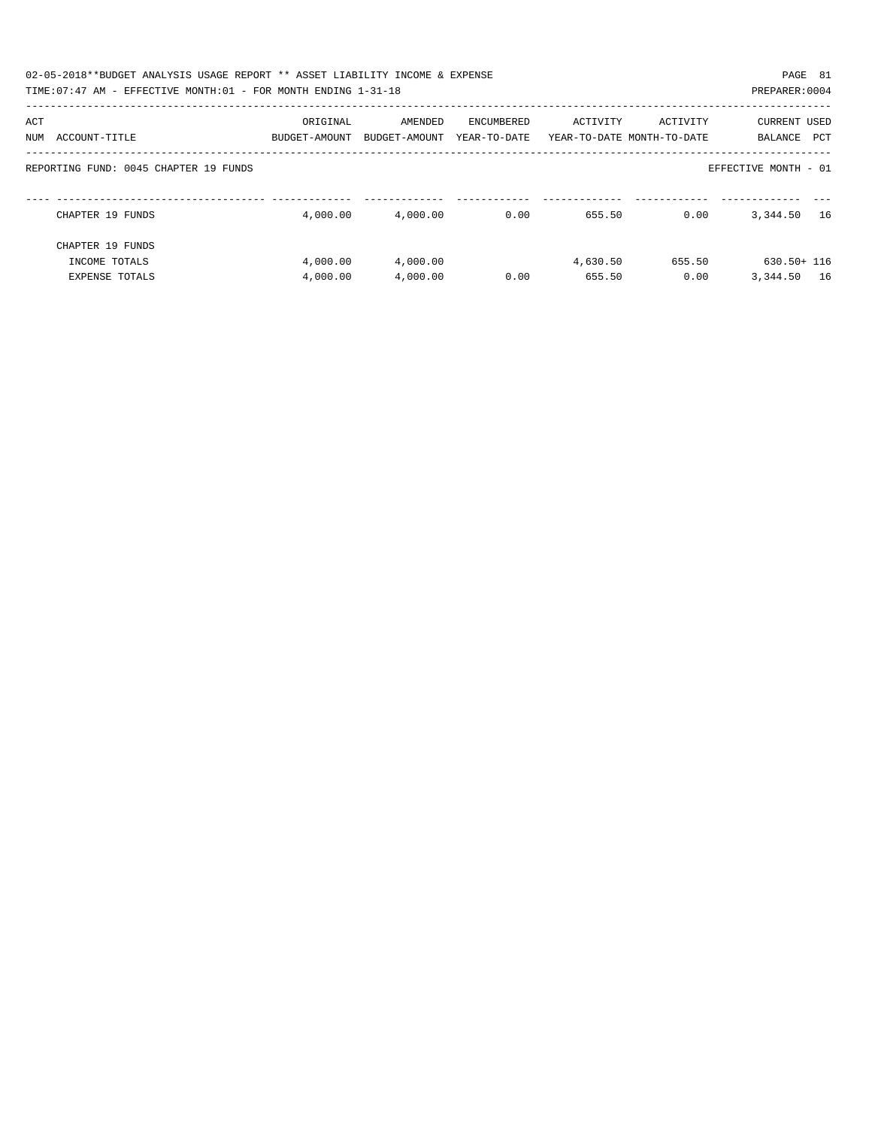| 02-05-2018**BUDGET ANALYSIS USAGE REPORT ** ASSET LIABILITY INCOME & EXPENSE<br>TIME:07:47 AM - EFFECTIVE MONTH:01 - FOR MONTH ENDING 1-31-18 |               |               |              |          |                            | PAGE 81<br>PREPARER: 0004 |  |
|-----------------------------------------------------------------------------------------------------------------------------------------------|---------------|---------------|--------------|----------|----------------------------|---------------------------|--|
|                                                                                                                                               |               |               |              |          |                            |                           |  |
| ACT                                                                                                                                           | ORIGINAL      | AMENDED       | ENCUMBERED   | ACTIVITY | ACTIVITY                   | <b>CURRENT USED</b>       |  |
| ACCOUNT-TITLE<br>NUM                                                                                                                          | BUDGET-AMOUNT | BUDGET-AMOUNT | YEAR-TO-DATE |          | YEAR-TO-DATE MONTH-TO-DATE | PCT<br>BALANCE            |  |
| REPORTING FUND: 0045 CHAPTER 19 FUNDS                                                                                                         |               |               |              |          |                            | EFFECTIVE MONTH - 01      |  |
| CHAPTER 19 FUNDS                                                                                                                              | 4,000.00      | 4.000.00      | 0.00         | 655.50   | 0.00                       | 3,344.50<br>16            |  |
| CHAPTER 19 FUNDS                                                                                                                              |               |               |              |          |                            |                           |  |
| INCOME TOTALS                                                                                                                                 | 4,000.00      | 4,000.00      |              | 4,630.50 | 655.50                     | 630.50+ 116               |  |
| <b>EXPENSE TOTALS</b>                                                                                                                         | 4,000.00      | 4,000.00      | 0.00         | 655.50   | 0.00                       | 3,344.50<br>16            |  |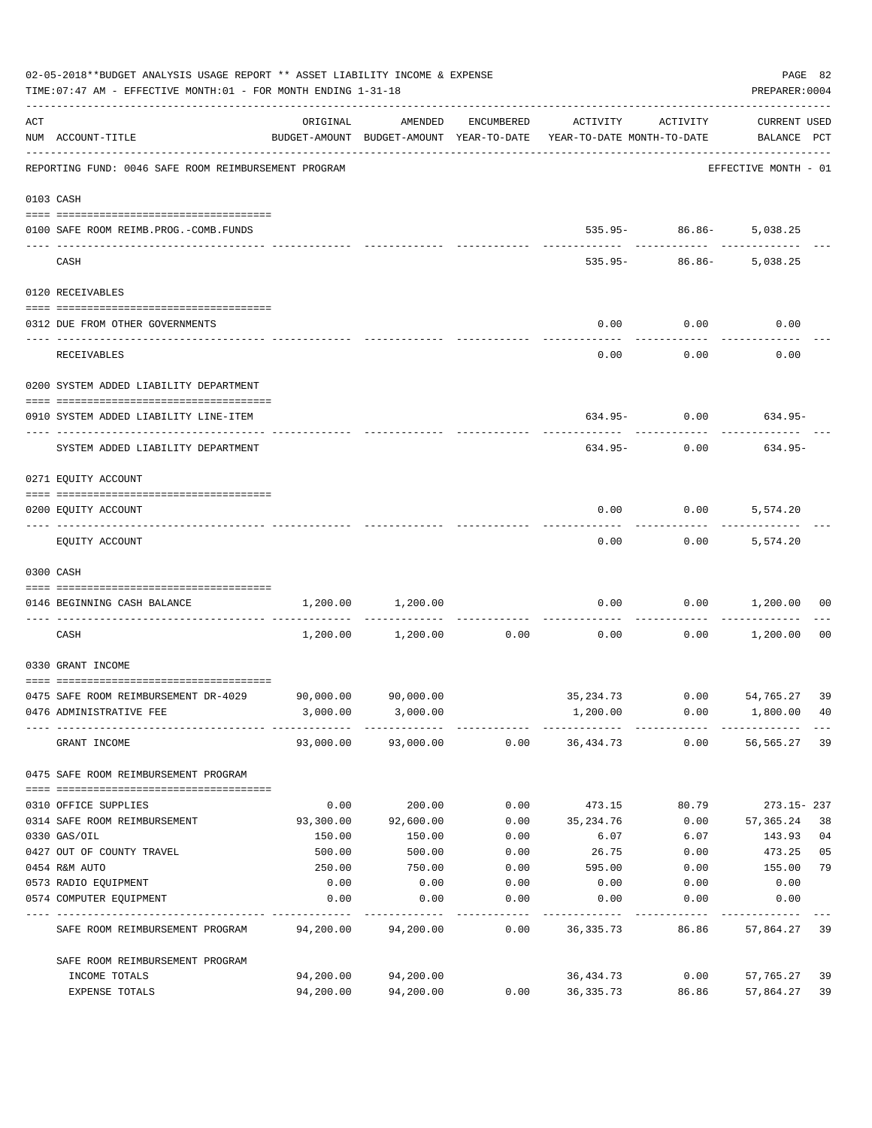|     | 02-05-2018**BUDGET ANALYSIS USAGE REPORT ** ASSET LIABILITY INCOME & EXPENSE<br>TIME: 07:47 AM - EFFECTIVE MONTH: 01 - FOR MONTH ENDING 1-31-18 |           |                     |                    |                                                                                 |                             | PAGE 82<br>PREPARER: 0004          |      |
|-----|-------------------------------------------------------------------------------------------------------------------------------------------------|-----------|---------------------|--------------------|---------------------------------------------------------------------------------|-----------------------------|------------------------------------|------|
| ACT | NUM ACCOUNT-TITLE                                                                                                                               | ORIGINAL  | AMENDED             | ENCUMBERED         | ACTIVITY<br>BUDGET-AMOUNT BUDGET-AMOUNT YEAR-TO-DATE YEAR-TO-DATE MONTH-TO-DATE | ACTIVITY                    | <b>CURRENT USED</b><br>BALANCE PCT |      |
|     | REPORTING FUND: 0046 SAFE ROOM REIMBURSEMENT PROGRAM                                                                                            |           |                     |                    |                                                                                 |                             | EFFECTIVE MONTH - 01               |      |
|     | 0103 CASH                                                                                                                                       |           |                     |                    |                                                                                 |                             |                                    |      |
|     | 0100 SAFE ROOM REIMB.PROG.-COMB.FUNDS                                                                                                           |           |                     |                    |                                                                                 | $535.95 - 86.86 - 5,038.25$ |                                    |      |
|     | CASH                                                                                                                                            |           |                     |                    | 535.95-                                                                         |                             | 86.86- 5,038.25                    |      |
|     | 0120 RECEIVABLES                                                                                                                                |           |                     |                    |                                                                                 |                             |                                    |      |
|     | 0312 DUE FROM OTHER GOVERNMENTS                                                                                                                 |           |                     |                    | 0.00                                                                            | 0.00                        | 0.00                               |      |
|     | RECEIVABLES                                                                                                                                     |           |                     |                    | 0.00                                                                            | 0.00                        | 0.00                               |      |
|     | 0200 SYSTEM ADDED LIABILITY DEPARTMENT                                                                                                          |           |                     |                    |                                                                                 |                             |                                    |      |
|     | 0910 SYSTEM ADDED LIABILITY LINE-ITEM                                                                                                           |           |                     |                    |                                                                                 |                             | $634.95 - 0.00$ 634.95-            |      |
|     | SYSTEM ADDED LIABILITY DEPARTMENT                                                                                                               |           |                     |                    | 634.95-                                                                         | 0.00                        | 634.95-                            |      |
|     | 0271 EQUITY ACCOUNT                                                                                                                             |           |                     |                    |                                                                                 |                             |                                    |      |
|     | 0200 EQUITY ACCOUNT                                                                                                                             |           |                     |                    | 0.00                                                                            | $0.00$ 5,574.20             |                                    |      |
|     | EQUITY ACCOUNT                                                                                                                                  |           |                     |                    | 0.00                                                                            |                             | $0.00$ 5,574.20                    |      |
|     | 0300 CASH                                                                                                                                       |           |                     |                    |                                                                                 |                             |                                    |      |
|     | 0146 BEGINNING CASH BALANCE                                                                                                                     | 1,200.00  | 1,200.00            | ------------       | 0.00                                                                            | 0.00<br>.                   | 1,200.00                           | 00   |
|     | CASH                                                                                                                                            | 1,200.00  | 1,200.00            | 0.00               | 0.00                                                                            | 0.00                        | 1,200.00                           | - 00 |
|     | 0330 GRANT INCOME                                                                                                                               |           |                     |                    |                                                                                 |                             |                                    |      |
|     | 0475 SAFE ROOM REIMBURSEMENT DR-4029                                                                                                            |           | 90,000.00 90,000.00 |                    | 35, 234.73 0.00 54, 765.27 39                                                   |                             |                                    |      |
|     | 0476 ADMINISTRATIVE FEE                                                                                                                         |           | 3,000.00 3,000.00   |                    | 1,200.00                                                                        |                             | $0.00$ 1,800.00 40                 |      |
|     | GRANT INCOME                                                                                                                                    |           |                     |                    | 93,000.00 93,000.00 0.00 36,434.73                                              | 0.00                        | 56,565.27                          | 39   |
|     | 0475 SAFE ROOM REIMBURSEMENT PROGRAM                                                                                                            |           |                     |                    |                                                                                 |                             |                                    |      |
|     | 0310 OFFICE SUPPLIES                                                                                                                            | 0.00      | 200.00              | 0.00               | 473.15                                                                          | 80.79                       | 273.15-237                         |      |
|     | 0314 SAFE ROOM REIMBURSEMENT                                                                                                                    | 93,300.00 | 92,600.00           |                    | $0.00$ $35,234.76$                                                              | 0.00                        | 57,365.24                          | 38   |
|     | 0330 GAS/OIL                                                                                                                                    | 150.00    | 150.00              | 0.00               | 6.07                                                                            | 6.07                        | 143.93                             | 04   |
|     | 0427 OUT OF COUNTY TRAVEL                                                                                                                       | 500.00    | 500.00              | 0.00               | 26.75                                                                           | 0.00                        | 473.25                             | 05   |
|     | 0454 R&M AUTO                                                                                                                                   | 250.00    | 750.00              | 0.00               | 595.00                                                                          | 0.00                        | 155.00                             | 79   |
|     | 0573 RADIO EQUIPMENT                                                                                                                            | 0.00      | 0.00                | 0.00               | 0.00                                                                            | 0.00                        | 0.00                               |      |
|     | 0574 COMPUTER EQUIPMENT                                                                                                                         | 0.00      | 0.00                | 0.00<br>---------- | 0.00<br>----------                                                              | 0.00<br>------------        | 0.00<br>----------                 |      |
|     | SAFE ROOM REIMBURSEMENT PROGRAM                                                                                                                 | 94,200.00 | 94,200.00           | 0.00               | 36,335.73                                                                       | 86.86                       | 57,864.27 39                       |      |
|     | SAFE ROOM REIMBURSEMENT PROGRAM                                                                                                                 |           |                     |                    |                                                                                 |                             |                                    |      |
|     | INCOME TOTALS                                                                                                                                   | 94,200.00 | 94,200.00           |                    | 36,434.73                                                                       | 0.00                        | 57,765.27                          | 39   |
|     | EXPENSE TOTALS                                                                                                                                  | 94,200.00 | 94,200.00           | 0.00               | 36,335.73                                                                       | 86.86                       | 57,864.27                          | 39   |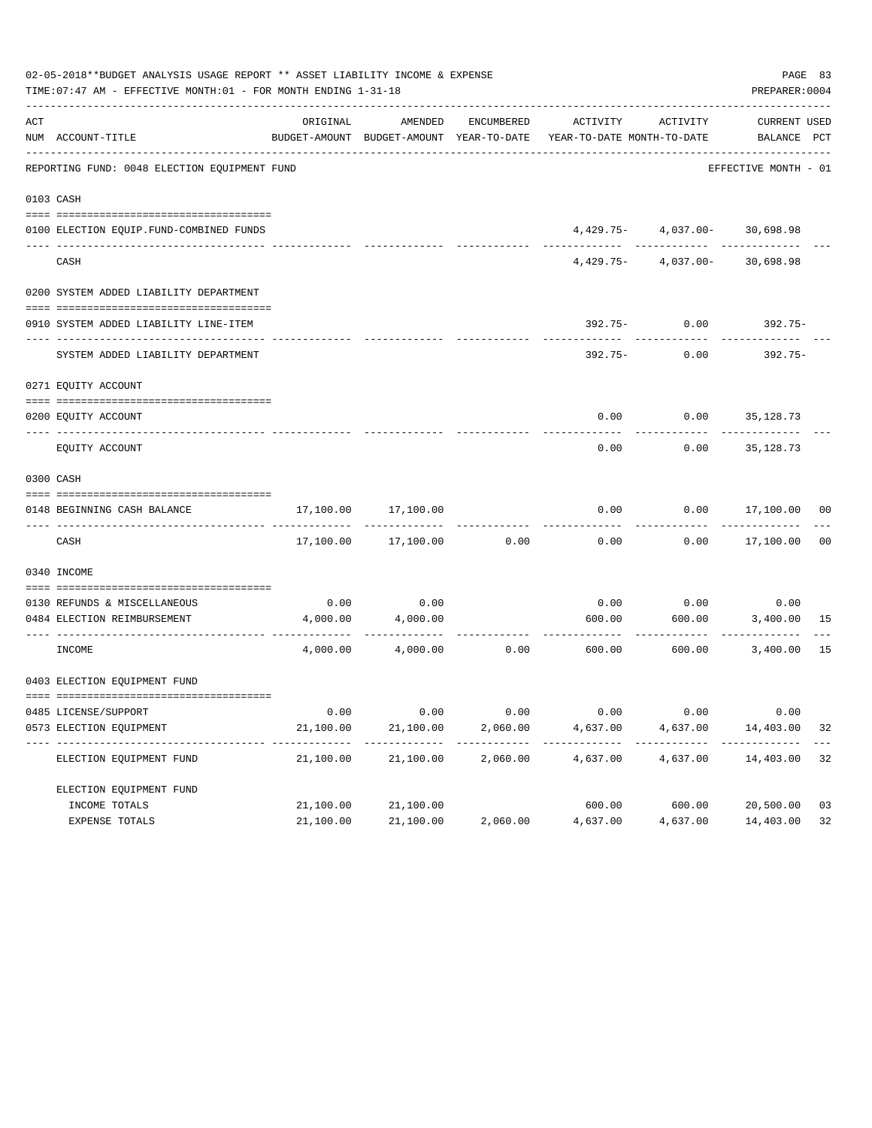| 02-05-2018**BUDGET ANALYSIS USAGE REPORT ** ASSET LIABILITY INCOME & EXPENSE<br>TIME: 07:47 AM - EFFECTIVE MONTH: 01 - FOR MONTH ENDING 1-31-18 |                                              |           |                     |          |                                                                                                                 |                                   |                      |                |  |
|-------------------------------------------------------------------------------------------------------------------------------------------------|----------------------------------------------|-----------|---------------------|----------|-----------------------------------------------------------------------------------------------------------------|-----------------------------------|----------------------|----------------|--|
| ACT                                                                                                                                             | NUM ACCOUNT-TITLE                            | ORIGINAL  | AMENDED             |          | ENCUMBERED ACTIVITY ACTIVITY<br>BUDGET-AMOUNT BUDGET-AMOUNT YEAR-TO-DATE YEAR-TO-DATE MONTH-TO-DATE BALANCE PCT |                                   | CURRENT USED         |                |  |
|                                                                                                                                                 | REPORTING FUND: 0048 ELECTION EQUIPMENT FUND |           |                     |          |                                                                                                                 |                                   | EFFECTIVE MONTH - 01 |                |  |
|                                                                                                                                                 | 0103 CASH                                    |           |                     |          |                                                                                                                 |                                   |                      |                |  |
|                                                                                                                                                 | 0100 ELECTION EQUIP.FUND-COMBINED FUNDS      |           |                     |          |                                                                                                                 | 4,429.75- 4,037.00- 30,698.98     |                      |                |  |
|                                                                                                                                                 | _____________________________<br>CASH        |           |                     |          |                                                                                                                 | $4,429.75 - 4,037.00 - 30,698.98$ |                      |                |  |
|                                                                                                                                                 | 0200 SYSTEM ADDED LIABILITY DEPARTMENT       |           |                     |          |                                                                                                                 |                                   |                      |                |  |
|                                                                                                                                                 | 0910 SYSTEM ADDED LIABILITY LINE-ITEM        |           |                     |          |                                                                                                                 | $392.75 - 0.00$                   | 392.75-              |                |  |
|                                                                                                                                                 | SYSTEM ADDED LIABILITY DEPARTMENT            |           |                     |          | $392.75 -$                                                                                                      | 0.00                              | 392.75-              |                |  |
|                                                                                                                                                 | 0271 EQUITY ACCOUNT                          |           |                     |          |                                                                                                                 |                                   |                      |                |  |
|                                                                                                                                                 | 0200 EQUITY ACCOUNT                          |           |                     |          |                                                                                                                 | $0.00$ $0.00$ $35,128.73$         |                      |                |  |
|                                                                                                                                                 | EQUITY ACCOUNT                               |           |                     |          | 0.00                                                                                                            | 0.00                              | 35,128.73            |                |  |
|                                                                                                                                                 | 0300 CASH                                    |           |                     |          |                                                                                                                 |                                   |                      |                |  |
|                                                                                                                                                 | 0148 BEGINNING CASH BALANCE                  | 17,100.00 | 17,100.00           |          | 0.00                                                                                                            |                                   | $0.00$ 17,100.00 00  |                |  |
|                                                                                                                                                 | CASH                                         |           | 17,100.00 17,100.00 | 0.00     | 0.00                                                                                                            |                                   | $0.00$ 17,100.00     | 0 <sub>0</sub> |  |
|                                                                                                                                                 | 0340 INCOME                                  |           |                     |          |                                                                                                                 |                                   |                      |                |  |
|                                                                                                                                                 | 0130 REFUNDS & MISCELLANEOUS                 | 0.00      | 0.00                |          | 0.00                                                                                                            | 0.00                              | 0.00                 |                |  |
|                                                                                                                                                 | 0484 ELECTION REIMBURSEMENT                  | 4,000.00  | 4,000.00            |          | 600.00                                                                                                          | -----------------------------     | 600.00 3,400.00 15   |                |  |
|                                                                                                                                                 | INCOME                                       |           | 4,000.00 4,000.00   | 0.00     | 600.00                                                                                                          | 600.00                            | 3,400.00             | 15             |  |
|                                                                                                                                                 | 0403 ELECTION EQUIPMENT FUND                 |           |                     |          |                                                                                                                 |                                   |                      |                |  |
|                                                                                                                                                 |                                              |           |                     |          |                                                                                                                 |                                   |                      |                |  |
|                                                                                                                                                 | 0485 LICENSE/SUPPORT                         | 0.00      | 0.00                | 0.00     | 0.00                                                                                                            | 0.00                              | 0.00                 |                |  |
|                                                                                                                                                 | 0573 ELECTION EQUIPMENT                      | 21,100.00 | 21,100.00           | 2,060.00 | 4,637.00                                                                                                        | 4,637.00                          | 14,403.00            | 32             |  |
|                                                                                                                                                 | ELECTION EQUIPMENT FUND                      | 21,100.00 | 21,100.00           | 2,060.00 | 4,637.00                                                                                                        | 4,637.00                          | 14,403.00            | 32             |  |
|                                                                                                                                                 | ELECTION EQUIPMENT FUND                      |           |                     |          |                                                                                                                 |                                   |                      |                |  |
|                                                                                                                                                 | INCOME TOTALS                                | 21,100.00 | 21,100.00           |          | 600.00                                                                                                          | 600.00                            | 20,500.00            | 03             |  |
|                                                                                                                                                 | EXPENSE TOTALS                               | 21,100.00 | 21,100.00           | 2,060.00 | 4,637.00                                                                                                        | 4,637.00                          | 14,403.00            | 32             |  |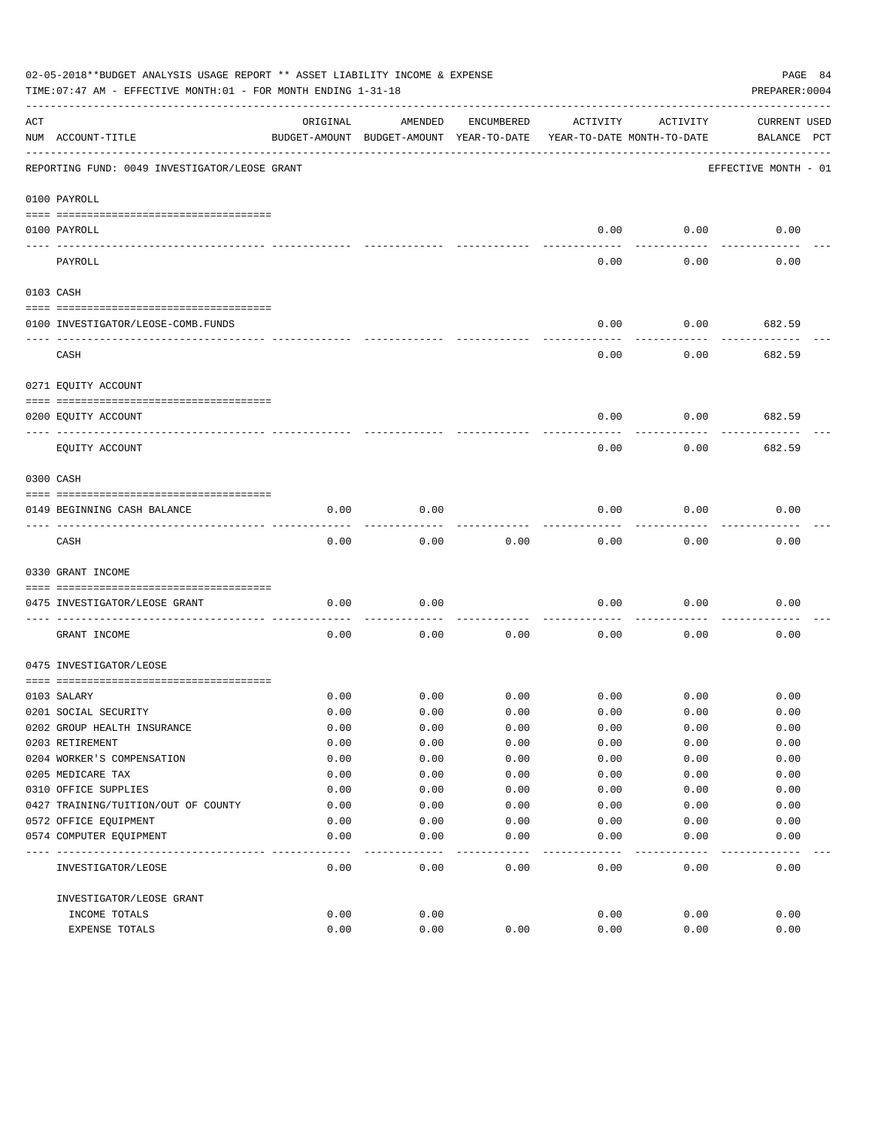|     | 02-05-2018**BUDGET ANALYSIS USAGE REPORT ** ASSET LIABILITY INCOME & EXPENSE<br>PAGE 84<br>TIME: 07:47 AM - EFFECTIVE MONTH: 01 - FOR MONTH ENDING 1-31-18<br>PREPARER: 0004 |          |                                                     |            |                                        |          |                                    |  |  |
|-----|------------------------------------------------------------------------------------------------------------------------------------------------------------------------------|----------|-----------------------------------------------------|------------|----------------------------------------|----------|------------------------------------|--|--|
| ACT | NUM ACCOUNT-TITLE                                                                                                                                                            | ORIGINAL | AMENDED<br>BUDGET-AMOUNT BUDGET-AMOUNT YEAR-TO-DATE | ENCUMBERED | ACTIVITY<br>YEAR-TO-DATE MONTH-TO-DATE | ACTIVITY | <b>CURRENT USED</b><br>BALANCE PCT |  |  |
|     | REPORTING FUND: 0049 INVESTIGATOR/LEOSE GRANT                                                                                                                                |          |                                                     |            |                                        |          | EFFECTIVE MONTH - 01               |  |  |
|     | 0100 PAYROLL                                                                                                                                                                 |          |                                                     |            |                                        |          |                                    |  |  |
|     | 0100 PAYROLL                                                                                                                                                                 |          |                                                     |            | 0.00                                   | 0.00     | 0.00                               |  |  |
|     | ---- ----<br>PAYROLL                                                                                                                                                         |          |                                                     |            | 0.00                                   | 0.00     | 0.00                               |  |  |
|     | 0103 CASH                                                                                                                                                                    |          |                                                     |            |                                        |          |                                    |  |  |
|     | 0100 INVESTIGATOR/LEOSE-COMB.FUNDS                                                                                                                                           |          |                                                     |            | 0.00                                   | 0.00     | 682.59                             |  |  |
|     | CASH                                                                                                                                                                         |          |                                                     |            | 0.00                                   | 0.00     | 682.59                             |  |  |
|     | 0271 EQUITY ACCOUNT                                                                                                                                                          |          |                                                     |            |                                        |          |                                    |  |  |
|     | 0200 EQUITY ACCOUNT<br>_____ _____________                                                                                                                                   |          |                                                     |            | 0.00                                   | 0.00     | 682.59                             |  |  |
|     | EQUITY ACCOUNT                                                                                                                                                               |          |                                                     |            | 0.00                                   | 0.00     | 682.59                             |  |  |
|     | 0300 CASH                                                                                                                                                                    |          |                                                     |            |                                        |          |                                    |  |  |
|     | 0149 BEGINNING CASH BALANCE                                                                                                                                                  | 0.00     | 0.00                                                |            | 0.00                                   | 0.00     | 0.00                               |  |  |
|     | CASH                                                                                                                                                                         | 0.00     | 0.00                                                | 0.00       | 0.00                                   | 0.00     | 0.00                               |  |  |
|     | 0330 GRANT INCOME                                                                                                                                                            |          |                                                     |            |                                        |          |                                    |  |  |
|     | 0475 INVESTIGATOR/LEOSE GRANT                                                                                                                                                | 0.00     | 0.00                                                |            | 0.00                                   | 0.00     | 0.00                               |  |  |
|     | GRANT INCOME                                                                                                                                                                 | 0.00     | 0.00                                                | 0.00       | 0.00                                   | 0.00     | 0.00                               |  |  |
|     | 0475 INVESTIGATOR/LEOSE                                                                                                                                                      |          |                                                     |            |                                        |          |                                    |  |  |
|     | 0103 SALARY                                                                                                                                                                  | 0.00     | 0.00                                                | 0.00       | 0.00                                   | 0.00     | 0.00                               |  |  |
|     | 0201 SOCIAL SECURITY                                                                                                                                                         | 0.00     | 0.00                                                | 0.00       | 0.00                                   | 0.00     | 0.00                               |  |  |
|     | 0202 GROUP HEALTH INSURANCE                                                                                                                                                  | 0.00     | 0.00                                                | 0.00       | 0.00                                   | 0.00     | 0.00                               |  |  |
|     | 0203 RETIREMENT                                                                                                                                                              | 0.00     | 0.00                                                | 0.00       | 0.00                                   | 0.00     | 0.00                               |  |  |
|     | 0204 WORKER'S COMPENSATION                                                                                                                                                   | 0.00     | 0.00                                                | 0.00       | 0.00                                   | 0.00     | 0.00                               |  |  |
|     | 0205 MEDICARE TAX                                                                                                                                                            | 0.00     | 0.00                                                | 0.00       | 0.00                                   | 0.00     | 0.00                               |  |  |
|     | 0310 OFFICE SUPPLIES                                                                                                                                                         | 0.00     | 0.00                                                | 0.00       | 0.00                                   | 0.00     | 0.00                               |  |  |
|     | 0427 TRAINING/TUITION/OUT OF COUNTY                                                                                                                                          | 0.00     | 0.00                                                | 0.00       | 0.00                                   | 0.00     | 0.00                               |  |  |
|     | 0572 OFFICE EQUIPMENT                                                                                                                                                        | 0.00     | 0.00                                                | 0.00       | 0.00                                   | 0.00     | 0.00                               |  |  |
|     | 0574 COMPUTER EQUIPMENT                                                                                                                                                      | 0.00     | 0.00                                                | 0.00       | 0.00                                   | 0.00     | 0.00                               |  |  |
|     | INVESTIGATOR/LEOSE                                                                                                                                                           | 0.00     | 0.00                                                | 0.00       | 0.00                                   | 0.00     | 0.00                               |  |  |
|     | INVESTIGATOR/LEOSE GRANT                                                                                                                                                     |          |                                                     |            |                                        |          |                                    |  |  |
|     | INCOME TOTALS                                                                                                                                                                | 0.00     | 0.00                                                |            | 0.00                                   | 0.00     | 0.00                               |  |  |
|     | EXPENSE TOTALS                                                                                                                                                               | 0.00     | 0.00                                                | 0.00       | 0.00                                   | 0.00     | 0.00                               |  |  |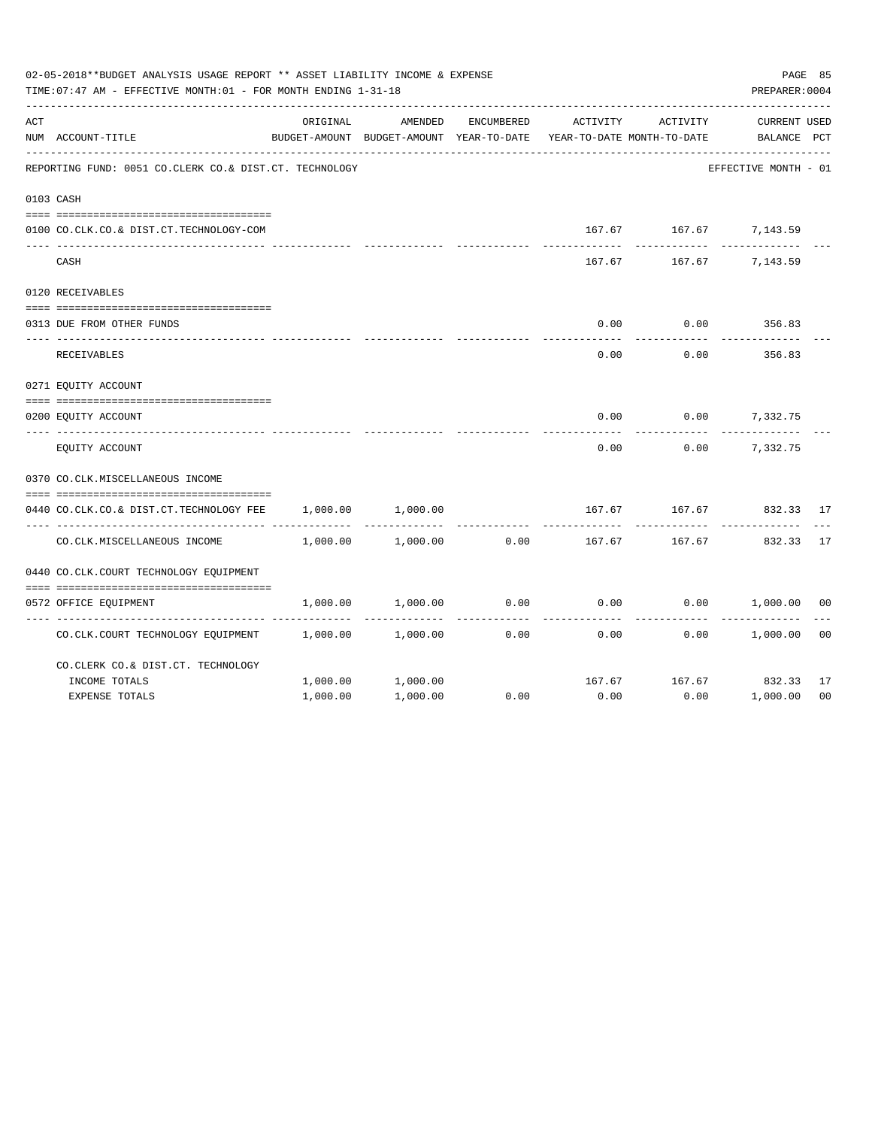|     | 02-05-2018**BUDGET ANALYSIS USAGE REPORT ** ASSET LIABILITY INCOME & EXPENSE<br>TIME: 07:47 AM - EFFECTIVE MONTH: 01 - FOR MONTH ENDING 1-31-18 |          |                                                     |            |                                        |                        | PAGE 85<br>PREPARER: 0004          |                |
|-----|-------------------------------------------------------------------------------------------------------------------------------------------------|----------|-----------------------------------------------------|------------|----------------------------------------|------------------------|------------------------------------|----------------|
| ACT | NUM ACCOUNT-TITLE                                                                                                                               | ORIGINAL | AMENDED<br>BUDGET-AMOUNT BUDGET-AMOUNT YEAR-TO-DATE | ENCUMBERED | ACTIVITY<br>YEAR-TO-DATE MONTH-TO-DATE | ACTIVITY               | <b>CURRENT USED</b><br>BALANCE PCT |                |
|     | REPORTING FUND: 0051 CO.CLERK CO.& DIST.CT. TECHNOLOGY                                                                                          |          |                                                     |            |                                        |                        | EFFECTIVE MONTH - 01               |                |
|     | 0103 CASH                                                                                                                                       |          |                                                     |            |                                        |                        |                                    |                |
|     | 0100 CO.CLK.CO.& DIST.CT.TECHNOLOGY-COM                                                                                                         |          |                                                     |            |                                        | 167.67 167.67 7,143.59 |                                    |                |
|     | CASH                                                                                                                                            |          |                                                     |            | 167.67                                 | 167.67                 | 7,143.59                           |                |
|     | 0120 RECEIVABLES                                                                                                                                |          |                                                     |            |                                        |                        |                                    |                |
|     | 0313 DUE FROM OTHER FUNDS                                                                                                                       |          |                                                     |            | 0.00                                   | 0.00                   | 356.83                             |                |
|     | RECEIVABLES                                                                                                                                     |          |                                                     |            | 0.00                                   | 0.00                   | 356.83                             |                |
|     | 0271 EQUITY ACCOUNT                                                                                                                             |          |                                                     |            |                                        |                        |                                    |                |
|     | 0200 EQUITY ACCOUNT                                                                                                                             |          |                                                     |            | 0.00                                   |                        | $0.00$ 7,332.75                    |                |
|     | EQUITY ACCOUNT                                                                                                                                  |          |                                                     |            | 0.00                                   | 0.00                   | 7,332.75                           |                |
|     | 0370 CO.CLK.MISCELLANEOUS INCOME                                                                                                                |          |                                                     |            |                                        |                        |                                    |                |
|     | 0440 CO.CLK.CO.& DIST.CT.TECHNOLOGY FEE                                                                                                         | 1,000.00 | 1,000.00                                            |            | 167.67                                 | 167.67                 | 832.33 17                          |                |
|     | CO. CLK. MISCELLANEOUS INCOME                                                                                                                   | 1,000.00 | 1,000.00                                            | 0.00       | 167.67                                 | 167.67                 | 832.33                             | 17             |
|     | 0440 CO.CLK.COURT TECHNOLOGY EQUIPMENT                                                                                                          |          |                                                     |            |                                        |                        |                                    |                |
|     | 0572 OFFICE EQUIPMENT                                                                                                                           | 1,000.00 | 1,000.00                                            | 0.00       | 0.00                                   |                        | $0.00$ 1,000.00                    | 0 <sub>0</sub> |
|     | CO.CLK.COURT TECHNOLOGY EQUIPMENT 1,000.00                                                                                                      |          | 1,000.00                                            | 0.00       | 0.00                                   | 0.00                   | 1,000.00                           | 0 <sub>0</sub> |
|     | CO.CLERK CO.& DIST.CT. TECHNOLOGY                                                                                                               |          |                                                     |            |                                        |                        |                                    |                |
|     | INCOME TOTALS                                                                                                                                   | 1,000.00 | 1,000.00                                            |            | 167.67                                 |                        | 167.67 832.33                      | 17             |
|     | <b>EXPENSE TOTALS</b>                                                                                                                           | 1,000.00 | 1,000.00                                            | 0.00       | 0.00                                   | 0.00                   | 1,000.00                           | 0 <sub>0</sub> |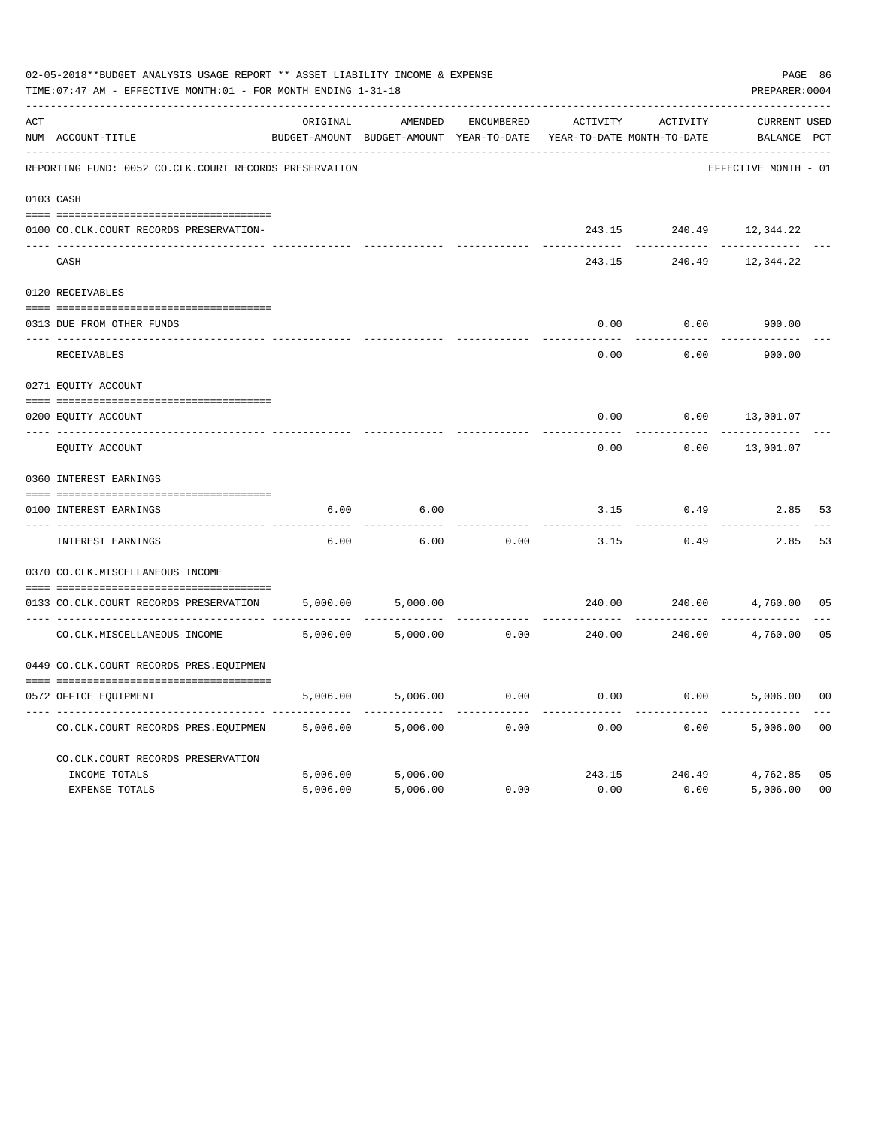|     | 02-05-2018**BUDGET ANALYSIS USAGE REPORT ** ASSET LIABILITY INCOME & EXPENSE<br>TIME: 07:47 AM - EFFECTIVE MONTH: 01 - FOR MONTH ENDING 1-31-18 |          |                                                     |            |                                        |               | PAGE 86<br>PREPARER: 0004   |                |
|-----|-------------------------------------------------------------------------------------------------------------------------------------------------|----------|-----------------------------------------------------|------------|----------------------------------------|---------------|-----------------------------|----------------|
| ACT | NUM ACCOUNT-TITLE                                                                                                                               | ORIGINAL | AMENDED<br>BUDGET-AMOUNT BUDGET-AMOUNT YEAR-TO-DATE | ENCUMBERED | ACTIVITY<br>YEAR-TO-DATE MONTH-TO-DATE | ACTIVITY      | CURRENT USED<br>BALANCE PCT |                |
|     | REPORTING FUND: 0052 CO.CLK.COURT RECORDS PRESERVATION                                                                                          |          |                                                     |            |                                        |               | EFFECTIVE MONTH - 01        |                |
|     | 0103 CASH                                                                                                                                       |          |                                                     |            |                                        |               |                             |                |
|     | 0100 CO.CLK.COURT RECORDS PRESERVATION-                                                                                                         |          |                                                     |            | 243.15                                 | 240.49        | 12,344.22                   |                |
|     | CASH                                                                                                                                            |          |                                                     |            | 243.15                                 | 240.49        | 12,344.22                   |                |
|     | 0120 RECEIVABLES                                                                                                                                |          |                                                     |            |                                        |               |                             |                |
|     | 0313 DUE FROM OTHER FUNDS                                                                                                                       |          |                                                     |            | 0.00                                   | 0.00          | 900.00                      |                |
|     | RECEIVABLES                                                                                                                                     |          |                                                     |            | 0.00                                   | 0.00          | 900.00                      |                |
|     | 0271 EQUITY ACCOUNT                                                                                                                             |          |                                                     |            |                                        |               |                             |                |
|     | 0200 EQUITY ACCOUNT                                                                                                                             |          |                                                     |            | 0.00                                   | 0.00          | 13,001.07                   |                |
|     | ---- ------------<br>EQUITY ACCOUNT                                                                                                             |          |                                                     |            | 0.00                                   | 0.00          | 13,001.07                   |                |
|     | 0360 INTEREST EARNINGS                                                                                                                          |          |                                                     |            |                                        |               |                             |                |
|     | 0100 INTEREST EARNINGS                                                                                                                          | 6.00     | 6.00                                                |            | 3.15                                   | 0.49          | 2.85                        | 53             |
|     | ---- --------------<br>INTEREST EARNINGS                                                                                                        | 6.00     | 6.00                                                | 0.00       | 3.15                                   | 0.49          | 2.85                        | 53             |
|     | 0370 CO.CLK.MISCELLANEOUS INCOME                                                                                                                |          |                                                     |            |                                        |               |                             |                |
|     | 0133 CO.CLK.COURT RECORDS PRESERVATION                                                                                                          | 5,000.00 | 5,000.00                                            |            | 240.00                                 | 240.00        | 4,760.00                    | 05             |
|     | CO. CLK. MISCELLANEOUS INCOME                                                                                                                   | 5,000.00 | 5,000.00                                            | 0.00       | 240.00                                 | 240.00        | 4,760.00                    | 05             |
|     | 0449 CO.CLK.COURT RECORDS PRES.EQUIPMEN                                                                                                         |          |                                                     |            |                                        |               |                             |                |
|     | 0572 OFFICE EQUIPMENT                                                                                                                           | 5,006.00 | 5,006.00                                            | 0.00       | 0.00                                   | 0.00          | 5,006.00                    | 0 <sub>0</sub> |
|     | CO. CLK. COURT RECORDS PRES. EQUIPMEN                                                                                                           | 5,006.00 | 5,006.00                                            | 0.00       | 0.00                                   | 0.00          | 5,006.00                    | 0 <sub>0</sub> |
|     | CO.CLK.COURT RECORDS PRESERVATION                                                                                                               |          |                                                     |            |                                        |               |                             |                |
|     | INCOME TOTALS                                                                                                                                   | 5,006.00 | 5,006.00                                            |            |                                        | 243.15 240.49 | 4,762.85                    | 05             |
|     | EXPENSE TOTALS                                                                                                                                  | 5,006.00 | 5,006.00                                            | 0.00       | 0.00                                   | 0.00          | 5,006.00                    | 0 <sup>0</sup> |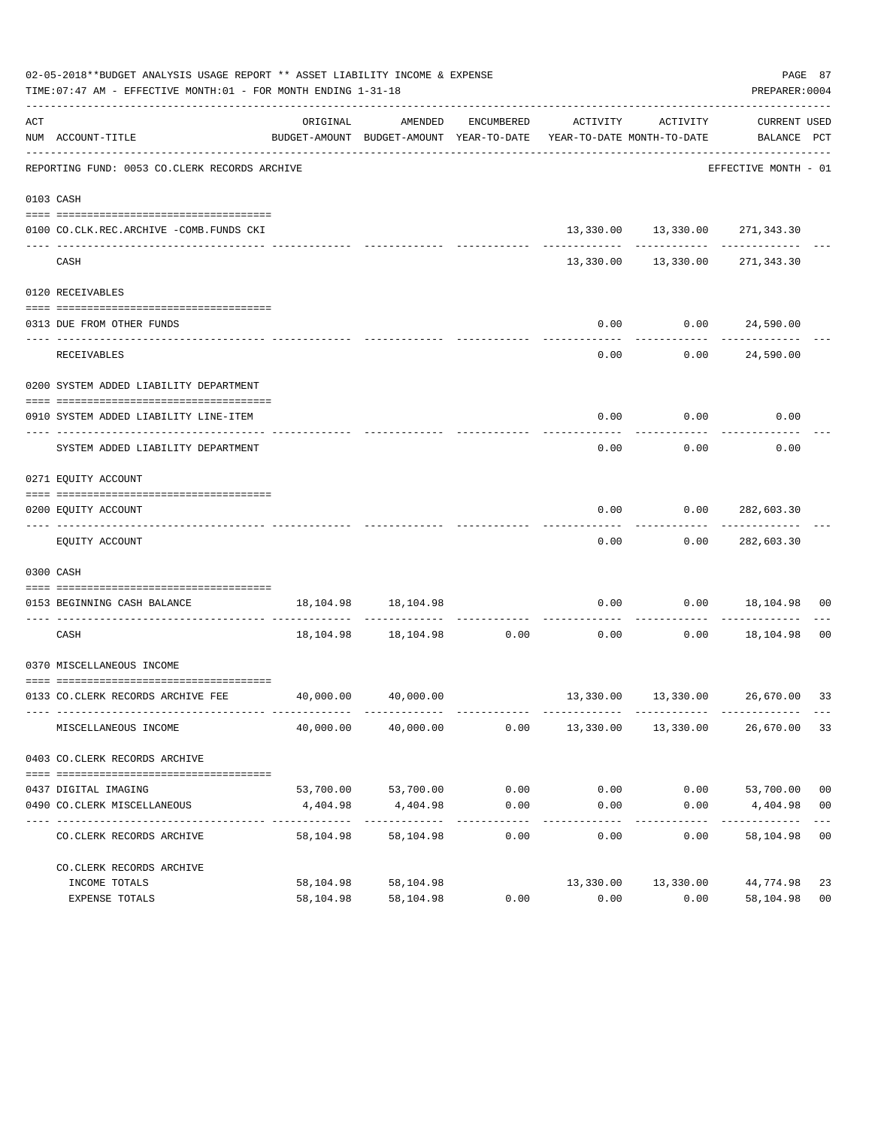|     | 02-05-2018**BUDGET ANALYSIS USAGE REPORT ** ASSET LIABILITY INCOME & EXPENSE<br>TIME: 07:47 AM - EFFECTIVE MONTH: 01 - FOR MONTH ENDING 1-31-18 |                                            |                           |                      |                                                                                 |                                    | PREPARER: 0004                   | PAGE 87        |
|-----|-------------------------------------------------------------------------------------------------------------------------------------------------|--------------------------------------------|---------------------------|----------------------|---------------------------------------------------------------------------------|------------------------------------|----------------------------------|----------------|
| ACT | NUM ACCOUNT-TITLE                                                                                                                               | ORIGINAL                                   | AMENDED                   | ENCUMBERED           | ACTIVITY<br>BUDGET-AMOUNT BUDGET-AMOUNT YEAR-TO-DATE YEAR-TO-DATE MONTH-TO-DATE | ACTIVITY                           | CURRENT USED<br>BALANCE PCT      |                |
|     | REPORTING FUND: 0053 CO.CLERK RECORDS ARCHIVE                                                                                                   |                                            |                           |                      |                                                                                 |                                    | EFFECTIVE MONTH - 01             |                |
|     | 0103 CASH                                                                                                                                       |                                            |                           |                      |                                                                                 |                                    |                                  |                |
|     | 0100 CO.CLK.REC.ARCHIVE -COMB.FUNDS CKI                                                                                                         |                                            |                           |                      |                                                                                 |                                    | 13,330.00 13,330.00 271,343.30   |                |
|     | CASH                                                                                                                                            |                                            |                           |                      |                                                                                 | ---------  ------------  --------- | 13,330.00 13,330.00 271,343.30   |                |
|     | 0120 RECEIVABLES                                                                                                                                |                                            |                           |                      |                                                                                 |                                    |                                  |                |
|     | 0313 DUE FROM OTHER FUNDS                                                                                                                       |                                            |                           |                      | 0.00                                                                            |                                    | 0.00 24,590.00                   |                |
|     | RECEIVABLES                                                                                                                                     |                                            |                           |                      | 0.00                                                                            |                                    | --------------<br>0.00 24,590.00 |                |
|     | 0200 SYSTEM ADDED LIABILITY DEPARTMENT                                                                                                          |                                            |                           |                      |                                                                                 |                                    |                                  |                |
|     | 0910 SYSTEM ADDED LIABILITY LINE-ITEM                                                                                                           |                                            |                           |                      | 0.00                                                                            | 0.00                               | 0.00                             |                |
|     | SYSTEM ADDED LIABILITY DEPARTMENT                                                                                                               |                                            |                           |                      | 0.00                                                                            | 0.00                               | 0.00                             |                |
|     | 0271 EQUITY ACCOUNT                                                                                                                             |                                            |                           |                      |                                                                                 |                                    |                                  |                |
|     | 0200 EQUITY ACCOUNT                                                                                                                             |                                            |                           |                      | 0.00                                                                            |                                    | 0.00 282,603.30                  |                |
|     | EQUITY ACCOUNT                                                                                                                                  |                                            |                           |                      | 0.00                                                                            |                                    | 0.00 282,603.30                  |                |
|     | 0300 CASH                                                                                                                                       |                                            |                           |                      |                                                                                 |                                    |                                  |                |
|     | 0153 BEGINNING CASH BALANCE                                                                                                                     |                                            | 18, 104. 98   18, 104. 98 |                      |                                                                                 | ----------                         | $0.00$ $0.00$ $18,104.98$ 00     |                |
|     | CASH                                                                                                                                            |                                            | 18,104.98 18,104.98 0.00  |                      | 0.00                                                                            |                                    | $0.00$ 18,104.98 00              |                |
|     | 0370 MISCELLANEOUS INCOME                                                                                                                       |                                            |                           |                      |                                                                                 |                                    |                                  |                |
|     | 0133 CO.CLERK RECORDS ARCHIVE FEE 40,000.00 40,000.00                                                                                           |                                            |                           |                      |                                                                                 |                                    | 13,330.00 13,330.00 26,670.00 33 |                |
|     | MISCELLANEOUS INCOME                                                                                                                            | 40,000.00                                  | 40,000.00                 | 0.00                 |                                                                                 | 13,330.00 13,330.00                | 26,670.00                        | 33             |
|     | 0403 CO. CLERK RECORDS ARCHIVE                                                                                                                  |                                            |                           |                      |                                                                                 |                                    |                                  |                |
|     |                                                                                                                                                 |                                            |                           |                      |                                                                                 |                                    |                                  |                |
|     | 0437 DIGITAL IMAGING                                                                                                                            |                                            | 53,700.00 53,700.00       | 0.00                 | 0.00                                                                            |                                    | $0.00$ 53,700.00                 | 0 <sub>0</sub> |
|     | 0490 CO. CLERK MISCELLANEOUS                                                                                                                    | 4,404.98<br>-------------- --------------- | 4,404.98<br>------------- | 0.00<br>------------ | 0.00<br>---------                                                               | 0.00<br>---------                  | 4,404.98<br>--------------       | 0 <sub>0</sub> |
|     | CO. CLERK RECORDS ARCHIVE                                                                                                                       | 58,104.98                                  | 58,104.98                 | 0.00                 | 0.00                                                                            | 0.00                               | 58,104.98                        | 0 <sub>0</sub> |
|     | CO. CLERK RECORDS ARCHIVE                                                                                                                       |                                            |                           |                      |                                                                                 |                                    |                                  |                |
|     | INCOME TOTALS                                                                                                                                   | 58,104.98                                  | 58,104.98                 |                      | 13,330.00                                                                       | 13,330.00                          | 44,774.98                        | 23             |
|     | EXPENSE TOTALS                                                                                                                                  | 58,104.98                                  | 58,104.98                 | 0.00                 | 0.00                                                                            | 0.00                               | 58,104.98                        | 0 <sub>0</sub> |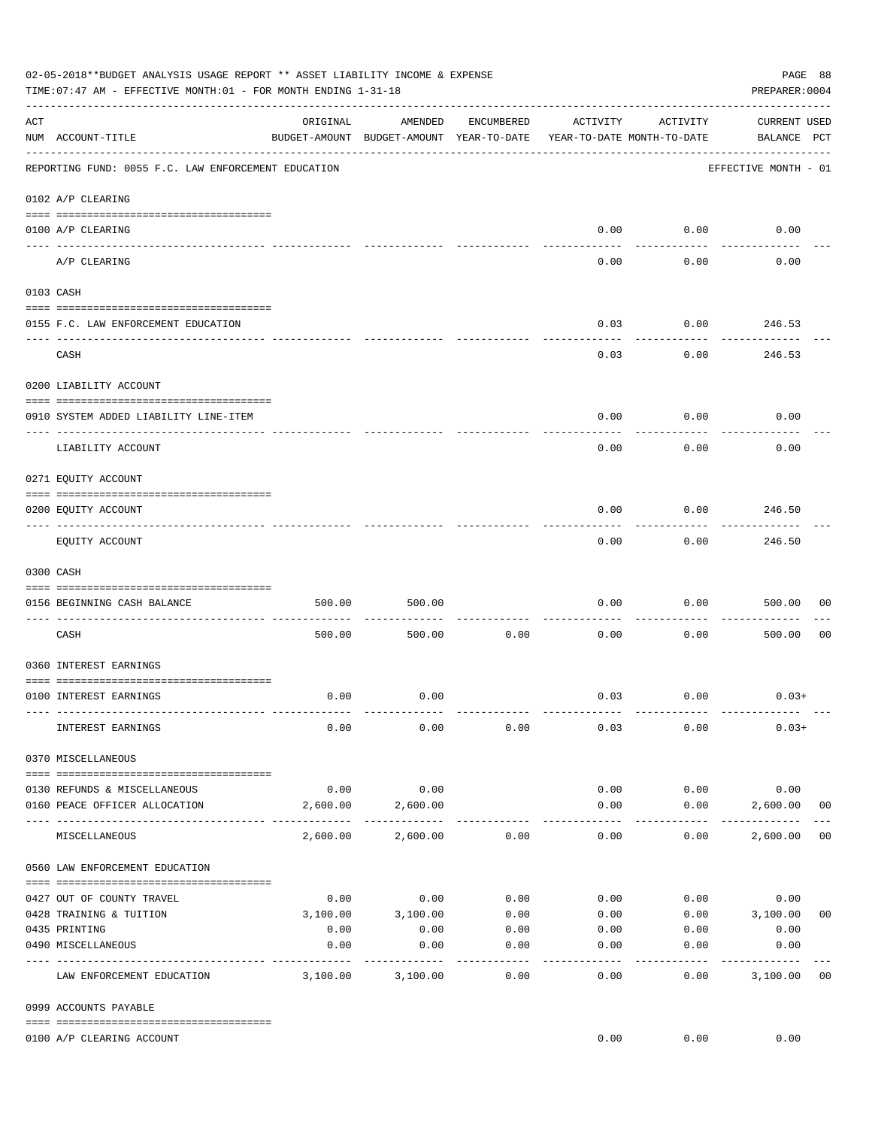|     | 02-05-2018**BUDGET ANALYSIS USAGE REPORT ** ASSET LIABILITY INCOME & EXPENSE<br>PREPARER: 0004<br>TIME:07:47 AM - EFFECTIVE MONTH:01 - FOR MONTH ENDING 1-31-18 |          |                                                     |                 |                                        |                    |                                    |                |  |  |  |  |
|-----|-----------------------------------------------------------------------------------------------------------------------------------------------------------------|----------|-----------------------------------------------------|-----------------|----------------------------------------|--------------------|------------------------------------|----------------|--|--|--|--|
| ACT | NUM ACCOUNT-TITLE                                                                                                                                               | ORIGINAL | AMENDED<br>BUDGET-AMOUNT BUDGET-AMOUNT YEAR-TO-DATE | ENCUMBERED      | ACTIVITY<br>YEAR-TO-DATE MONTH-TO-DATE | ACTIVITY           | <b>CURRENT USED</b><br>BALANCE PCT |                |  |  |  |  |
|     | REPORTING FUND: 0055 F.C. LAW ENFORCEMENT EDUCATION                                                                                                             |          |                                                     |                 |                                        |                    | EFFECTIVE MONTH - 01               |                |  |  |  |  |
|     | 0102 A/P CLEARING                                                                                                                                               |          |                                                     |                 |                                        |                    |                                    |                |  |  |  |  |
|     | 0100 A/P CLEARING                                                                                                                                               |          |                                                     |                 | 0.00                                   | 0.00               | 0.00                               |                |  |  |  |  |
|     | A/P CLEARING                                                                                                                                                    |          |                                                     |                 | 0.00                                   | 0.00               | 0.00                               |                |  |  |  |  |
|     | 0103 CASH                                                                                                                                                       |          |                                                     |                 |                                        |                    |                                    |                |  |  |  |  |
|     | 0155 F.C. LAW ENFORCEMENT EDUCATION                                                                                                                             |          |                                                     |                 | 0.03                                   | 0.00               | 246.53                             |                |  |  |  |  |
|     | CASH                                                                                                                                                            |          |                                                     |                 | 0.03                                   | 0.00               | 246.53                             |                |  |  |  |  |
|     | 0200 LIABILITY ACCOUNT                                                                                                                                          |          |                                                     |                 |                                        |                    |                                    |                |  |  |  |  |
|     | 0910 SYSTEM ADDED LIABILITY LINE-ITEM                                                                                                                           |          |                                                     |                 | 0.00                                   | 0.00               | 0.00                               |                |  |  |  |  |
|     | LIABILITY ACCOUNT                                                                                                                                               |          |                                                     |                 | 0.00                                   | 0.00               | 0.00                               |                |  |  |  |  |
|     | 0271 EQUITY ACCOUNT                                                                                                                                             |          |                                                     |                 |                                        |                    |                                    |                |  |  |  |  |
|     | 0200 EQUITY ACCOUNT                                                                                                                                             |          |                                                     |                 | 0.00                                   | 0.00               | 246.50                             |                |  |  |  |  |
|     | EQUITY ACCOUNT                                                                                                                                                  |          |                                                     |                 | 0.00                                   | ---------<br>0.00  | . <u>.</u><br>246.50               |                |  |  |  |  |
|     | 0300 CASH                                                                                                                                                       |          |                                                     |                 |                                        |                    |                                    |                |  |  |  |  |
|     | 0156 BEGINNING CASH BALANCE                                                                                                                                     | 500.00   | 500.00                                              |                 | 0.00                                   | 0.00               | 500.00                             | 00             |  |  |  |  |
|     | CASH                                                                                                                                                            | 500.00   | 500.00                                              | 0.00            | 0.00                                   | 0.00               | 500.00                             | 0 <sub>0</sub> |  |  |  |  |
|     | 0360 INTEREST EARNINGS                                                                                                                                          |          |                                                     |                 |                                        |                    |                                    |                |  |  |  |  |
|     | 0100 INTEREST EARNINGS                                                                                                                                          | 0.00     | 0.00                                                |                 |                                        | $0.03$ 0.00        | $0.03+$                            |                |  |  |  |  |
|     | INTEREST EARNINGS                                                                                                                                               | 0.00     | 0.00                                                | 0.00            | 0.03                                   | 0.00               | $0.03+$                            |                |  |  |  |  |
|     | 0370 MISCELLANEOUS                                                                                                                                              |          |                                                     |                 |                                        |                    |                                    |                |  |  |  |  |
|     | 0130 REFUNDS & MISCELLANEOUS                                                                                                                                    | 0.00     | 0.00                                                |                 | 0.00                                   | 0.00               | 0.00                               |                |  |  |  |  |
|     | 0160 PEACE OFFICER ALLOCATION                                                                                                                                   | 2,600.00 | 2,600.00                                            |                 | 0.00                                   | 0.00               | 2,600.00<br>--------------         | 0 <sub>0</sub> |  |  |  |  |
|     | MISCELLANEOUS                                                                                                                                                   | 2,600.00 | 2,600.00                                            | 0.00            | $- - - - - -$<br>0.00                  | ----------<br>0.00 | 2,600.00                           | 0 <sub>0</sub> |  |  |  |  |
|     | 0560 LAW ENFORCEMENT EDUCATION                                                                                                                                  |          |                                                     |                 |                                        |                    |                                    |                |  |  |  |  |
|     | 0427 OUT OF COUNTY TRAVEL                                                                                                                                       | 0.00     | 0.00                                                | 0.00            | 0.00                                   |                    | 0.00<br>0.00                       |                |  |  |  |  |
|     | 0428 TRAINING & TUITION                                                                                                                                         |          | 3,100.00 3,100.00                                   | 0.00            |                                        |                    | $0.00$ $0.00$ $3,100.00$           | 0 <sub>0</sub> |  |  |  |  |
|     | 0435 PRINTING                                                                                                                                                   | 0.00     | 0.00                                                | 0.00            |                                        | $0.00$ 0.00        | 0.00                               |                |  |  |  |  |
|     | 0490 MISCELLANEOUS                                                                                                                                              | 0.00     | 0.00                                                | 0.00<br>------- | 0.00                                   | 0.00               | 0.00                               |                |  |  |  |  |
|     | LAW ENFORCEMENT EDUCATION                                                                                                                                       | 3,100.00 | 3,100.00                                            | 0.00            | 0.00                                   | 0.00               | 3,100.00                           | 0 <sub>0</sub> |  |  |  |  |
|     | 0999 ACCOUNTS PAYABLE                                                                                                                                           |          |                                                     |                 |                                        |                    |                                    |                |  |  |  |  |
|     | 0100 A/P CLEARING ACCOUNT                                                                                                                                       |          |                                                     |                 | 0.00                                   | 0.00               | 0.00                               |                |  |  |  |  |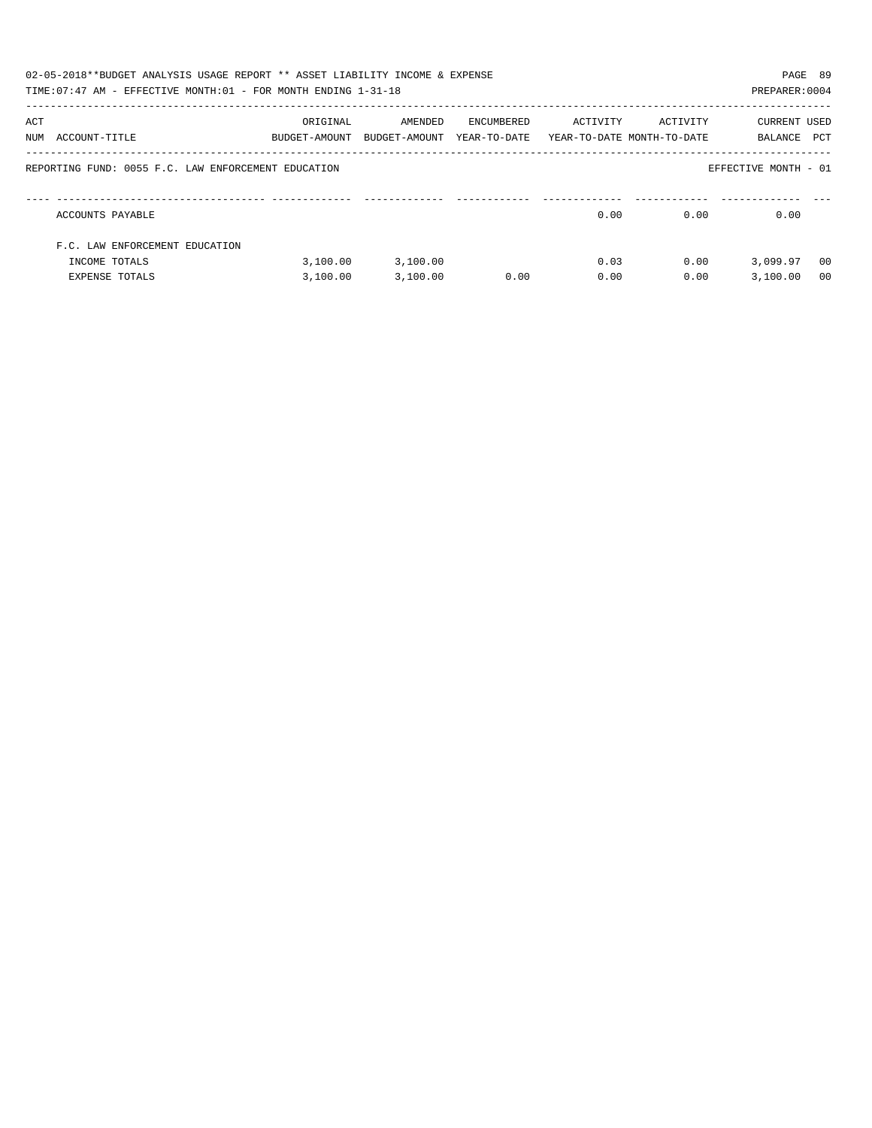|     | 02-05-2018**BUDGET ANALYSIS USAGE REPORT ** ASSET LIABILITY INCOME & EXPENSE<br>TIME: 07:47 AM - EFFECTIVE MONTH: 01 - FOR MONTH ENDING 1-31-18 |                           |                          |                            |                                        |          | PAGE 89<br>PREPARER: 0004 |                |
|-----|-------------------------------------------------------------------------------------------------------------------------------------------------|---------------------------|--------------------------|----------------------------|----------------------------------------|----------|---------------------------|----------------|
| ACT | NUM ACCOUNT-TITLE                                                                                                                               | ORIGINAL<br>BUDGET-AMOUNT | AMENDED<br>BUDGET-AMOUNT | ENCUMBERED<br>YEAR-TO-DATE | ACTIVITY<br>YEAR-TO-DATE MONTH-TO-DATE | ACTIVITY | CURRENT USED<br>BALANCE   | PCT            |
|     | REPORTING FUND: 0055 F.C. LAW ENFORCEMENT EDUCATION                                                                                             |                           |                          |                            |                                        |          | EFFECTIVE MONTH - 01      |                |
|     | ACCOUNTS PAYABLE                                                                                                                                |                           |                          |                            | 0.00                                   | 0.00     | 0.00                      |                |
|     | F.C. LAW ENFORCEMENT EDUCATION                                                                                                                  |                           |                          |                            |                                        |          |                           |                |
|     | INCOME TOTALS                                                                                                                                   | 3,100.00                  | 3,100.00                 |                            | 0.03                                   | 0.00     | 3,099.97                  | - 00           |
|     | <b>EXPENSE TOTALS</b>                                                                                                                           | 3.100.00                  | 3,100.00                 | 0.00                       | 0.00                                   | 0.00     | 3,100.00                  | 0 <sub>0</sub> |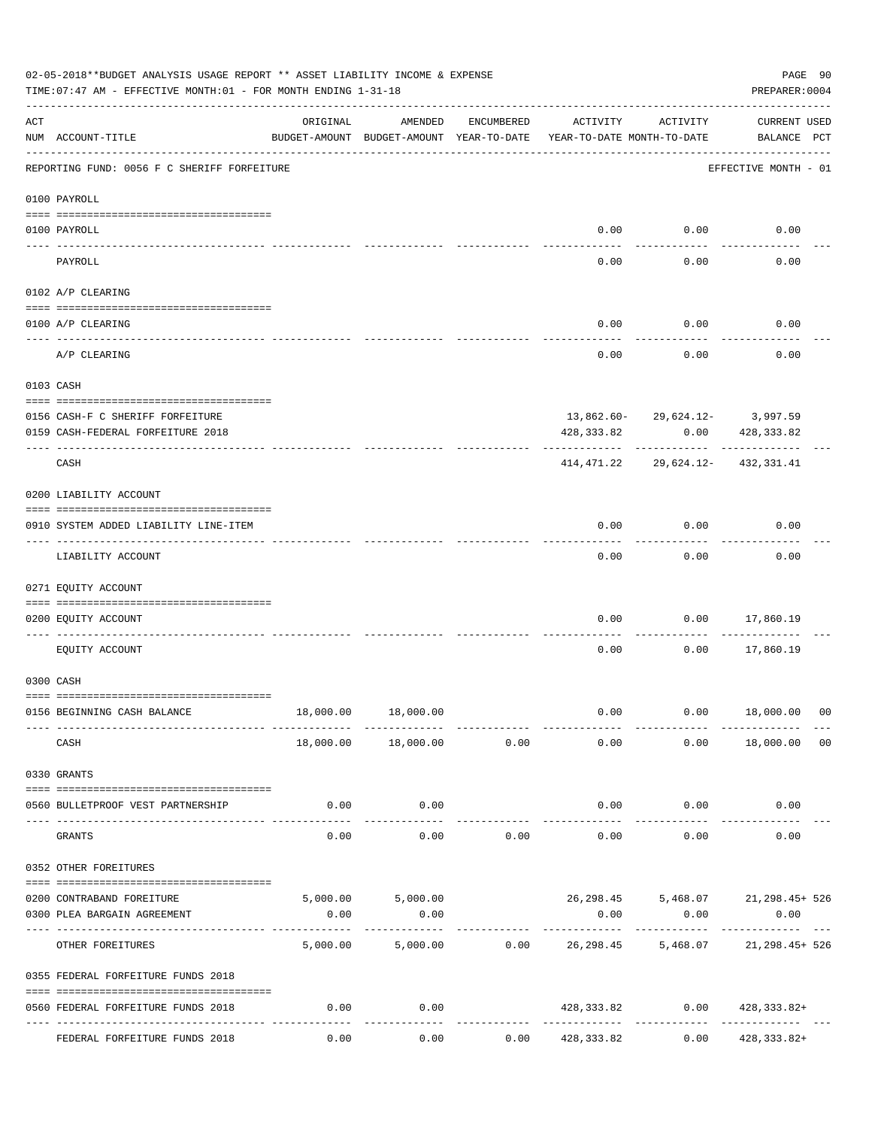|            | 02-05-2018**BUDGET ANALYSIS USAGE REPORT ** ASSET LIABILITY INCOME & EXPENSE<br>TIME: 07:47 AM - EFFECTIVE MONTH: 01 - FOR MONTH ENDING 1-31-18 |          |                                                     |               |                                        |                       | PREPARER: 0004                                           | PAGE 90        |
|------------|-------------------------------------------------------------------------------------------------------------------------------------------------|----------|-----------------------------------------------------|---------------|----------------------------------------|-----------------------|----------------------------------------------------------|----------------|
| ACT        | NUM ACCOUNT-TITLE                                                                                                                               | ORIGINAL | AMENDED<br>BUDGET-AMOUNT BUDGET-AMOUNT YEAR-TO-DATE | ENCUMBERED    | ACTIVITY<br>YEAR-TO-DATE MONTH-TO-DATE | ACTIVITY              | <b>CURRENT USED</b><br>BALANCE PCT                       |                |
|            | REPORTING FUND: 0056 F C SHERIFF FORFEITURE                                                                                                     |          |                                                     |               |                                        |                       | EFFECTIVE MONTH - 01                                     |                |
|            | 0100 PAYROLL                                                                                                                                    |          |                                                     |               |                                        |                       |                                                          |                |
|            | 0100 PAYROLL                                                                                                                                    |          |                                                     |               | 0.00                                   | 0.00                  | 0.00                                                     |                |
| ----- ---- | ------------------------- --------<br>PAYROLL                                                                                                   |          |                                                     |               | 0.00                                   | 0.00                  | 0.00                                                     |                |
|            | 0102 A/P CLEARING                                                                                                                               |          |                                                     |               |                                        |                       |                                                          |                |
|            | 0100 A/P CLEARING                                                                                                                               |          |                                                     |               | 0.00                                   | 0.00                  | 0.00                                                     |                |
|            | A/P CLEARING                                                                                                                                    |          |                                                     |               | 0.00                                   | 0.00                  | 0.00                                                     |                |
|            | 0103 CASH                                                                                                                                       |          |                                                     |               |                                        |                       |                                                          |                |
|            | 0156 CASH-F C SHERIFF FORFEITURE<br>0159 CASH-FEDERAL FORFEITURE 2018                                                                           |          |                                                     |               | 428,333.82                             |                       | $13,862.60 - 29,624.12 - 3,997.59$<br>0.00<br>428,333.82 |                |
|            | CASH                                                                                                                                            |          |                                                     |               |                                        |                       | 414, 471. 22 29, 624. 12- 432, 331. 41                   |                |
|            | 0200 LIABILITY ACCOUNT                                                                                                                          |          |                                                     |               |                                        |                       |                                                          |                |
|            | 0910 SYSTEM ADDED LIABILITY LINE-ITEM                                                                                                           |          |                                                     |               | 0.00                                   | 0.00                  | 0.00                                                     |                |
|            | LIABILITY ACCOUNT                                                                                                                               |          |                                                     |               | 0.00                                   | 0.00                  | 0.00                                                     |                |
|            | 0271 EQUITY ACCOUNT                                                                                                                             |          |                                                     |               |                                        |                       |                                                          |                |
|            | 0200 EQUITY ACCOUNT                                                                                                                             |          |                                                     |               | 0.00                                   | 0.00                  | 17,860.19                                                |                |
|            | EQUITY ACCOUNT                                                                                                                                  |          |                                                     |               | 0.00                                   | 0.00                  | 17,860.19                                                |                |
|            | 0300 CASH                                                                                                                                       |          |                                                     |               |                                        |                       |                                                          |                |
|            | 0156 BEGINNING CASH BALANCE                                                                                                                     |          | 18,000.00  18,000.00                                | ------------  | 0.00                                   |                       | $0.00$ 18,000.00 00                                      |                |
|            | CASH                                                                                                                                            |          | 18,000.00  18,000.00  0.00                          |               | 0.00                                   |                       | $0.00$ 18,000.00                                         | 0 <sub>0</sub> |
|            | 0330 GRANTS                                                                                                                                     |          |                                                     |               |                                        |                       |                                                          |                |
|            | 0560 BULLETPROOF VEST PARTNERSHIP                                                                                                               | 0.00     | 0.00                                                |               |                                        | $0.00$ 0.00           | 0.00                                                     |                |
|            | GRANTS                                                                                                                                          | 0.00     | . <u>.</u> .<br>0.00                                | 0.00          | 0.00                                   | ----------<br>0.00    | 0.00                                                     |                |
|            | 0352 OTHER FOREITURES                                                                                                                           |          |                                                     |               |                                        |                       |                                                          |                |
|            | 0200 CONTRABAND FOREITURE                                                                                                                       |          |                                                     |               |                                        |                       | 5,000.00 5,000.00 26,298.45 5,468.07 21,298.45 526       |                |
|            | 0300 PLEA BARGAIN AGREEMENT                                                                                                                     | 0.00     | 0.00                                                |               | 0.00<br>-------------                  | 0.00<br>------------- | 0.00                                                     |                |
|            | OTHER FOREITURES                                                                                                                                | 5,000.00 |                                                     | 5,000.00 0.00 |                                        |                       | 26, 298. 45 5, 468. 07 21, 298. 45+ 526                  |                |
|            | 0355 FEDERAL FORFEITURE FUNDS 2018                                                                                                              |          |                                                     |               |                                        |                       |                                                          |                |
|            | 0560 FEDERAL FORFEITURE FUNDS 2018                                                                                                              | 0.00     | 0.00                                                |               | --------------                         | -------------         | 428,333.82 0.00 428,333.82+<br>-------------             |                |
|            | FEDERAL FORFEITURE FUNDS 2018                                                                                                                   | 0.00     | 0.00                                                |               | $0.00$ $428,333.82$                    | 0.00                  | 428, 333.82+                                             |                |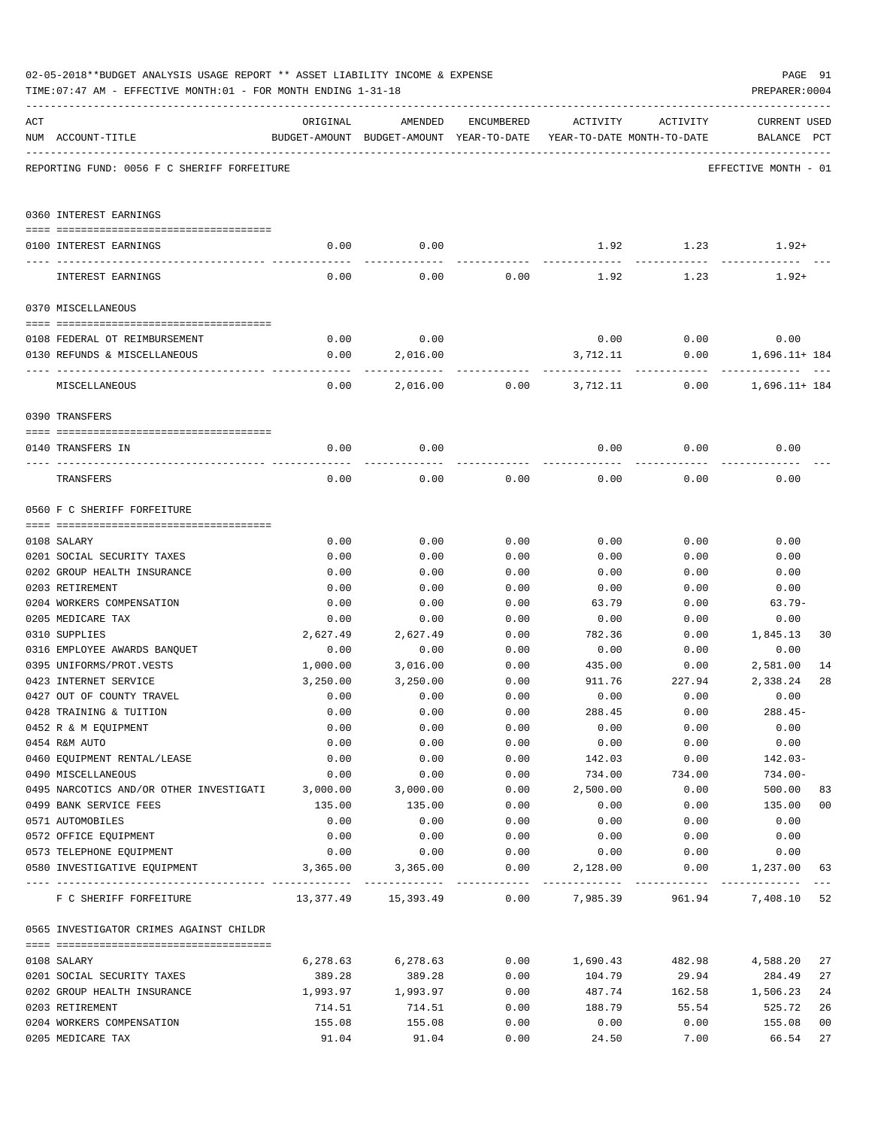|     | 02-05-2018**BUDGET ANALYSIS USAGE REPORT ** ASSET LIABILITY INCOME & EXPENSE<br>TIME: 07:47 AM - EFFECTIVE MONTH: 01 - FOR MONTH ENDING 1-31-18 |                  |                                           |              |                |                            | PAGE 91<br>PREPARER: 0004 |                |
|-----|-------------------------------------------------------------------------------------------------------------------------------------------------|------------------|-------------------------------------------|--------------|----------------|----------------------------|---------------------------|----------------|
| ACT |                                                                                                                                                 | ORIGINAL         | AMENDED                                   | ENCUMBERED   | ACTIVITY       | ACTIVITY                   | <b>CURRENT USED</b>       |                |
|     | NUM ACCOUNT-TITLE                                                                                                                               |                  | BUDGET-AMOUNT BUDGET-AMOUNT YEAR-TO-DATE  |              |                | YEAR-TO-DATE MONTH-TO-DATE | BALANCE PCT               |                |
|     | REPORTING FUND: 0056 F C SHERIFF FORFEITURE                                                                                                     |                  |                                           |              |                |                            | EFFECTIVE MONTH - 01      |                |
|     | 0360 INTEREST EARNINGS                                                                                                                          |                  |                                           |              |                |                            |                           |                |
|     | 0100 INTEREST EARNINGS                                                                                                                          | 0.00             | 0.00                                      |              | 1.92           | 1.23                       | $1.92+$                   |                |
|     | INTEREST EARNINGS                                                                                                                               | 0.00             | 0.00                                      | 0.00         | 1.92           | 1.23                       | $1.92+$                   |                |
|     | 0370 MISCELLANEOUS                                                                                                                              |                  |                                           |              |                |                            |                           |                |
|     |                                                                                                                                                 |                  |                                           |              |                |                            |                           |                |
|     | 0108 FEDERAL OT REIMBURSEMENT                                                                                                                   | 0.00             | 0.00                                      |              |                | $0.00$ 0.00                | 0.00                      |                |
|     | 0130 REFUNDS & MISCELLANEOUS                                                                                                                    | 0.00             | 2,016.00                                  |              | 3,712.11       |                            | 0.00<br>1,696.11+ 184     |                |
|     | MISCELLANEOUS                                                                                                                                   | 0.00             | 2,016.00                                  | 0.00         | 3,712.11       | 0.00                       | $1,696.11+184$            |                |
|     | 0390 TRANSFERS                                                                                                                                  |                  |                                           |              |                |                            |                           |                |
|     | 0140 TRANSFERS IN                                                                                                                               | 0.00             | 0.00                                      |              | 0.00           | 0.00                       | 0.00                      |                |
|     | TRANSFERS                                                                                                                                       | 0.00             | 0.00                                      | 0.00         | 0.00           | 0.00                       | 0.00                      |                |
|     | 0560 F C SHERIFF FORFEITURE                                                                                                                     |                  |                                           |              |                |                            |                           |                |
|     |                                                                                                                                                 |                  |                                           |              |                |                            |                           |                |
|     | 0108 SALARY                                                                                                                                     | 0.00             | 0.00                                      | 0.00         | 0.00           | 0.00                       | 0.00                      |                |
|     | 0201 SOCIAL SECURITY TAXES                                                                                                                      | 0.00             | 0.00                                      | 0.00         | 0.00           | 0.00                       | 0.00                      |                |
|     | 0202 GROUP HEALTH INSURANCE                                                                                                                     | 0.00             | 0.00                                      | 0.00         | 0.00           | 0.00                       | 0.00                      |                |
|     | 0203 RETIREMENT                                                                                                                                 | 0.00             | 0.00                                      | 0.00         | 0.00           | 0.00                       | 0.00                      |                |
|     | 0204 WORKERS COMPENSATION                                                                                                                       | 0.00             | 0.00                                      | 0.00         | 63.79          | 0.00                       | $63.79-$                  |                |
|     | 0205 MEDICARE TAX                                                                                                                               | 0.00             | 0.00                                      | 0.00         | 0.00           | 0.00                       | 0.00                      |                |
|     | 0310 SUPPLIES                                                                                                                                   | 2,627.49         | 2,627.49<br>0.00                          | 0.00         | 782.36         | 0.00                       | 1,845.13                  | 30             |
|     | 0316 EMPLOYEE AWARDS BANQUET                                                                                                                    | 0.00             |                                           | 0.00         | 0.00           | 0.00                       | 0.00                      |                |
|     | 0395 UNIFORMS/PROT.VESTS                                                                                                                        | 1,000.00         | 3,016.00                                  | 0.00         | 435.00         | 0.00                       | 2,581.00                  | 14             |
|     | 0423 INTERNET SERVICE                                                                                                                           | 3,250.00<br>0.00 | 3,250.00<br>0.00                          | 0.00<br>0.00 | 911.76<br>0.00 | 227.94<br>0.00             | 2,338.24<br>0.00          | 28             |
|     | 0427 OUT OF COUNTY TRAVEL                                                                                                                       |                  | 0.00                                      |              |                |                            |                           |                |
|     | 0428 TRAINING & TUITION<br>0452 R & M EQUIPMENT                                                                                                 | 0.00<br>0.00     | 0.00                                      | 0.00<br>0.00 | 288.45<br>0.00 | 0.00<br>0.00               | $288.45-$<br>0.00         |                |
|     | 0454 R&M AUTO                                                                                                                                   | 0.00             | 0.00                                      | 0.00         | 0.00           | 0.00                       | 0.00                      |                |
|     | 0460 EQUIPMENT RENTAL/LEASE                                                                                                                     | 0.00             | 0.00                                      | 0.00         | 142.03         | 0.00                       | $142.03-$                 |                |
|     | 0490 MISCELLANEOUS                                                                                                                              | 0.00             | 0.00                                      | 0.00         | 734.00         | 734.00                     | $734.00 -$                |                |
|     | 0495 NARCOTICS AND/OR OTHER INVESTIGATI                                                                                                         | 3,000.00         | 3,000.00                                  | 0.00         | 2,500.00       | 0.00                       | 500.00                    | 83             |
|     | 0499 BANK SERVICE FEES                                                                                                                          | 135.00           | 135.00                                    | 0.00         | 0.00           | 0.00                       | 135.00                    | 0 <sub>0</sub> |
|     | 0571 AUTOMOBILES                                                                                                                                | 0.00             | 0.00                                      | 0.00         | 0.00           | 0.00                       | 0.00                      |                |
|     | 0572 OFFICE EQUIPMENT                                                                                                                           | 0.00             | 0.00                                      | 0.00         | 0.00           | 0.00                       | 0.00                      |                |
|     | 0573 TELEPHONE EQUIPMENT                                                                                                                        | 0.00             | 0.00                                      | 0.00         | 0.00           | 0.00                       | 0.00                      |                |
|     | 0580 INVESTIGATIVE EQUIPMENT                                                                                                                    |                  | $3,365.00$ $3,365.00$                     | 0.00         | 2,128.00       |                            | 0.00<br>1,237.00          | 63             |
|     | F C SHERIFF FORFEITURE                                                                                                                          |                  | $13,377.49$ $15,393.49$ $0.00$ $7,985.39$ |              |                | 961.94                     | 7,408.10 52               |                |
|     | 0565 INVESTIGATOR CRIMES AGAINST CHILDR                                                                                                         |                  |                                           |              |                |                            |                           |                |
|     | 0108 SALARY                                                                                                                                     | 6,278.63         | 6,278.63                                  | 0.00         | 1,690.43       | 482.98                     | 4,588.20                  | 27             |
|     | 0201 SOCIAL SECURITY TAXES                                                                                                                      | 389.28           | 389.28                                    | 0.00         | 104.79         | 29.94                      | 284.49                    | 27             |
|     | 0202 GROUP HEALTH INSURANCE                                                                                                                     | 1,993.97         | 1,993.97                                  | 0.00         | 487.74         | 162.58                     | 1,506.23                  | 24             |
|     | 0203 RETIREMENT                                                                                                                                 | 714.51           | 714.51                                    | 0.00         | 188.79         | 55.54                      | 525.72                    | 26             |
|     | 0204 WORKERS COMPENSATION                                                                                                                       | 155.08           | 155.08                                    | 0.00         | 0.00           | 0.00                       | 155.08                    | 0 <sub>0</sub> |
|     | 0205 MEDICARE TAX                                                                                                                               | 91.04            | 91.04                                     | 0.00         | 24.50          | 7.00                       | 66.54                     | 27             |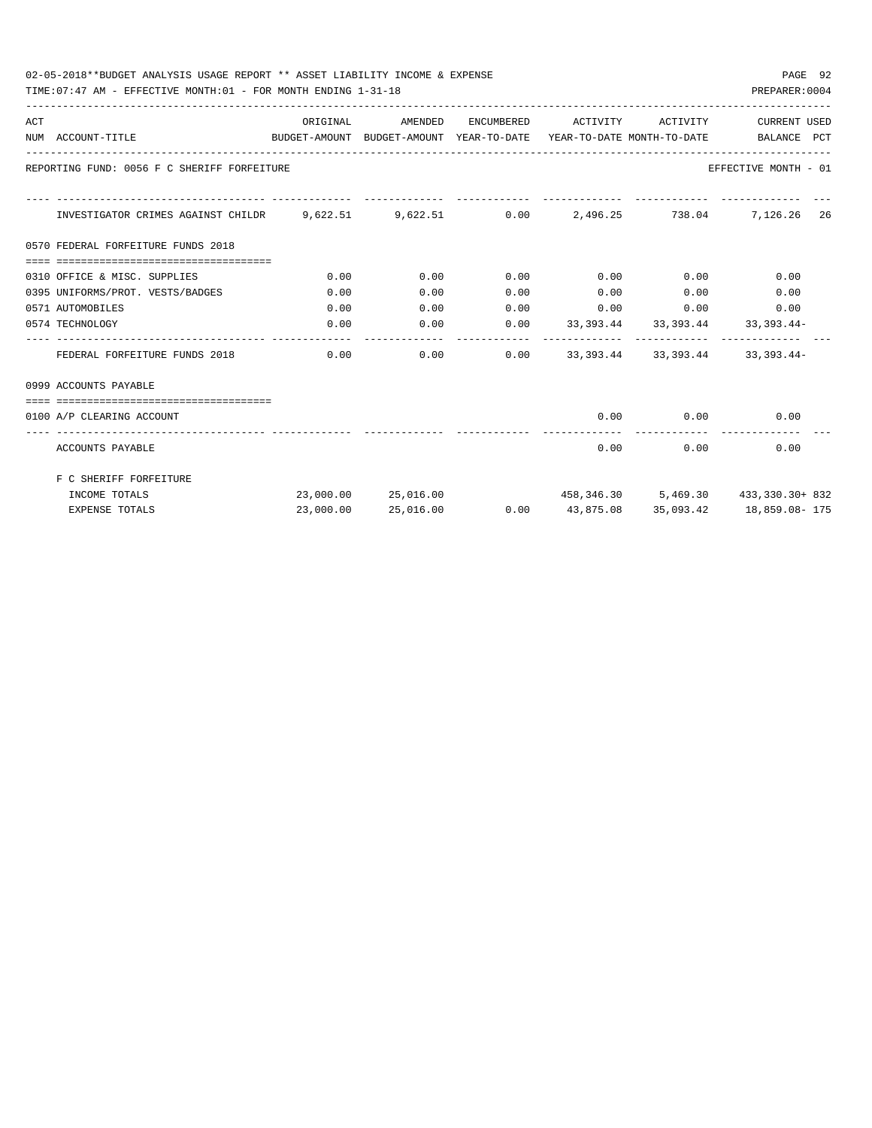| 02-05-2018**BUDGET ANALYSIS USAGE REPORT ** ASSET LIABILITY INCOME & EXPENSE | PAGE 92        |  |
|------------------------------------------------------------------------------|----------------|--|
| TIME: 07:47 AM - EFFECTIVE MONTH: 01 - FOR MONTH ENDING 1-31-18              | PREPARER: 0004 |  |

| ACT |                                                                                          |           | ORIGINAL AMENDED ENCUMBERED ACTIVITY ACTIVITY |      |             |                       | CURRENT USED                                           |  |
|-----|------------------------------------------------------------------------------------------|-----------|-----------------------------------------------|------|-------------|-----------------------|--------------------------------------------------------|--|
|     | BUDGET-AMOUNT BUDGET-AMOUNT YEAR-TO-DATE YEAR-TO-DATE MONTH-TO-DATE<br>NUM ACCOUNT-TITLE |           |                                               |      |             |                       | BALANCE PCT                                            |  |
|     | REPORTING FUND: 0056 F C SHERIFF FORFEITURE                                              |           |                                               |      |             |                       | EFFECTIVE MONTH - 01                                   |  |
|     | INVESTIGATOR CRIMES AGAINST CHILDR 9,622.51 9,622.51 0.00 2,496.25 738.04 7,126.26 26    |           |                                               |      |             |                       |                                                        |  |
|     | 0570 FEDERAL FORFEITURE FUNDS 2018                                                       |           |                                               |      |             |                       |                                                        |  |
|     |                                                                                          |           |                                               |      |             |                       |                                                        |  |
|     | 0310 OFFICE & MISC. SUPPLIES                                                             | 0.00      | 0.00                                          | 0.00 | $0.00$ 0.00 |                       | 0.00                                                   |  |
|     | 0395 UNIFORMS/PROT. VESTS/BADGES                                                         | 0.00      | 0.00                                          | 0.00 |             |                       | $0.00$ $0.00$ $0.00$ $0.00$                            |  |
|     | 0571 AUTOMOBILES                                                                         | 0.00      | 0.00                                          | 0.00 |             |                       | $0.00$ $0.00$ $0.00$ $0.00$                            |  |
|     | 0574 TECHNOLOGY                                                                          | 0.00      | 0.00                                          |      |             |                       | $0.00$ $33,393.44$ $33,393.44$ $33,393.44$             |  |
|     | FEDERAL FORFEITURE FUNDS 2018                                                            | 0.00      |                                               | 0.00 |             |                       | $0.00$ $33,393.44$ $33,393.44$ $33,393.44$             |  |
|     | 0999 ACCOUNTS PAYABLE                                                                    |           |                                               |      |             |                       |                                                        |  |
|     | __________________________________                                                       |           |                                               |      |             |                       |                                                        |  |
|     | 0100 A/P CLEARING ACCOUNT                                                                |           |                                               |      |             |                       | $0.00$ $0.00$ $0.00$                                   |  |
|     | ACCOUNTS PAYABLE                                                                         |           |                                               |      | 0.00        | -------------<br>0.00 | 0.00                                                   |  |
|     | F C SHERIFF FORFEITURE                                                                   |           |                                               |      |             |                       |                                                        |  |
|     | INCOME TOTALS                                                                            |           |                                               |      |             |                       | 23,000.00 25,016.00 458,346.30 5,469.30 433,330.30+832 |  |
|     | <b>EXPENSE TOTALS</b>                                                                    | 23,000.00 | 25,016.00                                     |      |             |                       | $0.00$ 43,875.08 35,093.42 18,859.08-175               |  |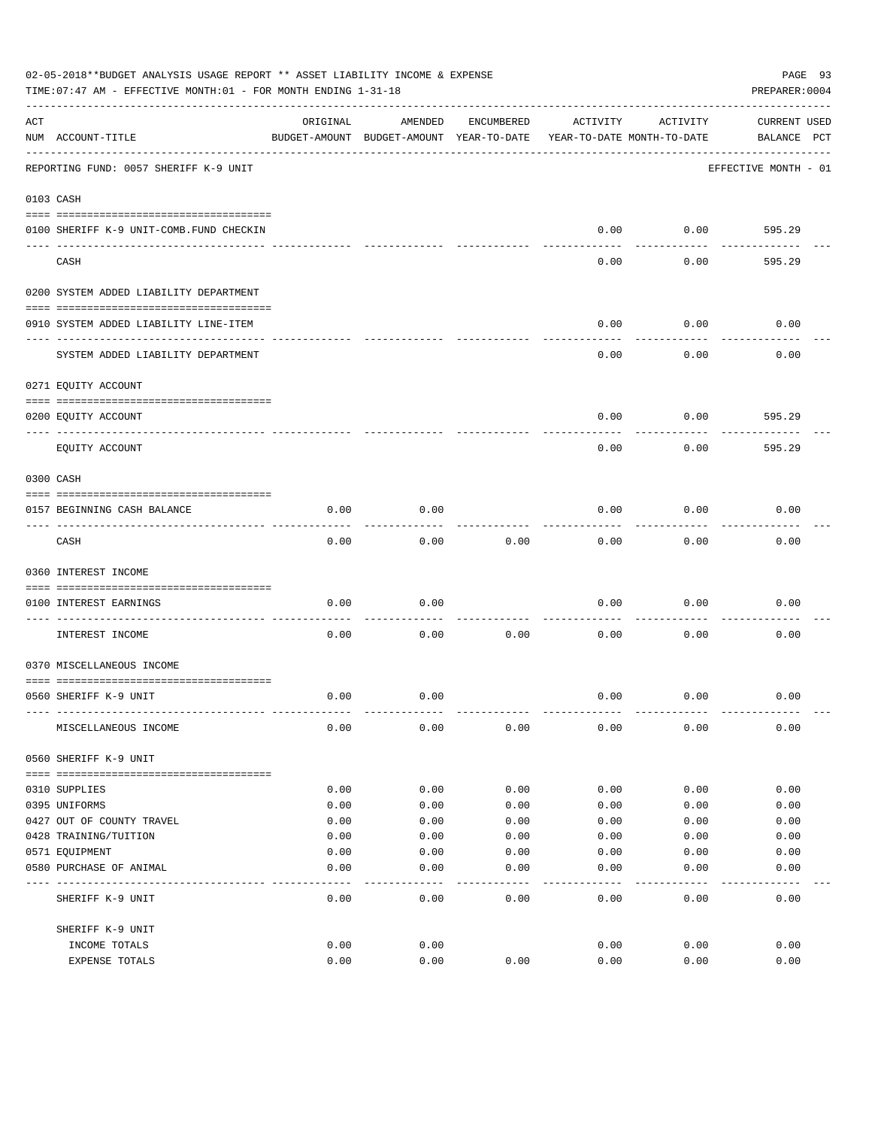|     | 02-05-2018**BUDGET ANALYSIS USAGE REPORT ** ASSET LIABILITY INCOME & EXPENSE<br>TIME: 07:47 AM - EFFECTIVE MONTH: 01 - FOR MONTH ENDING 1-31-18 |          |                                                     |            |          |                                        | PAGE 93<br>PREPARER: 0004          |
|-----|-------------------------------------------------------------------------------------------------------------------------------------------------|----------|-----------------------------------------------------|------------|----------|----------------------------------------|------------------------------------|
| ACT | NUM ACCOUNT-TITLE                                                                                                                               | ORIGINAL | AMENDED<br>BUDGET-AMOUNT BUDGET-AMOUNT YEAR-TO-DATE | ENCUMBERED | ACTIVITY | ACTIVITY<br>YEAR-TO-DATE MONTH-TO-DATE | <b>CURRENT USED</b><br>BALANCE PCT |
|     | REPORTING FUND: 0057 SHERIFF K-9 UNIT                                                                                                           |          |                                                     |            |          |                                        | EFFECTIVE MONTH - 01               |
|     | 0103 CASH                                                                                                                                       |          |                                                     |            |          |                                        |                                    |
|     | 0100 SHERIFF K-9 UNIT-COMB.FUND CHECKIN                                                                                                         |          |                                                     |            | 0.00     | 0.00                                   | 595.29                             |
|     | CASH                                                                                                                                            |          |                                                     |            | 0.00     | 0.00                                   | 595.29                             |
|     | 0200 SYSTEM ADDED LIABILITY DEPARTMENT                                                                                                          |          |                                                     |            |          |                                        |                                    |
|     | 0910 SYSTEM ADDED LIABILITY LINE-ITEM                                                                                                           |          |                                                     |            | 0.00     | 0.00                                   | 0.00                               |
|     | SYSTEM ADDED LIABILITY DEPARTMENT                                                                                                               |          |                                                     |            | 0.00     | 0.00                                   | 0.00                               |
|     | 0271 EQUITY ACCOUNT                                                                                                                             |          |                                                     |            |          |                                        |                                    |
|     | 0200 EQUITY ACCOUNT                                                                                                                             |          |                                                     |            | 0.00     | 0.00                                   | 595.29                             |
|     | ---- ----------<br>EQUITY ACCOUNT                                                                                                               |          |                                                     |            | 0.00     | 0.00                                   | 595.29                             |
|     | 0300 CASH                                                                                                                                       |          |                                                     |            |          |                                        |                                    |
|     | 0157 BEGINNING CASH BALANCE                                                                                                                     | 0.00     | 0.00                                                |            | 0.00     | 0.00                                   | 0.00                               |
|     | CASH                                                                                                                                            | 0.00     | 0.00                                                | 0.00       | 0.00     | 0.00                                   | 0.00                               |
|     | 0360 INTEREST INCOME                                                                                                                            |          |                                                     |            |          |                                        |                                    |
|     | 0100 INTEREST EARNINGS                                                                                                                          | 0.00     | 0.00                                                |            | 0.00     | 0.00                                   | 0.00                               |
|     | INTEREST INCOME                                                                                                                                 | 0.00     | 0.00                                                | 0.00       | 0.00     | 0.00                                   | 0.00                               |
|     | 0370 MISCELLANEOUS INCOME                                                                                                                       |          |                                                     |            |          |                                        |                                    |
|     | 0560 SHERIFF K-9 UNIT                                                                                                                           | 0.00     | 0.00                                                |            | 0.00     | 0.00                                   | 0.00                               |
|     | MISCELLANEOUS INCOME                                                                                                                            | 0.00     | 0.00                                                | 0.00       | 0.00     | 0.00                                   | 0.00                               |
|     | 0560 SHERIFF K-9 UNIT                                                                                                                           |          |                                                     |            |          |                                        |                                    |
|     | 0310 SUPPLIES                                                                                                                                   | 0.00     | 0.00                                                | 0.00       | 0.00     | 0.00                                   | 0.00                               |
|     | 0395 UNIFORMS                                                                                                                                   | 0.00     | 0.00                                                | 0.00       | 0.00     | 0.00                                   | 0.00                               |
|     | 0427 OUT OF COUNTY TRAVEL                                                                                                                       | 0.00     | 0.00                                                | 0.00       | 0.00     | 0.00                                   | 0.00                               |
|     | 0428 TRAINING/TUITION                                                                                                                           | 0.00     | 0.00                                                | 0.00       | 0.00     | 0.00                                   | 0.00                               |
|     | 0571 EQUIPMENT                                                                                                                                  | 0.00     | 0.00                                                | 0.00       | 0.00     | 0.00                                   | 0.00                               |
|     | 0580 PURCHASE OF ANIMAL                                                                                                                         | 0.00     | 0.00                                                | 0.00       | 0.00     | 0.00                                   | 0.00                               |
|     | SHERIFF K-9 UNIT                                                                                                                                | 0.00     | 0.00                                                | 0.00       | 0.00     | 0.00                                   | 0.00                               |
|     | SHERIFF K-9 UNIT                                                                                                                                |          |                                                     |            |          |                                        |                                    |
|     | INCOME TOTALS                                                                                                                                   | 0.00     | 0.00                                                |            | 0.00     | 0.00                                   | 0.00                               |
|     | EXPENSE TOTALS                                                                                                                                  | 0.00     | 0.00                                                | 0.00       | 0.00     | 0.00                                   | 0.00                               |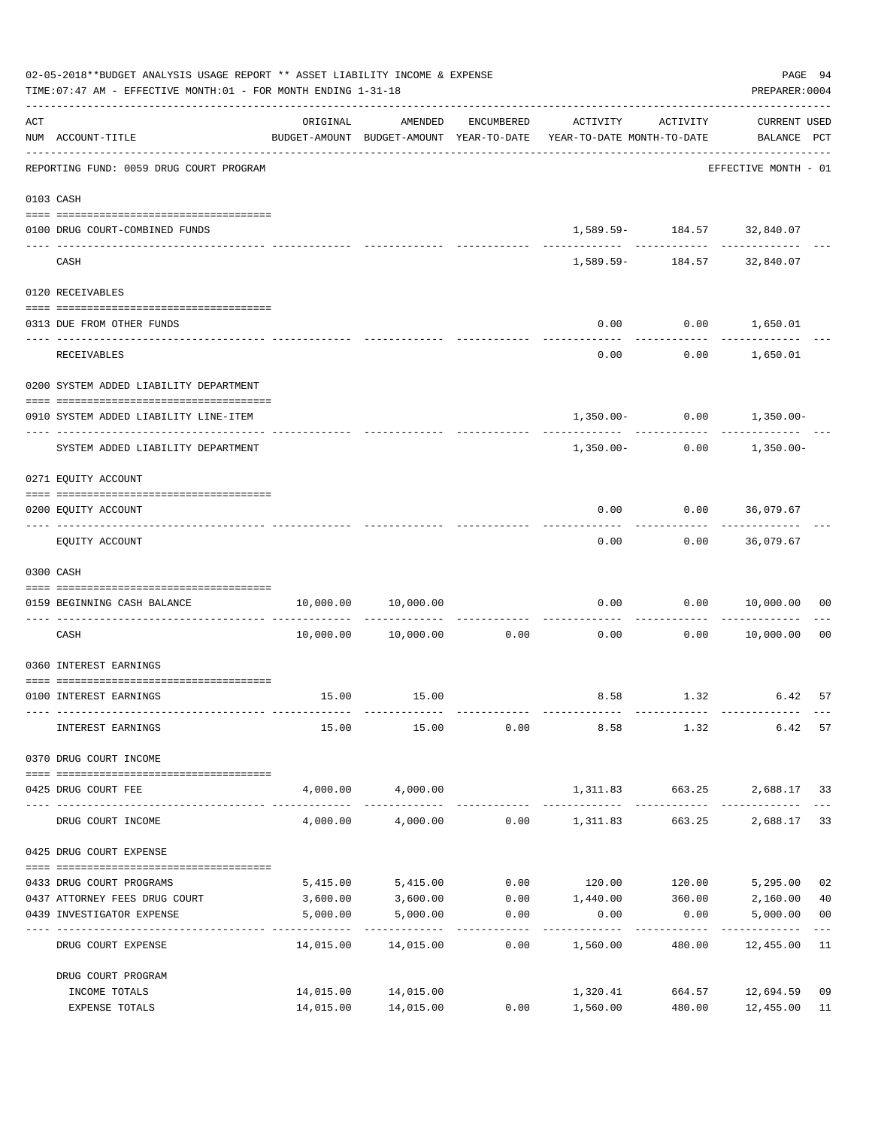|     | 02-05-2018**BUDGET ANALYSIS USAGE REPORT ** ASSET LIABILITY INCOME & EXPENSE<br>TIME: 07:47 AM - EFFECTIVE MONTH: 01 - FOR MONTH ENDING 1-31-18 |                      |                            |                                 |                                                                                 |                                             | PAGE 94<br>PREPARER: 0004          |                |
|-----|-------------------------------------------------------------------------------------------------------------------------------------------------|----------------------|----------------------------|---------------------------------|---------------------------------------------------------------------------------|---------------------------------------------|------------------------------------|----------------|
| ACT | NUM ACCOUNT-TITLE                                                                                                                               | ORIGINAL             | AMENDED                    | ENCUMBERED                      | ACTIVITY<br>BUDGET-AMOUNT BUDGET-AMOUNT YEAR-TO-DATE YEAR-TO-DATE MONTH-TO-DATE | ACTIVITY                                    | <b>CURRENT USED</b><br>BALANCE PCT |                |
|     | REPORTING FUND: 0059 DRUG COURT PROGRAM                                                                                                         |                      |                            |                                 |                                                                                 |                                             | EFFECTIVE MONTH - 01               |                |
|     | 0103 CASH                                                                                                                                       |                      |                            |                                 |                                                                                 |                                             |                                    |                |
|     | 0100 DRUG COURT-COMBINED FUNDS                                                                                                                  |                      |                            |                                 |                                                                                 | 1,589.59- 184.57 32,840.07                  |                                    |                |
|     | CASH                                                                                                                                            |                      |                            |                                 |                                                                                 | -------------<br>1,589.59- 184.57 32,840.07 |                                    |                |
|     | 0120 RECEIVABLES                                                                                                                                |                      |                            |                                 |                                                                                 |                                             |                                    |                |
|     | 0313 DUE FROM OTHER FUNDS                                                                                                                       |                      |                            |                                 | 0.00                                                                            | $0.00$ 1,650.01                             | ____________                       |                |
|     | RECEIVABLES                                                                                                                                     |                      |                            |                                 | 0.00                                                                            |                                             | $0.00$ 1,650.01                    |                |
|     | 0200 SYSTEM ADDED LIABILITY DEPARTMENT                                                                                                          |                      |                            |                                 |                                                                                 |                                             |                                    |                |
|     | 0910 SYSTEM ADDED LIABILITY LINE-ITEM                                                                                                           |                      |                            |                                 |                                                                                 |                                             | $1,350.00 - 0.00 - 1,350.00 -$     |                |
|     | SYSTEM ADDED LIABILITY DEPARTMENT                                                                                                               |                      |                            |                                 | 1,350.00-                                                                       | 0.00                                        | 1,350.00-                          |                |
|     | 0271 EQUITY ACCOUNT                                                                                                                             |                      |                            |                                 |                                                                                 |                                             |                                    |                |
|     | 0200 EQUITY ACCOUNT                                                                                                                             |                      |                            |                                 | 0.00                                                                            | $0.00$ 36,079.67                            |                                    |                |
|     | EQUITY ACCOUNT                                                                                                                                  |                      |                            |                                 | 0.00                                                                            |                                             | $0.00$ 36,079.67                   |                |
|     | 0300 CASH                                                                                                                                       |                      |                            |                                 |                                                                                 |                                             |                                    |                |
|     | 0159 BEGINNING CASH BALANCE                                                                                                                     |                      | 10,000.00 10,000.00        | -----------------------------   | 0.00                                                                            | ----------                                  | 0.00 10,000.00                     | 00             |
|     | CASH                                                                                                                                            |                      | 10,000.00    10,000.00     | 0.00                            | 0.00                                                                            | 0.00                                        | 10,000.00                          | 0 <sub>0</sub> |
|     | 0360 INTEREST EARNINGS                                                                                                                          |                      |                            |                                 |                                                                                 |                                             |                                    |                |
|     | 0100 INTEREST EARNINGS                                                                                                                          |                      | 15.00 15.00                |                                 |                                                                                 |                                             | 8.58 1.32 6.42                     | 57             |
|     | INTEREST EARNINGS                                                                                                                               | 15.00                | 15.00                      | 0.00                            | 8.58                                                                            | 1.32                                        | 6.42                               | 57             |
|     | 0370 DRUG COURT INCOME                                                                                                                          |                      |                            |                                 |                                                                                 |                                             |                                    |                |
|     | 0425 DRUG COURT FEE                                                                                                                             |                      | 4,000.00 4,000.00          |                                 | 1,311.83 663.25                                                                 |                                             | 2,688.17 33                        |                |
|     | DRUG COURT INCOME                                                                                                                               | 4,000.00             | 4,000.00                   |                                 | $0.00$ 1,311.83                                                                 | 663.25                                      | 2,688.17                           | 33             |
|     | 0425 DRUG COURT EXPENSE                                                                                                                         |                      |                            |                                 |                                                                                 |                                             |                                    |                |
|     |                                                                                                                                                 |                      |                            |                                 | $0.00$ 120.00 120.00                                                            |                                             |                                    |                |
|     | 0433 DRUG COURT PROGRAMS<br>0437 ATTORNEY FEES DRUG COURT                                                                                       | 5,415.00<br>3,600.00 | 5,415.00<br>3,600.00       |                                 | $0.00$ 1,440.00                                                                 | 360.00                                      | 5,295.00<br>2,160.00               | 02<br>40       |
|     | 0439 INVESTIGATOR EXPENSE                                                                                                                       | 5,000.00             | 5,000.00                   | 0.00                            | 0.00                                                                            | 0.00                                        | 5,000.00                           | 0 <sub>0</sub> |
|     | DRUG COURT EXPENSE                                                                                                                              | 14,015.00            | -------------<br>14,015.00 | . _ _ _ _ _ _ _ _ _ _ _<br>0.00 | ---------<br>1,560.00                                                           | -----------<br>480.00                       | ------------<br>12,455.00 11       |                |
|     | DRUG COURT PROGRAM                                                                                                                              |                      |                            |                                 |                                                                                 |                                             |                                    |                |
|     | INCOME TOTALS                                                                                                                                   |                      | 14,015.00 14,015.00        |                                 | 1,320.41                                                                        | 664.57                                      | 12,694.59                          | 09             |
|     | EXPENSE TOTALS                                                                                                                                  |                      | 14,015.00 14,015.00        | 0.00                            | 1,560.00                                                                        | 480.00                                      | 12,455.00                          | 11             |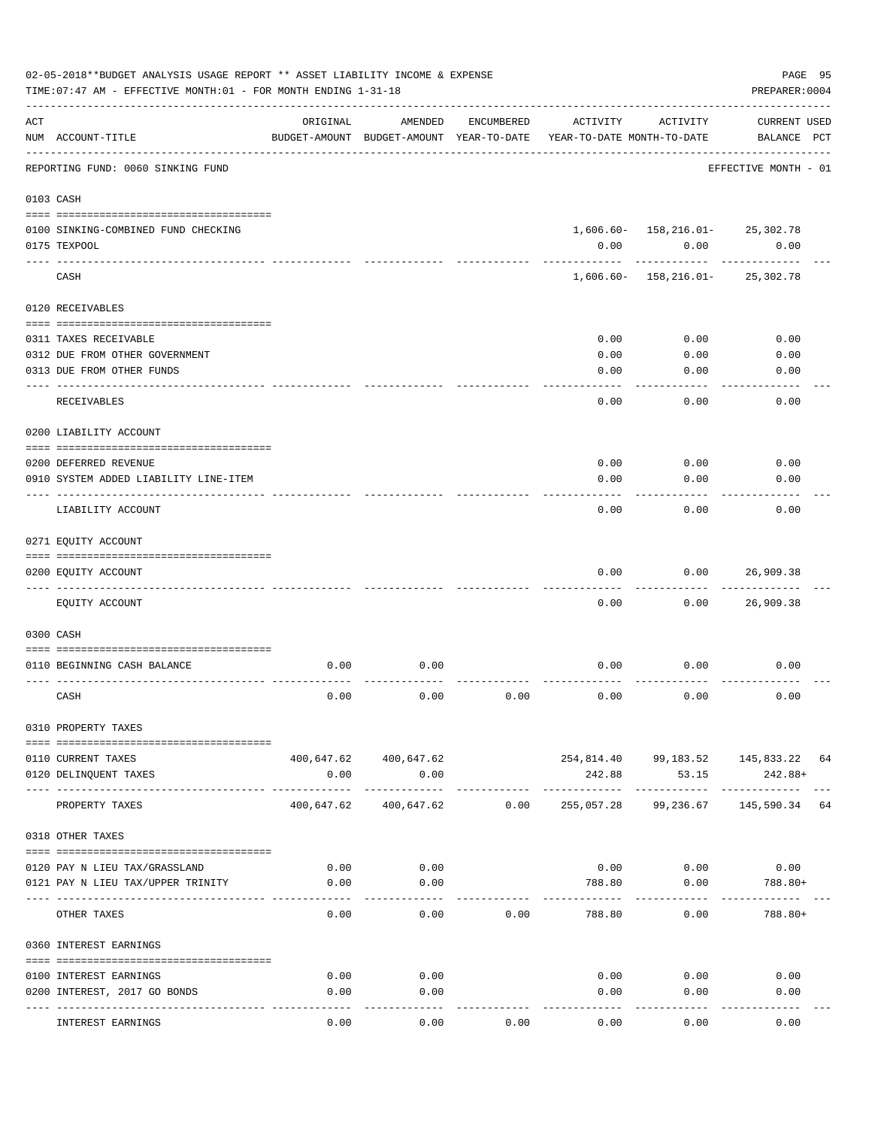|     | 02-05-2018**BUDGET ANALYSIS USAGE REPORT ** ASSET LIABILITY INCOME & EXPENSE<br>TIME: 07:47 AM - EFFECTIVE MONTH: 01 - FOR MONTH ENDING 1-31-18 |                                                      |                               |            |                                        |                                                  | PAGE 95<br>PREPARER: 0004          |  |
|-----|-------------------------------------------------------------------------------------------------------------------------------------------------|------------------------------------------------------|-------------------------------|------------|----------------------------------------|--------------------------------------------------|------------------------------------|--|
| ACT | NUM ACCOUNT-TITLE                                                                                                                               | ORIGINAL<br>BUDGET-AMOUNT BUDGET-AMOUNT YEAR-TO-DATE | AMENDED                       | ENCUMBERED | ACTIVITY<br>YEAR-TO-DATE MONTH-TO-DATE | ACTIVITY                                         | <b>CURRENT USED</b><br>BALANCE PCT |  |
|     | ------------------------<br>REPORTING FUND: 0060 SINKING FUND                                                                                   |                                                      |                               |            |                                        |                                                  | EFFECTIVE MONTH - 01               |  |
|     | 0103 CASH                                                                                                                                       |                                                      |                               |            |                                        |                                                  |                                    |  |
|     | 0100 SINKING-COMBINED FUND CHECKING<br>0175 TEXPOOL                                                                                             |                                                      |                               |            | 0.00                                   | $1,606.60 - 158,216.01 - 25,302.78$<br>0.00<br>. | 0.00                               |  |
|     | CASH                                                                                                                                            |                                                      |                               |            |                                        | $1,606.60 - 158,216.01 - 25,302.78$              |                                    |  |
|     | 0120 RECEIVABLES                                                                                                                                |                                                      |                               |            |                                        |                                                  |                                    |  |
|     | 0311 TAXES RECEIVABLE<br>0312 DUE FROM OTHER GOVERNMENT<br>0313 DUE FROM OTHER FUNDS                                                            |                                                      |                               |            | 0.00<br>0.00<br>0.00                   | 0.00<br>0.00<br>0.00                             | 0.00<br>0.00<br>0.00               |  |
|     | RECEIVABLES                                                                                                                                     |                                                      |                               |            | 0.00                                   | 0.00                                             | 0.00                               |  |
|     | 0200 LIABILITY ACCOUNT                                                                                                                          |                                                      |                               |            |                                        |                                                  |                                    |  |
|     | 0200 DEFERRED REVENUE<br>0910 SYSTEM ADDED LIABILITY LINE-ITEM                                                                                  |                                                      |                               |            | 0.00<br>0.00                           | 0.00<br>0.00                                     | 0.00<br>0.00                       |  |
|     | LIABILITY ACCOUNT                                                                                                                               |                                                      |                               |            | 0.00                                   | 0.00                                             | 0.00                               |  |
|     | 0271 EQUITY ACCOUNT                                                                                                                             |                                                      |                               |            |                                        |                                                  |                                    |  |
|     | 0200 EQUITY ACCOUNT                                                                                                                             |                                                      |                               |            | 0.00                                   | 0.00                                             | 26,909.38                          |  |
|     | ---------------<br>EQUITY ACCOUNT                                                                                                               |                                                      |                               |            | 0.00                                   | 0.00                                             | 26,909.38                          |  |
|     | 0300 CASH                                                                                                                                       |                                                      |                               |            |                                        |                                                  |                                    |  |
|     | 0110 BEGINNING CASH BALANCE                                                                                                                     | 0.00                                                 | 0.00                          |            | 0.00                                   | 0.00                                             | 0.00                               |  |
|     | CASH                                                                                                                                            | 0.00                                                 | 0.00                          | 0.00       | 0.00                                   | 0.00                                             | 0.00                               |  |
|     | 0310 PROPERTY TAXES                                                                                                                             |                                                      |                               |            |                                        |                                                  |                                    |  |
|     | 0110 CURRENT TAXES<br>0120 DELINQUENT TAXES                                                                                                     | 0.00                                                 | 400,647.62 400,647.62<br>0.00 |            | 242.88                                 | 254,814.40 99,183.52 145,833.22 64<br>53.15      | 242.88+                            |  |
|     | PROPERTY TAXES                                                                                                                                  | 400,647.62                                           | 400,647.62                    | 0.00       | 255,057.28                             | .<br>99,236.67                                   | 145,590.34 64                      |  |
|     | 0318 OTHER TAXES                                                                                                                                |                                                      |                               |            |                                        |                                                  |                                    |  |
|     | 0120 PAY N LIEU TAX/GRASSLAND                                                                                                                   | 0.00                                                 | 0.00                          |            |                                        | $0.00$ 0.00                                      | 0.00                               |  |
|     | 0121 PAY N LIEU TAX/UPPER TRINITY                                                                                                               | 0.00                                                 | 0.00                          |            | 788.80                                 | 0.00                                             | 788.80+                            |  |
|     | OTHER TAXES                                                                                                                                     | 0.00                                                 | 0.00                          | 0.00       | 788.80                                 | 0.00                                             | 788.80+                            |  |
|     | 0360 INTEREST EARNINGS                                                                                                                          |                                                      |                               |            |                                        |                                                  |                                    |  |
|     |                                                                                                                                                 |                                                      |                               |            |                                        |                                                  |                                    |  |
|     | 0100 INTEREST EARNINGS                                                                                                                          | 0.00                                                 | 0.00                          |            | 0.00                                   | 0.00                                             | 0.00                               |  |
|     | 0200 INTEREST, 2017 GO BONDS                                                                                                                    | 0.00                                                 | 0.00<br>---------             |            | 0.00                                   | 0.00                                             | 0.00                               |  |
|     | INTEREST EARNINGS                                                                                                                               | 0.00                                                 | 0.00                          | 0.00       | 0.00                                   | 0.00                                             | 0.00                               |  |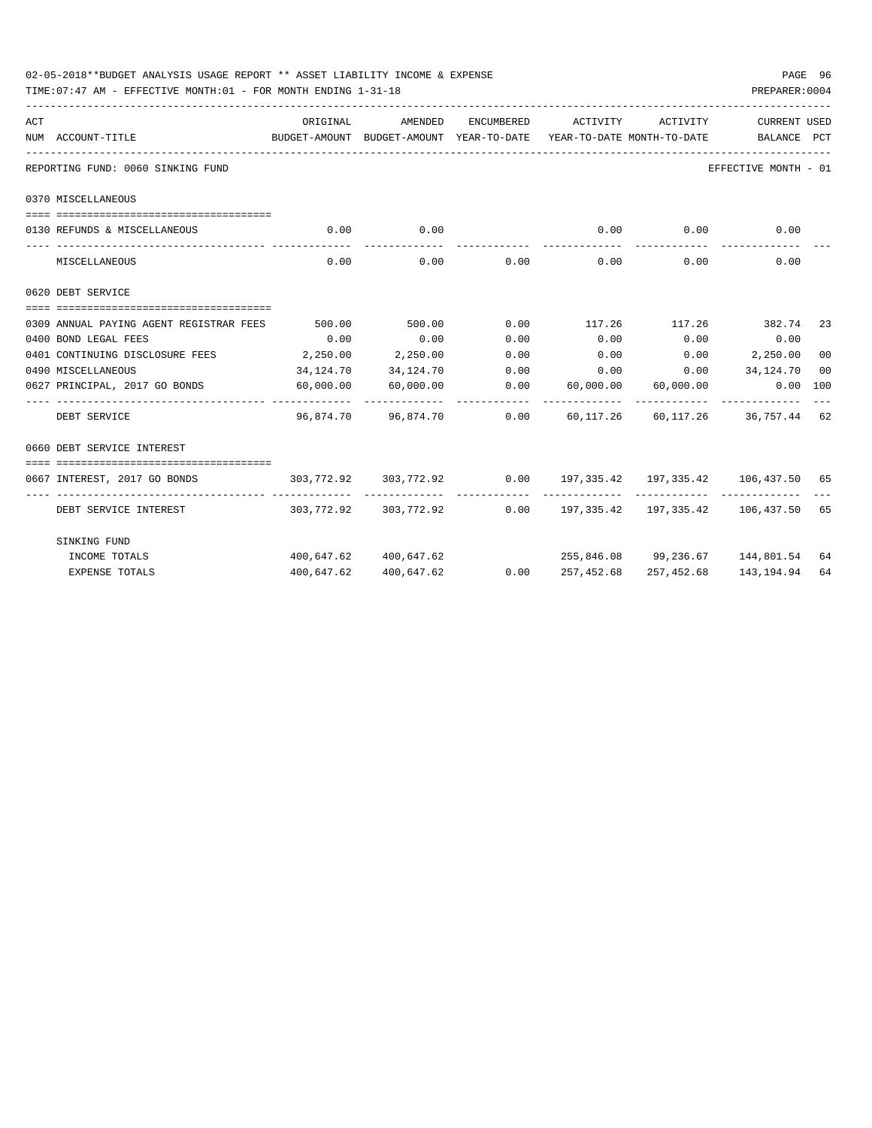| 02-05-2018**BUDGET ANALYSIS USAGE REPORT ** ASSET LIABILITY INCOME & EXPENSE<br>TIME: 07:47 AM - EFFECTIVE MONTH: 01 - FOR MONTH ENDING 1-31-18 |           |                                                                            |             |                                     |          | PREPARER: 0004           | PAGE 96 |
|-------------------------------------------------------------------------------------------------------------------------------------------------|-----------|----------------------------------------------------------------------------|-------------|-------------------------------------|----------|--------------------------|---------|
| ACT                                                                                                                                             | ORIGINAL  | AMENDED                                                                    | ENCUMBERED  | ACTIVITY                            | ACTIVITY | <b>CURRENT USED</b>      |         |
| NUM ACCOUNT-TITLE<br>BUDGET-AMOUNT BUDGET-AMOUNT YEAR-TO-DATE YEAR-TO-DATE MONTH-TO-DATE BALANCE PCT                                            |           |                                                                            |             |                                     |          |                          |         |
| REPORTING FUND: 0060 SINKING FUND                                                                                                               |           |                                                                            |             |                                     |          | EFFECTIVE MONTH - 01     |         |
| 0370 MISCELLANEOUS                                                                                                                              |           |                                                                            |             |                                     |          |                          |         |
| 0130 REFUNDS & MISCELLANEOUS                                                                                                                    |           | $0.00$ 0.00                                                                |             | 0.00                                | 0.00     | 0.00                     |         |
| MISCELLANEOUS                                                                                                                                   | 0.00      | -----------                                                                | $0.00$ 0.00 | 0.00                                | 0.00     | 0.00                     |         |
| 0620 DEBT SERVICE                                                                                                                               |           |                                                                            |             |                                     |          |                          |         |
| 0309 ANNUAL PAYING AGENT REGISTRAR FEES                                                                                                         | 500.00    | 500.00                                                                     |             | $0.00$ 117.26 117.26 382.74 23      |          |                          |         |
| 0400 BOND LEGAL FEES                                                                                                                            | 0.00      | 0.00                                                                       | 0.00        | 0.00                                | 0.00     | 0.00                     |         |
| 0401 CONTINUING DISCLOSURE FEES 2,250.00                                                                                                        |           | 2,250.00                                                                   | 0.00        | 0.00                                |          | $0.00$ 2,250.00          | 00      |
| 0490 MISCELLANEOUS                                                                                                                              | 34,124.70 | 34,124.70                                                                  |             | $0.00$ $0.00$ $0.00$ $34,124.70$    |          |                          | 00      |
| 0627 PRINCIPAL, 2017 GO BONDS 60,000.00                                                                                                         |           | 60,000.00                                                                  |             | $0.00$ 60,000.00 60,000.00 0.00 100 |          |                          |         |
| ----------------- --------------<br>DEBT SERVICE                                                                                                |           | 96,874.70  96,874.70  0.00  60,117.26  60,117.26  36,757.44  62            |             |                                     |          |                          |         |
| 0660 DEBT SERVICE INTEREST                                                                                                                      |           |                                                                            |             |                                     |          |                          |         |
|                                                                                                                                                 |           |                                                                            |             |                                     |          |                          |         |
| 0667 INTEREST, 2017 GO BONDS                                                                                                                    |           | $303,772.92$ $303,772.92$ $0.00$ $197,335.42$ $197,335.42$ $106,437.50$ 65 |             |                                     |          |                          |         |
| DEBT SERVICE INTEREST                                                                                                                           |           | 303,772.92 303,772.92 0.00 197,335.42 197,335.42 106,437.50 65             |             |                                     |          |                          |         |
| SINKING FUND                                                                                                                                    |           |                                                                            |             |                                     |          |                          |         |
| INCOME TOTALS                                                                                                                                   |           | 400,647.62 400,647.62                                                      |             | 255,846.08 99,236.67 144,801.54 64  |          |                          |         |
| <b>EXPENSE TOTALS</b>                                                                                                                           |           | 400,647.62 400,647.62                                                      |             | $0.00$ 257,452.68                   |          | 257,452.68 143,194.94 64 |         |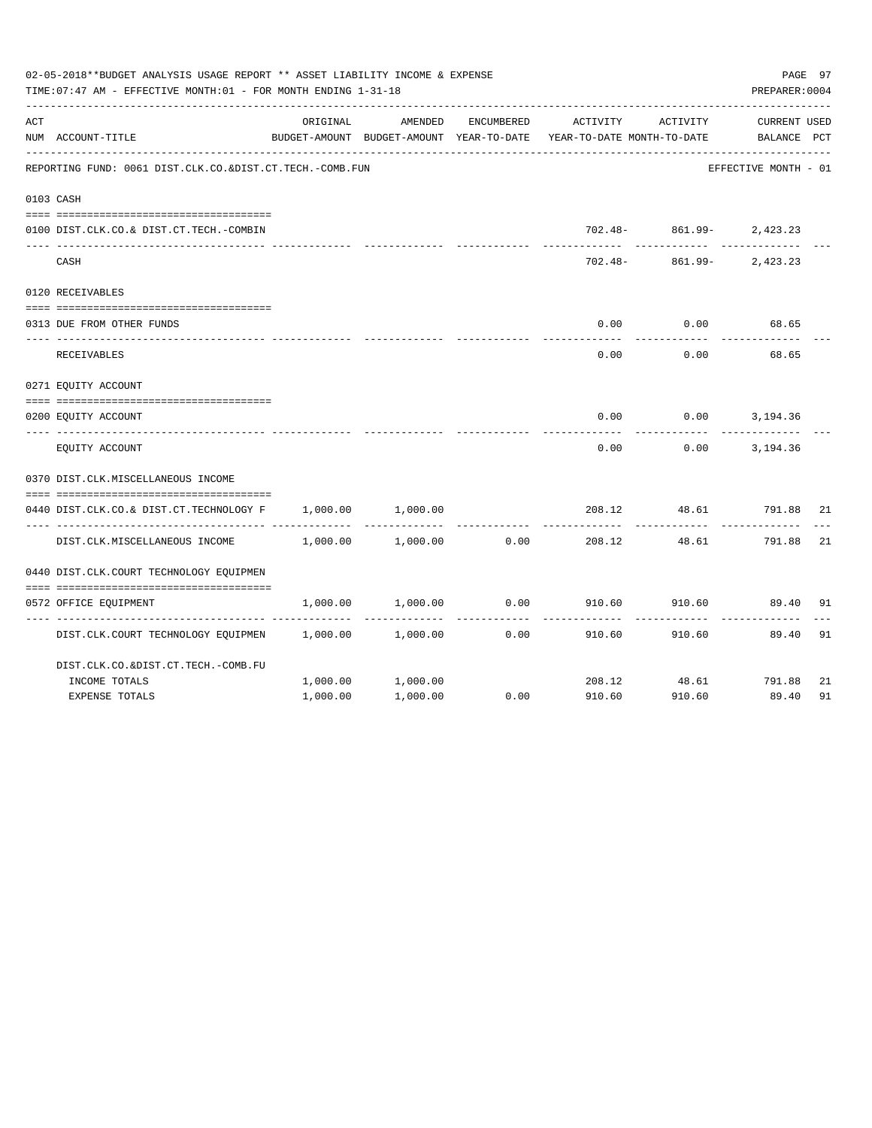|     | 02-05-2018**BUDGET ANALYSIS USAGE REPORT ** ASSET LIABILITY INCOME & EXPENSE<br>TIME: 07:47 AM - EFFECTIVE MONTH: 01 - FOR MONTH ENDING 1-31-18 |          |                                                     |            |                                        |                              | PAGE 97<br>PREPARER: 0004   |    |
|-----|-------------------------------------------------------------------------------------------------------------------------------------------------|----------|-----------------------------------------------------|------------|----------------------------------------|------------------------------|-----------------------------|----|
| ACT | NUM ACCOUNT-TITLE                                                                                                                               | ORIGINAL | AMENDED<br>BUDGET-AMOUNT BUDGET-AMOUNT YEAR-TO-DATE | ENCUMBERED | ACTIVITY<br>YEAR-TO-DATE MONTH-TO-DATE | ACTIVITY                     | CURRENT USED<br>BALANCE PCT |    |
|     | REPORTING FUND: 0061 DIST.CLK.CO.&DIST.CT.TECH.-COMB.FUN                                                                                        |          |                                                     |            |                                        |                              | EFFECTIVE MONTH - 01        |    |
|     | 0103 CASH                                                                                                                                       |          |                                                     |            |                                        |                              |                             |    |
|     | 0100 DIST.CLK.CO.& DIST.CT.TECH.-COMBIN                                                                                                         |          |                                                     |            |                                        | $702.48 - 861.99 - 2,423.23$ |                             |    |
|     | CASH                                                                                                                                            |          |                                                     |            |                                        | 702.48- 861.99- 2,423.23     |                             |    |
|     | 0120 RECEIVABLES                                                                                                                                |          |                                                     |            |                                        |                              |                             |    |
|     | 0313 DUE FROM OTHER FUNDS                                                                                                                       |          |                                                     |            | 0.00                                   | 0.00                         | 68.65                       |    |
|     | RECEIVABLES                                                                                                                                     |          |                                                     |            | 0.00                                   | 0.00                         | 68.65                       |    |
|     | 0271 EQUITY ACCOUNT                                                                                                                             |          |                                                     |            |                                        |                              |                             |    |
|     | 0200 EQUITY ACCOUNT                                                                                                                             |          |                                                     |            | 0.00                                   |                              | $0.00$ 3, 194.36            |    |
|     | EQUITY ACCOUNT                                                                                                                                  |          |                                                     |            | 0.00                                   | 0.00                         | 3,194.36                    |    |
|     | 0370 DIST.CLK.MISCELLANEOUS INCOME                                                                                                              |          |                                                     |            |                                        |                              |                             |    |
|     | 0440 DIST.CLK.CO.& DIST.CT.TECHNOLOGY F                                                                                                         | 1,000.00 | 1,000.00                                            |            | 208.12                                 | 48.61                        | 791.88                      | 21 |
|     | DIST.CLK.MISCELLANEOUS INCOME                                                                                                                   | 1,000.00 | 1,000.00                                            | 0.00       | 208.12                                 | 48.61                        | 791.88                      | 21 |
|     | 0440 DIST.CLK.COURT TECHNOLOGY EQUIPMEN                                                                                                         |          |                                                     |            |                                        |                              |                             |    |
|     | 0572 OFFICE EQUIPMENT                                                                                                                           | 1,000.00 | 1,000.00                                            | 0.00       | 910.60                                 | 910.60                       | 89.40                       | 91 |
|     | DIST.CLK.COURT TECHNOLOGY EQUIPMEN                                                                                                              | 1,000.00 | 1,000.00                                            | 0.00       | 910.60                                 | 910.60                       | 89.40                       | 91 |
|     | DIST.CLK.CO.&DIST.CT.TECH.-COMB.FU                                                                                                              |          |                                                     |            |                                        |                              |                             |    |
|     | INCOME TOTALS                                                                                                                                   | 1,000.00 | 1,000.00                                            |            |                                        | 208.12 48.61 791.88          |                             | 21 |
|     | <b>EXPENSE TOTALS</b>                                                                                                                           | 1,000.00 | 1,000.00                                            | 0.00       | 910.60                                 | 910.60                       | 89.40                       | 91 |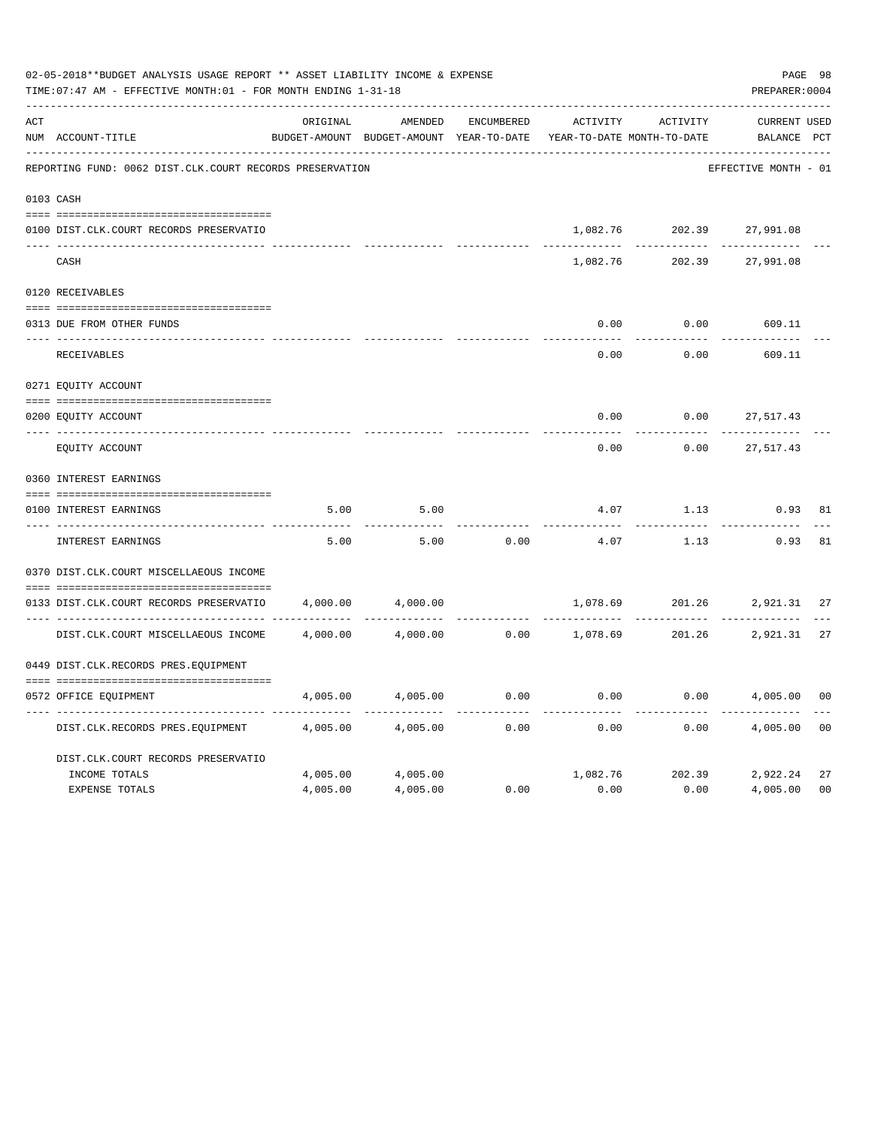|     | 02-05-2018**BUDGET ANALYSIS USAGE REPORT ** ASSET LIABILITY INCOME & EXPENSE<br>TIME: 07:47 AM - EFFECTIVE MONTH: 01 - FOR MONTH ENDING 1-31-18 |          |                                                     |                   |                                        |                 | PREPARER: 0004                     | PAGE 98        |
|-----|-------------------------------------------------------------------------------------------------------------------------------------------------|----------|-----------------------------------------------------|-------------------|----------------------------------------|-----------------|------------------------------------|----------------|
| ACT | NUM ACCOUNT-TITLE                                                                                                                               | ORIGINAL | AMENDED<br>BUDGET-AMOUNT BUDGET-AMOUNT YEAR-TO-DATE | <b>ENCUMBERED</b> | ACTIVITY<br>YEAR-TO-DATE MONTH-TO-DATE | ACTIVITY        | <b>CURRENT USED</b><br>BALANCE PCT |                |
|     | REPORTING FUND: 0062 DIST.CLK.COURT RECORDS PRESERVATION                                                                                        |          |                                                     |                   |                                        |                 | EFFECTIVE MONTH - 01               |                |
|     | 0103 CASH                                                                                                                                       |          |                                                     |                   |                                        |                 |                                    |                |
|     | 0100 DIST.CLK.COURT RECORDS PRESERVATIO                                                                                                         |          |                                                     |                   | 1,082.76                               | 202.39          | 27,991.08                          |                |
|     | CASH                                                                                                                                            |          |                                                     |                   | 1,082.76                               | 202.39          | 27,991.08                          |                |
|     | 0120 RECEIVABLES                                                                                                                                |          |                                                     |                   |                                        |                 |                                    |                |
|     | 0313 DUE FROM OTHER FUNDS                                                                                                                       |          |                                                     |                   | 0.00                                   | 0.00            | 609.11                             |                |
|     | RECEIVABLES                                                                                                                                     |          |                                                     |                   | 0.00                                   | 0.00            | 609.11                             |                |
|     | 0271 EQUITY ACCOUNT                                                                                                                             |          |                                                     |                   |                                        |                 |                                    |                |
|     | 0200 EQUITY ACCOUNT                                                                                                                             |          |                                                     |                   | 0.00                                   | 0.00            | 27,517.43                          |                |
|     | ---- -------------<br>EQUITY ACCOUNT                                                                                                            |          |                                                     |                   | 0.00                                   | 0.00            | 27,517.43                          |                |
|     | 0360 INTEREST EARNINGS                                                                                                                          |          |                                                     |                   |                                        |                 |                                    |                |
|     | 0100 INTEREST EARNINGS                                                                                                                          | 5.00     | 5.00                                                |                   | 4.07                                   | 1.13            | 0.93                               | 81             |
|     | <b>INTEREST EARNINGS</b>                                                                                                                        | 5.00     | 5.00                                                | 0.00              | 4.07                                   | 1.13            | 0.93                               | 81             |
|     | 0370 DIST.CLK.COURT MISCELLAEOUS INCOME                                                                                                         |          |                                                     |                   |                                        |                 |                                    |                |
|     | 0133 DIST.CLK.COURT RECORDS PRESERVATIO                                                                                                         | 4,000.00 | 4,000.00                                            |                   | 1,078.69                               | 201.26          | 2,921.31                           | 27             |
|     | DIST.CLK.COURT MISCELLAEOUS INCOME                                                                                                              | 4,000.00 | 4,000.00                                            | 0.00              | 1,078.69                               |                 | 201.26 2,921.31                    | 27             |
|     | 0449 DIST.CLK.RECORDS PRES.EQUIPMENT                                                                                                            |          |                                                     |                   |                                        |                 |                                    |                |
|     | 0572 OFFICE EQUIPMENT                                                                                                                           | 4,005.00 | 4,005.00                                            | 0.00              | 0.00                                   | 0.00            | 4,005.00                           | 00             |
|     | DIST.CLK.RECORDS PRES.EQUIPMENT                                                                                                                 | 4,005.00 | 4,005.00                                            | 0.00              | 0.00                                   | 0.00            | 4,005.00                           | 0 <sub>0</sub> |
|     | DIST.CLK.COURT RECORDS PRESERVATIO                                                                                                              |          |                                                     |                   |                                        |                 |                                    |                |
|     | INCOME TOTALS                                                                                                                                   | 4,005.00 | 4,005.00                                            |                   |                                        | 1,082.76 202.39 | 2,922.24                           | 27             |
|     | <b>EXPENSE TOTALS</b>                                                                                                                           | 4,005.00 | 4,005.00                                            | 0.00              | 0.00                                   | 0.00            | 4,005.00                           | 0 <sub>0</sub> |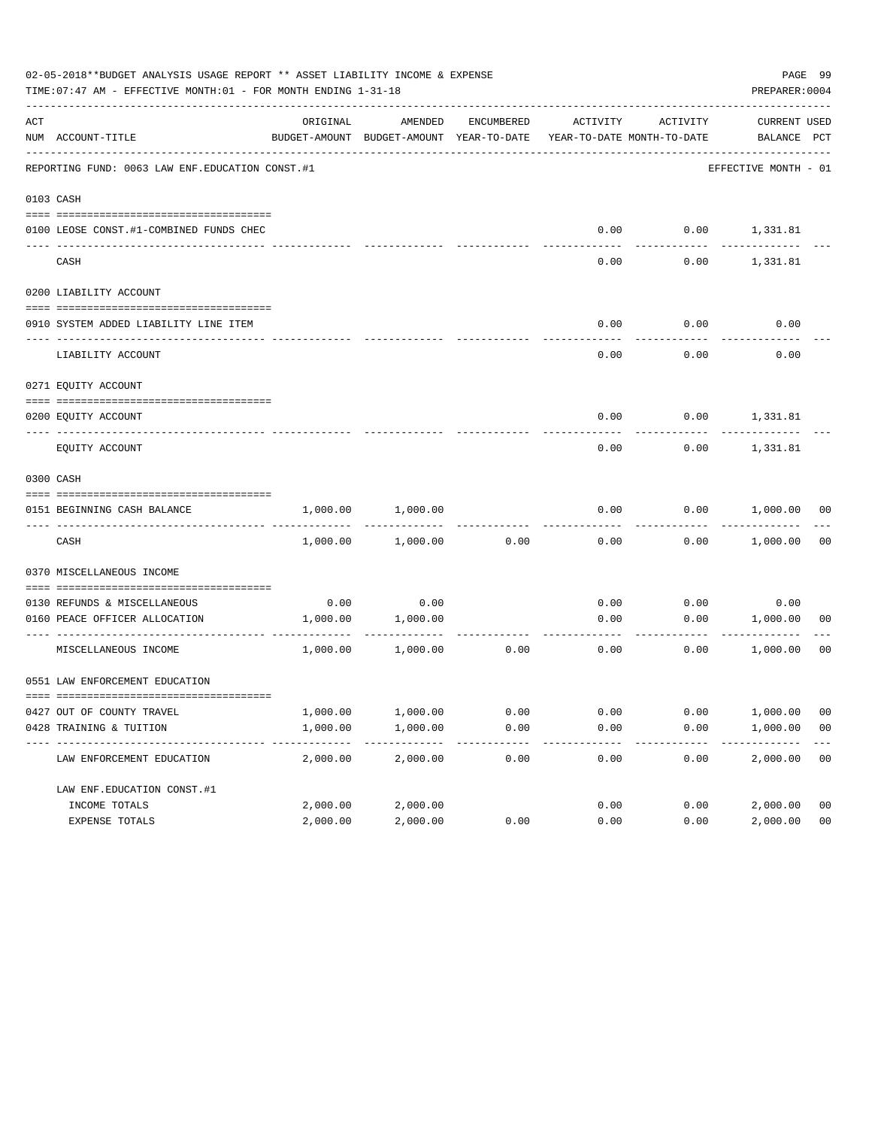|     | 02-05-2018**BUDGET ANALYSIS USAGE REPORT ** ASSET LIABILITY INCOME & EXPENSE<br>TIME: 07:47 AM - EFFECTIVE MONTH: 01 - FOR MONTH ENDING 1-31-18 |          |                                                                                |            |      |                   | PREPARER: 0004              | PAGE 99        |
|-----|-------------------------------------------------------------------------------------------------------------------------------------------------|----------|--------------------------------------------------------------------------------|------------|------|-------------------|-----------------------------|----------------|
| ACT | NUM ACCOUNT-TITLE                                                                                                                               | ORIGINAL | AMENDED<br>BUDGET-AMOUNT BUDGET-AMOUNT YEAR-TO-DATE YEAR-TO-DATE MONTH-TO-DATE | ENCUMBERED |      | ACTIVITY ACTIVITY | CURRENT USED<br>BALANCE PCT |                |
|     | REPORTING FUND: 0063 LAW ENF. EDUCATION CONST.#1                                                                                                |          |                                                                                |            |      |                   | EFFECTIVE MONTH - 01        |                |
|     | 0103 CASH                                                                                                                                       |          |                                                                                |            |      |                   |                             |                |
|     | 0100 LEOSE CONST.#1-COMBINED FUNDS CHEC                                                                                                         |          |                                                                                |            |      |                   | $0.00$ $0.00$ $1,331.81$    |                |
|     | CASH                                                                                                                                            |          |                                                                                |            | 0.00 | 0.00              | 1,331.81                    |                |
|     | 0200 LIABILITY ACCOUNT                                                                                                                          |          |                                                                                |            |      |                   |                             |                |
|     | 0910 SYSTEM ADDED LIABILITY LINE ITEM                                                                                                           |          |                                                                                |            | 0.00 | 0.00              | 0.00                        |                |
|     | LIABILITY ACCOUNT                                                                                                                               |          |                                                                                |            | 0.00 | 0.00              | 0.00                        |                |
|     | 0271 EQUITY ACCOUNT                                                                                                                             |          |                                                                                |            |      |                   |                             |                |
|     | 0200 EQUITY ACCOUNT                                                                                                                             |          |                                                                                |            | 0.00 |                   | $0.00$ 1,331.81             |                |
|     | EQUITY ACCOUNT                                                                                                                                  |          |                                                                                |            | 0.00 | 0.00              | 1,331.81                    |                |
|     | 0300 CASH                                                                                                                                       |          |                                                                                |            |      |                   |                             |                |
|     | 0151 BEGINNING CASH BALANCE                                                                                                                     | 1,000.00 | 1,000.00                                                                       |            | 0.00 |                   | $0.00$ 1,000.00 00          |                |
|     | CASH                                                                                                                                            | 1,000.00 | 1,000.00                                                                       | 0.00       | 0.00 |                   | $0.00$ 1,000.00             | 0 <sub>0</sub> |
|     | 0370 MISCELLANEOUS INCOME                                                                                                                       |          |                                                                                |            |      |                   |                             |                |
|     | 0130 REFUNDS & MISCELLANEOUS                                                                                                                    | 0.00     | 0.00                                                                           |            | 0.00 | 0.00              | 0.00                        |                |
|     | 0160 PEACE OFFICER ALLOCATION                                                                                                                   | 1,000.00 | 1,000.00<br>.                                                                  |            | 0.00 | 0.00              | 1,000.00                    | 00             |
|     | MISCELLANEOUS INCOME                                                                                                                            |          | 1,000.00 1,000.00                                                              | 0.00       | 0.00 | 0.00              | 1,000.00                    | 0 <sub>0</sub> |
|     | 0551 LAW ENFORCEMENT EDUCATION                                                                                                                  |          |                                                                                |            |      |                   |                             |                |
|     | 0427 OUT OF COUNTY TRAVEL                                                                                                                       | 1,000.00 | 1,000.00                                                                       | 0.00       | 0.00 | 0.00              | 1,000.00                    | 00             |
|     | 0428 TRAINING & TUITION                                                                                                                         | 1,000.00 | 1,000.00                                                                       | 0.00       | 0.00 | 0.00              | 1,000.00                    | 0 <sub>0</sub> |
|     | LAW ENFORCEMENT EDUCATION                                                                                                                       | 2,000.00 | 2,000.00                                                                       | 0.00       | 0.00 | 0.00              | 2,000.00                    | 0 <sub>0</sub> |
|     | LAW ENF. EDUCATION CONST. #1                                                                                                                    |          |                                                                                |            |      |                   |                             |                |
|     | INCOME TOTALS                                                                                                                                   | 2,000.00 | 2,000.00                                                                       |            | 0.00 | 0.00              | 2,000.00                    | 0 <sub>0</sub> |
|     | EXPENSE TOTALS                                                                                                                                  | 2,000.00 | 2,000.00                                                                       | 0.00       | 0.00 | 0.00              | 2,000.00                    | 0 <sub>0</sub> |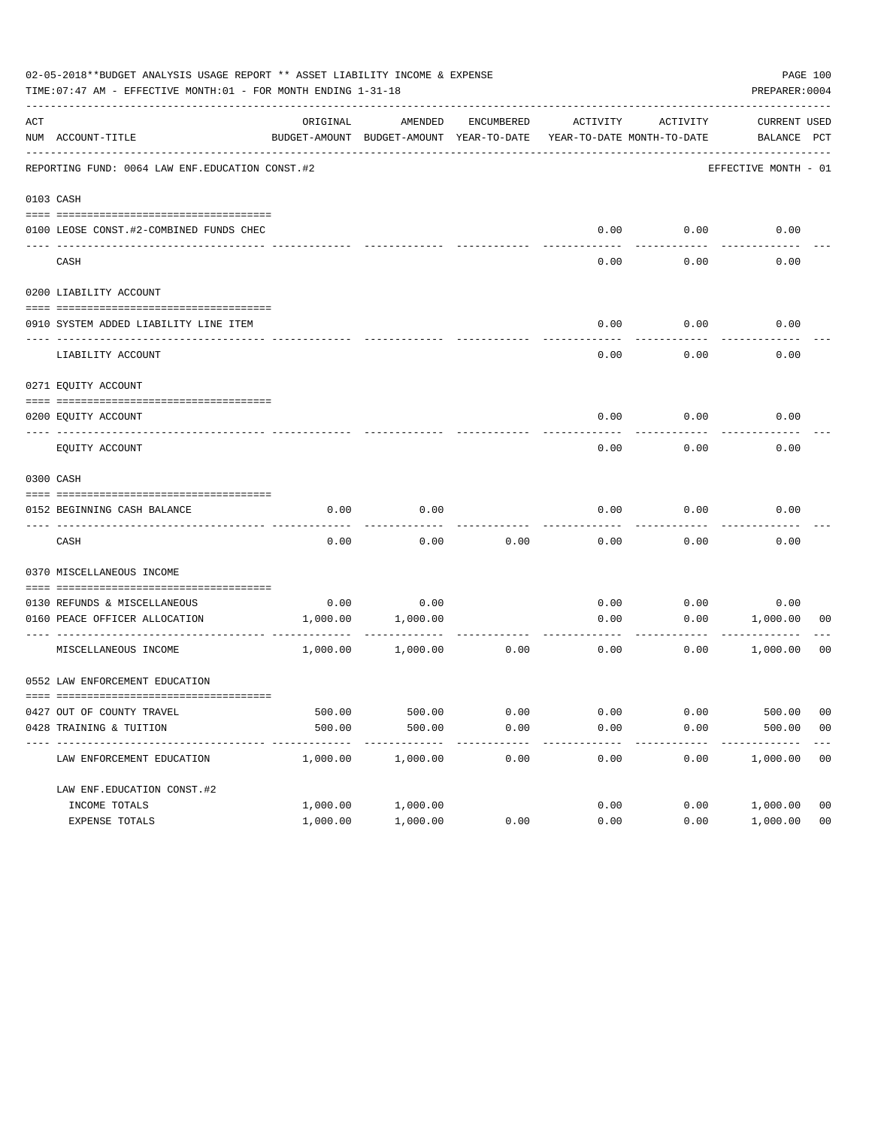| ACT<br>ORIGINAL<br>AMENDED<br>ENCUMBERED<br>ACTIVITY<br>NUM ACCOUNT-TITLE<br>BUDGET-AMOUNT BUDGET-AMOUNT YEAR-TO-DATE<br>REPORTING FUND: 0064 LAW ENF. EDUCATION CONST. #2<br>0103 CASH<br>0100 LEOSE CONST.#2-COMBINED FUNDS CHEC | ACTIVITY<br>YEAR-TO-DATE MONTH-TO-DATE<br>0.00<br>0.00<br>0.00<br>0.00 | CURRENT USED<br>BALANCE PCT<br>EFFECTIVE MONTH - 01<br>0.00<br>0.00 |                         |
|------------------------------------------------------------------------------------------------------------------------------------------------------------------------------------------------------------------------------------|------------------------------------------------------------------------|---------------------------------------------------------------------|-------------------------|
|                                                                                                                                                                                                                                    |                                                                        |                                                                     |                         |
|                                                                                                                                                                                                                                    |                                                                        |                                                                     |                         |
|                                                                                                                                                                                                                                    |                                                                        |                                                                     |                         |
|                                                                                                                                                                                                                                    |                                                                        |                                                                     |                         |
|                                                                                                                                                                                                                                    |                                                                        |                                                                     |                         |
| CASH                                                                                                                                                                                                                               |                                                                        |                                                                     |                         |
| 0200 LIABILITY ACCOUNT                                                                                                                                                                                                             |                                                                        |                                                                     |                         |
| 0910 SYSTEM ADDED LIABILITY LINE ITEM                                                                                                                                                                                              | 0.00<br>0.00                                                           | 0.00                                                                |                         |
|                                                                                                                                                                                                                                    |                                                                        |                                                                     |                         |
| LIABILITY ACCOUNT                                                                                                                                                                                                                  | 0.00<br>0.00                                                           | 0.00                                                                |                         |
| 0271 EQUITY ACCOUNT                                                                                                                                                                                                                |                                                                        |                                                                     |                         |
|                                                                                                                                                                                                                                    |                                                                        |                                                                     |                         |
| 0200 EOUITY ACCOUNT                                                                                                                                                                                                                | 0.00<br>0.00                                                           | 0.00                                                                |                         |
| EQUITY ACCOUNT                                                                                                                                                                                                                     | 0.00<br>0.00                                                           | 0.00                                                                |                         |
| 0300 CASH                                                                                                                                                                                                                          |                                                                        |                                                                     |                         |
| 0.00<br>0.00<br>0152 BEGINNING CASH BALANCE                                                                                                                                                                                        | 0.00<br>0.00                                                           | 0.00                                                                |                         |
| CASH<br>0.00<br>0.00<br>0.00                                                                                                                                                                                                       | 0.00<br>0.00                                                           | 0.00                                                                |                         |
| 0370 MISCELLANEOUS INCOME                                                                                                                                                                                                          |                                                                        |                                                                     |                         |
|                                                                                                                                                                                                                                    |                                                                        |                                                                     |                         |
| 0.00<br>0130 REFUNDS & MISCELLANEOUS<br>0.00<br>0160 PEACE OFFICER ALLOCATION<br>1,000.00<br>1,000.00                                                                                                                              | 0.00<br>0.00<br>0.00                                                   | 0.00<br>0.00<br>1,000.00                                            | 00                      |
|                                                                                                                                                                                                                                    |                                                                        |                                                                     |                         |
| MISCELLANEOUS INCOME<br>1,000.00<br>0.00<br>1,000.00                                                                                                                                                                               | 0.00<br>0.00                                                           | 1,000.00                                                            | 00                      |
| 0552 LAW ENFORCEMENT EDUCATION                                                                                                                                                                                                     |                                                                        |                                                                     |                         |
| 0427 OUT OF COUNTY TRAVEL<br>500.00<br>500.00<br>0.00                                                                                                                                                                              | 0.00<br>0.00                                                           | 500.00                                                              | 00                      |
| 500.00<br>500.00<br>0.00<br>0428 TRAINING & TUITION                                                                                                                                                                                | 0.00<br>0.00                                                           | 500.00                                                              | 0 <sub>0</sub>          |
| ----------------------------------<br>----------<br>-----------<br>-------<br>1,000.00<br>LAW ENFORCEMENT EDUCATION<br>1,000.00<br>0.00                                                                                            | $- - - - -$<br>---------<br>0.00<br>0.00                               | 1,000.00                                                            | $---$<br>0 <sub>0</sub> |
| LAW ENF. EDUCATION CONST. #2                                                                                                                                                                                                       |                                                                        |                                                                     |                         |
| INCOME TOTALS<br>1,000.00<br>1,000.00                                                                                                                                                                                              | 0.00<br>0.00                                                           | 1,000.00                                                            | 0 <sub>0</sub>          |
| EXPENSE TOTALS<br>1,000.00<br>1,000.00<br>0.00                                                                                                                                                                                     | 0.00<br>0.00                                                           | 1,000.00                                                            | 0 <sub>0</sub>          |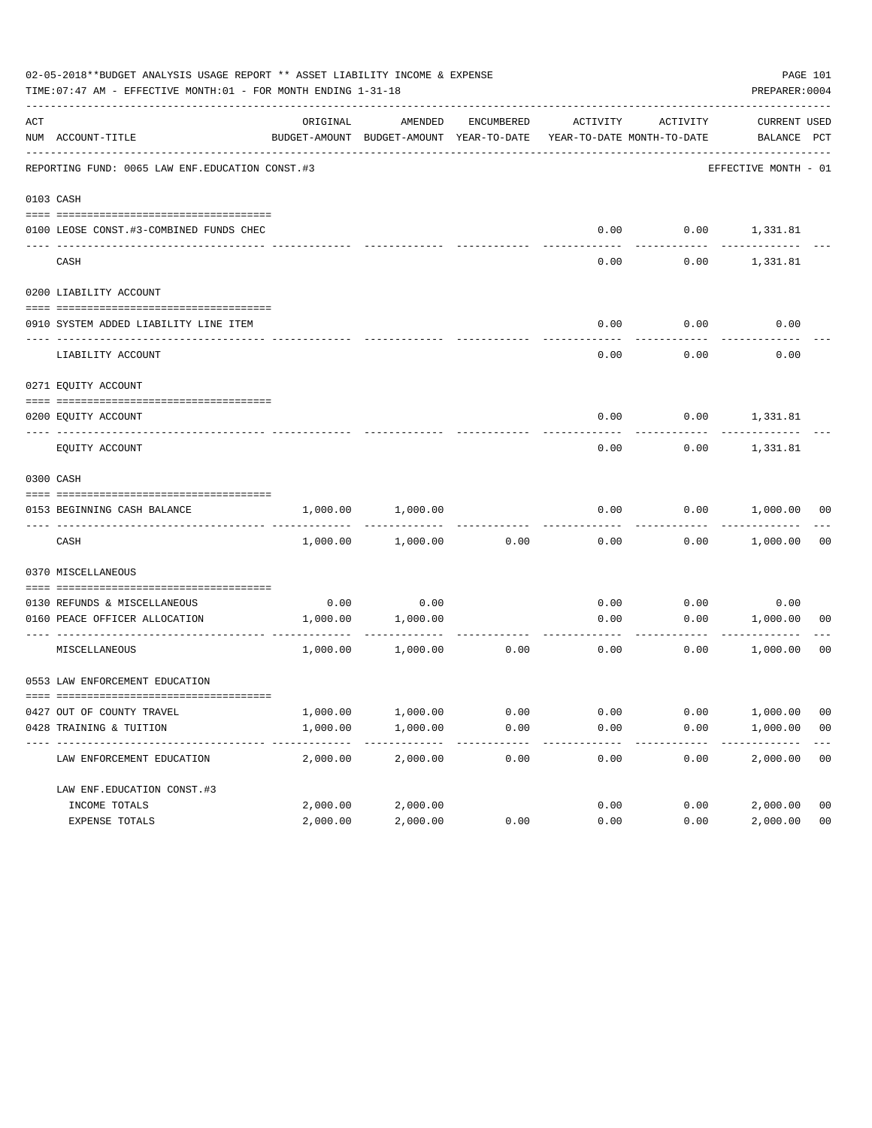|     | 02-05-2018**BUDGET ANALYSIS USAGE REPORT ** ASSET LIABILITY INCOME & EXPENSE<br>TIME: 07:47 AM - EFFECTIVE MONTH: 01 - FOR MONTH ENDING 1-31-18 |          |                                                     |            |                                        |          | PREPARER: 0004              | PAGE 101       |
|-----|-------------------------------------------------------------------------------------------------------------------------------------------------|----------|-----------------------------------------------------|------------|----------------------------------------|----------|-----------------------------|----------------|
| ACT | NUM ACCOUNT-TITLE                                                                                                                               | ORIGINAL | AMENDED<br>BUDGET-AMOUNT BUDGET-AMOUNT YEAR-TO-DATE | ENCUMBERED | ACTIVITY<br>YEAR-TO-DATE MONTH-TO-DATE | ACTIVITY | CURRENT USED<br>BALANCE PCT |                |
|     | REPORTING FUND: 0065 LAW ENF. EDUCATION CONST.#3                                                                                                |          |                                                     |            |                                        |          | EFFECTIVE MONTH - 01        |                |
|     | 0103 CASH                                                                                                                                       |          |                                                     |            |                                        |          |                             |                |
|     | 0100 LEOSE CONST.#3-COMBINED FUNDS CHEC                                                                                                         |          |                                                     |            |                                        |          | $0.00$ $0.00$ $1,331.81$    |                |
|     | CASH                                                                                                                                            |          |                                                     |            | 0.00                                   | 0.00     | 1,331.81                    |                |
|     | 0200 LIABILITY ACCOUNT                                                                                                                          |          |                                                     |            |                                        |          |                             |                |
|     | 0910 SYSTEM ADDED LIABILITY LINE ITEM                                                                                                           |          |                                                     |            | 0.00                                   | 0.00     | 0.00                        |                |
|     | LIABILITY ACCOUNT                                                                                                                               |          |                                                     |            | 0.00                                   | 0.00     | 0.00                        |                |
|     | 0271 EQUITY ACCOUNT                                                                                                                             |          |                                                     |            |                                        |          |                             |                |
|     | 0200 EQUITY ACCOUNT                                                                                                                             |          |                                                     |            |                                        |          | $0.00$ $0.00$ $1,331.81$    |                |
|     | EQUITY ACCOUNT                                                                                                                                  |          |                                                     |            | 0.00                                   | 0.00     | 1,331.81                    |                |
|     | 0300 CASH                                                                                                                                       |          |                                                     |            |                                        |          |                             |                |
|     | 0153 BEGINNING CASH BALANCE                                                                                                                     | 1,000.00 | 1,000.00                                            |            | 0.00                                   |          | $0.00$ 1,000.00 00          |                |
|     | CASH                                                                                                                                            | 1,000.00 | 1,000.00                                            | 0.00       | 0.00                                   |          | $0.00$ 1,000.00             | 0 <sub>0</sub> |
|     | 0370 MISCELLANEOUS                                                                                                                              |          |                                                     |            |                                        |          |                             |                |
|     | 0130 REFUNDS & MISCELLANEOUS                                                                                                                    |          | $0.00$ 0.00                                         |            | 0.00                                   |          | 0.00<br>0.00                |                |
|     | 0160 PEACE OFFICER ALLOCATION                                                                                                                   |          | 1,000.00 1,000.00                                   |            | 0.00<br>------------- --------------   |          | 0.00 1,000.00               | 00             |
|     | MISCELLANEOUS                                                                                                                                   |          | 1,000.00 1,000.00                                   | 0.00       | 0.00                                   |          | 0.00<br>1,000.00            | 0 <sub>0</sub> |
|     | 0553 LAW ENFORCEMENT EDUCATION                                                                                                                  |          |                                                     |            |                                        |          |                             |                |
|     | 0427 OUT OF COUNTY TRAVEL                                                                                                                       | 1,000.00 | 1,000.00                                            | 0.00       | 0.00                                   | 0.00     | 1,000.00                    | 00             |
|     | 0428 TRAINING & TUITION                                                                                                                         | 1,000.00 | 1,000.00                                            | 0.00       | 0.00                                   | 0.00     | 1,000.00                    | 0 <sub>0</sub> |
|     | LAW ENFORCEMENT EDUCATION                                                                                                                       | 2,000.00 | 2,000.00                                            | 0.00       | 0.00                                   | 0.00     | 2,000.00                    | 0 <sub>0</sub> |
|     | LAW ENF. EDUCATION CONST. #3                                                                                                                    |          |                                                     |            |                                        |          |                             |                |
|     | INCOME TOTALS                                                                                                                                   | 2,000.00 | 2,000.00                                            |            | 0.00                                   | 0.00     | 2,000.00                    | 0 <sub>0</sub> |
|     | EXPENSE TOTALS                                                                                                                                  | 2,000.00 | 2,000.00                                            | 0.00       | 0.00                                   | 0.00     | 2,000.00                    | 0 <sub>0</sub> |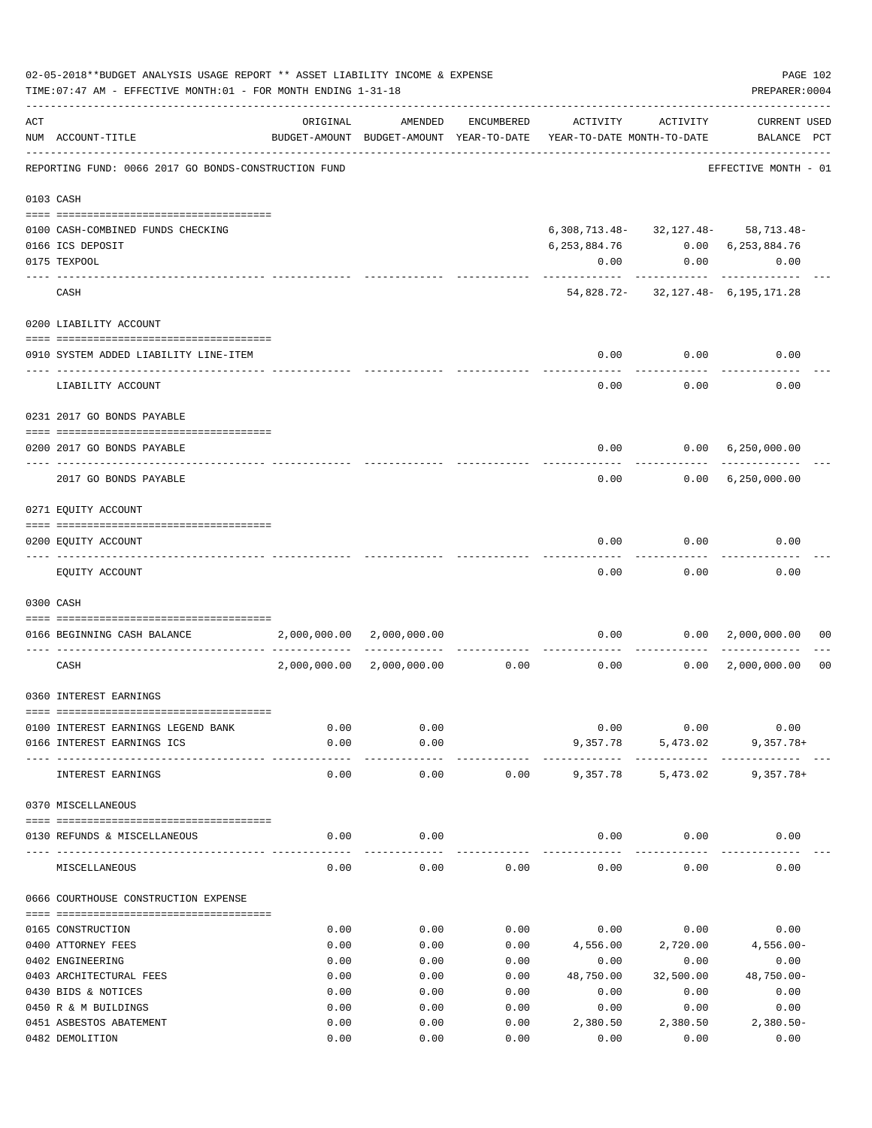|     | 02-05-2018**BUDGET ANALYSIS USAGE REPORT ** ASSET LIABILITY INCOME & EXPENSE<br>TIME: 07:47 AM - EFFECTIVE MONTH: 01 - FOR MONTH ENDING 1-31-18 |              |                           |              |                                                                                 |                   | PAGE 102<br>PREPARER: 0004               |                |
|-----|-------------------------------------------------------------------------------------------------------------------------------------------------|--------------|---------------------------|--------------|---------------------------------------------------------------------------------|-------------------|------------------------------------------|----------------|
| ACT | NUM ACCOUNT-TITLE                                                                                                                               | ORIGINAL     | AMENDED                   | ENCUMBERED   | ACTIVITY<br>BUDGET-AMOUNT BUDGET-AMOUNT YEAR-TO-DATE YEAR-TO-DATE MONTH-TO-DATE | ACTIVITY          | <b>CURRENT USED</b><br>BALANCE PCT       |                |
|     | REPORTING FUND: 0066 2017 GO BONDS-CONSTRUCTION FUND                                                                                            |              |                           |              |                                                                                 |                   | EFFECTIVE MONTH - 01                     |                |
|     | 0103 CASH                                                                                                                                       |              |                           |              |                                                                                 |                   |                                          |                |
|     | 0100 CASH-COMBINED FUNDS CHECKING                                                                                                               |              |                           |              |                                                                                 |                   | $6,308,713.48 - 32,127.48 - 58,713.48 -$ |                |
|     | 0166 ICS DEPOSIT                                                                                                                                |              |                           |              | 6, 253, 884. 76 0.00 6, 253, 884. 76                                            |                   |                                          |                |
|     | 0175 TEXPOOL                                                                                                                                    |              |                           |              | 0.00                                                                            |                   | 0.00<br>0.00                             |                |
|     | CASH                                                                                                                                            |              |                           |              |                                                                                 | .                 | 54,828.72- 32,127.48- 6,195,171.28       |                |
|     |                                                                                                                                                 |              |                           |              |                                                                                 |                   |                                          |                |
|     | 0200 LIABILITY ACCOUNT                                                                                                                          |              |                           |              |                                                                                 |                   |                                          |                |
|     | 0910 SYSTEM ADDED LIABILITY LINE-ITEM                                                                                                           |              |                           |              | 0.00<br>-------                                                                 | 0.00<br>--------- | 0.00                                     |                |
|     | LIABILITY ACCOUNT                                                                                                                               |              |                           |              | 0.00                                                                            | 0.00              | 0.00                                     |                |
|     | 0231 2017 GO BONDS PAYABLE                                                                                                                      |              |                           |              |                                                                                 |                   |                                          |                |
|     | 0200 2017 GO BONDS PAYABLE                                                                                                                      |              |                           |              |                                                                                 |                   | $0.00$ $0.00$ $6,250,000.00$             |                |
|     | 2017 GO BONDS PAYABLE                                                                                                                           |              |                           |              |                                                                                 |                   | $0.00$ $0.00$ $6,250,000.00$             |                |
|     | 0271 EQUITY ACCOUNT                                                                                                                             |              |                           |              |                                                                                 |                   |                                          |                |
|     |                                                                                                                                                 |              |                           |              |                                                                                 |                   |                                          |                |
|     | 0200 EQUITY ACCOUNT                                                                                                                             |              |                           |              | 0.00                                                                            | 0.00              | 0.00                                     |                |
|     | EQUITY ACCOUNT                                                                                                                                  |              |                           |              | 0.00                                                                            | 0.00              | 0.00                                     |                |
|     | 0300 CASH                                                                                                                                       |              |                           |              |                                                                                 |                   |                                          |                |
|     | 0166 BEGINNING CASH BALANCE                                                                                                                     |              | 2,000,000.00 2,000,000.00 |              |                                                                                 |                   | $0.00$ $0.00$ $2,000,000.00$             | 00             |
|     | CASH                                                                                                                                            | 2,000,000.00 | $2,000,000.00$ 0.00       |              | 0.00                                                                            | ----------        | 0.00 2,000,000.00                        | 0 <sub>0</sub> |
|     | 0360 INTEREST EARNINGS                                                                                                                          |              |                           |              |                                                                                 |                   |                                          |                |
|     |                                                                                                                                                 |              |                           |              |                                                                                 |                   |                                          |                |
|     | 0100 INTEREST EARNINGS LEGEND BANK                                                                                                              | 0.00         | 0.00                      |              | 0.00                                                                            | 0.00              | 0.00                                     |                |
|     | 0166 INTEREST EARNINGS ICS                                                                                                                      | 0.00         | 0.00                      |              | 9,357.78                                                                        | 5,473.02          | $9,357.78+$                              |                |
|     | INTEREST EARNINGS                                                                                                                               | 0.00         | 0.00                      | 0.00         | 9,357.78                                                                        | 5,473.02          | $9,357.78+$                              |                |
|     | 0370 MISCELLANEOUS                                                                                                                              |              |                           |              |                                                                                 |                   |                                          |                |
|     | 0130 REFUNDS & MISCELLANEOUS                                                                                                                    | 0.00         | 0.00                      |              | 0.00                                                                            | 0.00              | 0.00                                     |                |
|     | MISCELLANEOUS                                                                                                                                   | 0.00         | 0.00                      | 0.00         | 0.00                                                                            | 0.00              | 0.00                                     |                |
|     | 0666 COURTHOUSE CONSTRUCTION EXPENSE                                                                                                            |              |                           |              |                                                                                 |                   |                                          |                |
|     |                                                                                                                                                 |              |                           |              |                                                                                 |                   |                                          |                |
|     | 0165 CONSTRUCTION                                                                                                                               | 0.00         | 0.00                      | 0.00         | 0.00                                                                            | 0.00              | 0.00                                     |                |
|     | 0400 ATTORNEY FEES                                                                                                                              | 0.00         | 0.00                      | 0.00         | 4,556.00                                                                        | 2,720.00          | $4,556.00 -$                             |                |
|     | 0402 ENGINEERING<br>0403 ARCHITECTURAL FEES                                                                                                     | 0.00<br>0.00 | 0.00<br>0.00              | 0.00<br>0.00 | 0.00<br>48,750.00                                                               | 0.00<br>32,500.00 | 0.00<br>$48,750.00 -$                    |                |
|     | 0430 BIDS & NOTICES                                                                                                                             | 0.00         | 0.00                      | 0.00         | 0.00                                                                            | 0.00              | 0.00                                     |                |
|     | 0450 R & M BUILDINGS                                                                                                                            | 0.00         | 0.00                      | 0.00         | 0.00                                                                            | 0.00              | 0.00                                     |                |
|     | 0451 ASBESTOS ABATEMENT                                                                                                                         | 0.00         | 0.00                      | 0.00         | 2,380.50                                                                        | 2,380.50          | $2,380.50-$                              |                |
|     | 0482 DEMOLITION                                                                                                                                 | 0.00         | 0.00                      | 0.00         | 0.00                                                                            | 0.00              | 0.00                                     |                |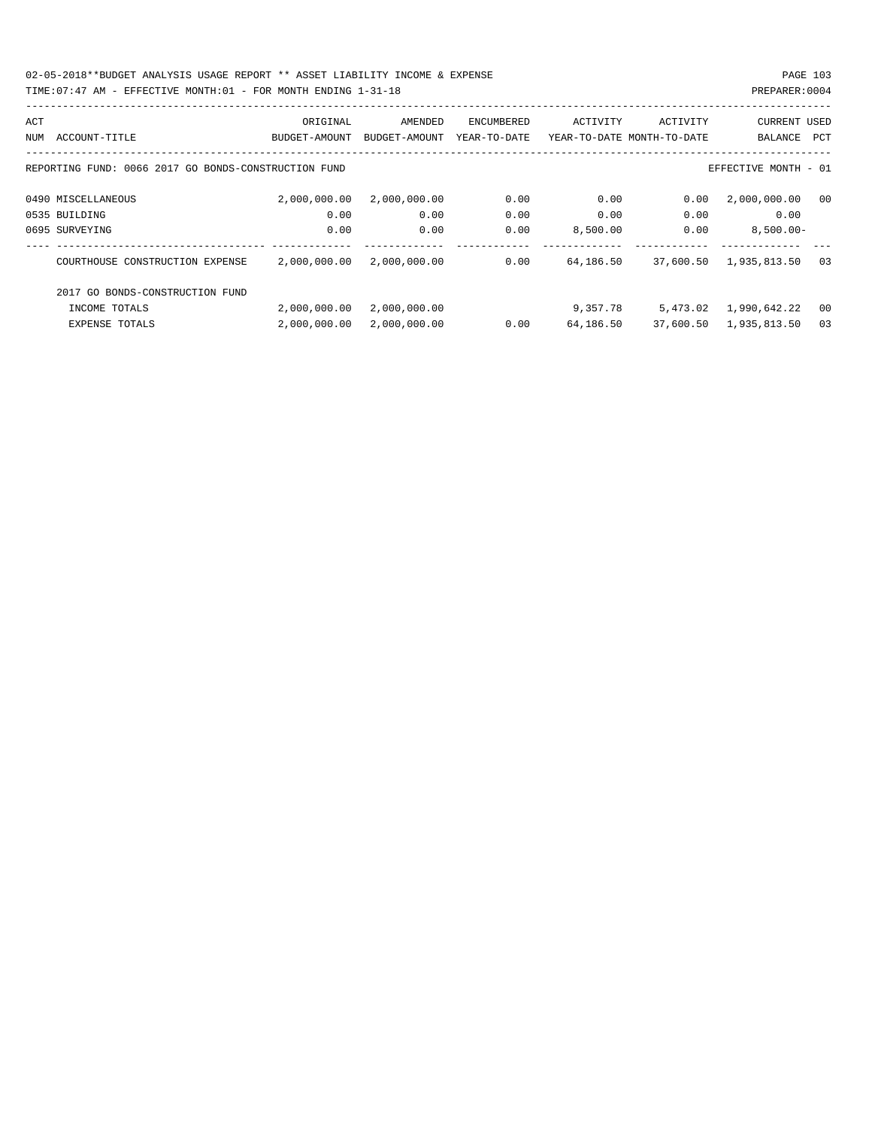02-05-2018\*\*BUDGET ANALYSIS USAGE REPORT \*\* ASSET LIABILITY INCOME & EXPENSE PAGE 103 TIME:07:47 AM - EFFECTIVE MONTH:01 - FOR MONTH ENDING 1-31-18 PREPARER:0004

| ACT |                                                      | ORIGINAL      | AMENDED       | ENCUMBERED   | ACTIVITY  | ACTIVITY                   | <b>CURRENT USED</b>    |      |
|-----|------------------------------------------------------|---------------|---------------|--------------|-----------|----------------------------|------------------------|------|
| NUM | ACCOUNT-TITLE                                        | BUDGET-AMOUNT | BUDGET-AMOUNT | YEAR-TO-DATE |           | YEAR-TO-DATE MONTH-TO-DATE | BALANCE                | PCT  |
|     |                                                      |               |               |              |           |                            |                        |      |
|     | REPORTING FUND: 0066 2017 GO BONDS-CONSTRUCTION FUND |               |               |              |           |                            | EFFECTIVE MONTH - 01   |      |
|     |                                                      |               |               |              | 0.00      |                            |                        |      |
|     | 0490 MISCELLANEOUS                                   | 2,000,000.00  | 2,000,000.00  | 0.00         |           | 0.00                       | 2,000,000.00           | 00   |
|     | 0535 BUILDING                                        | 0.00          | 0.00          | 0.00         | 0.00      | 0.00                       | 0.00                   |      |
|     | 0695 SURVEYING                                       | 0.00          | 0.00          | 0.00         | 8,500.00  | 0.00                       | $8,500.00 -$           |      |
|     | COURTHOUSE CONSTRUCTION EXPENSE                      | 2,000,000.00  | 2,000,000.00  | 0.00         | 64,186.50 | 37,600.50                  | 1,935,813.50           | 03   |
|     | 2017 GO BONDS-CONSTRUCTION FUND                      |               |               |              |           |                            |                        |      |
|     | INCOME TOTALS                                        | 2,000,000.00  | 2,000,000.00  |              | 9,357.78  |                            | 5,473.02 1,990,642.22  | - 00 |
|     | <b>EXPENSE TOTALS</b>                                | 2,000,000.00  | 2,000,000.00  | 0.00         | 64,186.50 |                            | 37,600.50 1,935,813.50 | 03   |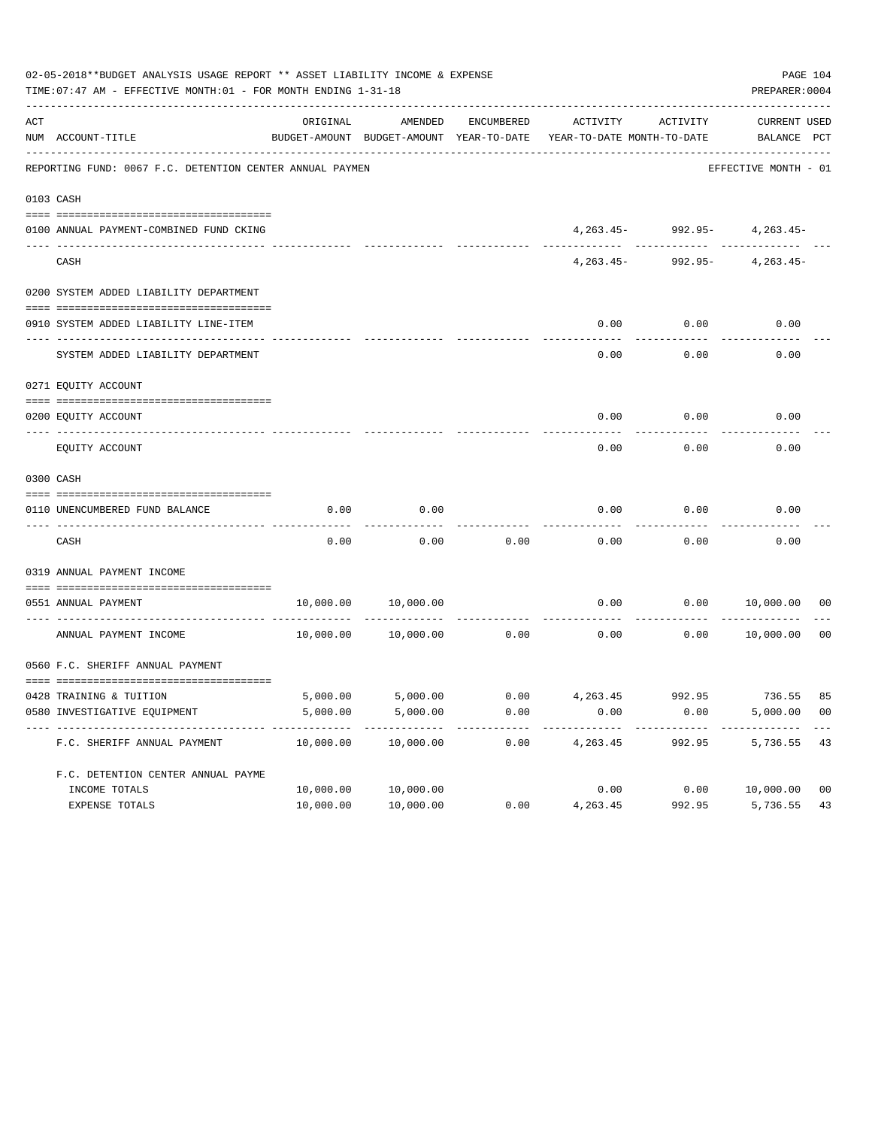|     | 02-05-2018**BUDGET ANALYSIS USAGE REPORT ** ASSET LIABILITY INCOME & EXPENSE<br>TIME: 07:47 AM - EFFECTIVE MONTH: 01 - FOR MONTH ENDING 1-31-18 |           |                                                     |            |                                                          |                                | PAGE 104<br>PREPARER: 0004  |                |
|-----|-------------------------------------------------------------------------------------------------------------------------------------------------|-----------|-----------------------------------------------------|------------|----------------------------------------------------------|--------------------------------|-----------------------------|----------------|
| ACT | NUM ACCOUNT-TITLE                                                                                                                               | ORIGINAL  | AMENDED<br>BUDGET-AMOUNT BUDGET-AMOUNT YEAR-TO-DATE | ENCUMBERED | ACTIVITY<br>YEAR-TO-DATE MONTH-TO-DATE                   | ACTIVITY                       | CURRENT USED<br>BALANCE PCT |                |
|     | REPORTING FUND: 0067 F.C. DETENTION CENTER ANNUAL PAYMEN                                                                                        |           |                                                     |            |                                                          |                                | EFFECTIVE MONTH - 01        |                |
|     |                                                                                                                                                 |           |                                                     |            |                                                          |                                |                             |                |
|     | 0103 CASH                                                                                                                                       |           |                                                     |            |                                                          |                                |                             |                |
|     | 0100 ANNUAL PAYMENT-COMBINED FUND CKING                                                                                                         |           |                                                     |            |                                                          | $4,263.45 - 992.95 - 4,263.45$ |                             |                |
|     | CASH                                                                                                                                            |           |                                                     |            | $4.263.45-$                                              |                                | 992.95- 4,263.45-           |                |
|     | 0200 SYSTEM ADDED LIABILITY DEPARTMENT                                                                                                          |           |                                                     |            |                                                          |                                |                             |                |
|     | 0910 SYSTEM ADDED LIABILITY LINE-ITEM                                                                                                           |           |                                                     |            | 0.00                                                     | 0.00                           | 0.00                        |                |
|     | SYSTEM ADDED LIABILITY DEPARTMENT                                                                                                               |           |                                                     |            | 0.00                                                     | 0.00                           | 0.00                        |                |
|     | 0271 EQUITY ACCOUNT                                                                                                                             |           |                                                     |            |                                                          |                                |                             |                |
|     | 0200 EQUITY ACCOUNT                                                                                                                             |           |                                                     |            | 0.00                                                     | 0.00                           | 0.00                        |                |
|     | EQUITY ACCOUNT                                                                                                                                  |           |                                                     |            | 0.00                                                     | 0.00                           | 0.00                        |                |
|     | 0300 CASH                                                                                                                                       |           |                                                     |            |                                                          |                                |                             |                |
|     | 0110 UNENCUMBERED FUND BALANCE                                                                                                                  | 0.00      | 0.00                                                |            | 0.00                                                     | 0.00                           | 0.00                        |                |
|     | CASH                                                                                                                                            | 0.00      | 0.00                                                | 0.00       | 0.00                                                     | 0.00                           | 0.00                        |                |
|     | 0319 ANNUAL PAYMENT INCOME                                                                                                                      |           |                                                     |            |                                                          |                                |                             |                |
|     | 0551 ANNUAL PAYMENT                                                                                                                             | 10,000.00 | 10,000.00                                           |            | 0.00                                                     |                                | 0.00 10,000.00              | 00             |
|     | ANNUAL PAYMENT INCOME                                                                                                                           |           | 10,000.00  10,000.00                                | 0.00       | 0.00                                                     | 0.00                           | 10,000.00                   | 0 <sub>0</sub> |
|     | 0560 F.C. SHERIFF ANNUAL PAYMENT                                                                                                                |           |                                                     |            |                                                          |                                |                             |                |
|     |                                                                                                                                                 |           |                                                     |            |                                                          |                                |                             |                |
|     | 0428 TRAINING & TUITION<br>0580 INVESTIGATIVE EQUIPMENT                                                                                         | 5,000.00  | 5,000.00                                            | 0.00       | 5,000.00 5,000.00 0.00 4,263.45 992.95 736.55 85<br>0.00 | 0.00                           | 5,000.00                    | - 00           |
|     | F.C. SHERIFF ANNUAL PAYMENT                                                                                                                     | 10,000.00 | 10,000.00                                           | 0.00       | 4,263.45                                                 | 992.95                         | 5,736.55                    | 43             |
|     | F.C. DETENTION CENTER ANNUAL PAYME                                                                                                              |           |                                                     |            |                                                          |                                |                             |                |
|     | INCOME TOTALS                                                                                                                                   | 10,000.00 | 10,000.00                                           |            | 0.00                                                     | 0.00                           | 10,000.00                   | 0 <sub>0</sub> |
|     | EXPENSE TOTALS                                                                                                                                  | 10,000.00 | 10,000.00                                           | 0.00       | 4,263.45                                                 | 992.95                         | 5,736.55                    | 43             |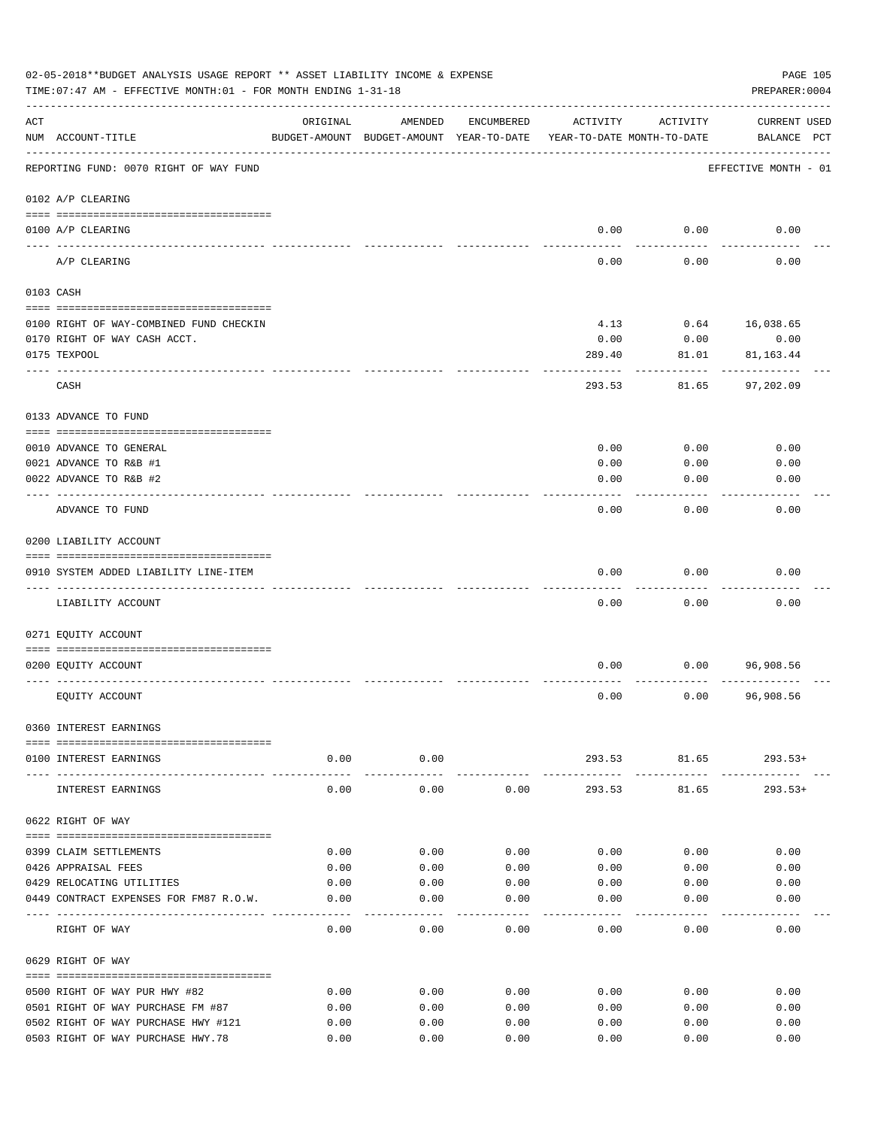|     | 02-05-2018**BUDGET ANALYSIS USAGE REPORT ** ASSET LIABILITY INCOME & EXPENSE<br>TIME: 07:47 AM - EFFECTIVE MONTH: 01 - FOR MONTH ENDING 1-31-18 |              |                                                     |              |                                        |                  | PAGE 105<br>PREPARER: 0004         |
|-----|-------------------------------------------------------------------------------------------------------------------------------------------------|--------------|-----------------------------------------------------|--------------|----------------------------------------|------------------|------------------------------------|
| ACT | NUM ACCOUNT-TITLE                                                                                                                               | ORIGINAL     | AMENDED<br>BUDGET-AMOUNT BUDGET-AMOUNT YEAR-TO-DATE | ENCUMBERED   | ACTIVITY<br>YEAR-TO-DATE MONTH-TO-DATE | ACTIVITY         | <b>CURRENT USED</b><br>BALANCE PCT |
|     | REPORTING FUND: 0070 RIGHT OF WAY FUND                                                                                                          |              |                                                     |              |                                        |                  | EFFECTIVE MONTH - 01               |
|     | 0102 A/P CLEARING                                                                                                                               |              |                                                     |              |                                        |                  |                                    |
|     | 0100 A/P CLEARING                                                                                                                               |              |                                                     |              | 0.00                                   | 0.00             | 0.00                               |
|     | ---- ----------<br>A/P CLEARING                                                                                                                 |              |                                                     |              | 0.00                                   | 0.00             | 0.00                               |
|     | 0103 CASH                                                                                                                                       |              |                                                     |              |                                        |                  |                                    |
|     | 0100 RIGHT OF WAY-COMBINED FUND CHECKIN                                                                                                         |              |                                                     |              | 4.13                                   |                  | $0.64$ 16,038.65                   |
|     | 0170 RIGHT OF WAY CASH ACCT.                                                                                                                    |              |                                                     |              | 0.00                                   | 0.00             | 0.00                               |
|     | 0175 TEXPOOL                                                                                                                                    |              |                                                     |              | 289.40                                 | 81.01            | 81,163.44                          |
|     | CASH                                                                                                                                            |              |                                                     |              | 293.53                                 | -------<br>81.65 | 97,202.09                          |
|     | 0133 ADVANCE TO FUND                                                                                                                            |              |                                                     |              |                                        |                  |                                    |
|     |                                                                                                                                                 |              |                                                     |              |                                        |                  | 0.00                               |
|     | 0010 ADVANCE TO GENERAL<br>0021 ADVANCE TO R&B #1                                                                                               |              |                                                     |              | 0.00<br>0.00                           | 0.00<br>0.00     | 0.00                               |
|     | 0022 ADVANCE TO R&B #2                                                                                                                          |              |                                                     |              | 0.00                                   | 0.00             | 0.00                               |
|     |                                                                                                                                                 |              |                                                     |              |                                        |                  |                                    |
|     | ADVANCE TO FUND                                                                                                                                 |              |                                                     |              | 0.00                                   | 0.00             | 0.00                               |
|     | 0200 LIABILITY ACCOUNT                                                                                                                          |              |                                                     |              |                                        |                  |                                    |
|     | 0910 SYSTEM ADDED LIABILITY LINE-ITEM                                                                                                           |              |                                                     |              | 0.00                                   | 0.00             | 0.00                               |
|     | LIABILITY ACCOUNT                                                                                                                               |              |                                                     |              | 0.00                                   | 0.00             | 0.00                               |
|     |                                                                                                                                                 |              |                                                     |              |                                        |                  |                                    |
|     | 0271 EQUITY ACCOUNT                                                                                                                             |              |                                                     |              |                                        |                  |                                    |
|     | 0200 EQUITY ACCOUNT                                                                                                                             |              |                                                     |              | 0.00                                   | 0.00             | 96,908.56                          |
|     |                                                                                                                                                 |              |                                                     |              |                                        |                  |                                    |
|     | EQUITY ACCOUNT                                                                                                                                  |              |                                                     |              | 0.00                                   | 0.00             | 96,908.56                          |
|     | 0360 INTEREST EARNINGS                                                                                                                          |              |                                                     |              |                                        |                  |                                    |
|     | 0100 INTEREST EARNINGS                                                                                                                          |              | $0.00$ 0.00                                         |              |                                        |                  | 293.53 81.65 293.53+               |
|     | INTEREST EARNINGS                                                                                                                               | 0.00         | ------------<br>0.00                                | 0.00         | -------------<br>293.53                | .<br>81.65       | ----------<br>$293.53+$            |
|     | 0622 RIGHT OF WAY                                                                                                                               |              |                                                     |              |                                        |                  |                                    |
|     |                                                                                                                                                 |              |                                                     |              |                                        |                  |                                    |
|     | 0399 CLAIM SETTLEMENTS                                                                                                                          | 0.00         | 0.00                                                | 0.00         | 0.00                                   | 0.00             | 0.00                               |
|     | 0426 APPRAISAL FEES<br>0429 RELOCATING UTILITIES                                                                                                | 0.00<br>0.00 | 0.00<br>0.00                                        | 0.00<br>0.00 | 0.00<br>0.00                           | 0.00<br>0.00     | 0.00<br>0.00                       |
|     | 0449 CONTRACT EXPENSES FOR FM87 R.O.W.                                                                                                          | 0.00         | 0.00                                                | 0.00         | 0.00                                   | 0.00             | 0.00                               |
|     |                                                                                                                                                 |              |                                                     |              |                                        |                  |                                    |
|     | RIGHT OF WAY                                                                                                                                    | 0.00         | 0.00                                                | 0.00         | 0.00                                   | 0.00             | 0.00                               |
|     | 0629 RIGHT OF WAY                                                                                                                               |              |                                                     |              |                                        |                  |                                    |
|     | 0500 RIGHT OF WAY PUR HWY #82                                                                                                                   | 0.00         | 0.00                                                | 0.00         | 0.00                                   | 0.00             | 0.00                               |
|     | 0501 RIGHT OF WAY PURCHASE FM #87                                                                                                               | 0.00         | 0.00                                                | 0.00         | 0.00                                   | 0.00             | 0.00                               |
|     | 0502 RIGHT OF WAY PURCHASE HWY #121                                                                                                             | 0.00         | 0.00                                                | 0.00         | 0.00                                   | 0.00             | 0.00                               |
|     | 0503 RIGHT OF WAY PURCHASE HWY.78                                                                                                               | 0.00         | 0.00                                                | 0.00         | 0.00                                   | 0.00             | 0.00                               |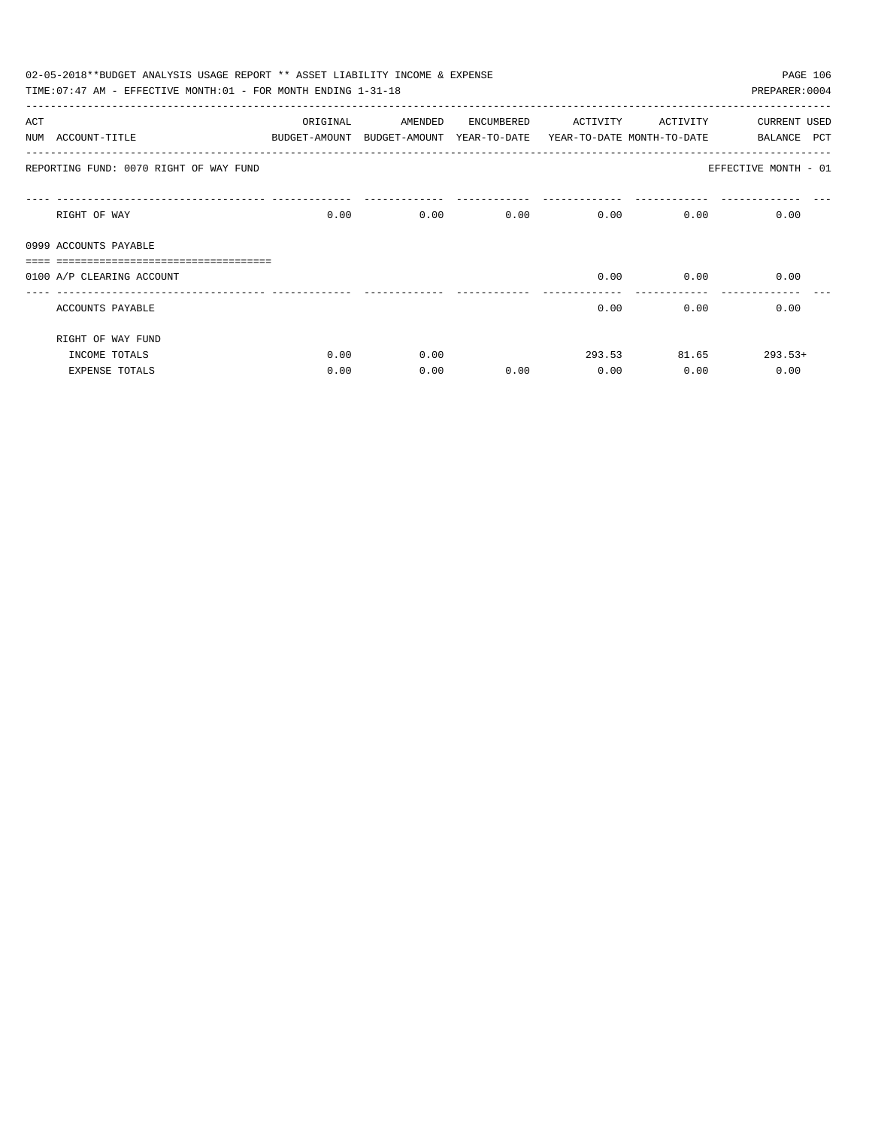|     | 02-05-2018**BUDGET ANALYSIS USAGE REPORT ** ASSET LIABILITY INCOME & EXPENSE |          |                                                                     |                             |                   |              | PAGE 106             |
|-----|------------------------------------------------------------------------------|----------|---------------------------------------------------------------------|-----------------------------|-------------------|--------------|----------------------|
|     | TIME: 07:47 AM - EFFECTIVE MONTH: 01 - FOR MONTH ENDING 1-31-18              |          |                                                                     |                             |                   |              | PREPARER: 0004       |
| ACT |                                                                              | ORIGINAL | AMENDED                                                             | ENCUMBERED                  | ACTIVITY ACTIVITY |              | <b>CURRENT USED</b>  |
|     | NUM ACCOUNT-TITLE                                                            |          | BUDGET-AMOUNT BUDGET-AMOUNT YEAR-TO-DATE YEAR-TO-DATE_MONTH-TO-DATE |                             |                   |              | BALANCE PCT          |
|     | REPORTING FUND: 0070 RIGHT OF WAY FUND                                       |          |                                                                     |                             |                   |              | EFFECTIVE MONTH - 01 |
|     | RIGHT OF WAY                                                                 | 0.00     |                                                                     | $0.00$ $0.00$ $0.00$ $0.00$ |                   |              | 0.00<br>0.00         |
|     | 0999 ACCOUNTS PAYABLE                                                        |          |                                                                     |                             |                   |              |                      |
|     | ,,,,,,,,,,,,,,,,,,,,,,,,,,,,,,,                                              |          |                                                                     |                             |                   |              |                      |
|     | 0100 A/P CLEARING ACCOUNT                                                    |          |                                                                     |                             | 0.00              | 0.00         | 0.00                 |
|     | ACCOUNTS PAYABLE                                                             |          |                                                                     |                             | 0.00              | 0.00         | 0.00                 |
|     | RIGHT OF WAY FUND                                                            |          |                                                                     |                             |                   |              |                      |
|     | INCOME TOTALS                                                                | 0.00     | 0.00                                                                |                             |                   | 293.53 81.65 | $293.53+$            |
|     | <b>EXPENSE TOTALS</b>                                                        | 0.00     | 0.00                                                                | 0.00                        | 0.00              | 0.00         | 0.00                 |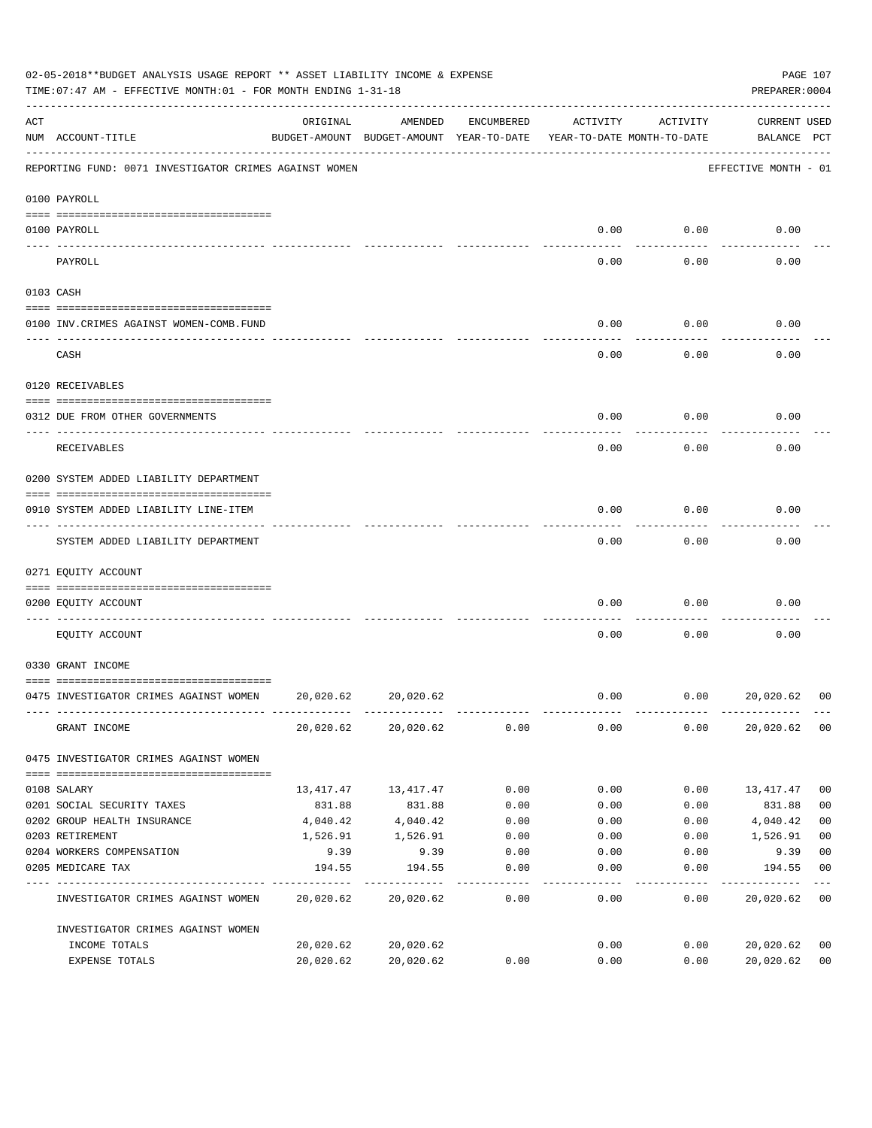|     | 02-05-2018**BUDGET ANALYSIS USAGE REPORT ** ASSET LIABILITY INCOME & EXPENSE<br>TIME: 07:47 AM - EFFECTIVE MONTH: 01 - FOR MONTH ENDING 1-31-18 |                                                                                 |           |            |          |          | PREPARER: 0004                     | PAGE 107       |
|-----|-------------------------------------------------------------------------------------------------------------------------------------------------|---------------------------------------------------------------------------------|-----------|------------|----------|----------|------------------------------------|----------------|
| ACT | NUM ACCOUNT-TITLE                                                                                                                               | ORIGINAL<br>BUDGET-AMOUNT BUDGET-AMOUNT YEAR-TO-DATE YEAR-TO-DATE MONTH-TO-DATE | AMENDED   | ENCUMBERED | ACTIVITY | ACTIVITY | <b>CURRENT USED</b><br>BALANCE PCT |                |
|     | REPORTING FUND: 0071 INVESTIGATOR CRIMES AGAINST WOMEN                                                                                          |                                                                                 |           |            |          |          | EFFECTIVE MONTH - 01               |                |
|     | 0100 PAYROLL                                                                                                                                    |                                                                                 |           |            |          |          |                                    |                |
|     | 0100 PAYROLL                                                                                                                                    |                                                                                 |           |            | 0.00     | 0.00     | 0.00                               |                |
|     | ---- -------<br>PAYROLL                                                                                                                         |                                                                                 |           |            | 0.00     | 0.00     | 0.00                               |                |
|     | 0103 CASH                                                                                                                                       |                                                                                 |           |            |          |          |                                    |                |
|     | 0100 INV. CRIMES AGAINST WOMEN-COMB. FUND                                                                                                       |                                                                                 |           |            | 0.00     | 0.00     | 0.00                               |                |
|     | CASH                                                                                                                                            |                                                                                 |           |            | 0.00     | 0.00     | 0.00                               |                |
|     | 0120 RECEIVABLES                                                                                                                                |                                                                                 |           |            |          |          |                                    |                |
|     | 0312 DUE FROM OTHER GOVERNMENTS                                                                                                                 |                                                                                 |           |            | 0.00     | 0.00     | 0.00                               |                |
|     | RECEIVABLES                                                                                                                                     |                                                                                 |           |            | 0.00     | 0.00     | 0.00                               |                |
|     | 0200 SYSTEM ADDED LIABILITY DEPARTMENT                                                                                                          |                                                                                 |           |            |          |          |                                    |                |
|     | 0910 SYSTEM ADDED LIABILITY LINE-ITEM                                                                                                           |                                                                                 |           |            | 0.00     | 0.00     | 0.00                               |                |
|     | SYSTEM ADDED LIABILITY DEPARTMENT                                                                                                               |                                                                                 |           |            | 0.00     | 0.00     | 0.00                               |                |
|     | 0271 EQUITY ACCOUNT                                                                                                                             |                                                                                 |           |            |          |          |                                    |                |
|     | 0200 EQUITY ACCOUNT                                                                                                                             |                                                                                 |           |            | 0.00     | 0.00     | 0.00                               |                |
|     | EQUITY ACCOUNT                                                                                                                                  |                                                                                 |           |            | 0.00     | 0.00     | 0.00                               |                |
|     | 0330 GRANT INCOME                                                                                                                               |                                                                                 |           |            |          |          |                                    |                |
|     | 0475 INVESTIGATOR CRIMES AGAINST WOMEN                                                                                                          | 20,020.62                                                                       | 20,020.62 |            | 0.00     | 0.00     | 20,020.62                          | 00             |
|     | GRANT INCOME                                                                                                                                    | 20,020.62                                                                       | 20,020.62 | 0.00       | 0.00     | 0.00     | 20,020.62                          | 0 <sub>0</sub> |
|     | 0475 INVESTIGATOR CRIMES AGAINST WOMEN                                                                                                          |                                                                                 |           |            |          |          |                                    |                |
|     | 0108 SALARY                                                                                                                                     | 13,417.47                                                                       | 13,417.47 | 0.00       | 0.00     | 0.00     | 13,417.47                          | 0 <sub>0</sub> |
|     | 0201 SOCIAL SECURITY TAXES                                                                                                                      | 831.88                                                                          | 831.88    | 0.00       | 0.00     | 0.00     | 831.88                             | 0 <sub>0</sub> |
|     | 0202 GROUP HEALTH INSURANCE                                                                                                                     | 4,040.42                                                                        | 4,040.42  | 0.00       | 0.00     | 0.00     | 4,040.42                           | 0 <sub>0</sub> |
|     | 0203 RETIREMENT                                                                                                                                 | 1,526.91                                                                        | 1,526.91  | 0.00       | 0.00     | 0.00     | 1,526.91                           | 0 <sub>0</sub> |
|     | 0204 WORKERS COMPENSATION                                                                                                                       | 9.39                                                                            | 9.39      | 0.00       | 0.00     | 0.00     | 9.39                               | 0 <sub>0</sub> |
|     | 0205 MEDICARE TAX                                                                                                                               | 194.55                                                                          | 194.55    | 0.00       | 0.00     | 0.00     | 194.55                             | 0 <sub>0</sub> |
|     | INVESTIGATOR CRIMES AGAINST WOMEN                                                                                                               | 20,020.62                                                                       | 20,020.62 | 0.00       | 0.00     | 0.00     | 20,020.62                          | 0 <sub>0</sub> |
|     | INVESTIGATOR CRIMES AGAINST WOMEN                                                                                                               |                                                                                 |           |            |          |          |                                    |                |
|     | INCOME TOTALS                                                                                                                                   | 20,020.62                                                                       | 20,020.62 |            | 0.00     | 0.00     | 20,020.62                          | 00             |
|     | EXPENSE TOTALS                                                                                                                                  | 20,020.62                                                                       | 20,020.62 | 0.00       | 0.00     | 0.00     | 20,020.62                          | 0 <sub>0</sub> |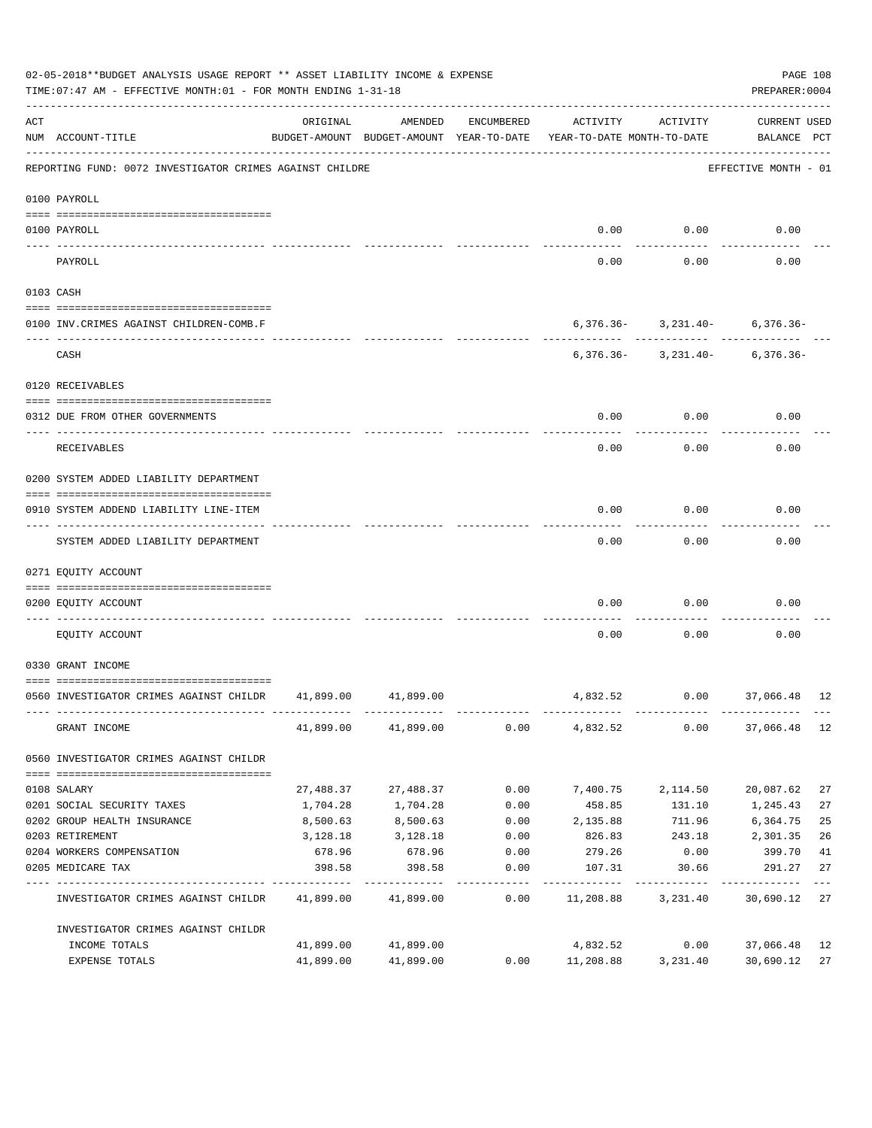| 02-05-2018**BUDGET ANALYSIS USAGE REPORT ** ASSET LIABILITY INCOME & EXPENSE<br>TIME: 07:47 AM - EFFECTIVE MONTH: 01 - FOR MONTH ENDING 1-31-18 |                                                             |           |                     |                    |                                                                                 |                                                                              | PAGE 108<br>PREPARER: 0004         |             |
|-------------------------------------------------------------------------------------------------------------------------------------------------|-------------------------------------------------------------|-----------|---------------------|--------------------|---------------------------------------------------------------------------------|------------------------------------------------------------------------------|------------------------------------|-------------|
| ACT                                                                                                                                             | NUM ACCOUNT-TITLE                                           | ORIGINAL  | AMENDED             | ENCUMBERED         | ACTIVITY<br>BUDGET-AMOUNT BUDGET-AMOUNT YEAR-TO-DATE YEAR-TO-DATE MONTH-TO-DATE | ACTIVITY                                                                     | <b>CURRENT USED</b><br>BALANCE PCT |             |
| REPORTING FUND: 0072 INVESTIGATOR CRIMES AGAINST CHILDRE                                                                                        |                                                             |           |                     |                    |                                                                                 |                                                                              | EFFECTIVE MONTH - 01               |             |
|                                                                                                                                                 | 0100 PAYROLL                                                |           |                     |                    |                                                                                 |                                                                              |                                    |             |
|                                                                                                                                                 | 0100 PAYROLL                                                |           |                     |                    | 0.00                                                                            | 0.00                                                                         | 0.00                               |             |
|                                                                                                                                                 | PAYROLL                                                     |           |                     |                    | 0.00                                                                            | 0.00                                                                         | 0.00                               |             |
|                                                                                                                                                 | 0103 CASH                                                   |           |                     |                    |                                                                                 |                                                                              |                                    |             |
|                                                                                                                                                 | 0100 INV. CRIMES AGAINST CHILDREN-COMB.F                    |           |                     |                    |                                                                                 | $6,376.36 - 3,231.40 - 6,376.36 -$                                           |                                    |             |
|                                                                                                                                                 | CASH                                                        |           |                     |                    |                                                                                 | ---------  -------------  ------------<br>$6,376.36 - 3,231.40 - 6,376.36 -$ |                                    |             |
|                                                                                                                                                 | 0120 RECEIVABLES                                            |           |                     |                    |                                                                                 |                                                                              |                                    |             |
|                                                                                                                                                 | 0312 DUE FROM OTHER GOVERNMENTS                             |           |                     |                    | 0.00                                                                            | 0.00                                                                         | 0.00                               |             |
|                                                                                                                                                 | RECEIVABLES                                                 |           |                     |                    | 0.00                                                                            | 0.00                                                                         | 0.00                               |             |
|                                                                                                                                                 | 0200 SYSTEM ADDED LIABILITY DEPARTMENT                      |           |                     |                    |                                                                                 |                                                                              |                                    |             |
|                                                                                                                                                 | 0910 SYSTEM ADDEND LIABILITY LINE-ITEM                      |           |                     |                    | 0.00                                                                            | 0.00                                                                         | 0.00                               |             |
|                                                                                                                                                 | SYSTEM ADDED LIABILITY DEPARTMENT                           |           |                     |                    | 0.00                                                                            | 0.00                                                                         | 0.00                               |             |
|                                                                                                                                                 | 0271 EQUITY ACCOUNT                                         |           |                     |                    |                                                                                 |                                                                              |                                    |             |
|                                                                                                                                                 | 0200 EQUITY ACCOUNT                                         |           |                     |                    | 0.00                                                                            | 0.00                                                                         | 0.00                               |             |
|                                                                                                                                                 | EQUITY ACCOUNT                                              |           |                     |                    | 0.00                                                                            | 0.00                                                                         | 0.00                               |             |
|                                                                                                                                                 | 0330 GRANT INCOME                                           |           |                     |                    |                                                                                 |                                                                              |                                    |             |
|                                                                                                                                                 | 0560 INVESTIGATOR CRIMES AGAINST CHILDR 41,899.00 41,899.00 |           |                     |                    |                                                                                 | 4,832.52 0.00 37,066.48 12                                                   |                                    |             |
|                                                                                                                                                 | GRANT INCOME                                                |           | 41,899.00 41,899.00 | 0.00               |                                                                                 | 4,832.52 0.00 37,066.48 12                                                   |                                    |             |
|                                                                                                                                                 | 0560 INVESTIGATOR CRIMES AGAINST CHILDR                     |           |                     |                    |                                                                                 |                                                                              |                                    |             |
|                                                                                                                                                 | 0108 SALARY                                                 | 27,488.37 | 27,488.37           | 0.00               | 7,400.75                                                                        | 2,114.50                                                                     | 20,087.62                          | 27          |
|                                                                                                                                                 | 0201 SOCIAL SECURITY TAXES                                  | 1,704.28  | 1,704.28            | 0.00               | 458.85                                                                          | 131.10                                                                       | 1,245.43                           | 27          |
|                                                                                                                                                 | 0202 GROUP HEALTH INSURANCE                                 | 8,500.63  | 8,500.63            | 0.00               | 2,135.88                                                                        | 711.96                                                                       | 6,364.75                           | 25          |
|                                                                                                                                                 | 0203 RETIREMENT                                             | 3,128.18  | 3,128.18            | 0.00               | 826.83                                                                          | 243.18                                                                       | 2,301.35                           | 26          |
|                                                                                                                                                 | 0204 WORKERS COMPENSATION                                   | 678.96    | 678.96              | 0.00               | 279.26                                                                          | 0.00                                                                         | 399.70                             | 41          |
|                                                                                                                                                 | 0205 MEDICARE TAX                                           | 398.58    | 398.58              | 0.00<br>---------- | 107.31                                                                          | 30.66                                                                        | 291.27                             | 27<br>$---$ |
|                                                                                                                                                 | INVESTIGATOR CRIMES AGAINST CHILDR 41,899.00 41,899.00      |           |                     | 0.00               | 11,208.88 3,231.40                                                              |                                                                              | 30,690.12                          | 27          |
|                                                                                                                                                 | INVESTIGATOR CRIMES AGAINST CHILDR                          |           |                     |                    |                                                                                 |                                                                              |                                    |             |
|                                                                                                                                                 | INCOME TOTALS                                               | 41,899.00 | 41,899.00           |                    | 4,832.52                                                                        | 0.00                                                                         | 37,066.48                          | 12          |
|                                                                                                                                                 | EXPENSE TOTALS                                              | 41,899.00 | 41,899.00           | 0.00               | 11,208.88                                                                       | 3,231.40                                                                     | 30,690.12                          | 27          |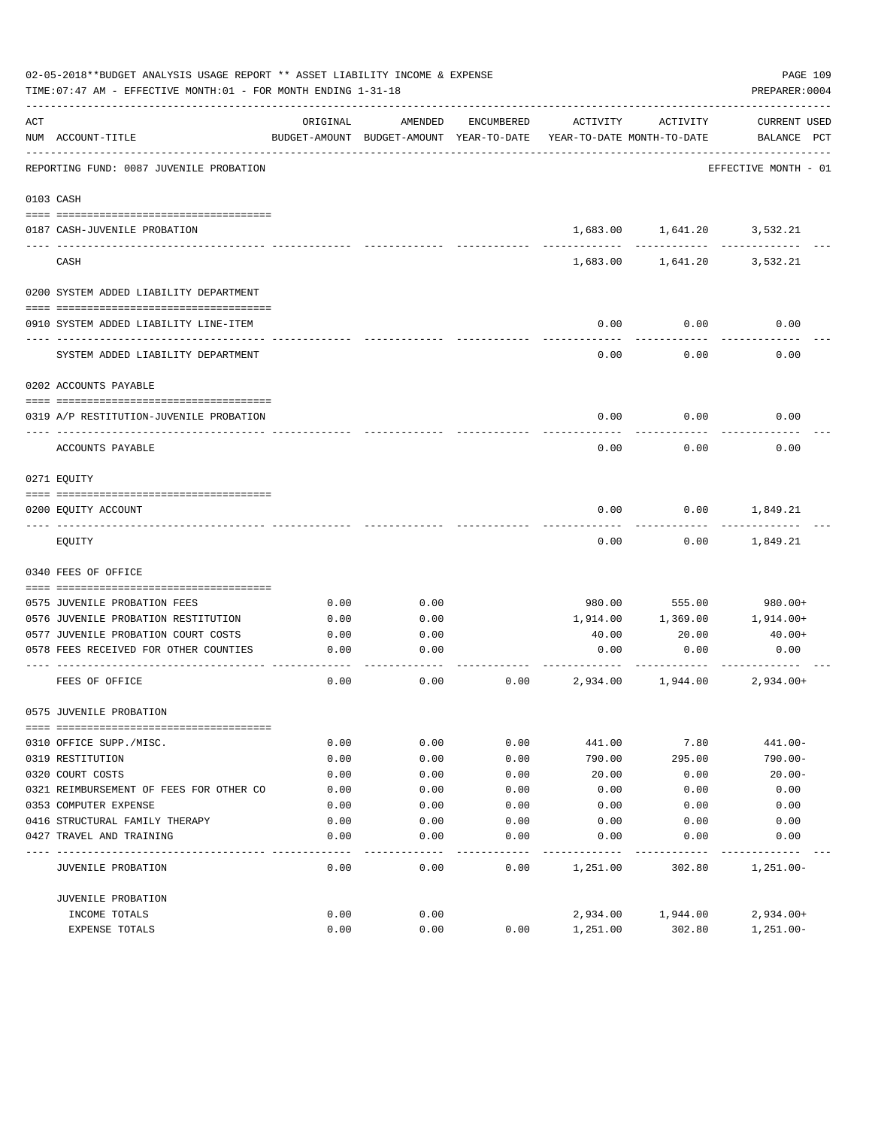|     | 02-05-2018**BUDGET ANALYSIS USAGE REPORT ** ASSET LIABILITY INCOME & EXPENSE<br>TIME: 07:47 AM - EFFECTIVE MONTH: 01 - FOR MONTH ENDING 1-31-18 |          |                                                     |            |                                        |                   | PAGE 109<br>PREPARER: 0004                                |
|-----|-------------------------------------------------------------------------------------------------------------------------------------------------|----------|-----------------------------------------------------|------------|----------------------------------------|-------------------|-----------------------------------------------------------|
| ACT | NUM ACCOUNT-TITLE                                                                                                                               | ORIGINAL | AMENDED<br>BUDGET-AMOUNT BUDGET-AMOUNT YEAR-TO-DATE | ENCUMBERED | ACTIVITY<br>YEAR-TO-DATE MONTH-TO-DATE | ACTIVITY          | <b>CURRENT USED</b><br>BALANCE PCT                        |
|     | REPORTING FUND: 0087 JUVENILE PROBATION                                                                                                         |          |                                                     |            |                                        |                   | EFFECTIVE MONTH - 01                                      |
|     | 0103 CASH                                                                                                                                       |          |                                                     |            |                                        |                   |                                                           |
|     | 0187 CASH-JUVENILE PROBATION                                                                                                                    |          |                                                     |            |                                        |                   | 1,683.00 1,641.20 3,532.21<br>--------------------------- |
|     | CASH                                                                                                                                            |          |                                                     |            | 1,683.00                               |                   | 1,641.20 3,532.21                                         |
|     | 0200 SYSTEM ADDED LIABILITY DEPARTMENT                                                                                                          |          |                                                     |            |                                        |                   |                                                           |
|     | 0910 SYSTEM ADDED LIABILITY LINE-ITEM                                                                                                           |          |                                                     |            | 0.00                                   | 0.00              | 0.00                                                      |
|     | SYSTEM ADDED LIABILITY DEPARTMENT                                                                                                               |          |                                                     |            | 0.00                                   | 0.00              | 0.00                                                      |
|     | 0202 ACCOUNTS PAYABLE                                                                                                                           |          |                                                     |            |                                        |                   |                                                           |
|     | 0319 A/P RESTITUTION-JUVENILE PROBATION                                                                                                         |          |                                                     |            | 0.00                                   | 0.00              | 0.00                                                      |
|     | ACCOUNTS PAYABLE                                                                                                                                |          |                                                     |            | 0.00                                   | 0.00              | 0.00                                                      |
|     | 0271 EQUITY                                                                                                                                     |          |                                                     |            |                                        |                   |                                                           |
|     | 0200 EQUITY ACCOUNT                                                                                                                             |          |                                                     |            | 0.00                                   | 0.00              | 1,849.21                                                  |
|     | EQUITY                                                                                                                                          |          |                                                     |            | 0.00                                   | 0.00              | 1,849.21                                                  |
|     | 0340 FEES OF OFFICE                                                                                                                             |          |                                                     |            |                                        |                   |                                                           |
|     |                                                                                                                                                 |          |                                                     |            |                                        |                   |                                                           |
|     | 0575 JUVENILE PROBATION FEES                                                                                                                    | 0.00     | 0.00                                                |            | 980.00                                 | 555.00            | 980.00+                                                   |
|     | 0576 JUVENILE PROBATION RESTITUTION                                                                                                             | 0.00     | 0.00                                                |            |                                        | 1,914.00 1,369.00 | 1,914.00+                                                 |
|     | 0577 JUVENILE PROBATION COURT COSTS                                                                                                             | 0.00     | 0.00                                                |            | 40.00                                  | 20.00             | $40.00+$                                                  |
|     | 0578 FEES RECEIVED FOR OTHER COUNTIES                                                                                                           | 0.00     | 0.00                                                |            | 0.00                                   | 0.00              | 0.00                                                      |
|     | FEES OF OFFICE                                                                                                                                  | 0.00     | 0.00                                                | 0.00       | 2,934.00                               | 1,944.00          | $2,934.00+$                                               |
|     | 0575 JUVENILE PROBATION                                                                                                                         |          |                                                     |            |                                        |                   |                                                           |
|     |                                                                                                                                                 |          |                                                     |            |                                        |                   |                                                           |
|     | 0310 OFFICE SUPP./MISC.                                                                                                                         | 0.00     | 0.00                                                | 0.00       | 441.00                                 | 7.80              | $441.00 -$                                                |
|     | 0319 RESTITUTION                                                                                                                                | 0.00     | 0.00                                                | 0.00       | 790.00                                 | 295.00            | $790.00 -$                                                |
|     | 0320 COURT COSTS                                                                                                                                | 0.00     | 0.00                                                | 0.00       | 20.00                                  | 0.00              | $20.00 -$                                                 |
|     | 0321 REIMBURSEMENT OF FEES FOR OTHER CO                                                                                                         | 0.00     | 0.00                                                | 0.00       | 0.00                                   | 0.00              | 0.00                                                      |
|     | 0353 COMPUTER EXPENSE                                                                                                                           | 0.00     | 0.00                                                | 0.00       | 0.00                                   | 0.00              | 0.00                                                      |
|     | 0416 STRUCTURAL FAMILY THERAPY                                                                                                                  | 0.00     | 0.00                                                | 0.00       | 0.00                                   | 0.00              | 0.00                                                      |
|     | 0427 TRAVEL AND TRAINING                                                                                                                        | 0.00     | 0.00                                                | 0.00       | 0.00                                   | 0.00              | 0.00                                                      |
|     | JUVENILE PROBATION                                                                                                                              | 0.00     | 0.00                                                | 0.00       | 1,251.00                               | 302.80            | $1,251.00 -$                                              |
|     | JUVENILE PROBATION                                                                                                                              |          |                                                     |            |                                        |                   |                                                           |
|     | INCOME TOTALS                                                                                                                                   | 0.00     | 0.00                                                |            | 2,934.00                               | 1,944.00          | $2,934.00+$                                               |
|     | EXPENSE TOTALS                                                                                                                                  | 0.00     | 0.00                                                | 0.00       | 1,251.00                               | 302.80            | $1,251.00-$                                               |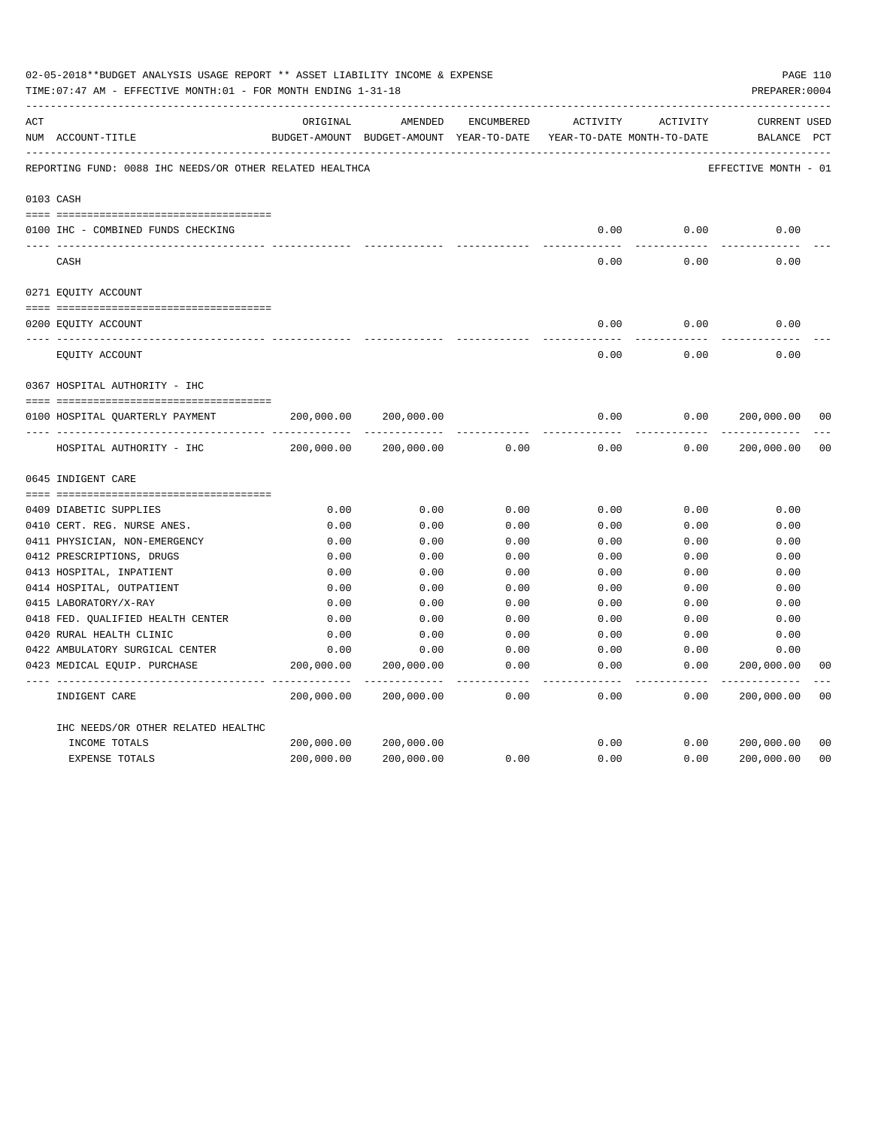|     | 02-05-2018**BUDGET ANALYSIS USAGE REPORT ** ASSET LIABILITY INCOME & EXPENSE<br>TIME: 07:47 AM - EFFECTIVE MONTH: 01 - FOR MONTH ENDING 1-31-18 |            |                                                                                |               |                     |                     | PREPARER: 0004                     | PAGE 110       |
|-----|-------------------------------------------------------------------------------------------------------------------------------------------------|------------|--------------------------------------------------------------------------------|---------------|---------------------|---------------------|------------------------------------|----------------|
| ACT | NUM ACCOUNT-TITLE                                                                                                                               | ORIGINAL   | AMENDED<br>BUDGET-AMOUNT BUDGET-AMOUNT YEAR-TO-DATE YEAR-TO-DATE MONTH-TO-DATE | ENCUMBERED    | ACTIVITY            | ACTIVITY            | <b>CURRENT USED</b><br>BALANCE PCT |                |
|     | REPORTING FUND: 0088 IHC NEEDS/OR OTHER RELATED HEALTHCA                                                                                        |            |                                                                                |               |                     |                     | EFFECTIVE MONTH - 01               |                |
|     | 0103 CASH                                                                                                                                       |            |                                                                                |               |                     |                     |                                    |                |
|     | 0100 IHC - COMBINED FUNDS CHECKING                                                                                                              |            |                                                                                |               | 0.00                | 0.00                | 0.00                               |                |
|     | CASH                                                                                                                                            |            |                                                                                |               | -----<br>0.00       | --------<br>0.00    | 0.00                               |                |
|     | 0271 EQUITY ACCOUNT                                                                                                                             |            |                                                                                |               |                     |                     |                                    |                |
|     | 0200 EQUITY ACCOUNT                                                                                                                             |            |                                                                                |               | 0.00                | 0.00                | 0.00                               |                |
|     | EQUITY ACCOUNT                                                                                                                                  |            |                                                                                |               | 0.00                | 0.00                | 0.00                               |                |
|     | 0367 HOSPITAL AUTHORITY - IHC                                                                                                                   |            |                                                                                |               |                     |                     |                                    |                |
|     |                                                                                                                                                 |            |                                                                                |               |                     |                     |                                    |                |
|     | 0100 HOSPITAL QUARTERLY PAYMENT                                                                                                                 | 200,000.00 | 200,000.00                                                                     |               | 0.00                | 0.00                | 200,000.00                         | 0 <sub>0</sub> |
|     |                                                                                                                                                 |            |                                                                                |               | $- - - - -$         |                     |                                    |                |
|     | HOSPITAL AUTHORITY - IHC                                                                                                                        | 200,000.00 | 200,000.00                                                                     | 0.00          | 0.00                | 0.00                | 200,000.00                         | 0 <sub>0</sub> |
|     | 0645 INDIGENT CARE                                                                                                                              |            |                                                                                |               |                     |                     |                                    |                |
|     |                                                                                                                                                 |            |                                                                                |               |                     |                     |                                    |                |
|     | 0409 DIABETIC SUPPLIES                                                                                                                          | 0.00       | 0.00                                                                           | 0.00          | 0.00                | 0.00                | 0.00                               |                |
|     | 0410 CERT. REG. NURSE ANES.                                                                                                                     | 0.00       | 0.00                                                                           | 0.00          | 0.00                | 0.00                | 0.00                               |                |
|     | 0411 PHYSICIAN, NON-EMERGENCY                                                                                                                   | 0.00       | 0.00                                                                           | 0.00          | 0.00                | 0.00                | 0.00                               |                |
|     | 0412 PRESCRIPTIONS, DRUGS                                                                                                                       | 0.00       | 0.00                                                                           | 0.00          | 0.00                | 0.00                | 0.00                               |                |
|     | 0413 HOSPITAL, INPATIENT                                                                                                                        | 0.00       | 0.00                                                                           | 0.00          | 0.00                | 0.00                | 0.00                               |                |
|     | 0414 HOSPITAL, OUTPATIENT                                                                                                                       | 0.00       | 0.00                                                                           | 0.00          | 0.00                | 0.00                | 0.00                               |                |
|     | 0415 LABORATORY/X-RAY                                                                                                                           | 0.00       | 0.00                                                                           | 0.00          | 0.00                | 0.00                | 0.00                               |                |
|     | 0418 FED. QUALIFIED HEALTH CENTER                                                                                                               | 0.00       | 0.00                                                                           | 0.00          | 0.00                | 0.00                | 0.00                               |                |
|     | 0420 RURAL HEALTH CLINIC                                                                                                                        | 0.00       | 0.00                                                                           | 0.00          | 0.00                | 0.00                | 0.00                               |                |
|     | 0422 AMBULATORY SURGICAL CENTER                                                                                                                 | 0.00       | 0.00                                                                           | 0.00          | 0.00                | 0.00                | 0.00                               |                |
|     | 0423 MEDICAL EQUIP. PURCHASE                                                                                                                    | 200,000.00 | 200,000.00<br>---------- --------------                                        | 0.00<br>----- | 0.00<br>$- - - - -$ | 0.00<br>$- - - - -$ | 200,000.00<br>-----------          | 0 <sub>0</sub> |
|     | INDIGENT CARE                                                                                                                                   | 200,000.00 | 200,000.00                                                                     | 0.00          | 0.00                | 0.00                | 200,000.00                         | 0 <sub>0</sub> |
|     | IHC NEEDS/OR OTHER RELATED HEALTHC                                                                                                              |            |                                                                                |               |                     |                     |                                    |                |
|     | INCOME TOTALS                                                                                                                                   | 200,000.00 | 200,000.00                                                                     |               | 0.00                | 0.00                | 200,000.00                         | 0 <sub>0</sub> |
|     | EXPENSE TOTALS                                                                                                                                  | 200,000.00 | 200,000.00                                                                     | 0.00          | 0.00                | 0.00                | 200,000.00                         | 0 <sub>0</sub> |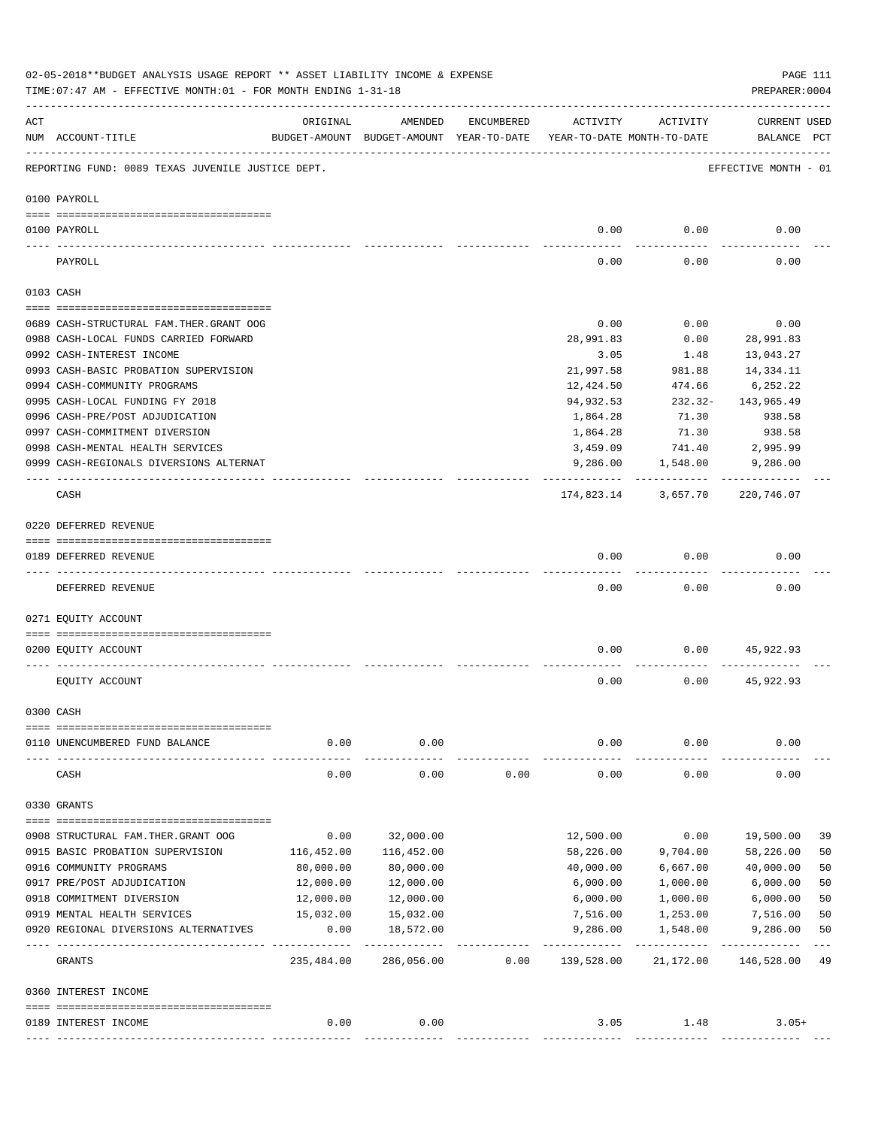|     | 02-05-2018**BUDGET ANALYSIS USAGE REPORT ** ASSET LIABILITY INCOME & EXPENSE<br>TIME: 07:47 AM - EFFECTIVE MONTH: 01 - FOR MONTH ENDING 1-31-18 |                     |                                                     |            |                                        |                   | PREPARER: 0004                 | PAGE 111 |
|-----|-------------------------------------------------------------------------------------------------------------------------------------------------|---------------------|-----------------------------------------------------|------------|----------------------------------------|-------------------|--------------------------------|----------|
| ACT | NUM ACCOUNT-TITLE                                                                                                                               | ORIGINAL            | AMENDED<br>BUDGET-AMOUNT BUDGET-AMOUNT YEAR-TO-DATE | ENCUMBERED | ACTIVITY<br>YEAR-TO-DATE MONTH-TO-DATE | ACTIVITY          | CURRENT USED<br>BALANCE PCT    |          |
|     | REPORTING FUND: 0089 TEXAS JUVENILE JUSTICE DEPT.                                                                                               |                     |                                                     |            |                                        |                   | EFFECTIVE MONTH - 01           |          |
|     | 0100 PAYROLL                                                                                                                                    |                     |                                                     |            |                                        |                   |                                |          |
|     | 0100 PAYROLL                                                                                                                                    |                     |                                                     |            | 0.00                                   | 0.00              | 0.00                           |          |
|     | PAYROLL                                                                                                                                         |                     |                                                     |            | 0.00                                   | 0.00              | 0.00                           |          |
|     | 0103 CASH                                                                                                                                       |                     |                                                     |            |                                        |                   |                                |          |
|     | 0689 CASH-STRUCTURAL FAM.THER.GRANT OOG                                                                                                         |                     |                                                     |            | 0.00                                   | 0.00              | 0.00                           |          |
|     | 0988 CASH-LOCAL FUNDS CARRIED FORWARD                                                                                                           |                     |                                                     |            | 28,991.83                              | 0.00              | 28,991.83                      |          |
|     | 0992 CASH-INTEREST INCOME                                                                                                                       |                     |                                                     |            | 3.05                                   | 1.48              | 13,043.27                      |          |
|     | 0993 CASH-BASIC PROBATION SUPERVISION                                                                                                           |                     |                                                     |            | 21,997.58                              | 981.88            | 14,334.11                      |          |
|     | 0994 CASH-COMMUNITY PROGRAMS                                                                                                                    |                     |                                                     |            | 12,424.50                              | 474.66            | 6,252.22                       |          |
|     | 0995 CASH-LOCAL FUNDING FY 2018                                                                                                                 |                     |                                                     |            | 94,932.53                              | $232.32-$         | 143,965.49                     |          |
|     | 0996 CASH-PRE/POST ADJUDICATION                                                                                                                 |                     |                                                     |            | 1,864.28                               | 71.30             | 938.58                         |          |
|     | 0997 CASH-COMMITMENT DIVERSION                                                                                                                  |                     |                                                     |            | 1,864.28                               | 71.30             | 938.58                         |          |
|     | 0998 CASH-MENTAL HEALTH SERVICES                                                                                                                |                     |                                                     |            | 3,459.09                               | 741.40            | 2,995.99                       |          |
|     | 0999 CASH-REGIONALS DIVERSIONS ALTERNAT                                                                                                         |                     |                                                     |            |                                        | 9,286.00 1,548.00 | 9,286.00                       |          |
|     |                                                                                                                                                 |                     |                                                     |            | -----------                            |                   |                                |          |
|     | CASH                                                                                                                                            |                     |                                                     |            |                                        |                   | 174,823.14 3,657.70 220,746.07 |          |
|     | 0220 DEFERRED REVENUE                                                                                                                           |                     |                                                     |            |                                        |                   |                                |          |
|     | 0189 DEFERRED REVENUE                                                                                                                           |                     |                                                     |            | 0.00                                   | 0.00              | 0.00                           |          |
|     |                                                                                                                                                 |                     |                                                     |            |                                        |                   |                                |          |
|     | DEFERRED REVENUE                                                                                                                                |                     |                                                     |            | 0.00                                   | 0.00              | 0.00                           |          |
|     | 0271 EQUITY ACCOUNT                                                                                                                             |                     |                                                     |            |                                        |                   |                                |          |
|     | 0200 EQUITY ACCOUNT                                                                                                                             |                     |                                                     |            | 0.00                                   |                   | 0.00<br>45,922.93              |          |
|     | EQUITY ACCOUNT                                                                                                                                  |                     |                                                     |            | 0.00                                   | 0.00              | 45,922.93                      |          |
|     | 0300 CASH                                                                                                                                       |                     |                                                     |            |                                        |                   |                                |          |
|     | 0110 UNENCUMBERED FUND BALANCE                                                                                                                  | 0.00                | 0.00                                                |            | 0.00                                   | 0.00              | 0.00                           |          |
|     | CASH                                                                                                                                            | 0.00                | 0.00                                                | 0.00       | 0.00                                   | 0.00              | 0.00                           |          |
|     | 0330 GRANTS                                                                                                                                     |                     |                                                     |            |                                        |                   |                                |          |
|     |                                                                                                                                                 |                     |                                                     |            |                                        |                   |                                |          |
|     | 0908 STRUCTURAL FAM. THER. GRANT OOG                                                                                                            | 0.00                | 32,000.00                                           |            | 12,500.00                              | 0.00              | 19,500.00                      | 39       |
|     | 0915 BASIC PROBATION SUPERVISION                                                                                                                | 116,452.00          | 116,452.00                                          |            | 58,226.00                              | 9,704.00          | 58,226.00                      | 50       |
|     | 0916 COMMUNITY PROGRAMS                                                                                                                         | 80,000.00           | 80,000.00                                           |            | 40,000.00                              | 6,667.00          | 40,000.00                      | 50       |
|     | 0917 PRE/POST ADJUDICATION                                                                                                                      | 12,000.00           | 12,000.00                                           |            | 6,000.00                               | 1,000.00          | 6,000.00                       | 50       |
|     | 0918 COMMITMENT DIVERSION                                                                                                                       | 12,000.00           | 12,000.00                                           |            | 6,000.00                               | 1,000.00          | 6,000.00                       | 50       |
|     | 0919 MENTAL HEALTH SERVICES                                                                                                                     | 15,032.00           | 15,032.00                                           |            | 7,516.00                               | 1,253.00          | 7,516.00                       | 50       |
|     | 0920 REGIONAL DIVERSIONS ALTERNATIVES                                                                                                           | 0.00<br>----------- | 18,572.00                                           |            | 9,286.00                               | 1,548.00          | 9,286.00<br>-----------        | 50       |
|     | GRANTS                                                                                                                                          | 235,484.00          | 286,056.00                                          | 0.00       | 139,528.00                             | 21,172.00         | 146,528.00                     | 49       |
|     | 0360 INTEREST INCOME                                                                                                                            |                     |                                                     |            |                                        |                   |                                |          |
|     | 0189 INTEREST INCOME                                                                                                                            | 0.00                | 0.00                                                |            | 3.05                                   | 1.48              | $3.05+$                        |          |
|     |                                                                                                                                                 |                     |                                                     |            |                                        |                   |                                |          |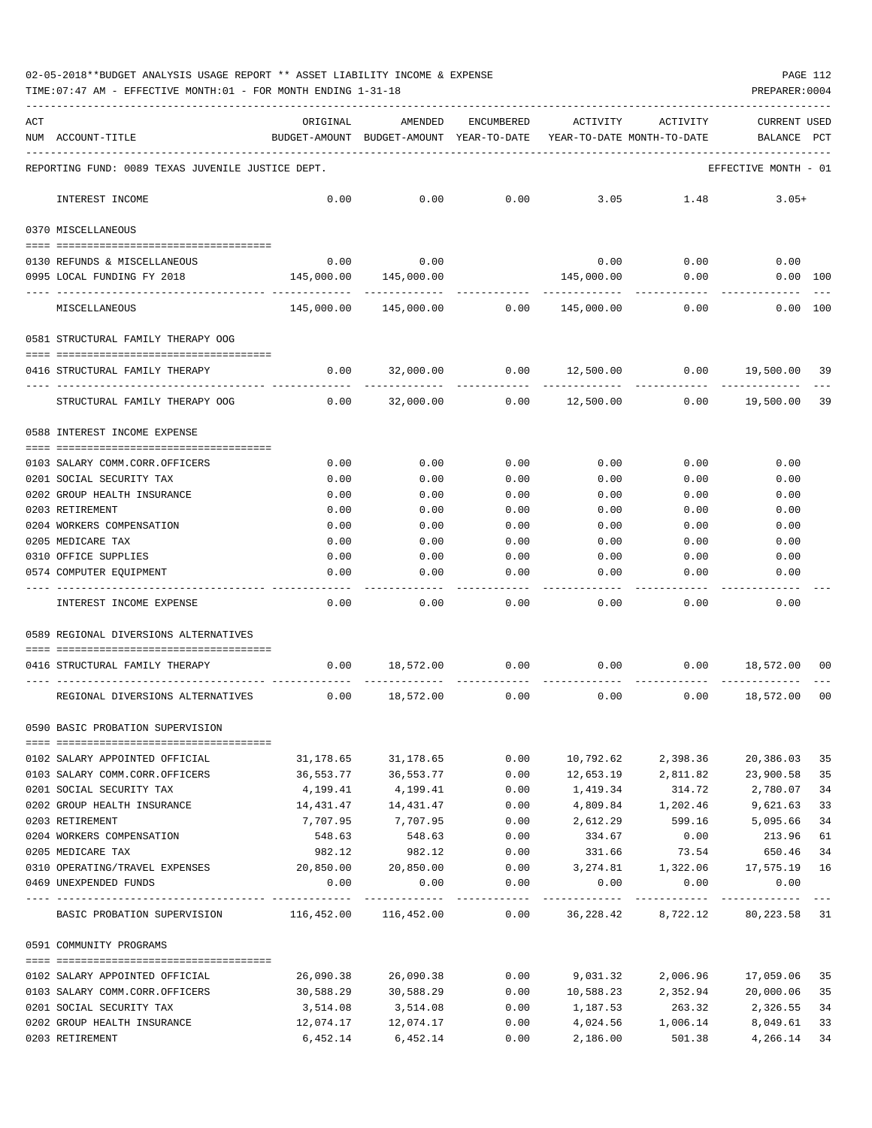## 02-05-2018\*\*BUDGET ANALYSIS USAGE REPORT \*\* ASSET LIABILITY INCOME & EXPENSE PAGE 112

TIME:07:47 AM - EFFECTIVE MONTH:01 - FOR MONTH ENDING 1-31-18 PREPARER:0004

| ACT | NUM ACCOUNT-TITLE                                                                      | ORIGINAL<br>BUDGET-AMOUNT BUDGET-AMOUNT YEAR-TO-DATE YEAR-TO-DATE MONTH-TO-DATE | AMENDED                                          | ENCUMBERED     | ACTIVITY       | ACTIVITY          | <b>CURRENT USED</b><br>BALANCE                    | $_{\rm PCT}$ |
|-----|----------------------------------------------------------------------------------------|---------------------------------------------------------------------------------|--------------------------------------------------|----------------|----------------|-------------------|---------------------------------------------------|--------------|
|     | REPORTING FUND: 0089 TEXAS JUVENILE JUSTICE DEPT.                                      |                                                                                 |                                                  |                |                |                   | EFFECTIVE MONTH - 01                              |              |
|     | INTEREST INCOME                                                                        | 0.00                                                                            | 0.00                                             | 0.00           | 3.05           | 1.48              | $3.05+$                                           |              |
|     |                                                                                        |                                                                                 |                                                  |                |                |                   |                                                   |              |
|     | 0370 MISCELLANEOUS                                                                     |                                                                                 |                                                  |                |                |                   |                                                   |              |
|     | 0130 REFUNDS & MISCELLANEOUS                                                           | 0.00                                                                            | 0.00                                             |                | 0.00           | 0.00              | 0.00                                              |              |
|     | 0995 LOCAL FUNDING FY 2018                                                             |                                                                                 | 145,000.00 145,000.00                            |                | 145,000.00     | 0.00              | 0.00 100                                          |              |
|     | MISCELLANEOUS                                                                          |                                                                                 | $145,000.00$ $145,000.00$ 0.00 $145,000.00$ 0.00 |                |                |                   | 0.00 100                                          |              |
|     | 0581 STRUCTURAL FAMILY THERAPY OOG                                                     |                                                                                 |                                                  |                |                |                   |                                                   |              |
|     | 0416 STRUCTURAL FAMILY THERAPY                                                         | 0.00                                                                            | -----------                                      | ------------   |                | ----------        | $32,000.00$ $0.00$ $12,500.00$ $0.00$ $19,500.00$ | 39           |
|     | STRUCTURAL FAMILY THERAPY OOG                                                          | 0.00                                                                            | 32,000.00                                        |                | 0.00 12,500.00 |                   | $0.00$ 19,500.00                                  | 39           |
|     | 0588 INTEREST INCOME EXPENSE                                                           |                                                                                 |                                                  |                |                |                   |                                                   |              |
|     | 0103 SALARY COMM.CORR.OFFICERS                                                         | 0.00                                                                            | 0.00                                             | 0.00           | 0.00           | 0.00              | 0.00                                              |              |
|     | 0201 SOCIAL SECURITY TAX                                                               | 0.00                                                                            | 0.00                                             | 0.00           | 0.00           | 0.00              | 0.00                                              |              |
|     | 0202 GROUP HEALTH INSURANCE                                                            | 0.00                                                                            | 0.00                                             | 0.00           | 0.00           | 0.00              | 0.00                                              |              |
|     | 0203 RETIREMENT                                                                        | 0.00                                                                            | 0.00                                             | 0.00           | 0.00           | 0.00              | 0.00                                              |              |
|     | 0204 WORKERS COMPENSATION                                                              | 0.00                                                                            | 0.00                                             | 0.00           | 0.00           | 0.00              | 0.00                                              |              |
|     | 0205 MEDICARE TAX                                                                      | 0.00                                                                            | 0.00                                             | 0.00           | 0.00           | 0.00              | 0.00                                              |              |
|     | 0310 OFFICE SUPPLIES                                                                   | 0.00                                                                            | 0.00                                             | 0.00           | 0.00           | 0.00              | 0.00                                              |              |
|     | 0574 COMPUTER EQUIPMENT                                                                | 0.00                                                                            | 0.00                                             | 0.00           | 0.00           | 0.00              | 0.00                                              |              |
|     | INTEREST INCOME EXPENSE                                                                | 0.00                                                                            | 0.00                                             | ------<br>0.00 | 0.00           | 0.00              | 0.00                                              |              |
|     | 0589 REGIONAL DIVERSIONS ALTERNATIVES                                                  |                                                                                 |                                                  |                |                |                   |                                                   |              |
|     |                                                                                        |                                                                                 |                                                  |                |                |                   |                                                   |              |
|     | 0416 STRUCTURAL FAMILY THERAPY                                                         |                                                                                 | $0.00$ 18,572.00 0.00                            |                |                |                   | $0.00$ $0.00$ $18,572.00$                         | 00           |
|     | REGIONAL DIVERSIONS ALTERNATIVES                                                       |                                                                                 | $0.00$ 18,572.00                                 | 0.00           | 0.00           |                   | $0.00$ 18,572.00                                  | 00           |
|     | 0590 BASIC PROBATION SUPERVISION                                                       |                                                                                 |                                                  |                |                |                   |                                                   |              |
|     | 0102 SALARY APPOINTED OFFICIAL                                                         | 31,178.65                                                                       | 31,178.65                                        | 0.00           | 10,792.62      | 2,398.36          | 20,386.03                                         | 35           |
|     | 0103 SALARY COMM.CORR.OFFICERS                                                         | 36,553.77                                                                       | 36,553.77                                        | 0.00           | 12,653.19      | 2,811.82          | 23,900.58                                         | 35           |
|     | 0201 SOCIAL SECURITY TAX                                                               | 4,199.41                                                                        | 4,199.41                                         | 0.00           | 1,419.34       | 314.72            | 2,780.07                                          | 34           |
|     | 0202 GROUP HEALTH INSURANCE 14,431.47                                                  |                                                                                 | 14, 431. 47                                      | 0.00           |                |                   | 4,809.84 1,202.46 9,621.63                        | 33           |
|     | 0203 RETIREMENT                                                                        | 7,707.95                                                                        | 7,707.95                                         | 0.00           | 2,612.29       | 599.16            | 5,095.66                                          | 34           |
|     | 0204 WORKERS COMPENSATION                                                              | 548.63                                                                          | 548.63                                           | 0.00           | 334.67         | 0.00              | 213.96                                            | 61           |
|     | 0205 MEDICARE TAX                                                                      | 982.12                                                                          | 982.12                                           | 0.00           | 331.66         | 73.54             | 650.46                                            | 34           |
|     | 0310 OPERATING/TRAVEL EXPENSES                                                         |                                                                                 | 20,850.00 20,850.00                              | 0.00           |                |                   | 3, 274.81   1, 322.06   17, 575.19   16           |              |
|     | 0469 UNEXPENDED FUNDS                                                                  | 0.00                                                                            | 0.00                                             | 0.00           | 0.00           | 0.00              | 0.00                                              |              |
|     | BASIC PROBATION SUPERVISION 116,452.00 116,452.00 0.00 36,228.42 8,722.12 80,223.58 31 |                                                                                 |                                                  |                |                |                   |                                                   |              |
|     | 0591 COMMUNITY PROGRAMS                                                                |                                                                                 |                                                  |                |                |                   |                                                   |              |
|     | 0102 SALARY APPOINTED OFFICIAL                                                         | 26,090.38                                                                       | 26,090.38                                        |                |                |                   | $0.00$ $9.031.32$ $2.006.96$ $17.059.06$          | 35           |
|     | 0103 SALARY COMM.CORR.OFFICERS                                                         | 30,588.29                                                                       | 30,588.29                                        | 0.00           |                |                   | 10,588.23 2,352.94 20,000.06                      | 35           |
|     | 0201 SOCIAL SECURITY TAX                                                               | 3,514.08                                                                        | 3,514.08                                         | 0.00           | 1,187.53       | 263.32            | 2,326.55                                          | 34           |
|     | 0202 GROUP HEALTH INSURANCE                                                            | 12,074.17                                                                       | 12,074.17                                        | 0.00           |                | 4,024.56 1,006.14 | 8,049.61 33                                       |              |

0203 RETIREMENT 6,452.14 6,452.14 0.00 2,186.00 501.38 4,266.14 34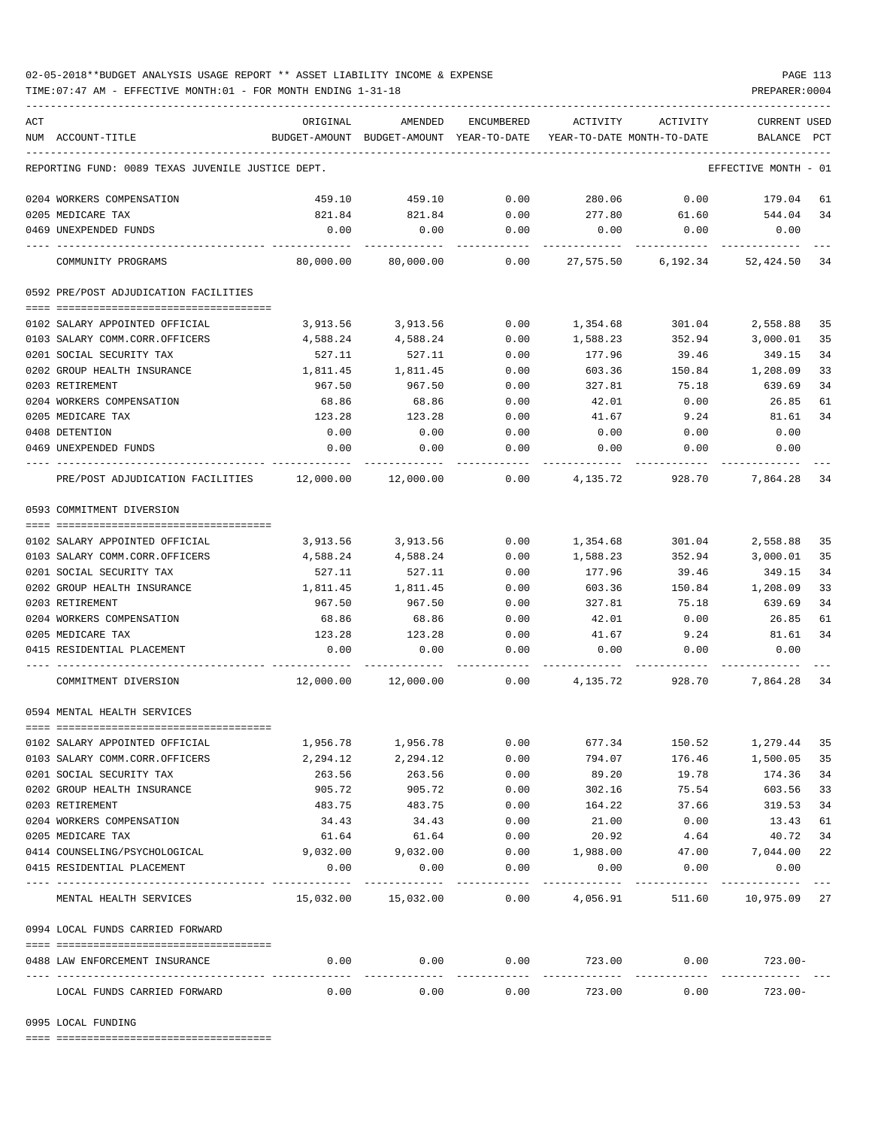## 02-05-2018\*\*BUDGET ANALYSIS USAGE REPORT \*\* ASSET LIABILITY INCOME & EXPENSE PAGE 113

TIME:07:47 AM - EFFECTIVE MONTH:01 - FOR MONTH ENDING 1-31-18 PREPARER:0004

| ACT |                                                                                                                                                                                                                                                                                                                                                                                                                                                         | ORIGINAL                 | AMENDED                                  |                      | ACTIVITY                   | ACTIVITY                                               | <b>CURRENT USED</b>  |     |
|-----|---------------------------------------------------------------------------------------------------------------------------------------------------------------------------------------------------------------------------------------------------------------------------------------------------------------------------------------------------------------------------------------------------------------------------------------------------------|--------------------------|------------------------------------------|----------------------|----------------------------|--------------------------------------------------------|----------------------|-----|
|     | NUM ACCOUNT-TITLE                                                                                                                                                                                                                                                                                                                                                                                                                                       |                          | BUDGET-AMOUNT BUDGET-AMOUNT YEAR-TO-DATE | ENCUMBERED           | YEAR-TO-DATE MONTH-TO-DATE |                                                        | BALANCE              | PCT |
|     |                                                                                                                                                                                                                                                                                                                                                                                                                                                         |                          |                                          |                      |                            |                                                        |                      |     |
|     | REPORTING FUND: 0089 TEXAS JUVENILE JUSTICE DEPT.                                                                                                                                                                                                                                                                                                                                                                                                       |                          |                                          |                      |                            |                                                        | EFFECTIVE MONTH - 01 |     |
|     | 0204 WORKERS COMPENSATION                                                                                                                                                                                                                                                                                                                                                                                                                               | 459.10                   | 459.10                                   | 0.00                 | 280.06                     |                                                        | $0.00$ 179.04        | 61  |
|     | 0205 MEDICARE TAX                                                                                                                                                                                                                                                                                                                                                                                                                                       | 821.84                   | 821.84                                   | 0.00                 | 277.80                     | 61.60                                                  | 544.04               | 34  |
|     | 0469 UNEXPENDED FUNDS                                                                                                                                                                                                                                                                                                                                                                                                                                   | 0.00                     | 0.00                                     | 0.00                 | 0.00                       | 0.00                                                   | 0.00                 |     |
|     | COMMUNITY PROGRAMS                                                                                                                                                                                                                                                                                                                                                                                                                                      | 80,000.00                | 80,000.00                                | 0.00                 |                            | 27,575.50 6,192.34 52,424.50 34                        |                      |     |
|     | 0592 PRE/POST ADJUDICATION FACILITIES                                                                                                                                                                                                                                                                                                                                                                                                                   |                          |                                          |                      |                            |                                                        |                      |     |
|     | 0102 SALARY APPOINTED OFFICIAL                                                                                                                                                                                                                                                                                                                                                                                                                          | 3,913.56                 | 3,913.56                                 | 0.00                 | 1,354.68                   | 301.04                                                 | 2,558.88             | 35  |
|     | 0103 SALARY COMM.CORR.OFFICERS                                                                                                                                                                                                                                                                                                                                                                                                                          | 4,588.24                 | 4,588.24                                 | 0.00                 | 1,588.23                   | 352.94                                                 | 3,000.01             | 35  |
|     | 0201 SOCIAL SECURITY TAX                                                                                                                                                                                                                                                                                                                                                                                                                                | 527.11                   | 527.11                                   | 0.00                 | 177.96                     | 39.46                                                  | 349.15               | 34  |
|     | 0202 GROUP HEALTH INSURANCE                                                                                                                                                                                                                                                                                                                                                                                                                             | 1,811.45                 | 1,811.45                                 | 0.00                 | 603.36                     | 150.84                                                 | 1,208.09             | 33  |
|     | 0203 RETIREMENT                                                                                                                                                                                                                                                                                                                                                                                                                                         | 967.50                   | 967.50                                   | 0.00                 | 327.81                     | 75.18                                                  | 639.69               | 34  |
|     | 0204 WORKERS COMPENSATION                                                                                                                                                                                                                                                                                                                                                                                                                               | 68.86                    | 68.86                                    | 0.00                 | 42.01                      | 0.00                                                   | 26.85                | 61  |
|     | 0205 MEDICARE TAX                                                                                                                                                                                                                                                                                                                                                                                                                                       | 123.28                   | 123.28                                   | 0.00                 | 41.67                      | 9.24                                                   | 81.61                | 34  |
|     | 0408 DETENTION                                                                                                                                                                                                                                                                                                                                                                                                                                          | 0.00                     | 0.00                                     | 0.00                 |                            |                                                        | 0.00                 |     |
|     | 0469 UNEXPENDED FUNDS                                                                                                                                                                                                                                                                                                                                                                                                                                   |                          |                                          |                      | 0.00                       | 0.00                                                   |                      |     |
|     |                                                                                                                                                                                                                                                                                                                                                                                                                                                         | 0.00                     | 0.00                                     | 0.00                 | 0.00                       | 0.00                                                   | 0.00                 |     |
|     | PRE/POST ADJUDICATION FACILITIES 12,000.00 12,000.00                                                                                                                                                                                                                                                                                                                                                                                                    |                          |                                          | 0.00                 | 4,135.72                   |                                                        | 928.70 7,864.28      | 34  |
|     | 0593 COMMITMENT DIVERSION                                                                                                                                                                                                                                                                                                                                                                                                                               |                          |                                          |                      |                            |                                                        |                      |     |
|     |                                                                                                                                                                                                                                                                                                                                                                                                                                                         |                          |                                          |                      |                            |                                                        |                      |     |
|     | 0102 SALARY APPOINTED OFFICIAL                                                                                                                                                                                                                                                                                                                                                                                                                          | 3,913.56                 | 3,913.56                                 | 0.00                 | 1,354.68                   | 301.04                                                 | 2,558.88             | 35  |
|     | 0103 SALARY COMM.CORR.OFFICERS                                                                                                                                                                                                                                                                                                                                                                                                                          | 4,588.24                 | 4,588.24                                 | 0.00                 | 1,588.23                   | 352.94                                                 | 3,000.01             | 35  |
|     | 0201 SOCIAL SECURITY TAX                                                                                                                                                                                                                                                                                                                                                                                                                                | 527.11                   | 527.11                                   | 0.00                 | 177.96                     | 39.46                                                  | 349.15               | 34  |
|     | 0202 GROUP HEALTH INSURANCE                                                                                                                                                                                                                                                                                                                                                                                                                             | 1,811.45                 | 1,811.45                                 | 0.00                 | 603.36                     | 150.84                                                 | 1,208.09             | 33  |
|     | 0203 RETIREMENT                                                                                                                                                                                                                                                                                                                                                                                                                                         | 967.50                   | 967.50                                   | 0.00                 | 327.81                     | 75.18                                                  | 639.69               | 34  |
|     | 0204 WORKERS COMPENSATION                                                                                                                                                                                                                                                                                                                                                                                                                               | 68.86                    | 68.86                                    | 0.00                 | 42.01                      | 0.00                                                   | 26.85                | 61  |
|     | 0205 MEDICARE TAX                                                                                                                                                                                                                                                                                                                                                                                                                                       | 123.28                   | 123.28                                   | 0.00                 | 41.67                      | 9.24                                                   | 81.61                | 34  |
|     | 0415 RESIDENTIAL PLACEMENT                                                                                                                                                                                                                                                                                                                                                                                                                              | 0.00                     | 0.00                                     | 0.00                 | 0.00                       | 0.00                                                   | 0.00                 |     |
|     | COMMITMENT DIVERSION                                                                                                                                                                                                                                                                                                                                                                                                                                    |                          |                                          |                      |                            | $0.00$ $4,135.72$ $928.70$ $7,864.28$                  |                      | 34  |
|     | 0594 MENTAL HEALTH SERVICES                                                                                                                                                                                                                                                                                                                                                                                                                             |                          |                                          |                      |                            |                                                        |                      |     |
|     |                                                                                                                                                                                                                                                                                                                                                                                                                                                         |                          |                                          |                      |                            |                                                        |                      |     |
|     | 0102 SALARY APPOINTED OFFICIAL                                                                                                                                                                                                                                                                                                                                                                                                                          | 1,956.78                 | 1,956.78                                 | 0.00                 | 677.34                     | 150.52                                                 | 1,279.44             | 35  |
|     | 0103 SALARY COMM.CORR.OFFICERS                                                                                                                                                                                                                                                                                                                                                                                                                          | 2,294.12                 | 2,294.12                                 | 0.00                 | 794.07                     | 176.46                                                 | 1,500.05             | 35  |
|     | 0201 SOCIAL SECURITY TAX                                                                                                                                                                                                                                                                                                                                                                                                                                | 263.56                   | 263.56                                   | 0.00                 | 89.20                      | 19.78                                                  | 174.36               | 34  |
|     | 0202 GROUP HEALTH INSURANCE                                                                                                                                                                                                                                                                                                                                                                                                                             | 905.72                   | 905.72                                   | 0.00                 | 302.16                     | 75.54                                                  | 603.56               | 33  |
|     | 0203 RETIREMENT                                                                                                                                                                                                                                                                                                                                                                                                                                         | 483.75                   | 483.75                                   | 0.00                 | 164.22                     | 37.66                                                  | 319.53               | 34  |
|     | 0204 WORKERS COMPENSATION                                                                                                                                                                                                                                                                                                                                                                                                                               | 34.43                    | 34.43                                    | 0.00                 | 21.00                      | 0.00                                                   | 13.43                | 61  |
|     | 0205 MEDICARE TAX                                                                                                                                                                                                                                                                                                                                                                                                                                       | 61.64                    | 61.64                                    | 0.00                 | 20.92                      | 4.64                                                   | 40.72                | 34  |
|     | 0414 COUNSELING/PSYCHOLOGICAL                                                                                                                                                                                                                                                                                                                                                                                                                           | 9,032.00                 | 9,032.00                                 | 0.00                 | 1,988.00                   | 47.00                                                  | 7,044.00             | 22  |
|     | 0415 RESIDENTIAL PLACEMENT                                                                                                                                                                                                                                                                                                                                                                                                                              | 0.00                     | 0.00                                     | 0.00<br>------------ | 0.00                       | 0.00<br>------------                                   | 0.00                 |     |
|     | MENTAL HEALTH SERVICES                                                                                                                                                                                                                                                                                                                                                                                                                                  | $15,032.00$ $15,032.00$  |                                          | 0.00                 | 4,056.91                   |                                                        | 511.60 10,975.09 27  |     |
|     | 0994 LOCAL FUNDS CARRIED FORWARD                                                                                                                                                                                                                                                                                                                                                                                                                        |                          |                                          |                      |                            |                                                        |                      |     |
|     | $\verb c  = \verb c  = \verb c  = \verb c  = \verb c  = \verb c  = \verb c  = \verb c  = \verb c  = \verb c  = \verb c  = \verb c  = \verb c  = \verb c  = \verb c  = \verb c  = \verb c  = \verb c  = \verb c  = \verb c  = \verb c  = \verb c  = \verb c  = \verb c  = \verb c  = \verb c  = \verb c  = \verb c  = \verb c  = \verb c  = \verb c  = \verb c  = \verb c  = \verb c  = \verb c  = \verb c  = \verb c$<br>0488 LAW ENFORCEMENT INSURANCE | 0.00                     |                                          |                      |                            | $0.00$ $0.00$ $723.00$ $0.00$ $723.00$ $0.00$ $723.00$ |                      |     |
|     | ---- -----------------------                                                                                                                                                                                                                                                                                                                                                                                                                            | ---------- ------------- | ------------                             | ------------         | ------------               | ------------                                           | ------------         |     |

0995 LOCAL FUNDING

==== ===================================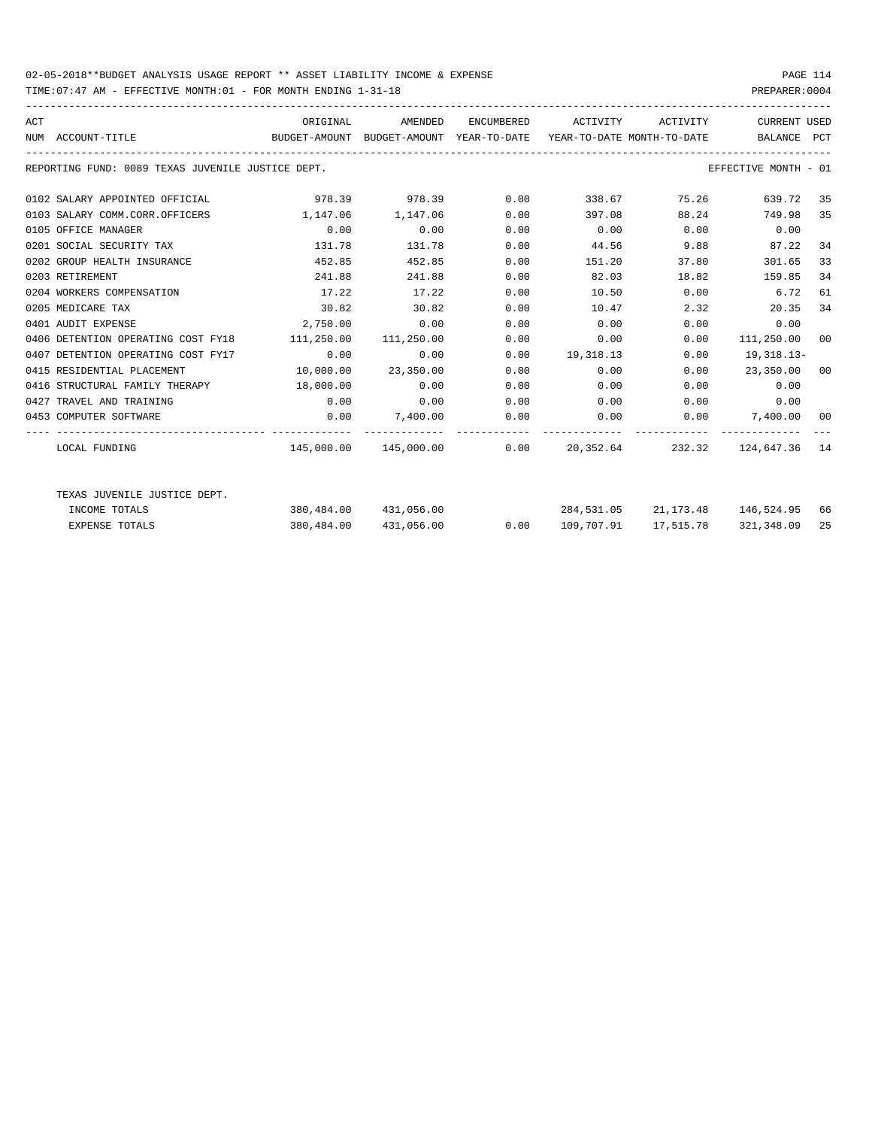## 02-05-2018\*\*BUDGET ANALYSIS USAGE REPORT \*\* ASSET LIABILITY INCOME & EXPENSE PAGE 114

TIME:07:47 AM - EFFECTIVE MONTH:01 - FOR MONTH ENDING 1-31-18 PREPARER:0004

| ACT | NUM ACCOUNT-TITLE                                 | ORIGINAL<br>BUDGET-AMOUNT BUDGET-AMOUNT YEAR-TO-DATE YEAR-TO-DATE MONTH-TO-DATE | AMENDED               |      | ENCUMBERED ACTIVITY ACTIVITY                           |                      | CURRENT USED<br>BALANCE PCT        |    |
|-----|---------------------------------------------------|---------------------------------------------------------------------------------|-----------------------|------|--------------------------------------------------------|----------------------|------------------------------------|----|
|     | REPORTING FUND: 0089 TEXAS JUVENILE JUSTICE DEPT. |                                                                                 |                       |      |                                                        |                      | EFFECTIVE MONTH - 01               |    |
|     | 0102 SALARY APPOINTED OFFICIAL                    |                                                                                 | 978.39 978.39 0.00    |      | 338.67                                                 | 75.26                | 639.72                             | 35 |
|     | 0103 SALARY COMM.CORR.OFFICERS                    | 1,147.06 1,147.06                                                               |                       | 0.00 | 397.08                                                 | 88.24                | 749.98                             | 35 |
|     | 0105 OFFICE MANAGER                               | 0.00                                                                            | 0.00                  | 0.00 | $0.00$ 0.00                                            |                      | 0.00                               |    |
|     | 0201 SOCIAL SECURITY TAX                          | 131.78                                                                          | 131.78                | 0.00 | 44.56 9.88 87.22                                       |                      |                                    | 34 |
|     | 0202 GROUP HEALTH INSURANCE                       | 452.85                                                                          | 452.85                | 0.00 | 151.20                                                 | 37.80                | 301.65                             | 33 |
|     | 0203 RETIREMENT                                   | 241.88                                                                          | 241.88                | 0.00 | 82.03                                                  | 18.82                | 159.85                             | 34 |
|     | 0204 WORKERS COMPENSATION                         | 17.22                                                                           | 17.22                 | 0.00 |                                                        | 10.50 0.00           | 6.72                               | 61 |
|     | 0205 MEDICARE TAX                                 | 30.82                                                                           | 30.82                 | 0.00 | 10.47                                                  | 2.32                 | 20.35                              | 34 |
|     | 0401 AUDIT EXPENSE                                | 2,750.00                                                                        | 0.00                  | 0.00 | 0.00                                                   | 0.00                 | 0.00                               |    |
|     | 0406 DETENTION OPERATING COST FY18                | 111,250.00                                                                      | 111,250.00            | 0.00 |                                                        | 0.00<br>0.00         | 111,250.00 00                      |    |
|     | 0407 DETENTION OPERATING COST FY17                | 0.00                                                                            | 0.00                  | 0.00 | 19,318.13                                              | 0.00                 | 19,318.13-                         |    |
|     | 0415 RESIDENTIAL PLACEMENT                        | $10,000.00$ 23,350.00                                                           |                       | 0.00 | 0.00                                                   |                      | $0.00$ 23,350.00 00                |    |
|     | 0416 STRUCTURAL FAMILY THERAPY 18,000.00          |                                                                                 | 0.00                  | 0.00 |                                                        | 0.00                 | $0.00$ 0.00                        |    |
|     | 0427 TRAVEL AND TRAINING                          | 0.00                                                                            | 0.00                  | 0.00 | 0.00                                                   |                      | $0.00$ 0.00                        |    |
|     | 0453 COMPUTER SOFTWARE                            |                                                                                 |                       |      | $0.00$ $7,400.00$ $0.00$ $0.00$ $0.00$ $7,400.00$ $00$ |                      |                                    |    |
|     | LOCAL FUNDING                                     |                                                                                 |                       |      | $145,000.00$ $145,000.00$ 0.00 20,352.64               |                      | 232.32 124.647.36 14               |    |
|     | TEXAS JUVENILE JUSTICE DEPT.                      |                                                                                 |                       |      |                                                        |                      |                                    |    |
|     | INCOME TOTALS                                     |                                                                                 | 380,484.00 431,056.00 |      |                                                        |                      | 284,531.05 21,173.48 146,524.95 66 |    |
|     | <b>EXPENSE TOTALS</b>                             |                                                                                 | 380,484.00 431,056.00 | 0.00 |                                                        | 109,707.91 17,515.78 | 321,348.09                         | 25 |
|     |                                                   |                                                                                 |                       |      |                                                        |                      |                                    |    |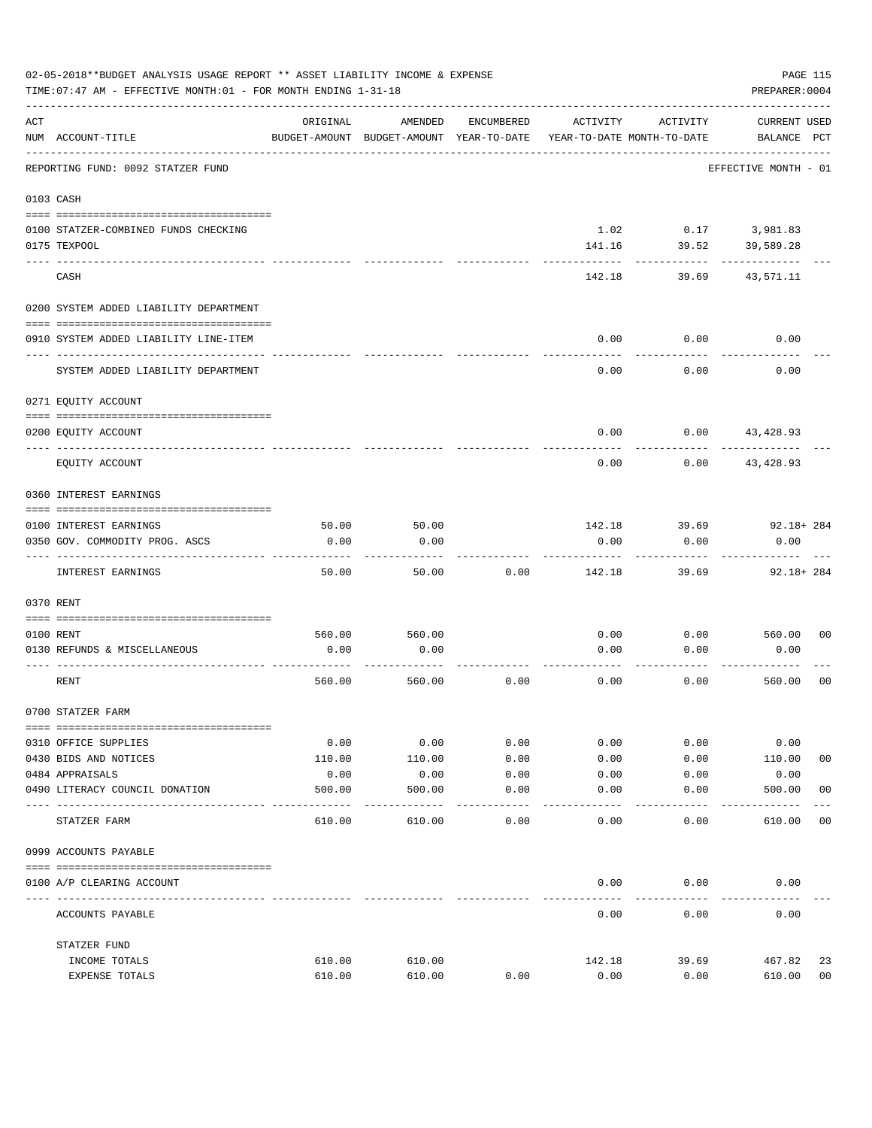|     | 02-05-2018**BUDGET ANALYSIS USAGE REPORT ** ASSET LIABILITY INCOME & EXPENSE<br>PAGE 115<br>TIME: 07:47 AM - EFFECTIVE MONTH: 01 - FOR MONTH ENDING 1-31-18<br>PREPARER: 0004 |                |                                                     |              |                                        |                             |                                    |                |  |  |
|-----|-------------------------------------------------------------------------------------------------------------------------------------------------------------------------------|----------------|-----------------------------------------------------|--------------|----------------------------------------|-----------------------------|------------------------------------|----------------|--|--|
| ACT | NUM ACCOUNT-TITLE                                                                                                                                                             | ORIGINAL       | AMENDED<br>BUDGET-AMOUNT BUDGET-AMOUNT YEAR-TO-DATE | ENCUMBERED   | ACTIVITY<br>YEAR-TO-DATE MONTH-TO-DATE | ACTIVITY                    | <b>CURRENT USED</b><br>BALANCE PCT |                |  |  |
|     | REPORTING FUND: 0092 STATZER FUND                                                                                                                                             |                |                                                     |              |                                        |                             | EFFECTIVE MONTH - 01               |                |  |  |
|     | 0103 CASH                                                                                                                                                                     |                |                                                     |              |                                        |                             |                                    |                |  |  |
|     | 0100 STATZER-COMBINED FUNDS CHECKING<br>0175 TEXPOOL                                                                                                                          |                |                                                     |              | 141.16                                 | 1.02 0.17 3,981.83<br>39.52 | 39,589.28                          |                |  |  |
|     | CASH                                                                                                                                                                          |                |                                                     |              | 142.18                                 | 39.69                       | 43,571.11                          |                |  |  |
|     | 0200 SYSTEM ADDED LIABILITY DEPARTMENT                                                                                                                                        |                |                                                     |              |                                        |                             |                                    |                |  |  |
|     | 0910 SYSTEM ADDED LIABILITY LINE-ITEM                                                                                                                                         |                |                                                     |              | 0.00                                   | 0.00                        | 0.00                               |                |  |  |
|     | SYSTEM ADDED LIABILITY DEPARTMENT                                                                                                                                             |                |                                                     |              | 0.00                                   | 0.00                        | 0.00                               |                |  |  |
|     | 0271 EQUITY ACCOUNT                                                                                                                                                           |                |                                                     |              |                                        |                             |                                    |                |  |  |
|     | 0200 EQUITY ACCOUNT                                                                                                                                                           |                |                                                     |              | 0.00                                   | $0.00$ $43,428.93$          |                                    |                |  |  |
|     | EQUITY ACCOUNT                                                                                                                                                                |                |                                                     |              | 0.00                                   | 0.00                        | 43,428.93                          |                |  |  |
|     | 0360 INTEREST EARNINGS                                                                                                                                                        |                |                                                     |              |                                        |                             |                                    |                |  |  |
|     |                                                                                                                                                                               | 50.00          | 50.00                                               |              | 142.18                                 | 39.69                       | $92.18 + 284$                      |                |  |  |
|     | 0100 INTEREST EARNINGS<br>0350 GOV. COMMODITY PROG. ASCS                                                                                                                      | 0.00           | 0.00                                                |              | 0.00                                   | 0.00                        | 0.00                               |                |  |  |
|     | INTEREST EARNINGS                                                                                                                                                             | 50.00          | 50.00                                               | 0.00         | 142.18                                 | 39.69                       | $92.18 + 284$                      |                |  |  |
|     | 0370 RENT                                                                                                                                                                     |                |                                                     |              |                                        |                             |                                    |                |  |  |
|     | 0100 RENT                                                                                                                                                                     | 560.00         | 560.00                                              |              | 0.00                                   | 0.00                        | 560.00                             | 0 <sub>0</sub> |  |  |
|     | 0130 REFUNDS & MISCELLANEOUS                                                                                                                                                  | 0.00           | 0.00                                                |              | 0.00                                   | 0.00                        | 0.00                               |                |  |  |
|     | RENT                                                                                                                                                                          | 560.00         | 560.00                                              | 0.00         | 0.00                                   | 0.00                        | 560.00                             | 0 <sub>0</sub> |  |  |
|     | 0700 STATZER FARM                                                                                                                                                             |                |                                                     |              |                                        |                             |                                    |                |  |  |
|     |                                                                                                                                                                               |                |                                                     |              |                                        |                             |                                    |                |  |  |
|     | 0310 OFFICE SUPPLIES<br>0430 BIDS AND NOTICES                                                                                                                                 | 0.00<br>110.00 | 0.00<br>110.00                                      | 0.00<br>0.00 | 0.00<br>0.00                           | 0.00<br>0.00                | 0.00<br>110.00                     | 0 <sub>0</sub> |  |  |
|     | 0484 APPRAISALS                                                                                                                                                               | 0.00           | 0.00                                                | 0.00         | 0.00                                   | 0.00                        | 0.00                               |                |  |  |
|     | 0490 LITERACY COUNCIL DONATION                                                                                                                                                | 500.00         | 500.00                                              | 0.00         | 0.00                                   | 0.00                        | 500.00                             | 0 <sub>0</sub> |  |  |
|     | ---- ----<br>STATZER FARM                                                                                                                                                     | 610.00         | 610.00                                              | 0.00         | 0.00                                   | 0.00                        | 610.00                             | 00             |  |  |
|     | 0999 ACCOUNTS PAYABLE                                                                                                                                                         |                |                                                     |              |                                        |                             |                                    |                |  |  |
|     | 0100 A/P CLEARING ACCOUNT                                                                                                                                                     |                |                                                     |              | 0.00                                   | 0.00                        | 0.00                               |                |  |  |
|     | ACCOUNTS PAYABLE                                                                                                                                                              |                |                                                     |              | 0.00                                   | 0.00                        | 0.00                               |                |  |  |
|     | STATZER FUND                                                                                                                                                                  |                |                                                     |              |                                        |                             |                                    |                |  |  |
|     | INCOME TOTALS                                                                                                                                                                 | 610.00         | 610.00                                              |              | 142.18                                 | 39.69                       | 467.82                             | 23             |  |  |
|     | EXPENSE TOTALS                                                                                                                                                                | 610.00         | 610.00                                              | 0.00         | 0.00                                   | 0.00                        | 610.00                             | 0 <sub>0</sub> |  |  |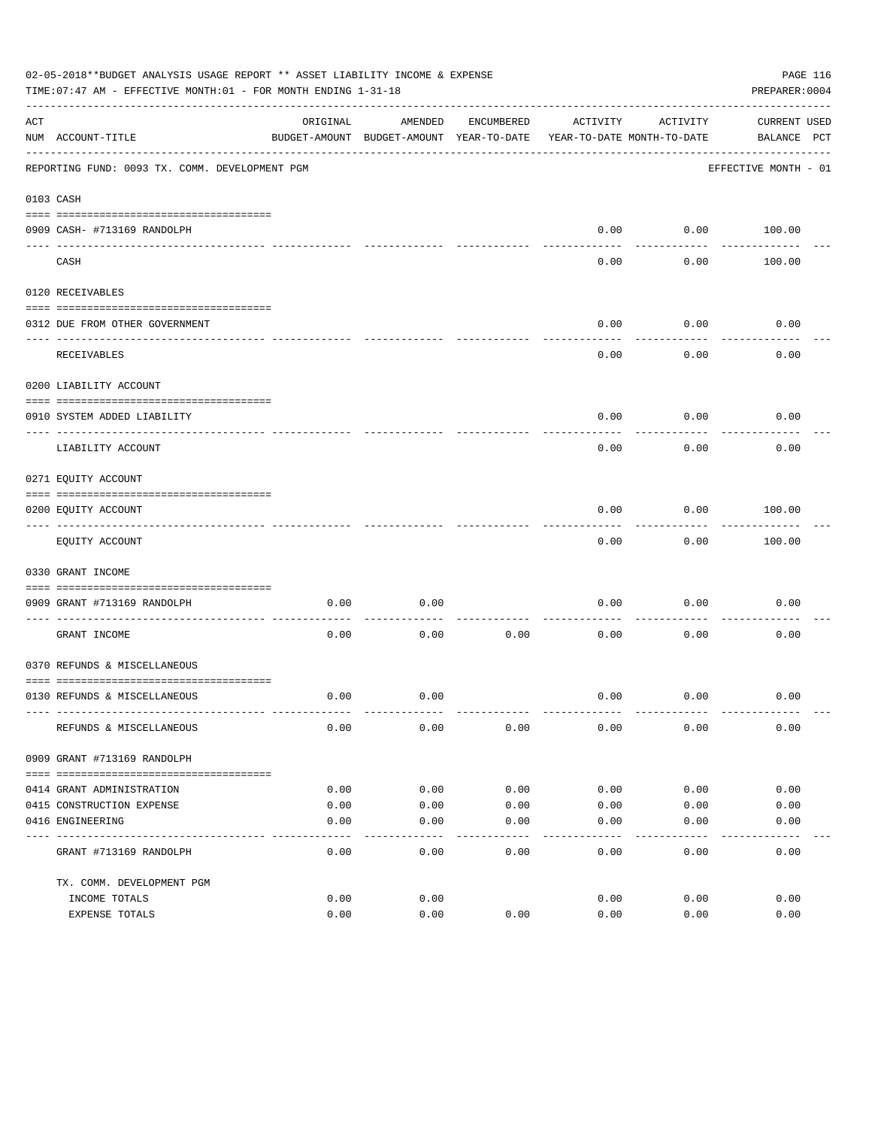|     | 02-05-2018**BUDGET ANALYSIS USAGE REPORT ** ASSET LIABILITY INCOME & EXPENSE<br>TIME: 07:47 AM - EFFECTIVE MONTH: 01 - FOR MONTH ENDING 1-31-18 |          |                                          |            |                            |           | PAGE 116<br>PREPARER: 0004 |  |
|-----|-------------------------------------------------------------------------------------------------------------------------------------------------|----------|------------------------------------------|------------|----------------------------|-----------|----------------------------|--|
| ACT |                                                                                                                                                 | ORIGINAL | AMENDED                                  | ENCUMBERED | ACTIVITY                   | ACTIVITY  | CURRENT USED               |  |
|     | NUM ACCOUNT-TITLE                                                                                                                               |          | BUDGET-AMOUNT BUDGET-AMOUNT YEAR-TO-DATE |            | YEAR-TO-DATE MONTH-TO-DATE |           | BALANCE PCT                |  |
|     | REPORTING FUND: 0093 TX. COMM. DEVELOPMENT PGM                                                                                                  |          |                                          |            |                            |           | EFFECTIVE MONTH - 01       |  |
|     | 0103 CASH                                                                                                                                       |          |                                          |            |                            |           |                            |  |
|     |                                                                                                                                                 |          |                                          |            |                            |           |                            |  |
|     | 0909 CASH- #713169 RANDOLPH                                                                                                                     |          |                                          |            | 0.00                       | --------- | $0.00$ 100.00              |  |
|     | CASH                                                                                                                                            |          |                                          |            | 0.00                       | 0.00      | 100.00                     |  |
|     | 0120 RECEIVABLES                                                                                                                                |          |                                          |            |                            |           |                            |  |
|     | 0312 DUE FROM OTHER GOVERNMENT                                                                                                                  |          |                                          |            | 0.00                       | 0.00      | 0.00                       |  |
|     |                                                                                                                                                 |          |                                          |            |                            | --------  |                            |  |
|     | RECEIVABLES                                                                                                                                     |          |                                          |            | 0.00                       | 0.00      | 0.00                       |  |
|     | 0200 LIABILITY ACCOUNT                                                                                                                          |          |                                          |            |                            |           |                            |  |
|     | 0910 SYSTEM ADDED LIABILITY                                                                                                                     |          |                                          |            | 0.00                       | 0.00      | 0.00                       |  |
|     | LIABILITY ACCOUNT                                                                                                                               |          |                                          |            | 0.00                       | 0.00      | 0.00                       |  |
|     | 0271 EQUITY ACCOUNT                                                                                                                             |          |                                          |            |                            |           |                            |  |
|     | 0200 EQUITY ACCOUNT                                                                                                                             |          |                                          |            | 0.00                       | 0.00      | 100.00                     |  |
|     | EQUITY ACCOUNT                                                                                                                                  |          |                                          |            | 0.00                       | 0.00      | 100.00                     |  |
|     | 0330 GRANT INCOME                                                                                                                               |          |                                          |            |                            |           |                            |  |
|     |                                                                                                                                                 |          |                                          |            |                            |           |                            |  |
|     | 0909 GRANT #713169 RANDOLPH<br>---------------------- -----                                                                                     | 0.00     | 0.00                                     |            | 0.00                       | 0.00      | 0.00                       |  |
|     | GRANT INCOME                                                                                                                                    | 0.00     | 0.00                                     | 0.00       | 0.00                       | 0.00      | 0.00                       |  |
|     | 0370 REFUNDS & MISCELLANEOUS                                                                                                                    |          |                                          |            |                            |           |                            |  |
|     |                                                                                                                                                 |          |                                          |            |                            |           |                            |  |
|     | 0130 REFUNDS & MISCELLANEOUS                                                                                                                    | 0.00     | 0.00                                     |            | 0.00                       | 0.00      | 0.00                       |  |
|     | REFUNDS & MISCELLANEOUS                                                                                                                         | 0.00     | 0.00                                     | 0.00       | 0.00                       | 0.00      | 0.00                       |  |
|     | 0909 GRANT #713169 RANDOLPH                                                                                                                     |          |                                          |            |                            |           |                            |  |
|     |                                                                                                                                                 |          |                                          |            |                            |           |                            |  |
|     | 0414 GRANT ADMINISTRATION                                                                                                                       | 0.00     | 0.00                                     | 0.00       | 0.00                       | 0.00      | 0.00                       |  |
|     | 0415 CONSTRUCTION EXPENSE                                                                                                                       | 0.00     | 0.00                                     | 0.00       | 0.00                       | 0.00      | 0.00                       |  |
|     | 0416 ENGINEERING                                                                                                                                | 0.00     | 0.00                                     | 0.00       | 0.00                       | 0.00      | 0.00                       |  |
|     | GRANT #713169 RANDOLPH                                                                                                                          | 0.00     | 0.00                                     | 0.00       | 0.00                       | 0.00      | 0.00                       |  |
|     | TX. COMM. DEVELOPMENT PGM                                                                                                                       |          |                                          |            |                            |           |                            |  |
|     | INCOME TOTALS                                                                                                                                   | 0.00     | 0.00                                     |            | 0.00                       | 0.00      | 0.00                       |  |
|     | EXPENSE TOTALS                                                                                                                                  | 0.00     | 0.00                                     | 0.00       | 0.00                       | 0.00      | 0.00                       |  |
|     |                                                                                                                                                 |          |                                          |            |                            |           |                            |  |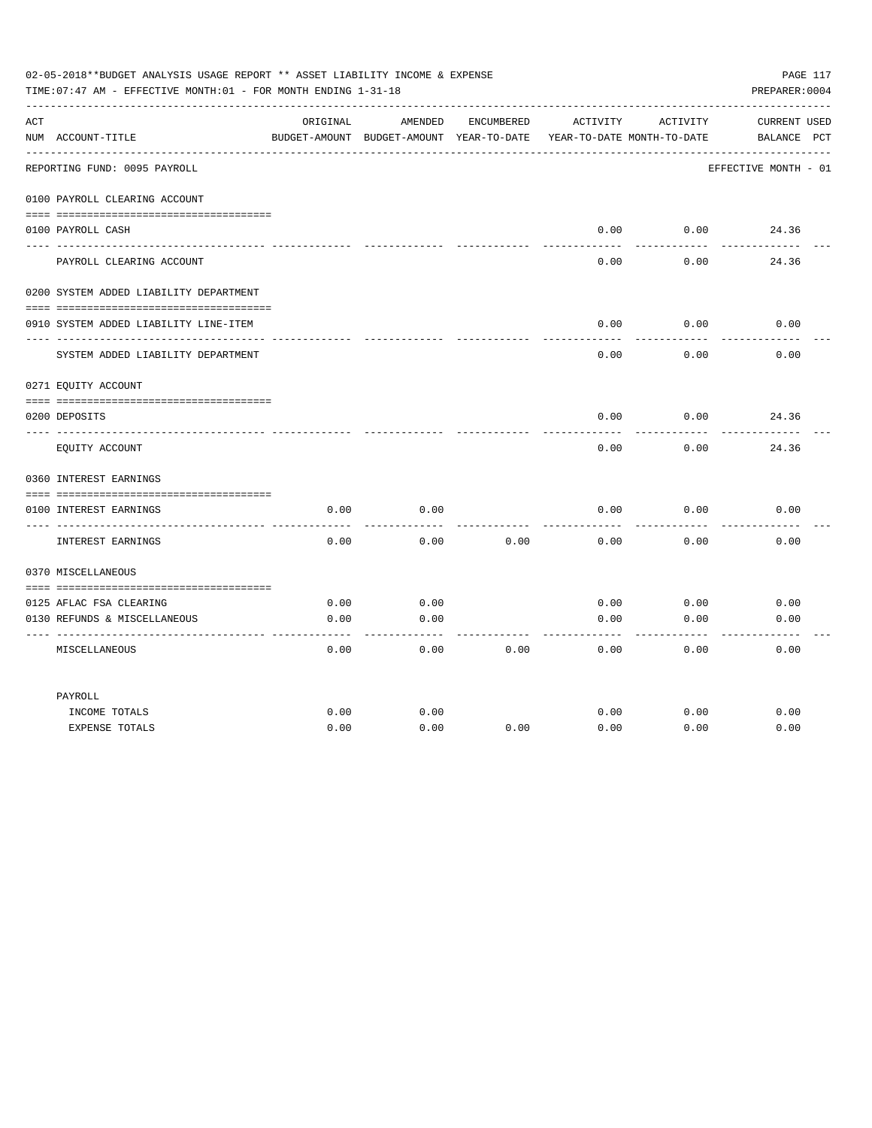|     | 02-05-2018**BUDGET ANALYSIS USAGE REPORT ** ASSET LIABILITY INCOME & EXPENSE<br>TIME: 07:47 AM - EFFECTIVE MONTH: 01 - FOR MONTH ENDING 1-31-18 |          |                                                     |                   |          |                                        | PAGE 117<br>PREPARER: 0004         |
|-----|-------------------------------------------------------------------------------------------------------------------------------------------------|----------|-----------------------------------------------------|-------------------|----------|----------------------------------------|------------------------------------|
| ACT | NUM ACCOUNT-TITLE                                                                                                                               | ORIGINAL | AMENDED<br>BUDGET-AMOUNT BUDGET-AMOUNT YEAR-TO-DATE | <b>ENCUMBERED</b> | ACTIVITY | ACTIVITY<br>YEAR-TO-DATE MONTH-TO-DATE | <b>CURRENT USED</b><br>BALANCE PCT |
|     | REPORTING FUND: 0095 PAYROLL                                                                                                                    |          |                                                     |                   |          |                                        | EFFECTIVE MONTH - 01               |
|     | 0100 PAYROLL CLEARING ACCOUNT                                                                                                                   |          |                                                     |                   |          |                                        |                                    |
|     |                                                                                                                                                 |          |                                                     |                   |          |                                        |                                    |
|     | 0100 PAYROLL CASH                                                                                                                               |          |                                                     |                   | 0.00     | 0.00                                   | 24.36                              |
|     | PAYROLL CLEARING ACCOUNT                                                                                                                        |          |                                                     |                   | 0.00     | 0.00                                   | 24.36                              |
|     | 0200 SYSTEM ADDED LIABILITY DEPARTMENT                                                                                                          |          |                                                     |                   |          |                                        |                                    |
|     |                                                                                                                                                 |          |                                                     |                   |          |                                        |                                    |
|     | 0910 SYSTEM ADDED LIABILITY LINE-ITEM                                                                                                           |          |                                                     |                   | 0.00     | 0.00                                   | 0.00                               |
|     | SYSTEM ADDED LIABILITY DEPARTMENT                                                                                                               |          |                                                     |                   | 0.00     | 0.00                                   | 0.00                               |
|     | 0271 EQUITY ACCOUNT                                                                                                                             |          |                                                     |                   |          |                                        |                                    |
|     |                                                                                                                                                 |          |                                                     |                   |          |                                        |                                    |
|     | 0200 DEPOSITS                                                                                                                                   |          |                                                     |                   | 0.00     | 0.00                                   | 24.36                              |
|     | EQUITY ACCOUNT                                                                                                                                  |          |                                                     |                   | 0.00     | 0.00                                   | 24.36                              |
|     | 0360 INTEREST EARNINGS                                                                                                                          |          |                                                     |                   |          |                                        |                                    |
|     |                                                                                                                                                 |          |                                                     |                   |          |                                        |                                    |
|     | 0100 INTEREST EARNINGS<br>_____ ______________                                                                                                  | 0.00     | 0.00                                                |                   | 0.00     | 0.00                                   | 0.00                               |
|     | INTEREST EARNINGS                                                                                                                               | 0.00     | 0.00                                                | 0.00              | 0.00     | 0.00                                   | 0.00                               |
|     | 0370 MISCELLANEOUS                                                                                                                              |          |                                                     |                   |          |                                        |                                    |
|     |                                                                                                                                                 |          |                                                     |                   |          |                                        |                                    |
|     | 0125 AFLAC FSA CLEARING                                                                                                                         | 0.00     | 0.00                                                |                   | 0.00     | 0.00                                   | 0.00                               |
|     | 0130 REFUNDS & MISCELLANEOUS                                                                                                                    | 0.00     | 0.00                                                |                   | 0.00     | 0.00                                   | 0.00                               |
|     | MISCELLANEOUS                                                                                                                                   | 0.00     | 0.00                                                | 0.00              | 0.00     | 0.00                                   | 0.00                               |
|     | PAYROLL                                                                                                                                         |          |                                                     |                   |          |                                        |                                    |
|     | INCOME TOTALS                                                                                                                                   | 0.00     | 0.00                                                |                   | 0.00     | 0.00                                   | 0.00                               |
|     | <b>EXPENSE TOTALS</b>                                                                                                                           | 0.00     | 0.00                                                | 0.00              | 0.00     | 0.00                                   | 0.00                               |
|     |                                                                                                                                                 |          |                                                     |                   |          |                                        |                                    |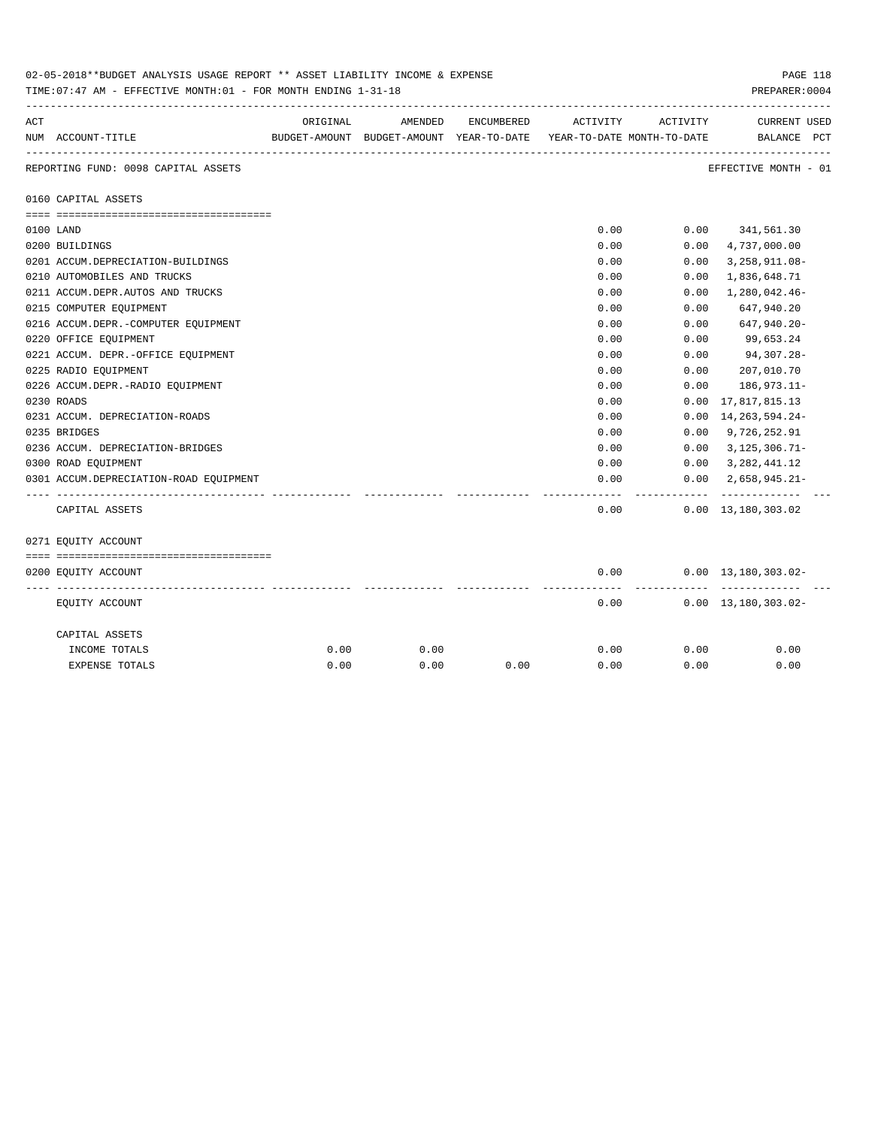|     | 02-05-2018**BUDGET ANALYSIS USAGE REPORT ** ASSET LIABILITY INCOME & EXPENSE<br>TIME: 07:47 AM - EFFECTIVE MONTH: 01 - FOR MONTH ENDING 1-31-18 |          |                                                     |            |                                        |             | PAGE 118<br>PREPARER: 0004                    |
|-----|-------------------------------------------------------------------------------------------------------------------------------------------------|----------|-----------------------------------------------------|------------|----------------------------------------|-------------|-----------------------------------------------|
| ACT | NUM ACCOUNT-TITLE                                                                                                                               | ORIGINAL | AMENDED<br>BUDGET-AMOUNT BUDGET-AMOUNT YEAR-TO-DATE | ENCUMBERED | ACTIVITY<br>YEAR-TO-DATE MONTH-TO-DATE | ACTIVITY    | <b>CURRENT USED</b><br>BALANCE PCT            |
|     | REPORTING FUND: 0098 CAPITAL ASSETS                                                                                                             |          |                                                     |            |                                        |             | EFFECTIVE MONTH - 01                          |
|     | 0160 CAPITAL ASSETS                                                                                                                             |          |                                                     |            |                                        |             |                                               |
|     |                                                                                                                                                 |          |                                                     |            |                                        |             |                                               |
|     | 0100 LAND                                                                                                                                       |          |                                                     |            | 0.00                                   | 0.00        | 341,561.30                                    |
|     | 0200 BUILDINGS                                                                                                                                  |          |                                                     |            | 0.00                                   | 0.00        | 4,737,000.00                                  |
|     | 0201 ACCUM.DEPRECIATION-BUILDINGS                                                                                                               |          |                                                     |            | 0.00                                   | 0.00        | 3, 258, 911.08-                               |
|     | 0210 AUTOMOBILES AND TRUCKS                                                                                                                     |          |                                                     |            | 0.00                                   | 0.00        | 1,836,648.71                                  |
|     | 0211 ACCUM.DEPR.AUTOS AND TRUCKS                                                                                                                |          |                                                     |            | 0.00                                   | 0.00        | 1,280,042.46-                                 |
|     | 0215 COMPUTER EQUIPMENT                                                                                                                         |          |                                                     |            | 0.00                                   | 0.00        | 647,940.20                                    |
|     | 0216 ACCUM.DEPR.-COMPUTER EOUIPMENT                                                                                                             |          |                                                     |            | 0.00                                   | 0.00        | 647,940.20-                                   |
|     | 0220 OFFICE EQUIPMENT                                                                                                                           |          |                                                     |            | 0.00                                   | 0.00        | 99,653.24                                     |
|     | 0221 ACCUM. DEPR. - OFFICE EQUIPMENT                                                                                                            |          |                                                     |            | 0.00                                   | 0.00        | 94,307.28-                                    |
|     | 0225 RADIO EQUIPMENT                                                                                                                            |          |                                                     |            | 0.00                                   | 0.00        | 207,010.70                                    |
|     | 0226 ACCUM.DEPR.-RADIO EQUIPMENT                                                                                                                |          |                                                     |            | 0.00                                   | 0.00        | 186,973.11-                                   |
|     | 0230 ROADS                                                                                                                                      |          |                                                     |            | 0.00                                   |             | $0.00 \quad 17,817,815.13$                    |
|     | 0231 ACCUM. DEPRECIATION-ROADS                                                                                                                  |          |                                                     |            | 0.00                                   |             | $0.00 \quad 14,263,594.24$                    |
|     | 0235 BRIDGES                                                                                                                                    |          |                                                     |            | 0.00                                   |             | $0.00 \quad 9,726,252.91$                     |
|     | 0236 ACCUM. DEPRECIATION-BRIDGES                                                                                                                |          |                                                     |            | 0.00                                   |             | $0.00 \quad 3,125,306.71$ -                   |
|     | 0300 ROAD EQUIPMENT                                                                                                                             |          |                                                     |            | 0.00                                   |             | $0.00$ $3,282,441.12$                         |
|     | 0301 ACCUM.DEPRECIATION-ROAD EOUIPMENT                                                                                                          |          |                                                     |            | 0.00                                   | 0.00        | 2,658,945.21-<br>.                            |
|     | CAPITAL ASSETS                                                                                                                                  |          |                                                     |            | 0.00                                   |             | $0.00 \quad 13,180,303.02$                    |
|     | 0271 EQUITY ACCOUNT                                                                                                                             |          |                                                     |            |                                        |             |                                               |
|     |                                                                                                                                                 |          |                                                     |            |                                        |             |                                               |
|     | 0200 EQUITY ACCOUNT                                                                                                                             |          |                                                     |            | 0.00                                   | ----------- | $0.00 \quad 13,180,303.02 -$<br>------------- |
|     | EQUITY ACCOUNT                                                                                                                                  |          |                                                     |            | 0.00                                   |             | $0.00 \quad 13,180,303.02$ -                  |
|     | CAPITAL ASSETS                                                                                                                                  |          |                                                     |            |                                        |             |                                               |
|     | INCOME TOTALS                                                                                                                                   | 0.00     | 0.00                                                |            | 0.00                                   | 0.00        | 0.00                                          |
|     | <b>EXPENSE TOTALS</b>                                                                                                                           | 0.00     | 0.00                                                | 0.00       | 0.00                                   | 0.00        | 0.00                                          |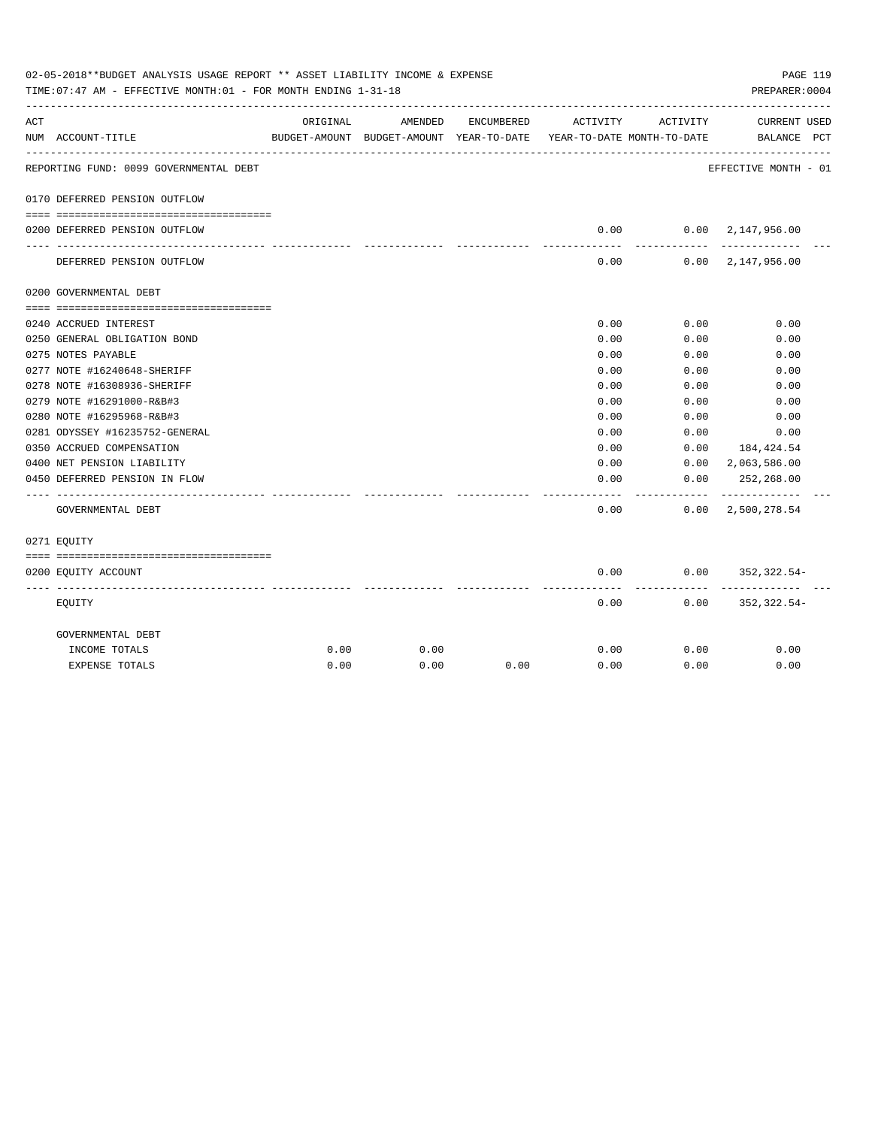|     | 02-05-2018**BUDGET ANALYSIS USAGE REPORT ** ASSET LIABILITY INCOME & EXPENSE<br>TIME: 07:47 AM - EFFECTIVE MONTH: 01 - FOR MONTH ENDING 1-31-18 |          |                                                     |            |                                        |              | PAGE 119<br>PREPARER: 0004                 |  |
|-----|-------------------------------------------------------------------------------------------------------------------------------------------------|----------|-----------------------------------------------------|------------|----------------------------------------|--------------|--------------------------------------------|--|
| ACT | NUM ACCOUNT-TITLE                                                                                                                               | ORIGINAL | AMENDED<br>BUDGET-AMOUNT BUDGET-AMOUNT YEAR-TO-DATE | ENCUMBERED | ACTIVITY<br>YEAR-TO-DATE MONTH-TO-DATE | ACTIVITY     | CURRENT USED<br>BALANCE PCT                |  |
|     | REPORTING FUND: 0099 GOVERNMENTAL DEBT                                                                                                          |          |                                                     |            |                                        |              | EFFECTIVE MONTH - 01                       |  |
|     | 0170 DEFERRED PENSION OUTFLOW                                                                                                                   |          |                                                     |            |                                        |              |                                            |  |
|     | 0200 DEFERRED PENSION OUTFLOW                                                                                                                   |          |                                                     |            | 0.00                                   |              | 0.00 2,147,956.00                          |  |
|     | DEFERRED PENSION OUTFLOW                                                                                                                        |          |                                                     |            | ---------<br>0.00                      | ----------   | -------------<br>$0.00 \quad 2,147,956.00$ |  |
|     | 0200 GOVERNMENTAL DEBT                                                                                                                          |          |                                                     |            |                                        |              |                                            |  |
|     |                                                                                                                                                 |          |                                                     |            |                                        |              |                                            |  |
|     | 0240 ACCRUED INTEREST                                                                                                                           |          |                                                     |            | 0.00                                   | 0.00         | 0.00                                       |  |
|     | 0250 GENERAL OBLIGATION BOND                                                                                                                    |          |                                                     |            | 0.00                                   | 0.00         | 0.00                                       |  |
|     | 0275 NOTES PAYABLE                                                                                                                              |          |                                                     |            | 0.00                                   | 0.00         | 0.00                                       |  |
|     | 0277 NOTE #16240648-SHERIFF                                                                                                                     |          |                                                     |            | 0.00                                   | 0.00         | 0.00                                       |  |
|     | 0278 NOTE #16308936-SHERIFF                                                                                                                     |          |                                                     |            | 0.00                                   | 0.00         | 0.00                                       |  |
|     | 0279 NOTE #16291000-R&B#3                                                                                                                       |          |                                                     |            | 0.00                                   | 0.00         | 0.00                                       |  |
|     | 0280 NOTE #16295968-R&B#3<br>0281 ODYSSEY #16235752-GENERAL                                                                                     |          |                                                     |            | 0.00<br>0.00                           | 0.00<br>0.00 | 0.00<br>0.00                               |  |
|     | 0350 ACCRUED COMPENSATION                                                                                                                       |          |                                                     |            | 0.00                                   | 0.00         | 184,424.54                                 |  |
|     | 0400 NET PENSION LIABILITY                                                                                                                      |          |                                                     |            | 0.00                                   |              | $0.00 \quad 2,063,586.00$                  |  |
|     | 0450 DEFERRED PENSION IN FLOW                                                                                                                   |          |                                                     |            | 0.00                                   | 0.00         | 252,268.00                                 |  |
|     | GOVERNMENTAL DEBT                                                                                                                               |          |                                                     |            | 0.00                                   |              | $0.00 \quad 2,500,278.54$                  |  |
|     | 0271 EOUITY                                                                                                                                     |          |                                                     |            |                                        |              |                                            |  |
|     |                                                                                                                                                 |          |                                                     |            |                                        |              |                                            |  |
|     | 0200 EQUITY ACCOUNT                                                                                                                             |          |                                                     |            | 0.00<br>--------                       | ---------    | $0.00$ $352,322.54$ -                      |  |
|     | EQUITY                                                                                                                                          |          |                                                     |            | 0.00                                   |              | $0.00$ $352,322.54-$                       |  |
|     | GOVERNMENTAL DEBT                                                                                                                               |          |                                                     |            |                                        |              |                                            |  |
|     | INCOME TOTALS                                                                                                                                   | 0.00     | 0.00                                                |            | 0.00                                   | 0.00         | 0.00                                       |  |
|     | <b>EXPENSE TOTALS</b>                                                                                                                           | 0.00     | 0.00                                                | 0.00       | 0.00                                   | 0.00         | 0.00                                       |  |